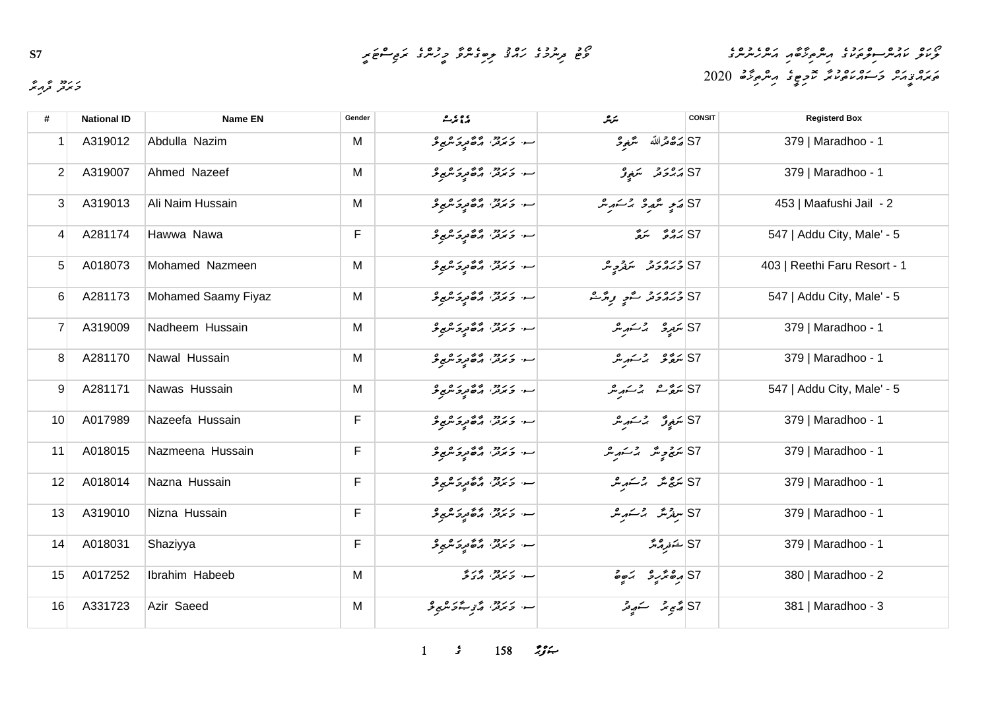*sCw7q7s5w7m< o<n9nOoAw7o< sCq;mAwBoEw7q<m; wBm;vB* م من المرة المرة المرة المرجع المرجع في المركبة 2020<br>مجم*د المريض المربوط المربع المرجع في المراجع المركبة* 

| #                | <b>National ID</b> | Name EN                    | Gender      | بروبرم                          | سربر                                | <b>CONSIT</b> | <b>Registerd Box</b>         |
|------------------|--------------------|----------------------------|-------------|---------------------------------|-------------------------------------|---------------|------------------------------|
| 1                | A319012            | Abdulla Nazim              | M           | ے کاروز مقرر مربع کی            | S7 كەھەراللە شەرى                   |               | 379   Maradhoo - 1           |
| $\overline{2}$   | A319007            | Ahmed Nazeef               | M           | ساد دو ده د کار د همای تر       | S7 <i>252.2 سَمْوِرْ</i>            |               | 379   Maradhoo - 1           |
| 3                | A319013            | Ali Naim Hussain           | M           | ے کارود مقرر معام کی            | S7 كەبىي ش <sub>ە</sub> بى ئەسكەبلى |               | 453   Maafushi Jail - 2      |
| 4                | A281174            | Hawwa Nawa                 | F           | ب <i>دَيَرَة. مُ</i> ڤَرِدَسْ ع | S7 يَدْرُقَّ سَمَّةَ                |               | 547   Addu City, Male' - 5   |
| 5                | A018073            | Mohamed Nazmeen            | M           |                                 | S7 <i>ڈیزور ڈی سَنْرُوِ</i> سُ      |               | 403   Reethi Faru Resort - 1 |
| 6                | A281173            | <b>Mohamed Saamy Fiyaz</b> | M           |                                 | S7 <i>دېمم</i> رتر گړو وگرگ         |               | 547   Addu City, Male' - 5   |
| $\overline{7}$   | A319009            | Nadheem Hussain            | M           | - دَبَرَوْ، مُقَبِّرِ دَمْعِ وْ | S7 سَعِرِدَ 2 سَمب <sup>0</sup> ر   |               | 379   Maradhoo - 1           |
| 8                | A281170            | Nawal Hussain              | M           | ے کا کروڑ کا مقبر دکھیے تھ      | S7 سَعَدٌ بِرَسَهِ بِرْ مِ          |               | 379   Maradhoo - 1           |
| $\boldsymbol{9}$ | A281171            | Nawas Hussain              | M           | - دَبَرَوْ، مُقَبِّرِ دَمْعِ وْ | S7 سَعَّە يەسىمبەشر                 |               | 547   Addu City, Male' - 5   |
| 10               | A017989            | Nazeefa Hussain            | $\mathsf F$ |                                 | S7 سَمِرٍ مَنْ مَرْ سَمَّ مِسْ      |               | 379   Maradhoo - 1           |
| 11               | A018015            | Nazmeena Hussain           | $\mathsf F$ | ے کا کروڑ کا مقبر دکھیے تھ      | S7 ىنج ب <sub>و</sub> يتر كى شەرىتر |               | 379   Maradhoo - 1           |
| 12               | A018014            | Nazna Hussain              | F           |                                 | S7 ىندىم ئىس ئەسىر مىگە             |               | 379   Maradhoo - 1           |
| 13               | A319010            | Nizna Hussain              | F           | - دَىرْتْرْ، مُگْمُّرْدِ شْهَرْ | S7 سِنْدُسَّر بُرْسَهِ سُر          |               | 379   Maradhoo - 1           |
| 14               | A018031            | Shaziyya                   | F           | ے کروڑ میں روپو                 | S7 شۇر <i>ۇن</i> گە                 |               | 379   Maradhoo - 1           |
| 15               | A017252            | Ibrahim Habeeb             | M           | سە ئەيرىق ئەرم                  | $55 - 52$ $\frac{2}{3}$             |               | 380   Maradhoo - 2           |
| 16               | A331723            | Azir Saeed                 | M           | سە كەنگەنى كەتۈشكۈچ ك           | S7 ۾ُمِ جِمُ سَمهِ شَ               |               | 381   Maradhoo - 3           |

*n8o<n@ r@m8m>*

*1 s* 158 *i*<sub>s</sub> *n*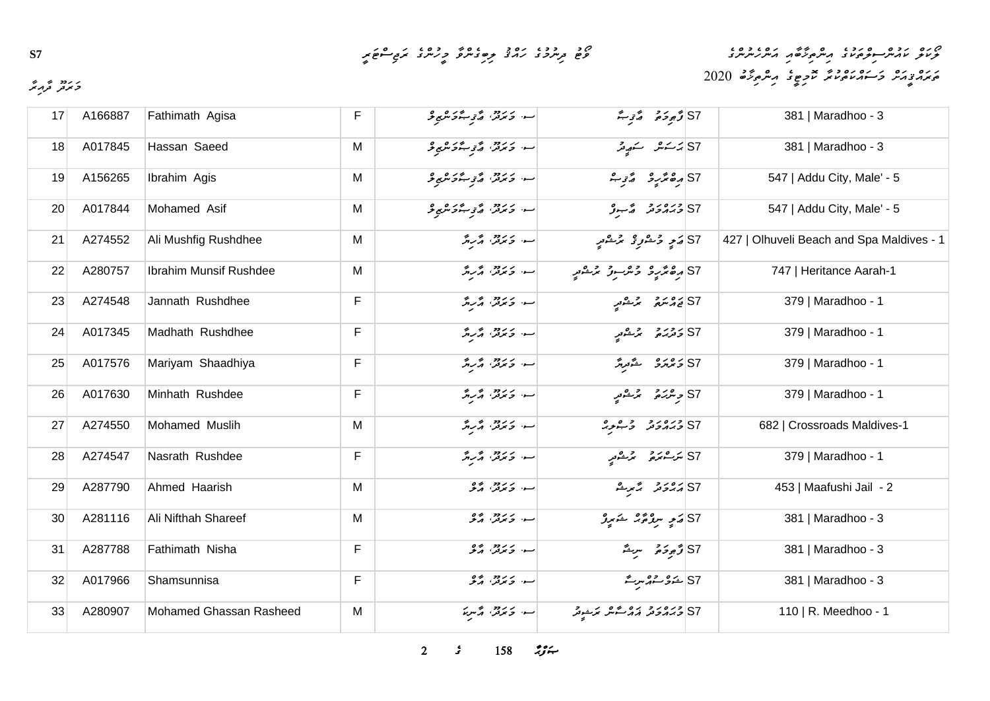*sCw7q7s5w7m< o<n9nOoAw7o< sCq;mAwBoEw7q<m; wBm;vB* م من المرة المرة المرة المرجع المرجع في المركبة 2020<br>مجم*د المريض المربوط المربع المرجع في المراجع المركبة* 

| 17 | A166887 | Fathimath Agisa               | F            | سە كەنگەن كەنزىيە كەنگە بۇ | S7 <i>وُّهِ دَهُ قُتِي جُ</i>             | 381   Maradhoo - 3                        |
|----|---------|-------------------------------|--------------|----------------------------|-------------------------------------------|-------------------------------------------|
| 18 | A017845 | Hassan Saeed                  | M            | - ئەرەم ئۇ بەئەت ئىر ئو    | S7 پرسکس کے م <i>ی</i> قر                 | 381   Maradhoo - 3                        |
| 19 | A156265 | Ibrahim Agis                  | M            | ے دیکھ مقبض محمد           | S7 م <i>ەمگىر 3 م</i> گرىگە               | 547   Addu City, Male' - 5                |
| 20 | A017844 | Mohamed Asif                  | M            | سە كەنگەن كەتى بەككەنلى بى | S7 <i>جەنەدى ھەج</i> ۇ                    | 547   Addu City, Male' - 5                |
| 21 | A274552 | Ali Mushfig Rushdhee          | M            | سا ئەتمەتقى ئەرىگە         | S7 كەي ئۇش <i>ۇ</i> ق ئرش <sup>و</sup> ير | 427   Olhuveli Beach and Spa Maldives - 1 |
| 22 | A280757 | <b>Ibrahim Munsif Rushdee</b> | M            | سە ئەتمەتقى ئەرىگە         | S7 رەڭرىرى ئ <i>ەشىرق برىشور</i>          | 747   Heritance Aarah-1                   |
| 23 | A274548 | Jannath Rushdhee              | $\mathsf F$  | سا ئەتمەتقى ئەرىد          | S7 <i>فے مگرمتھ</i> مرشور                 | 379   Maradhoo - 1                        |
| 24 | A017345 | Madhath Rushdhee              | F            | سە كەندىق ئەرىگە           | S7 <i>وَتَرْبَرُهُ بِرَ</i> ِّسُورِ       | 379   Maradhoo - 1                        |
| 25 | A017576 | Mariyam Shaadhiya             | $\mathsf F$  | ے کا ترکیز اگر مگر         | S7 كەممەر ئىسى ئىقتى <i>رەڭ</i>           | 379   Maradhoo - 1                        |
| 26 | A017630 | Minhath Rushdee               | $\mathsf F$  | سە ئەترىق ئەرىر            | S7 <i>وِ مَرْبَہُ مَرْ م</i> ُنْ مِرِ     | 379   Maradhoo - 1                        |
| 27 | A274550 | Mohamed Muslih                | M            | سە ئەترىق ئەرىگە           | S7 درەرد دېمور                            | 682   Crossroads Maldives-1               |
| 28 | A274547 | Nasrath Rushdee               | F            | سە ئەترىق ئەرىئە           | S7 ىئر شەئىر قىم سىر مىشرى <i>ر</i>       | 379   Maradhoo - 1                        |
| 29 | A287790 | Ahmed Haarish                 | M            | سە كەنگەنگە ئۇنج           | S7 كەبرى ئىم ئىگە يەن ئى                  | 453   Maafushi Jail - 2                   |
| 30 | A281116 | Ali Nifthah Shareef           | M            | سە كەندىق كەنتى            | S7 كەمچ سر <i>وڭ ئار شەم</i> رۇ           | 381   Maradhoo - 3                        |
| 31 | A287788 | Fathimath Nisha               | F            | ىسە ئەترتىش ئەقر           | S7 ۇ <sub>ج</sub> وڭ <sub>ۇ</sub> سىش     | 381   Maradhoo - 3                        |
| 32 | A017966 | Shamsunnisa                   | $\mathsf{F}$ | ىسە كەنزلىق گەمى           | S7 شۇر مەھرىرىگە                          | 381   Maradhoo - 3                        |
| 33 | A280907 | Mohamed Ghassan Rasheed       | M            | سە ئەتمەتقى ئەسرىئا        | S7 درور د پروگر ترجمه                     | 110   R. Meedhoo - 1                      |

*2 sC 158 nNw?mS*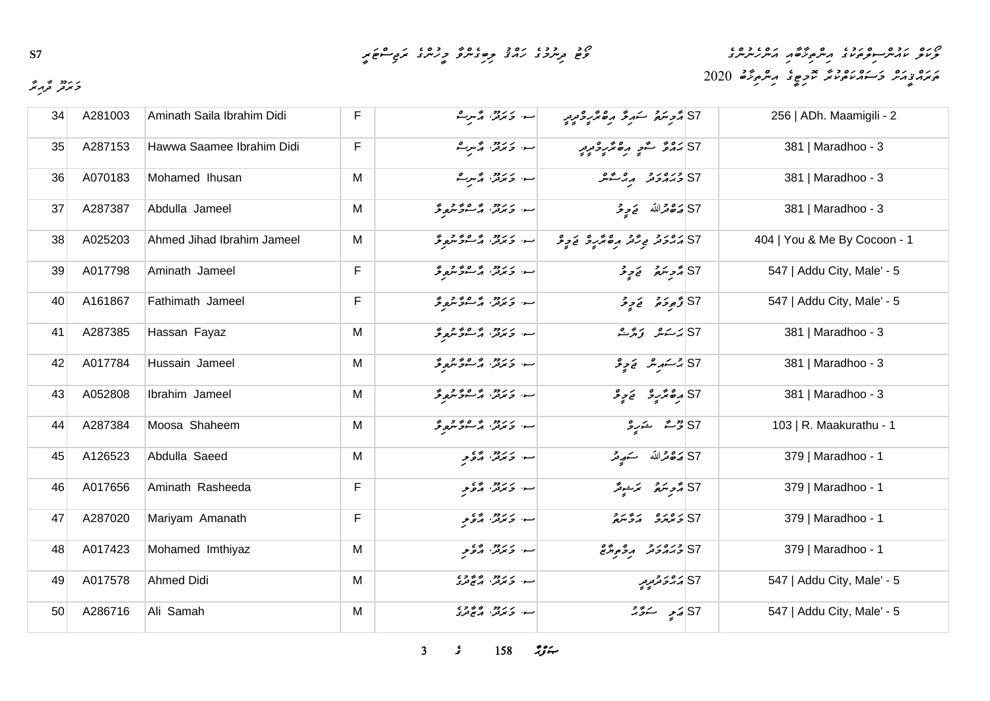*sCw7q7s5w7m< o<n9nOoAw7o< sCq;mAwBoEw7q<m; wBm;vB* م من المرة المرة المرة المرجع المرجع في المركبة 2020<br>مجم*د المريض المربوط المربع المرجع في المراجع المركبة* 

| 34 | A281003 | Aminath Saila Ibrahim Didi | F | - دىروژ، ئەبىرىشە                  | S7  <i>مُوسَمَّة سَهرَدُّ مِ</i> قْتُمْرِوْمِرِمِرِ | 256   ADh. Maamigili - 2     |
|----|---------|----------------------------|---|------------------------------------|-----------------------------------------------------|------------------------------|
| 35 | A287153 | Hawwa Saamee Ibrahim Didi  | F |                                    | S7 <i>بَهُمْ ـُوَ وهُ بُرُو</i> ْسِ                 | 381   Maradhoo - 3           |
| 36 | A070183 | Mohamed Ihusan             | M |                                    | S7 دېم ده د مرگ مر                                  | 381   Maradhoo - 3           |
| 37 | A287387 | Abdulla Jameel             | M | - ئەيزىق ئەسەئەتمەتى               | S7 رَصْحْرَاللّه   يَحْ حِ حْرَ                     | 381   Maradhoo - 3           |
| 38 | A025203 | Ahmed Jihad Ibrahim Jameel | M |                                    | S7 مەددى يەر مەھرىرى ئەدى - سەرىرە مىدە موقى        | 404   You & Me By Cocoon - 1 |
| 39 | A017798 | Aminath Jameel             | F | سە كەندىق كەستۇشمۇمۇ               | S7 مُ <i>جِسَعَةَ</i> تَحَرِّدُ                     | 547   Addu City, Male' - 5   |
| 40 | A161867 | Fathimath Jameel           | F | ے کاروز کا سائر شہر گر             | S7 زَّجِرْدَةُ ۚ يَا حِيْثَ                         | 547   Addu City, Male' - 5   |
| 41 | A287385 | Hassan Fayaz               | M | - ئەيرىق ئەسەئەتمىرىگە             | S7 پرسترش توټر شه                                   | 381   Maradhoo - 3           |
| 42 | A017784 | Hussain Jameel             | M | - ئەيروم ئەھەم ئىر                 | S7 پرڪير شي تو پو                                   | 381   Maradhoo - 3           |
| 43 | A052808 | Ibrahim Jameel             | M |                                    | S7 <sub>م</sub> ەنزىر قىم يىلى                      | 381   Maradhoo - 3           |
| 44 | A287384 | Moosa Shaheem              | M | ے کاروز کا مرکز مرکز کر            | S7 چې شورو                                          | 103   R. Maakurathu - 1      |
| 45 | A126523 | Abdulla Saeed              | M | سە ئەندىق ئەنى ئو                  | S7 مَەھْمَراللە سَىمِيْتْر                          | 379   Maradhoo - 1           |
| 46 | A017656 | Aminath Rasheeda           | F | سە ئەترىق ئەقرىم                   | S7 مُرْحِ مَرَمْ مَرْسُومُرَّ                       | 379   Maradhoo - 1           |
| 47 | A287020 | Mariyam Amanath            | F | ے دیکھی گھڑ                        | $5.25$ $2.25$ $87$                                  | 379   Maradhoo - 1           |
| 48 | A017423 | Mohamed Imthiyaz           | M | سە ئەندىق مەھرىپ                   | ST <i>בגרבית</i> הכ <sub>מ</sub> ת                  | 379   Maradhoo - 1           |
| 49 | A017578 | <b>Ahmed Didi</b>          | M | ر بر در دور<br>سه و برتر، ارتج تری | S7 كەرگە ئۇمرىر                                     | 547   Addu City, Male' - 5   |
| 50 | A286716 | Ali Samah                  | M | ر ر دو.<br>سه کارترن ارتجابزی      | S7 <i>۾ موج</i> د                                   | 547   Addu City, Male' - 5   |

*3 <i><i>s s* **158** *<i>f <i>s i*</del>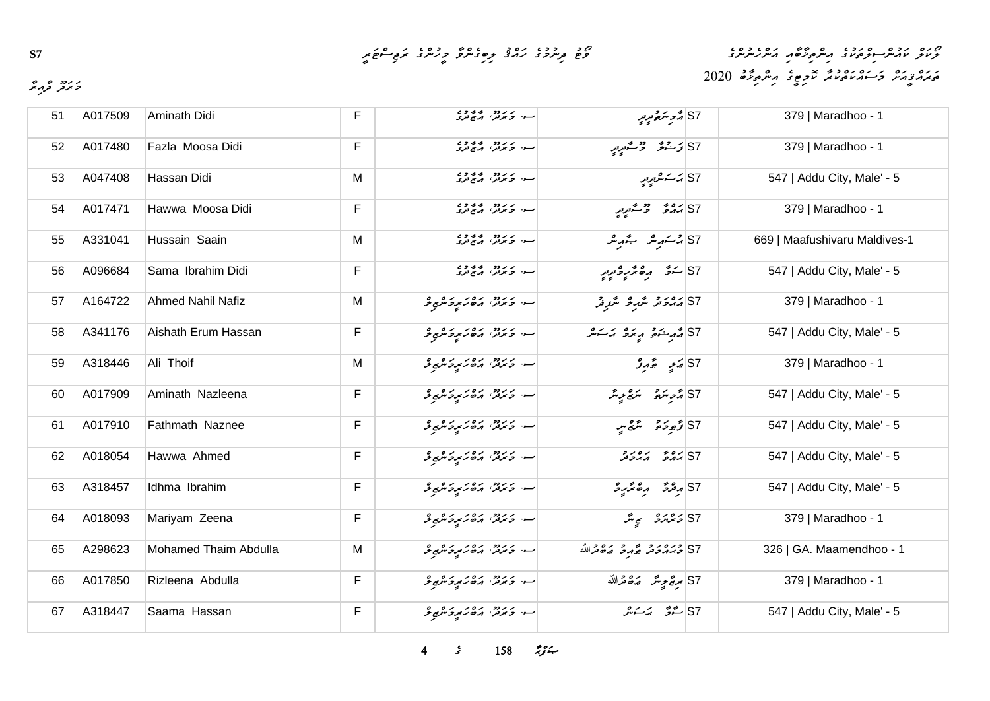*sCw7q7s5w7m< o<n9nOoAw7o< sCq;mAwBoEw7q<m; wBm;vB* م من المرة المرة المرة المرجع المرجع في المركبة 2020<br>مجم*د المريض المربوط المربع المرجع في المراجع المركبة* 

| 51 | A017509 | Aminath Didi                 | F           | ر ر دو.<br>سه کریمرفر از مجموعه            | S7 مُ <i>تر سَمُوْ توبِيدِ</i>                 | 379   Maradhoo - 1            |
|----|---------|------------------------------|-------------|--------------------------------------------|------------------------------------------------|-------------------------------|
| 52 | A017480 | Fazla Moosa Didi             | F           | ر ر دو.<br>سه گرمزش از مجموری              | S7 كَرْ شْتْرٌ     وْ ْ سُّمْوِمِرِ            | 379   Maradhoo - 1            |
| 53 | A047408 | Hassan Didi                  | M           | ر ر دو.<br>سه کامرفر، ارتجافزی             | S7  كەسكەتلەي <sub>ر</sub> ىيە                 | 547   Addu City, Male' - 5    |
| 54 | A017471 | Hawwa Moosa Didi             | F           | ر بر در دور<br>سه و برتر، ارتع تری         | S7  پروی وج محرمی                              | 379   Maradhoo - 1            |
| 55 | A331041 | Hussain Saain                | M           | ر بر در دور<br>سه و برتر، اړی ترو          | S7 ير ش <sub>م</sub> ر شر ست <sub>م</sub> ر شر | 669   Maafushivaru Maldives-1 |
| 56 | A096684 | Sama Ibrahim Didi            | F           | ر ر دو.<br>سه کارگرفر، از جافری            | S7 سَرَدٌ مِرْهُ مَرْرِدْ مِرْمِرِ             | 547   Addu City, Male' - 5    |
| 57 | A164722 | <b>Ahmed Nahil Nafiz</b>     | M           | ب كەندە بەھە <i>رىر كەنلى</i> گە           | S7 <i>مَدْدُوَمْ مَّرْبِ</i> مََّتَّبِ مِنْ مَ | 379   Maradhoo - 1            |
| 58 | A341176 | Aishath Erum Hassan          | $\mathsf F$ | سە كەللەر ئەھەلىر كەھلى ئ                  | S7 مُمبِّئة مِعَرَّ بَرَ سَمَّرَ               | 547   Addu City, Male' - 5    |
| 59 | A318446 | Ali Thoif                    | M           | ے کریں مصر پرکر مربع کی                    | S7 <i>ھُوتِ چُوت</i>                           | 379   Maradhoo - 1            |
| 60 | A017909 | Aminath Nazleena             | $\mathsf F$ | ے وَيَرَمَّزُ الْمُصَرِّيْرِ وَسَمْعِ فَرْ | S7 أُمُّ مِسَمَّدٍ سَمَّع مِسَّر               | 547   Addu City, Male' - 5    |
| 61 | A017910 | Fathmath Naznee              | F           | ے ویرس رہ ریگری مگرم کی                    | S7 ز <sub>ن</sub> جوځو شمه س                   | 547   Addu City, Male' - 5    |
| 62 | A018054 | Hawwa Ahmed                  | F           | سە كەللەر ئەھەلىر كەھرىم ئى                | S7 ئەيرۇ مەردىر                                | 547   Addu City, Male' - 5    |
| 63 | A318457 | Idhma Ibrahim                | F           | ے کریں مصر پرکر مربع کی                    | S7 موقرق م <i>ەھترى</i> ۋ                      | 547   Addu City, Male' - 5    |
| 64 | A018093 | Mariyam Zeena                | F           | - دَبَرَهُ ، رَهْرَ بِرِدَ سَرِ وَ         | S7 ئ <i>ۈپردۇ پې</i> تر                        | 379   Maradhoo - 1            |
| 65 | A298623 | <b>Mohamed Thaim Abdulla</b> | M           | ے وَيَرَمَّزُ الْمُصَرِّيْرِ وَسَمْعِ فَرْ | S7 ديره د و محمد محمدالله                      | 326   GA. Maamendhoo - 1      |
| 66 | A017850 | Rizleena Abdulla             | F           | ے وَيَرَمَّزُ الْمُصَرِّيْرِ وَسَمْعِ فَرْ | S7 <i>مرچم چِنگ مَنْ هُ</i> تَداللّه           | 379   Maradhoo - 1            |
| 67 | A318447 | Saama Hassan                 | F           | ے کا بروی مصر برکائیں گی                   | S7 گەنۇ كەسكەنلەر                              | 547   Addu City, Male' - 5    |

*4 s* 158 *i*<sub>s</sub>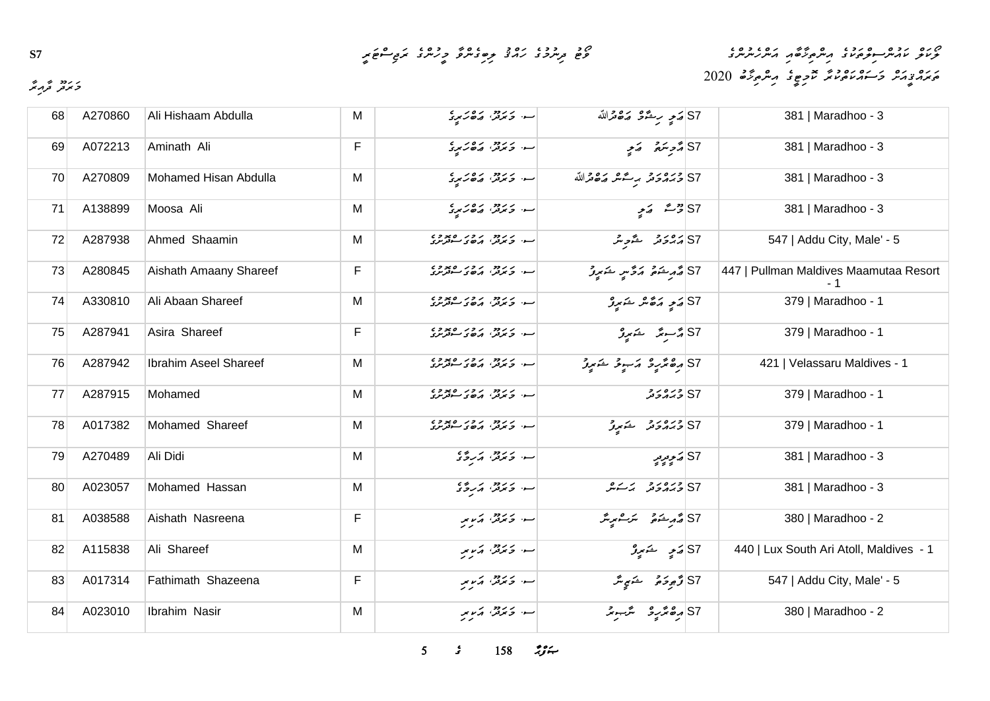*sCw7q7s5w7m< o<n9nOoAw7o< sCq;mAwBoEw7q<m; wBm;vB* م من المرة المرة المرة المرجع المرجع في المركبة 2020<br>مجم*د المريض المربوط المربع المرجع في المراجع المركبة* 

| 68 | A270860 | Ali Hishaam Abdulla    | M           | سه و بردد ره رسمی                                  | S7 <i>مَنْجِ رِحْدَّةَ مَ</i> صْمَرْاللَّهُ  | 381   Maradhoo - 3                      |
|----|---------|------------------------|-------------|----------------------------------------------------|----------------------------------------------|-----------------------------------------|
| 69 | A072213 | Aminath Ali            | F           | ر درود ده در د                                     | S7 مُجِسَع <sub>ة ص</sub> َعِ                | 381   Maradhoo - 3                      |
| 70 | A270809 | Mohamed Hisan Abdulla  | M           | ر درود ده در د                                     | S7 <i>وبروبر برسگی می مو</i> ترالله          | 381   Maradhoo - 3                      |
| 71 | A138899 | Moosa Ali              | M           | سه وبرده ره در                                     | S7 چينځ پرېنو                                | 381   Maradhoo - 3                      |
| 72 | A287938 | Ahmed Shaamin          | M           |                                                    | S7 كەبروتر ش <i>ۇم</i> ر                     | 547   Addu City, Male' - 5              |
| 73 | A280845 | Aishath Amaany Shareef | $\mathsf F$ | ر در دور در در در در<br>سه تر پرتر، برخانی ستوربری | S7 مٌم شَمَعٌ   مَرَّسٍ سَمَعِرُ             | 447   Pullman Maldives Maamutaa Resort  |
| 74 | A330810 | Ali Abaan Shareef      | M           | ر درود دره دوره ده.<br>سه وبوتر، ده د سهترس        | S7 كەم كەڭگر شە <i>مب</i> ۇ                  | 379   Maradhoo - 1                      |
| 75 | A287941 | Asira Shareef          | $\mathsf F$ | ر در دو دره دوره دور<br>سه وبوتر، ده د سه تورد     | S7 پُرْسِعَہٌ شَمَعِيوْ                      | 379   Maradhoo - 1                      |
| 76 | A287942 | Ibrahim Aseel Shareef  | M           | ر در دو در ۲۵ دوره<br>سه و نوتو، مرده د سهرس       | S7 مەھەر ئەكەب ئەھمىر ئىسىمبىر ئى            | 421   Velassaru Maldives - 1            |
| 77 | A287915 | Mohamed                | M           | ر در دور در در در در<br>سه تر پرتر، برخانی سترس    | S7 دېم د تر                                  | 379   Maradhoo - 1                      |
| 78 | A017382 | Mohamed Shareef        | M           |                                                    | S7 <i>ۇرۇۋۇ خىرۇ</i>                         | 379   Maradhoo - 1                      |
| 79 | A270489 | Ali Didi               | M           | سە ئەترىق كەرلىقى                                  | S7 ک <sup>ے</sup> مومومو                     | 381   Maradhoo - 3                      |
| 80 | A023057 | Mohamed Hassan         | M           | سە ئەترىق، ئەرقەتى                                 | S7 <i>ۋېزو دې برخپ</i> ر                     | 381   Maradhoo - 3                      |
| 81 | A038588 | Aishath Nasreena       | F           | سا الانجونش، وكرامبر                               | S7 م <i>ۇم شۇمۇ</i> سىرسى <i>گىرىنى</i> گە   | 380   Maradhoo - 2                      |
| 82 | A115838 | Ali Shareef            | M           | سە كەنگەنى كەنبەس                                  | S7 <i>۾َ جِ</i> شَمِرُوُ                     | 440   Lux South Ari Atoll, Maldives - 1 |
| 83 | A017314 | Fathimath Shazeena     | $\mathsf F$ | سە كەنگەنى كەرىپ                                   | S7 <i>وَّجوحَ</i> هُمَ سَمَ <i>مٍ مَ</i> ّرَ | 547   Addu City, Male' - 5              |
| 84 | A023010 | Ibrahim Nasir          | M           | سە كەنگەن كەنبايل                                  | S7 م <i>ەھتىب</i> ۇ شىب <i>رى</i> ر          | 380   Maradhoo - 2                      |

 $5$   $5$   $158$   $25$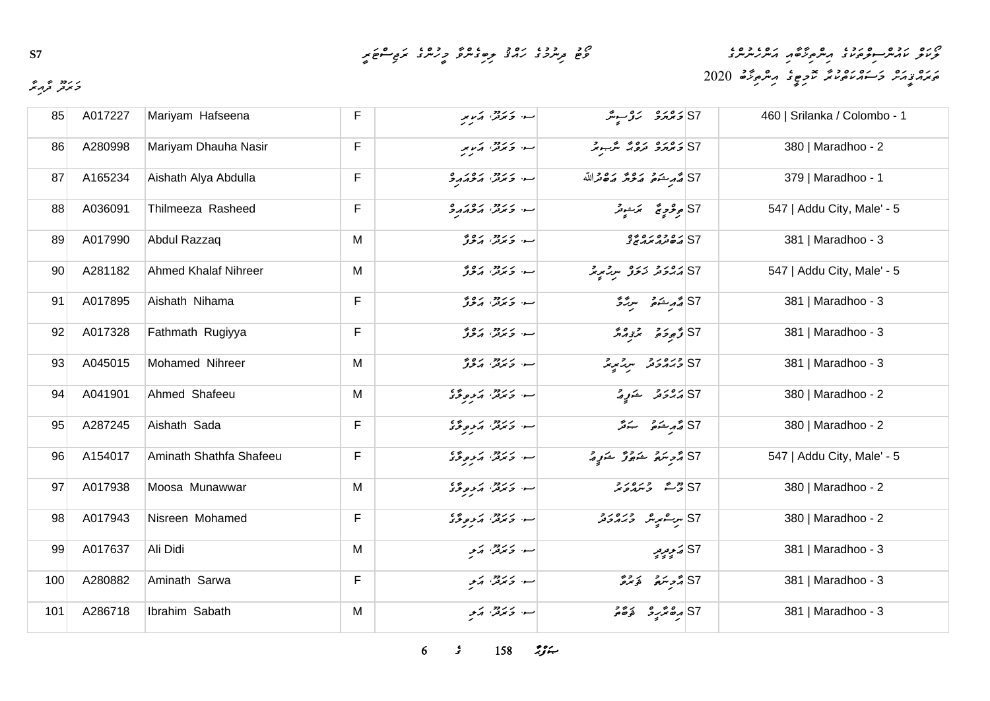*sCw7q7s5w7m< o<n9nOoAw7o< sCq;mAwBoEw7q<m; wBm;vB* م من المرة المرة المرة المرجع المرجع في المركبة 2020<br>مجم*د المريض المربوط المربع المرجع في المراجع المركبة* 

| 85  | A017227 | Mariyam Hafseena            | F           | ے کے ترقش کررہر      | S7 كەنگەر <i>ۇ ئۇس</i> ېتر                                                                              | 460   Srilanka / Colombo - 1 |
|-----|---------|-----------------------------|-------------|----------------------|---------------------------------------------------------------------------------------------------------|------------------------------|
| 86  | A280998 | Mariyam Dhauha Nasir        | F           | سە ئەترىق ئەرىپ      | S7 <i>وَجُهْدَوْ مَرَوْبُ</i> سُرْجِعْرُ                                                                | 380   Maradhoo - 2           |
| 87  | A165234 | Aishath Alya Abdulla        | $\mathsf F$ | S                    | S7 <i>مُّ مِ</i> شَمَّع <i>مَرْحَمَّ مَ</i> صَمَّرْاللَّه                                               | 379   Maradhoo - 1           |
| 88  | A036091 | Thilmeeza Rasheed           | F           | 3.13.7.7.7           | S7 موڤرمٍ تَمَّ سَمَسُومَرُ                                                                             | 547   Addu City, Male' - 5   |
| 89  | A017990 | Abdul Razzaq                | M           | سە كەندىق برەپچ      | S7 בפכת ממיק                                                                                            | 381   Maradhoo - 3           |
| 90  | A281182 | <b>Ahmed Khalaf Nihreer</b> | M           | سە كەندىق ئەم ئۇنى   | S7 كەندى تەڭ ئىرگە بىر <i>مەيدى</i> گە                                                                  | 547   Addu City, Male' - 5   |
| 91  | A017895 | Aishath Nihama              | F           | سە كەندىق برەپچ      | S7 مەم شىم مىر <i>گ</i> ۇ                                                                               | 381   Maradhoo - 3           |
| 92  | A017328 | Fathmath Rugiyya            | F           | سا ئەتكەن ئەفرۇ      | S7 زَّەپِرَة مُتَّبِدَة مُّ                                                                             | 381   Maradhoo - 3           |
| 93  | A045015 | Mohamed Nihreer             | M           | سا ئەتكەن كەفرۇ      | S7 دُيرور د سرچينگ                                                                                      | 381   Maradhoo - 3           |
| 94  | A041901 | Ahmed Shafeeu               | M           | سە ئەيرى كەندە ئەتى  | S7 <i>252.5 مىنوم</i>                                                                                   | 380   Maradhoo - 2           |
| 95  | A287245 | Aishath Sada                | $\mathsf F$ | سە ئەترىق، ئەبوبۇتى  | S7 مەم ئىقتىم سىكىتىگە                                                                                  | 380   Maradhoo - 2           |
| 96  | A154017 | Aminath Shathfa Shafeeu     | $\mathsf F$ | - دىروز، ئەرەپۇر     | S7 مُرْسِرَةٌ سُوَوِرٌ سُورٍ مُنْ اللهِ عَلَيْ                                                          | 547   Addu City, Male' - 5   |
| 97  | A017938 | Moosa Munawwar              | M           | سە ئەترىق، ئەبوبۇتى  | S7 ژئے تر مرد دیگر                                                                                      | 380   Maradhoo - 2           |
| 98  | A017943 | Nisreen Mohamed             | $\mathsf F$ | سە ئەترىق، ئەبوھەتمى | S7 سرے پر شہر دیے اور محمد اللہ جاتی ہے۔<br>استعمال اللہ علم اللہ محمد اللہ محمد اللہ محمد اللہ محمد ال | 380   Maradhoo - 2           |
| 99  | A017637 | Ali Didi                    | M           | سە ئەترىق ئەير       | S7 ک <sup>ے</sup> مومومیہ                                                                               | 381   Maradhoo - 3           |
| 100 | A280882 | Aminath Sarwa               | $\mathsf F$ | ے ترکیزی کرم         | S7 مُجِسَعَةٍ مُجمَّعَةٍ                                                                                | 381   Maradhoo - 3           |
| 101 | A286718 | Ibrahim Sabath              | M           | ے ترتری ترم          | S7 م <i>ەھتىب</i> ۇ مۇ <i>ھ</i> ۇ                                                                       | 381   Maradhoo - 3           |

 $6$   $\frac{1}{2}$   $158$   $\frac{1}{2}$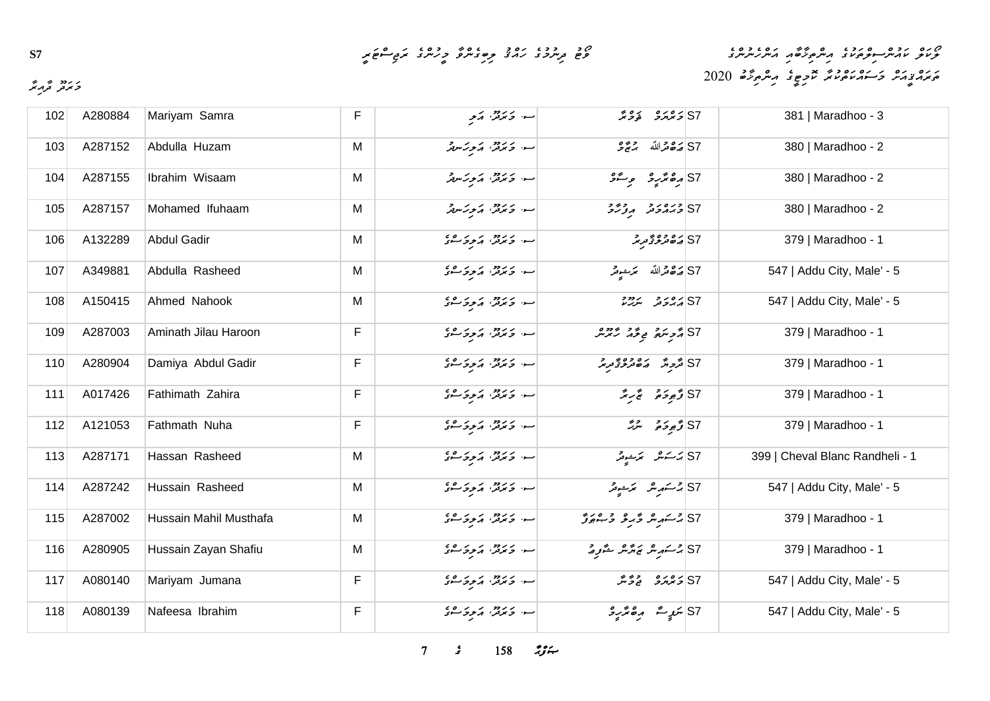*sCw7q7s5w7m< o<n9nOoAw7o< sCq;mAwBoEw7q<m; wBm;vB* م من المرة المرة المرة المرجع المرجع في المركبة 2020<br>مجم*د المريض المربوط المربع المرجع في المراجع المركبة* 

| 102 | A280884 | Mariyam Samra          | $\mathsf F$  | سه وتردد رو            | S7 كەممىر ئەھمەتكە ئىچە ئىگە                    | 381   Maradhoo - 3              |
|-----|---------|------------------------|--------------|------------------------|-------------------------------------------------|---------------------------------|
| 103 | A287152 | Abdulla Huzam          | M            | ے کا بردو کے برکر سرفر | S7 مَرْهُ قُرْاللَّهُ بِمَتَّجْ ثَرَ            | 380   Maradhoo - 2              |
| 104 | A287155 | Ibrahim Wisaam         | M            | ے کا بردو کے برکر سرفر | S7 مەھ <i>مگرى</i> ھەستى                        | 380   Maradhoo - 2              |
| 105 | A287157 | Mohamed Ifuhaam        | M            | ے ویری کے مرکب         | S7 <i>جي ۾ جو جو ج</i> و ج                      | 380   Maradhoo - 2              |
| 106 | A132289 | <b>Abdul Gadir</b>     | M            | سه کردو کروکرده د      | S7 كەھ ترىۋ تىرىتر                              | 379   Maradhoo - 1              |
| 107 | A349881 | Abdulla Rasheed        | M            | سه کردو کروکرده        | S7 كەھەتراللە كىرىشوتىر                         | 547   Addu City, Male' - 5      |
| 108 | A150415 | Ahmed Nahook           | M            | ے ویرس پروت            | S7 كەبروتر بىردىن                               | 547   Addu City, Male' - 5      |
| 109 | A287003 | Aminath Jilau Haroon   | $\mathsf F$  | سه کردو کروکرده د      | S7 أُمُّ حِسَمَةٌ ۖ مِعُ مُمَّ سُمْسٌ           | 379   Maradhoo - 1              |
| 110 | A280904 | Damiya Abdul Gadir     | $\mathsf{F}$ | سه درود در ده د        | S7 تَرْحِ مَنْ صَفَّرْحَةً مِرْحَمْ             | 379   Maradhoo - 1              |
| 111 | A017426 | Fathimath Zahira       | $\mathsf{F}$ | سه کردود کروکرده د     | S7 زَّجِرْ دَمْ سَيَّ سِتَّر                    | 379   Maradhoo - 1              |
| 112 | A121053 | Fathmath Nuha          | $\mathsf{F}$ | سه کریږده کروی شوی     | S7 <i>وَّجِودَةْ</i> مَرْتُهُ                   | 379   Maradhoo - 1              |
| 113 | A287171 | Hassan Rasheed         | M            | سه کردو کروکرده د      | S7 كەسكەنلەر كەش <sub>ت</sub> ون <i>گ</i> ە     | 399   Cheval Blanc Randheli - 1 |
| 114 | A287242 | Hussain Rasheed        | M            | ب كريزده كم توكر ٢٥    | S7 پرڪيريش ڪرشونگر                              | 547   Addu City, Male' - 5      |
| 115 | A287002 | Hussain Mahil Musthafa | M            | ساز ويور ده در ده د    | S7 يُرْسَمُ بِي مِنْ مُحْمَدِ فَرَسِمْ بِي مِنْ | 379   Maradhoo - 1              |
| 116 | A280905 | Hussain Zayan Shafiu   | M            | ب كريزده مكون ده مي    | S7 بُرْسَمَ بِهِ سَمَّرْ مِنْ مُتَّارِ بِرَ     | 379   Maradhoo - 1              |
| 117 | A080140 | Mariyam Jumana         | F            | ے ویرس پروت            | S7 كەبەر قۇيۇ                                   | 547   Addu City, Male' - 5      |
| 118 | A080139 | Nafeesa Ibrahim        | F            | سه کریږده کربوکر ده په | S7 سَمِيتَ مِنْ صَحَّرِ فِي                     | 547   Addu City, Male' - 5      |

*7 sC 158 nNw?mS*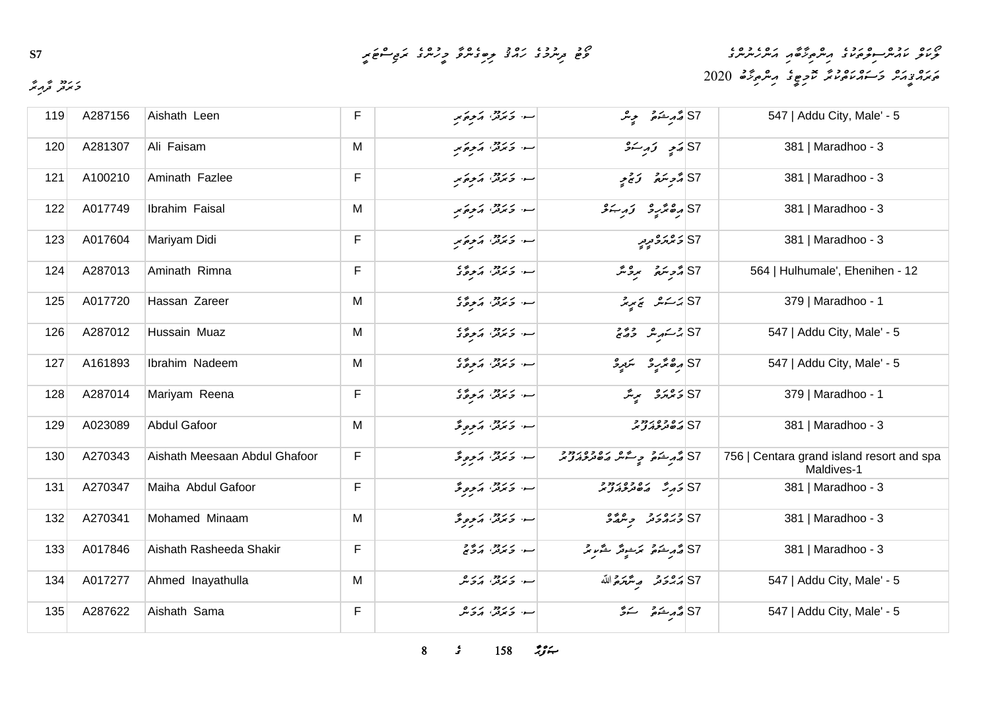*sCw7q7s5w7m< o<n9nOoAw7o< sCq;mAwBoEw7q<m; wBm;vB 2020*<br>*په پوهر وسوډيرونو لومو د موجو د مرمونه* 2020

| 119 | A287156 | Aishath Leen                  | $\mathsf F$ | ب وَيَرَوْنُ أَرَوْهِ مِرْ | S7 مُەمشەم م <sub>و</sub> ش            | 547   Addu City, Male' - 5                              |
|-----|---------|-------------------------------|-------------|----------------------------|----------------------------------------|---------------------------------------------------------|
| 120 | A281307 | Ali Faisam                    | M           | ب كەنگەنى كەنزەكىر         | S7 <i>ڇَجِ وَم</i> ِ شَوَ              | 381   Maradhoo - 3                                      |
| 121 | A100210 | Aminath Fazlee                | F           | ب كەنگەنى مەجەكىم ب        | S7 مُجِسَعَةٍ وَتَجْعِ                 | 381   Maradhoo - 3                                      |
| 122 | A017749 | Ibrahim Faisal                | M           | سە ئەترىقى ئەمرىھىر        | S7 مەھەر بىرى ئەم ئىكى                 | 381   Maradhoo - 3                                      |
| 123 | A017604 | Mariyam Didi                  | $\mathsf F$ | سه وترین روه پر            | S7 كەبھە <i>ر 19 م</i> رىر             | 381   Maradhoo - 3                                      |
| 124 | A287013 | Aminath Rimna                 | $\mathsf F$ | ے کا بردہ کروگائی          | S7 أَمُّ حِبَّمَةٌ مَعَ حَمَّةٌ        | 564   Hulhumale', Ehenihen - 12                         |
| 125 | A017720 | Hassan Zareer                 | M           | سە ئەيرىق كەنزەق           | S7   يَرْسَدُ عَنْ سِرْسُرْ            | 379   Maradhoo - 1                                      |
| 126 | A287012 | Hussain Muaz                  | M           | سە ئەيرىق كەنزەلى          | S7 بر <i>شهر شهر حم</i> قیم م          | 547   Addu City, Male' - 5                              |
| 127 | A161893 | Ibrahim Nadeem                | M           |                            | S7 م <i>ەھترى</i> ئىرىمى ئىر           | 547   Addu City, Male' - 5                              |
| 128 | A287014 | Mariyam Reena                 | F           | سە ئەيرىق كەنزەلى          | S7 ئ <i>ۇيدۇ بې</i> تگ                 | 379   Maradhoo - 1                                      |
| 129 | A023089 | <b>Abdul Gafoor</b>           | M           | ے کا پڑھی کا موج گی        | S7 ئەھىرومۇمۇم                         | 381   Maradhoo - 3                                      |
| 130 | A270343 | Aishath Meesaan Abdul Ghafoor | F           | سە ئەندىق ئەبرە ئۇ         | S7 مەم شەھ بېرىشكە مەھ <i>مەھەر دە</i> | 756   Centara grand island resort and spa<br>Maldives-1 |
| 131 | A270347 | Maiha Abdul Gafoor            | $\mathsf F$ | ے زیروژ، روبورڈ            | S7 <i>خېرگە خەھىر دە دە</i>            | 381   Maradhoo - 3                                      |
| 132 | A270341 | Mohamed Minaam                | M           | ے زیروش کروہ گھ            | S7 3222 ومقدم                          | 381   Maradhoo - 3                                      |
| 133 | A017846 | Aishath Rasheeda Shakir       | F           | سە كەندىق ئەلجى            | S7 مُەم شەھ كرىشونگر مىگەرنمى          | 381   Maradhoo - 3                                      |
| 134 | A017277 | Ahmed Inayathulla             | M           | سە ئەيرىق ئەئەنگە          | S7 <i>مَدْحَة مِسْمَعْهُ</i> اللّه     | 547   Addu City, Male' - 5                              |
| 135 | A287622 | Aishath Sama                  | F           | سە كەيرى كەكەش             | $5 - 22.5$ ST                          | 547   Addu City, Male' - 5                              |

**8** *s* **158** *n***<sub>y</sub> <b>***n*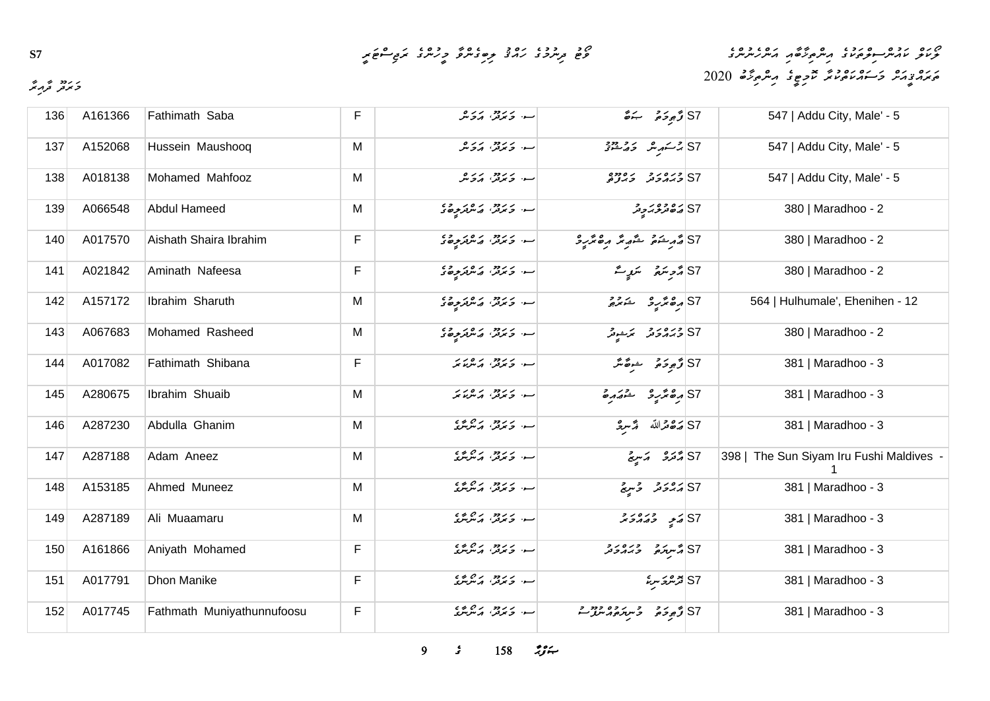*sCw7q7s5w7m< o<n9nOoAw7o< sCq;mAwBoEw7q<m; wBm;vB 2020*<br>*په پوهر وسوډيرونو لومو د موجو د مرمونه* 2020

| 136 | A161366 | Fathimath Saba             | F            | سە ئەيرىق، ئەڭ ش                            | S7 ۇ <sub>جو</sub> رَى جۇ                   | 547   Addu City, Male' - 5               |
|-----|---------|----------------------------|--------------|---------------------------------------------|---------------------------------------------|------------------------------------------|
| 137 | A152068 | Hussein Maushooq           | M            | سە ئەيرىق ئەئەش                             | S7 پر <i>شهر می تو</i> روپو                 | 547   Addu City, Male' - 5               |
| 138 | A018138 | Mohamed Mahfooz            | M            | سە كەيرىق ئەكەش                             | S7 دېره د ده ده ده                          | 547   Addu City, Male' - 5               |
| 139 | A066548 | <b>Abdul Hameed</b>        | M            | ے کروڑ کے مرکز وہ                           | S7 كەھەترى <i>ۋىز چ</i> وتر                 | 380   Maradhoo - 2                       |
| 140 | A017570 | Aishath Shaira Ibrahim     | $\mathsf{F}$ | ے کردو کہ عرفر وی                           | S7 مُرمِشَمَ شَرمَدُ رَصْرُرِدْ             | 380   Maradhoo - 2                       |
| 141 | A021842 | Aminath Nafeesa            | $\mathsf F$  | ے کا بروز کا مرکز کردہ                      | S7 مُ <i>جِي مَنْ جَمَّدٍ سُمَّةٍ سُ</i>    | 380   Maradhoo - 2                       |
| 142 | A157172 | Ibrahim Sharuth            | M            | ے کردو کہ عرفر وی                           | S7 مەھەر بەر ئىسىمبى                        | 564   Hulhumale', Ehenihen - 12          |
| 143 | A067683 | Mohamed Rasheed            | M            | ر در دو د ه د د د د د                       | S7 <i>وُبُرُودُو تَرَجُوبُرُ</i>            | 380   Maradhoo - 2                       |
| 144 | A017082 | Fathimath Shibana          | F            | سه کردود کره در                             | S7 ز <i>نجوخ</i> تمر ش <sub>و</sub> ڭتر     | 381   Maradhoo - 3                       |
| 145 | A280675 | Ibrahim Shuaib             | M            | سه کریږدي کره دیر                           | S7 مەھەر ئەھەم ق                            | 381   Maradhoo - 3                       |
| 146 | A287230 | Abdulla Ghanim             | M            | سە ئەيروم بەر ئەرە                          | S7 كەھەراللە ئ <i>ۇ</i> سرى                 | 381   Maradhoo - 3                       |
| 147 | A287188 | Adam Aneez                 | M            | سه وروم ره وه                               | S7 مُرْتَدَدْ مَسِينَ <sub>ا</sub>          | 398   The Sun Siyam Iru Fushi Maldives - |
| 148 | A153185 | Ahmed Muneez               | M            | سه وبردو ره وه                              | S7 كەندۇقر ق <sup>ە</sup> س <sub>ى</sub> نى | 381   Maradhoo - 3                       |
| 149 | A287189 | Ali Muaamaru               | M            | ب ریزده برای دی                             | $5.2012$ $\approx$ ST                       | 381   Maradhoo - 3                       |
| 150 | A161866 | Aniyath Mohamed            | F            | ر درود ره ور                                | S7 مُسِرَمٌ وَيَدْوَمُرُ                    | 381   Maradhoo - 3                       |
| 151 | A017791 | <b>Dhon Manike</b>         | F            | سه کريږي. پرچه پرچ                          | S7 قرشرىگە ئىرىگە                           | 381   Maradhoo - 3                       |
| 152 | A017745 | Fathmath Muniyathunnufoosu | F            | ر بر دود. بر ۵ و ۷<br>سه الاربود، بر مرموری | ST נוספת כיתתפתית בי                        | 381   Maradhoo - 3                       |

*9 s* 158 *fg*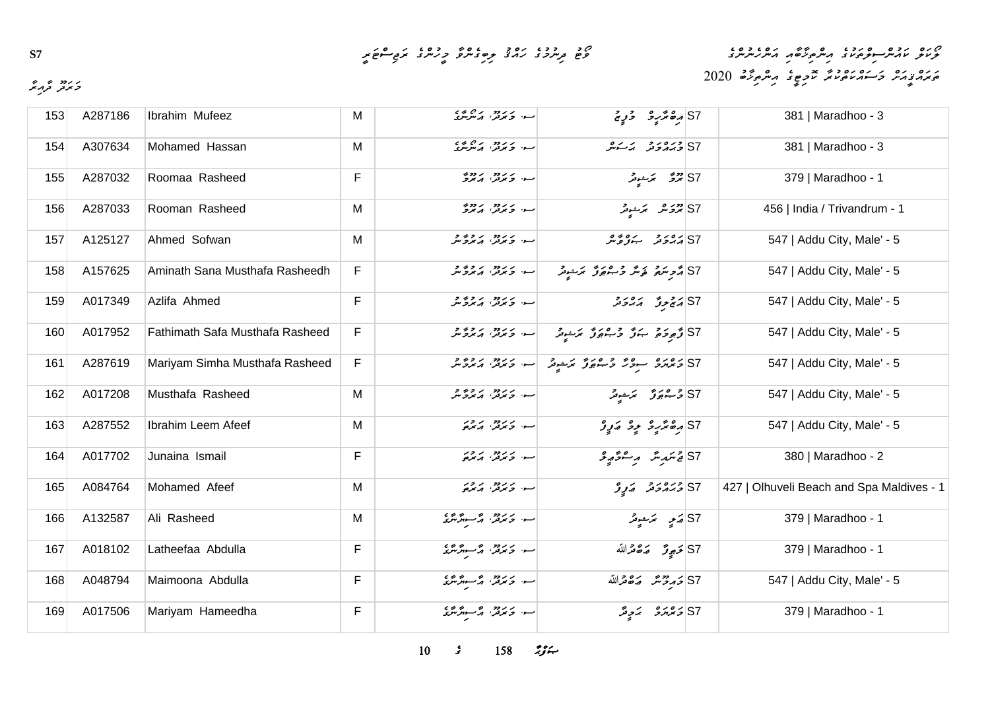*sCw7q7s5w7m< o<n9nOoAw7o< sCq;mAwBoEw7q<m; wBm;vB* م من المرة المرة المرة المرجع المرجع في المركبة 2020<br>مجم*د المريض المربوط المربع المرجع في المراجع المركبة* 

| 153 | A287186 | Ibrahim Mufeez                  | M           | سه و رود د ۵ و ۷                       | S7 م <i>ەھتىب</i> ۇ ئ <i>وپت</i> ى                                                               | 381   Maradhoo - 3                        |
|-----|---------|---------------------------------|-------------|----------------------------------------|--------------------------------------------------------------------------------------------------|-------------------------------------------|
| 154 | A307634 | Mohamed Hassan                  | M           | ے دروہ رہے۔                            | S7 دېم ديز کرکنگر                                                                                | 381   Maradhoo - 3                        |
| 155 | A287032 | Roomaa Rasheed                  | F           | ے کروڑ پروڑ                            | S7 ترمَّ تَرْشُونْرُ                                                                             | 379   Maradhoo - 1                        |
| 156 | A287033 | Rooman Rasheed                  | M           | ے کروڑ روزہ                            | S7 ترى <i>مىڭ بىرىغونت</i> ر                                                                     | 456   India / Trivandrum - 1              |
| 157 | A125127 | Ahmed Sofwan                    | M           | ے کا بروہ بروہ پر                      | S7 كەبرو بەر ئەرەپ ئەر                                                                           | 547   Addu City, Male' - 5                |
| 158 | A157625 | Aminath Sana Musthafa Rasheedh  | F           |                                        | S7 <i>مُجِسَعَةً</i> مُسَّ وَجَمْعَ مَشْرِ مُنْ الله الله مَعْ مَنْ مَعْرَفَ مَنْ الله           | 547   Addu City, Male' - 5                |
| 159 | A017349 | Azlifa Ahmed                    | $\mathsf F$ |                                        | S7 كەنج بورى ئەردىمىتى ئى                                                                        | 547   Addu City, Male' - 5                |
| 160 | A017952 | Fathimath Safa Musthafa Rasheed | F           |                                        | $S^2$ كَرُمُومَ مِنْ دَمَنْ مِنْ مِنْ مِنْ مِنْ مِنْ مَرْمَنْ مَعْرَفْ مِنْ مَنْ مِنْ مِنْ $S^7$ | 547   Addu City, Male' - 5                |
| 161 | A287619 | Mariyam Simha Musthafa Rasheed  | F           |                                        | S7 ومرمره سوگر و مربع برشور است و مرمره بروه د                                                   | 547   Addu City, Male' - 5                |
| 162 | A017208 | Musthafa Rasheed                | M           | سه کرېږدو پر وغړو                      | S7 ۇبەھ بۇ ئىم ئىسى <i>دۇ</i>                                                                    | 547   Addu City, Male' - 5                |
| 163 | A287552 | Ibrahim Leem Afeef              | M           | سەس ئەرەر ئەرەر                        | S7 پ <i>ەھترى</i> رى ب <i>و</i> د ك <i>ۆ</i> رى                                                  | 547   Addu City, Male' - 5                |
| 164 | A017702 | Junaina Ismail                  | F           | سە ئەترىق كەتمەم                       | S7 فے سَمبسَّر بہ مِشتَرَّمہِ فَر                                                                | 380   Maradhoo - 2                        |
| 165 | A084764 | Mohamed Afeef                   | M           | سه و برود برور                         | S7 <i>\$222 مَوو</i> ژ                                                                           | 427   Olhuveli Beach and Spa Maldives - 1 |
| 166 | A132587 | Ali Rasheed                     | M           | رے دور ہے۔<br>سوال دیوار اگر سوائر میں | S7 <i>۾َ ۾ مَ</i> شِيمَ                                                                          | 379   Maradhoo - 1                        |
| 167 | A018102 | Latheefaa Abdulla               | F           | سه کریزود مجرسه و و د                  | S7 <del>كر</del> ىچو <i>گە ئەڭ قى</i> راللە                                                      | 379   Maradhoo - 1                        |
| 168 | A048794 | Maimoona Abdulla                | F           | ے ویروز کا سورسی                       | S7 <i>جَهِ وَهُمْ حَ</i> هُ مِّرَاللَّه                                                          | 547   Addu City, Male' - 5                |
| 169 | A017506 | Mariyam Hameedha                | F           | سە كەيمەتقى ئەسەسىرىسى                 | S7 <i>وَ بُرْمَرْ وَ بَ</i> حِرِ مَّرْ                                                           | 379   Maradhoo - 1                        |

 $10$  *s*  $158$  *i*<sub>s</sub>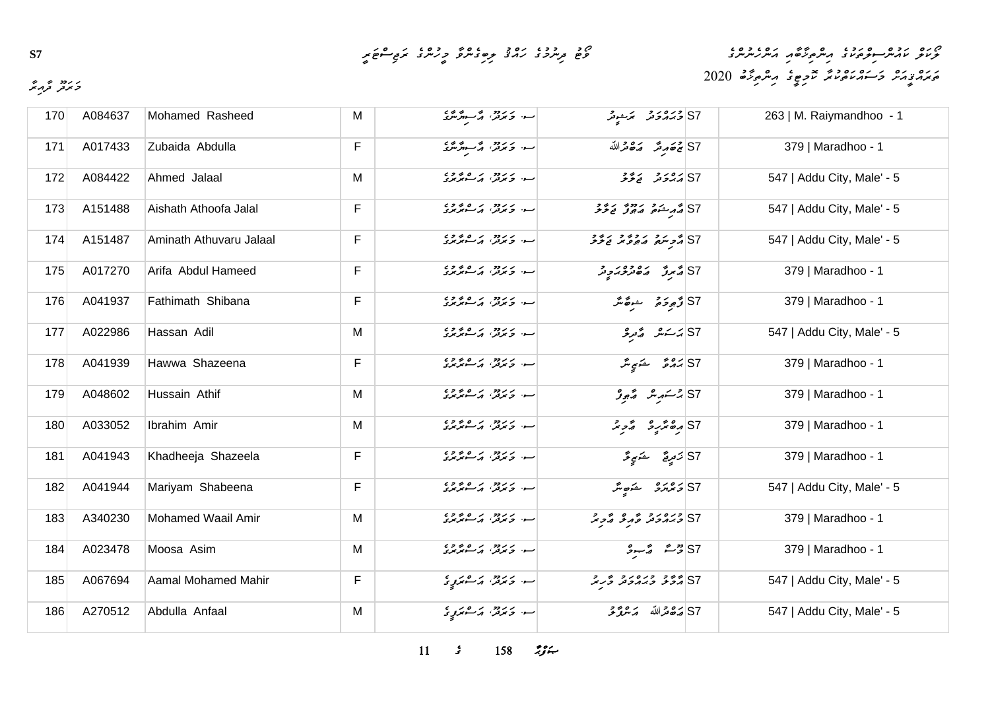*sCw7q7s5w7m< o<n9nOoAw7o< sCq;mAwBoEw7q<m; wBm;vB* م من المسجد المسجد المسجد المسجد المسجد العام 2020<br>مسجد المسجد المسجد المسجد المسجد المسجد المسجد المسجد المسجد ال

| 170 | A084637 | Mohamed Rasheed            | M           | ے کردہ گر ہر گر        | S7ا <i>\$ند\$دقر</i> - بَرَحْدِثْر       | 263   M. Raiymandhoo - 1   |
|-----|---------|----------------------------|-------------|------------------------|------------------------------------------|----------------------------|
| 171 | A017433 | Zubaida Abdulla            | F           | ے ویرس اگر موردی       | S7 يُحَصَّرِ مَثَّرَ صَحَّمَتِ اللَّه    | 379   Maradhoo - 1         |
| 172 | A084422 | Ahmed Jalaal               | M           | سه کرېږده ره پروه      | S7 كەبرى قىم ئۇ ئى                       | 547   Addu City, Male' - 5 |
| 173 | A151488 | Aishath Athoofa Jalal      | $\mathsf F$ | سه کرېږده ره پروه      | S7 مُصِنْعَ مِعْزَ بِمَحْرَ              | 547   Addu City, Male' - 5 |
| 174 | A151487 | Aminath Athuvaru Jalaal    | F           | سه کرېږي. پر ۱۳۶۵      | S7 مُتَّحِسَمَةَ مَقَوَّمَةَ مَقَوَّمَةً | 547   Addu City, Male' - 5 |
| 175 | A017270 | Arifa Abdul Hameed         | F           | سه وبردو د ه وده       | S7 مُبرِرٌ مَصْرُوْبَهِ مِرْ             | 379   Maradhoo - 1         |
| 176 | A041937 | Fathimath Shibana          | F           | سە كەيمەتقا كەسەپىرىدى | S7 زُّەپرىر ئىس ئىشىر                    | 379   Maradhoo - 1         |
| 177 | A022986 | Hassan Adil                | M           | سه کريږدو ره ده ده     | S7 ئەسەمبىر مەمەمبى                      | 547   Addu City, Male' - 5 |
| 178 | A041939 | Hawwa Shazeena             | $\mathsf F$ | سه و بردو د ۱۵ وه و د  | S7 <i>بَهُمْ شَهِيمٌ</i>                 | 379   Maradhoo - 1         |
| 179 | A048602 | Hussain Athif              | M           | سه کريږده بر ۲۶۵۵      | S7 برڪبرين گھيون <sub>ئ</sub>            | 379   Maradhoo - 1         |
| 180 | A033052 | Ibrahim Amir               | M           | سه کرېږدو، پر ۲۶۵۵     | S7 مەھ <i>مگى</i> ر ئەھمىسى ئىر          | 379   Maradhoo - 1         |
| 181 | A041943 | Khadheeja Shazeela         | F           | سه کريږدو ره ده ده     | S7 كَتْمِيعٌ مُسْتَمِيحٌ                 | 379   Maradhoo - 1         |
| 182 | A041944 | Mariyam Shabeena           | $\mathsf F$ | سه کرېږده ره پروه      | S7 ك <i>ر جرمرد شومبر</i>                | 547   Addu City, Male' - 5 |
| 183 | A340230 | Mohamed Waail Amir         | M           | سه کرېږي. پر ۱۳۶۵      | S7 <i>وُبَهُ دو وُب</i> و مُوبِرٌ        | 379   Maradhoo - 1         |
| 184 | A023478 | Moosa Asim                 | M           | سه کريږده بر ۲۶۵۵      | S7 چې په پېښو شب                         | 379   Maradhoo - 1         |
| 185 | A067694 | <b>Aamal Mohamed Mahir</b> | F           | سەسىرى كەسىمى ئ        | S7 أَرْدَّ وَيَهْدَدُ دَّرِيْرَ          | 547   Addu City, Male' - 5 |
| 186 | A270512 | Abdulla Anfaal             | M           | سه کامرده کام شموری    | S7 مَەقداللە مَسْتَرْمَّ                 | 547   Addu City, Male' - 5 |

 $11$  *s*  $158$  *if*<sub>s</sub>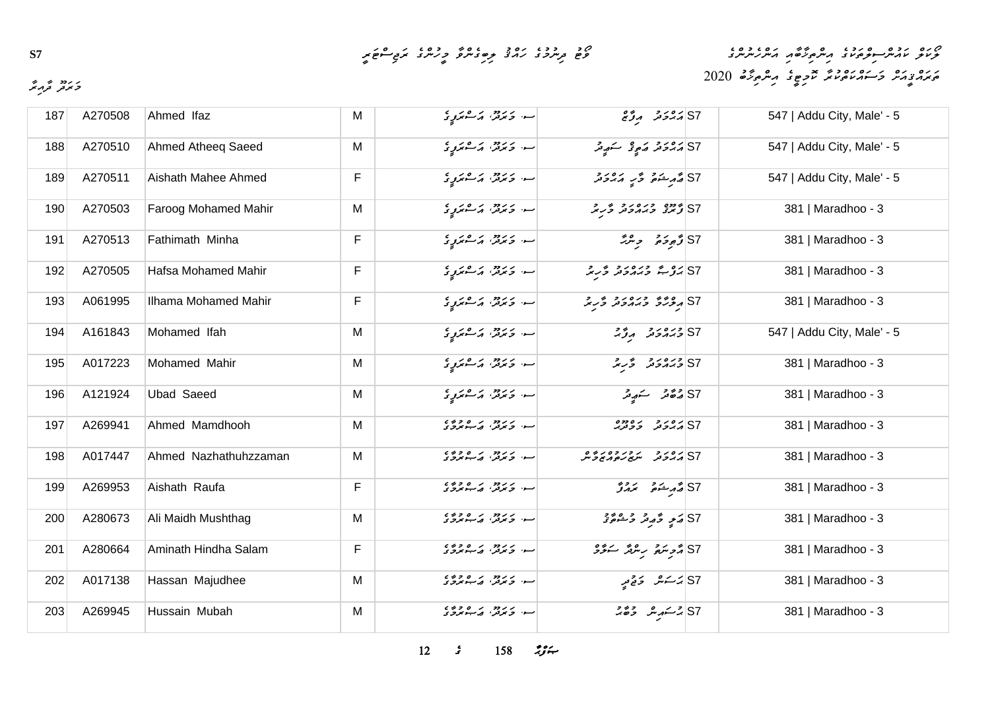*sCw7q7s5w7m< o<n9nOoAw7o< sCq;mAwBoEw7q<m; wBm;vB* م من المرة المرة المرة المرجع المرجع في المركبة 2020<br>مجم*د المريض المربوط المربع المرجع في المراجع المركبة* 

| 187 | A270508 | Ahmed Ifaz                  | M           | سه کامرده ارکامری کا                   | S7 كەندى قىر مەر <i>قى</i>                 | 547   Addu City, Male' - 5 |
|-----|---------|-----------------------------|-------------|----------------------------------------|--------------------------------------------|----------------------------|
| 188 | A270510 | <b>Ahmed Atheeg Saeed</b>   | M           | سه کامردو کام شمری کا                  | S7 كەبرى <i>تىم كەن كەرى</i> گە            | 547   Addu City, Male' - 5 |
| 189 | A270511 | Aishath Mahee Ahmed         | F           | سه کامرده کامسیکی تولی                 | S7 مُستَوَى مُسَ مَسَرَةٍ                  | 547   Addu City, Male' - 5 |
| 190 | A270503 | <b>Faroog Mohamed Mahir</b> | M           | سه کامرده کام شمری کا                  | S7 زىر دىرەر دىرىگىر                       | 381   Maradhoo - 3         |
| 191 | A270513 | Fathimath Minha             | F           | سه کامرده کام شمری کا                  | S7 <i>وُّجِ دَمْ</i> وِسْرُدُّ             | 381   Maradhoo - 3         |
| 192 | A270505 | <b>Hafsa Mohamed Mahir</b>  | $\mathsf F$ | سه کامردو کام شمری کا                  | S7 بروج وبرودو ورو                         | 381   Maradhoo - 3         |
| 193 | A061995 | Ilhama Mohamed Mahir        | F           | ے ویرس پرے پر پ                        | S7 مِوْرُدٌ وَرَوْرُو وُرِيْرَ             | 381   Maradhoo - 3         |
| 194 | A161843 | Mohamed Ifah                | M           | سه کامردو کام شمری کا                  | $25.255$ S7                                | 547   Addu City, Male' - 5 |
| 195 | A017223 | Mohamed Mahir               | M           | سه کامرده کامریکوی                     | S7 <i>جەنگە جۇ جى</i> رىگە                 | 381   Maradhoo - 3         |
| 196 | A121924 | <b>Ubad Saeed</b>           | M           | سه کامرده کامسیکی تولی                 | S7 ۾ ڇُجڙ ڪ <i>مي</i> تر                   | 381   Maradhoo - 3         |
| 197 | A269941 | Ahmed Mamdhooh              | M           | سه و بردو در ۵ وه و                    | S7 كەردو بەھ <sup>رە</sup>                 | 381   Maradhoo - 3         |
| 198 | A017447 | Ahmed Nazhathuhzzaman       | M           | سه کرېږده ره ده د                      | S7 روبر و بروبروه بره و                    | 381   Maradhoo - 3         |
| 199 | A269953 | Aishath Raufa               | $\mathsf F$ | سه کردود. د سه ده د                    | S7 مەم ئىمەترى<br>S7                       | 381   Maradhoo - 3         |
| 200 | A280673 | Ali Maidh Mushthag          | M           | ر در دور در ۲۵۶۵<br>سه کامرفل کامسومون | S7 كۆم گەنگە كەش <i>مۇتى</i>               | 381   Maradhoo - 3         |
| 201 | A280664 | Aminath Hindha Salam        | $\mathsf F$ | سه کرېږده د ۲۶۶۵                       | S7 <i>مُّہِ سَمَّۃُ</i> سِرْمَدُ سَنَوَّۃُ | 381   Maradhoo - 3         |
| 202 | A017138 | Hassan Majudhee             | M           | سه کرېږده ره ده د                      | S7  پرسته ځ <sup>و</sup> فړ                | 381   Maradhoo - 3         |
| 203 | A269945 | Hussain Mubah               | M           | سه کرېږده د ۲۶۶۵                       | S7 بر شهر شر محتصر<br>S7                   | 381   Maradhoo - 3         |

*n8o<n@ r@m8m>*

*12 s 158 <i>n*<sub>s</sub>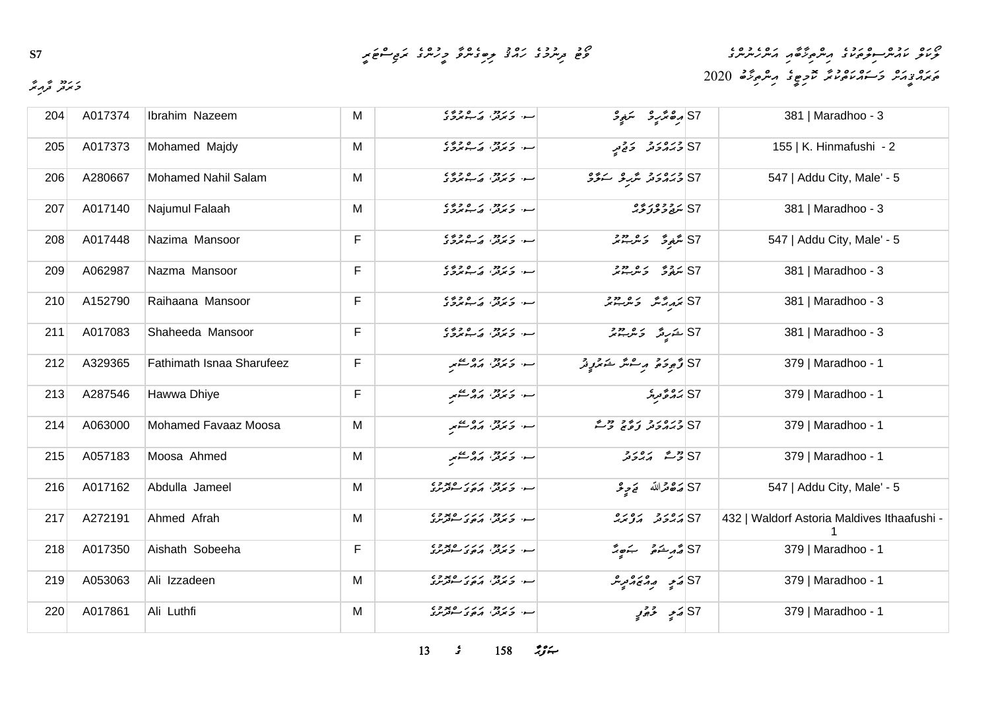*sCw7q7s5w7m< o<n9nOoAw7o< sCq;mAwBoEw7q<m; wBm;vB* م من المرة المرة المرة المرجع المرجع في المركبة 2020<br>مجم*د المريض المربوط المربع المرجع في المراجع المركبة* 

| 204 | A017374 | Ibrahim Nazeem            | М            | سه کریزه رسه بروی                            | S7   <i>رەڭرچ</i> سَ <sub>ن</sub> <sub>و</sub> ِ 57             | 381   Maradhoo - 3                          |
|-----|---------|---------------------------|--------------|----------------------------------------------|-----------------------------------------------------------------|---------------------------------------------|
| 205 | A017373 | Mohamed Majdy             | M            | ر در دور در ۲۵۶۵<br>سه کامرفل که سومروی      | S7 <i>\$22.25 دَف</i> تر                                        | 155   K. Hinmafushi - 2                     |
| 206 | A280667 | Mohamed Nahil Salam       | M            | سه کرېږده د ۲۶۶۵                             | S7 <i>وبروبرو شرب</i> و سکو <i>گ</i> و                          | 547   Addu City, Male' - 5                  |
| 207 | A017140 | Najumul Falaah            | M            | سه کريږده را د ده د                          | S7 سَهِ وَوُوَ وَ َ                                             | 381   Maradhoo - 3                          |
| 208 | A017448 | Nazima Mansoor            | F            | سه کريږده د ۲۶۶۵                             | S7 سَّنِيرَةً كَسَرْ يَسْتَغَيَّرَ                              | 547   Addu City, Male' - 5                  |
| 209 | A062987 | Nazma Mansoor             | $\mathsf{F}$ | سه کرده د ۲۶۵ وي                             | S7 <i>سَهُوَدَ وَسُرْجَيْتِر</i> َ                              | 381   Maradhoo - 3                          |
| 210 | A152790 | Raihaana Mansoor          | F            | سه کريږده ره ده ده                           | S7 ىزىرقىش كەش <i>رە «</i> ج                                    | 381   Maradhoo - 3                          |
| 211 | A017083 | Shaheeda Mansoor          | $\mathsf{F}$ | سه کرده ره ده د                              | S7 شەرى <i>گە كەشەبلىرى</i>                                     | 381   Maradhoo - 3                          |
| 212 | A329365 | Fathimath Isnaa Sharufeez | $\mathsf F$  | سه وبردو ره دن                               | S7 ۇ <sub>جو</sub> رَمْ <sub>م</sub> ېشىر شەھرى <sub>رى</sub> ز | 379   Maradhoo - 1                          |
| 213 | A287546 | Hawwa Dhiye               | F            | سه وبرده بره علم                             | S7 كەرگە ئىروگە                                                 | 379   Maradhoo - 1                          |
| 214 | A063000 | Mohamed Favaaz Moosa      | M            | سه کریرود رو به                              | S7 ورەرو روپو دېم                                               | 379   Maradhoo - 1                          |
| 215 | A057183 | Moosa Ahmed               | M            | سه کریرود رو به                              | S7 تۇشقە ئەيمەتەتىر                                             | 379   Maradhoo - 1                          |
| 216 | A017162 | Abdulla Jameel            | M            | ر درود درد در دره در<br>سه و برتر، بروی سترس | S7 مَەھتراللە   قى يەمى                                         | 547   Addu City, Male' - 5                  |
| 217 | A272191 | Ahmed Afrah               | M            | ر درود درد دره برده<br>سه و برتر، بروی سترس  | S7 كەبرو كەرگە بەر 2.                                           | 432   Waldorf Astoria Maldives Ithaafushi - |
| 218 | A017350 | Aishath Sobeeha           | F            |                                              | S7 مُدِينَة جَمْعِيَّة                                          | 379   Maradhoo - 1                          |
| 219 | A053063 | Ali Izzadeen              | M            | ر درود درد دره برده<br>سه و برتر، بروی سترس  | S7 <i>۾َ جِه مِهنمَ مُ</i> ورِسُ                                | 379   Maradhoo - 1                          |
| 220 | A017861 | Ali Luthfi                | M            | ر درود در در ۲۵ دره<br>سه و برتر، برخ د سترس | S7 <i>ھَ جِي حُبوُدٍ</i>                                        | 379   Maradhoo - 1                          |

 $13$  *s*  $158$  *n***<sub>y</sub>**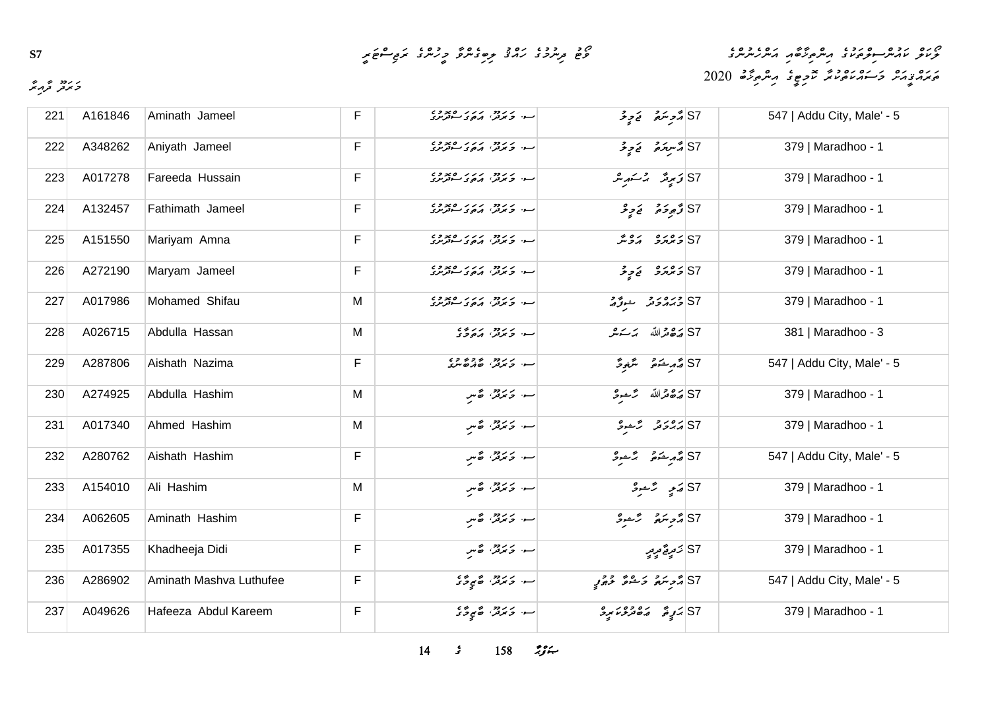*sCw7q7s5w7m< o<n9nOoAw7o< sCq;mAwBoEw7q<m; wBm;vB* م من المرة المرة المرة المرجع المرجع في المركبة 2020<br>مجم*د المريض المربوط المربع المرجع في المراجع المركبة* 

| 221 | A161846 | Aminath Jameel          | F            | سه کریزده برد ر ه برون<br>سه کریزش برد و سوترس     | S7 أَمُّ حِبَّمَةٌ مَجَمَّحٍ فَ        | 547   Addu City, Male' - 5 |
|-----|---------|-------------------------|--------------|----------------------------------------------------|----------------------------------------|----------------------------|
| 222 | A348262 | Aniyath Jameel          | F            | ر در دور در در دوره<br>ر در در در در در            | S7 أُمُّ سِهْرَةً فَيَ جِرْحَر         | 379   Maradhoo - 1         |
| 223 | A017278 | Fareeda Hussain         | F            | ر در دود در در دود و د<br>سه و بوتر او دو سه توبرد | S7 ترىپەتر كەسىمبەتل                   | 379   Maradhoo - 1         |
| 224 | A132457 | Fathimath Jameel        | F            | ر در دور در در دوره<br>سه کریمرتر، برخور سه ترس    | S7 <i>وَّجِ حَمَّ</i> بِحَ حِرْثَرَ    | 379   Maradhoo - 1         |
| 225 | A151550 | Mariyam Amna            | $\mathsf{F}$ | ر در دور در در دود و د<br>سه و نوکل اړه د سوتربرو  | S7 ئەمەم ئەھەر                         | 379   Maradhoo - 1         |
| 226 | A272190 | Maryam Jameel           | $\mathsf F$  | ر درود درد دره ده.<br>سه و برتر، بروی ستربری       | S7 كَرْيَرْدَ كَ <sub>ا</sub> لْمِرْدَ | 379   Maradhoo - 1         |
| 227 | A017986 | Mohamed Shifau          | M            | ر در دور در در دود و د<br>سه و نوکل اړه د سوتربرو  | S7 <i>ۇرۇرۇتر خوۋۇ</i>                 | 379   Maradhoo - 1         |
| 228 | A026715 | Abdulla Hassan          | M            | ر رود دره د                                        | S7 مَەقراللە بەكتەر                    | 381   Maradhoo - 3         |
| 229 | A287806 | Aishath Nazima          | $\mathsf F$  | ر درود و و و و د و و د<br>سه و برتر، ځارځ سرو      | S7 مەم ئىستىم ئىش <i>نو</i> گە         | 547   Addu City, Male' - 5 |
| 230 | A274925 | Abdulla Hashim          | M            | سە كەبردە ھەر                                      | S7 مَرْحْمْدَاللّه گَـْمُورْ           | 379   Maradhoo - 1         |
| 231 | A017340 | Ahmed Hashim            | M            | سە كەندىق ھەس                                      | S7 <i>252.2</i> گِشو <i>ڈ</i>          | 379   Maradhoo - 1         |
| 232 | A280762 | Aishath Hashim          | $\mathsf F$  | سە كەندىق ھەس                                      | S7 مُ مِــُمَ مِ مُـَــُوتَر           | 547   Addu City, Male' - 5 |
| 233 | A154010 | Ali Hashim              | M            | سە ئەترىق ھەس                                      | S7 <i>۾َ مو</i> گھور                   | 379   Maradhoo - 1         |
| 234 | A062605 | Aminath Hashim          | $\mathsf F$  | سە كەندىق ھەس                                      | S7 مُتِ سَمَّةٌ مُتَّسِوڤ              | 379   Maradhoo - 1         |
| 235 | A017355 | Khadheeja Didi          | $\mathsf F$  | سە كەندىق ھەس                                      | S7 زَمرِيَّ مرِمرِ                     | 379   Maradhoo - 1         |
| 236 | A286902 | Aminath Mashva Luthufee | F            | ے زیروہ کھیے گئے                                   | S7 مُر <i>ْجِسَمْ وَحْبُوَّ وَفِي</i>  | 547   Addu City, Male' - 5 |
| 237 | A049626 | Hafeeza Abdul Kareem    | $\mathsf F$  | ب ریږده ځې دی                                      | S7 كَرُوٍ مَدَّ مُحَمَّدٌ مِنْ مَرْدَّ | 379   Maradhoo - 1         |

*14 sC 158 nNw?mS*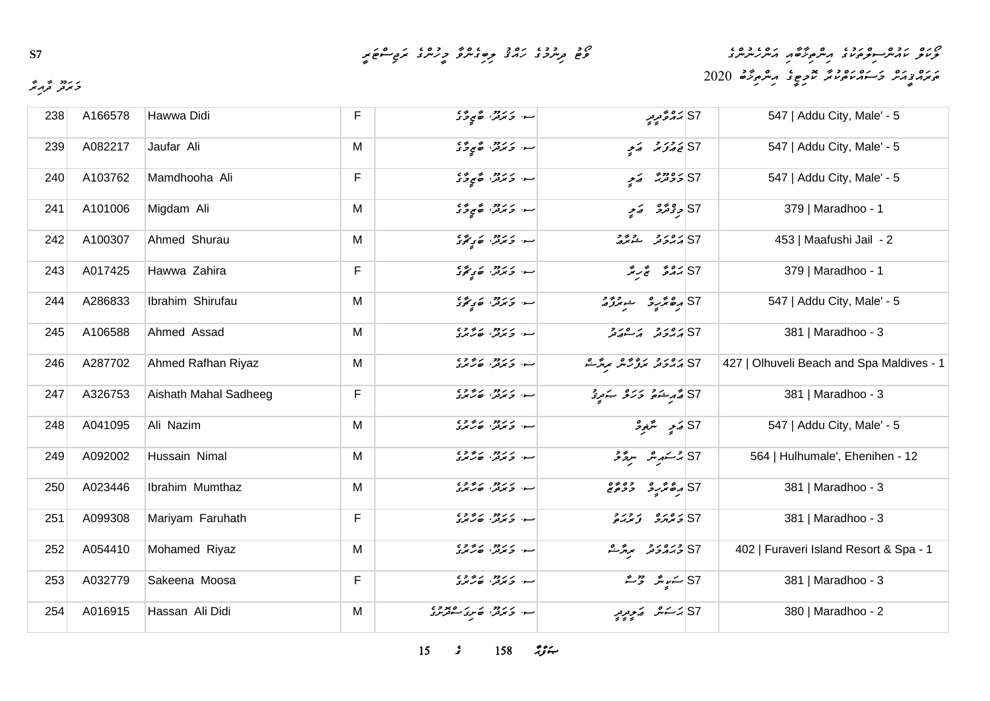*sCw7q7s5w7m< o<n9nOoAw7o< sCq;mAwBoEw7q<m; wBm;vB* م من المرة المرة المرة المرجع المرجع في المركبة 2020<br>مجم*د المريض المربوط المربع المرجع في المراجع المركبة* 

| 238 | A166578 | Hawwa Didi            | F           | سە كەندىق ھېرىمى                             | S7 كەمگە <i>توپى</i> ر                       | 547   Addu City, Male' - 5                |
|-----|---------|-----------------------|-------------|----------------------------------------------|----------------------------------------------|-------------------------------------------|
| 239 | A082217 | Jaufar Ali            | M           | سە كەندىق ھېرگە                              | S7 يَهْ تَرَ مَرِ                            | 547   Addu City, Male' - 5                |
| 240 | A103762 | Mamdhooha Ali         | $\mathsf F$ | سه زېږده ځې دی                               | S7 53پرچين کم <i>ي</i>                       | 547   Addu City, Male' - 5                |
| 241 | A101006 | Migdam Ali            | M           | ر دردو.<br>۱۰۰۰ و برتر، ځې و د               | S7 <i>وِڈمَّدُوْ مَ</i> یِ                   | 379   Maradhoo - 1                        |
| 242 | A100307 | Ahmed Shurau          | M           | ے کروڑ کو گرو                                | S7 كەبرى ئىر يونى ئىشلىرگە ئىس               | 453   Maafushi Jail - 2                   |
| 243 | A017425 | Hawwa Zahira          | $\mathsf F$ | سه کرېږي کړي ک                               | S7 ئەم ئىق ئىچ بەشىر                         | 379   Maradhoo - 1                        |
| 244 | A286833 | Ibrahim Shirufau      | M           | سه و بردد. ځونو                              | S7 مەھم <i>گىر</i> ئىسىمب <i>ۇم</i>          | 547   Addu City, Male' - 5                |
| 245 | A106588 | Ahmed Assad           | M           | ر درود.<br>سه و برتر، ن <i>ه ر</i> بری       | S7 <i>הُגُכ<sup>و</sup>ر ה</i> ُس <i>ورو</i> | 381   Maradhoo - 3                        |
| 246 | A287702 | Ahmed Rafhan Riyaz    | M           | ر درود ده ده د                               | S7 كەندى تەرەپ ئەرگەنگە بىر ئەرگەنگە         | 427   Olhuveli Beach and Spa Maldives - 1 |
| 247 | A326753 | Aishath Mahal Sadheeg | F           | ر رود ده و د                                 | S7 مەم شەھ كەنىۋىسىدۇ.                       | 381   Maradhoo - 3                        |
| 248 | A041095 | Ali Nazim             | M           | ر در دو.<br>سه و برتر، ن <i>خار</i> برو      | S7 كەمچە س <i>گەۋ</i> 3                      | 547   Addu City, Male' - 5                |
| 249 | A092002 | Hussain Nimal         | M           | ر رود ده و د<br>سوا و برتر، ن <i>خار</i> برد | S7 يُرْسَمبِ مَنْ سِرْدَ قَرْ                | 564   Hulhumale', Ehenihen - 12           |
| 250 | A023446 | Ibrahim Mumthaz       | M           | ر درود.<br>سه و بوتر، ن <i>ه ر</i> بود       | S7 رەئزىر دەپرە                              | 381   Maradhoo - 3                        |
| 251 | A099308 | Mariyam Faruhath      | F           | ر درود.<br>سه و برتر، ن <i>ه ر</i> بری       | S7 كومبرو كومبرو                             | 381   Maradhoo - 3                        |
| 252 | A054410 | Mohamed Riyaz         | M           | ر در دو.<br>سه و برتر، ن <i>خار</i> برو      | S7 دېرورو بروگ                               | 402   Furaveri Island Resort & Spa - 1    |
| 253 | A032779 | Sakeena Moosa         | $\mathsf F$ | ر درود. ده ده د                              | S7 سَمِيعٌ حَيْثَةً                          | 381   Maradhoo - 3                        |
| 254 | A016915 | Hassan Ali Didi       | M           | ر در دور در در ۲۶۵ وی                        | S7 ئەسەمىش كەمەيدىد                          | 380   Maradhoo - 2                        |

 $15$  *s*  $158$   $234$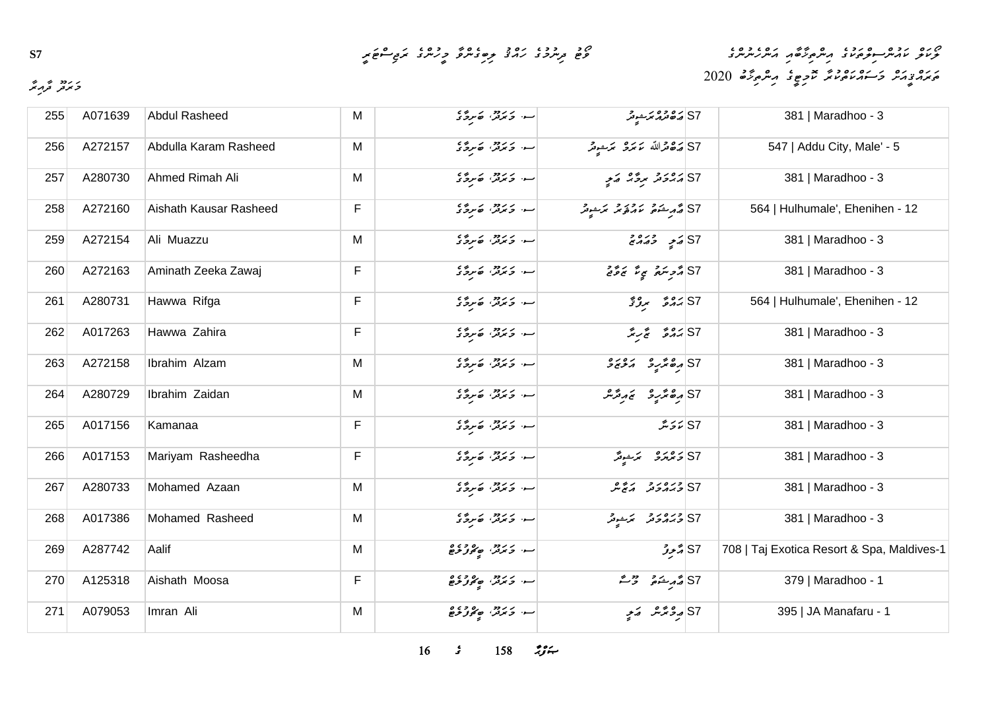*sCw7q7s5w7m< o<n9nOoAw7o< sCq;mAwBoEw7q<m; wBm;vB* م من المرة المرة المرة المرجع المرجع في المركبة 2020<br>مجم*د المريض المربوط المربع المرجع في المراجع المركبة* 

| 255 | A071639 | <b>Abdul Rasheed</b>   | M            | ے دیروہ کامروی      | S7 مەھەرمە ئىرىس <sub>ى</sub> رىتىر                  | 381   Maradhoo - 3                         |
|-----|---------|------------------------|--------------|---------------------|------------------------------------------------------|--------------------------------------------|
| 256 | A272157 | Abdulla Karam Rasheed  | M            | - دىروم ھېروگ       | S7 مَەھىراللە <i>مَەتت</i> ى مَرَىش <sub>و</sub> تىر | 547   Addu City, Male' - 5                 |
| 257 | A280730 | Ahmed Rimah Ali        | M            | ے رویں صورتی        | S7 <i>ג׳.3 پروُ بْنُ مَ</i> ی                        | 381   Maradhoo - 3                         |
| 258 | A272160 | Aishath Kausar Rasheed | $\mathsf F$  | - دروه کاروه        | S7 مُدمِ شَمَعَ عَدَمْ مُدَ مَرْسُونْر               | 564   Hulhumale', Ehenihen - 12            |
| 259 | A272154 | Ali Muazzu             | M            | ے کروڑ کا مرکز      | $50.22$ $\approx$ ST                                 | 381   Maradhoo - 3                         |
| 260 | A272163 | Aminath Zeeka Zawaj    | $\mathsf F$  | ے کروڑ کا مرکز      | S7 مُرْحِ سَمَعُ بِي مُسْتَمَرَّدُ مِ                | 381   Maradhoo - 3                         |
| 261 | A280731 | Hawwa Rifga            | $\mathsf F$  | سە ئەيرىق ھىردى     | S7 <i>بَدْهُ بِروْتَ</i>                             | 564   Hulhumale', Ehenihen - 12            |
| 262 | A017263 | Hawwa Zahira           | $\mathsf F$  | سه وبردو کاروی      | S7 ئەم ئىق ئىم ئىقىدىتىگە                            | 381   Maradhoo - 3                         |
| 263 | A272158 | Ibrahim Alzam          | M            | - دروه کاروه        | S7 مەھمەر 2 مۇمۇم                                    | 381   Maradhoo - 3                         |
| 264 | A280729 | Ibrahim Zaidan         | M            | سه وبردو که دوی     | S7 مەھەر ئەھەر ئىكەن ئىس                             | 381   Maradhoo - 3                         |
| 265 | A017156 | Kamanaa                | F            | سه زيرون ځېږدن      | S7 ئەنەتىر                                           | 381   Maradhoo - 3                         |
| 266 | A017153 | Mariyam Rasheedha      | F            | سه وبردو که دوی     | S7 <i>وَ بُرْمَرْ وَ - بَرَ</i> حْوِمَّرُ            | 381   Maradhoo - 3                         |
| 267 | A280733 | Mohamed Azaan          | M            | - دروه کاروه        | S7 <i>جەممى ھىر مەنى ھى</i>                          | 381   Maradhoo - 3                         |
| 268 | A017386 | Mohamed Rasheed        | M            | ے کروڑ کا مرکز      | S7 <i>وُيَهُ وَقُوْ</i> - مَرْشِيْتَر                | 381   Maradhoo - 3                         |
| 269 | A287742 | Aalif                  | M            | ٢٠ - د برو، ھەدىر ھ | S7 گەمرۇ                                             | 708   Taj Exotica Resort & Spa, Maldives-1 |
| 270 | A125318 | Aishath Moosa          | $\mathsf{F}$ | ٢٠ - د برو، ھەجو خ  | S7 پۇم شەتر ق <sup>ىم</sup> ئى                       | 379   Maradhoo - 1                         |
| 271 | A079053 | Imran Ali              | M            | سه د برده مونوروه   | S7 مە <i>ۋىتى ھې</i> ر                               | 395   JA Manafaru - 1                      |

*n8o<n@ r@m8m>*

 $16$  *s*  $158$  *n***<sub>y</sub>**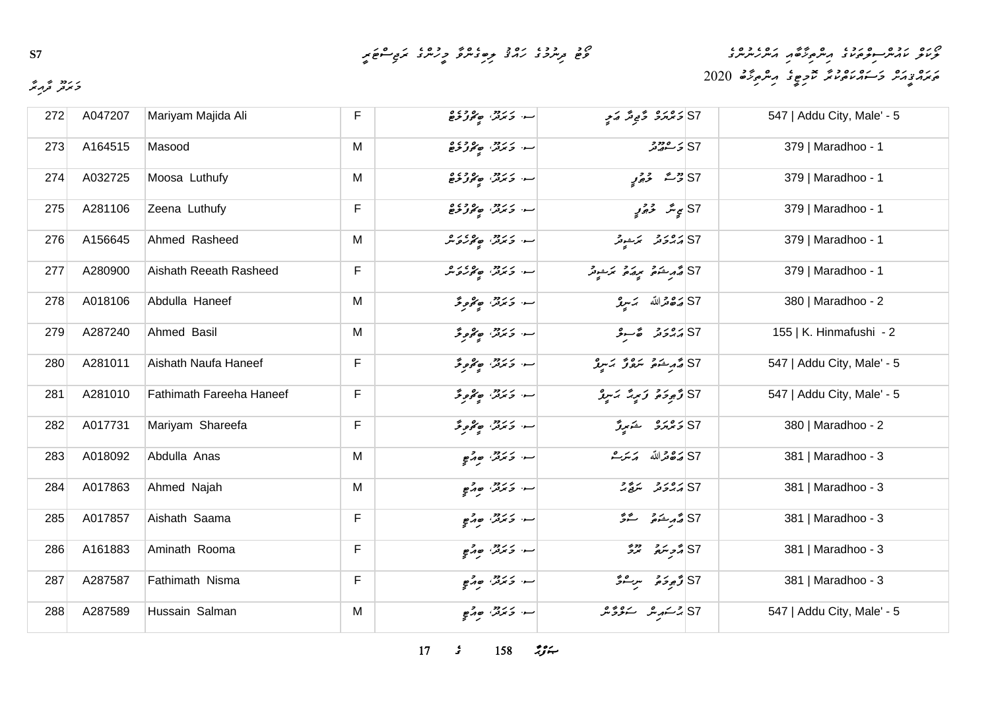*sCw7q7s5w7m< o<n9nOoAw7o< sCq;mAwBoEw7q<m; wBm;vB 2020*<br>*په ټومن د سوم پوره پورې سرح مرسره ناح* 

| 272 | A047207 | Mariyam Majida Ali              | $\mathsf F$  | - دبردو ھگروم                   | S7 كەنگەر ئۇي قەم ئەم                                                                               | 547   Addu City, Male' - 5 |
|-----|---------|---------------------------------|--------------|---------------------------------|-----------------------------------------------------------------------------------------------------|----------------------------|
| 273 | A164515 | Masood                          | M            | - رود ھگروہ                     | S7 ئەمەمىر                                                                                          | 379   Maradhoo - 1         |
| 274 | A032725 | Moosa Luthufy                   | M            | سه زيرود ھگرومي                 | S7 چې ته تو <sub>ځونو</sub>                                                                         | 379   Maradhoo - 1         |
| 275 | A281106 | Zeena Luthufy                   | F            | سه زيرود ھي وي ه                | S7 <sub>مې</sub> تنگه څونو                                                                          | 379   Maradhoo - 1         |
| 276 | A156645 | Ahmed Rasheed                   | M            | - دردو ھەركەش                   | S7 كەبر <i>و تىل تى</i> شوقر                                                                        | 379   Maradhoo - 1         |
| 277 | A280900 | Aishath Reeath Rasheed          | F            | - وبردو ده وره ده               | S7 مُّ مِشْمَعْ مِهْمَعْ مَمْسُومْر                                                                 | 379   Maradhoo - 1         |
| 278 | A018106 | Abdulla Haneef                  | M            | ے زیروز ھگھوٹر                  | S7 مَەھىراللە ئەس <i>بى</i> ر                                                                       | 380   Maradhoo - 2         |
| 279 | A287240 | Ahmed Basil                     | M            | سە ئەندىق ھەمموقە               | S7 <i>م.دونر</i> ځېږ                                                                                | 155   K. Hinmafushi - 2    |
| 280 | A281011 | Aishath Naufa Haneef            | F            | سە ئەندىق ھەمم قە               | S7 مەم شەھ سىمى ئىكى ئىكىن كىل                                                                      | 547   Addu City, Male' - 5 |
| 281 | A281010 | <b>Fathimath Fareeha Haneef</b> | F            | سە ئەندىق ھەمم ئۇ               | S7 ۇ <sub>ج</sub> ودۇ ترىرى <i>گە ئەبى</i> ر                                                        | 547   Addu City, Male' - 5 |
| 282 | A017731 | Mariyam Shareefa                | $\mathsf{F}$ | ے دیروں ھائوتی                  | S7 <i>وَ بُرْدَرْ شَمِينٌ</i>                                                                       | 380   Maradhoo - 2         |
| 283 | A018092 | Abdulla Anas                    | M            | $P$ $Q$ $Q$ $Q$ $Q$ $Q$ $Q$ $Q$ |                                                                                                     | 381   Maradhoo - 3         |
| 284 | A017863 | Ahmed Najah                     | M            | ے دیکھی حدی                     | S7 كەبروتىر سى <i>نى</i> گەنى                                                                       | 381   Maradhoo - 3         |
| 285 | A017857 | Aishath Saama                   | $\mathsf{F}$ | ب كەنگە ھەق                     | S7 مەم ئىم ئىسىمبىيەت ئىسىمبىرى كىتىلىكى ئىسىمبىرى ئىسىمبىرى ئىسىمبىر ئىسىمبىر ئىسىمبىر ئىسىمبىر ئى | 381   Maradhoo - 3         |
| 286 | A161883 | Aminath Rooma                   | $\mathsf F$  | سه د ندس حدو                    | S7 أَمُّ حِبَّعَةٌ مَحْرَدٌ                                                                         | 381   Maradhoo - 3         |
| 287 | A287587 | Fathimath Nisma                 | $\mathsf F$  | $e^2$                           | S7 زَّەپرىق سِرسْرَدَّ                                                                              | 381   Maradhoo - 3         |
| 288 | A287589 | Hussain Salman                  | M            | سه د نرگران جارمج               | S7 يُرْسَمبِ شَرْ مُتَحَدَّثَهُ مِنْ                                                                | 547   Addu City, Male' - 5 |
|     |         |                                 |              |                                 |                                                                                                     |                            |

 $17$  *s*  $158$  *i*<sub>s</sub>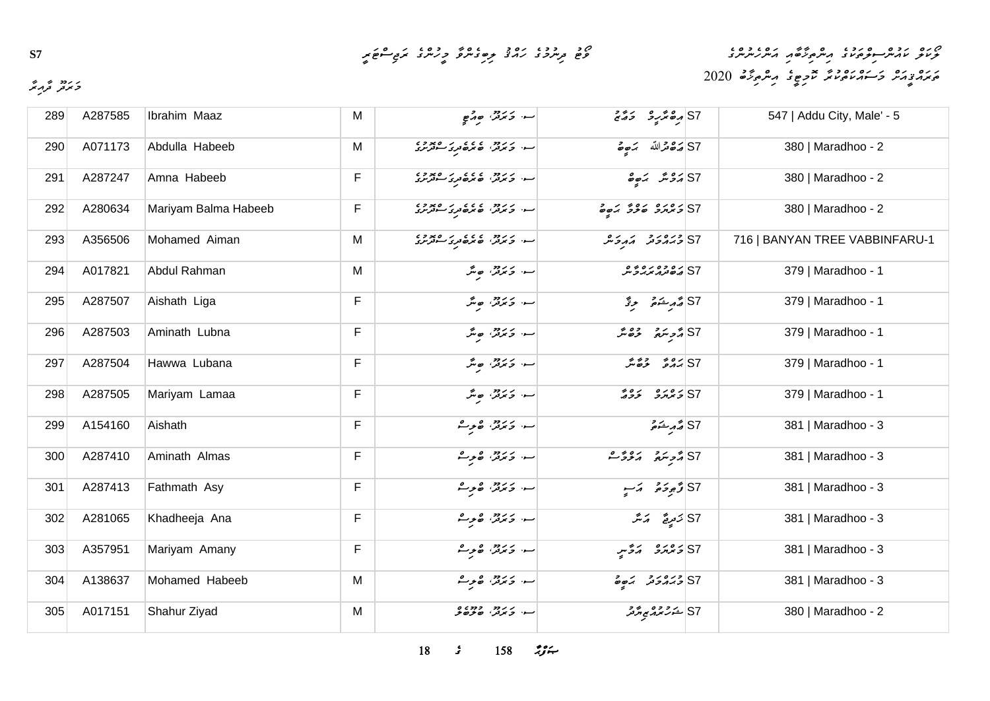*sCw7q7s5w7m< o<n9nOoAw7o< sCq;mAwBoEw7q<m; wBm;vB* م من المسجد المسجد المسجد المسجد المسجد العام 2020<br>مسجد المسجد المسجد المسجد المسجد المسجد المسجد المسجد المسجد ال

| 289 | A287585 | Ibrahim Maaz         | M           | ے کی تریش جدیم ج                                                             | S7  رەتمەر ئەمەمىي                                                                  | 547   Addu City, Male' - 5     |
|-----|---------|----------------------|-------------|------------------------------------------------------------------------------|-------------------------------------------------------------------------------------|--------------------------------|
| 290 | A071173 | Abdulla Habeeb       | M           | ر در دود ده ده ده دود و در در دود و د<br>سود از ترکن در هایمره کرد کسوتر مرد | S7 كەھىراللە ئەھ                                                                    | 380   Maradhoo - 2             |
| 291 | A287247 | Amna Habeeb          | F           | ر در دود ده ده ده دود و در در دود و د<br>سود از ترکن در هایمره کرد کسوتر مرد | $\frac{2}{3}$ $\frac{2}{3}$ $\frac{2}{3}$ $\frac{2}{3}$ $\frac{2}{3}$ $\frac{2}{3}$ | 380   Maradhoo - 2             |
| 292 | A280634 | Mariyam Balma Habeeb | $\mathsf F$ | ر در دود ده ده در در دود داد.<br>سه د کرفر از های هایی سه فرس                | $50 - 22 - 27 = 57$                                                                 | 380   Maradhoo - 2             |
| 293 | A356506 | Mohamed Aiman        | M           | در دود ده ده ده دود ده دود د                                                 | S7 درور د مرکبر                                                                     | 716   BANYAN TREE VABBINFARU-1 |
| 294 | A017821 | Abdul Rahman         | M           | سە كەندىق ھېتر                                                               | S7 ئەھ <i>مەممەۋە</i> ر                                                             | 379   Maradhoo - 1             |
| 295 | A287507 | Aishath Liga         | F           | سە كەندىق ھېتر                                                               | S7 مُدمِسْمَة مِتَّمَ                                                               | 379   Maradhoo - 1             |
| 296 | A287503 | Aminath Lubna        | F           | ے کی ترقیق صنگر                                                              | S7 أَمُّ <i>جِسْمَةً فَوَهْ مَدُّ</i>                                               | 379   Maradhoo - 1             |
| 297 | A287504 | Hawwa Lubana         | $\mathsf F$ | ے کی ترقیق صنگر                                                              | S7 يَهُمُوَ حَرَّةَ شَرَّ                                                           | 379   Maradhoo - 1             |
| 298 | A287505 | Mariyam Lamaa        | $\mathsf F$ | سە كەندىق ھېتر                                                               | $501$ $272$ $57$                                                                    | 379   Maradhoo - 1             |
| 299 | A154160 | Aishath              | F           | ب ریږده هېوت                                                                 | S7 مۇم شەقر                                                                         | 381   Maradhoo - 3             |
| 300 | A287410 | Aminath Almas        | $\mathsf F$ | ب دردو هېرگ                                                                  | S7 مُ <i>جِي مَنْ مَدْوَدُ بِ</i>                                                   | 381   Maradhoo - 3             |
| 301 | A287413 | Fathmath Asy         | F           | ب دردو هېرگ                                                                  | S7 ۇ <sub>جو</sub> خ <sub>ەم</sub> مەپ                                              | 381   Maradhoo - 3             |
| 302 | A281065 | Khadheeja Ana        | $\mathsf F$ | ب ريږده هېوت                                                                 | S7 كَتْبِيعٌ مَكْر                                                                  | 381   Maradhoo - 3             |
| 303 | A357951 | Mariyam Amany        | $\mathsf F$ | ب دېروز، ھوت                                                                 | S7 <i>وَ بُرْمَرْ وَ</i> بِرَوَّ <sub>مِ</sub> رِ                                   | 381   Maradhoo - 3             |
| 304 | A138637 | Mohamed Habeeb       | M           | ب دېږي هېرگ                                                                  | $50 - 2522$ ST                                                                      | 381   Maradhoo - 3             |
| 305 | A017151 | Shahur Ziyad         | M           | ر ر دو و و و ده<br>سه و برتر، صوصو                                           | S7 شەر جەھ يە بۇرقىر                                                                | 380   Maradhoo - 2             |

*18 sC 158 nNw?mS*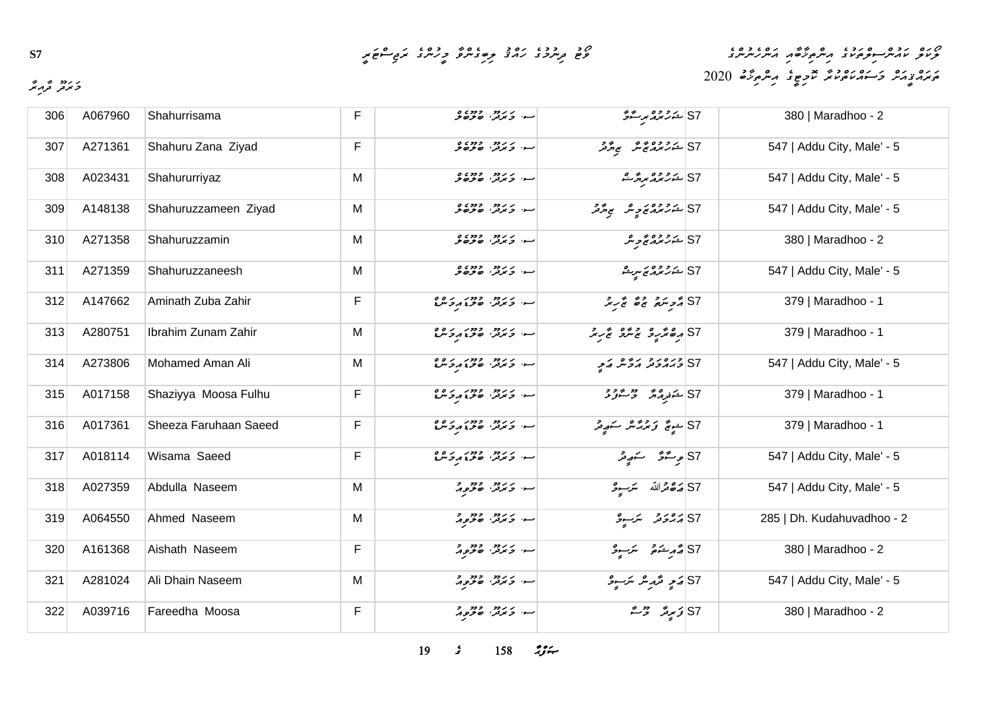*sCw7q7s5w7m< o<n9nOoAw7o< sCq;mAwBoEw7q<m; wBm;vB* م من المرة المرة المرة المرجع المرجع في المركبة 2020<br>مجم*د المريض المربوط المربع المرجع في المراجع المركبة* 

| 306 | A067960 | Shahurrisama          | F | ر ر دو و و و ده<br>سو، و برتر، ن عرف ع     | S7 شەرىمەر مەرسىمى <sup>س</sup>                                                                      | 380   Maradhoo - 2         |
|-----|---------|-----------------------|---|--------------------------------------------|------------------------------------------------------------------------------------------------------|----------------------------|
| 307 | A271361 | Shahuru Zana Ziyad    | F | ر ر دو و و و ده<br>سه و برتر، صوصو         | S7 شەر <i>جەم تەڭ</i> رىم تەر                                                                        | 547   Addu City, Male' - 5 |
| 308 | A023431 | Shahururriyaz         | M | ر ر دو و و و و ه<br>سو، و برتر، ن عرض ع    | S7 شەرىمەد بىر ئەشە                                                                                  | 547   Addu City, Male' - 5 |
| 309 | A148138 | Shahuruzzameen Ziyad  | M | ر ر دو و و و و ه<br>سو، و برتر، ن عرض ع    | S7 ش <i>ەر دەپمى بو</i> گە بىر ئىقلىقلىرى بىر                                                        | 547   Addu City, Male' - 5 |
| 310 | A271358 | Shahuruzzamin         | м | ر ر دو و و و ه<br>سو، و برتر، ھ تو ھ تر    | S7 شەرىم <i>مەنگە ج</i> ىگر                                                                          | 380   Maradhoo - 2         |
| 311 | A271359 | Shahuruzzaneesh       | M | ر ر دو.<br>سه گرمزن گافرگافر               | S7 شەر2 <i>بىرو ت</i> ە س <sub>ى</sub> رىشە                                                          | 547   Addu City, Male' - 5 |
| 312 | A147662 | Aminath Zuba Zahir    | F | ה גנים - כחיג הם ס<br>היי פינטי שיכש וכיות | S7 مُرْحِسَمَةَ نَجْرَةً نَجْرِ بَمْهِ                                                               | 379   Maradhoo - 1         |
| 313 | A280751 | Ibrahim Zunam Zahir   | M | ג צ'ור כמו גםם                             | S7 مەھە <i>ئەر 3 مەنىۋە ت</i> ەرى <i>گە</i>                                                          | 379   Maradhoo - 1         |
| 314 | A273806 | Mohamed Aman Ali      | M | גי בינטי פריד בריי                         | S7 دېم د د د په کامو                                                                                 | 547   Addu City, Male' - 5 |
| 315 | A017158 | Shaziyya Moosa Fulhu  | F | ג צ'ור כמו גםם                             | S7 شەن <i>رە بىر قەسۇرى</i>                                                                          | 379   Maradhoo - 1         |
| 316 | A017361 | Sheeza Faruhaan Saeed | F |                                            | S7 خويج تو پرېژىش سەپ <sub>ر</sub> ىژ                                                                | 379   Maradhoo - 1         |
| 317 | A018114 | Wisama Saeed          | F | ג ציור ברוג נסי                            | S7 موسَّمَرٌ مَسَم <i>وم</i> ُرُ                                                                     | 547   Addu City, Male' - 5 |
| 318 | A027359 | Abdulla Naseem        | M | ג ג'ור כי כל כל ה                          | S7 مَەھْمَراللە مەسوقر                                                                               | 547   Addu City, Male' - 5 |
| 319 | A064550 | Ahmed Naseem          | M |                                            | S7 كەبرى كىلى ئىسرى ئىسرى ئىسرى ئىسرى ئىسرى ئىسرى ئىسرى ئىسرى ئىسرى ئىسرى ئىسرى ئىسرى ئىسرى ئىسرى كە | 285   Dh. Kudahuvadhoo - 2 |
| 320 | A161368 | Aishath Naseem        | F | ג ג'ור כי כל ה                             | S7 مُ مِسْدَمْ سَرَسِرْدُ                                                                            | 380   Maradhoo - 2         |
| 321 | A281024 | Ali Dhain Naseem      | M | גני המוני ברבי ב<br>גיי המוני שיפתח        | S7   كەبىي تۇرىقى تىزىسو 2                                                                           | 547   Addu City, Male' - 5 |
| 322 | A039716 | Fareedha Moosa        | F | ה ג'ודי כיר כ                              | S7 كۆمپەتمە ئەستە                                                                                    | 380   Maradhoo - 2         |

*19 s 158 <i>n*<sub>2</sub> *n*<sub>2</sub> *n*<sub>2</sub> *n*<sub>2</sub> *n*<sub>2</sub> *n*<sub>2</sub> *n*<sub>2</sub> *n*<sub>2</sub> *n*<sub>2</sub> *n*<sub>2</sub> *n*<sub>2</sub> *n*<sub>2</sub> *n*<sub>2</sub> *n*<sub>2</sub> *n*<sub>2</sub> *n*<sub>2</sub> *n*<sub>2</sub> *n*<sub>2</sub> *n*<sub>2</sub> *n*<sub>2</sub> *n*<sub>2</sub> *n*<sub>2</sub> *n*<sub>2</sub> *n*<sub>2</sub> *n*<sub>2</sub> *n*<sub>2</sub> *n*<sub>2</sub> *n*<sub>2</sub> *n*<sub>2</sub> *n*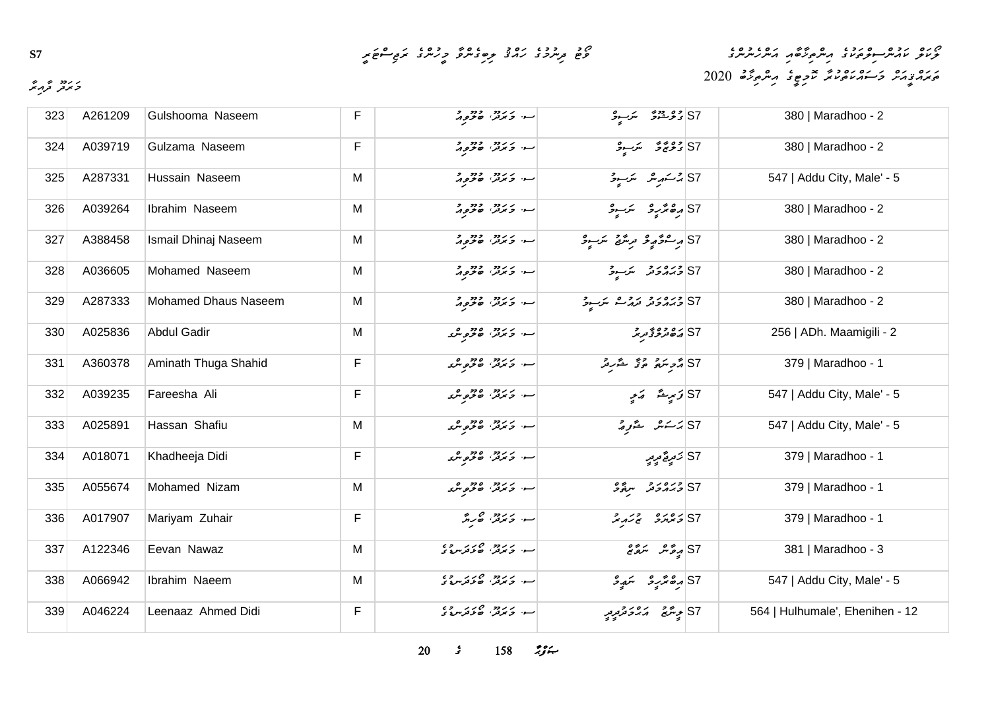*sCw7q7s5w7m< o<n9nOoAw7o< sCq;mAwBoEw7q<m; wBm;vB 2020 q9nOoAw7o< sCpHo>u; n8q;wAm;w<mEm> w6m<pYw<m8mA*

380 | Maradhoo - 2

380 | Maradhoo - 2

547 | Addu City, Male' - 5

380 | Maradhoo - 2

380 | Maradhoo - 2

380 | Maradhoo - 2

380 | Maradhoo - 2

256 | ADh. Maamigili - 2

379 | Maradhoo - 1

547 | Addu City, Male' - 5

547 | Addu City, Male' - 5

379 | Maradhoo - 1

379 | Maradhoo - 1

379 | Maradhoo - 1

381 | Maradhoo - 3

547 | Addu City, Male' - 5

564 | Hulhumale', Ehenihen - 12

| 323 | A261209 | Gulshooma Naseem            | F | سه وبرده ودور                                       |                                             |  |
|-----|---------|-----------------------------|---|-----------------------------------------------------|---------------------------------------------|--|
| 324 | A039719 | Gulzama Naseem              | F | ה ג'ודי כדי כדי<br>ה בינט סיפטו                     | S7 كۇنۇنچ ھەسبى ئى                          |  |
| 325 | A287331 | Hussain Naseem              | M | ה ג'ודי כדי כדי<br>ה בינט סיפטר                     |                                             |  |
| 326 | A039264 | Ibrahim Naseem              | M | ה ג'ודי כדי כדי<br>ה בינט סיפט                      | S7 مەھەر بۇ سىرسو ئىكىنىدىن كىلىن ئىل       |  |
| 327 | A388458 | Ismail Dhinaj Naseem        | M | سه وبرده ودور                                       | S7 <sub>مر</sub> ڪبر چوڻيو په مرسوري        |  |
| 328 | A036605 | Mohamed Naseem              | M | ر در دو دو د<br>سه وبرتر، <i>ه</i> وور              | S7ا <i>\$نەمى تەربى</i> ر                   |  |
| 329 | A287333 | <b>Mohamed Dhaus Naseem</b> | M | سه وبرود وود و                                      | S7 <i>בגר</i> כנ <i>ו</i> נגרי תעיק         |  |
| 330 | A025836 | Abdul Gadir                 | M | ر درود ۵ وو.<br>سه و برتر، ځوگوس                    | S7 كەھ تىرىر تىرىتر                         |  |
| 331 | A360378 | Aminath Thuga Shahid        | F | سه کريږده وده ور                                    | S7 مُ <i>جِ سَمْہُ</i> مُحَمَّ شَمَّ بِعْدِ |  |
| 332 | A039235 | Fareesha Ali                | F | ر درود ۵ وو ۵<br>سه کامرتر، ن <i>خامره مر</i> و     | S7 ترىرىش كەي <sub>چ</sub>                  |  |
| 333 | A025891 | Hassan Shafiu               | M | ر در دو وود ه<br>سه تر بوتر، ن موثو سر <sub>ک</sub> | S7 برسەش ئەتىرە چ                           |  |
| 334 | A018071 | Khadheeja Didi              | F | ر در دو وود ه<br>سه تر بوتر، ن عرو سر               | S7 زَمرِيَّ مرِمرِ                          |  |
| 335 | A055674 | Mohamed Nizam               | M | سه کریږدو ود ور                                     | S7 <i>\$22.25 سِمَّةٌ</i>                   |  |
| 336 | A017907 | Mariyam Zuhair              | F | ے کریں صدر                                          | S7 كومرمرو سي <i>كرم</i> ر                  |  |
| 337 | A122346 | Eevan Nawaz                 | M | سە كەيروم ئەرىر دە ئ                                | S7م پرڅش سرچ ج                              |  |

338 A066942 Ibrahim Naeem M *eguDnwdwLOb ,Udwrwm .s cmIAwn cmIhWrcbia* S7

339 A046224 Leenaaz Ahmed Didi F *eguDnwdwLOb ,Udwrwm .s IdIdudwmcHwa uzWnIl* S7

*20 sC 158 nNw?mS*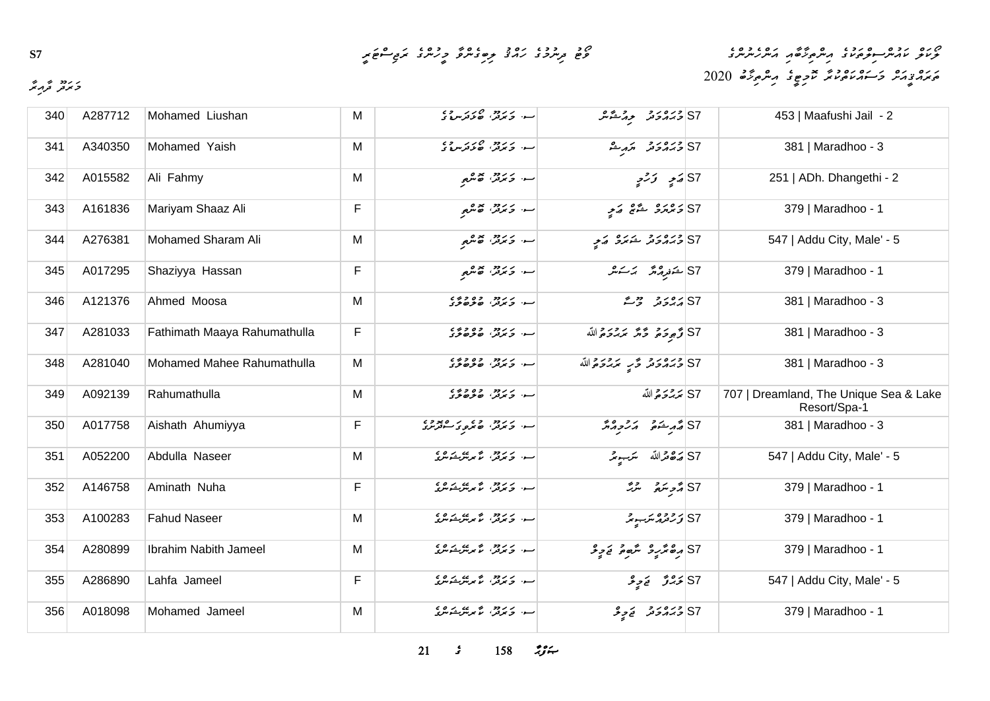*sCw7q7s5w7m< o<n9nOoAw7o< sCq;mAwBoEw7q<m; wBm;vB* م من المرة المرة المرة المرجع المرجع في المركبة 2020<br>مجم*د المريض المربوط المربع المرجع في المراجع المركبة* 

|  | ر ردد به پر<br>د بر تر بر |
|--|---------------------------|
|  |                           |

| 340 | A287712 | Mohamed Liushan              | M           | ر در دود به در ده و د<br>سه کامرتر، گانگرس و د       | S7 دېرمانه مرکز شک                         | 453   Maafushi Jail - 2                                |
|-----|---------|------------------------------|-------------|------------------------------------------------------|--------------------------------------------|--------------------------------------------------------|
| 341 | A340350 | Mohamed Yaish                | M           | سه کردو مرد ده وی                                    | S7 <i>وُبَهُ دَوَ</i> مَهْتُ               | 381   Maradhoo - 3                                     |
| 342 | A015582 | Ali Fahmy                    | M           | سه د ترور به ۵                                       | S7 <i>ڇُجِ وَرُحي</i>                      | 251   ADh. Dhangethi - 2                               |
| 343 | A161836 | Mariyam Shaaz Ali            | $\mathsf F$ |                                                      | S7 كەممىر ئىس قىلىم كەبىر                  | 379   Maradhoo - 1                                     |
| 344 | A276381 | Mohamed Sharam Ali           | M           |                                                      | S7  <i>وټه دو. هغ</i> رو ک <i>ړې</i>       | 547   Addu City, Male' - 5                             |
| 345 | A017295 | Shaziyya Hassan              | $\mathsf F$ | سه د ترور به ۵                                       | S7 ش <i>ە<sub>فر</sub>ۇ بۇ بەسكىل</i>      | 379   Maradhoo - 1                                     |
| 346 | A121376 | Ahmed Moosa                  | M           | ر درود وه وه ده.<br>سه وبرتر، هوهود                  | S7 كەندى قەرىئە                            | 381   Maradhoo - 3                                     |
| 347 | A281033 | Fathimath Maaya Rahumathulla | F           | ر در دو ده ده ده<br>سه کرمرنس ه ژه ژو                | S7 وَج <i>وحده حَمَّد بَرَحْدَ</i> وَاللّه | 381   Maradhoo - 3                                     |
| 348 | A281040 | Mohamed Mahee Rahumathulla   | M           | ر ر دو و و و د پا<br>سه گرمنز، گاهرگاری              | S7 <i>وبروبر و محر بربر و و</i> الله       | 381   Maradhoo - 3                                     |
| 349 | A092139 | Rahumathulla                 | M           | ر در دو ده ده ده<br>سه کرمرنس ه ژه ژو                | S7 بَرَبِّرْ دَمْ اللّه                    | 707   Dreamland, The Unique Sea & Lake<br>Resort/Spa-1 |
| 350 | A017758 | Aishath Ahumiyya             | F           | ر در دو د د د د د د د د د<br>سه و برتر، ه بره د سهرس | S7 مەم شىم مەر <i>مەدە</i>                 | 381   Maradhoo - 3                                     |
| 351 | A052200 | Abdulla Naseer               | M           | سە ئەترىق ئايرىش شەرە ئ                              | S7 كَدَهْ قَدْاللَّهُ مَدَّسِوِيْرَ        | 547   Addu City, Male' - 5                             |
| 352 | A146758 | Aminath Nuha                 | F           | سە كەيرى ئايرىكرىشكەر                                | S7 مُجْرِسَة مِنْدُ                        | 379   Maradhoo - 1                                     |
| 353 | A100283 | <b>Fahud Naseer</b>          | M           | سە كەنزلۇر، ئاپرىتۇشكەندى                            | S7 ۇر <i>قرۇ ئىربى</i> رىگە                | 379   Maradhoo - 1                                     |
| 354 | A280899 | <b>Ibrahim Nabith Jameel</b> | M           | سە كەيرودا ئەيرىكرىشكەر ئ                            | S7 مەھەرىرى ئىھەم ق <sub>ى</sub> رى        | 379   Maradhoo - 1                                     |
| 355 | A286890 | Lahfa Jameel                 | $\mathsf F$ | سە كەيرە ئەيرىكرىشى كەن                              | S7 <i>جَهُرٌ فَج</i> و مُحْ                | 547   Addu City, Male' - 5                             |
| 356 | A018098 | Mohamed Jameel               | M           | سە كەندە ئەرتىرىشىر ئ                                | S7 <i>\$22.25 في ج</i> و                   | 379   Maradhoo - 1                                     |

 $21$  *s*  $158$  *n***<sub>y</sub>**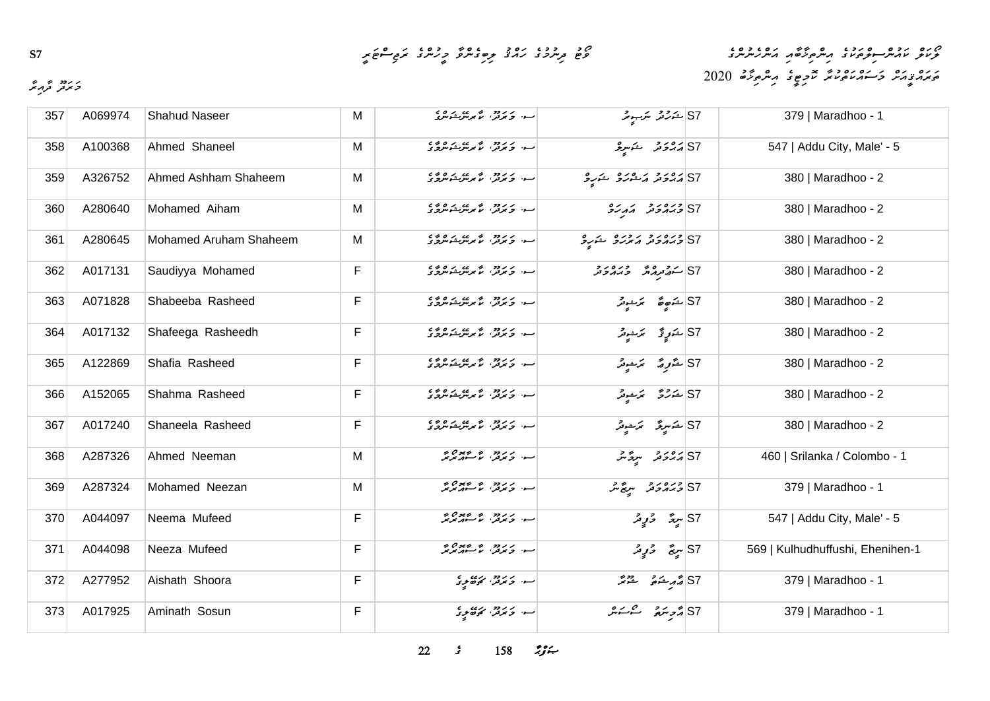*sCw7q7s5w7m< o<n9nOoAw7o< sCq;mAwBoEw7q<m; wBm;vB* م من المرة المرة المرة المرجع المرجع في المركبة 2020<br>مجم*د المريض المربوط المربع المرجع في المراجع المركبة* 

| 357 | A069974 | <b>Shahud Naseer</b>   | M |                                                                                                                                                                                                                                  | S7 ڪرير س <i>رب پر</i>                                                                                    | 379   Maradhoo - 1               |
|-----|---------|------------------------|---|----------------------------------------------------------------------------------------------------------------------------------------------------------------------------------------------------------------------------------|-----------------------------------------------------------------------------------------------------------|----------------------------------|
| 358 | A100368 | Ahmed Shaneel          | M | ر درود. عمر شرعه دره ۶۵<br>سه کارگران گارگریش کرد و                                                                                                                                                                              | S7 كەبرى ئىق سىر ئىق بىر ئىق بىر ئىقتان ئىق ئاستان ئىقتان ئىقتان ئىقتان ئىقتان ئىقتان ئىقتان ئىقتان ئىقتا | 547   Addu City, Male' - 5       |
| 359 | A326752 | Ahmed Ashham Shaheem   | M | ر در دو هم ره ده ده و د و د و د                                                                                                                                                                                                  | S7 <i>בריכ</i> ע בשיכל שנקל                                                                               | 380   Maradhoo - 2               |
| 360 | A280640 | Mohamed Aiham          | M | سە كەيرى ئەيرىكرىشكەر ئ                                                                                                                                                                                                          | $32.72$ $32.23$ ST                                                                                        | 380   Maradhoo - 2               |
| 361 | A280645 | Mohamed Aruham Shaheem | M |                                                                                                                                                                                                                                  | S7 وبروبر وبروره خربره                                                                                    | 380   Maradhoo - 2               |
| 362 | A017131 | Saudiyya Mohamed       | F | ر درود. عمر شرعه دره ۶۵<br>سه کارگران گارگریش کرد و                                                                                                                                                                              | S7 המתחת כהחכת                                                                                            | 380   Maradhoo - 2               |
| 363 | A071828 | Shabeeba Rasheed       | F | ر در دو هم ره ده ده و د و د و د                                                                                                                                                                                                  | S7 شَهِرَّةٌ مَرْشِيْتُر                                                                                  | 380   Maradhoo - 2               |
| 364 | A017132 | Shafeega Rasheedh      | F | ر برود. ه پرس ده و د د<br>پ د برون گاپرش سرد د                                                                                                                                                                                   | S7 ڪوڀڙ - مَرَڪومَر                                                                                       | 380   Maradhoo - 2               |
| 365 | A122869 | Shafia Rasheed         | F | ر درود. عمر شرعه دره ۶۵<br>سه کارگران گارگریش کرد و                                                                                                                                                                              | S7 ڪ <i>ُورگ مَرَڪون</i> گر                                                                               | 380   Maradhoo - 2               |
| 366 | A152065 | Shahma Rasheed         | F | ر برود.<br>سه و برتر، نا برش شرسی بروی                                                                                                                                                                                           | S7 ش <i>ەرقى مۇ</i> س <sub>و</sub> تر                                                                     | 380   Maradhoo - 2               |
| 367 | A017240 | Shaneela Rasheed       | F | ر بەرەدە<br>سەس ئەيرىل، ئامەرىكرىشكەنلەرنى                                                                                                                                                                                       | S7 ڪسريگر کرھيون <i>گر</i>                                                                                | 380   Maradhoo - 2               |
| 368 | A287326 | Ahmed Neeman           | M |                                                                                                                                                                                                                                  | S7 كەبرى قىر سىرتىگىز                                                                                     | 460   Srilanka / Colombo - 1     |
| 369 | A287324 | Mohamed Neezan         | M |                                                                                                                                                                                                                                  | S7 <i>ڈیزو ڈی سرچ مٹر</i>                                                                                 | 379   Maradhoo - 1               |
| 370 | A044097 | Neema Mufeed           | F | سه کردو ه میده                                                                                                                                                                                                                   |                                                                                                           | 547   Addu City, Male' - 5       |
| 371 | A044098 | Neeza Mufeed           | F | ה צ'וד מידור מידור מידור מידור מידור מידור מידור מידור מידור מידור מידור מידור מידור מידור מידור מידור מידור מ<br>היידור מידור מידור מידור מידור מידור מידור מידור מידור מידור מידור מידור מידור מידור מידור מידור מידור מידור מ |                                                                                                           | 569   Kulhudhuffushi, Ehenihen-1 |
| 372 | A277952 | Aishath Shoora         | F | سه کردو دی د                                                                                                                                                                                                                     | S7 مەم شىم ھەتىمە                                                                                         | 379   Maradhoo - 1               |
| 373 | A017925 | Aminath Sosun          | F | سه کريږي ري ځ                                                                                                                                                                                                                    | S7 أَمُّ حِسَمَةٌ مُسْتَمَسُّر                                                                            | 379   Maradhoo - 1               |

 $22$  *s*  $158$   $23$   $\div$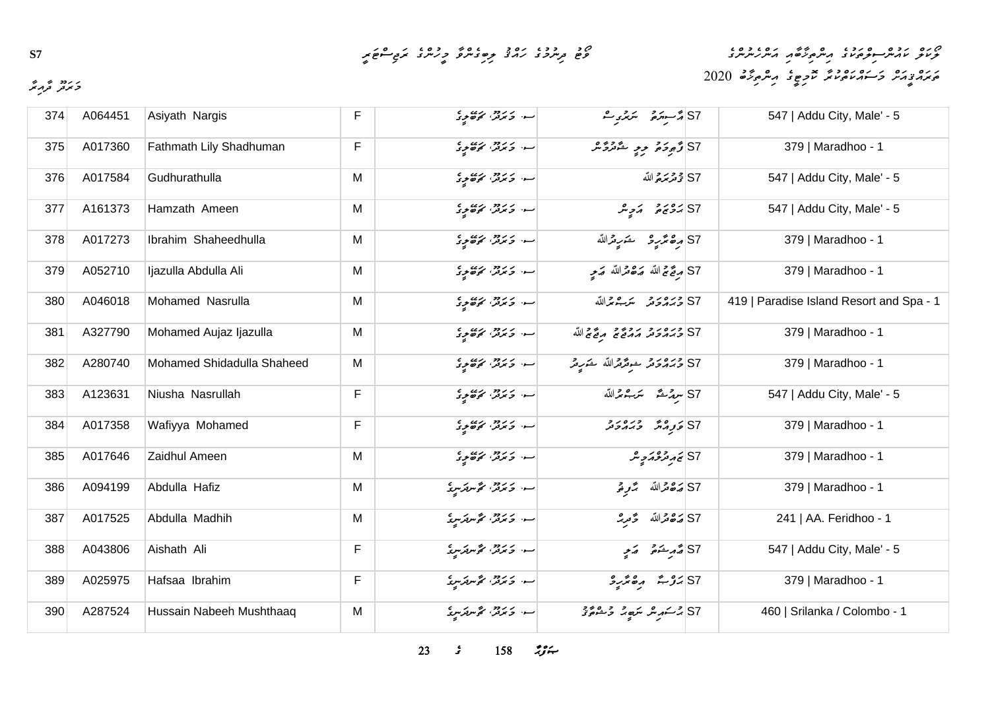*sCw7q7s5w7m< o<n9nOoAw7o< sCq;mAwBoEw7q<m; wBm;vB* م من المرة المرة المرة المرجع المرجع في المركبة 2020<br>مجم*د المريض المربوط المربع المرجع في المراجع المركبة* 

| 374 | A064451 | Asiyath Nargis             | F            | ے دیور ہے۔          | S7 م <i>جھ سرم مرکز</i> یہ کے ا                   | 547   Addu City, Male' - 5               |
|-----|---------|----------------------------|--------------|---------------------|---------------------------------------------------|------------------------------------------|
| 375 | A017360 | Fathmath Lily Shadhuman    | F            | - دردو ري د         | S7 <i>وَّجِودَة وِوِ حَمَّودَ</i> مَّر            | 379   Maradhoo - 1                       |
| 376 | A017584 | Gudhurathulla              | M            | ر دردو دره د        | S7 تَوْمَرْ يَرْمَّ اللَّه                        | 547   Addu City, Male' - 5               |
| 377 | A161373 | Hamzath Ameen              | M            | ر دردو دره د        | S7 بَرْدَى بِيْرِ مَرْحِيْرٌ                      | 547   Addu City, Male' - 5               |
| 378 | A017273 | Ibrahim Shaheedhulla       | M            | - دردو دن و         | S7 م <i>وڭ مگرچ</i> و سىمپىتىراللە                | 379   Maradhoo - 1                       |
| 379 | A052710 | ljazulla Abdulla Ali       | M            | - دردو دن و         | S7 مِنْ تَمْ يَاللّه   مَرْهُ قَرْاللّه    مَدْحِ | 379   Maradhoo - 1                       |
| 380 | A046018 | Mohamed Nasrulla           | M            | - دردو ري د         | S7 3225 مركز مركز الله                            | 419   Paradise Island Resort and Spa - 1 |
| 381 | A327790 | Mohamed Aujaz Ijazulla     | M            | - دېرو دي،          | S7 <i>وبروبر وبروبو وبيرة</i> الله                | 379   Maradhoo - 1                       |
| 382 | A280740 | Mohamed Shidadulla Shaheed | M            | - دردو دن و         | S7 <i>وبروبر و به وترتر</i> الله خربرتر           | 379   Maradhoo - 1                       |
| 383 | A123631 | Niusha Nasrullah           | F            | - دردو ري د         | S7سرترشته تتربحتمة الله                           | 547   Addu City, Male' - 5               |
| 384 | A017358 | Wafiyya Mohamed            | $\mathsf{F}$ | ر دردو دره د        | S7 كوپرېژ د دره د د                               | 379   Maradhoo - 1                       |
| 385 | A017646 | Zaidhul Ameen              | M            | ر دردو دره د        | S7 ئ <i>ے پر فرگرم چ</i> یگر                      | 379   Maradhoo - 1                       |
| 386 | A094199 | Abdulla Hafiz              | M            | ے کر مردد گرستگر سر | S7 مَەھىراللە مەم <sub>و</sub> مۇ                 | 379   Maradhoo - 1                       |
| 387 | A017525 | Abdulla Madhih             | M            | ے کر مردد گر سر مرس | S7 مَەھىراللە دۇمەير                              | 241   AA. Feridhoo - 1                   |
| 388 | A043806 | Aishath Ali                | F            | ے کروڑ گھریکرمری    | S7 مەم شىم مىم                                    | 547   Addu City, Male' - 5               |
| 389 | A025975 | Hafsaa Ibrahim             | $\mathsf F$  | ے۔ ویری گھریرسی     | S7 ئەۋىبە مەھم <i>ەر</i> د                        | 379   Maradhoo - 1                       |
| 390 | A287524 | Hussain Nabeeh Mushthaaq   | M            | ے کروڑ گھریکرمری    | S7 يُرْسَمُ مِنْ مَنْ مِنْ يَحْسُوُنَ             | 460   Srilanka / Colombo - 1             |

*n8o<n@ r@m8m>*

**23** *s* **158** *n***<sub>s</sub>***n***<sub>s</sub>**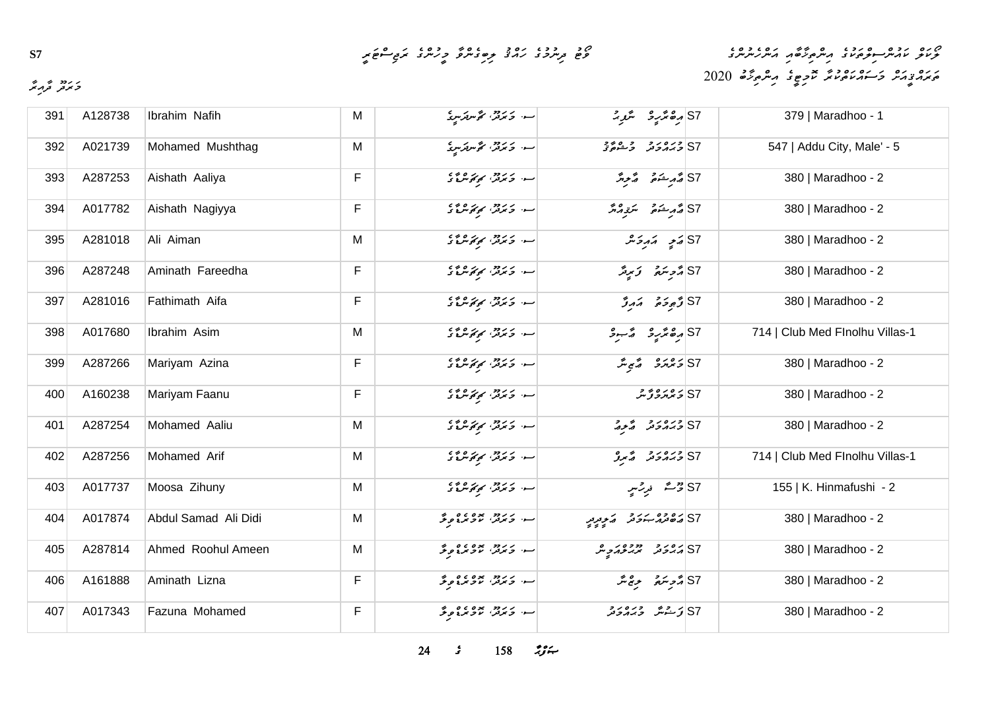*sCw7q7s5w7m< o<n9nOoAw7o< sCq;mAwBoEw7q<m; wBm;vB* م من المرة المرة المرة المرجع المرجع في المركبة 2020<br>مجم*د المريض المربوط المربع المرجع في المراجع المركبة* 

| 391 | A128738 | Ibrahim Nafih        | M | ے ویری گھریز سرتے                        | S7 مەھەر بول سى <i>رى</i> ر            | 379   Maradhoo - 1              |
|-----|---------|----------------------|---|------------------------------------------|----------------------------------------|---------------------------------|
| 392 | A021739 | Mohamed Mushthag     | M | - درود گاروند                            | S7 دره در د ده دو                      | 547   Addu City, Male' - 5      |
| 393 | A287253 | Aishath Aaliya       | F |                                          | S7 مەم شىم ئەر                         | 380   Maradhoo - 2              |
| 394 | A017782 | Aishath Nagiyya      | F | سه و بردو کانگاره و د                    | S7 مەم ئىكتىم ئىستى <i>دە ئىگ</i>      | 380   Maradhoo - 2              |
| 395 | A281018 | Ali Aiman            | M | سه کرسردو کوکرسره می                     | S7 <i>مَيْ مَهْ</i> حَسْ               | 380   Maradhoo - 2              |
| 396 | A287248 | Aminath Fareedha     | F | سه کرمردد کالمحامره دی                   | S7 مَّ <i>جِ سَمَّة وَ م</i> ِيتَر     | 380   Maradhoo - 2              |
| 397 | A281016 | Fathimath Aifa       | F | سه ورده کمکانون و                        | S7 زَّەپ ئە مَەر زَ                    | 380   Maradhoo - 2              |
| 398 | A017680 | Ibrahim Asim         | M | سه کرمردد کالگاه کار                     | S7 مەھم <i>گى</i> ر قىلىدۇ             | 714   Club Med Flnolhu Villas-1 |
| 399 | A287266 | Mariyam Azina        | F | سه کرمردد کالگاه کار                     | S7 كەممەر 2 ھ. م. م. م. 19 كىلى بىر ئا | 380   Maradhoo - 2              |
| 400 | A160238 | Mariyam Faanu        | F | ر درود کارگاه ده د                       | S7 ئەبر <i>مەدە</i> ۋىتر               | 380   Maradhoo - 2              |
| 401 | A287254 | Mohamed Aaliu        | M | - وبردد کالاسی و                         | S7 <i>جەنگە جۇ شىرقى</i>               | 380   Maradhoo - 2              |
| 402 | A287256 | Mohamed Arif         | M | - درود کانگره وی                         | S7 <i>22222 مجبرو</i>                  | 714   Club Med Flnolhu Villas-1 |
| 403 | A017737 | Moosa Zihuny         | M | - وبردو کالمحامدة و                      | S7 ترمشے پرشیر                         | 155   K. Hinmafushi - 2         |
| 404 | A017874 | Abdul Samad Ali Didi | M | ر درود بره ده و و و                      |                                        | 380   Maradhoo - 2              |
| 405 | A287814 | Ahmed Roohul Ameen   | M | ر درود بره ده و و مح                     | S7 <i>ג' دو دوه وروپر</i>              | 380   Maradhoo - 2              |
| 406 | A161888 | Aminath Lizna        | F | په درود پوه ده وگ                        | S7 مُرْحِسَمُ مِنْ مُرَّ               | 380   Maradhoo - 2              |
| 407 | A017343 | Fazuna Mohamed       | F | ر دردو بره ۵۷۵۵<br>سه کابولو، ۱۶۶۷ کونگر | S7 ۇشقىر بەيرە بەر                     | 380   Maradhoo - 2              |

*24 sC 158 nNw?mS*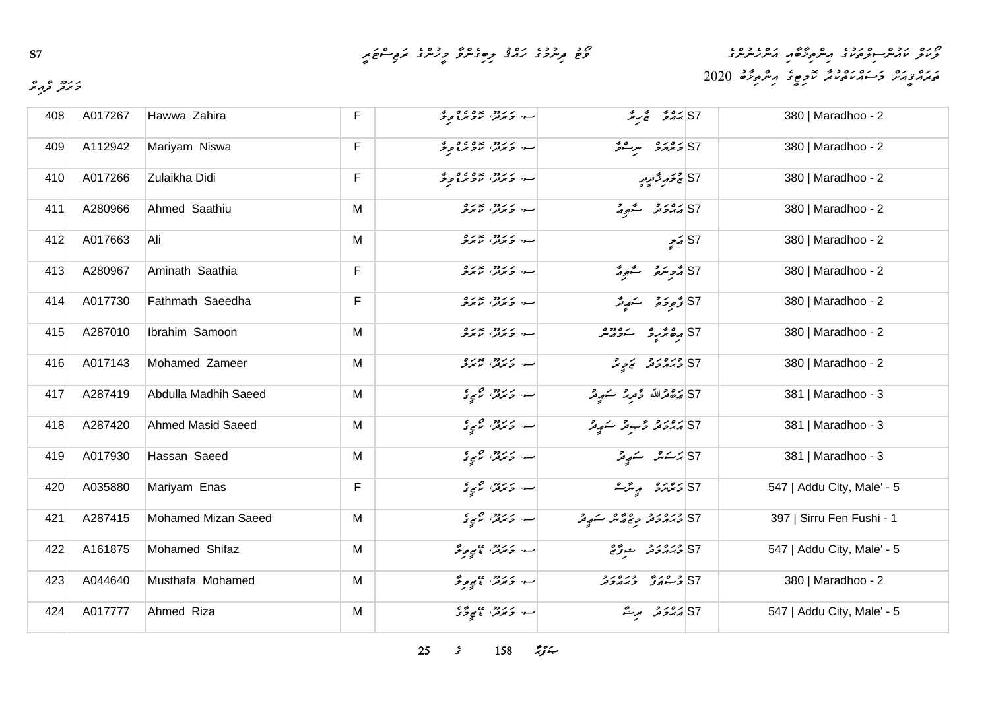*sCw7q7s5w7m< o<n9nOoAw7o< sCq;mAwBoEw7q<m; wBm;vB* م من المرة المرة المرة المرجع المرجع في المركبة 2020<br>مجم*د المريض المربوط المربع المرجع في المراجع المركبة* 

|  | シーショコンシ        |
|--|----------------|
|  | و مرتز تربر مر |
|  |                |

| 408 | A017267 | Hawwa Zahira               | $\mathsf F$ | سه کرده بره ده و                  | S7 ئەم ئىق ئىم ئىقىدى ئىق                       | 380   Maradhoo - 2         |
|-----|---------|----------------------------|-------------|-----------------------------------|-------------------------------------------------|----------------------------|
| 409 | A112942 | Mariyam Niswa              | $\mathsf F$ | سە كەندىق بوە دە ئ                | S7 كەمەر ئەس سەرسىمى                            | 380   Maradhoo - 2         |
| 410 | A017266 | Zulaikha Didi              | $\mathsf F$ | ر درود بروره و د                  | S7 جُ تَحمِر شَّعرِ مِر                         | 380   Maradhoo - 2         |
| 411 | A280966 | Ahmed Saathiu              | M           | سه کرده بوره                      | S7 كەبرى ئىق سى <i>مبور</i>                     | 380   Maradhoo - 2         |
| 412 | A017663 | Ali                        | M           | سە كەيرى بىر بور كە               | S7 ڪچيو                                         | 380   Maradhoo - 2         |
| 413 | A280967 | Aminath Saathia            | F           | سە كەندە بىرىرە                   | S7 مُرْحِبَهُ مُسْجَوِمُّ                       | 380   Maradhoo - 2         |
| 414 | A017730 | Fathmath Saeedha           | $\mathsf F$ | سه کرېږده. موږدو                  | S7 زَّجِرْدَةُ مَسَيِّرَةُ                      | 380   Maradhoo - 2         |
| 415 | A287010 | Ibrahim Samoon             | M           | سه کردو بوره<br>سه کابرتر، لابرتر | S7 مەھمگرىق سىۋە مەھ                            | 380   Maradhoo - 2         |
| 416 | A017143 | Mohamed Zameer             | M           | سه کردو بوره<br>سه کابرتر، لابرتر | S7 <i>\$ \$ \$ \$ 50.07</i>                     | 380   Maradhoo - 2         |
| 417 | A287419 | Abdulla Madhih Saeed       | M           | سە ئەندىق ئىيى                    | S7 كەھەراللە دۇمەر ئىسكىر قىر                   | 381   Maradhoo - 3         |
| 418 | A287420 | <b>Ahmed Masid Saeed</b>   | M           | سە ئەندىق ئىيى                    | S7 كەندى تەر ئەر ئىس كىرى كىرى ئىشتىر بىر       | 381   Maradhoo - 3         |
| 419 | A017930 | Hassan Saeed               | M           | سە ئەترىق ئىي ئى                  | S7 پرسکا سکھیاتی ا                              | 381   Maradhoo - 3         |
| 420 | A035880 | Mariyam Enas               | F           | سە ئەترىق ئىي ئى                  | S7 <i>و بر مر ش</i> ر میں استراب اللہ اس اللہ ا | 547   Addu City, Male' - 5 |
| 421 | A287415 | <b>Mohamed Mizan Saeed</b> | M           | سە ئەندىق ئىيى                    | S7 دېم دې د موگه شور تر                         | 397   Sirru Fen Fushi - 1  |
| 422 | A161875 | Mohamed Shifaz             | M           | سە خىرىق ، ئام بوڭر               | S7 <i>ۇرۇدۇر خوڭ غ</i>                          | 547   Addu City, Male' - 5 |
| 423 | A044640 | Musthafa Mohamed           | M           | سە خىرىق ، ئام بوڭر               | S7 ژوپوژ درورو                                  | 380   Maradhoo - 2         |
| 424 | A017777 | Ahmed Riza                 | M           | سه زېږده په ده و                  | S7 كەش <sup>ى</sup> رىقى مېرىتق                 | 547   Addu City, Male' - 5 |

*25 sC 158 nNw?mS*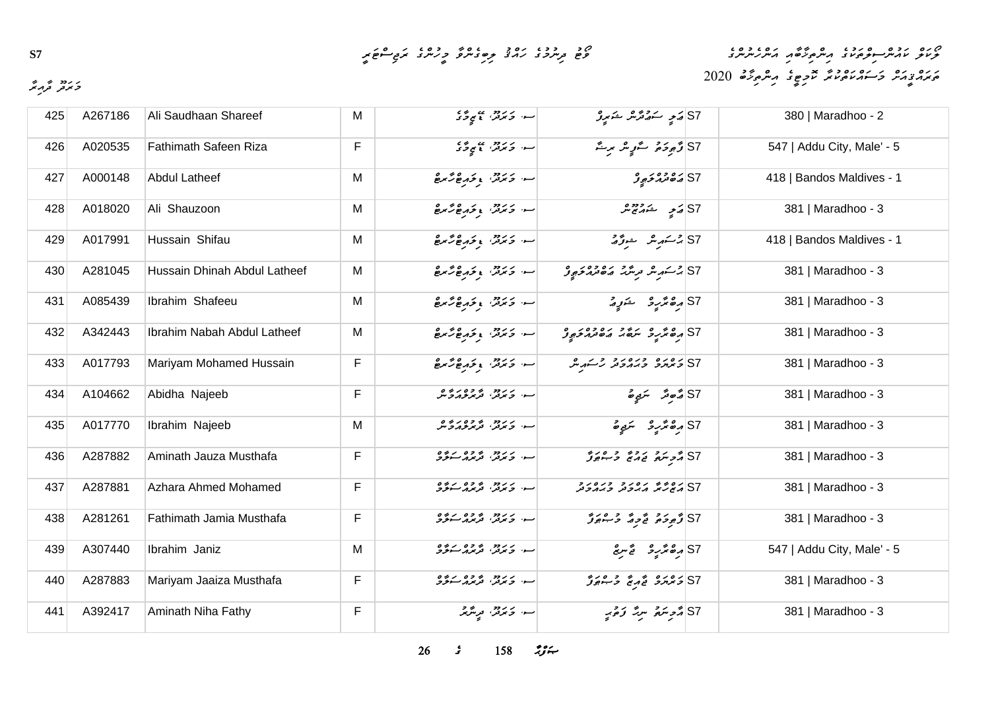*sCw7q7s5w7m< o<n9nOoAw7o< sCq;mAwBoEw7q<m; wBm;vB* م من المرة المرة المرة المرجع المرجع في المركبة 2020<br>مجم*د المريض المربوط المربع المرجع في المراجع المركبة* 

| 425 | A267186 | Ali Saudhaan Shareef         | M           | سە ئەترىق، ئاينى ئەتى                                                                                                            | S7 <i>۾َ جِ ڪَهُ</i> تُرُمُّر ڪَمِرِيُّ         | 380   Maradhoo - 2         |
|-----|---------|------------------------------|-------------|----------------------------------------------------------------------------------------------------------------------------------|-------------------------------------------------|----------------------------|
| 426 | A020535 | <b>Fathimath Safeen Riza</b> | $\mathsf F$ | ب كەندىق ، ئام ئالا                                                                                                              | S7 <i>وُّجِ وَحَمْ</i> کُوپِسْ مِتَّ            | 547   Addu City, Male' - 5 |
| 427 | A000148 | <b>Abdul Latheef</b>         | M           | سوا كالردون وكرما والمراج                                                                                                        | S7 كەھىر <i>مەخبو</i> ئ                         | 418   Bandos Maldives - 1  |
| 428 | A018020 | Ali Shauzoon                 | M           | سو كالردو وكروه محمدها                                                                                                           | S7 <i>ھَ جِي شُمَّدَيْ مَرَّ</i>                | 381   Maradhoo - 3         |
| 429 | A017991 | Hussain Shifau               | M           | $\left  \begin{array}{cc} \mathcal{L}_{\mathcal{A}} & \mathcal{L}_{\mathcal{A}} & \mathcal{L}_{\mathcal{A}} \end{array} \right $ | S7 پر سمبر شو <i>ژه</i> ٔ                       | 418   Bandos Maldives - 1  |
| 430 | A281045 | Hussain Dhinah Abdul Latheef | M           | سوالمردود وترما ومراجع                                                                                                           | S7 پُرڪر سُر ٿر سُر ۾ صحد مشروع پو              | 381   Maradhoo - 3         |
| 431 | A085439 | Ibrahim Shafeeu              | M           | سوا وترقرا وترما ومراجع                                                                                                          | S7 مەھەردى ھەركە                                | 381   Maradhoo - 3         |
| 432 | A342443 | Ibrahim Nabah Abdul Latheef  | M           | سوا و مركز و مركز و محمد مركز مركز                                                                                               | S7 رەش 3 سەنج بەرەر ب                           | 381   Maradhoo - 3         |
| 433 | A017793 | Mariyam Mohamed Hussain      | F           | - وَمَرْتَرٌ وَمُرَمَّعٌ مُرْمَعٌ                                                                                                | S7 زەرە درەرد دىكەر                             | 381   Maradhoo - 3         |
| 434 | A104662 | Abidha Najeeb                | F           | ر در دور دوروه<br>پ کرکن تربر درگ                                                                                                | S7 مُتَّرُّمَّةٌ مَتَّبِيٍّةٌ مُ                | 381   Maradhoo - 3         |
| 435 | A017770 | Ibrahim Najeeb               | M           | ر در در در دور ده<br>سر کرده، تربر درگ                                                                                           | S7 م <i>ەھترى</i> ئىس <i>مەغ</i>                | 381   Maradhoo - 3         |
| 436 | A287882 | Aminath Jauza Musthafa       | $\mathsf F$ | ر درود. ۱۵۶۶ وروه<br>سه و ترتز، ترتدر سورو                                                                                       | S7 جُمْعِ سَمْعَ حَسِبُ وَمَسْتَمَرَّزُ         | 381   Maradhoo - 3         |
| 437 | A287881 | Azhara Ahmed Mohamed         | $\mathsf F$ | ر در در در ده در ده<br>را د ترکز، ترکرد سوگر                                                                                     | S7 روم پر مرد در در در د                        | 381   Maradhoo - 3         |
| 438 | A281261 | Fathimath Jamia Musthafa     | F           | ر در دو ده ده در ده<br>ر در ترتر، تربر پرسور                                                                                     | S7 ژ <sub>نجو</sub> دۇ ق <sub>ە</sub> دۇ دېمبۇر | 381   Maradhoo - 3         |
| 439 | A307440 | Ibrahim Janiz                | M           | ر در در در ده در ده<br>ر در کارگران کربر ۱۳۶۸ سورتر                                                                              | S7 م <i>ەھترى</i> دۇ ق <sup>ى</sup> س&          | 547   Addu City, Male' - 5 |
| 440 | A287883 | Mariyam Jaaiza Musthafa      | $\mathsf F$ | ر درود. در ده در ده<br>سه و ترتر، ترتدبر سوژو                                                                                    | S7 كەنگەر قەرىخ كەسىر ئوق                       | 381   Maradhoo - 3         |
| 441 | A392417 | Aminath Niha Fathy           | F           | ے کا ترکز مریگر                                                                                                                  | S7 مُرْحِ سَمَعُ سِرَبُّهُ وَحَدِيبِ            | 381   Maradhoo - 3         |

 $26$  *s*  $158$  *n***<sub>y</sub>**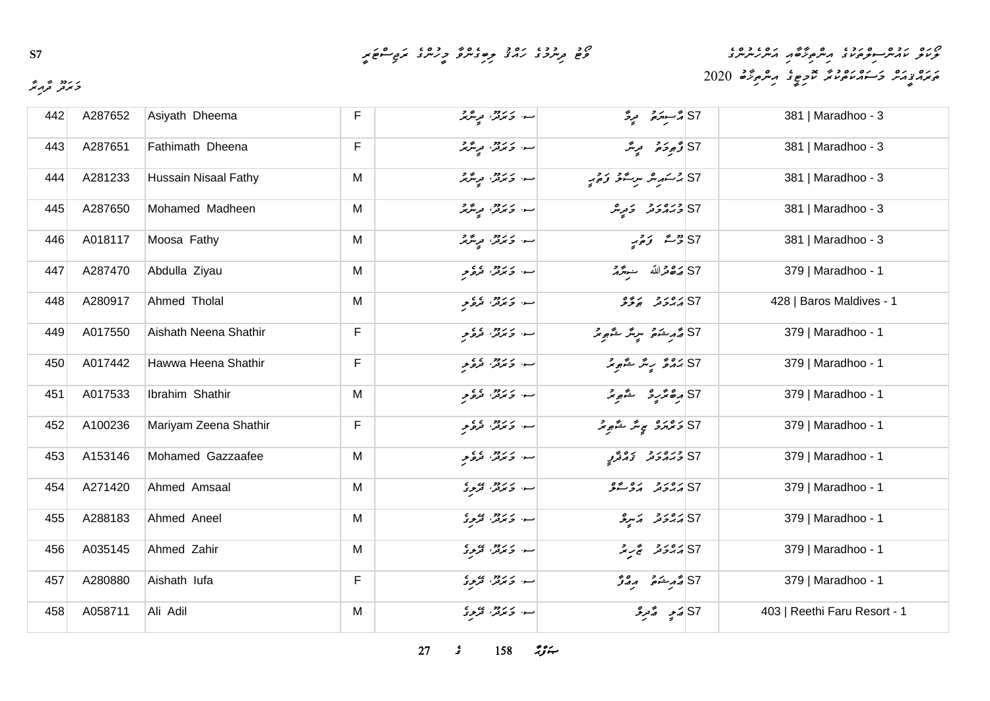*sCw7q7s5w7m< o<n9nOoAw7o< sCq;mAwBoEw7q<m; wBm;vB* م من المرة المرة المرة المرجع المرجع في المركبة 2020<br>مجم*د المريض المربوط المربع المرجع في المراجع المركبة* 

| 442 | A287652 | Asiyath Dheema              | $\mathsf F$ | ے دیکھر، مریگریز        | S7 م <i>ەسىرىنى</i> م <sub>و</sub> ىخ    | 381   Maradhoo - 3           |
|-----|---------|-----------------------------|-------------|-------------------------|------------------------------------------|------------------------------|
| 443 | A287651 | Fathimath Dheena            | F           |                         | S7 <i>وَّجِ جَ</i> هُمْ مِيسَّر          | 381   Maradhoo - 3           |
| 444 | A281233 | <b>Hussain Nisaal Fathy</b> | M           | ساء الا كارتش الإسرائيل | S7 يُرْسَمُ مِيْنَ مِنْ مِنْ وَحْرَبِهِ  | 381   Maradhoo - 3           |
| 445 | A287650 | Mohamed Madheen             | M           | سە ئەتكەنى قرىترىمى     | S7 <i>دېمم</i> وتر کېږمر                 | 381   Maradhoo - 3           |
| 446 | A018117 | Moosa Fathy                 | M           | سا ئە ئەرەر ئەر ئەر     | S7 چې ئەھمىيە                            | 381   Maradhoo - 3           |
| 447 | A287470 | Abdulla Ziyau               | M           | ے کا ترین تروکو         | S7 مَرْحَمْرَاللَّهُ بِ مُرَّمَّر        | 379   Maradhoo - 1           |
| 448 | A280917 | Ahmed Tholal                | M           | سەس ئەترىق تىرەنجە      | S7 <i>2222 بروگر</i>                     | 428   Baros Maldives - 1     |
| 449 | A017550 | Aishath Neena Shathir       | $\mathsf F$ | ے کے بروژہ تروی         | S7 مَ <i>ذہ شَہوَ سِرِیئُر شَہْوِیمْ</i> | 379   Maradhoo - 1           |
| 450 | A017442 | Hawwa Heena Shathir         | F           | سەسىمەتىرى تۈرۈپ        | S7 <i>بَهُرُوَّ بِ</i> سَّ حُبُّمِ بُرُ  | 379   Maradhoo - 1           |
| 451 | A017533 | Ibrahim Shathir             | M           | سەسىمەتىرى تۈرۈپچە      | S7 بر <i>ەنگرى</i> ئىسقى <i>م</i> ىر     | 379   Maradhoo - 1           |
| 452 | A100236 | Mariyam Zeena Shathir       | $\mathsf F$ | سە ئەترىق ترەپچ         | S7 كەنگەر ئ <sup>ى</sup> ر ئىگە ئېرىرگە  | 379   Maradhoo - 1           |
| 453 | A153146 | Mohamed Gazzaafee           | M           | سە ئەترىق ترەپى         | S7 <i>ۋرەد ۋە ۋەۋر</i>                   | 379   Maradhoo - 1           |
| 454 | A271420 | Ahmed Amsaal                | M           | ے کے برقز، ترجری        | S7 <i>הُגُכ</i> تر <i>הَ</i> وْسُوْ      | 379   Maradhoo - 1           |
| 455 | A288183 | Ahmed Aneel                 | M           | سە كەنتىرى تۈرى         | S7 <i>גُ.2 دَ تَرْ بِرِيوْ</i>           | 379   Maradhoo - 1           |
| 456 | A035145 | Ahmed Zahir                 | M           | ے کے ترقراء ترج         | S7 كەندى قىلى ئىلىمىتى ئىل               | 379   Maradhoo - 1           |
| 457 | A280880 | Aishath lufa                | F           | سەس ئەترىق ئىزىجەتى     | S7 مەم شىم مەم <i>ۇ</i> ر                | 379   Maradhoo - 1           |
| 458 | A058711 | Ali Adil                    | M           | سە كەنتىرى ترىپى        | S7 <i>۾َ ۾ ۾ تو</i> پڙ                   | 403   Reethi Faru Resort - 1 |

*27 sC 158 nNw?mS*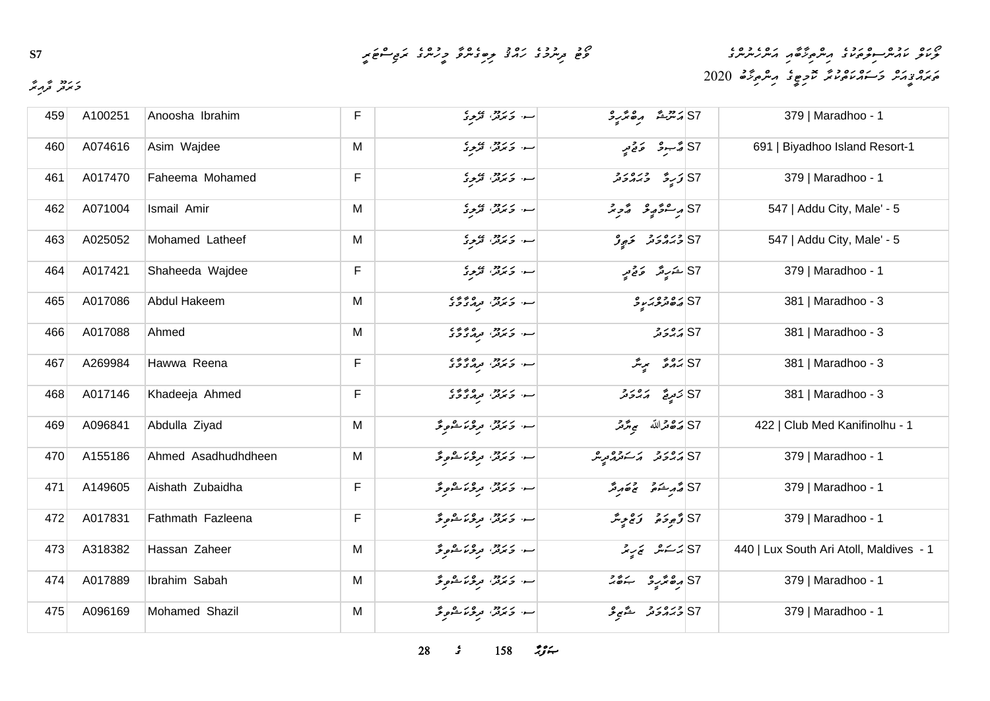*sCw7q7s5w7m< o<n9nOoAw7o< sCq;mAwBoEw7q<m; wBm;vB* م من المرة المرة المرة المرجع المرجع في المركبة 2020<br>مجم*د المريض المربوط المربع المرجع في المراجع المركبة* 

|  | シーショコンシ           |
|--|-------------------|
|  | فريمرفر اقرار بمر |

| 459 | A100251 | Anoosha Ibrahim     | F            | سه کامروه ده و                | S7 كەنترىش م <i>ەھت</i> رىي <sup>ى</sup> | 379   Maradhoo - 1                      |
|-----|---------|---------------------|--------------|-------------------------------|------------------------------------------|-----------------------------------------|
| 460 | A074616 | Asim Wajdee         | M            | سە كەنزلىق تۈركى              | S7 ۾ُ سوءُ گھ <i>قو</i>                  | 691   Biyadhoo Island Resort-1          |
| 461 | A017470 | Faheema Mohamed     | $\mathsf F$  | سەس ئەترىق ئىزىرى             | S7 ۇرِ <i>ۋېرو دى</i> ر                  | 379   Maradhoo - 1                      |
| 462 | A071004 | Ismail Amir         | M            | ے کے ترقرا قرمزی              | S7 م <i>ېشۇمۇھەممى</i> ر                 | 547   Addu City, Male' - 5              |
| 463 | A025052 | Mohamed Latheef     | M            | سە كەنزلىق ئەمرى              | S7 <i>جەمەدەر خې</i> رۇ                  | 547   Addu City, Male' - 5              |
| 464 | A017421 | Shaheeda Wajdee     | $\mathsf F$  | سە كەنزلىق تۈركى              | S7 ڪرپٽر گر <i>قو</i> پر                 | 379   Maradhoo - 1                      |
| 465 | A017086 | Abdul Hakeem        | M            | ر دردو.<br>سه وبرتر، تربری وی | S7 مەھىر <i>ئەدى</i> ر ۋ                 | 381   Maradhoo - 3                      |
| 466 | A017088 | Ahmed               | M            | ر دردو.<br>سه وبرتر، تربری وی | S7 پروژنو                                | 381   Maradhoo - 3                      |
| 467 | A269984 | Hawwa Reena         | F            | ر در دو.<br>پ ویژنس ترمروی    | S7 <i>يَدُوُدُ</i> - سِتَر               | 381   Maradhoo - 3                      |
| 468 | A017146 | Khadeeja Ahmed      | $\mathsf{F}$ | ر درود.<br>سه وبوتر، تورد دود |                                          | 381   Maradhoo - 3                      |
| 469 | A096841 | Abdulla Ziyad       | M            | - ئەترىق بېرىمىشورگە          | S7 مَەھىراللە بىرمَّدىر                  | 422   Club Med Kanifinolhu - 1          |
| 470 | A155186 | Ahmed Asadhudhdheen | M            | - دىروم مرورى شورتى           | S7 <i>גُرُو د مُ</i> سَعْدِ مُعِيش       | 379   Maradhoo - 1                      |
| 471 | A149605 | Aishath Zubaidha    | F            | - ئەترىق بېرىمىشورگە          | S7 مەم ئىق ئەھەر قىر                     | 379   Maradhoo - 1                      |
| 472 | A017831 | Fathmath Fazleena   | $\mathsf F$  | - ئەترىق بېرىمىشورگە          | S7 ۇ <sub>ج</sub> وخۇ   ئۇغ يەنگە        | 379   Maradhoo - 1                      |
| 473 | A318382 | Hassan Zaheer       | M            | ىسە كەندىق موگەنگىمۇ گ        | S7   پرسته س <i>ي بي</i> تر              | 440   Lux South Ari Atoll, Maldives - 1 |
| 474 | A017889 | Ibrahim Sabah       | M            | - دىگە مەمەم ئەرە             | $282.$ $22.8$                            | 379   Maradhoo - 1                      |
| 475 | A096169 | Mohamed Shazil      | M            | ب، ئەيرىن مەدىمىشوڭ           | S7 <i>ۇنەم دۇر</i> ش <i>ەپ ۋ</i>         | 379   Maradhoo - 1                      |

*28 sC 158 nNw?mS*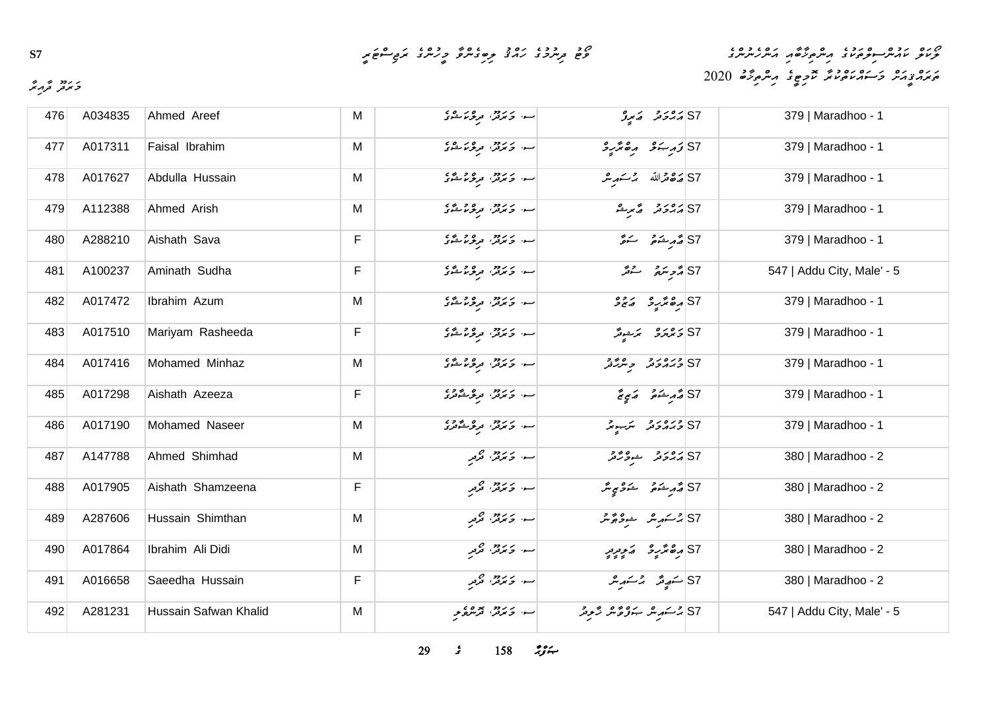*sCw7q7s5w7m< o<n9nOoAw7o< sCq;mAwBoEw7q<m; wBm;vB* م من المرة المرة المرة المرجع المرجع في المركبة 2020<br>مجم*د المريض المربوط المربع المرجع في المراجع المركبة* 

| 476 | A034835 | Ahmed Areef           | M           | سه وبردو الرحمن والم                                    | S7 كەندى قىم كەيدى                                                                                   | 379   Maradhoo - 1         |
|-----|---------|-----------------------|-------------|---------------------------------------------------------|------------------------------------------------------------------------------------------------------|----------------------------|
| 477 | A017311 | Faisal Ibrahim        | M           | سه وبردو مرور و ،                                       | S7 زَەبىنۇ مەھمەر ۋ                                                                                  | 379   Maradhoo - 1         |
| 478 | A017627 | Abdulla Hussain       | M           | سه کريږي. مرغوما شوی                                    | S7 مَەھْرَاللە ج <sup>ى</sup> مَەرى <i>ش</i>                                                         | 379   Maradhoo - 1         |
| 479 | A112388 | Ahmed Arish           | M           | سه کریزود او در دره ۱۶۵                                 | S7 كەبرى قىلى ھەم ئىس ئى                                                                             | 379   Maradhoo - 1         |
| 480 | A288210 | Aishath Sava          | F           | سه د بردو او د و د و د                                  | S7 مەم ئىقق سىق                                                                                      | 379   Maradhoo - 1         |
| 481 | A100237 | Aminath Sudha         | F           | سه د بردو او د و د و د                                  | S7 مُرْحِسَمُ مِسْتَمَّرٌ                                                                            | 547   Addu City, Male' - 5 |
| 482 | A017472 | Ibrahim Azum          | M           | سه بر دود المورد و د د م<br>  سه بر تر تر تر تر تر تر ت | $55 - 52$ $57$ $57$                                                                                  | 379   Maradhoo - 1         |
| 483 | A017510 | Mariyam Rasheeda      | F           | سه وبرده مرور ده و                                      | S7 <i>وَجُهُرُوْ - بَرَحْوِيْرُ</i>                                                                  | 379   Maradhoo - 1         |
| 484 | A017416 | Mohamed Minhaz        | M           | سه کریزود او در دره ۱۶۵                                 | S7 <i>ڈیزو دی ویٹرین</i> ر                                                                           | 379   Maradhoo - 1         |
| 485 | A017298 | Aishath Azeeza        | $\mathsf F$ | سه بر دود .<br>  سه بر ترتر، تری شوتری                  | S7 مەم ھەم ئەسىم ئە                                                                                  | 379   Maradhoo - 1         |
| 486 | A017190 | Mohamed Naseer        | M           | ر بر دو.<br>  سه و برتو، تولوشوتوی                      | S7 <i>دېمم</i> ونه کرېنونه                                                                           | 379   Maradhoo - 1         |
| 487 | A147788 | Ahmed Shimhad         | M           | سە ئەترىقى ئۇمېر                                        | S7 كەبرى ئەرەپىتى كەنتىكى ئىستىدىكى ئىستان ئىستان ئىشتان ئىستان ئىستان ئىستان ئىستان ئىستان ئىستان ئ | 380   Maradhoo - 2         |
| 488 | A017905 | Aishath Shamzeena     | F           | سە ئەتكەنى ئىزىر                                        | S7 مَ <sub>مْ</sub> رِ مُنَ مَنْ وَمِ سَّرَ                                                          | 380   Maradhoo - 2         |
| 489 | A287606 | Hussain Shimthan      | M           | سە ئەتكەنى تۈمپە                                        | S7 يُرْسَمبِ شَرْحَبَّو شَرْحَمَدَ الْمَسْتَنْجَمْ بِهِ مِنْ الْمَسْتَنْجَ بِشَرْ                    | 380   Maradhoo - 2         |
| 490 | A017864 | Ibrahim Ali Didi      | M           | سە ئەتكەنى تۈمپە                                        | S7 م <i>ەھگرى ھۇدى</i> رىر                                                                           | 380   Maradhoo - 2         |
| 491 | A016658 | Saeedha Hussain       | F           | سە ئەتكەنى تۈمپە                                        | S7 س <i>َمِيعَدُ</i> بِرُسَمَ <i>رِيْدُ</i>                                                          | 380   Maradhoo - 2         |
| 492 | A281231 | Hussain Safwan Khalid | M           | سه كالردو الرسمونو                                      | S7 پرڪريش جوري شور گ                                                                                 | 547   Addu City, Male' - 5 |

**29** *s* **158** *n***<sub>s</sub>***n***<sub>s</sub>**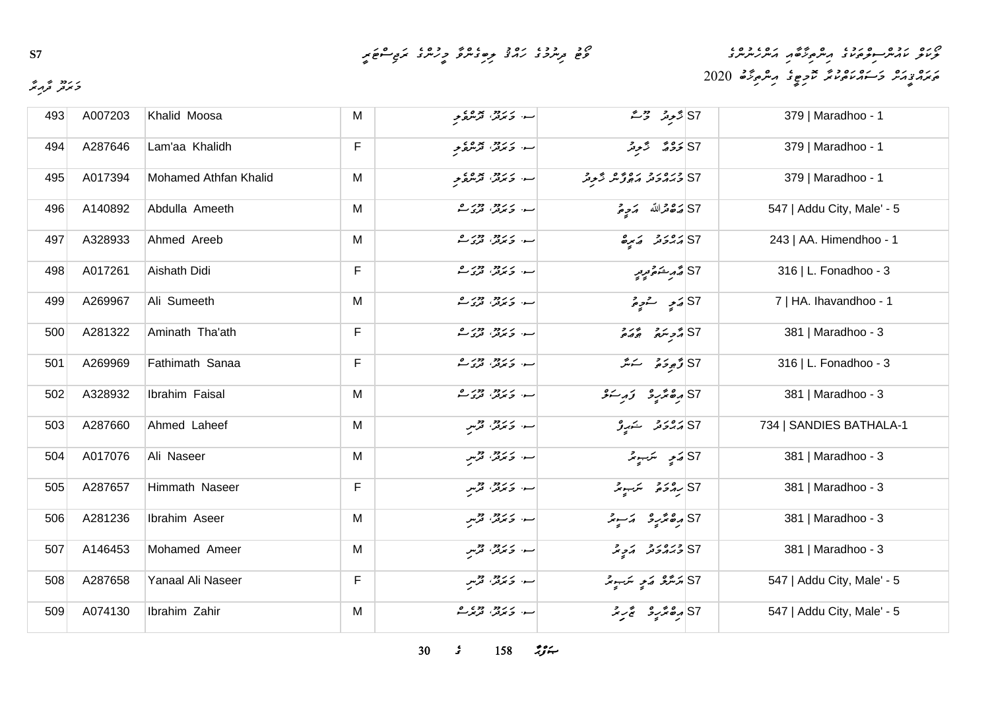*sCw7q7s5w7m< o<n9nOoAw7o< sCq;mAwBoEw7q<m; wBm;vB* م من المرة المرة المرة المرجع المرجع في المركبة 2020<br>مجم*د المريض المربوط المربع المرجع في المراجع المركبة* 

| ב זכר קירות |         |                     |
|-------------|---------|---------------------|
| 493         | A007203 | Khalid Moosa        |
| 494         | A287646 | Lam'aa Khalidh      |
| 495         | A017394 | Mohamed Athfan Khal |
| 496         | A140892 | Abdulla Ameeth      |
|             |         |                     |

| 493 | A007203 | Khalid Moosa          | M | ے دیروز، مزروع ہ                   | S7 رَّحِيمُ حَيْثُ                               | 379   Maradhoo - 1         |
|-----|---------|-----------------------|---|------------------------------------|--------------------------------------------------|----------------------------|
| 494 | A287646 | Lam'aa Khalidh        | F | ے کروڑ موہ ہے                      | S7 كَرْدْهُ گَرْمِتْرُ                           | 379   Maradhoo - 1         |
| 495 | A017394 | Mohamed Athfan Khalid | M | ے کروڑ بودی کی د                   | S7 ديرەر دې رەۋە گېچە گ                          | 379   Maradhoo - 1         |
| 496 | A140892 | Abdulla Ameeth        | M | سه و برده اودرا م                  | S7 مَەھتراللە مَر <i>ْحِ</i> مْ                  | 547   Addu City, Male' - 5 |
| 497 | A328933 | Ahmed Areeb           | M | سه رسود دوس                        | S7 كەبر <i>ە تەبرە</i>                           | 243   AA. Himendhoo - 1    |
| 498 | A017261 | Aishath Didi          | F | سه کريږده اودير ه                  | S7 ۾ مرڪو <i>قر</i> مبر                          | 316   L. Fonadhoo - 3      |
| 499 | A269967 | Ali Sumeeth           | M | ر پر دور دور ه<br>سه کامرفر، فرکار | S7 <i>۾ ڇ سڻوِمُ</i>                             | 7   HA. Ihavandhoo - 1     |
| 500 | A281322 | Aminath Tha'ath       | F | سه کريږده اودير ه                  | S7 مُجرِسَمَ مِنْ مِنْ                           | 381   Maradhoo - 3         |
| 501 | A269969 | Fathimath Sanaa       | F | سه د برده دور م                    | S7 زَّجِرْۃَ جَسَّرَ                             | 316   L. Fonadhoo - 3      |
| 502 | A328932 | Ibrahim Faisal        | M | ر در دو.<br>سه او برتر، انگریز ک   | S7 مەھەر بىر ئەم سىۋ                             | 381   Maradhoo - 3         |
| 503 | A287660 | Ahmed Laheef          | M | سە كەندىق قرىبر                    | S7 <i>252.5 منتهو</i>                            | 734   SANDIES BATHALA-1    |
| 504 | A017076 | Ali Naseer            | M | ے کا ترکیز، قریبر                  | S7 <i>ھَ۔ جِمْ سَرْجِيمْ</i>                     | 381   Maradhoo - 3         |
| 505 | A287657 | Himmath Naseer        | F | سە كەندىق قرىبر                    | S7 <i>بەدى ئىب ئىب</i>                           | 381   Maradhoo - 3         |
| 506 | A281236 | Ibrahim Aseer         | M | ے کے ترقش قریبر                    | S7 مەھ <i>مگىي</i> قەسىم كە                      | 381   Maradhoo - 3         |
| 507 | A146453 | Mohamed Ameer         | M | ے کے ترقش قریبر                    | S7ا <i>\$ پروژو گ</i> ویژ                        | 381   Maradhoo - 3         |
| 508 | A287658 | Yanaal Ali Naseer     | F | سه کا ترکیز، فرس                   | S7 <i>הَنْتَرْقَ <sub>مَكْ</sub>جِ</i> سَرَجِيمُ | 547   Addu City, Male' - 5 |
| 509 | A074130 | Ibrahim Zahir         | M | ر به درود دور م                    | S7 مەھ <i>مگىي</i> ئىچ كېمىتى بىر                | 547   Addu City, Male' - 5 |

**30** *s* **158** *n***<sub>s</sub>***n***<sub>s</sub>**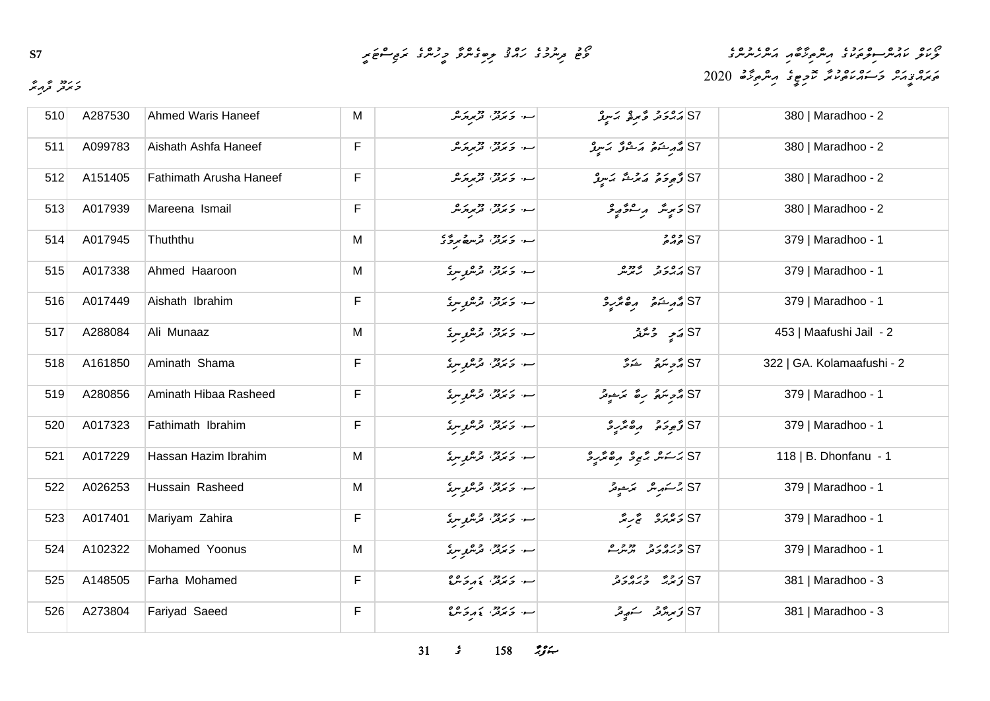*sCw7q7s5w7m< o<n9nOoAw7o< sCq;mAwBoEw7q<m; wBm;vB* م من المرة المرة المرة المرجع المرجع في المركبة 2020<br>مجم*د المريض المربوط المربع المرجع في المراجع المركبة* 

| 510 | A287530 | <b>Ahmed Waris Haneef</b> | M           | ے ویروز وزیرتر تر                  | S7 كەندى قىر قىر ئەر بۇ 19                   | 380   Maradhoo - 2         |
|-----|---------|---------------------------|-------------|------------------------------------|----------------------------------------------|----------------------------|
| 511 | A099783 | Aishath Ashfa Haneef      | $\mathsf F$ | سا ز دود وو برگرمگر                | S7 مەم شىم كىشۇ كىس 37                       | 380   Maradhoo - 2         |
| 512 | A151405 | Fathimath Arusha Haneef   | $\mathsf F$ | ے۔ دبروہ وہ براہ                   | S7 ۇَج <sup>وڭ</sup> ھەممىشگە ئەس <i>ب</i> ۇ | 380   Maradhoo - 2         |
| 513 | A017939 | Mareena Ismail            | $\mathsf F$ | ے۔ دبروہ وہ براہ                   | S7 دَىمٍىدَ بِرِ مِدْدُبِيدْ                 | 380   Maradhoo - 2         |
| 514 | A017945 | Thuththu                  | M           | ے کریں ترسی بروی                   | S7 حو <i>ه و</i>                             | 379   Maradhoo - 1         |
| 515 | A017338 | Ahmed Haaroon             | M           | ے کا بردو ویرو سرکا                | S7 كەبروتر ئەمىر                             | 379   Maradhoo - 1         |
| 516 | A017449 | Aishath Ibrahim           | F           | ے کریں تر شرید سرکا                | S7 مُرمِسُوَ مِـ مُحَمَّدِةِ                 | 379   Maradhoo - 1         |
| 517 | A288084 | Ali Munaaz                | M           | ے کا بردو ویرو سری                 | S7 <i>ھَ جِي دُمَّةُ</i> رُ                  | 453   Maafushi Jail - 2    |
| 518 | A161850 | Aminath Shama             | $\mathsf F$ | ے کریں تر شرید سرکا                | S7 مُرْحِ سَمَرُّ شَدَّرٌ                    | 322   GA. Kolamaafushi - 2 |
| 519 | A280856 | Aminath Hibaa Rasheed     | $\mathsf F$ | ے دیں وعرفہ                        | S7 مُرْحِ سَمَّى رَحَّةً كَرَسْوِيْر         | 379   Maradhoo - 1         |
| 520 | A017323 | Fathimath Ibrahim         | F           | ے کا بردہ تر شریب سر               | S7 ز <sub>گ</sub> وځو مر <i>ه ټر</i> ېږ      | 379   Maradhoo - 1         |
| 521 | A017229 | Hassan Hazim Ibrahim      | M           | سەر ئەرەدە بەر ئاسىدىكى بىرىگە     | S7 ئەسەمگە ئەيبۇ مەھە <i>ئەب</i> ۇ           | 118   B. Dhonfanu - 1      |
| 522 | A026253 | Hussain Rasheed           | M           | ے۔ ویرس فرنٹر بندگی                | S7 پُرڪمريگر - مَرَڪونَرُ-                   | 379   Maradhoo - 1         |
| 523 | A017401 | Mariyam Zahira            | F           | سا الا دود المتحرم العربية العربية | S7 <i>جُهْدَدْ</i> جُرِبَّرُ                 | 379   Maradhoo - 1         |
| 524 | A102322 | Mohamed Yoonus            | M           | ے دیں وعرفہ                        | S7 دېرورو پر شرک                             | 379   Maradhoo - 1         |
| 525 | A148505 | Farha Mohamed             | $\mathsf F$ | $\frac{1}{2}$                      | S7 ۇيۇيۇ مەدەر د                             | 381   Maradhoo - 3         |
| 526 | A273804 | Fariyad Saeed             | F           | سه وبردو ، دوس                     | S7 كۆمبەترىقر سى <i>مپى</i> تر               | 381   Maradhoo - 3         |

*31 s* 158 *if*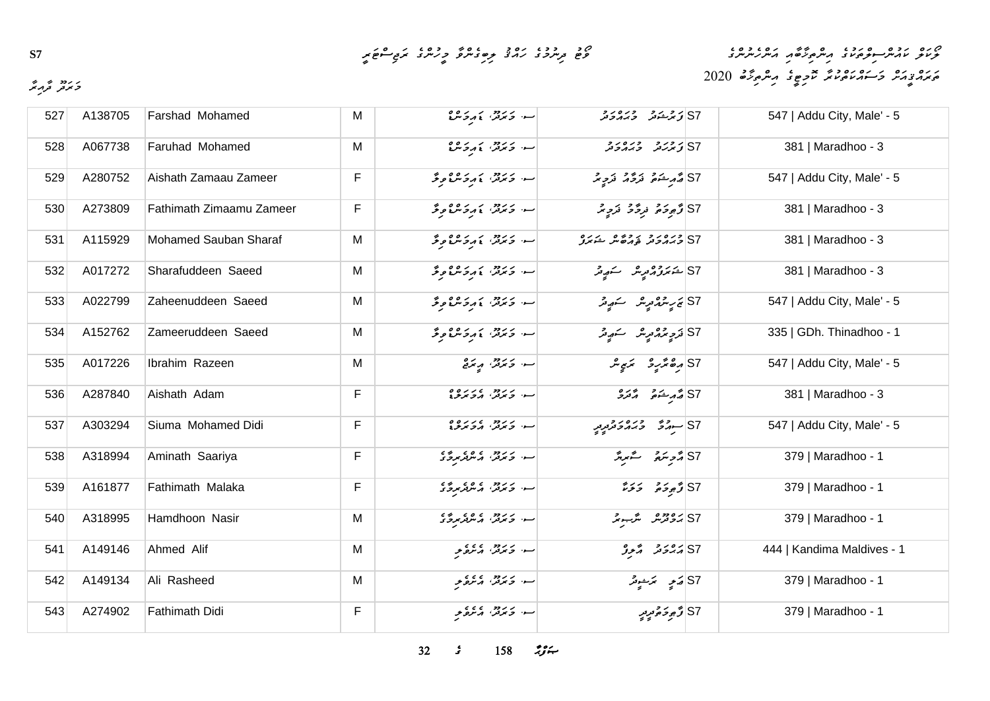*sCw7q7s5w7m< o<n9nOoAw7o< sCq;mAwBoEw7q<m; wBm;vB* م من المرة المرة المرة المرجع المرجع في المركبة 2020<br>مجم*د المريض المربوط المربع المرجع في المراجع المركبة* 

| 527 | A138705 | <b>Farshad Mohamed</b>   | M           | سة ويرتزأ عمروه والمعا                                  | S7 ۇيرېشتو دىرولىر                         | 547   Addu City, Male' - 5 |
|-----|---------|--------------------------|-------------|---------------------------------------------------------|--------------------------------------------|----------------------------|
| 528 | A067738 | Faruhad Mohamed          | M           | سه وبرده به ره ه                                        | S7 كەبىر بەر يەر بەر يەر 19 كىلەر بىر      | 381   Maradhoo - 3         |
| 529 | A280752 | Aishath Zamaau Zameer    | $\mathsf F$ | سە ئەترىق ئەرىكىن ئوق                                   | S7 مَّەر شَوَّە نْرَحْهُ نْرَىزِ بْر       | 547   Addu City, Male' - 5 |
| 530 | A273809 | Fathimath Zimaamu Zameer | F           | سە ئەترىق ئەرىكىن ئوگ                                   | S7 <i>وُّجِودَة وَرِدُّدْ وَرِدٍ ب</i> ُر  | 381   Maradhoo - 3         |
| 531 | A115929 | Mohamed Sauban Sharaf    | M           | سە ئەندىق ئەرىكىن ئوق                                   | S7 درور د بروژبر شهرو                      | 381   Maradhoo - 3         |
| 532 | A017272 | Sharafuddeen Saeed       | M           | سە ئەترىق ئەرىكىن ئوگ                                   | S7 ش <i>ەنزوقى</i> رىش س <i>ەپەن</i> ر     | 381   Maradhoo - 3         |
| 533 | A022799 | Zaheenuddeen Saeed       | M           | سە ئەترىق ئەر ئەھمى ئو ئ                                | S7 تجرپٹر <i>و پروگر سکھ</i> یٹر           | 547   Addu City, Male' - 5 |
| 534 | A152762 | Zameeruddeen Saeed       | M           | سە ئەترىق ئەرىكىن ئوق                                   | S7 نَرَمٍ <i>بُرُوْ بِرِيْرُ ۔ سَپِيرُ</i> | 335   GDh. Thinadhoo - 1   |
| 535 | A017226 | Ibrahim Razeen           | M           | سە ئەترىق مەترقى                                        | S7 مەھە <i>گرى</i> ئىسى ئىر                | 547   Addu City, Male' - 5 |
| 536 | A287840 | Aishath Adam             | F           | ر درود عدده ۵۵<br>سه وبوتو <sup>،</sup> م <i>وبو</i> ود | S7 مُم شَمَّ مُمَّرَّد                     | 381   Maradhoo - 3         |
| 537 | A303294 | Siuma Mohamed Didi       | F           | ر درود عدره ۵۵<br>سه وبولس اروبوده                      | S7 سەرق قەتمەتمەترى <i>يە</i>              | 547   Addu City, Male' - 5 |
| 538 | A318994 | Aminath Saariya          | F           | ر در دو ده ده ده ده د                                   | S7 مُحْرِسَمُ مُسْتَمِينُ                  | 379   Maradhoo - 1         |
| 539 | A161877 | Fathimath Malaka         | F           | سه کريږي وه ده وه                                       | S7 وَّجِ وَحَقَّ وَحَرَّمَّ                | 379   Maradhoo - 1         |
| 540 | A318995 | Hamdhoon Nasir           | M           | سه کريږي وه ده وه                                       | S7 ئەۋلۇش شەيدىمە                          | 379   Maradhoo - 1         |
| 541 | A149146 | Ahmed Alif               | M           | سە ئەترىق كەندەنج                                       | S7 كەندى قىم ئەرى                          | 444   Kandima Maldives - 1 |
| 542 | A149134 | Ali Rasheed              | M           | سە ئەيروم مەممى ئو                                      | S7 <i>۾َ جِ</i> - جَرَشونَرُ -             | 379   Maradhoo - 1         |
| 543 | A274902 | <b>Fathimath Didi</b>    | F           | ے کا بروڈ اور دیکھا جاتا ہے۔                            | S7 گ <sub>ۇ</sub> چۇمۇمپرىيە               | 379   Maradhoo - 1         |

**32** *s* **158** *n***<sub>y</sub> <b>***n*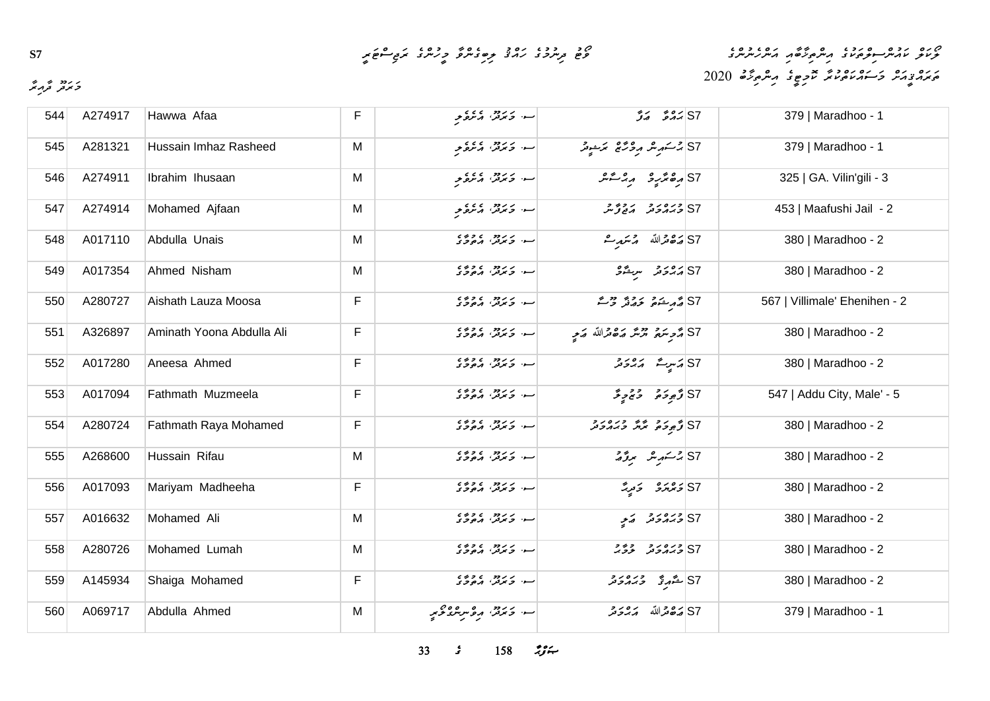*sCw7q7s5w7m< o<n9nOoAw7o< sCq;mAwBoEw7q<m; wBm;vB* م من المسجد المسجد المسجد المسجد المسجد العام 2020<br>مسجد المسجد المسجد المسجد المسجد المسجد المسجد المسجد المسجد ال

| 544 | A274917 | Hawwa Afaa                | F | ے کارود کارونو                             | S7 يَہُمَّ مَرَّ                              | 379   Maradhoo - 1            |
|-----|---------|---------------------------|---|--------------------------------------------|-----------------------------------------------|-------------------------------|
| 545 | A281321 | Hussain Imhaz Rasheed     | M | ے کارود کارونو                             | S7 بر سَمبر شر مرو شرَح مَرَ سَمِيرِ          | 379   Maradhoo - 1            |
| 546 | A274911 | Ibrahim Ihusaan           | M |                                            | S7 مەھم <i>گې</i> ر قىمى مەكتىش               | 325   GA. Vilin'gili - 3      |
| 547 | A274914 | Mohamed Ajfaan            | M | ے کالانہ کالجمائی کے مقبوض کے استقادی کے ا | S7 <i>בגם בפי הבבית</i>                       | 453   Maafushi Jail - 2       |
| 548 | A017110 | Abdulla Unais             | M | ر درود دوده<br>سه وندش مودد                | S7 مَەھْتَراللە مَتَمَدِّ                     | 380   Maradhoo - 2            |
| 549 | A017354 | Ahmed Nisham              | M |                                            | S7 كەبرى كى سرىشگى                            | 380   Maradhoo - 2            |
| 550 | A280727 | Aishath Lauza Moosa       | F | ر درود دوده<br>سه وبوتر، مردود             | S7 مەم خەرقە ئ <sup>و</sup> ش                 | 567   Villimale' Ehenihen - 2 |
| 551 | A326897 | Aminath Yoona Abdulla Ali | F |                                            | S7 مُرجِبَعِ مِرْمَرِ مُرْجَعِيلِلَّهُ مَهْجِ | 380   Maradhoo - 2            |
| 552 | A017280 | Aneesa Ahmed              | F | ر ر دو.<br>سو، تر برتر، ارج و ی            | S7  كەسپەسى كەبرى ئىكى<br>                    | 380   Maradhoo - 2            |
| 553 | A017094 | Fathmath Muzmeela         | F | ر ر دود.<br>سه و برتر، مردوی               | S7 زٌم <i>ِ دَهُ جَ</i> وَمَحْ وِ حٌر         | 547   Addu City, Male' - 5    |
| 554 | A280724 | Fathmath Raya Mohamed     | F | $\frac{1}{2}$                              | S7 زُجِ دَمَ مِهْرٌ وَبَرْدُ دَرٍ             | 380   Maradhoo - 2            |
| 555 | A268600 | Hussain Rifau             | M | ر رود دود ده<br>سوالو برگران از مورد       | S7 بر سَمبر شهر محمد قرقه                     | 380   Maradhoo - 2            |
| 556 | A017093 | Mariyam Madheeha          | F | ر ریدود. ۲۵۵۵<br>سه و برتر، مردوی          | S7 كەمگەر ئەرگە                               | 380   Maradhoo - 2            |
| 557 | A016632 | Mohamed Ali               | M | ر ر دو.<br>سو، تر برتر، ارج و ی            | S7 <i>جەممى ھې</i>                            | 380   Maradhoo - 2            |
| 558 | A280726 | Mohamed Lumah             | M | ر ر دو.<br>سو، تر برتر، ارج و ی            | S7ا <i>32222 وو</i> جر                        | 380   Maradhoo - 2            |
| 559 | A145934 | Shaiga Mohamed            | F | ر درود دوده<br>سه وبوتر، مردود             | S7 شَمِرِ تَنْ مَدَمْدَ مَرْ                  | 380   Maradhoo - 2            |
| 560 | A069717 | Abdulla Ahmed             | M | ب كريزد. مەھسىر مەم                        | S7 مَەمْراللە مَدْدَىر                        | 379   Maradhoo - 1            |

*n8o<n@ r@m8m>*

**33** *s* **158** *n***<sub>y</sub> <b>***n*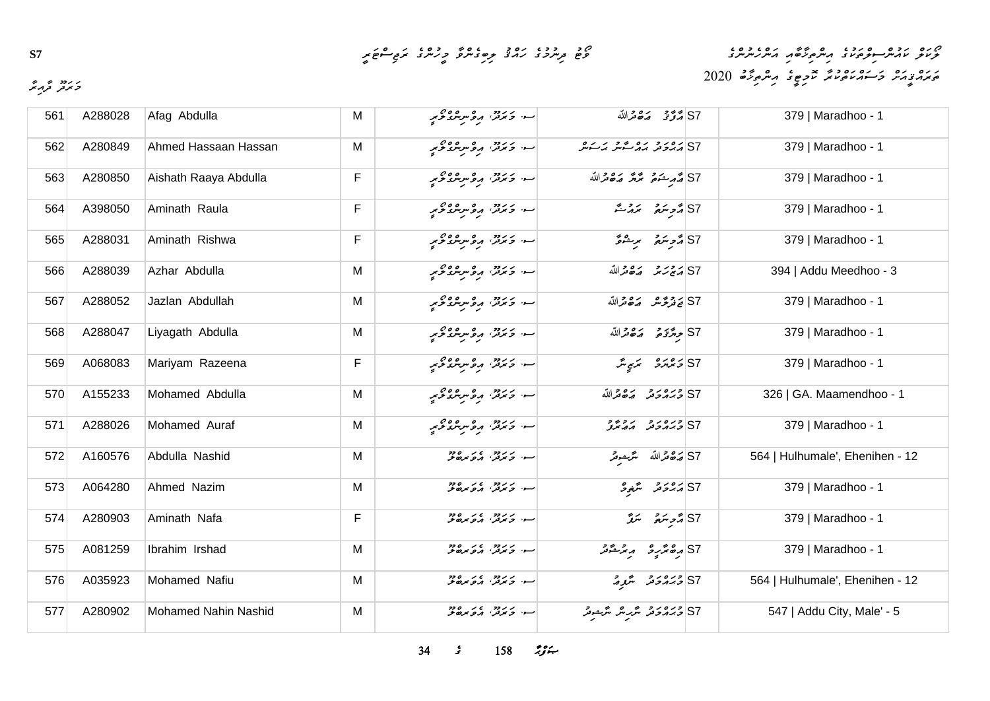*sCw7q7s5w7m< o<n9nOoAw7o< sCq;mAwBoEw7q<m; wBm;vB* م من المرة المرة المرة المرجع المرجع في المركبة 2020<br>مجم*د المريض المربوط المربع المرجع في المراجع المركبة* 

| 561 | A288028 | Afag Abdulla                | M | ے کروڑ روسر مروری                                                     | S7 مُرَوَّتِهِ مَەھْرَاللَّه                  | 379   Maradhoo - 1              |
|-----|---------|-----------------------------|---|-----------------------------------------------------------------------|-----------------------------------------------|---------------------------------|
| 562 | A280849 | Ahmed Hassaan Hassan        | M | ے کا کروڑ موسر سر کریں                                                | S7 روبر ده شهر برگیر                          | 379   Maradhoo - 1              |
| 563 | A280850 | Aishath Raaya Abdulla       | F | ے کریں مؤسر مورث                                                      | S7 مَّ مِـ شَوَّ مَّ مَّ مَرْهُ قَرْاللَّه    | 379   Maradhoo - 1              |
| 564 | A398050 | Aminath Raula               | F | ے کریں مؤسر مورث                                                      | S7 مُّجِسَعُ مَمْتُ شَ                        | 379   Maradhoo - 1              |
| 565 | A288031 | Aminath Rishwa              | F | سە ئەترىق مەھسىر سىمىسى ئىس                                           | S7 مُّ حِسَمَةٌ مَ سِشْرَةٌ                   | 379   Maradhoo - 1              |
| 566 | A288039 | Azhar Abdulla               | M | سە ئەترىق مەھسىر سىمىسى ئىس                                           | S7 مَتى ترىم مَەھمَراللّه                     | 394   Addu Meedhoo - 3          |
| 567 | A288052 | Jazlan Abdullah             | M | سە ئەترىق مەھسىر مىلىدىكى بىر                                         | S7 يَحْرُجُ شَر صَرْهُ مِنْ اللّه             | 379   Maradhoo - 1              |
| 568 | A288047 | Liyagath Abdulla            | M | ے کریزہ روس وہ م                                                      | S7 م <i>ومرّة و مُرْهق</i> راللّه             | 379   Maradhoo - 1              |
| 569 | A068083 | Mariyam Razeena             | F | ے کریزہ روسر مروم                                                     | S7 <i>وَ بُرْ بِرَ</i> بِرَ بِرَ بِرَ بِرَ بِ | 379   Maradhoo - 1              |
| 570 | A155233 | Mohamed Abdulla             | M | سە ئەترىق مەھسىر سىمىسى ئىس                                           | S7 32025 مَرْ 20 مِرْاللّه                    | 326   GA. Maamendhoo - 1        |
| 571 | A288026 | Mohamed Auraf               | M | ے کا کروڑ موسر موسر کا کردیا ہے۔<br>مسر کا کروڑ موسر موسر کا کردیا ہے | S7 כנסנב גביב                                 | 379   Maradhoo - 1              |
| 572 | A160576 | Abdulla Nashid              | M | גי צ'ונר זי זי מיד.<br>גיי צ'ונר, ונפ'ונסיב                           | S7 مَرْحْمْرْاللّه سَّرْسْعَةْرْ              | 564   Hulhumale', Ehenihen - 12 |
| 573 | A064280 | Ahmed Nazim                 | M | ג ג'ור בי די סיד.<br>היי ג'ולקט וריפ ודי שידור                        | S7 كەنزىق شىمبى                               | 379   Maradhoo - 1              |
| 574 | A280903 | Aminath Nafa                | F | ر د دود د د دود.<br>سه کريمرند، <u>د و برخ</u> و                      | S7 مُ <i>جِسْعَةَ</i> سَمَّدٌ                 | 379   Maradhoo - 1              |
| 575 | A081259 | Ibrahim Irshad              | M | גי צ'ונר ובר מים מדיר.<br>גיי צ'ונרטי ונפיונסיב                       | S7 مەھەرىپە ھەممىشىر                          | 379   Maradhoo - 1              |
| 576 | A035923 | Mohamed Nafiu               | M | ג ג'ור בי ג'ור בירי<br>היי ג'ור הפינוסיב                              | S7 <i>\$222 مگوم</i> 3                        | 564   Hulhumale', Ehenihen - 12 |
| 577 | A280902 | <b>Mohamed Nahin Nashid</b> | M |                                                                       | S7 <i>و بروبر و مرَّر مرَّ م</i> ُرْسُور      | 547   Addu City, Male' - 5      |

**34** *s* **158** *n***<sub>s</sub>**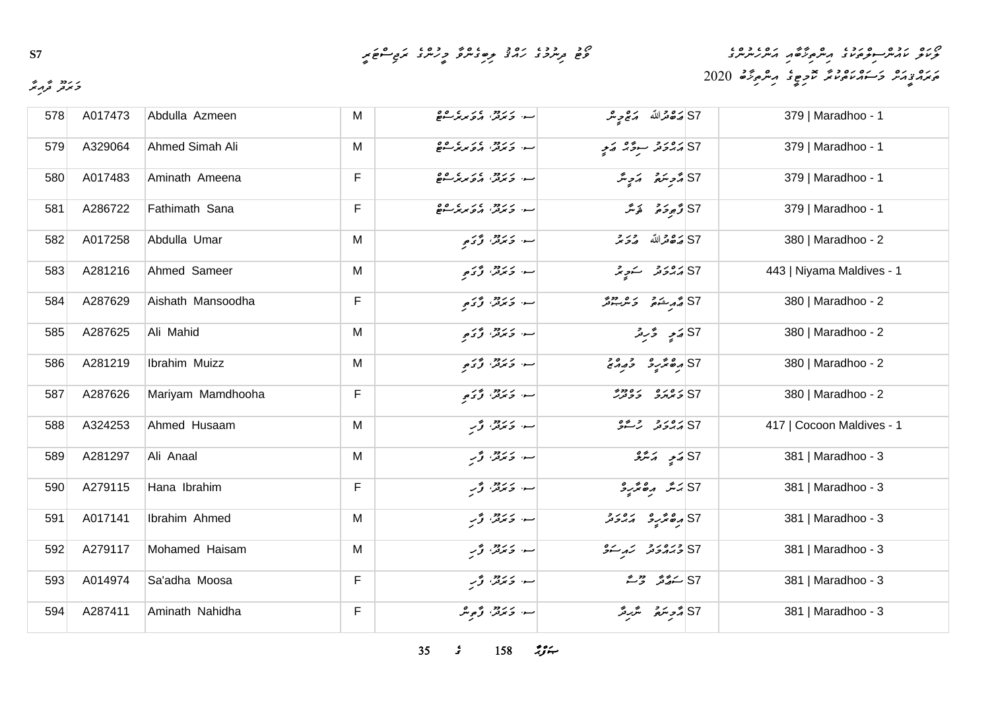*sCw7q7s5w7m< o<n9nOoAw7o< sCq;mAwBoEw7q<m; wBm;vB* م من المرة المرة المرة المرجع المرجع في المركبة 2020<br>مجم*د المريض المربوط المربع المرجع في المراجع المركبة* 

|  | $\begin{array}{ccccc} \circ & \circ & \circ \circ \end{array}$ |
|--|----------------------------------------------------------------|
|  | و مرتز تربر مر                                                 |
|  |                                                                |

| 578 | A017473 | Abdulla Azmeen    | M           | سە كەندە بىر بىرە ھ   | S7 كەھەتراللە كەمچ <i>چى</i> تر           | 379   Maradhoo - 1        |
|-----|---------|-------------------|-------------|-----------------------|-------------------------------------------|---------------------------|
| 579 | A329064 | Ahmed Simah Ali   | M           | سه كريزد بر د ده      | S7 كەردى سو <i>ۋە كەي</i>                 | 379   Maradhoo - 1        |
| 580 | A017483 | Aminath Ameena    | $\mathsf F$ | سە كەندىق مۇمەر ئەھ   | S7 مُجِسَعَة مَجِسَّد                     | 379   Maradhoo - 1        |
| 581 | A286722 | Fathimath Sana    | $\mathsf F$ | سوا كريرود بي د ده ده | S7 ۇ <sub>ج</sub> وڭرە ئ <sub>ۆ</sub> ىتر | 379   Maradhoo - 1        |
| 582 | A017258 | Abdulla Umar      | M           | سە كەنتىرى ئۇي تو     | S7 كەھەراللە مە <i>دى</i> ر               | 380   Maradhoo - 2        |
| 583 | A281216 | Ahmed Sameer      | M           | سە كەنتىرى ئۇي تو     | S7 كەبرى بىر سىرى <i>م</i> ىتى            | 443   Niyama Maldives - 1 |
| 584 | A287629 | Aishath Mansoodha | $\mathsf F$ | سە كەنتىرى ئۇي ئو     | S7 مُەرِ ھَەمْ كَا كَارْ بِعْدَ مَدَّ     | 380   Maradhoo - 2        |
| 585 | A287625 | Ali Mahid         | M           | سە كەندىق ئۇي ھ       | S7  مَرِ وَرِيْرُ                         | 380   Maradhoo - 2        |
| 586 | A281219 | Ibrahim Muizz     | M           | سە ئەترىق ئۇي ئو      | S7 مەھمىر ئىقمىدىنى                       | 380   Maradhoo - 2        |
| 587 | A287626 | Mariyam Mamdhooha | F           | سە كەنزلىق ئۇي تو     | S7 کر پره دره دره<br>S7 کر پرمرو د کردگر  | 380   Maradhoo - 2        |
| 588 | A324253 | Ahmed Husaam      | M           | سە كەنگەنگە ئۇر       | S7 كەبروتى - رايىۋ                        | 417   Cocoon Maldives - 1 |
| 589 | A281297 | Ali Anaal         | M           | سە كەنتىرى ئىي        | S7   پر پر پژیو                           | 381   Maradhoo - 3        |
| 590 | A279115 | Hana Ibrahim      | F           | سە كەنتىرى ئىي        | S7 ئەنىگە مەھە <i>گرى</i> 3               | 381   Maradhoo - 3        |
| 591 | A017141 | Ibrahim Ahmed     | M           | سە كەندىق ۋېر         | S7 مەھ <i>مگرى</i> مەمەد                  | 381   Maradhoo - 3        |
| 592 | A279117 | Mohamed Haisam    | M           | سە كەندىق ۋېر         | S7 دېم دي که شو                           | 381   Maradhoo - 3        |
| 593 | A014974 | Sa'adha Moosa     | $\mathsf F$ | سە كەندىق ۋېر         | S7 شەمۇر ئ <sup>و</sup> شە                | 381   Maradhoo - 3        |
| 594 | A287411 | Aminath Nahidha   | F           | ے کے ترقش وگھویش      | S7  <i>مزجر مقرقر</i><br>  S7             | 381   Maradhoo - 3        |

**35** *s* **158** *n***<sub>y</sub> <b>***n*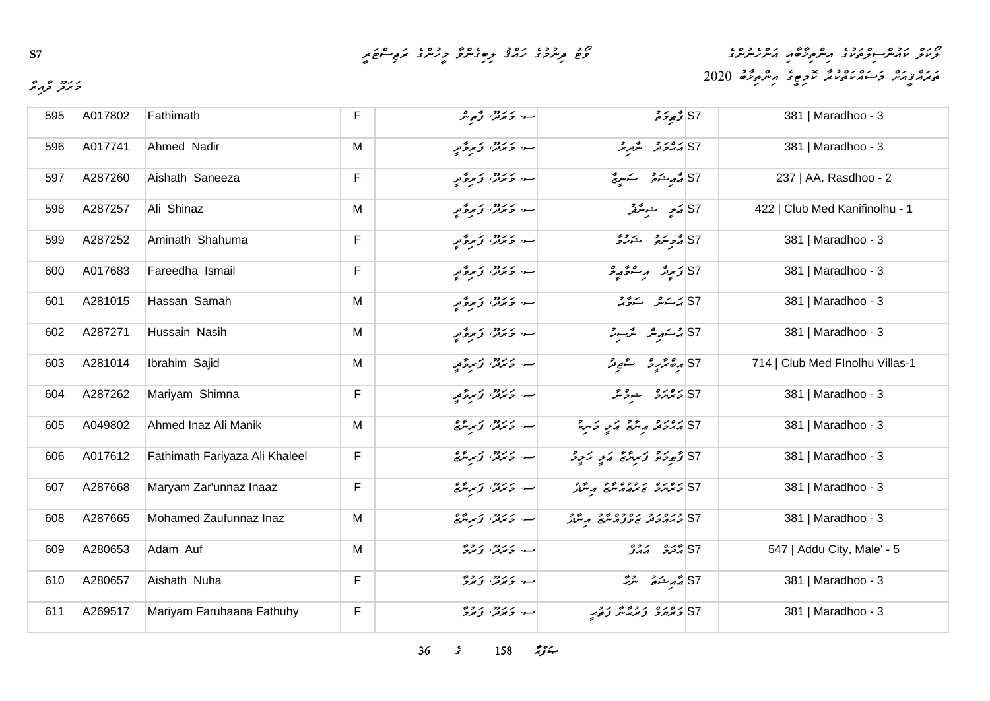*sCw7q7s5w7m< o<n9nOoAw7o< sCq;mAwBoEw7q<m; wBm;vB* م من المرة المرة المرة المرجع المرجع في المركبة 2020<br>مجم*د المريض المربوط المربع المرجع في المراجع المركبة* 

| 595 | A017802 | Fathimath                      | F            | ىسە كەنتىرى ئۇمەيل                | S7 ۇج <sub>و</sub> رۇ                       | 381   Maradhoo - 3              |
|-----|---------|--------------------------------|--------------|-----------------------------------|---------------------------------------------|---------------------------------|
| 596 | A017741 | Ahmed Nadir                    | M            | ب، دَيَرُسُ وَيَتِقَوِّي          | S7 كەندى تىر شەرىتى                         | 381   Maradhoo - 3              |
| 597 | A287260 | Aishath Saneeza                | F            | - - - دَ بَرُيْرٌ، وَ بِرِهٌ مِرِ | S7 مُرمِشَعْرُ سَمَسِيَّةَ                  | 237   AA. Rasdhoo - 2           |
| 598 | A287257 | Ali Shinaz                     | M            | ب كەنگە كەيدۇم                    | S7 <i>ھَ جِ</i> سُمِسَّمَّدُ                | 422   Club Med Kanifinolhu - 1  |
| 599 | A287252 | Aminath Shahuma                | $\mathsf F$  | - دَىَرْتْنْ وَمِرَةَ مِرِ        | S7 أَمُّ حِبَّمَةٌ شَدَّرْدُّ               | 381   Maradhoo - 3              |
| 600 | A017683 | Fareedha Ismail                | $\mathsf{F}$ | ب كەنگە كەيدۇر                    | S7 ۇىرى <i>گە مەشۇم</i> ۇ                   | 381   Maradhoo - 3              |
| 601 | A281015 | Hassan Samah                   | M            | سە ئەندىق ئەبدۇمبر                | S7 ئەسەھە سى <i>ۋ</i> ۇ                     | 381   Maradhoo - 3              |
| 602 | A287271 | Hussain Nasih                  | M            | - د ډکنل ژېره تور                 | S7 پرستہ بھر مگرسوٹر                        | 381   Maradhoo - 3              |
| 603 | A281014 | Ibrahim Sajid                  | M            | ب- دَيَرَيْنَ وَيَتِقَوِّيْهِ     | S7 م <i>ەھتىب</i> ۇ س <sup>ى</sup> مومۇ     | 714   Club Med Flnolhu Villas-1 |
| 604 | A287262 | Mariyam Shimna                 | $\mathsf F$  | - - - دَ بَرُيْرٌ، وَ بِرِهٌ مِرِ | S7 كو <i>جرهر كل بدو مگ</i> ر               | 381   Maradhoo - 3              |
| 605 | A049802 | Ahmed Inaz Ali Manik           | M            |                                   | S7 ג' ג' ב پر جي تر پر جو سر تر چين الله ج  | 381   Maradhoo - 3              |
| 606 | A017612 | Fathimath Fariyaza Ali Khaleel | F            | سەر ئەيزىقى ئۇ ئېرىتىرىنى         | S7 وَّجِوَدَةَ وَمِيثَنَّةَ الَيْهِ زَمِيثَ | 381   Maradhoo - 3              |
| 607 | A287668 | Maryam Zar'unnaz Inaaz         | F            | سەر ئەيزىق ئۇ ئېرىترىنى           | S7 د مرمره بر د وه مرد می می شود            | 381   Maradhoo - 3              |
| 608 | A287665 | Mohamed Zaufunnaz Inaz         | M            | سەر ئەيزىق ئۇ ئېرىترىنى           | S7 دره در ده ده در پی در مگفر               | 381   Maradhoo - 3              |
| 609 | A280653 | Adam Auf                       | M            | سە كەندىق كەندى                   | S7 گەنىرى مەمۇ                              | 547   Addu City, Male' - 5      |
| 610 | A280657 | Aishath Nuha                   | F            | سە كەندىق كەيرى                   | S7 مەم شىم ھەر                              | 381   Maradhoo - 3              |
| 611 | A269517 | Mariyam Faruhaana Fathuhy      | F            | سە كەندىق كەندى                   | S7 <i>ۈچرى زېرچىگە زەپ</i>                  | 381   Maradhoo - 3              |

**36** *s* **158** *n***<sub>y</sub> <b>***n*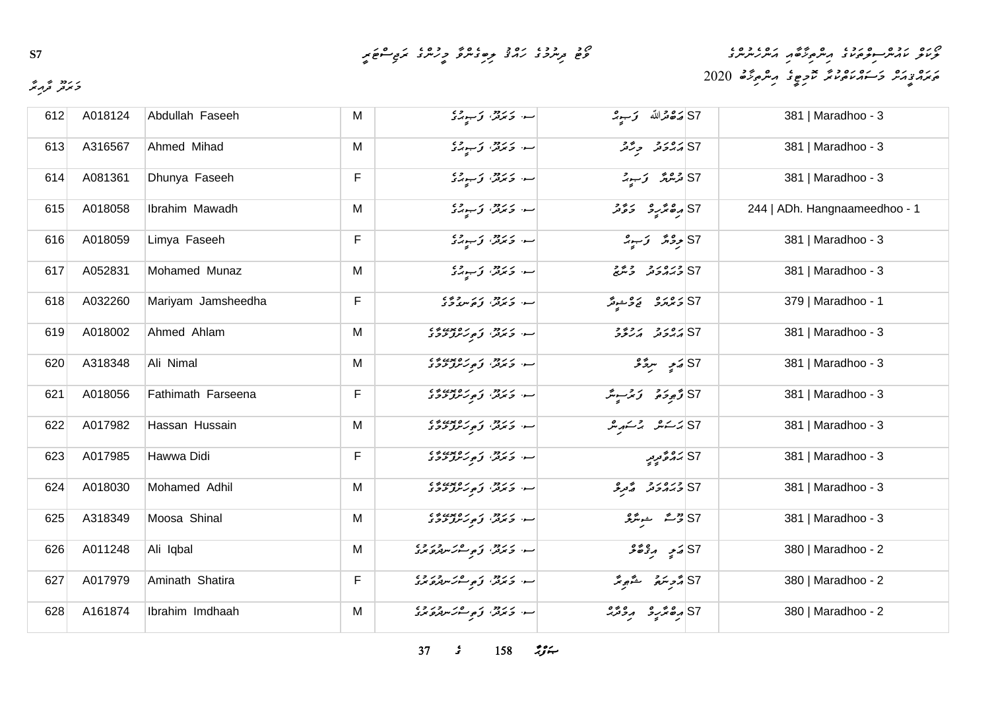*sCw7q7s5w7m< o<n9nOoAw7o< sCq;mAwBoEw7q<m; wBm;vB* م من المرة المرة المرة المرجع المرجع في المركبة 2020<br>مجم*د المريض المربوط المربع المرجع في المراجع المركبة* 

| 612 | A018124 | Abdullah Faseeh    | M | سە ئەترىقى كۆسۈردى                                       | S7 كەھەراللە   ترىبوير            | 381   Maradhoo - 3            |
|-----|---------|--------------------|---|----------------------------------------------------------|-----------------------------------|-------------------------------|
| 613 | A316567 | Ahmed Mihad        | M | سە ئەتكەنى ئۇسبورى                                       |                                   | 381   Maradhoo - 3            |
| 614 | A081361 | Dhunya Faseeh      | F | ب كريون كربوروي                                          | S7 قرشرنگ ترسی <sup>2</sup>       | 381   Maradhoo - 3            |
| 615 | A018058 | Ibrahim Mawadh     | M | سە ئەترىقى كۆسۈردى                                       | S7 مەھە <i>تگىي</i> ئەھەتر        | 244   ADh. Hangnaameedhoo - 1 |
| 616 | A018059 | Limya Faseeh       | F | سە ئەتكەنى ئۇسبەتدى                                      | S7 مِرْدَّبَرَ کَرَبِیْدُ         | 381   Maradhoo - 3            |
| 617 | A052831 | Mohamed Munaz      | M | ب كريود، كرب ده                                          | S7 دېرونر وش <sub>خ</sub>         | 381   Maradhoo - 3            |
| 618 | A032260 | Mariyam Jamsheedha | F | سە كەندىق ۋە سىلەر                                       | S7 ك <i>رىرى يى ۋىنېدىگ</i>       | 379   Maradhoo - 1            |
| 619 | A018002 | Ahmed Ahlam        | M | ر در دور در ده بده ده دارد.<br>سه کامرند، توجه شرقه نورد | $33.22$ $22.25$ ST                | 381   Maradhoo - 3            |
| 620 | A318348 | Ali Nimal          | M | - د دوه د د ده بده ده د<br>- د ترندن توجه مربو د و د     | S7 <i>ڇُجِ سِرَدُ وُ</i>          | 381   Maradhoo - 3            |
| 621 | A018056 | Fathimath Farseena | F | ر در دور د ده بده ده د<br>سه کامرنس کرم رسرتو ندو د      | S7 ۇ <sub>ج</sub> وڭ ئۇتمەسىرىتىر | 381   Maradhoo - 3            |
| 622 | A017982 | Hassan Hussain     | M | ر در دور د ده بدن و د<br>ر د کامرنس کوم مرکز د د د       | S7 ئەسىھ ئەسىر ش                  | 381   Maradhoo - 3            |
| 623 | A017985 | Hawwa Didi         | F | ر در دور د ده بده ده د<br>سر کامرنس کی مرکز در د         | S7 كەمگەرىر                       | 381   Maradhoo - 3            |
| 624 | A018030 | Mohamed Adhil      | M | ے کردہ کرونی دی۔<br>اس کریزن کی ترین                     | S7 <i>2222 مگیر</i> و             | 381   Maradhoo - 3            |
| 625 | A318349 | Moosa Shinal       | M | ر در دور در ده بدن و با<br>ر در کارتر، کوم کرد در        | S7 جُرْحَہ ہو <i>مُڑوَّ</i>       | 381   Maradhoo - 3            |
| 626 | A011248 | Ali Iqbal          | M | ر در در در در در در در د                                 | S7 <sub>جَرِ</sub> حِ مِگْھُو     | 380   Maradhoo - 2            |
| 627 | A017979 | Aminath Shatira    | F | سه وبردو و وسه مسرور و د                                 | S7 مُرْحِسَمُ مُشْهِبَّر          | 380   Maradhoo - 2            |
| 628 | A161874 | Ibrahim Imdhaah    | M | ر در دور و در در در د                                    | S7 رەئزىر مەدىر 2                 | 380   Maradhoo - 2            |

*37 sC 158 nNw?mS*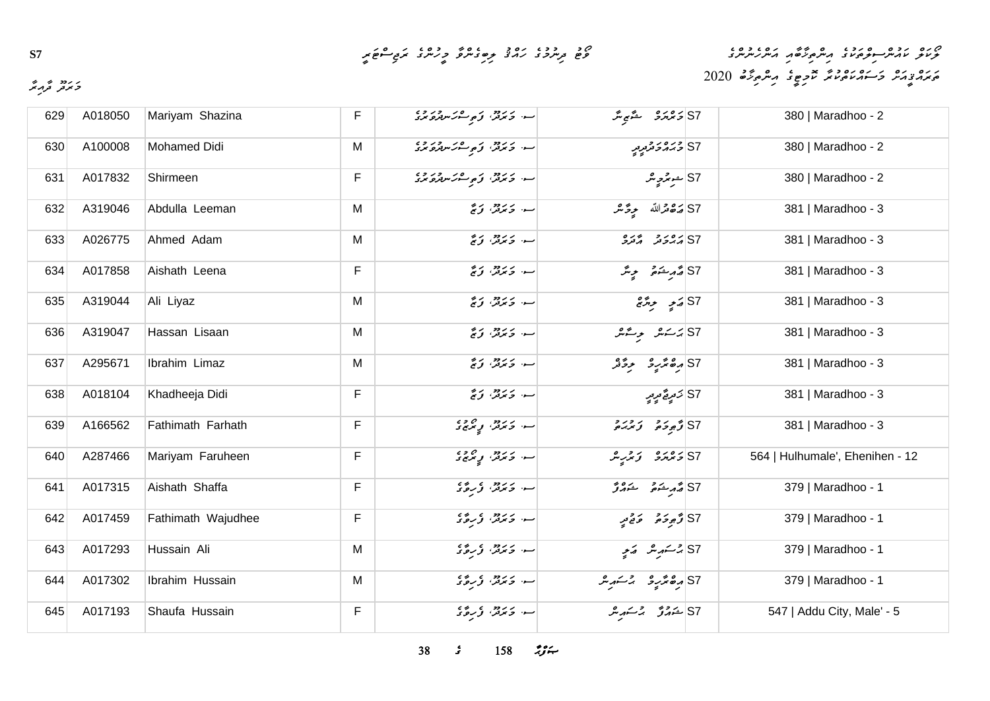*sCw7q7s5w7m< o<n9nOoAw7o< sCq;mAwBoEw7q<m; wBm;vB* م من المرة المرة المرة المرجع المرجع في المركبة 2020<br>مجم*د المريض المربوط المربع المرجع في المراجع المركبة* 

|  | シーショコンシ        |
|--|----------------|
|  | و مرتز تربر مر |
|  |                |

| 629 | A018050 | Mariyam Shazina    | F            | سه ورده و وسار سرور ده | S7 كۈچر <i>ە ئۇيىتى</i> گە         | 380   Maradhoo - 2              |
|-----|---------|--------------------|--------------|------------------------|------------------------------------|---------------------------------|
| 630 | A100008 | Mohamed Didi       | M            | سه ورده و وسر سرد و د  | S7 <i>ڈیز و</i> د ترمرِ مر         | 380   Maradhoo - 2              |
| 631 | A017832 | Shirmeen           | $\mathsf F$  | ر در دور و در در در د  | S7 سوپر ج <sub>ر</sub> پر          | 380   Maradhoo - 2              |
| 632 | A319046 | Abdulla Leeman     | M            | سەس ئەتەرىخ ئى         | S7 كەھىراللە م <sub>و</sub> گە     | 381   Maradhoo - 3              |
| 633 | A026775 | Ahmed Adam         | M            | سە كەندىق ئەتج         | S7 كەبر <i>ە دىلى</i> ئەرە         | 381   Maradhoo - 3              |
| 634 | A017858 | Aishath Leena      | $\mathsf F$  | سە كەندىق ئەتج         | S7 مُەمشىم مِىگر                   | 381   Maradhoo - 3              |
| 635 | A319044 | Ali Liyaz          | M            | سە كەتتىرى ئۇتج        | S7 <i>۾ مو جو جو جو ج</i>          | 381   Maradhoo - 3              |
| 636 | A319047 | Hassan Lisaan      | M            | سە كەندىق كەنتى        | S7 بَرَسَتَرْ بِرِسَّتَرْ          | 381   Maradhoo - 3              |
| 637 | A295671 | Ibrahim Limaz      | M            | سەس ئەتەرىخ ئى         | S7 م <i>ەھترى</i> بەردىر           | 381   Maradhoo - 3              |
| 638 | A018104 | Khadheeja Didi     | $\mathsf{F}$ | سە كەنتىق ئەتج         | S7 کرمرنج مرمر<br>ا                | 381   Maradhoo - 3              |
| 639 | A166562 | Fathimath Farhath  | $\mathsf F$  | ب و پروه و پروه        | S7 <i>وُّهِ دَمَّة وَمَرْسَمُ</i>  | 381   Maradhoo - 3              |
| 640 | A287466 | Mariyam Faruheen   | F            | --- 5 پريژ، و پرې      | S7 ك <i>وندو وترب</i> ر            | 564   Hulhumale', Ehenihen - 12 |
| 641 | A017315 | Aishath Shaffa     | $\mathsf F$  | سە ئەترىق ئۇرغۇ        | S7 مُەمِسْمَى سُورۇ                | 379   Maradhoo - 1              |
| 642 | A017459 | Fathimath Wajudhee | $\mathsf{F}$ | سە ئەيروم ئەم ئ        | S7 <i>وَّج<sup>ود</sup>ة وَف</i> ق | 379   Maradhoo - 1              |
| 643 | A017293 | Hussain Ali        | M            | سەسىرى ئەرەبىي ئەرەبىي | S7 پرسمبر پر په په                 | 379   Maradhoo - 1              |
| 644 | A017302 | Ibrahim Hussain    | M            | سەسە ئەرەپى ئۇ ئەرەكلى | S7 مەھ <i>مگىي</i> ئىسىمبىر        | 379   Maradhoo - 1              |
| 645 | A017193 | Shaufa Hussain     | F            | سە ئەترىق ئۇرغى        | S7 شەرق ب <sub>ە</sub> شىرىش       | 547   Addu City, Male' - 5      |

**38** *s* **158** *n***<sub>y</sub> <b>***n*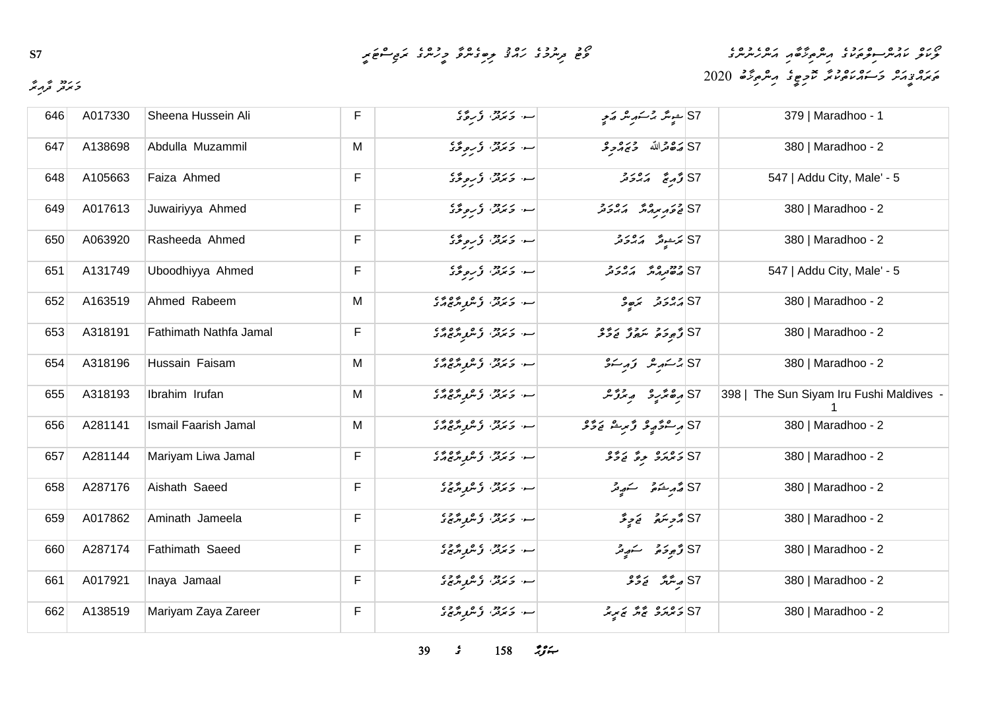*sCw7q7s5w7m< o<n9nOoAw7o< sCq;mAwBoEw7q<m; wBm;vB* م من المرة المرة المرة المرجع المرجع في المركبة 2020<br>مجم*د المريض المربوط المربع المرجع في المراجع المركبة* 

| $\begin{array}{ccccc} \circ & \circ & \circ \circ \end{array}$ |  |
|----------------------------------------------------------------|--|
| ويمرقر فرمزته                                                  |  |

| 646 | A017330 | Sheena Hussein Ali     | F           | ے کے بردہ و روی           | S7  سونڈ بر سکھر تھ کہ ج                                | 379   Maradhoo - 1                       |
|-----|---------|------------------------|-------------|---------------------------|---------------------------------------------------------|------------------------------------------|
| 647 | A138698 | Abdulla Muzammil       | M           | سە ئەندىق، ئۇرىدىمى       | $S7$ $S2$ $S3$ $S7$                                     | 380   Maradhoo - 2                       |
| 648 | A105663 | Faiza Ahmed            | $\mathsf F$ | سە ئەندىق، ئۇرمۇمۇر       | S7 رُّمِيَّ مَدْدَمَّر                                  | 547   Addu City, Male' - 5               |
| 649 | A017613 | Juwairiyya Ahmed       | $\mathsf F$ | سە ئەندىق ۋېرەپچى         | S7 - 2007 היכת                                          | 380   Maradhoo - 2                       |
| 650 | A063920 | Rasheeda Ahmed         | F           | ۔ دسمبرین ڈروٹرد          | S7 بَرَحْوِتَرُ - بَ <i>رُدْدَ</i> تَرُ                 | 380   Maradhoo - 2                       |
| 651 | A131749 | Uboodhiyya Ahmed       | $\mathsf F$ | ۔ دردہ وروڈ               | S7 בכל הפי הפי ב                                        | 547   Addu City, Male' - 5               |
| 652 | A163519 | Ahmed Rabeem           | M           | ے کروڑ کے موقع دی         | S7 <i>مُدْدَوْرٌ مُوَدُّ</i>                            | 380   Maradhoo - 2                       |
| 653 | A318191 | Fathimath Nathfa Jamal | $\mathsf F$ | ے کا برود کا مرکز مرکز دی | S7 ژٌج <i>و دُم" موژ" ف</i> و ژ                         | 380   Maradhoo - 2                       |
| 654 | A318196 | Hussain Faisam         | M           | ــــ و بردو و و و وه و و  | S7 يُرْسَمَ مِيْسَ وَمِرْسَوْ                           | 380   Maradhoo - 2                       |
| 655 | A318193 | Ibrahim Irufan         | M           | ے کا برود کا مرکز مرکز دی | S7 مەھەر بەر مەمرۇش                                     | 398   The Sun Siyam Iru Fushi Maldives - |
| 656 | A281141 | Ismail Faarish Jamal   | M           | ے کردوں وہ دورہ           | S7  مرےوٌ م <sub>و</sub> فر وٌ <sub>مر</sub> ے الاقوانی | 380   Maradhoo - 2                       |
| 657 | A281144 | Mariyam Liwa Jamal     | F           | ے کروڑ کے موقع دی         | S7 كَمَرْتَرْدَ وِيُّ حَرَّدُ و                         | 380   Maradhoo - 2                       |
| 658 | A287176 | Aishath Saeed          | $\mathsf F$ | ے کردو وی دوء             | S7 مُ مِيسَمَعُ سَمَ <i>مِي</i> مُرُ                    | 380   Maradhoo - 2                       |
| 659 | A017862 | Aminath Jameela        | $\mathsf F$ | سه کرده و هرموه           | S7 مُرْحِسَمُ     فَيَحِرَّدُ                           | 380   Maradhoo - 2                       |
| 660 | A287174 | Fathimath Saeed        | F           | سه کرده و هرموه           | S7 زَّەپرىق سَەپەتر                                     | 380   Maradhoo - 2                       |
| 661 | A017921 | Inaya Jamaal           | $\mathsf F$ | سه کرده و هرموه           | S7 مِسَّمَّدَ يَحَرُّدُ                                 | 380   Maradhoo - 2                       |
| 662 | A138519 | Mariyam Zaya Zareer    | F           | سە كەيرە كەھرىرى          | S7 كەمدىرى ئەگر ئىم يىر                                 | 380   Maradhoo - 2                       |

**39** *s* **158** *z z*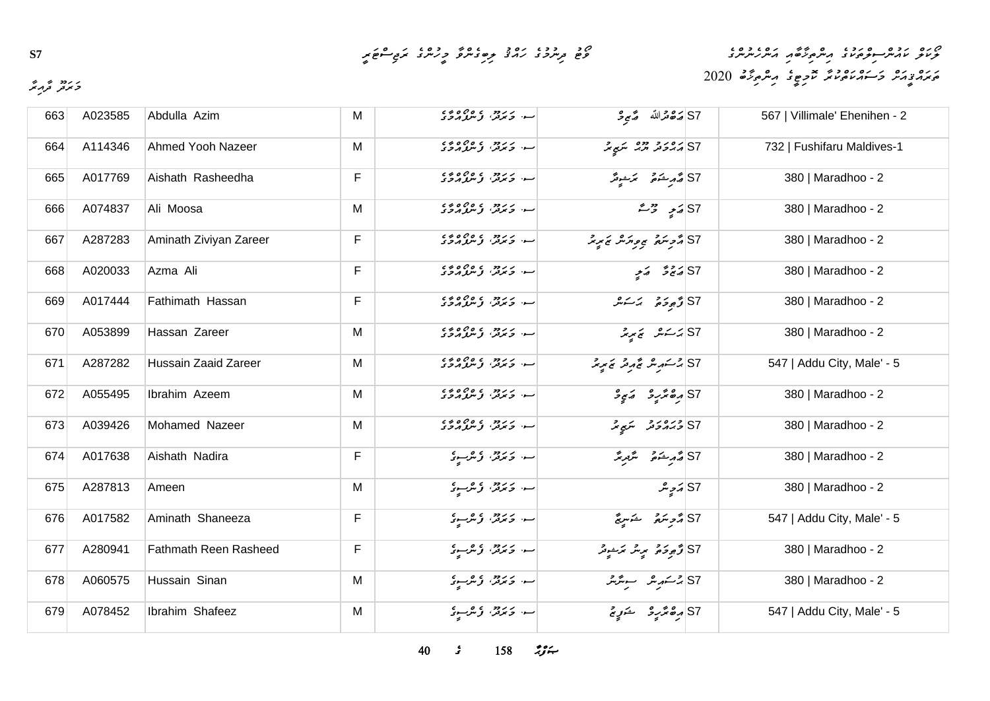*sCw7q7s5w7m< o<n9nOoAw7o< sCq;mAwBoEw7q<m; wBm;vB* م من المرة المرة المرة المرجع المرجع في المركبة 2020<br>مجم*د المريض المربوط المربع المرجع في المراجع المركبة* 

|  | シーションシー      |  |
|--|--------------|--|
|  | وتمكر فرمرسر |  |

| 663 | A023585 | Abdulla Azim                 | M            | ر درود ۱۶۵۵۰۰<br>سه کاندن وسومان             | S7 مَەھىراللە مَ <i>مّى</i> ئ              | 567   Villimale' Ehenihen - 2 |
|-----|---------|------------------------------|--------------|----------------------------------------------|--------------------------------------------|-------------------------------|
| 664 | A114346 | <b>Ahmed Yooh Nazeer</b>     | M            | ر درود ۱۶۵۵۰۰<br>سه ونوش وسومبرد             | S7 كەبر <i>و تەرەپىرى تىرى بى</i>          | 732   Fushifaru Maldives-1    |
| 665 | A017769 | Aishath Rasheedha            | $\mathsf{F}$ | ر در دور ده ۲۶۵ وي.<br>سه کريمون وسرو برو د  | S7 م <i>ەڭمەشقى تىمىش</i> ون <i>ى</i> گە   | 380   Maradhoo - 2            |
| 666 | A074837 | Ali Moosa                    | M            | سه کرده وه ۹۵۵۰                              | S7 کیمیں سی پیشہ                           | 380   Maradhoo - 2            |
| 667 | A287283 | Aminath Ziviyan Zareer       | F            | ر درود ۱۶۵۵۰۰<br>سه ونوش وسومبرد             | S7 مُرْحِسَةٌ بِمِعْ مِنْ تَأْمِيةٌ        | 380   Maradhoo - 2            |
| 668 | A020033 | Azma Ali                     | $\mathsf{F}$ | ر درود 2000 وير<br>سه ويوتر، وسودروي         | S7 <i>جَ جَيْ جَيْ</i>                     | 380   Maradhoo - 2            |
| 669 | A017444 | Fathimath Hassan             | F            | ر در دود ۵۵۵۰۰<br>سه کریمرتر، وسرو برو د     | S7 ۇ <sub>جۇ</sub> رۇ بەسەتلە              | 380   Maradhoo - 2            |
| 670 | A053899 | Hassan Zareer                | M            | ر در در ده ده ده ده د<br>سر کردن و سرو در در | S7   يَرْسَدُ مَنْ تَجْرِيْرُ              | 380   Maradhoo - 2            |
| 671 | A287282 | Hussain Zaaid Zareer         | M            | سە كەيدە ئەھەم ئە                            | S7 بُرْسَهرِ بْكَرْ بْكَرْ بْمَ بْرِ بْرْ. | 547   Addu City, Male' - 5    |
| 672 | A055495 | Ibrahim Azeem                | M            | ر درود ۱۶۵۵۰۰<br>سه ونوش وسومبرد             | S7 مەھە <i>گرى</i> ھەم 2                   | 380   Maradhoo - 2            |
| 673 | A039426 | Mohamed Nazeer               | M            | سە كەيدە ئەھەم ئە                            | S7 <i>\$22.2 نرى بىرى</i>                  | 380   Maradhoo - 2            |
| 674 | A017638 | Aishath Nadira               | F            | ہ۔ تربردو ویرسوی                             | S7 مۇم شۇم ئىتى <i>رىتى</i>                | 380   Maradhoo - 2            |
| 675 | A287813 | Ameen                        | M            | ب ريزده وعربو                                | S7 کړ <i>و</i> یګر                         | 380   Maradhoo - 2            |
| 676 | A017582 | Aminath Shaneeza             | $\mathsf{F}$ | ے ریے ویرو کے ا                              | S7 مُرْحِسَةٌ شَمَسِيَّ                    | 547   Addu City, Male' - 5    |
| 677 | A280941 | <b>Fathmath Reen Rasheed</b> | F            | ہ۔ تربردو ویرسوی                             | S7 <i>وُّهِ وَهُمْ بِرِينَ بَرَسْوِيرُ</i> | 380   Maradhoo - 2            |
| 678 | A060575 | Hussain Sinan                | M            | ے دیروہ ویرے                                 | S7 پرڪريگر سينگيٽر                         | 380   Maradhoo - 2            |
| 679 | A078452 | Ibrahim Shafeez              | M            | ر دردو ده د .<br>سه وبرتر، وترس              | S7 پ <i>رهنگرد</i> و ځوړنځ                 | 547   Addu City, Male' - 5    |

*40 sC 158 nNw?mS*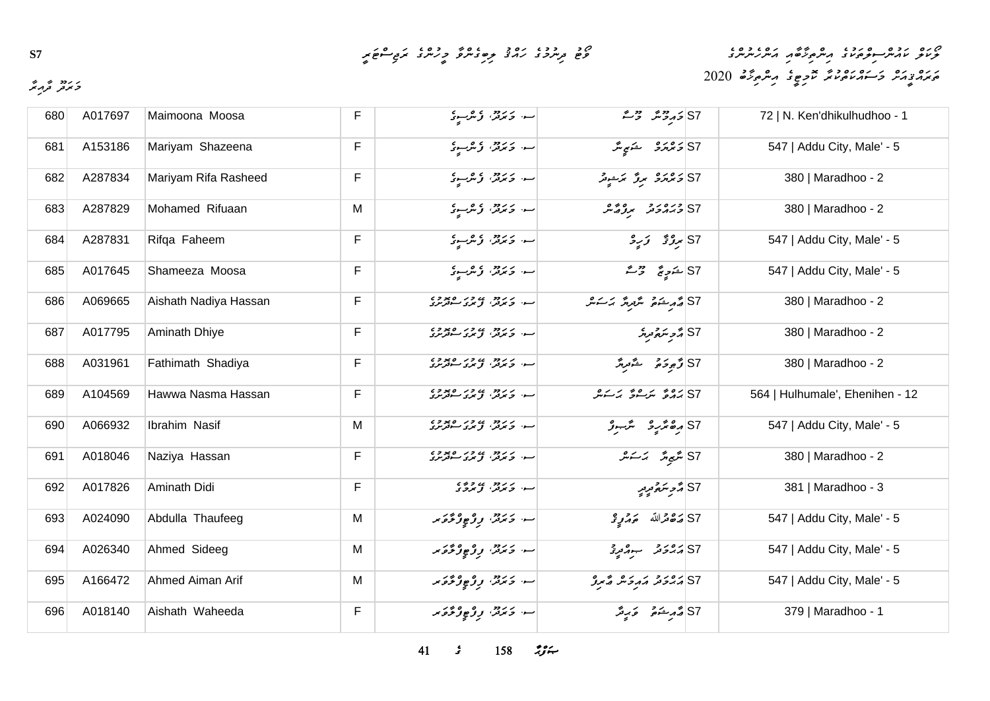*sCw7q7s5w7m< o<n9nOoAw7o< sCq;mAwBoEw7q<m; wBm;vB* م من المرة المرة المرة المرجع المرجع في المركبة 2020<br>مجم*د المريض المربوط المربع المرجع في المراجع المركبة* 

| 680 | A017697 | Maimoona Moosa        | F | ے کابردہ وکر ہے                                     | S7  كەرىخ مىشرىق ئىستىك                | 72   N. Ken'dhikulhudhoo - 1    |
|-----|---------|-----------------------|---|-----------------------------------------------------|----------------------------------------|---------------------------------|
| 681 | A153186 | Mariyam Shazeena      | F | ے کابردہ واعرے                                      | S7 كەنگەر ئىمى ئىگە بىر ئىگە ئاپ ئىگە  | 547   Addu City, Male' - 5      |
| 682 | A287834 | Mariyam Rifa Rasheed  | F | ے کابردہ ویرے                                       | S7 ك <i>ر چركز فر برگ بر شوم</i> ر     | 380   Maradhoo - 2              |
| 683 | A287829 | Mohamed Rifuaan       | M | ے رود وہ وہ                                         | S7 32023 بروژنتر                       | 380   Maradhoo - 2              |
| 684 | A287831 | Rifqa Faheem          | F | ے زردہ وعرف                                         | S7 بروْدٌ ک <sup>و</sup> رِدْ          | 547   Addu City, Male' - 5      |
| 685 | A017645 | Shameeza Moosa        | F | ے رود وہ وہ                                         | S7 شَرِيحٌ حَرْبٌ                      | 547   Addu City, Male' - 5      |
| 686 | A069665 | Aishath Nadiya Hassan | F | ر در دو دی در ه پوده<br>سه و برتر، ژ بری سهترین     | S7 مەم شەھ سىرىگە ئەسەس                | 380   Maradhoo - 2              |
| 687 | A017795 | Aminath Dhiye         | F |                                                     | S7 مُّ <i>جِ سَهوْ مِنْ جُ</i>         | 380   Maradhoo - 2              |
| 688 | A031961 | Fathimath Shadiya     | F | ر در دور ده در ۲۶ ورو د<br>سه د ترکز کل کرد سافربرد | S7 تُرجوحَ حَمَّ مِعْ مِرْتَر          | 380   Maradhoo - 2              |
| 689 | A104569 | Hawwa Nasma Hassan    | F | ر در دو ده در ه دوه<br>سه و برتر، ژ بری سه ترین     | S7  كەكرى ئىرسى كەسكىلى                | 564   Hulhumale', Ehenihen - 12 |
| 690 | A066932 | Ibrahim Nasif         | M |                                                     | S7 مەھە <i>ترى</i> دۇ س <i>تىبى</i> رۇ | 547   Addu City, Male' - 5      |
| 691 | A018046 | Naziya Hassan         | F |                                                     | S7 سَمَعِ هُرَ سَمَسَر مَسَر           | 380   Maradhoo - 2              |
| 692 | A017826 | <b>Aminath Didi</b>   | F | ر درود.<br>سه و برتر، ژبروی                         | S7 گەچ سىمۇمىيەيە                      | 381   Maradhoo - 3              |
| 693 | A024090 | Abdulla Thaufeeg      | M | – دَىمَتْرُ وِرْجِوْدَةَ م                          | S7 كەھەراللە <i>كەمرىي ت</i>           | 547   Addu City, Male' - 5      |
| 694 | A026340 | Ahmed Sideeg          | M |                                                     | S7   د ۱۳ سوه موقع د محمد السرقر<br> - | 547   Addu City, Male' - 5      |
| 695 | A166472 | Ahmed Aiman Arif      | M | سا د ټرنزا و ژېو ژ ژوند                             | S7 <i>בُיכל הקבּ</i> ית בֿית 2         | 547   Addu City, Male' - 5      |
| 696 | A018140 | Aishath Waheeda       | F | – دَىرْتْرْ، رِرْجِوْرْ دُمَىر                      | S7 مەم ئىقىم ھىيەتگە                   | 379   Maradhoo - 1              |

*41 sC 158 nNw?mS*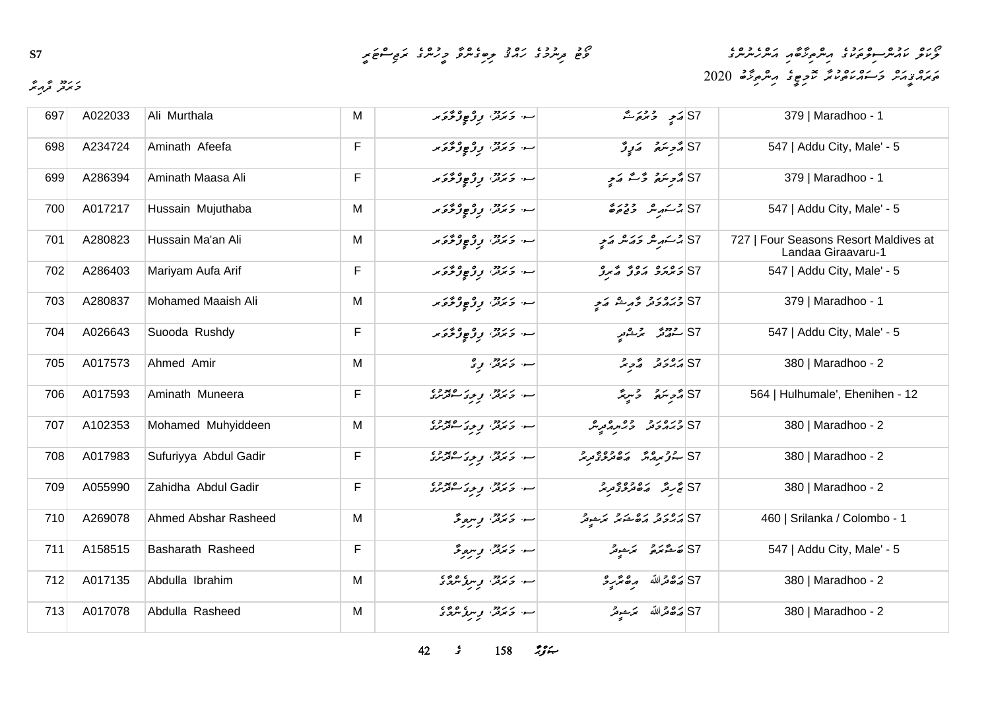*sCw7q7s5w7m< o<n9nOoAw7o< sCq;mAwBoEw7q<m; wBm;vB* م من المرة المرة المرة المرجع المرجع في المركبة 2020<br>مجم*د المريض المربوط المربع المرجع في المراجع المركبة* 

| 697 | A022033 | Ali Murthala             | M | – دَىمَتْرُ، رِرْعٍرْدَوْمَد    | S7 <i>ھَ جِي جُمْعَ َتَ</i>                       | 379   Maradhoo - 1                                          |
|-----|---------|--------------------------|---|---------------------------------|---------------------------------------------------|-------------------------------------------------------------|
| 698 | A234724 | Aminath Afeefa           | F | - - دَ بَرُوْ وِرْجٍ رُ دُوَبَر | S7 مُت <i>حِ سَعْهُ مَدِي</i> رٌ                  | 547   Addu City, Male' - 5                                  |
| 699 | A286394 | Aminath Maasa Ali        | F | -- دَىرْتْرْ، رِرْجِوْرْدُوَىر  | S7 مُر <i>َجِ مَنْ مُ</i> حَدَّ مَرَ جِمَعَ الْمَ | 379   Maradhoo - 1                                          |
| 700 | A017217 | Hussain Mujuthaba        | M | – دَىرْتْر، رِرْجِورْ دُوَىر    | S7 يُرْسَمب <sup>9</sup> وَقَعْوَةً               | 547   Addu City, Male' - 5                                  |
| 701 | A280823 | Hussain Ma'an Ali        | M | ب دَيَرُهُ، رِرُّجِورْ دُيَمَ   | S7 پر شهر بھر <i>مگر مگر</i>                      | 727   Four Seasons Resort Maldives at<br>Landaa Giraavaru-1 |
| 702 | A286403 | Mariyam Aufa Arif        | F | سە كەنگەر بولۇغۇلۇمد            | S7 كەممەر 29 كەمبەر 25                            | 547   Addu City, Male' - 5                                  |
| 703 | A280837 | Mohamed Maaish Ali       | M |                                 | S7 <i>وُبەودىر</i> ۇ <sub>م</sub> ىش كەير         | 379   Maradhoo - 1                                          |
| 704 | A026643 | Suooda Rushdy            | F | ب دَيَرُهُ، رِرُّجِورْ دُيَمَ   | S7 سىھەتتر بىرىشى <i>م</i> ىر                     | 547   Addu City, Male' - 5                                  |
| 705 | A017573 | Ahmed Amir               | M | سە كەندىق دى                    | S7 <i>مُدْدَوْرٌ مُ</i> ُومِرُ                    | 380   Maradhoo - 2                                          |
| 706 | A017593 | Aminath Muneera          | F | سه ځمرنه ویوکسترمر              | S7 مُتَّحِسَمُ مَسِيَّد                           | 564   Hulhumale', Ehenihen - 12                             |
| 707 | A102353 | Mohamed Muhyiddeen       | M | سه ځندن ویوتک میوه              | S7 כגופני כגתולתית                                | 380   Maradhoo - 2                                          |
| 708 | A017983 | Sufuriyya Abdul Gadir    | F | سه کابرده و در ۱۶۶۵             | S7 جۇمرەر مەھەر ئۇمرىر<br>S7 جۇمرەر مەھەر ئۇمرىر  | 380   Maradhoo - 2                                          |
| 709 | A055990 | Zahidha Abdul Gadir      | F | ر په ترکوده و پر د د ده د د د   | S7 تج بەنتى ئەھ تىرىخ تىرىتى                      | 380   Maradhoo - 2                                          |
| 710 | A269078 | Ahmed Abshar Rasheed     | M | ے کا ترقش و سرہ گ               | S7 <i>גېرو تر ه</i> شکړ امر شونز                  | 460   Srilanka / Colombo - 1                                |
| 711 | A158515 | <b>Basharath Rasheed</b> | F | ے کا ترقش و سرہ گ               | S7 <i>ھَڪُمَرَ جَھُ مَرَڪُونَرُ</i>               | 547   Addu City, Male' - 5                                  |
| 712 | A017135 | Abdulla Ibrahim          | M | ے کا پروژ و سرگامردی            | S7  جَدَّقْتَدَاللَّهُ مِنْ حَمَّدِيْرَ           | 380   Maradhoo - 2                                          |
| 713 | A017078 | Abdulla Rasheed          | M | ے کا بردو و سرگامردی            | S7 كەھەتراللە كىرىش <sub>و</sub> تر               | 380   Maradhoo - 2                                          |

*42 s* 158 *i*<sub>S</sub> $\approx$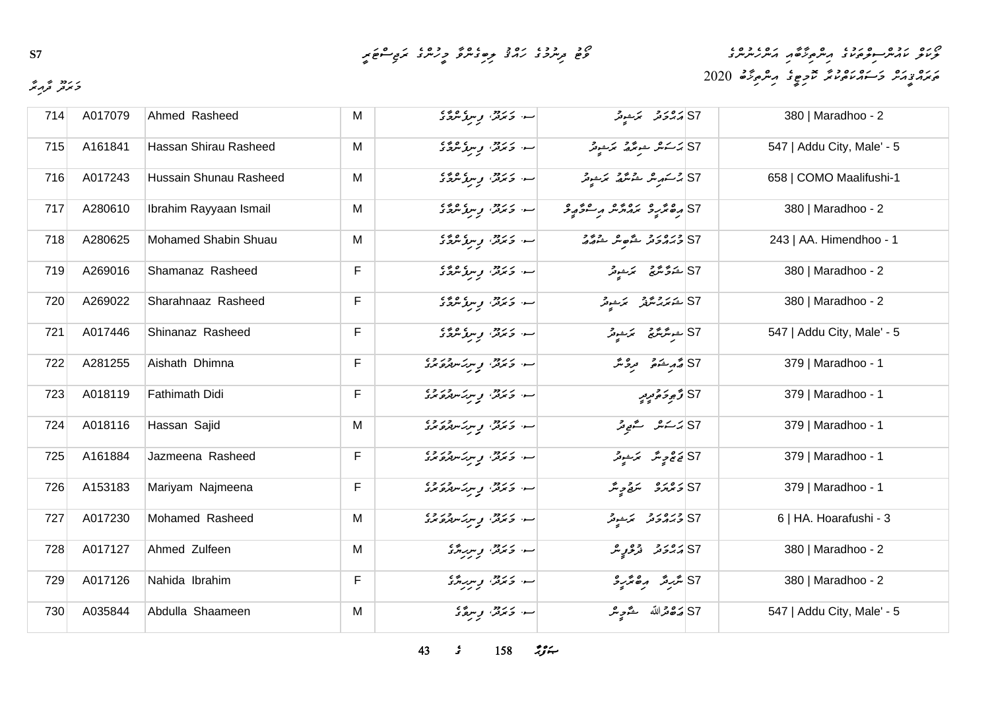*sCw7q7s5w7m< o<n9nOoAw7o< sCq;mAwBoEw7q<m; wBm;vB 2020*<br>*په پوهر وسوډيرونو لومو د موجو د مرمونه* 2020

| 714 | A017079 | Ahmed Rasheed          | M | ے کردو رسوکردی           | S7 كەبر <i>و تىل تى</i> شىقر                    | 380   Maradhoo - 2         |
|-----|---------|------------------------|---|--------------------------|-------------------------------------------------|----------------------------|
| 715 | A161841 | Hassan Shirau Rasheed  | M | ے کا بردو و سرگامردی     | S7 كەسكەش ھوت <i>ۇرقى</i> ت <i>ىر</i> ھوتر      | 547   Addu City, Male' - 5 |
| 716 | A017243 | Hussain Shunau Rasheed | M | ے کا بردو و سرگامردی     | S7 بر سَمبر مَرَ مَشْرَ مَيْرَ مَسْرِ مَرْ      | 658   COMO Maalifushi-1    |
| 717 | A280610 | Ibrahim Rayyaan Ismail | M | سە ئەيرى بوسۇسىدى        | S7 رەپرىي ئەمبۇش مەش <i>رۇپ</i>                 | 380   Maradhoo - 2         |
| 718 | A280625 | Mohamed Shabin Shuau   | M | ے کا بردو وسوی معدد      | S7 <i>دبره ب</i> ره شوه شرکتره                  | 243   AA. Himendhoo - 1    |
| 719 | A269016 | Shamanaz Rasheed       | F | ے کا بردو وسوی معاملی    | S7 شَوَّتَدَّجْ بَرَسِوِيْر                     | 380   Maradhoo - 2         |
| 720 | A269022 | Sharahnaaz Rasheed     | F | ے کا بردو وسوی معاملی    | S7 س <i>ىكەنگەنگەنگە</i> كىرىس <sub>و</sub> نىز | 380   Maradhoo - 2         |
| 721 | A017446 | Shinanaz Rasheed       | F | ے کردو وسومبردی          | S7 سېنگرىگى كرسېتر                              | 547   Addu City, Male' - 5 |
| 722 | A281255 | Aishath Dhimna         | F | سه کامرده و سرکاسهور ده  | S7 مەم شىم مەركىگە                              | 379   Maradhoo - 1         |
| 723 | A018119 | <b>Fathimath Didi</b>  | F | سه کامرود و سرر سرور ده  | S7 ۇ <sub>جو</sub> رَ <sub>م</sub> ۇرىر         | 379   Maradhoo - 1         |
| 724 | A018116 | Hassan Sajid           | M | سه کامرده و سرکاسهور ده  | S7   پرسٹریس گھری قر                            | 379   Maradhoo - 1         |
| 725 | A161884 | Jazmeena Rasheed       | F | سه کامرده و سرکاسهور ده  | S7 کے ج ج سگر - مکر شومگر                       | 379   Maradhoo - 1         |
| 726 | A153183 | Mariyam Najmeena       | F | سه کامرده و سرکاسهور ده  | S7  <i>دەرە يىق</i> وپىگە                       | 379   Maradhoo - 1         |
| 727 | A017230 | Mohamed Rasheed        | M | سه که دود و سرپرسهره مرد | S7 <i>وُبَرُوونُ بَرَ</i> حُومُ                 | 6   HA. Hoarafushi - 3     |
| 728 | A017127 | Ahmed Zulfeen          | M | سه کردود و سربردی        | S7   كەبرى قىر ئۆلگەرلىر                        | 380   Maradhoo - 2         |
| 729 | A017126 | Nahida Ibrahim         | F | ے کردو وسربرگری          | S7 مَّرْبِعَّر مِـ صَخَّرِ وَ                   | 380   Maradhoo - 2         |
| 730 | A035844 | Abdulla Shaameen       | M | ے کی ترقش و سرگار        | S7 كەھەتراللە مىگەچ <sub>ى</sub> ش              | 547   Addu City, Male' - 5 |

*43 s* 158 *i*<sub>S</sub> $\approx$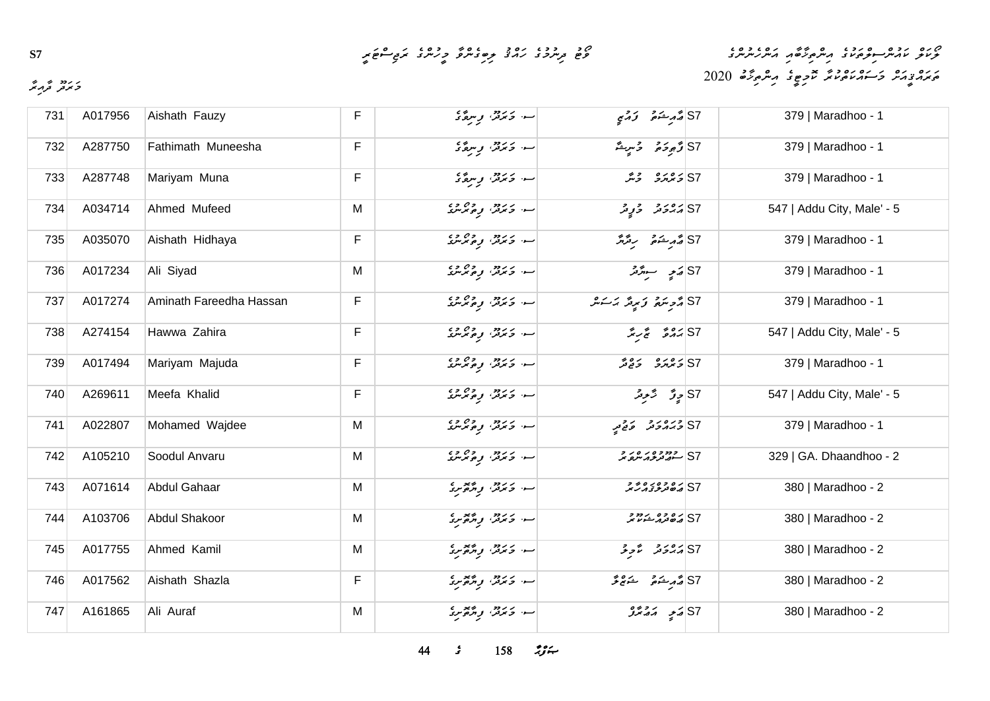*sCw7q7s5w7m< o<n9nOoAw7o< sCq;mAwBoEw7q<m; wBm;vB* م من المرة المرة المرة المرجع المرجع في المركبة 2020<br>مجم*د المريض المربوط المربع المرجع في المراجع المركبة* 

| 731 | A017956 | Aishath Fauzy           | F           | ے دیکھی وسرگانگی                      | S7  <i>مەم ھۇمىي</i>                              | 379   Maradhoo - 1         |
|-----|---------|-------------------------|-------------|---------------------------------------|---------------------------------------------------|----------------------------|
| 732 | A287750 | Fathimath Muneesha      | F           | ے زیروی و سرگانا                      | S7 ۇ <sub>م</sub> وڭ ق <sup>ى</sup> رىش           | 379   Maradhoo - 1         |
| 733 | A287748 | Mariyam Muna            | F           | ے کے ترقش و سرگانی                    | S7 <i>وَ بُرْمَرْ وَ وَ مُرَّ</i>                 | 379   Maradhoo - 1         |
| 734 | A034714 | Ahmed Mufeed            | M           | سه و دره و وه و و                     | S7 <i>ډُرونو وونو</i>                             | 547   Addu City, Male' - 5 |
| 735 | A035070 | Aishath Hidhaya         | F           | ـــ درود ووړوه                        | S7 مەم شىم بەتىرىتى                               | 379   Maradhoo - 1         |
| 736 | A017234 | Ali Siyad               | M           | ے درود وہ وہ<br>ے ویرس وہرس           | S7 ک <sup>ے</sup> جو سوشر                         | 379   Maradhoo - 1         |
| 737 | A017274 | Aminath Fareedha Hassan | F           | سه درود وه وه.<br>  سه د برود وه برس  | S7 مٌرَ سَمَعٌ   وَ مِرِمَّزٌ   يَا سَمَسْ        | 379   Maradhoo - 1         |
| 738 | A274154 | Hawwa Zahira            | $\mathsf F$ | - ریز وه ده ده                        | S7 ئەم قىم قى ئىرىتىگە                            | 547   Addu City, Male' - 5 |
| 739 | A017494 | Mariyam Majuda          | F           | ر در دو وه وه<br>سه وندس وه مرس       | S7 كەممەر <i>2 كە</i> قر                          | 379   Maradhoo - 1         |
| 740 | A269611 | Meefa Khalid            | F           | در دور وه وه<br>  سن تو بر تر و بر سر | S7  <sub>جو</sub> ڙ - گ <sup>و</sup> وٽر          | 547   Addu City, Male' - 5 |
| 741 | A022807 | Mohamed Wajdee          | M           | ب روده وه ده ده                       | S7 <i>وبرو دي و وف</i> ي                          | 379   Maradhoo - 1         |
| 742 | A105210 | Soodul Anvaru           | M           | ر در دو وه وه<br>سه وندس وه مرس       | S7 سەھەم ھەر ج                                    | 329   GA. Dhaandhoo - 2    |
| 743 | A071614 | Abdul Gahaar            | M           | ر بر دوه و پروس                       | S7 پەھ ترىۋى تەرىپى                               | 380   Maradhoo - 2         |
| 744 | A103706 | <b>Abdul Shakoor</b>    | M           | ے زردہ وگھری                          | S7 پرەۋە مەدد د                                   | 380   Maradhoo - 2         |
| 745 | A017755 | Ahmed Kamil             | M           | ے کردو وگھری                          | S7 كەندى قىم بۇ ئىلگەن ئى                         | 380   Maradhoo - 2         |
| 746 | A017562 | Aishath Shazla          | F           | ب- د بردو، و پژویرد                   | S7 <sub>م</sub> ُم <i>ْ مِشْہُ مِنْ شَہْرُ مُ</i> | 380   Maradhoo - 2         |
| 747 | A161865 | Ali Auraf               | M           | ب ریزده و پژویزی                      | S7 <i>مَرْمٍ مَمْ</i> مَعْرُ                      | 380   Maradhoo - 2         |

*44 sC 158 nNw?mS*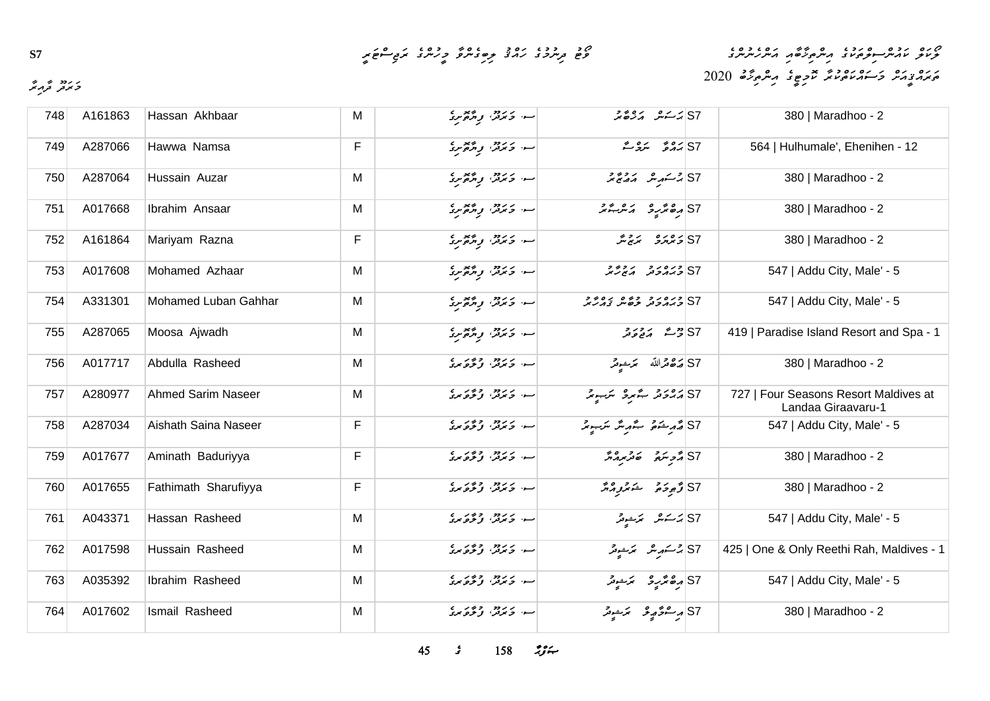*sCw7q7s5w7m< o<n9nOoAw7o< sCq;mAwBoEw7q<m; wBm;vB 2020*<br>*په پوهر وسوډيرونو لومو د موجو د مرمونه* 2020

| 748 | A161863 | Hassan Akhbaar            | M           | ے کریں ویڈیوی                                  | S7 ئەسەمبىر مە <i>زھ</i> ىر                              | 380   Maradhoo - 2                                          |
|-----|---------|---------------------------|-------------|------------------------------------------------|----------------------------------------------------------|-------------------------------------------------------------|
| 749 | A287066 | Hawwa Namsa               | F           | ر در دور<br>سه د برتر، و پره برد               | S7 بَرْدُوْ سَرْدْتُهُ                                   | 564   Hulhumale', Ehenihen - 12                             |
| 750 | A287064 | Hussain Auzar             | M           | ر در دور<br>سه د برتر، و پره برد               | S7 يُرْسَمَ بِهِ مَرْبَدَ بِرَ                           | 380   Maradhoo - 2                                          |
| 751 | A017668 | Ibrahim Ansaar            | M           | ے کردو ویکھیں                                  | S7 مەھە <i>گرى</i> ھەرگە ئەر                             | 380   Maradhoo - 2                                          |
| 752 | A161864 | Mariyam Razna             | F           | ر در دور<br>سه د برتر، و پره برد               | S7 ئ <i>ۈچرى ئىچ ئى</i> ر                                | 380   Maradhoo - 2                                          |
| 753 | A017608 | Mohamed Azhaar            | M           | ر بر دو.<br>پ د برتر، و پژونزی                 | S7 <i>בגם בב האבצב</i>                                   | 547   Addu City, Male' - 5                                  |
| 754 | A331301 | Mohamed Luban Gahhar      | M           | ر بر دو.<br>پ د برتر، و پژونزی                 | S7 دره د د وه مه ده د د                                  | 547   Addu City, Male' - 5                                  |
| 755 | A287065 | Moosa Ajwadh              | M           | ر در دور<br>سه د برتر، و پره برد               | S7الرشش پروگرونر                                         | 419   Paradise Island Resort and Spa - 1                    |
| 756 | A017717 | Abdulla Rasheed           | M           | ر درود و ور د ،<br>سه و برتر، ژگرو برد         | S7 مَەھْمَراللە مَرْسِعْتْر                              | 380   Maradhoo - 2                                          |
| 757 | A280977 | <b>Ahmed Sarim Naseer</b> | M           | ر درود و ور د .<br>سه کامرتن و څوکامرۍ         | S7 كەندى قىر ئىسى ئىسىم ئىسىم                            | 727   Four Seasons Resort Maldives at<br>Landaa Giraavaru-1 |
| 758 | A287034 | Aishath Saina Naseer      | F           | ر در دور دور د<br>ر. د پرتر، و ژوند            | S7 مُەم ھۇم سۇم مَر مَرَسومُر                            | 547   Addu City, Male' - 5                                  |
| 759 | A017677 | Aminath Baduriyya         | F           |                                                | S7 <i>مُجِسَعة</i> <del>صَ</del> رْبِرْ مُرَّ            | 380   Maradhoo - 2                                          |
| 760 | A017655 | Fathimath Sharufiyya      | $\mathsf F$ | ر بر دو و و بر د .<br>سه او برتر، تو تو تو برو | S7 <i>وَّجِ دَمَّةَ</i> شَمَع <i>ْ و</i> َمَّةَ <i>ّ</i> | 380   Maradhoo - 2                                          |
| 761 | A043371 | Hassan Rasheed            | M           | ر بر دو و و بر د .<br>سه او برتر، تو تو تو برو | S7   پرسكانلار   كرىغونلار                               | 547   Addu City, Male' - 5                                  |
| 762 | A017598 | Hussain Rasheed           | M           | ر بر دو و و بر د .<br>سه او برتر، تو تو تو برو | S7  ترسكور مركب كرمنيوتر                                 | 425   One & Only Reethi Rah, Maldives - 1                   |
| 763 | A035392 | Ibrahim Rasheed           | M           | ر بر دو و و بر د .<br>سه او برتر، تو تو تو برو | S7 مەھەر بۇ سىم ئىرىدىنى<br>S7                           | 547   Addu City, Male' - 5                                  |
| 764 | A017602 | Ismail Rasheed            | M           | ر درود و وی د<br>سه کامرتن توگوکامری           | S7 م <sup>ر</sup> مەگەر بىر سىزىسى كىرىدىن كىل           | 380   Maradhoo - 2                                          |

*45 sC 158 nNw?mS*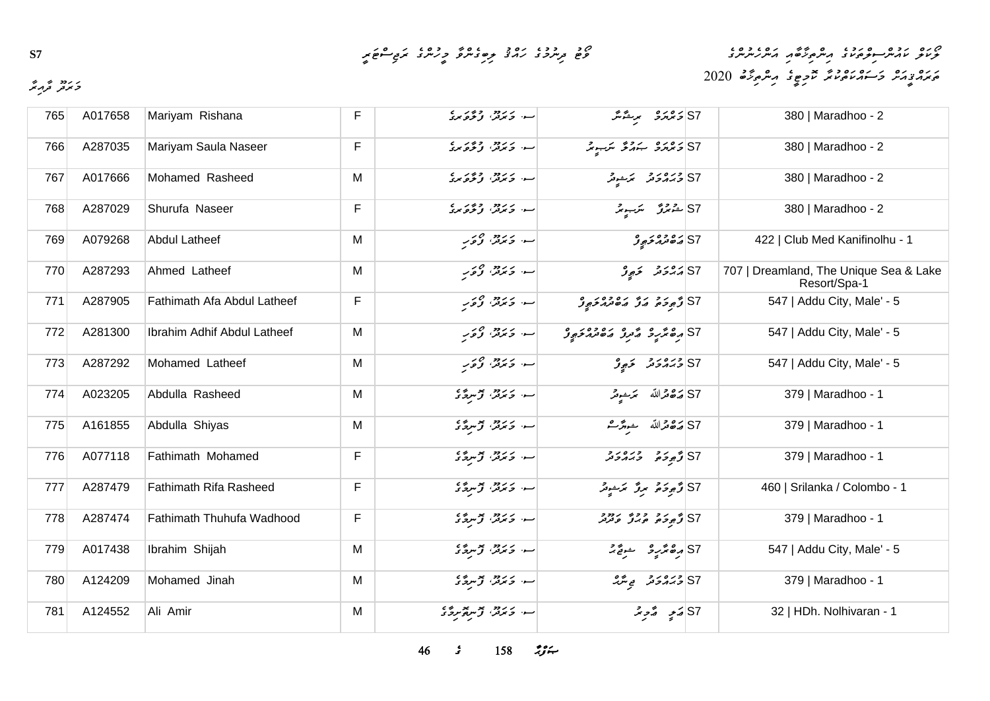*sCw7q7s5w7m< o<n9nOoAw7o< sCq;mAwBoEw7q<m; wBm;vB* م من المرة المرة المرة المرجع المرجع في المركبة 2020<br>مجم*د المريض المربوط المربع المرجع في المراجع المركبة* 

| 765 | A017658 | Mariyam Rishana               | $\mathsf{F}$ | سه کابرده ولور پا                             | S7 كەنگەر ئىم ئىگەنگە                    | 380   Maradhoo - 2                                     |
|-----|---------|-------------------------------|--------------|-----------------------------------------------|------------------------------------------|--------------------------------------------------------|
| 766 | A287035 | Mariyam Saula Naseer          | $\mathsf{F}$ | ر بر دو و و بر د .<br>سه او برتر، تو توڅو برو | S7 كەنگەر ئەرگە ئەسلىمىسى ئىككىت ئىسلامى | 380   Maradhoo - 2                                     |
| 767 | A017666 | Mohamed Rasheed               | M            | ر درود و و در ه<br>سه کامرنس و څوکامری        | S7 <i>وُبَرُودُو تَرَ</i> حُومُرُ        | 380   Maradhoo - 2                                     |
| 768 | A287029 | Shurufa Naseer                | $\mathsf{F}$ | ر درود و و در ه<br>سه کامرتن و څوکامري        | S7 شەمر <i>ۇ مىن</i> بەممە               | 380   Maradhoo - 2                                     |
| 769 | A079268 | <b>Abdul Latheef</b>          | M            | سە ئەندىق ئۇنجار                              | S7 كەھەر مۇمۇ                            | 422   Club Med Kanifinolhu - 1                         |
| 770 | A287293 | Ahmed Latheef                 | M            | سە ئەترىق ئۇنۇب                               | S7 كەشكەتقى ئۇم <sub>ۇ</sub> تى          | 707   Dreamland, The Unique Sea & Lake<br>Resort/Spa-1 |
| 771 | A287905 | Fathimath Afa Abdul Latheef   | F            | سە ئەندىق ئۇغار                               | S7 ژُجِ زَمَ ۾ رُه ره ده ر               | 547   Addu City, Male' - 5                             |
| 772 | A281300 | Ibrahim Adhif Abdul Latheef   | M            | سە ئەندىق ئۇغار                               | S7 رەڭرىر 3 مەر مەدر مور                 | 547   Addu City, Male' - 5                             |
| 773 | A287292 | Mohamed Latheef               | M            | سە ئەندىق ئۇنجار                              | S7 <i>\$222 حَجو</i> ثر                  | 547   Addu City, Male' - 5                             |
| 774 | A023205 | Abdulla Rasheed               | M            | ے کروڑ ہو گیا گا                              | S7 مَەھْرَاللَّهُ مَمَرْسُومَّر          | 379   Maradhoo - 1                                     |
| 775 | A161855 | Abdulla Shiyas                | M            | ے دیں ہو دہ                                   | S7 كەڭقىراللە خى <i>مۇ</i> گ             | 379   Maradhoo - 1                                     |
| 776 | A077118 | Fathimath Mohamed             | $\mathsf{F}$ | ے کروڑ ہو گیا گا                              | S7 ژُجِ <i>دَه دره دو</i>                | 379   Maradhoo - 1                                     |
| 777 | A287479 | <b>Fathimath Rifa Rasheed</b> | $\mathsf F$  | ے کروڑ ہو گھ                                  | S7 زُّەپ دَمْ بِرزٌ بَرَسُوتر            | 460   Srilanka / Colombo - 1                           |
| 778 | A287474 | Fathimath Thuhufa Wadhood     | F            | ے کروڑ ہو گیا گا                              | S7 ژُجِ پر و ووی پروو                    | 379   Maradhoo - 1                                     |
| 779 | A017438 | Ibrahim Shijah                | M            | ے کابردہ ہوسرگائی                             | S7 مەھەر بەر ھەرقە 12 مەرق               | 547   Addu City, Male' - 5                             |
| 780 | A124209 | Mohamed Jinah                 | M            | ے زیروہ بوروی                                 | S7 <i>\$22.25 يې مگ</i> ر                | 379   Maradhoo - 1                                     |
| 781 | A124552 | Ali Amir                      | M            | ے دیکھ تر ہوتا ہے                             | S7 <i>۾ مؤج</i> ر                        | 32   HDh. Nolhivaran - 1                               |

*46 s* 158 *i*<sub>S</sub> $\approx$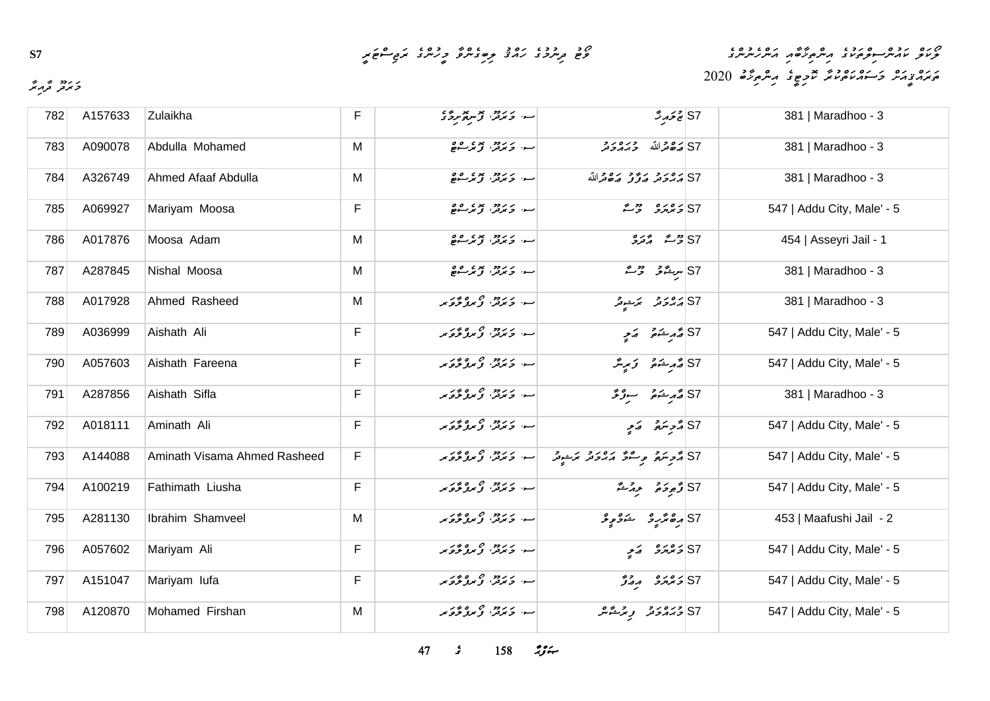*sCw7q7s5w7m< o<n9nOoAw7o< sCq;mAwBoEw7q<m; wBm;vB* م من المرة المرة المرة المرجع المرجع في المركبة 2020<br>مجم*د المريض المربوط المربع المرجع في المراجع المركبة* 

| 782 | A157633 | Zulaikha                     | F            | - ئەندىق ۋىبرىمرىرى                  | S7 ىج ئۇم <i>ر</i> ىگە                                                           | 381   Maradhoo - 3         |
|-----|---------|------------------------------|--------------|--------------------------------------|----------------------------------------------------------------------------------|----------------------------|
| 783 | A090078 | Abdulla Mohamed              | M            | ب رىردە بىرى ق                       | S7 مَەھْمَراللە ئەرەبەر                                                          | 381   Maradhoo - 3         |
| 784 | A326749 | Ahmed Afaaf Abdulla          | M            | سه درود بده وه                       | S7 م بروبر م ترو م كام الله                                                      | 381   Maradhoo - 3         |
| 785 | A069927 | Mariyam Moosa                | $\mathsf F$  | ر بر دو بره وه<br>ب- بر برتر، تو برگ | S7 دېمبرو ديگ                                                                    | 547   Addu City, Male' - 5 |
| 786 | A017876 | Moosa Adam                   | M            | سه ريزده بدي وه                      | S7 چې په ډېرو                                                                    | 454   Asseyri Jail - 1     |
| 787 | A287845 | Nishal Moosa                 | M            | ر بر دو بره وه<br>ب- وبرتر، تربرگو   | S7 سرشمو تر محرث                                                                 | 381   Maradhoo - 3         |
| 788 | A017928 | Ahmed Rasheed                | M            | سە كەندىق كۆيرۈگۈند                  | S7 <i>مَہُدُوَ مَمْ</i> سَمِعِ مِنْ                                              | 381   Maradhoo - 3         |
| 789 | A036999 | Aishath Ali                  | $\mathsf F$  | سە كەندىق كۆيرۈگۈند                  | S7 مُدِيسَة مَرِ                                                                 | 547   Addu City, Male' - 5 |
| 790 | A057603 | Aishath Fareena              | F            | سە كەندىق كۆيرۈگۈند                  | S7 م <i>ۇم شۇق ق<sup>ى</sup>م</i> رى <i>ن</i> گە                                 | 547   Addu City, Male' - 5 |
| 791 | A287856 | Aishath Sifla                | F            | سە كەندىق كۆيرۈگۈند                  | S7 مەم ئىقتىم سىرتىگە                                                            | 381   Maradhoo - 3         |
| 792 | A018111 | Aminath Ali                  | $\mathsf{F}$ | سە كەندىق كۆيرۈگۈند                  | S7 مُجِسَعَۃ مَعِ                                                                | 547   Addu City, Male' - 5 |
| 793 | A144088 | Aminath Visama Ahmed Rasheed | $\mathsf F$  |                                      | S7 مُرْحِسَةٌ وِسَعَّرَ مِرْدُونَ مَرْشِينٌ   سَنْ وَمَرْنَزُ وَمُرْتَوَفِرَمَدَ | 547   Addu City, Male' - 5 |
| 794 | A100219 | Fathimath Liusha             | $\mathsf F$  | سە كەندىق كۆيىرۇ ئۆتۈپر              | S7 تَ <i>وجودَة مِدمَّ</i>                                                       | 547   Addu City, Male' - 5 |
| 795 | A281130 | Ibrahim Shamveel             | M            | سە كەندىق كۆيىرۇ ئۆتۈپر              | S7 ب <i>رھنڙپ</i> و شر <i>و</i> موثر                                             | 453   Maafushi Jail - 2    |
| 796 | A057602 | Mariyam Ali                  | $\mathsf F$  | سە كەندىق كۆيرۈگۈند                  | S7 كەنگەنى كەي <sub>ج</sub>                                                      | 547   Addu City, Male' - 5 |
| 797 | A151047 | Mariyam lufa                 | $\mathsf F$  | سە كەندىق كۆيرۈگۈند                  | S7 كا <i>ئەمەق مەمۇقى</i>                                                        | 547   Addu City, Male' - 5 |
| 798 | A120870 | Mohamed Firshan              | M            | سە كەندىق كۆيرۈگۈند                  | S7 دېم ده د برخش ه                                                               | 547   Addu City, Male' - 5 |

*47 sC 158 nNw?mS*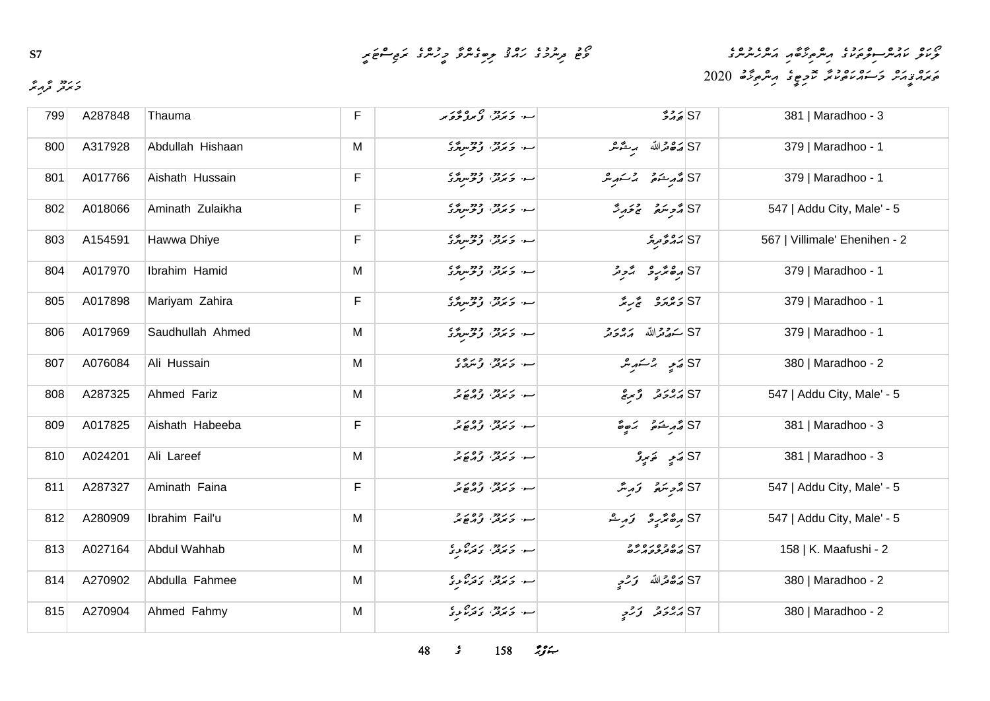*sCw7q7s5w7m< o<n9nOoAw7o< sCq;mAwBoEw7q<m; wBm;vB* م من المرة المرة المرة المرجع المرجع في المركبة 2020<br>مجم*د المريض المربوط المربع المرجع في المراجع المركبة* 

| 799 | A287848 | Thauma           | F           | سە كەندىق كۆيرۈگۈيمە                                                                                                                                                                                                            | 52/57                                               | 381   Maradhoo - 3            |
|-----|---------|------------------|-------------|---------------------------------------------------------------------------------------------------------------------------------------------------------------------------------------------------------------------------------|-----------------------------------------------------|-------------------------------|
| 800 | A317928 | Abdullah Hishaan | M           | ے ویرس وویروی                                                                                                                                                                                                                   | S7 كەمھەتراللە بەيشەتر                              | 379   Maradhoo - 1            |
| 801 | A017766 | Aishath Hussain  | F           | ر ر دو ووو ده.<br>پ د ترس و ترس                                                                                                                                                                                                 | S7 مُەم شەقر ب <sub>ە</sub> شەم بىر                 | 379   Maradhoo - 1            |
| 802 | A018066 | Aminath Zulaikha | $\mathsf F$ | ر درود وود ده.<br>سه د برتر، ژنومبرگرد                                                                                                                                                                                          | S7 أُمُّ حِسَمٌ مَحْمَدِ مُحَ                       | 547   Addu City, Male' - 5    |
| 803 | A154591 | Hawwa Dhiye      | F           | ے کریں ووجہ ہے                                                                                                                                                                                                                  | S7 ئەۋگە ئېرىتر                                     | 567   Villimale' Ehenihen - 2 |
| 804 | A017970 | Ibrahim Hamid    | M           | ر درود وود ده د<br>سه د برتر، ژنژسرگرد                                                                                                                                                                                          | S7 م <i>ەھترى</i> ئەرىر                             | 379   Maradhoo - 1            |
| 805 | A017898 | Mariyam Zahira   | F           | ر درود وود ده د<br>سه د برتر، ژنژسرگرد                                                                                                                                                                                          | S7 <i>جُهْرَدْ تَجْ بِ</i> تَدْ                     | 379   Maradhoo - 1            |
| 806 | A017969 | Saudhullah Ahmed | M           | ر درود وود ده د<br>سه د برتر، ژنژسرگرد                                                                                                                                                                                          | S7 كەچرىتىراللە كەبر <i>ە دى</i> ر                  | 379   Maradhoo - 1            |
| 807 | A076084 | Ali Hussain      | M           | ה ג'ודי צ'ידי ג'ודי ג'ודי ג'ודי ג'ודי ג'ודי ג'ודי ג'ודי ג'ודי ג'ודי ג'ודי ג'ודי ג'ודי ג'ודי ג'ודי ג'ודי ג'ודי<br>ה'ודי ג'ודי ג'ודי ג'ודי ג'ודי ג'ודי ג'ודי ג'ודי ג'ודי ג'ודי ג'ודי ג'ודי ג'ודי ג'ודי ג'ודי ג'ודי ג'ודי ג'ודי ג' | S7   پر پر پر شهر مثر                               | 380   Maradhoo - 2            |
| 808 | A287325 | Ahmed Fariz      | M           | ر ر دو و و د و د<br>سر تر <del>ت</del> رتر کو مرض                                                                                                                                                                               | S7 كەندى قىرىمىتى ئى                                | 547   Addu City, Male' - 5    |
| 809 | A017825 | Aishath Habeeba  | F           | ر ر دور و د د د د<br>سه ر <del>ر د</del> ر و د ه مر                                                                                                                                                                             | $50 - 25$ $\sim$ $\sim$ $\sim$ $\sim$ $\sim$ $\sim$ | 381   Maradhoo - 3            |
| 810 | A024201 | Ali Lareef       | M           | ر ر دو و د د د<br>سه کريمن و د ه ه                                                                                                                                                                                              | S7 <i>ھَ جِه خَمَيونَ</i>                           | 381   Maradhoo - 3            |
| 811 | A287327 | Aminath Faina    | $\mathsf F$ | ر ر در دور د د د د د<br>سه ر تر تر تر مرض تر                                                                                                                                                                                    | S7 مَّ <i>حِيسَمَة وَ م</i> ِسَّر                   | 547   Addu City, Male' - 5    |
| 812 | A280909 | Ibrahim Fail'u   | M           | ر ر در دور د د د د د<br>سه ر تر تر تر مرض تر                                                                                                                                                                                    | S7 مەھە <i>تگىي</i> قىم شە                          | 547   Addu City, Male' - 5    |
| 813 | A027164 | Abdul Wahhab     | M           | ر درده دره و د<br>سه کامرنس کانرمانوی                                                                                                                                                                                           | S7 پره ووړه وو                                      | 158   K. Maafushi - 2         |
| 814 | A270902 | Abdulla Fahmee   | M           | ر درود دره دره<br>سه وبرتر، وترمانوی                                                                                                                                                                                            | S7  رَدْهُ مَرْاللّه     وَرْحِي                    | 380   Maradhoo - 2            |
| 815 | A270904 | Ahmed Fahmy      | M           | ر درود دره دره<br>سه وبرتر، وترمانوی                                                                                                                                                                                            | S7   كەندى كەرىپىيە قاراقىيە <i>كە</i> ر            | 380   Maradhoo - 2            |

*48 s* 158 *i*<sub>S</sub> $\approx$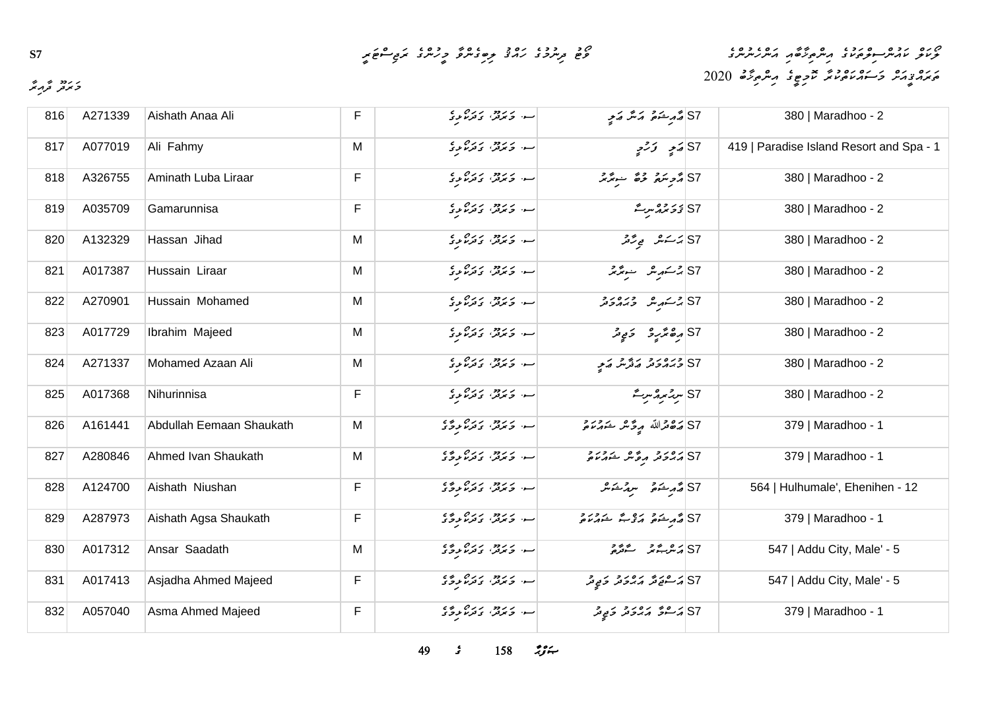*sCw7q7s5w7m< o<n9nOoAw7o< sCq;mAwBoEw7q<m; wBm;vB* م من المرة المرة المرة المرجع المرجع في المركبة 2020<br>مجم*د المريض المربوط المربع المرجع في المراجع المركبة* 

|  | ر ردد به پر<br>د نر تر تر بر |
|--|------------------------------|
|  |                              |

| 816 | A271339 | Aishath Anaa Ali         | F           | سه کرده رزه د                            | S7 مُەم شەھ كەنگر كەيچ                              | 380   Maradhoo - 2                       |
|-----|---------|--------------------------|-------------|------------------------------------------|-----------------------------------------------------|------------------------------------------|
| 817 | A077019 | Ali Fahmy                | M           | - دروه رده و د                           | S7  پر تر <sup>ح</sup> ي                            | 419   Paradise Island Resort and Spa - 1 |
| 818 | A326755 | Aminath Luba Liraar      | F           | - دروه دره و د                           | S7 مُر <i>َّدٍ سَمَّةً وَقَّ</i> سَب <i>َدْبُرُ</i> | 380   Maradhoo - 2                       |
| 819 | A035709 | Gamarunnisa              | $\mathsf F$ | سه ورود دره در                           | S7 ئۇ ئەمەر بىرىگە                                  | 380   Maradhoo - 2                       |
| 820 | A132329 | Hassan Jihad             | M           | سه و دوه دره ده<br>سه و بوتر، و تورا و و | S7   پرسترس ہے محمد                                 | 380   Maradhoo - 2                       |
| 821 | A017387 | Hussain Liraar           | M           | - دروه رده و د                           | S7 ئەسىمبە ھەسىم ئىسىمبىر<br>~                      | 380   Maradhoo - 2                       |
| 822 | A270901 | Hussain Mohamed          | M           | در دود برره در                           | S7 يُرَ مَدِينَ حَ يَدَ مَرَّةً مَرَّ               | 380   Maradhoo - 2                       |
| 823 | A017729 | Ibrahim Majeed           | M           | سه کرده کرده و ک                         | S7 م <i>ەھترى</i> ئىمى ئى                           | 380   Maradhoo - 2                       |
| 824 | A271337 | Mohamed Azaan Ali        | M           | - دروه رره ده                            | S7 <i>ڈبرور دی پی</i> پھر م <i>زمی</i>              | 380   Maradhoo - 2                       |
| 825 | A017368 | Nihurinnisa              | $\mathsf F$ | ر درده رره د .<br>پ. ویون، د تونالوی     | S7 سرچمبرو سرت                                      | 380   Maradhoo - 2                       |
| 826 | A161441 | Abdullah Eemaan Shaukath | M           | ـــ و دوه دره و د                        | S7 رَصْدَاللّهُ مِرْدَّىْدْ سَمَ <i>مْ مَعْ</i>     | 379   Maradhoo - 1                       |
| 827 | A280846 | Ahmed Ivan Shaukath      | M           | در دوه ارزه او د                         | S7 كەبروتىر مەھ ھەرىپى مەدرە                        | 379   Maradhoo - 1                       |
| 828 | A124700 | Aishath Niushan          | F           | ـــ و دوه ارده و دا                      | S7 مُدمِنَة سِدْنَة مَّر                            | 564   Hulhumale', Ehenihen - 12          |
| 829 | A287973 | Aishath Agsa Shaukath    | F           | ـــ و رود دره و و                        | S7 مۇم شەق مۇشە خىم سەم دىر د                       | 379   Maradhoo - 1                       |
| 830 | A017312 | Ansar Saadath            | M           | درود رره ود.<br>  سن وبوتر، وتربا دور    | S7 كەشرىگە ئەسىر ئەرەپىيە ئەرەپ                     | 547   Addu City, Male' - 5               |
| 831 | A017413 | Asjadha Ahmed Majeed     | $\mathsf F$ | ـــ و دوه دره و د                        | S7 كەستى قىر مەر بەر بەر بەر ئ                      | 547   Addu City, Male' - 5               |
| 832 | A057040 | Asma Ahmed Majeed        | F           | ر در دو دره و د .<br>سر کاندن وترنانوگان | S7 كەسىرى بەردىن ئەي تىر                            | 379   Maradhoo - 1                       |

*49 sC 158 nNw?mS*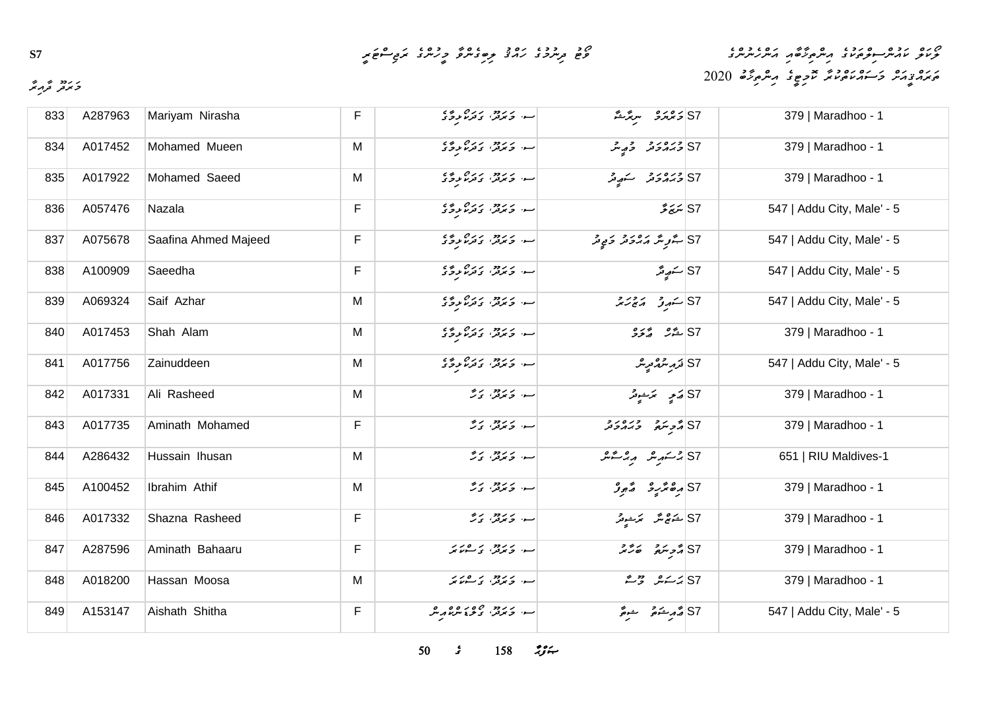*sCw7q7s5w7m< o<n9nOoAw7o< sCq;mAwBoEw7q<m; wBm;vB* م من المرة المرة المرة المرجع المرجع في المركبة 2020<br>مجم*د المريض المربوط المربع المرجع في المراجع المركبة* 

|  | $\begin{array}{ccccc} \circ & \circ & \circ \circ \end{array}$ |
|--|----------------------------------------------------------------|
|  | و مرتز تربر مر                                                 |
|  |                                                                |

| 833 | A287963 | Mariyam Nirasha      | $\mathsf{F}$ | ر دردو دره ود.<br>سه وبوتر، وتردورو       | S7 ك <i>ويردۇ س</i> ېڭىشە                   | 379   Maradhoo - 1         |
|-----|---------|----------------------|--------------|-------------------------------------------|---------------------------------------------|----------------------------|
| 834 | A017452 | Mohamed Mueen        | M            | ر در دور دره وي<br>سه ونملل وترمانونون    | S7 <i>\$2923 قويتر</i>                      | 379   Maradhoo - 1         |
| 835 | A017922 | Mohamed Saeed        | M            | ر در دور دره وي<br>سه ونملل وترمانونون    | S7 <i>\$222 سَنهوتر</i>                     | 379   Maradhoo - 1         |
| 836 | A057476 | Nazala               | $\mathsf F$  | سه کرده رره ده                            | S7 يىنچ ئى                                  | 547   Addu City, Male' - 5 |
| 837 | A075678 | Saafina Ahmed Majeed | $\mathsf F$  | سه کرده رره ده                            | S7 جۇپ <i>ىگە مەندى قىر قى</i> چ            | 547   Addu City, Male' - 5 |
| 838 | A100909 | Saeedha              | $\mathsf F$  | سه کارود دره وی                           | S7 سەمەقە                                   | 547   Addu City, Male' - 5 |
| 839 | A069324 | Saif Azhar           | M            | ر در دور دره وي.<br>سه کامرنس د نرمانوگار | S7 سَهُوتِر مَتَحْرَ مَرْ                   | 547   Addu City, Male' - 5 |
| 840 | A017453 | Shah Alam            | M            | سه کارود دره وی                           | $55.22$ S7                                  | 379   Maradhoo - 1         |
| 841 | A017756 | Zainuddeen           | M            | ر در دور دره وي<br>سه ونملل وترمانونون    | S7 فَ <i>رَم مَّرْمُ</i> مِرِمْر            | 547   Addu City, Male' - 5 |
| 842 | A017331 | Ali Rasheed          | M            | سە كەنگەنى كەڭ                            | S7 <i>۾ جي مرش</i> ونر                      | 379   Maradhoo - 1         |
| 843 | A017735 | Aminath Mohamed      | $\mathsf F$  | سە كەتكەن كەڭ                             | S7 مُوسَعْ وَيَمْدُونَرْ                    | 379   Maradhoo - 1         |
| 844 | A286432 | Hussain Ihusan       | M            | سە، كەتكەنى كەڭ                           | S7 يُرْسَمَ بِهِ مِنْ مِسْتَمْسَ            | 651   RIU Maldives-1       |
| 845 | A100452 | Ibrahim Athif        | M            | سە كەتكەنى كەرگ                           | S7 مەھمىر ئىم ئىمبور                        | 379   Maradhoo - 1         |
| 846 | A017332 | Shazna Rasheed       | $\mathsf F$  | سە كەتكەنى كەرگ                           | S7 شەھ شىر ئىرسىدىر                         | 379   Maradhoo - 1         |
| 847 | A287596 | Aminath Bahaaru      | F            | سە كەيرى كەسىمەتكە                        | S7 أُمُّ <i>جِسَعْهُ حَدُّ مُ</i>           | 379   Maradhoo - 1         |
| 848 | A018200 | Hassan Moosa         | M            | سە كەندەر كەسىمەتتىر                      | S7   پرستر ویسته                            | 379   Maradhoo - 1         |
| 849 | A153147 | Aishath Shitha       | F            | سه کریږده موروه ور                        | S7 مُ <sub>م</sub> شَمَّة مُ مُو <i>مُّ</i> | 547   Addu City, Male' - 5 |

 $50$  *s*  $158$  *n***<sub>y</sub>** $\frac{2}{3}$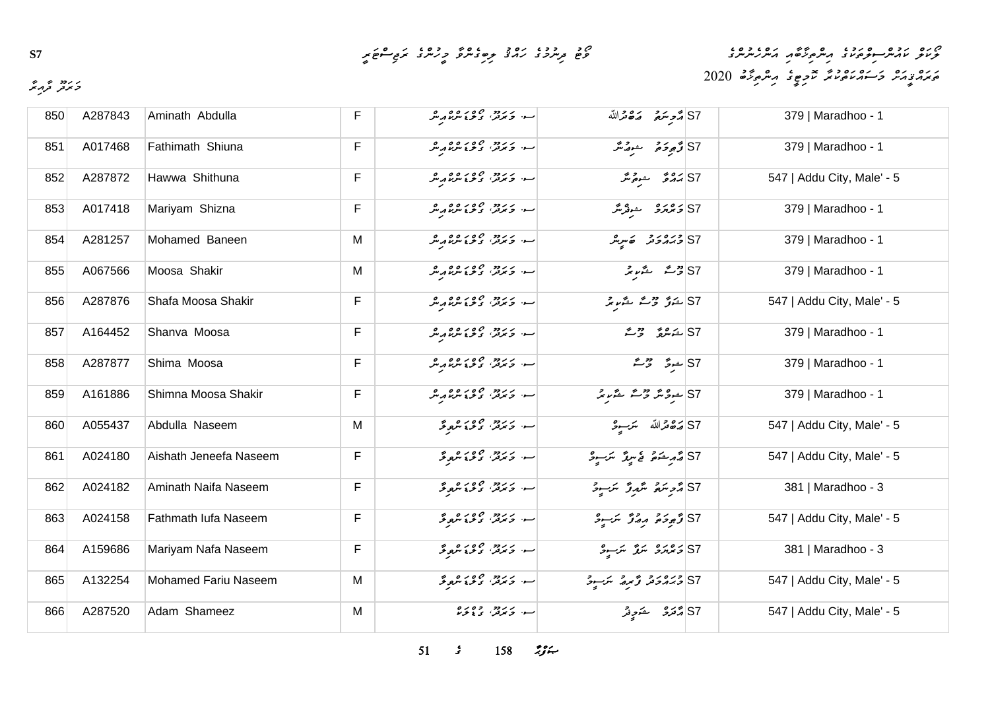*sCw7q7s5w7m< o<n9nOoAw7o< sCq;mAwBoEw7q<m; wBm;vB* م من المرة المرة المرة المرجع المرجع في المركبة 2020<br>مجم*د المريض المربوط المربع المرجع في المراجع المركبة* 

| 850 | A287843 | Aminath Abdulla        | F           | سه کامرده می در ۱۳۵۵ ش                                       | S7 مُرْحِ سَرَةَ      مَرْكَ مَدَّاللَّه        | 379   Maradhoo - 1         |
|-----|---------|------------------------|-------------|--------------------------------------------------------------|-------------------------------------------------|----------------------------|
| 851 | A017468 | Fathimath Shiuna       | F           | سه کرده ۵۵۶۵۵ و.                                             | S7 <i>وُّهِ دَهْ</i> شِهْرُ مُّرْ               | 379   Maradhoo - 1         |
| 852 | A287872 | Hawwa Shithuna         | F           | سه وبرده مه ده ده م                                          | S7 <i>بَهُ هُ</i> شَعْرُ مُنْ مَسْتَدَّمَتُ     | 547   Addu City, Male' - 5 |
| 853 | A017418 | Mariyam Shizna         | F           | سه كريزده مى دره ده در م                                     | S7 <i>5 پر پر ه</i><br>پر سونر شونر <i>س</i>    | 379   Maradhoo - 1         |
| 854 | A281257 | Mohamed Baneen         | м           | سه کرده ۲۵۵ وره ور                                           | S7 دېم دېمر خ <i>م تر</i> ينز                   | 379   Maradhoo - 1         |
| 855 | A067566 | Moosa Shakir           | M           | ر در دور ۱۵۵۶ وره میلی کرد.<br>سواد کامرفران کامری میلی کرد. | S7 مَشْرَ مَدْرِيمَهُ                           | 379   Maradhoo - 1         |
| 856 | A287876 | Shafa Moosa Shakir     | F           | سه کرده ۱۵۵ وره ور                                           | S7 خَرَقُ قُرْبٌ شَمَّ مَدُ                     | 547   Addu City, Male' - 5 |
| 857 | A164452 | Shanva Moosa           | F           | سه کریزه مورومه و                                            | S7 شەنگە ئ <sup>و</sup> شە                      | 379   Maradhoo - 1         |
| 858 | A287877 | Shima Moosa            | F           | سه کرده ۵۵۶۵۵ و.                                             | $23 - 5 = 57$                                   | 379   Maradhoo - 1         |
| 859 | A161886 | Shimna Moosa Shakir    | F           | سه کرده ۵۵۶۵۵ و.                                             | S7 سوۋىگە ق <sup>ەم</sup> ش ش <sup>ى</sup> رىكە | 379   Maradhoo - 1         |
| 860 | A055437 | Abdulla Naseem         | M           | ب كەرەم 200 ھەرى                                             | S7 كَەھقراللە مەسبى                             | 547   Addu City, Male' - 5 |
| 861 | A024180 | Aishath Jeneefa Naseem | F           | سە كەندىق 200 مەركى                                          | S7 مٌ مِـ شَمَّةٌ ۖ فَيَسِيَّ ۖ سَرَسٍوْ ۖ      | 547   Addu City, Male' - 5 |
| 862 | A024182 | Aminath Naifa Naseem   | $\mathsf F$ | سە كەندىق 200 ھۇگە                                           | S7 مُ <i>وِ سَمَعْ سَمْدِقَ</i> سَرَ ۖ وَ       | 381   Maradhoo - 3         |
| 863 | A024158 | Fathmath lufa Naseem   | F           | سە كەيمەش كەم ئەھرىگە                                        | S7 <i>وُّڄِوَدُوْ مِهْنُ</i> سَرَسِوڤ           | 547   Addu City, Male' - 5 |
| 864 | A159686 | Mariyam Nafa Naseem    | F           | سە كەيمەش كەم ئەھرىگە                                        | S7 كەنگەر ئىرىگە ئىزىسوڭ                        | 381   Maradhoo - 3         |
| 865 | A132254 | Mohamed Fariu Naseem   | M           | ب كەرەم 200 ھەر                                              | S7 <i>ويرودو ويرة</i> ترسو                      | 547   Addu City, Male' - 5 |
| 866 | A287520 | Adam Shameez           | M           | ر ر دو وه ده<br>سه کاملل کالانون                             | S7  ۾ <i>ڏنر</i> و شو <sub>ي</sub> وٽر          | 547   Addu City, Male' - 5 |

 $51$  *s*  $158$  *n***<sub>y</sub>** $\leq$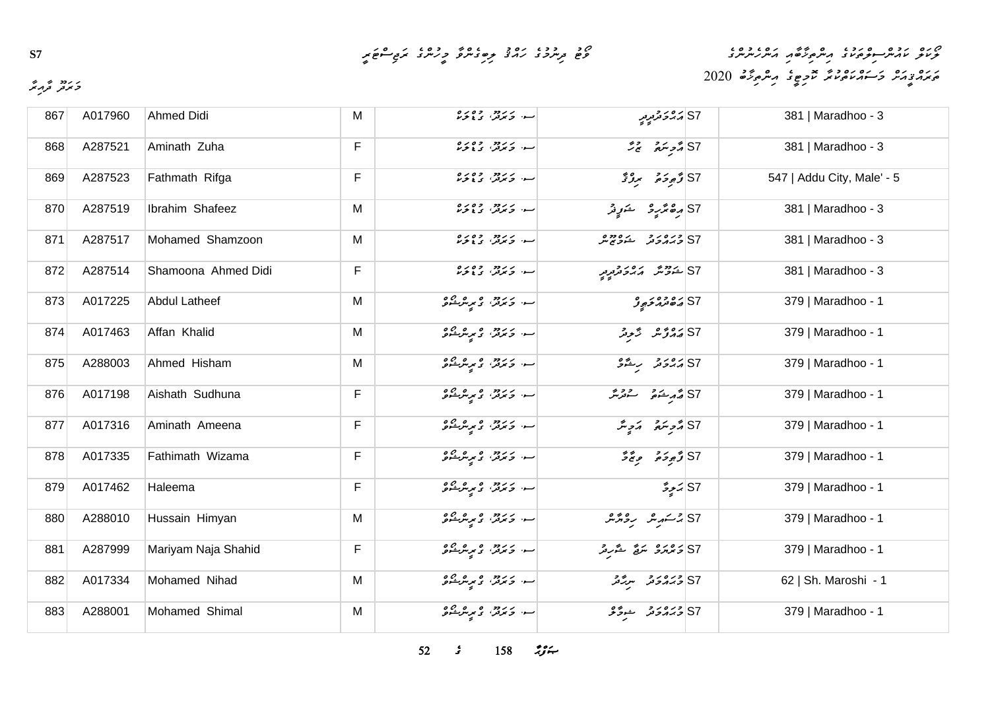*sCw7q7s5w7m< o<n9nOoAw7o< sCq;mAwBoEw7q<m; wBm;vB* م من المرة المرة المرة المرجع المرجع في المركبة 2020<br>مجم*د المريض المربوط المربع المرجع في المراجع المركبة* 

| 867 | A017960 | Ahmed Didi          | M | ر رود وه ره<br>سه وبرتر، د د تر         | S7 كەبر 32 قرىرىر                         | 381   Maradhoo - 3         |
|-----|---------|---------------------|---|-----------------------------------------|-------------------------------------------|----------------------------|
| 868 | A287521 | Aminath Zuha        | F | ر رود وه ره<br>سه وبرتر، د د تر         | S7 مُجِسَعَ حَمَّ                         | 381   Maradhoo - 3         |
| 869 | A287523 | Fathmath Rifga      | F | ر رود وه ره<br>سه وبرتر، د د تر         | S7 ۇ <sub>ج</sub> وڭ مرۇتى                | 547   Addu City, Male' - 5 |
| 870 | A287519 | Ibrahim Shafeez     | M |                                         | S7 م <i>ەھگەد</i> ۇ س <i>ەر</i> پۇر       | 381   Maradhoo - 3         |
| 871 | A287517 | Mohamed Shamzoon    | M | ر رود وه ره<br>سه وبرتر، د ولا          | S7 <i>دې د دو</i> شوخ شر                  | 381   Maradhoo - 3         |
| 872 | A287514 | Shamoona Ahmed Didi | F | سه کرده وه ده                           | S7 خۇش كەرگەترىرىر                        | 381   Maradhoo - 3         |
| 873 | A017225 | Abdul Latheef       | M | سه کريږده و پر شوی                      | S7 كەھەممىر بۇ ئى                         | 379   Maradhoo - 1         |
| 874 | A017463 | Affan Khalid        | M | سه کريږده و پر شرعو                     | S7 <i>مەۋتىر</i> ئ <i>ۇدۇ</i>             | 379   Maradhoo - 1         |
| 875 | A288003 | Ahmed Hisham        | M | ــــ درود و بر مره وه                   | S7 <i>مَدْوَنْدَ</i> بِـسُّوْ             | 379   Maradhoo - 1         |
| 876 | A017198 | Aishath Sudhuna     | F | سه کريږده و پر شوی                      | S7 مەم ئىسكەم ئىسىمىتىر                   | 379   Maradhoo - 1         |
| 877 | A017316 | Aminath Ameena      | F | سه کريږده و پر شوی                      | S7 مُّحِسَمُ مَجِسَّ                      | 379   Maradhoo - 1         |
| 878 | A017335 | Fathimath Wizama    | F | سه کريږده و پر شرعو                     | S7 زَّەپرىق مِ يَحَمَّ                    | 379   Maradhoo - 1         |
| 879 | A017462 | Haleema             | F | سه کريږده و پر شرعو                     | S7 كەمچە گە                               | 379   Maradhoo - 1         |
| 880 | A288010 | Hussain Himyan      | M | سه کريږده و پر شرعو                     |                                           | 379   Maradhoo - 1         |
| 881 | A287999 | Mariyam Naja Shahid | F |                                         | S7 كَا يُرْتَرُكُمْ السَّرْقَ السَّرْقُرْ | 379   Maradhoo - 1         |
| 882 | A017334 | Mohamed Nihad       | M |                                         | S7 <i>\$22.3 مرت</i>                      | 62   Sh. Maroshi - 1       |
| 883 | A288001 | Mohamed Shimal      | M | ر درود و ره ۵۵<br>سه و برتر، و برنترنشو | S7 <i>وبروبرو به وگ</i> و                 | 379   Maradhoo - 1         |

 $52$  *s*  $158$  *n***<sub>y</sub>** $\leq$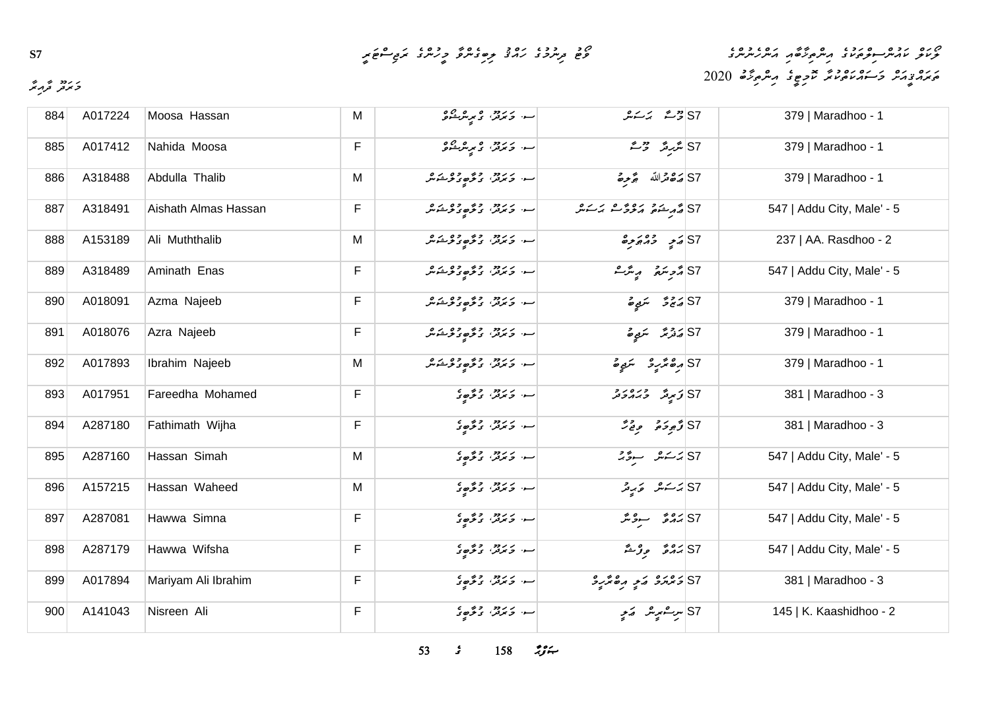*sCw7q7s5w7m< o<n9nOoAw7o< sCq;mAwBoEw7q<m; wBm;vB* م من المرة المرة المرة المرجع المرجع في المركبة 2020<br>مجم*د المريض المربوط المربع المرجع في المراجع المركبة* 

| 884 | A017224 | Moosa Hassan         | M | سه کريږده و پرسرشور      | S7 جي پر پر په پر                          | 379   Maradhoo - 1         |
|-----|---------|----------------------|---|--------------------------|--------------------------------------------|----------------------------|
| 885 | A017412 | Nahida Moosa         | F | سه کريږده و موره و       | S7 مَدْرِمَدٌ حَرْمَةٌ                     | 379   Maradhoo - 1         |
| 886 | A318488 | Abdulla Thalib       | M | ے درود دورہ دورے         | S7 مَەقراللە گ <sup>ې</sup> رە             | 379   Maradhoo - 1         |
| 887 | A318491 | Aishath Almas Hassan | F | سه از دور وه وه دره د    | S7 مەم شوڭ مەم بىر يەر ق                   | 547   Addu City, Male' - 5 |
| 888 | A153189 | Ali Muththalib       | M | سە كەيرە دەرەپ ئوھەت بىر | S7ھ پر 1935ھ                               | 237   AA. Rasdhoo - 2      |
| 889 | A318489 | Aminath Enas         | F | سە كەيگە كەنگە كەشكەش    | S7 مُجِيئَة مِيَّتْ                        | 547   Addu City, Male' - 5 |
| 890 | A018091 | Azma Najeeb          | F | سە كەيرە دەرەھ كەشكە     | S7 كەنى <sup>3</sup> سىرە                  | 379   Maradhoo - 1         |
| 891 | A018076 | Azra Najeeb          | F | سە كەيرە دەرەپ ئوھەت بىر | S7 كەنى <i>ر بىر ئىنبى</i> ئ               | 379   Maradhoo - 1         |
| 892 | A017893 | Ibrahim Najeeb       | M | سە كەيرە دەرەپ ئوھەت بىر | S7 م <i>ەنگەدى سەپى</i>                    | 379   Maradhoo - 1         |
| 893 | A017951 | Fareedha Mohamed     | F | سه وبردو وه و            | S7 كۆپرىگە ئەممەد ئىر                      | 381   Maradhoo - 3         |
| 894 | A287180 | Fathimath Wijha      | F | سه وبردو وه ه            | S7 وَّجِوحَمَّ وِقِمَّ                     | 381   Maradhoo - 3         |
| 895 | A287160 | Hassan Simah         | M | سه وبردو وي              | S7   پرسته مس <i>ویت</i>                   | 547   Addu City, Male' - 5 |
| 896 | A157215 | Hassan Waheed        | M |                          | S7 كەس <i>تەنلە</i> ق <i>ەيدى</i> تر       | 547   Addu City, Male' - 5 |
| 897 | A287081 | Hawwa Simna          | F | سه زيروه وه د            | S7 ئەم ئەسىر ئىس                           | 547   Addu City, Male' - 5 |
| 898 | A287179 | Hawwa Wifsha         | F | ے زیروز وہ د             | S7 ئەير <i>ۇ</i> بورىشە                    | 547   Addu City, Male' - 5 |
| 899 | A017894 | Mariyam Ali Ibrahim  | F | سە ئەترىق ئەقرەپى        | S7 <i>وَ مُهرَّدٌ وَجِهِ وَهُ مُ</i> رِّدٍ | 381   Maradhoo - 3         |
| 900 | A141043 | Nisreen Ali          | F | سه زيرو دوره             | S7 سرگىيەتكە كەمچ                          | 145   K. Kaashidhoo - 2    |

 $53$   $5$   $158$   $59$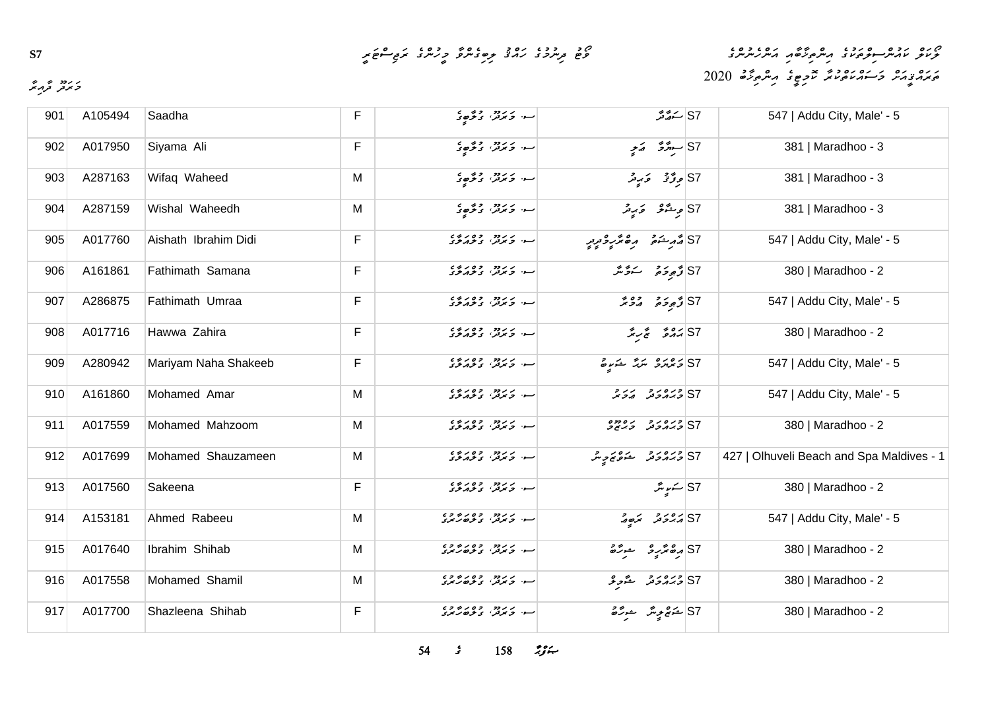*sCw7q7s5w7m< o<n9nOoAw7o< sCq;mAwBoEw7q<m; wBm;vB* م من المرة المرة المرة المرجع المرجع في المركبة 2020<br>مجم*د المريض المربوط المربع المرجع في المراجع المركبة* 

| 901 | A105494 | Saadha               | F | ے زیروز دیگھ ت                                                 | S7 سەپىقر                                  | 547   Addu City, Male' - 5                |
|-----|---------|----------------------|---|----------------------------------------------------------------|--------------------------------------------|-------------------------------------------|
| 902 | A017950 | Siyama Ali           | F | سه وبردو وو ه                                                  | S7 س <i>يردَّة مَ</i> عٍ                   | 381   Maradhoo - 3                        |
| 903 | A287163 | Wifaq Waheed         | M | ر درود وه ه<br>سه وبرتر، وتوَّبه و                             | S7 مِوَّدِّۃٌ     مَ رِمَّرٌ               | 381   Maradhoo - 3                        |
| 904 | A287159 | Wishal Waheedh       | M | سه کرده وي ک                                                   | S7 موڪو تر تر                              | 381   Maradhoo - 3                        |
| 905 | A017760 | Aishath Ibrahim Didi | F | ر ر ر دو ۔ وہ ر د د<br>سوء کر ترین کا محرام مرکز               | S7 مەم شىم مەھەر دەرىر                     | 547   Addu City, Male' - 5                |
| 906 | A161861 | Fathimath Samana     | F | ر ر ر دو ۔ وہ ر د د<br>سوال <del>ر ر د</del> ر مرد د           | S7 زُ <sub>ج</sub> وحَ مُحَمَّدٌ مُحَمَّدٌ | 380   Maradhoo - 2                        |
| 907 | A286875 | Fathimath Umraa      | F | ر در دو ده ده د<br>سه کريمونو د برمربور                        | S7 زَّجِ <i>دَهُ م</i> ُحَسَّر             | 547   Addu City, Male' - 5                |
| 908 | A017716 | Hawwa Zahira         | F | ر در دو ده ده د<br>سو کامرنس د وړون                            | S7 ئەبرقە ئ <sub>ە</sub> بەتە              | 380   Maradhoo - 2                        |
| 909 | A280942 | Mariyam Naha Shakeeb | F | ر ر ر دو ۔ وہ ر د ،<br>سو، کی مرفر، تحدید قری                  | S7 كەنگەر ئىككە ئىكرى <i>م قى</i>          | 547   Addu City, Male' - 5                |
| 910 | A161860 | Mohamed Amar         | M | ر در دو وه ده ده.<br>سه کابونو، د بودرموی                      | S7 <i>בגמכנר הכ</i> ת                      | 547   Addu City, Male' - 5                |
| 911 | A017559 | Mohamed Mahzoom      | M | ر ر دود وه روه<br>سه کرسن کرهرمزد                              | S7 <i>בגמכנר</i> כגשפ                      | 380   Maradhoo - 2                        |
| 912 | A017699 | Mohamed Shauzameen   | M | ر ر ر دو ۔ وہ ر د د<br>سوء کر ترین کا محمد مرکز                | S7 <i>دېمم</i> ونه شوکونونکه               | 427   Olhuveli Beach and Spa Maldives - 1 |
| 913 | A017560 | Sakeena              | F | ر در دو وه ده ده.<br>سه کابونو، د بودرموی                      | S7   سئويىتىر                              | 380   Maradhoo - 2                        |
| 914 | A153181 | Ahmed Rabeeu         | M | ر د دوه وه د وه د و و د                                        | S7 <i>مُدْدَنْدِ</i> مَھِمُّ               | 547   Addu City, Male' - 5                |
| 915 | A017640 | Ibrahim Shihab       | M | ر در دور وه ده ده.<br>سه کرېزن و <del>و</del> ړندۍ             | $\frac{22}{3}$ م 25% مئی 187               | 380   Maradhoo - 2                        |
| 916 | A017558 | Mohamed Shamil       | M | ر د دوه وه د وه د و و د                                        | S7  <i>وبروبرة</i> شُ <i>وب</i> و          | 380   Maradhoo - 2                        |
| 917 | A017700 | Shazleena Shihab     | F | ر بر دو ده ده ده.<br>سه و برتر، و <del>و</del> ه <i>ر بو</i> د | S7 شەھ <i>م</i> ېرىگر سى <i>رگە</i>        | 380   Maradhoo - 2                        |

 $54$  *s*  $158$  *n***<sub>y</sub>** *n***<sub>y</sub>**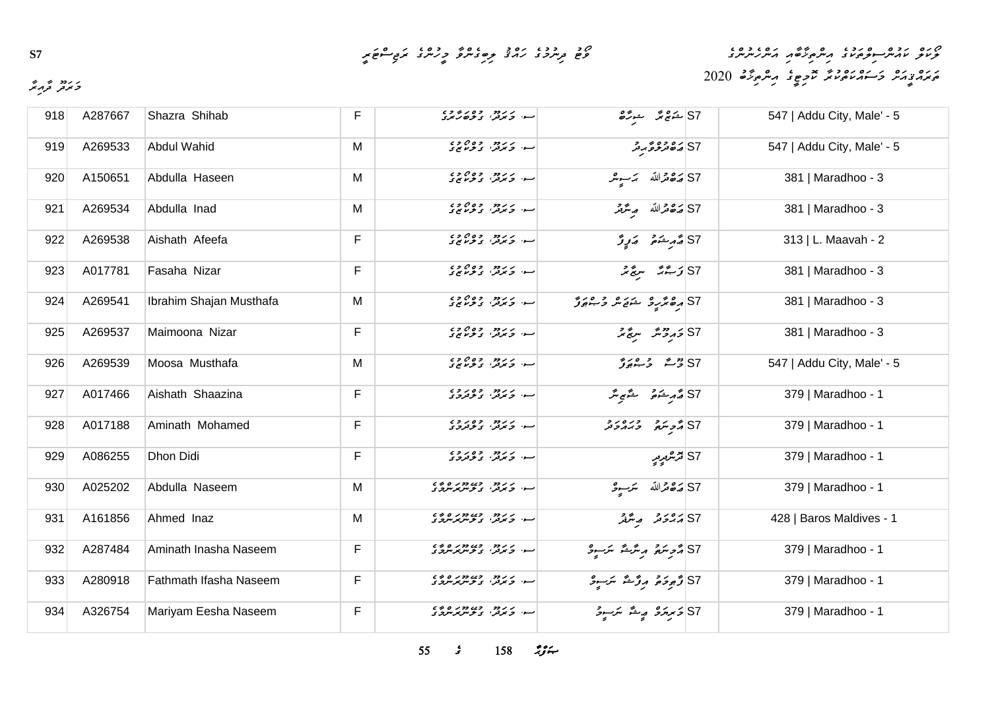*sCw7q7s5w7m< o<n9nOoAw7o< sCq;mAwBoEw7q<m; wBm;vB* م من المرة المرة المرة المرجع المرجع في المركبة 2020<br>مجم*د المريض المربوط المربع المرجع في المراجع المركبة* 

|  | $\begin{array}{ccccc} \circ & \circ & \circ \circ \end{array}$ |  |
|--|----------------------------------------------------------------|--|
|  | و برتر تربر بر                                                 |  |

| 918 | A287667 | Shazra Shihab           | F            | ر درود وه ده ده.<br>سه ونمرتر، د وه رنمرد                 | S7 شەمج ئە ئەرگە                                                                                      | 547   Addu City, Male' - 5 |
|-----|---------|-------------------------|--------------|-----------------------------------------------------------|-------------------------------------------------------------------------------------------------------|----------------------------|
| 919 | A269533 | Abdul Wahid             | M            | ر ر دود و و ه و و د<br>سه گرس کرم مونوع می                | S7 كەھەر <i>جى بە</i> ر                                                                               | 547   Addu City, Male' - 5 |
| 920 | A150651 | Abdulla Haseen          | M            | ر ر د ده و و و و د<br>سه گرس کرم مور                      | S7 كەھەتراللە كەسپەش                                                                                  | 381   Maradhoo - 3         |
| 921 | A269534 | Abdulla Inad            | M            | ر ر در دو ۲۵۵۰<br>سه کوترنگ د گرمه د د                    | S7 مَەقراللە م <i>ې</i> ترتىر                                                                         | 381   Maradhoo - 3         |
| 922 | A269538 | Aishath Afeefa          | F            | ر رود وه وه<br>سه وبوتر، و وړی و                          | S7 مەم شىم ھ <i>ۆ</i> رگە                                                                             | 313   L. Maavah - 2        |
| 923 | A017781 | Fasaha Nizar            | F            | ر ر در دو ۵۵۵ و c<br>سه کو ترکن کو موسوع ک                | S7 ئۈشەيشە سويىچە تىر                                                                                 | 381   Maradhoo - 3         |
| 924 | A269541 | Ibrahim Shajan Musthafa | M            |                                                           | S7 رەڭرىرى خەتمىر <i>جىمبۇر</i>                                                                       | 381   Maradhoo - 3         |
| 925 | A269537 | Maimoona Nizar          | F            | ر د دوه وه ۹۵ و پا<br>سه کوتیکل کالونوی                   | S7 <i>جَ ۾ ڇڻ سيءُ تر</i>                                                                             | 381   Maradhoo - 3         |
| 926 | A269539 | Moosa Musthafa          | M            | ر ر در دو ۵۵۵ و c<br>سه کو ترکن کو موسوع ک                | S7 تۇشقە ئۇستۇر <i>ۇ</i>                                                                              | 547   Addu City, Male' - 5 |
| 927 | A017466 | Aishath Shaazina        | $\mathsf{F}$ | ر ر دود ۔ وہ ر و ع<br>سوء کو <i>تعرفوں</i> کا مختص        | S7 مۇم شەھ ھەم ئىگە ئىچە ئىگر                                                                         | 379   Maradhoo - 1         |
| 928 | A017188 | Aminath Mohamed         | F            | ر در دور ده ده ده.<br>سوا کاندن و نوترو د                 | S7 أو يتموج المحدد و المحمد و المحمد المحمد المحمد المحمد المحمد المحمد المحمد المحمد المحمد المحمد ا | 379   Maradhoo - 1         |
| 929 | A086255 | Dhon Didi               | F            | ر درود وه دور<br>سه کریمرش و فروری                        | S7 فَرْسْرُمْرِمْرِ                                                                                   | 379   Maradhoo - 1         |
| 930 | A025202 | Abdulla Naseem          | M            | ה הזכר כמודד היו בין<br>היי פודדה וביתוח היותר            |                                                                                                       | 379   Maradhoo - 1         |
| 931 | A161856 | Ahmed Inaz              | M            | ה הגדון כמוחמים מי<br>היי פינקי ביטינינינינים             | S7 <i>مەندۇنى م</i> ېشتىر                                                                             | 428   Baros Maldives - 1   |
| 932 | A287484 | Aminath Inasha Naseem   | F            | ה הדר כמחומטים<br>היי פינקטי ביציינטינטינט                | S7 مُرْحِسَةٌ مِسْرَحَةٌ سَرَسِودٌ                                                                    | 379   Maradhoo - 1         |
| 933 | A280918 | Fathmath Ifasha Naseem  | F            | ה הגדון 2010 ב-2010<br>היי פינקטי ביציינטנטונבי           | S7 <i>وَّە ج</i> ۇھ مەرمەش مەسىر م                                                                    | 379   Maradhoo - 1         |
| 934 | A326754 | Mariyam Eesha Naseem    | F            | ה הגדון 2019 במידע בין<br>היין בינקרטי הביניוני בינקרטיבי | S7 ك <i>َ بِرِ مَرْدُ   مِ</i> شُرْ مَرَ مِرْدِ د                                                     | 379   Maradhoo - 1         |

 $55$   $\frac{2}{3}$   $158$   $\frac{2}{3}$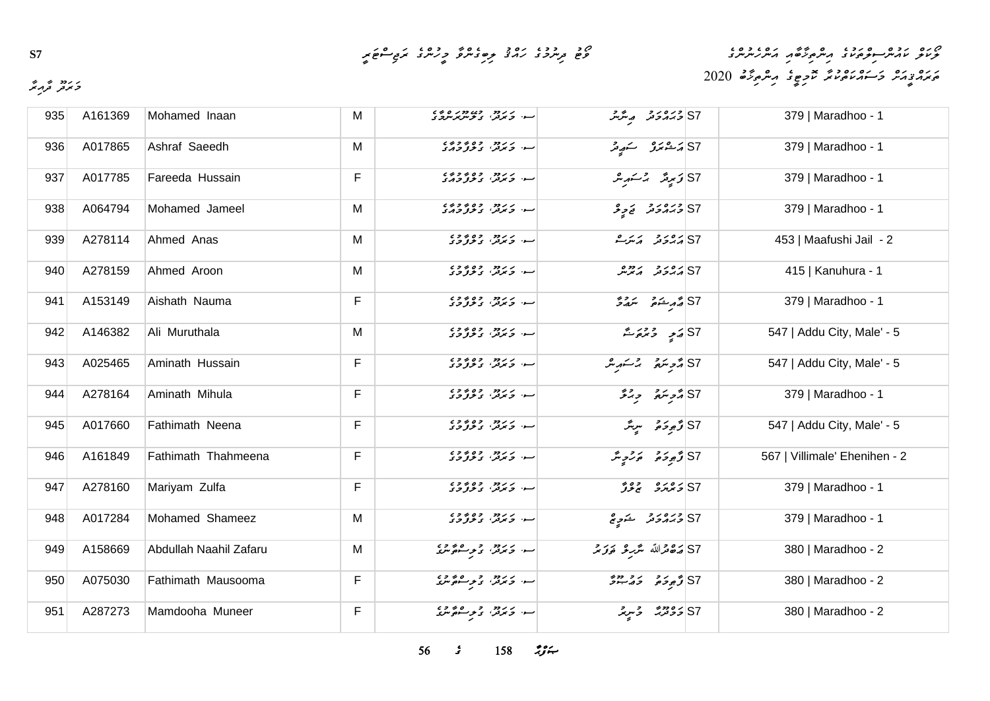*sCw7q7s5w7m< o<n9nOoAw7o< sCq;mAwBoEw7q<m; wBm;vB* م من المرة المرة المرة المرجع المرجع في المركبة 2020<br>مجم*د المريض المربوط المربع المرجع في المراجع المركبة* 

|  | シーションシー        |
|--|----------------|
|  | و مرتز تربر مر |
|  |                |

| 935 | A161369 | Mohamed Inaan          | M           | ה הבר בשיכר המים.<br>היי פינקטי ביציונטינפי | S7 <i>ڈیزور بی میڈی</i> ر               | 379   Maradhoo - 1            |
|-----|---------|------------------------|-------------|---------------------------------------------|-----------------------------------------|-------------------------------|
| 936 | A017865 | Ashraf Saeedh          | M           | ر درود. وه دوه د<br>سر کريمن د وزرد د       | S7 كەشلەتر ئىسكىر قىر                   | 379   Maradhoo - 1            |
| 937 | A017785 | Fareeda Hussain        | F           | ر درود وه ده ده.<br>سه کانگران د بووجرد د   | S7 توسیقہ کے شہر بھر                    | 379   Maradhoo - 1            |
| 938 | A064794 | Mohamed Jameel         | M           | ر درود. وه دوه د<br>سه کریمرن د وزورد د     | S7 دُبَہْدَتَہ کے ی <i>ے</i>            | 379   Maradhoo - 1            |
| 939 | A278114 | Ahmed Anas             | M           | ر ر دود وه وه.<br>سه کرس کرمونو وی          | S7 كەبروتىر كەنترىش                     | 453   Maafushi Jail - 2       |
| 940 | A278159 | Ahmed Aroon            | M           | ر ر دود وه وه د پا<br>سه گرمونس کا محروکرد  | S7 كەبرو كەنزىتر                        | 415   Kanuhura - 1            |
| 941 | A153149 | Aishath Nauma          | F           | ر در دو ده ده ده<br>سه کاملا کامل           | S7 مُدِيشَمُ سَمْدُدُّ                  | 379   Maradhoo - 1            |
| 942 | A146382 | Ali Muruthala          | M           | ر درود وه ده ده<br>سه کريمن و وو ده         | S7  مَعٍ وَتَمْعَى يُّهُ                | 547   Addu City, Male' - 5    |
| 943 | A025465 | Aminath Hussain        | F           | ر ر دود وه وه.<br>سه کرس کرمونو وی          | S7 مُ <i>جِسَمَةَ بِرُسَمَ مِ</i> سَرِ  | 547   Addu City, Male' - 5    |
| 944 | A278164 | Aminath Mihula         | F           | ر در دو ده ده ده<br>سه کاملا کامل           | S7 مُتَعِسَمُ مِنْتُرٌ                  | 379   Maradhoo - 1            |
| 945 | A017660 | Fathimath Neena        | F           | ر ر دو وه وه و ،<br>سه کامرتر، د نووکرد     | S7 ۇ <sub>م</sub> ودۇ س <sub>ى</sub> تر | 547   Addu City, Male' - 5    |
| 946 | A161849 | Fathimath Thahmeena    | F           | ر ر دود وه بود و د<br>سه گرمونس کالمرفوفر   | S7 <i>وَّهِ دَوْهِ</i> مَرْحٍ مَّرْ     | 567   Villimale' Ehenihen - 2 |
| 947 | A278160 | Mariyam Zulfa          | F           | ر ر دود و و و و د<br>سو، ن پرتر، و بوتو و ی | S7 كەبەر مەدەبە                         | 379   Maradhoo - 1            |
| 948 | A017284 | Mohamed Shameez        | M           | ر ر دود وه وه.<br>سه کرس کرمونو وی          | S7 <i>ۇنەۋەتى</i> ش <i>ەر ي</i>         | 379   Maradhoo - 1            |
| 949 | A158669 | Abdullah Naahil Zafaru | M           | سه کاندود و در ۱۶۵۵                         | S7 مَەھْتْراللە مَدَىبِ قَرىز ج         | 380   Maradhoo - 2            |
| 950 | A075030 | Fathimath Mausooma     | $\mathsf F$ | سه کرده و ده ده                             | S7 ژ <sub>ېو</sub> دی ده. دو            | 380   Maradhoo - 2            |
| 951 | A287273 | Mamdooha Muneer        | F           | سه کاندود و در ۱۳۵۵                         | S7   32° تریمر<br>  S7                  | 380   Maradhoo - 2            |

 $56$  *s*  $158$  *n***<sub>y</sub>** $\frac{2}{3}$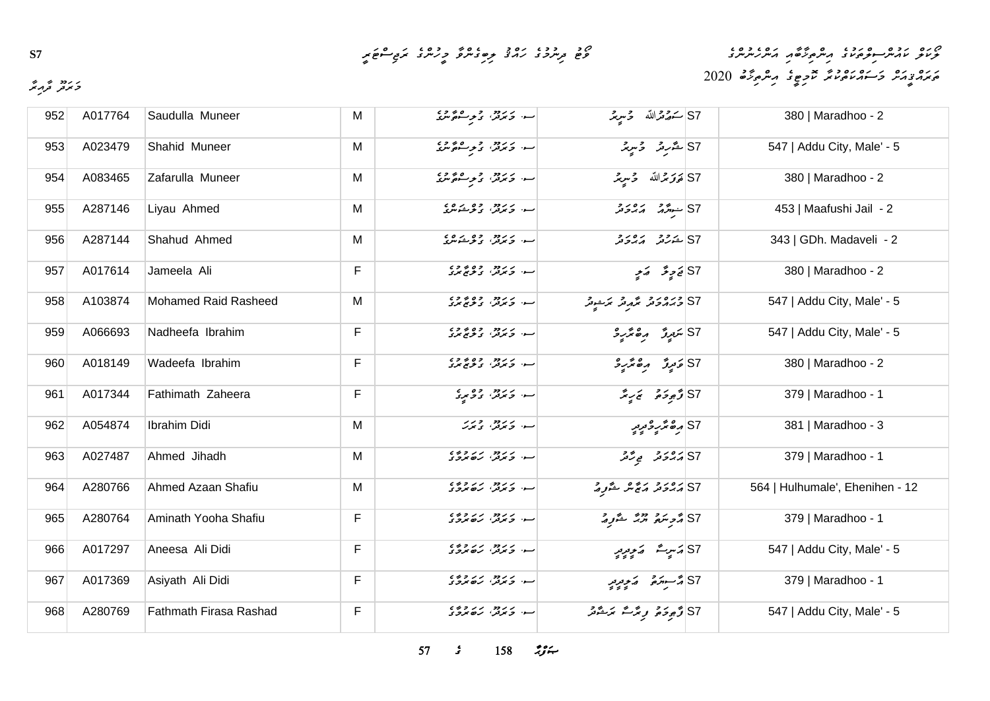*sCw7q7s5w7m< o<n9nOoAw7o< sCq;mAwBoEw7q<m; wBm;vB* م من المرة المرة المرة المرجع المرجع في المركبة 2020<br>مجم*د المريض المربوط المربع المرجع في المراجع المركبة* 

| 952 | A017764 | Saudulla Muneer             | M           | سه کريږدو د وسوه ده                            | S7 سترېرىراللە ئ <i>ۇسى</i> گە                                       | 380   Maradhoo - 2              |
|-----|---------|-----------------------------|-------------|------------------------------------------------|----------------------------------------------------------------------|---------------------------------|
| 953 | A023479 | Shahid Muneer               | M           | سه کابرده و در ۱۶۵۵                            | S7  مشرىقر - ق.س <sub>رى</sub> قر                                    | 547   Addu City, Male' - 5      |
| 954 | A083465 | Zafarulla Muneer            | M           | سه کابرده و در ۱۶۵۵                            | S7 <i>خۇنجى</i> راللە   ئ <i>ې مېرىم</i>                             | 380   Maradhoo - 2              |
| 955 | A287146 | Liyau Ahmed                 | M           | سە كەيمەتلى كەنتى ئەرەبىي                      | S7 خەرگە ئەرەبىرى<br>S7                                              | 453   Maafushi Jail - 2         |
| 956 | A287144 | Shahud Ahmed                | M           | سە كەندىق كەش ئەرە ئ                           | S7 شەرقە كەبروتەر                                                    | 343   GDh. Madaveli - 2         |
| 957 | A017614 | Jameela Ali                 | $\mathsf F$ | ر ر د دو و و و و د<br>سو، ن تر تر تر بع تر ی   | S7 نے <sub>7</sub> پو تھ کی پر میں کیا ہے۔<br>مسلمان کے بعد کر میں ک | 380   Maradhoo - 2              |
| 958 | A103874 | <b>Mohamed Raid Rasheed</b> | M           | ر ر د دو وه وه و د<br>سو، ن ترتغل ک نومخ مخری  | S7 <i>ڈیزو ڈی نگہر تگ پر شی</i> تھ                                   | 547   Addu City, Male' - 5      |
| 959 | A066693 | Nadheefa Ibrahim            | $\mathsf F$ | ر ر د دو وه وه و د<br>سو، نو بوتو، او موسع مور | S7 سَمِيرٌ مِنْ مِنْ مِنْ مِنْ                                       | 547   Addu City, Male' - 5      |
| 960 | A018149 | Wadeefa Ibrahim             | $\mathsf F$ | ر ر د دو وه وه و د<br>سو، ن حري ر حريج بوري    | S7 <i>وَمِرِدٌ م</i> ِ <i>مَحْرَبِ</i> وَ                            | 380   Maradhoo - 2              |
| 961 | A017344 | Fathimath Zaheera           | $\mathsf F$ | ر درود وه د.<br>سه وبرتر، دوبرد                | S7 ۇ <sub>جو</sub> خۇ ئ <sub>ى ئى</sub> رگە                          | 379   Maradhoo - 1              |
| 962 | A054874 | Ibrahim Didi                | M           | سە ئەترىق، ئەترىر                              | S7 <sub>مر</sub> ڭ ئ <sup>ۆ</sup> ر ئ <sup>و</sup> نوپو              | 381   Maradhoo - 3              |
| 963 | A027487 | Ahmed Jihadh                | M           | ر درود رده ده.<br>سرگرفر، رکابردی              | S7 <i>גُرْدُوَدْ بِي رُّدْ</i> رُ                                    | 379   Maradhoo - 1              |
| 964 | A280766 | Ahmed Azaan Shafiu          | M           | ر درود در ده د                                 | S7 <i>مُدْدَوَنْ مُ</i> يُّسْ حُوَّرِهُ                              | 564   Hulhumale', Ehenihen - 12 |
| 965 | A280764 | Aminath Yooha Shafiu        | $\mathsf F$ | ر درود.<br>سه کامرتر، رکھ مرد و                | S7 مُرْحِ سَمَّرَ مَثَّرَ حُدُومَ                                    | 379   Maradhoo - 1              |
| 966 | A017297 | Aneesa Ali Didi             | $\mathsf F$ | ر درود. دره ده د                               | S7 ک <sup>ې</sup> پېر کې کېږي په مخ                                  | 547   Addu City, Male' - 5      |
| 967 | A017369 | Asiyath Ali Didi            | F           | ر درود رده ده.<br>سرگرفر، رکابردی              | S7 گەسى <i>دىرى كەچ</i> ىرىر                                         | 379   Maradhoo - 1              |
| 968 | A280769 | Fathmath Firasa Rashad      | F           | ر درود. در ده ده<br>سه و برتر، رَضمرو د        | S7 <i>وُّجِودَة وِ مُرْتَّ مَرْتَّةُورْ</i>                          | 547   Addu City, Male' - 5      |

 $57$  *s*  $158$   $234$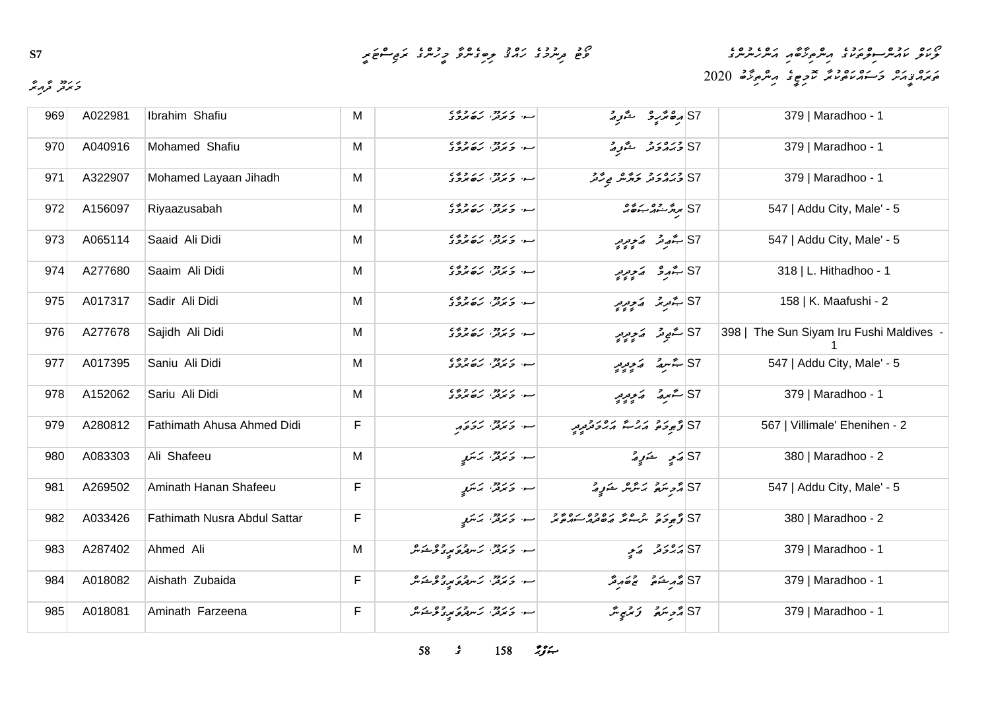*sCw7q7s5w7m< o<n9nOoAw7o< sCq;mAwBoEw7q<m; wBm;vB* م من المرة المرة المرة المرجع المرجع في المركبة 2020<br>مجم*د المريض المربوط المربع المرجع في المراجع المركبة* 

| 969 | A022981 | Ibrahim Shafiu               | M           | ر در دو در ده د                             | S7 مەھەرد ھەرم                                      | 379   Maradhoo - 1                       |
|-----|---------|------------------------------|-------------|---------------------------------------------|-----------------------------------------------------|------------------------------------------|
| 970 | A040916 | Mohamed Shafiu               | M           | ر در دور در ده و                            | S7 <i>وبروبرو په شوره</i>                           | 379   Maradhoo - 1                       |
| 971 | A322907 | Mohamed Layaan Jihadh        | M           | ر در دو در ده د                             | S7 <i>وبره د و پر گر</i> مر <sub>مح</sub> رمر       | 379   Maradhoo - 1                       |
| 972 | A156097 | Riyaazusabah                 | M           | ر درود که ده و                              | 282228                                              | 547   Addu City, Male' - 5               |
| 973 | A065114 | Saaid Ali Didi               | M           | ر درود.<br>سه و برتر، رکھ برو ی             | S7 س <i>گھرنگ مکچون</i> وپر                         | 547   Addu City, Male' - 5               |
| 974 | A277680 | Saaim Ali Didi               | M           | ر درود. دره ده د                            | S7 س <i>گهر 3 سوپې</i> ر                            | 318   L. Hithadhoo - 1                   |
| 975 | A017317 | Sadir Ali Didi               | M           | ر درود رده ده و                             | S7 س <i>گورنگ مکچودیو</i>                           | 158   K. Maafushi - 2                    |
| 976 | A277678 | Sajidh Ali Didi              | M           | ر درود.<br>سه و برتر، رَض برو د             | S7 گجونژ کمپورس                                     | 398   The Sun Siyam Iru Fushi Maldives - |
| 977 | A017395 | Saniu Ali Didi               | M           | ر د دود. د د د ده د<br>سه کامروز، رکھ مرد د | S7 س <sup>ی</sup> سمہ کے موس                        | 547   Addu City, Male' - 5               |
| 978 | A152062 | Sariu Ali Didi               | M           | ر درود. دره ده د                            | S7 گېږ <i>د خپ</i> ورنږ                             | 379   Maradhoo - 1                       |
| 979 | A280812 | Fathimath Ahusa Ahmed Didi   | F           | ے ویرتن رکوکہ                               | S7 ژُجِرَة دُرْبُّ دُرُدَ رُورِ                     | 567   Villimale' Ehenihen - 2            |
| 980 | A083303 | Ali Shafeeu                  | M           | ( سە ئەتكەنى ئەتكىمى                        | S7 <i>۾َ جِ شَوِرُ</i>                              | 380   Maradhoo - 2                       |
| 981 | A269502 | Aminath Hanan Shafeeu        | $\mathsf F$ | -- ئەنىڭ ئەنىرىي                            | S7 مٌ <i>ج</i> سَمَعُ بَرَ مُرْمَّر حَبَو <i>دُ</i> | 547   Addu City, Male' - 5               |
| 982 | A033426 | Fathimath Nusra Abdul Sattar | F           |                                             | S7 توجده و و و د د د د د د د د د د د د د د د کمک    | 380   Maradhoo - 2                       |
| 983 | A287402 | Ahmed Ali                    | M           | ے، کے بروز کے سرفری مرد وہ شکر مگر          | S7 <i>2222 مَ</i> حِ                                | 379   Maradhoo - 1                       |
| 984 | A018082 | Aishath Zubaida              | F           | ے، کے بروز کے سرفری مرد وہ شکر مگر          | S7 مەم شەم سىھەرىگە                                 | 379   Maradhoo - 1                       |
| 985 | A018081 | Aminath Farzeena             | F           | سە ئەرەدە ئەرەر دەھكەر                      | S7 مَّ حِ سَمَعْ _ وَ سَمَى سَّرَ                   | 379   Maradhoo - 1                       |

*n8o<n@ r@m8m>*

 $58$  *s*  $\frac{158}{158}$  *n***<sub>2</sub>** *n*<sub>2</sub>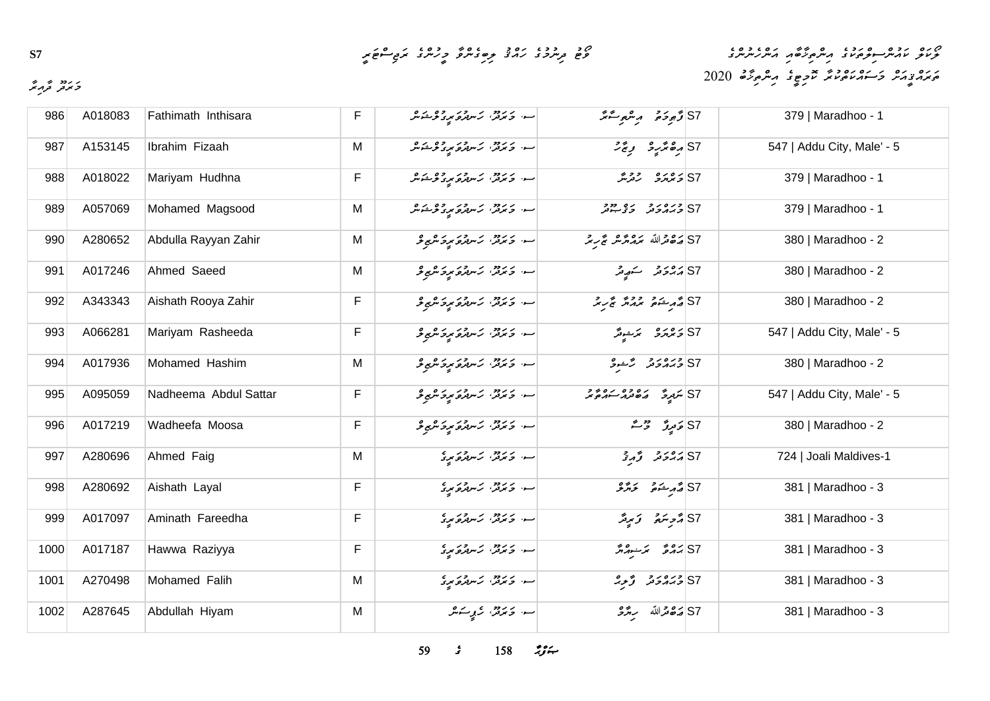*sCw7q7s5w7m< o<n9nOoAw7o< sCq;mAwBoEw7q<m; wBm;vB 2020*<br>*په پوهر وسوډيرونو لومو د موجو د مرمونه* 2020

| $\begin{array}{ccccc} \circ & \circ & \circ \circ \end{array}$ |  |
|----------------------------------------------------------------|--|
| وبمرتز ترمرمز                                                  |  |

| 986  | A018083 | Fathimath Inthisara   | F           | ے۔ تربروز کے سرفر میں محر کے مگر | S7 <i>وُّجوح</i> فو مرسْمع مُسَمَّد            | 379   Maradhoo - 1         |
|------|---------|-----------------------|-------------|----------------------------------|------------------------------------------------|----------------------------|
| 987  | A153145 | Ibrahim Fizaah        | M           | ے دروہ کاملاحظ وہ دیگھ           | S7 مەھەمگەبى <sup>3</sup> بوي <sup>غ م</sup> ە | 547   Addu City, Male' - 5 |
| 988  | A018022 | Mariyam Hudhna        | F           | سە ئەيروم كەنگەن ئەي ئەسكەن      | S7 ئ <i>ومرو دوم</i> گر                        | 379   Maradhoo - 1         |
| 989  | A057069 | Mohamed Magsood       | M           | ے دروہ کاملاحظ وہ دیگھ           | S7 ويرەرو دەپرە دور                            | 379   Maradhoo - 1         |
| 990  | A280652 | Abdulla Rayyan Zahir  | M           | - ئەرەر ئەرەركەر ئەھم            | S7 مەھىراللە <i>بىرمەشرىخ ب</i> ىر             | 380   Maradhoo - 2         |
| 991  | A017246 | Ahmed Saeed           | M           |                                  | S7 كەبرى قىر سىمب <i>و</i> تر                  | 380   Maradhoo - 2         |
| 992  | A343343 | Aishath Rooya Zahir   | $\mathsf F$ |                                  | S7 مُرمِّسُوَ بِرَمَّدَ مِجْرِبِرِ             | 380   Maradhoo - 2         |
| 993  | A066281 | Mariyam Rasheeda      | F           |                                  | S7 كەممەر تەر ئىمىشى <i>م</i> ىگە              | 547   Addu City, Male' - 5 |
| 994  | A017936 | Mohamed Hashim        | M           |                                  | S7 <i>\$ 2282 كرشو</i><br>ب                    | 380   Maradhoo - 2         |
| 995  | A095059 | Nadheema Abdul Sattar | F           | - ئەنگە ئىلگەنجە ئىلمى           | S7 سَمِرِدَ مَصْمَدِ مِسْمَدِ دِ               | 547   Addu City, Male' - 5 |
| 996  | A017219 | Wadheefa Moosa        | $\mathsf F$ | سە كەللاھى ئەسەر ئەھمى ئىس ئى    | S7 كۈيەتە ئەستە                                | 380   Maradhoo - 2         |
| 997  | A280696 | Ahmed Faig            | M           | سە كەندىق كەندىكرى بىرى          | S7 <i>مَدْدُ دَ وَّ وَ</i>                     | 724   Joali Maldives-1     |
| 998  | A280692 | Aishath Layal         | $\mathsf F$ | سە كەيمەتلىرى كەس تەركى          | S7 مُەمشى ئىگر                                 | 381   Maradhoo - 3         |
| 999  | A017097 | Aminath Fareedha      | $\mathsf F$ | سە كەيمەتلىرى كەس تەركى          | S7 مُّ <i>جِ سَمَّةَ وَ م</i> ِيتَر            | 381   Maradhoo - 3         |
| 1000 | A017187 | Hawwa Raziyya         | $\mathsf F$ | سە كەيمەتلىرى كەس تەكرى          | S7 بروء بر مشروع                               | 381   Maradhoo - 3         |
| 1001 | A270498 | Mohamed Falih         | M           | سە كەيمەتلىرى كەس تەكرى          | S7 <i>جەيگە جۇ بۇ بۇ ب</i> و                   | 381   Maradhoo - 3         |
| 1002 | A287645 | Abdullah Hiyam        | M           | ے دیں دیکھ ا                     | S7 مَەھْتَراللە ب <i>ەرد</i> ۇ                 | 381   Maradhoo - 3         |

*59 sC 158 nNw?mS*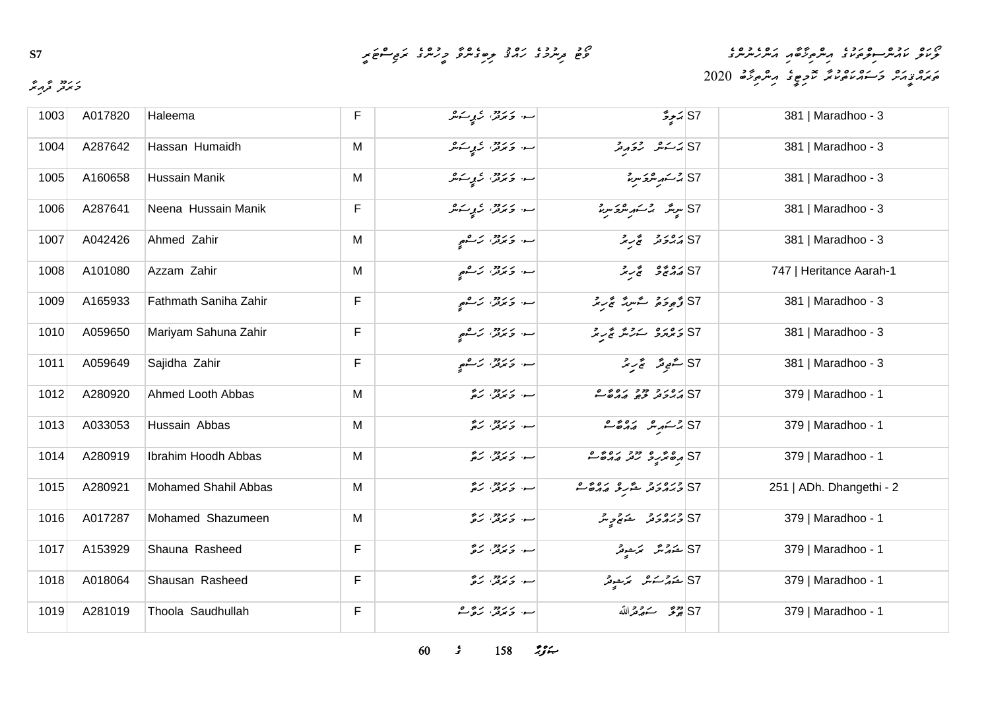*sCw7q7s5w7m< o<n9nOoAw7o< sCq;mAwBoEw7q<m; wBm;vB* م من المرة المرة المرة المرجع المرجع في المركبة 2020<br>مجم*د المريض المربوط المربع المرجع في المراجع المركبة* 

| 1003 | A017820 | Haleema                     | $\mathsf{F}$ | ب. تربرده، ژوپسکر   | S7 ئەبەر                                               | 381   Maradhoo - 3       |
|------|---------|-----------------------------|--------------|---------------------|--------------------------------------------------------|--------------------------|
| 1004 | A287642 | Hassan Humaidh              | M            | ے دیرو وریکر        | S7 ئەسەھ رىمى بولىد                                    | 381   Maradhoo - 3       |
| 1005 | A160658 | <b>Hussain Manik</b>        | M            | ے دروہ دریکھ        | S7 پر مس <sub>م</sub> ر مر <sub>م</sub> ر مرب <i>ر</i> | 381   Maradhoo - 3       |
| 1006 | A287641 | Neena Hussain Manik         | $\mathsf F$  | ے دروہ دریاتھ       | S7 سرینگ کر شکر مرکز میرین <sup>1</sup>                | 381   Maradhoo - 3       |
| 1007 | A042426 | Ahmed Zahir                 | M            | ے کے برقرمی کرکھیے  | S7 <i>مُدْدَوْدْ</i> مُحْرِ مُرْ                       | 381   Maradhoo - 3       |
| 1008 | A101080 | Azzam Zahir                 | M            | سە كەندىق ئەسىم     | $3.5$ $3.5$ $5.5$ $57$                                 | 747   Heritance Aarah-1  |
| 1009 | A165933 | Fathmath Saniha Zahir       | $\mathsf{F}$ | ے کے برقز، کرے ہی   | S7 ۇ <sub>ج</sub> وخۇ شەمبەنگە ئ <sub>ە</sub> رىز      | 381   Maradhoo - 3       |
| 1010 | A059650 | Mariyam Sahuna Zahir        | $\mathsf F$  | ے کے بروژ کرکھیے    | S7 <i>وَعْهُدُوْ سَدْنَتَرْ لِجُ</i> رِيْرِ            | 381   Maradhoo - 3       |
| 1011 | A059649 | Sajidha Zahir               | F            | ے کے بروژ، کرے می   | S7 ڪي <sub>مب</sub> ر پج پر                            | 381   Maradhoo - 3       |
| 1012 | A280920 | Ahmed Looth Abbas           | M            | سە كەندىق ئەتم      | S7 ג׳כני ככב ג'ובי                                     | 379   Maradhoo - 1       |
| 1013 | A033053 | Hussain Abbas               | M            | سە كەندىق ئەتم      | $2822$ $272$ $57$                                      | 379   Maradhoo - 1       |
| 1014 | A280919 | Ibrahim Hoodh Abbas         | M            | سە كەندىق ئىتى      | S7 مەھەرىپ ئىز مەمەت                                   | 379   Maradhoo - 1       |
| 1015 | A280921 | <b>Mohamed Shahil Abbas</b> | M            | ) سە كەنگەنىڭ كەنگە | S7 درور د عرو روم ه                                    | 251   ADh. Dhangethi - 2 |
| 1016 | A017287 | Mohamed Shazumeen           | M            | سە كەندىش كەڭ       | S7 دېم د ده خو شو په شو په ک                           | 379   Maradhoo - 1       |
| 1017 | A153929 | Shauna Rasheed              | F            | سە كەندىق كەڭ       | S7 شەر3ىگە كەشپەتر                                     | 379   Maradhoo - 1       |
| 1018 | A018064 | Shausan Rasheed             | F            | سە كەندىق ئەگە      | S7 شەھرىسىس ئىرىسى <i>رىتى</i>                         | 379   Maradhoo - 1       |
| 1019 | A281019 | Thoola Saudhullah           | F            | سە ئەيرىش ئەرمى     | S7 جو محمد ستورش الله                                  | 379   Maradhoo - 1       |

*60 sC 158 nNw?mS*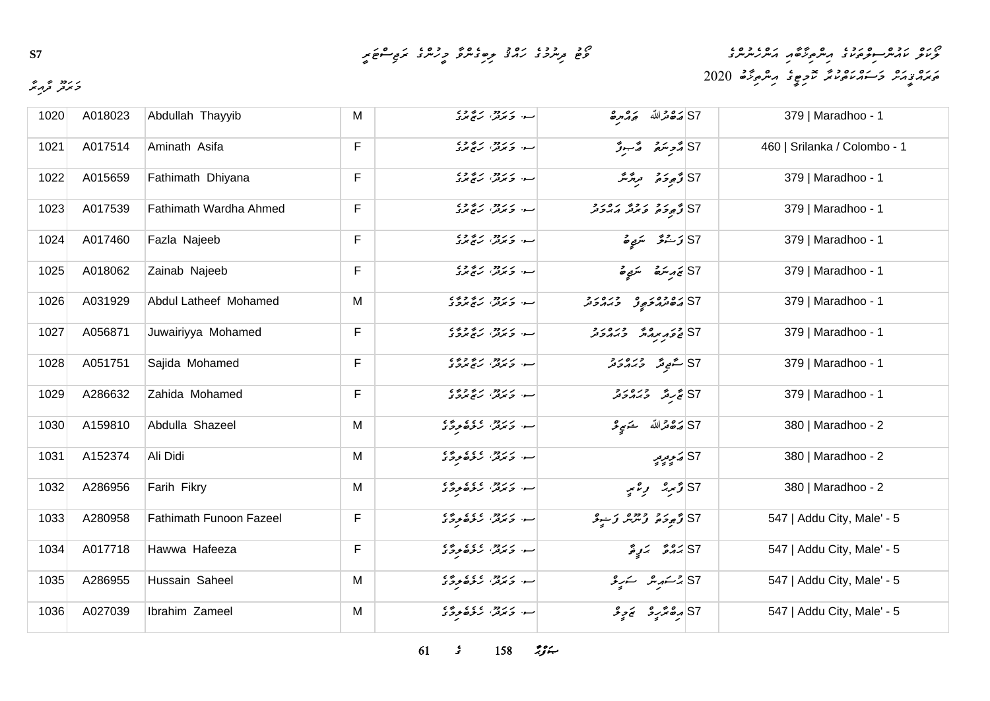*sCw7q7s5w7m< o<n9nOoAw7o< sCq;mAwBoEw7q<m; wBm;vB* م من المرة المرة المرة المرجع المرجع في المركبة 2020<br>مجم*د المريض المربوط المربع المرجع في المراجع المركبة* 

|  | ر ردد به پر |
|--|-------------|
|  |             |

| 1020 | A018023 | Abdullah Thayyib               | M            | ر در دود.<br>سه و برتر، رنج برو            | S7 كەھ قىراللە   بۇ ئەرمۇ                          | 379   Maradhoo - 1           |
|------|---------|--------------------------------|--------------|--------------------------------------------|----------------------------------------------------|------------------------------|
| 1021 | A017514 | Aminath Asifa                  | F            | ر درود. زیروه                              | S7 مُّحِسَمُ مُّسِوَّرٌ                            | 460   Srilanka / Colombo - 1 |
| 1022 | A015659 | Fathimath Dhiyana              | F            | ر رود.<br>سه کامرفل، کامج مرو              | S7 ۇ <sub>ج</sub> وڭ م <sub>ى</sub> رگىگە          | 379   Maradhoo - 1           |
| 1023 | A017539 | Fathimath Wardha Ahmed         | $\mathsf{F}$ | ر در دو.<br>سه او برتر، کام برو            | S7 تُجوِّحهِ حَمَّدَتَّرَ مَ <sup>رُو</sup> دَتَرَ | 379   Maradhoo - 1           |
| 1024 | A017460 | Fazla Najeeb                   | F            | ر رود دره ده ده<br>سه وبرتر، رنج برد       | S7 كۆشىگىشى ئىكتى ھ                                | 379   Maradhoo - 1           |
| 1025 | A018062 | Zainab Najeeb                  | $\mathsf{F}$ | ر در دو.<br>سه او برتر، کام برو            | S7 <i>تج مرسمة</i> سمي <sub>ح</sub> ة              | 379   Maradhoo - 1           |
| 1026 | A031929 | Abdul Latheef Mohamed          | M            | ر درود. زره دره د                          | S7 גפרפר פ רנסקר                                   | 379   Maradhoo - 1           |
| 1027 | A056871 | Juwairiyya Mohamed             | F            | سه وره ده وه و                             | S7 <i>בטרית החי"ר בגה</i> כנג                      | 379   Maradhoo - 1           |
| 1028 | A051751 | Sajida Mohamed                 | F            | ر درود رو ده د                             | S7 گونگر ترکرد ترک                                 | 379   Maradhoo - 1           |
| 1029 | A286632 | Zahida Mohamed                 | F            | ر درود. ریز وی.<br>سه کامرفر، رنج مروی     | S7 تج برقر ب <i>محمد حمد ح</i> مد                  | 379   Maradhoo - 1           |
| 1030 | A159810 | Abdulla Shazeel                | M            | ر درود در در در در<br>سه گرمن گرفت در      | S7 كەنھەتراللە خىمى تو                             | 380   Maradhoo - 2           |
| 1031 | A152374 | Ali Didi                       | M            | ر درود دره ده ده.<br>سه وبرتر، رنوه وود    | S7 کە مومومو                                       | 380   Maradhoo - 2           |
| 1032 | A286956 | Farih Fikry                    | M            | ر د دو د د د د د د د<br>سه کامرنس گرفت و د | S7 وَمَعرِ يَمْ وَعْ مِهِ                          | 380   Maradhoo - 2           |
| 1033 | A280958 | <b>Fathimath Funoon Fazeel</b> | $\mathsf F$  | ر درود دره ده ده.<br>سر و برتر، روه وود    | S7 ۇ <sub>ج</sub> وخۇ ۋىترىتر ۋىنېۋ                | 547   Addu City, Male' - 5   |
| 1034 | A017718 | Hawwa Hafeeza                  | F            | ر درود دره ده ده.<br>سه وبرتر، رنوه وود    | S7 <i>بَدْهُ وَ بَهِ وَ</i>                        | 547   Addu City, Male' - 5   |
| 1035 | A286955 | Hussain Saheel                 | M            | ر درود دره ده ده.<br>سه وبرتر، رنوه وود    | S7 يُرْسَمب <sup>9</sup> سَرِ وُ                   | 547   Addu City, Male' - 5   |
| 1036 | A027039 | Ibrahim Zameel                 | M            | ر دردو در ده ود.<br>سه وبرتر، روه وود      | S7 <sub>م</sub> ەنگەپ <sup>ى ي</sup> جوڭ           | 547   Addu City, Male' - 5   |

 $61$  *s*  $158$  *n***<sub>y</sub>**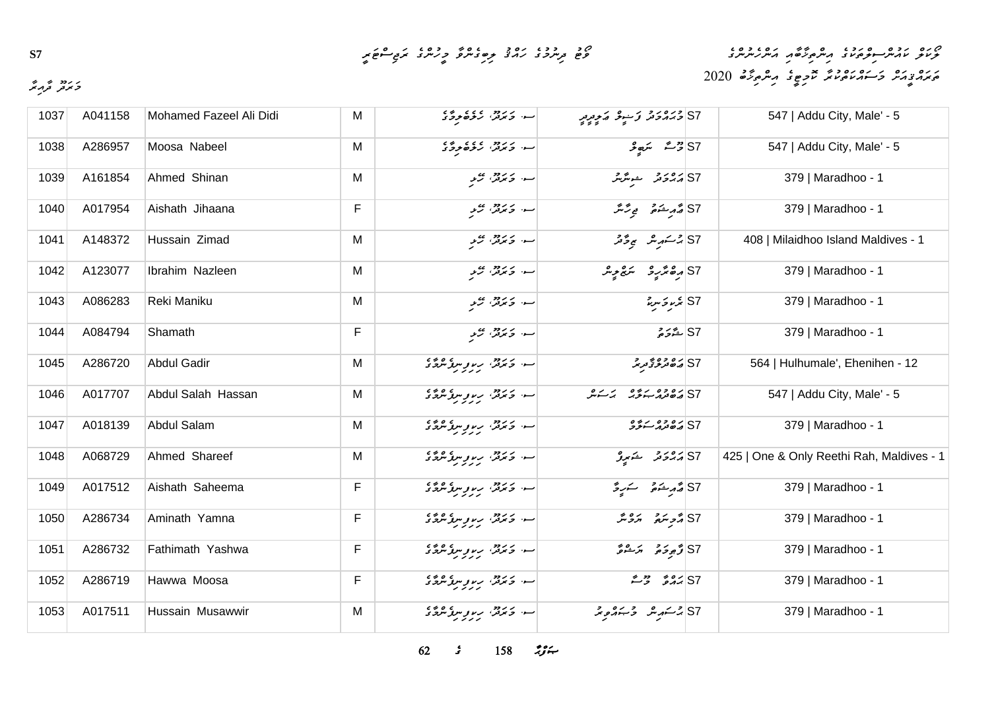*sCw7q7s5w7m< o<n9nOoAw7o< sCq;mAwBoEw7q<m; wBm;vB* م من المرة المرة المرة المرجع المرجع في المركبة 2020<br>مجم*د المريض المربوط المربع المرجع في المراجع المركبة* 

|  | $\begin{array}{ccccc} \circ & \circ & \circ \circ \end{array}$ |
|--|----------------------------------------------------------------|
|  | و مرتز تربر مر                                                 |
|  |                                                                |

| 1037 | A041158 | Mohamed Fazeel Ali Didi | M            | سه کابردو دی د ود        | S7 <i>وبرو دي و پيو چي پير</i>        | 547   Addu City, Male' - 5                |
|------|---------|-------------------------|--------------|--------------------------|---------------------------------------|-------------------------------------------|
| 1038 | A286957 | Moosa Nabeel            | M            | ر در دو ده د د د د د د   | S7 S7 سَهوءُ                          | 547   Addu City, Male' - 5                |
| 1039 | A161854 | Ahmed Shinan            | M            | سە كەنزلىقى ئۈر          | S7 <i>ړې دو</i> ش <sub>و</sub> مترمتر | 379   Maradhoo - 1                        |
| 1040 | A017954 | Aishath Jihaana         | $\mathsf{F}$ | سە كەنزلىقى ئۇي          | S7 م <i>ەُم شەق بې ئ</i> ىگر          | 379   Maradhoo - 1                        |
| 1041 | A148372 | Hussain Zimad           | M            | سە كەنزلىقى ئۈر          | S7 برُسَمبر مَرَ سِیحَمْدَ            | 408   Milaidhoo Island Maldives - 1       |
| 1042 | A123077 | Ibrahim Nazleen         | M            | سە كەنزلىقى ئۇي          | S7 ب <i>رھنگرد</i> و س <i>ن</i> ھوپیں | 379   Maradhoo - 1                        |
| 1043 | A086283 | Reki Maniku             | M            | سە كەيمەتلىرى ئىلمى      | S7 تربیو ځامبریز                      | 379   Maradhoo - 1                        |
| 1044 | A084794 | Shamath                 | $\mathsf F$  | سە كەندىق ئىر            | S7 يَشْرَحْو                          | 379   Maradhoo - 1                        |
| 1045 | A286720 | <b>Abdul Gadir</b>      | M            | ے دیکھی رہوسو معدد       | S7 كەھ قرىز ت <sup>ۇ</sup> برىر       | 564   Hulhumale', Ehenihen - 12           |
| 1046 | A017707 | Abdul Salah Hassan      | M            | ے دیکھی رہو ہو ہو گھ     | S7 مەھ <i>ەرمەۋە يەك ھ</i>            | 547   Addu City, Male' - 5                |
| 1047 | A018139 | Abdul Salam             | M            | ے کروڑ رہوسکے مرک        | S7 ئەھ <i>تەرە سىۋ</i> ۇ              | 379   Maradhoo - 1                        |
| 1048 | A068729 | Ahmed Shareef           | M            | ے کروڑ رہ وسی مردی       | S7 كەبرى قىرىق ھەمب <i>و</i> گە       | 425   One & Only Reethi Rah, Maldives - 1 |
| 1049 | A017512 | Aishath Saheema         | $\mathsf F$  | ے کریں رہوس دی۔          | S7 مُەمشىم سىرىمىتى كىلە              | 379   Maradhoo - 1                        |
| 1050 | A286734 | Aminath Yamna           | F            | ے کی بھی رہو ہو گھڑی     | S7 أَمُّ حِسَمٌ مَرْحَسٌ              | 379   Maradhoo - 1                        |
| 1051 | A286732 | Fathimath Yashwa        | F            | ے کروڑ رہوسکے مرک        | S7 زُجِرْدَة بَرَسْوَةً               | 379   Maradhoo - 1                        |
| 1052 | A286719 | Hawwa Moosa             | $\mathsf F$  | ے کا بردہ رہا و سرگامردی | $23.52$ S7                            | 379   Maradhoo - 1                        |
| 1053 | A017511 | Hussain Musawwir        | M            | سە كەنگەن سىروسۇمىگە     | S7 يُرْسَمْ مِنْ مُحْسَمَّةً مِنْدُ   | 379   Maradhoo - 1                        |

 $62$  *s*  $158$  *n***<sub>3</sub>** *n*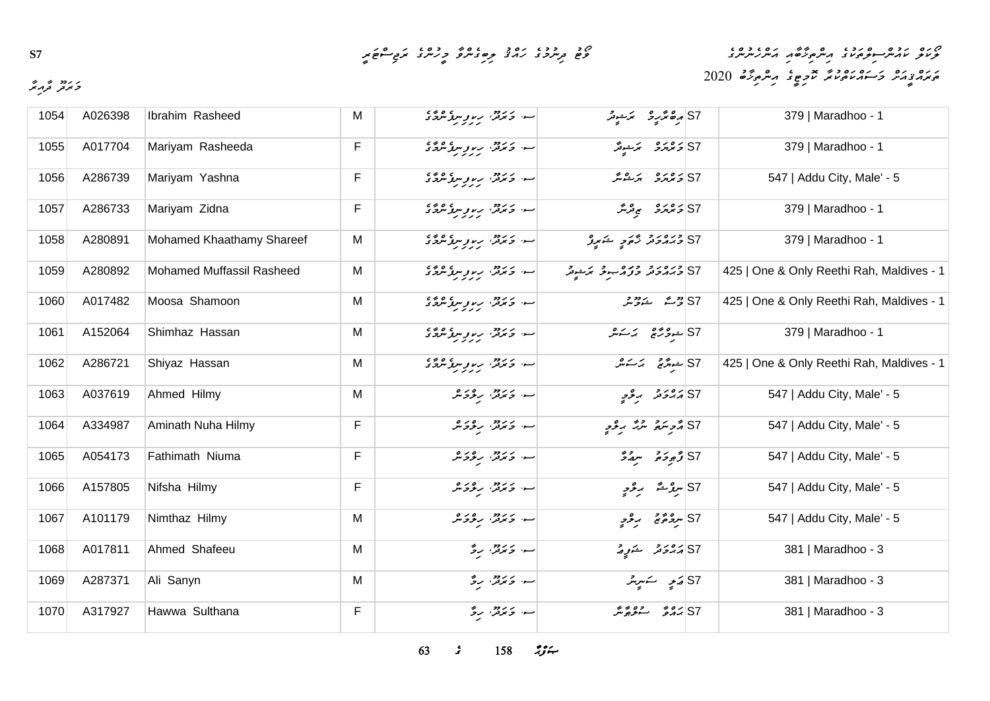*sCw7q7s5w7m< o<n9nOoAw7o< sCq;mAwBoEw7q<m; wBm;vB* م من المسجد المسجد المسجد المسجد المسجد العام 2020<br>مجم*د المسجد المسجد المستجد المسجد المسجد المسجد المسجد المسجد المسجد المسجد المسجد المسجد المسجد المسجد المسجد* 

| 1054 | A026398 | Ibrahim Rasheed                  | M           | -- ئەندىق سەرسىر ئىرمۇ ئىرمۇ ئ | S7 م <i>ەھگرى</i> ئىسىمىسى ئىستىد           | 379   Maradhoo - 1                        |
|------|---------|----------------------------------|-------------|--------------------------------|---------------------------------------------|-------------------------------------------|
| 1055 | A017704 | Mariyam Rasheeda                 | $\mathsf F$ | ے دکھریں سروسو مردی            | S7 كەممەر تەر ئىمىشى <i>م</i> ىگە           | 379   Maradhoo - 1                        |
| 1056 | A286739 | Mariyam Yashna                   | F           | ے دکھریں رہا و سرکا مرکزی      | S7 كەندىرى بىرىشىش                          | 547   Addu City, Male' - 5                |
| 1057 | A286733 | Mariyam Zidna                    | F           | ے دکھری رہا و سرگی مرد کا      | S7 <i>جەنگەر ئابى ئارى</i> گە               | 379   Maradhoo - 1                        |
| 1058 | A280891 | Mohamed Khaathamy Shareef        | M           | ے کا کروڑ رہا وسی مردی         | S7 دُبرەرو دُمَو خَسِرُو                    | 379   Maradhoo - 1                        |
| 1059 | A280892 | <b>Mohamed Muffassil Rasheed</b> | M           | سە ئەندىق رىدۇ سەھ سىڭ ئ       | S7 دره د د د ده بدو برخوش                   | 425   One & Only Reethi Rah, Maldives - 1 |
| 1060 | A017482 | Moosa Shamoon                    | M           | سە ئەئەتتە سەرسىدىكى ئەم       | S7 شەھرىتىر                                 | 425   One & Only Reethi Rah, Maldives - 1 |
| 1061 | A152064 | Shimhaz Hassan                   | M           | ے دکھری رہا و سرگی مرد کا      | S7  مور <i>ور بم ي</i> ر كىشر               | 379   Maradhoo - 1                        |
| 1062 | A286721 | Shiyaz Hassan                    | M           | سە ئەترىق رىدۇسۇسىدە           | S7 شەھرىتى ئەسكەنلىر                        | 425   One & Only Reethi Rah, Maldives - 1 |
| 1063 | A037619 | Ahmed Hilmy                      | M           |                                | S7 <i>ډُرُدُوَ پُروُوِ</i>                  | 547   Addu City, Male' - 5                |
| 1064 | A334987 | Aminath Nuha Hilmy               | F           | سە ئەندىق بەلۇڭلە              | S7 مُرْحِ سَرَةَ مِنْ مِنْ مِنْ الْمَرْحِرِ | 547   Addu City, Male' - 5                |
| 1065 | A054173 | Fathimath Niuma                  | F           | ے کا برقری روکار               | S7 <i>وُّهِ دَمْ</i> سِمْرُدُّ              | 547   Addu City, Male' - 5                |
| 1066 | A157805 | Nifsha Hilmy                     | F           | سە ئەندىق بەلۇڭلە              | S7 سرویے برو <sub>جی</sub>                  | 547   Addu City, Male' - 5                |
| 1067 | A101179 | Nimthaz Hilmy                    | M           |                                | S7 سر <i>ڈ وُج ب</i> وگو                    | 547   Addu City, Male' - 5                |
| 1068 | A017811 | Ahmed Shafeeu                    | M           | ے کا کروڑ رگ                   | S7 <i>222 شورة</i>                          | 381   Maradhoo - 3                        |
| 1069 | A287371 | Ali Sanyn                        | M           | سە ئەتمەتىرە رىگ               | S7 کی پر کے سربائر                          | 381   Maradhoo - 3                        |
| 1070 | A317927 | Hawwa Sulthana                   | F           | سە كەيمەتلە رۇ                 | S7 ئەمۇسى ئوق <sub>ى</sub> مۇس              | 381   Maradhoo - 3                        |

 $63$  *s*  $158$  *n***<sub>y</sub>** $\frac{2}{3}$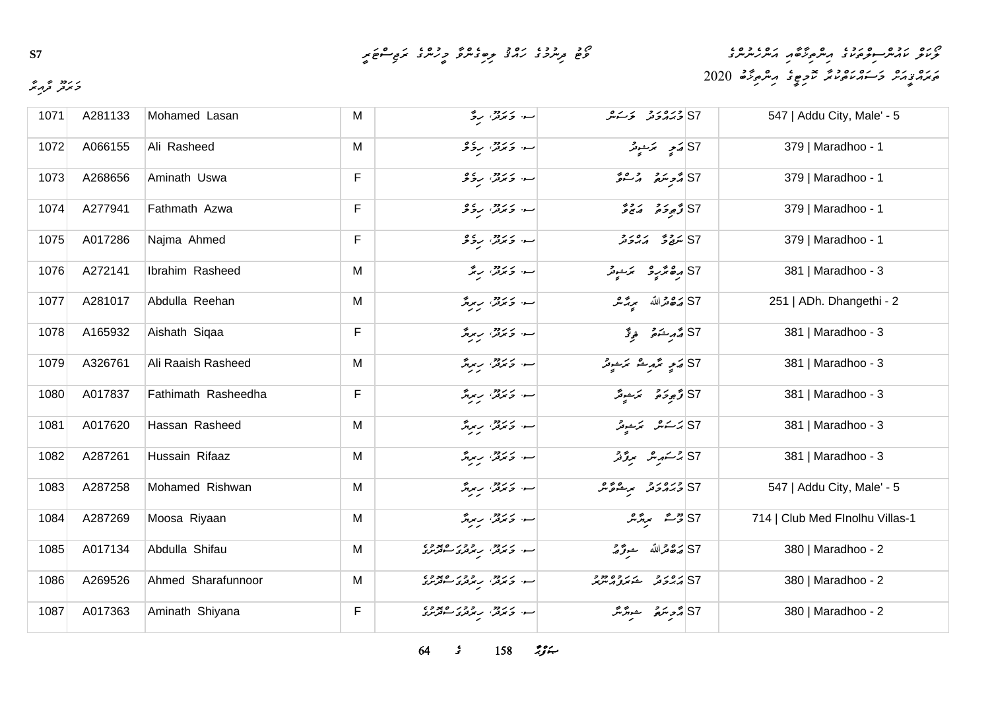*sCw7q7s5w7m< o<n9nOoAw7o< sCq;mAwBoEw7q<m; wBm;vB 2020*<br>*په پوهر وسوړ پاره ولايت موسي اوسر پر شمېر شه* 

| ر ردد به پر<br>د برتر ترمر |  |
|----------------------------|--|
|                            |  |

| 1071 | A281133 | Mohamed Lasan       | M            | سە ئەتكەنى بەق                           | S7دېږدور کوسکر                                                                                             | 547   Addu City, Male' - 5      |
|------|---------|---------------------|--------------|------------------------------------------|------------------------------------------------------------------------------------------------------------|---------------------------------|
| 1072 | A066155 | Ali Rasheed         | M            | ے کا پروژ رکاو                           | S7 <i>ھَ جِ</i> - مَرْشِ <sub>و</sub> مُرُ                                                                 | 379   Maradhoo - 1              |
| 1073 | A268656 | Aminath Uswa        | $\mathsf{F}$ | سە ئەترىق رەۋ                            | S7 مُجِيبَهُ مُتَبَعَّرُ                                                                                   | 379   Maradhoo - 1              |
| 1074 | A277941 | Fathmath Azwa       | $\mathsf{F}$ | سە ئەترىق رەۋ                            | S7 ۇ <sub>ج</sub> وڭ مەن ئ                                                                                 | 379   Maradhoo - 1              |
| 1075 | A017286 | Najma Ahmed         | $\mathsf F$  | سە ئەترىق رۇۋ                            | S7 ىروم بەر دەر د                                                                                          | 379   Maradhoo - 1              |
| 1076 | A272141 | Ibrahim Rasheed     | M            | سە ئەترىق بىر                            | S7 م <i>ەھەرگى</i> كىم ئىسىمىتى كىلىن ئىشتى ئىككى ئىستى ئىككى ئىستى ئىككى ئىستى ئىككى ئىستى ئىستى ئىستى ئى | 381   Maradhoo - 3              |
| 1077 | A281017 | Abdulla Reehan      | M            | ے وَیُرَتَّزُ رَیْرِشُ                   | S7 كەھەراللە مەيگىر                                                                                        | 251   ADh. Dhangethi - 2        |
| 1078 | A165932 | Aishath Sigaa       | $\mathsf F$  | سا ئەتكەنى بايوند                        | S7 مەم شەقر ھ <sub>ۇ</sub> تى                                                                              | 381   Maradhoo - 3              |
| 1079 | A326761 | Ali Raaish Rasheed  | M            | سا ئەتكەنى بايوند                        | S7 كەي ئۇيرىش ئىرىسون <i>ى</i>                                                                             | 381   Maradhoo - 3              |
| 1080 | A017837 | Fathimath Rasheedha | $\mathsf{F}$ | سە كەنگەنى بىرىگە                        | S7 <i>وَّجوحَ</i> جَمَّ سَمَسُومَّرَ                                                                       | 381   Maradhoo - 3              |
| 1081 | A017620 | Hassan Rasheed      | M            | ے کے ترقش ریروگر                         | S7 كەسكەنلەر كىرىش <sub>و</sub> تىر                                                                        | 381   Maradhoo - 3              |
| 1082 | A287261 | Hussain Rifaaz      | M            | سە ئەترىق رىزىگە                         | S7 بر سَمبر مَر مَرَدَّ مَر                                                                                | 381   Maradhoo - 3              |
| 1083 | A287258 | Mohamed Rishwan     | M            | سە ئەترىق رىزىگە                         | S7 <i>32023 برخوش</i>                                                                                      | 547   Addu City, Male' - 5      |
| 1084 | A287269 | Moosa Riyaan        | M            | ے وَیُرَتَّزُ رَیْرِشُ                   | S7 ترقشہ سرمگر شر                                                                                          | 714   Club Med Flnolhu Villas-1 |
| 1085 | A017134 | Abdulla Shifau      | M            | ر در دود.<br>سود کامرتر، مرمزتری سوترمزی | S7 كەھەراللە ھو <i>ۋە</i>                                                                                  | 380   Maradhoo - 2              |
| 1086 | A269526 | Ahmed Sharafunnoor  | M            | سه کاروژه ربوده د ۲۶۵ وي                 | S7 رور و بربروه دور<br>S7 ریرونر شهرورسهر                                                                  | 380   Maradhoo - 2              |
| 1087 | A017363 | Aminath Shiyana     | F            | ر در دو.<br>سه و برتو، ر برتوی سهتوس     | S7 مُرْحِسَمُ مُشْرَسَّرٌ                                                                                  | 380   Maradhoo - 2              |

 $64$  *s*  $158$  *n***<sub>3</sub>** *n*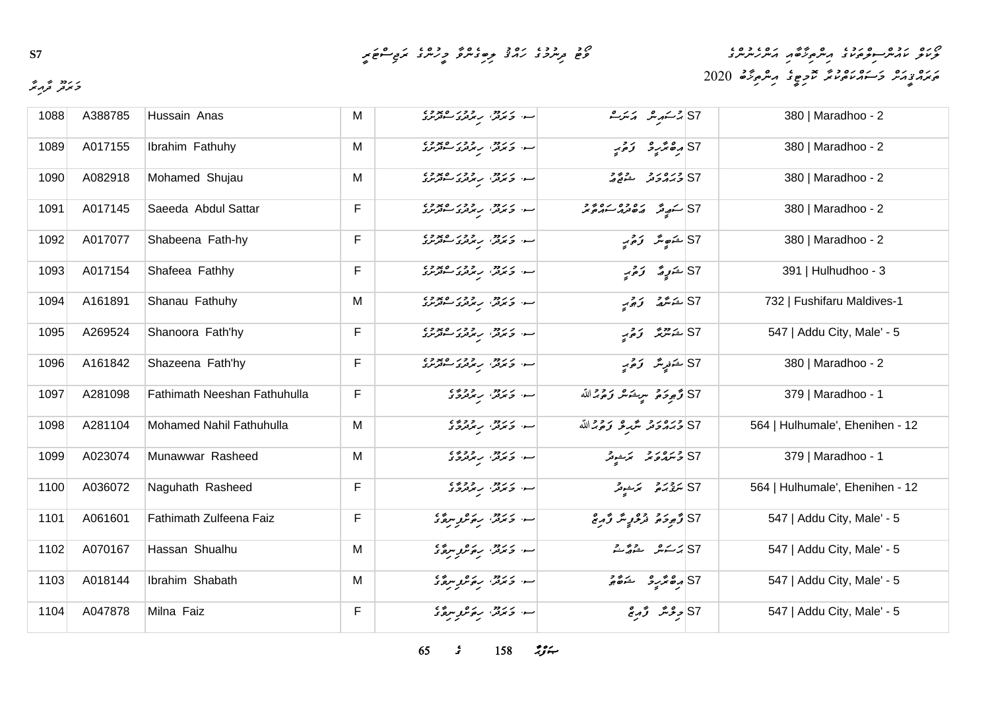*sCw7q7s5w7m< o<n9nOoAw7o< sCq;mAwBoEw7q<m; wBm;vB* م من المرة المرة المرة المرجع المرجع في المركبة 2020<br>مجم*د المريض المربوط المربع المرجع في المراجع المركبة* 

| 1088 | A388785 | Hussain Anas                 | M           | ر در دور در دور ۲۶۶۵<br>سه کامرنگر، مرتوری سهتونوری                   | S7  2سكەرىش كەنترىسى                            | 380   Maradhoo - 2              |
|------|---------|------------------------------|-------------|-----------------------------------------------------------------------|-------------------------------------------------|---------------------------------|
| 1089 | A017155 | Ibrahim Fathuhy              | M           | ر در دود.<br>سه کامرفر، ریمزفری سه توسری                              | S7 مەھم <i>گىي</i> ئۇم ب                        | 380   Maradhoo - 2              |
| 1090 | A082918 | Mohamed Shujau               | M           | ر در دو د و و ر ه د و و و<br>ر د او ترتو <sup>د ا</sup> ر برتوی سوتوس | S7 <i>جەممى ھىرى ھىدى ھى</i>                    | 380   Maradhoo - 2              |
| 1091 | A017145 | Saeeda Abdul Sattar          | $\mathsf F$ | ر در دو در دور ۲۶۶۵<br>سه ویرتر، ریزتری سهترس                         | S7 سَمِيةَ مُصْرِّرْ مُسْرِمَةٍ مِ              | 380   Maradhoo - 2              |
| 1092 | A017077 | Shabeena Fath-hy             | $\mathsf F$ | ر در دود.<br>سود کامرفر، مرمزفری سوفرمزی                              | S7 شەھەتتى ئۇمۇب                                | 380   Maradhoo - 2              |
| 1093 | A017154 | Shafeea Fathhy               | $\mathsf F$ | ر در دود.<br>سود کامرتری مرمزتاری سوتورنوی                            | S7 ڪوپر ترقم <u>ي</u>                           | 391   Hulhudhoo - 3             |
| 1094 | A161891 | Shanau Fathuhy               | M           | ر در دو د و و ر ه د و و و<br>ر د او ترتو <sup>د ا</sup> ر برتوی سوتوس | S7 ڪَئ <i>مَنَّهُ وَهُ</i> پِ                   | 732   Fushifaru Maldives-1      |
| 1095 | A269524 | Shanoora Fath'hy             | $\mathsf F$ | ر در دو.<br>سه و برتر، ر برترو سهتر دو.                               | S7 سەيتىرنى ئ <i>وۋې</i>                        | 547   Addu City, Male' - 5      |
| 1096 | A161842 | Shazeena Fath'hy             | F           | ر در دور دور دوره دور<br>سه ویرتر، ریزتری سهترس                       | S7 ڪنوپنگر کرتمر <i>پ</i>                       | 380   Maradhoo - 2              |
| 1097 | A281098 | Fathimath Neeshan Fathuhulla | $\mathsf F$ | ــــ وبردو ریزوده                                                     | S7 وَجِرِحَامَ  سِرِڪْمَدْ وَحْرَبْہِ اللّٰہ    | 379   Maradhoo - 1              |
| 1098 | A281104 | Mohamed Nahil Fathuhulla     | M           | ( در دو.<br>  سه و برتر، ر برتروی                                     | S7 <i>وبروبرو مربر وتم</i> ري الله              | 564   Hulhumale', Ehenihen - 12 |
| 1099 | A023074 | Munawwar Rasheed             | M           | ر درود.<br>سه کامرتر، ریمزتروی                                        | S7 <i>ۇنىۋە كى ئىر</i> خون <i>ى</i>             | 379   Maradhoo - 1              |
| 1100 | A036072 | Naguhath Rasheed             | F           | ب روده روووه                                                          | S7 <i>مَرَّدٌ مَدَّمْ مَرْ</i> حُوم <i>ُ</i> ر  | 564   Hulhumale', Ehenihen - 12 |
| 1101 | A061601 | Fathimath Zulfeena Faiz      | F           | - ئەنگەر بەھمۇسرەتمى                                                  | S7 <i>وَّجِودَة</i> نُرْدُوِي <i>دَّ وََب</i> ع | 547   Addu City, Male' - 5      |
| 1102 | A070167 | Hassan Shualhu               | M           | ے کا کروڑ رکھ کر سرگھ کی                                              | S7 كەسكەش مىش <i>ۇ</i> شە                       | 547   Addu City, Male' - 5      |
| 1103 | A018144 | Ibrahim Shabath              | M           | سە كەنگەن بەكەنگە سوڭا كە                                             | S7 رەئزىر ئىقبۇ                                 | 547   Addu City, Male' - 5      |
| 1104 | A047878 | Milna Faiz                   | F           | ے کروڑ رکھروسری                                                       | S7 <i>وڅنگ وگ</i> ړي                            | 547   Addu City, Male' - 5      |

*n8o<n@ r@m8m>*

 $65$  *s*  $158$  *n***<sub>2</sub>** *n*<sub>2</sub> *n*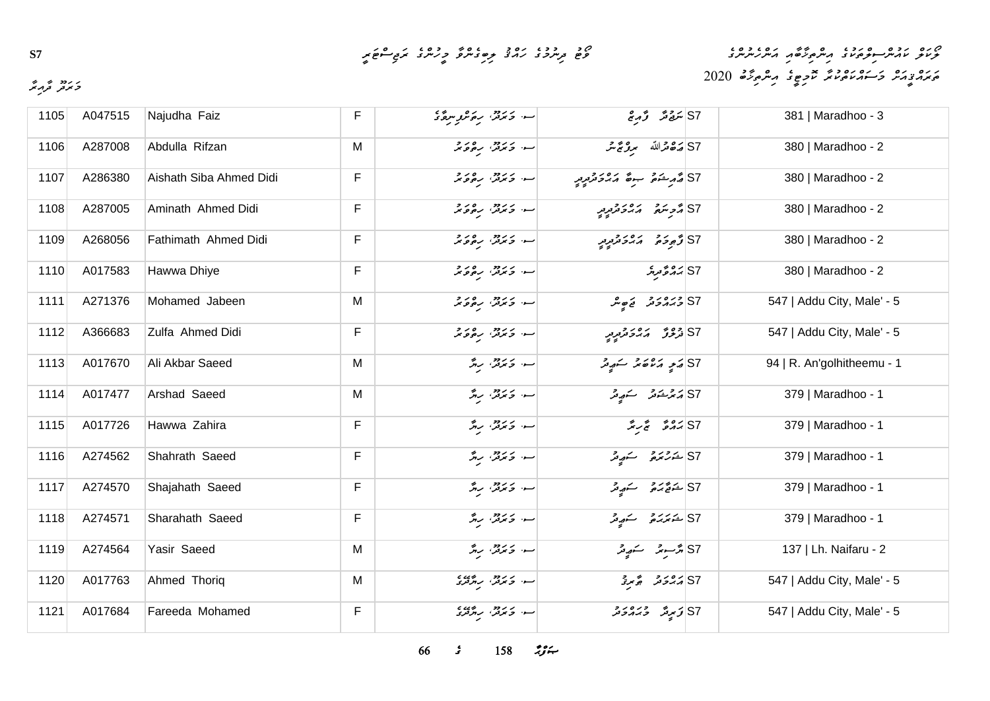*sCw7q7s5w7m< o<n9nOoAw7o< sCq;mAwBoEw7q<m; wBm;vB* م من المرة المرة المرة المرجع المراجع المراجع المراجع المراجع المراجع المراجع المراجع المراجع المراجع المراجع<br>مرين المراجع المراجع المرجع المراجع المراجع المراجع المراجع المراجع المراجع المراجع المراجع المراجع المراجع ال

| 1105 | A047515 | Najudha Faiz            | F            | سە كەنگەن سەئىر سەنگە            | S7 سَمَةَ قَدْ بَرْمِ جَ                           | 381   Maradhoo - 3         |
|------|---------|-------------------------|--------------|----------------------------------|----------------------------------------------------|----------------------------|
| 1106 | A287008 | Abdulla Rifzan          | M            | ے زرود رورو                      | S7 كەھەراللە مېرىج تىر                             | 380   Maradhoo - 2         |
| 1107 | A286380 | Aishath Siba Ahmed Didi | $\mathsf{F}$ | سه زبرود ره د د                  | S7 مُهرِسْمَة سِرَة مُهْدَوَمْرِمِرِ               | 380   Maradhoo - 2         |
| 1108 | A287005 | Aminath Ahmed Didi      | $\mathsf{F}$ | ے زرود رہ دو                     | S7 <i>مُتَّحِ سَمَعُ مَدْ مُ</i> حَمَّدِ مِرِ مِرِ | 380   Maradhoo - 2         |
| 1109 | A268056 | Fathimath Ahmed Didi    | $\mathsf{F}$ | سە ئەترىقى رەرد                  | S7 <i>وَّجِ جَ</i> جَمْ مَكْ جَمْعِ مِرْمِرِ مِرِ  | 380   Maradhoo - 2         |
| 1110 | A017583 | Hawwa Dhiye             | $\mathsf F$  | سه زرود ره د د                   | S7 ئەرگە ئوبىر                                     | 380   Maradhoo - 2         |
| 1111 | A271376 | Mohamed Jabeen          | M            | سه زيرود ره د د                  | S7 دېم دېمر توپه مخ                                | 547   Addu City, Male' - 5 |
| 1112 | A366683 | Zulfa Ahmed Didi        | F            | سه زرود ره د د                   | S7 نْرْحْرٌ مَدْدَدْبِرِبِرِ                       | 547   Addu City, Male' - 5 |
| 1113 | A017670 | Ali Akbar Saeed         | M            | سه که برده رنگر                  | S7 <i>مَجِ مَرْهُ مَدْ سَهِي</i> ْرَ               | 94   R. An'golhitheemu - 1 |
| 1114 | A017477 | Arshad Saeed            | M            | ے کے برقرار برگر                 | S7 كەنگرىشىقر كىمپ <i>ىر</i>                       | 379   Maradhoo - 1         |
| 1115 | A017726 | Hawwa Zahira            | $\mathsf{F}$ | ے کے برقرار برگر                 | S7 ئەم ئىق ئىچ بەشىر                               | 379   Maradhoo - 1         |
| 1116 | A274562 | Shahrath Saeed          | $\mathsf{F}$ | ے کا پروژہ رائز                  | S7 شەرىمىق سى <i>مبەت</i> ر                        | 379   Maradhoo - 1         |
| 1117 | A274570 | Shajahath Saeed         | $\mathsf{F}$ | ے کا پروژہ رائز                  | S7 شو <i>قى ئەھمى</i> ئىكر <i>و</i> ر              | 379   Maradhoo - 1         |
| 1118 | A274571 | Sharahath Saeed         | F            | سه کامرود روگر                   | S7 ش <i>ەترىكى سەمبەتر</i>                         | 379   Maradhoo - 1         |
| 1119 | A274564 | Yasir Saeed             | M            | ے کے برقرار برگر                 | S7 مُرْسِعْہُ سَمَ <i>وِینَہ</i>                   | 137   Lh. Naifaru - 2      |
| 1120 | A017763 | Ahmed Thoriq            | M            | ر به درود رودن<br>د و برتر، روزن | S7   كەشكە قىلىمى قىلىمىتى ئىچىسىتى ئى             | 547   Addu City, Male' - 5 |
| 1121 | A017684 | Fareeda Mohamed         | F            | ر در دو.<br>سه و برتر، رپرتری    | S7 توس <i>ينگ جيم</i> ه <i>جو</i>                  | 547   Addu City, Male' - 5 |

*66 s* 158 *i*<sub>S</sub> $\approx$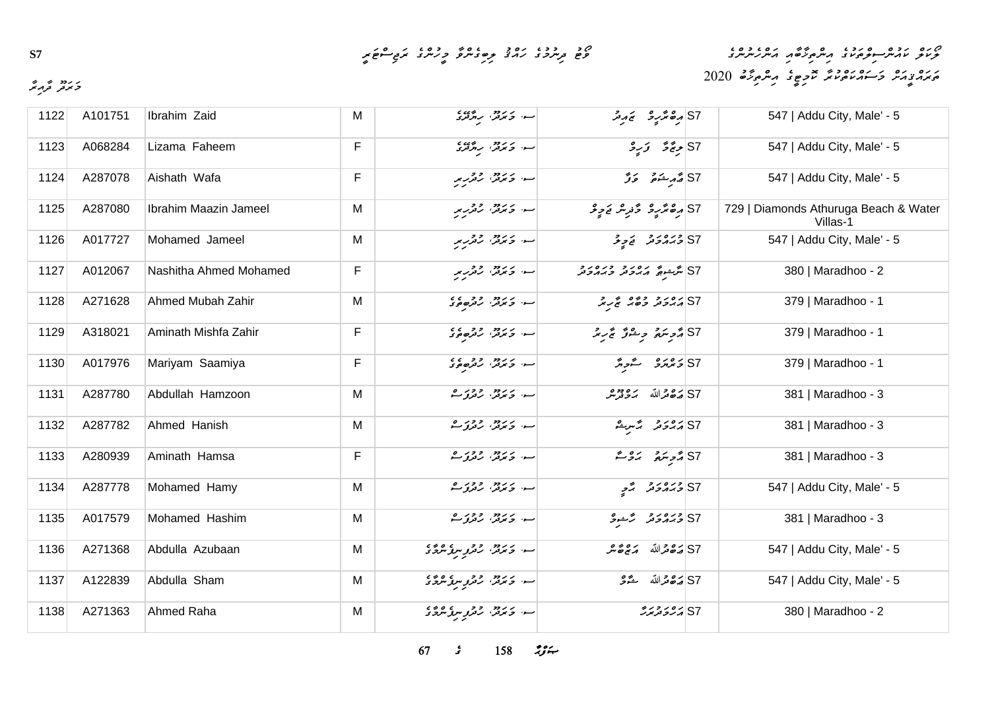*sCw7q7s5w7m< o<n9nOoAw7o< sCq;mAwBoEw7q<m; wBm;vB* م من المرة المرة المرة المرجع المراجع المراجع المراجع المراجع المراجع المراجع المراجع المراجع المراجع المراجع<br>مرين المراجع المراجع المرجع المراجع المراجع المراجع المراجع المراجع المراجع المراجع المراجع المراجع المراجع ال

| 1122 | A101751 | Ibrahim Zaid           | M           | ے کروڑ رپڑو۔                                   | S7  رەڭزىر ئىمرىز                                     | 547   Addu City, Male' - 5                        |
|------|---------|------------------------|-------------|------------------------------------------------|-------------------------------------------------------|---------------------------------------------------|
| 1123 | A068284 | Lizama Faheem          | F           | ر درود.<br>سه و برتر، ربرتری                   | S7 مِيَّمَّ تَرَبِّرْ                                 | 547   Addu City, Male' - 5                        |
| 1124 | A287078 | Aishath Wafa           | F           | ے کا بروڈ روزربر                               | S7 مُمْ مِشْمَرٌ وَتَرُّ                              | 547   Addu City, Male' - 5                        |
| 1125 | A287080 | Ibrahim Maazin Jameel  | M           | سە ئەتەققى ئەتەرىپە                            | S7 م <i>ِ جُمَّرٍ وَ</i> دُّنِرِ مَنْ مَ <i>وِ وَ</i> | 729   Diamonds Athuruga Beach & Water<br>Villas-1 |
| 1126 | A017727 | Mohamed Jameel         | M           | ے کا بروڈ روزربر                               | S7  <i>\$22,325   ق</i> وتۇ                           | 547   Addu City, Male' - 5                        |
| 1127 | A012067 | Nashitha Ahmed Mohamed | $\mathsf F$ | ے کا بروڈ روزربر                               | S7 سُرْڪِي پرورو ورورو                                | 380   Maradhoo - 2                                |
| 1128 | A271628 | Ahmed Mubah Zahir      | M           | ــــ ويوفر، رقر صور                            | S7 <i>הככת כפיר</i> ה <sub>ב</sub> ל                  | 379   Maradhoo - 1                                |
| 1129 | A318021 | Aminath Mishfa Zahir   | F           | ر ر دو و و د و د<br>پ د ترس رس                 | S7 مُرْحِسَمُ وِحْوَزٌ تَجْرِبْرُ                     | 379   Maradhoo - 1                                |
| 1130 | A017976 | Mariyam Saamiya        | F           | درود وو ده<br>  در وبرتر، رتره ود              | S7 كەممەر 2 ش <sub>ى</sub> ر ئۇ                       | 379   Maradhoo - 1                                |
| 1131 | A287780 | Abdullah Hamzoon       | M           | ے کا بردہ جاتی گے                              | S7 كەھىراللە بەدە بوھ                                 | 381   Maradhoo - 3                                |
| 1132 | A287782 | Ahmed Hanish           | M           | ے کا بردہ جاتی گے                              | S7 كەبردىر گەرگ                                       | 381   Maradhoo - 3                                |
| 1133 | A280939 | Aminath Hamsa          | F           | ر به رود دور در در در بار<br>سه او برتر، روزگر | S7 مَّجِسَمَۃُ بَرَوْتُ                               | 381   Maradhoo - 3                                |
| 1134 | A287778 | Mohamed Hamy           | M           | ر به رود دور د.<br>سه و برتر، رتور ک           | S7 <i>دېمبرونه</i> لمړ <sub>ن</sub> ې                 | 547   Addu City, Male' - 5                        |
| 1135 | A017579 | Mohamed Hashim         | M           | سە كەندىق رىرى ھ                               | S7 <i>وبرو دو گ</i> ھو                                | 381   Maradhoo - 3                                |
| 1136 | A271368 | Abdulla Azubaan        | M           | سە كەنگەن رەرپەر ئەھ                           | S7 مَهْ قَرْاللَّهُ مَعْ صَّرْ                        | 547   Addu City, Male' - 5                        |
| 1137 | A122839 | Abdulla Sham           | M           |                                                | S7 مَرْحَدِّ اللَّهُ شَّوَّرُ                         | 547   Addu City, Male' - 5                        |
| 1138 | A271363 | Ahmed Raha             | M           | ے کا بروز دور ہوگی ہے۔                         | S7 پر 3 پر پر محمد بر                                 | 380   Maradhoo - 2                                |

*67 sC 158 nNw?mS*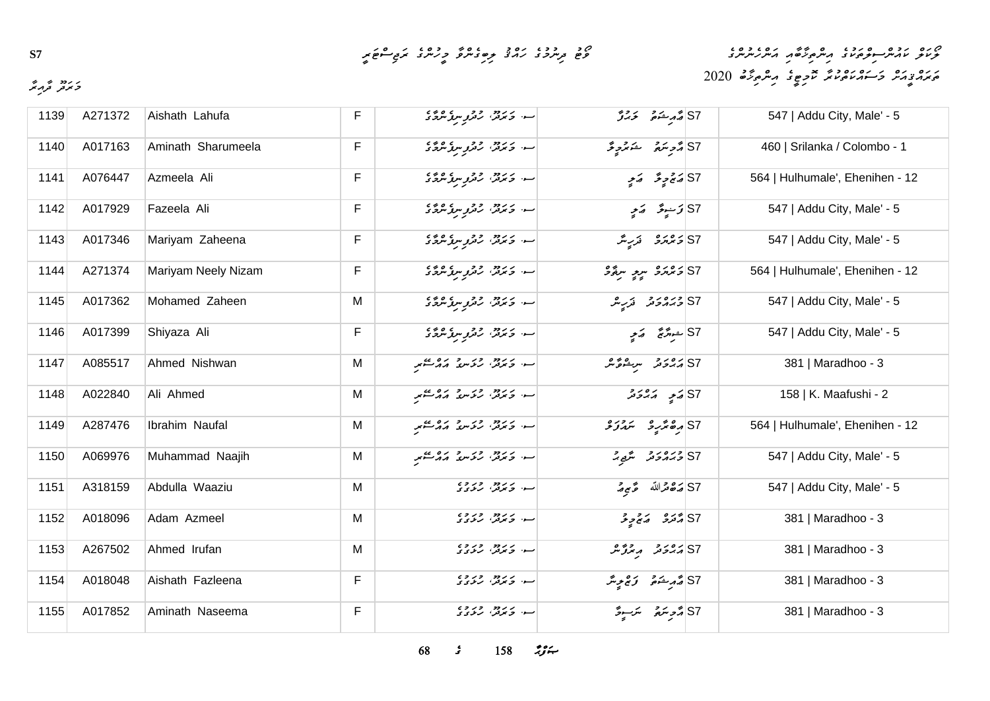*sCw7q7s5w7m< o<n9nOoAw7o< sCq;mAwBoEw7q<m; wBm;vB* م من المرة المرة المرة المرجع المراجع المراجع المراجع المراجع المراجع المراجع المراجع المراجع المراجع المراجع<br>مرين المراجع المراجع المرجع المراجع المراجع المراجع المراجع المراجع المراجع المراجع المراجع المراجع المراجع ال

| 1139 | A271372 | Aishath Lahufa      | F | ے کابردہ دورہ بروکردہ           | S7 مُمبِّسَمُ كَمَرْزٌ                               | 547   Addu City, Male' - 5      |
|------|---------|---------------------|---|---------------------------------|------------------------------------------------------|---------------------------------|
| 1140 | A017163 | Aminath Sharumeela  | F | ے کا بروڈ وورپوس مرکز           | S7 مُّ <i>جِسَمَةُ</i> ۖ سُمَّ <i>جُ</i> حِرَّ حُمَّ | 460   Srilanka / Colombo - 1    |
| 1141 | A076447 | Azmeela Ali         | F | ے کا کردہ دور ہوتا ہے۔          | S7 كەيج <i>چ</i> ۇ ھ <i>ۆم</i>                       | 564   Hulhumale', Ehenihen - 12 |
| 1142 | A017929 | Fazeela Ali         | F |                                 | S7 تزىنىدى كەم يە                                    | 547   Addu City, Male' - 5      |
| 1143 | A017346 | Mariyam Zaheena     | F | ے کا کروڑ کا گروپس کر مرکز کا ا | S7 <i>5 پر بر بر ترب</i> بر                          | 547   Addu City, Male' - 5      |
| 1144 | A271374 | Mariyam Neely Nizam | F | ے کا کردہ دور سرو مرکز          | S7 كەنگەر ئەرىپە س <i>ىۋ</i> ۇ                       | 564   Hulhumale', Ehenihen - 12 |
| 1145 | A017362 | Mohamed Zaheen      | M | ے کا بروڈ کے فروپلو مرکز کا     | S7 <i>\$22.2 نۇپ</i> ىر                              | 547   Addu City, Male' - 5      |
| 1146 | A017399 | Shiyaza Ali         | F | ے کا کردہ دور ہوتا ہے۔          | S7 شو <i>مرچ م</i> َرْمِ                             | 547   Addu City, Male' - 5      |
| 1147 | A085517 | Ahmed Nishwan       | M | سه وبرده ورسم بروت              | S7 كەبروتر س <sub>ى</sub> شۇمەر                      | 381   Maradhoo - 3              |
| 1148 | A022840 | Ali Ahmed           | M | ے ویرس روسی مارے                | S7   <i>مَرِ ج</i> ماد محمد الله                     | 158   K. Maafushi - 2           |
| 1149 | A287476 | Ibrahim Naufal      | M | سه وبرده ورسم بروت              | S7 مەھەر ئەرىكى ئىمەتك                               | 564   Hulhumale', Ehenihen - 12 |
| 1150 | A069976 | Muhammad Naajih     | M | سه وبرود وروسی مدرسی            | S7 <i>\$ پروژو گرم گرم</i>                           | 547   Addu City, Male' - 5      |
| 1151 | A318159 | Abdulla Waaziu      | M | ر در دو.<br>سه او بوتر، ارتوی و | S7 كەھىراللە گەيى كە                                 | 547   Addu City, Male' - 5      |
| 1152 | A018096 | Adam Azmeel         | M | ر ر دو.<br>سه او بوتر، ارگوی و  | S7 مُرْمَرْدَ مَجْمِرِ وَ                            | 381   Maradhoo - 3              |
| 1153 | A267502 | Ahmed Irufan        | M | سه ورود وروه                    | S7 <i>مەدەنى مەنۇ</i> تىر                            | 381   Maradhoo - 3              |
| 1154 | A018048 | Aishath Fazleena    | F | سه ورود وروه                    | S7 مُەم شەم ئۇنج م <sub>و</sub> سَر                  | 381   Maradhoo - 3              |
| 1155 | A017852 | Aminath Naseema     | F | ر رود ورود<br>سه کامرفر، گروی   | S7 مُتَّحِسَمُ مَتَّسِيحُ                            | 381   Maradhoo - 3              |

*68 s* 158 *i*<sub>S</sub> $\approx$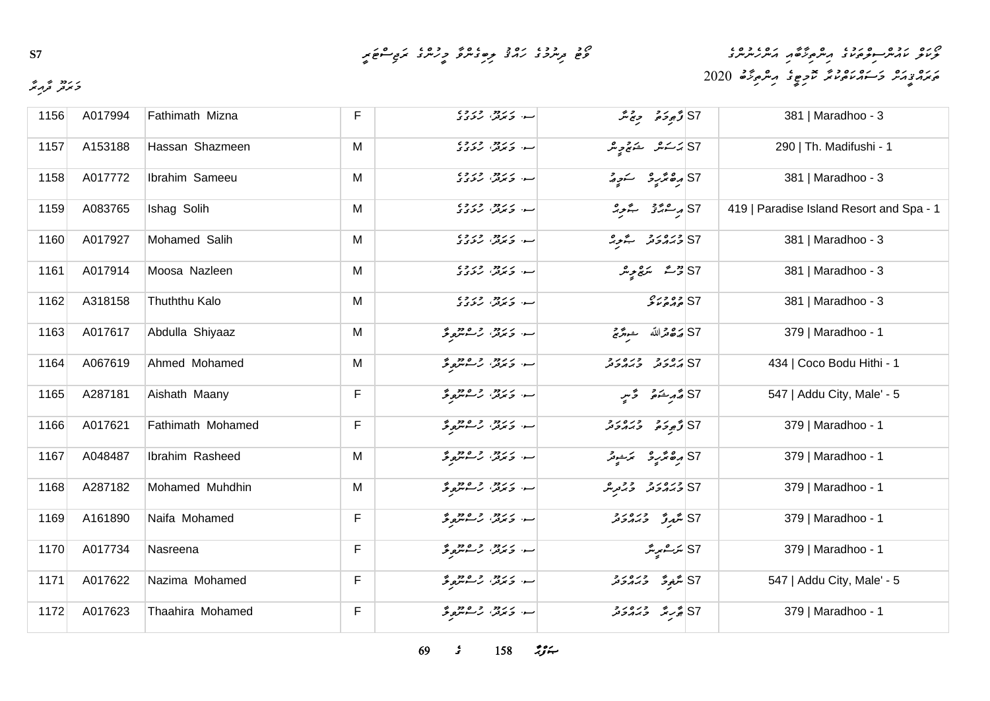*sCw7q7s5w7m< o<n9nOoAw7o< sCq;mAwBoEw7q<m; wBm;vB* م من المرة المرة المرة المرجع المراجع المراجع المراجع المراجع المراجع المراجع المراجع المراجع المراجع المراجع<br>مرين المراجع المراجع المرجع المراجع المراجع المراجع المراجع المراجع المراجع المراجع المراجع المراجع المراجع ال

|  | $\begin{array}{ccccc} \circ & \circ & \circ \circ \end{array}$ |
|--|----------------------------------------------------------------|
|  | و مرتز تربر مر                                                 |
|  |                                                                |

| 1156 | A017994 | Fathimath Mizna   | F           | ر در دور ور و د<br>سه او برتر، گروی | S7  <i>وَّهِ دَهْ</i> حِيمْ مَنْ | 381   Maradhoo - 3                       |
|------|---------|-------------------|-------------|-------------------------------------|----------------------------------|------------------------------------------|
| 1157 | A153188 | Hassan Shazmeen   | M           | ر در دور ور و د<br>سه او برتر، گروی | S7 كەسكەش ئىقەتمى تەرەپلەر       | 290   Th. Madifushi - 1                  |
| 1158 | A017772 | Ibrahim Sameeu    | M           | ر درود.<br>سه وبوتر، ژوری           |                                  | 381   Maradhoo - 3                       |
| 1159 | A083765 | Ishag Solih       | M           | ر دروه وروه                         | S7 پرىشتى سى <i>گو</i> ر         | 419   Paradise Island Resort and Spa - 1 |
| 1160 | A017927 | Mohamed Salih     | M           | ر در دو.<br>سه او بوتر، ارگوی و     | S7 <i>جەممى بىر ئىبدى</i>        | 381   Maradhoo - 3                       |
| 1161 | A017914 | Moosa Nazleen     | M           | ر ر دو.<br>سه او بوتو، ارگوی و      | S7 قریشہ س <sub>نگا</sub> مویٹر  | 381   Maradhoo - 3                       |
| 1162 | A318158 | Thuththu Kalo     | M           | ر در دو.<br>سه او بوتر، ارگوی و     | S7 ەۋرىۋىدى                      | 381   Maradhoo - 3                       |
| 1163 | A017617 | Abdulla Shiyaaz   | M           | سە كەيرىن رەھبىرى ئى                | S7 كەھەراللە ھەرىمى              | 379   Maradhoo - 1                       |
| 1164 | A067619 | Ahmed Mohamed     | M           | ے کابروہ والے میں گی                | S7 ג' 250 250 C                  | 434   Coco Bodu Hithi - 1                |
| 1165 | A287181 | Aishath Maany     | $\mathsf F$ | سە كەيمەتلىرى ئەسىر ئەسىرى ئى       | S7 <i>۾ُ مِ</i> شَمَرُ گَسِ      | 547   Addu City, Male' - 5               |
| 1166 | A017621 | Fathimath Mohamed | F           | سە كەيرىن راسەتترە ئى               | S7 زُن <sub>و</sub> دَة درەرد    | 379   Maradhoo - 1                       |
| 1167 | A048487 | Ibrahim Rasheed   | M           | سە كەيدىن راسلىر ئوگ                | S7 م <i>ەھمگىر ئىسىمىتى</i> ر    | 379   Maradhoo - 1                       |
| 1168 | A287182 | Mohamed Muhdhin   | M           | سە كەيرىن رەھبىرى ئى                | S7 <i>ڈیرو دو دوبر</i> ٹر        | 379   Maradhoo - 1                       |
| 1169 | A161890 | Naifa Mohamed     | $\mathsf F$ | سە كەيدىن راسلىر ئوگ                | S7 سَمبر تر محمد محمد حس         | 379   Maradhoo - 1                       |
| 1170 | A017734 | Nasreena          | F           | سە كەيرىن راسەتترەكى                | S7 ىترىشمېرىتتر                  | 379   Maradhoo - 1                       |
| 1171 | A017622 | Nazima Mohamed    | F           | ے کابروہ 2ے جمعہ مح                 | S7 سَّمَعِ <i>5 - 2013 و</i>     | 547   Addu City, Male' - 5               |
| 1172 | A017623 | Thaahira Mohamed  | F           | ے کابروہ 2ے جمعہ مح                 | S7 يُوسِعٌ حَمَدَ مَعَ           | 379   Maradhoo - 1                       |

*69 s* 158 *i*<sub>s</sub> $\div$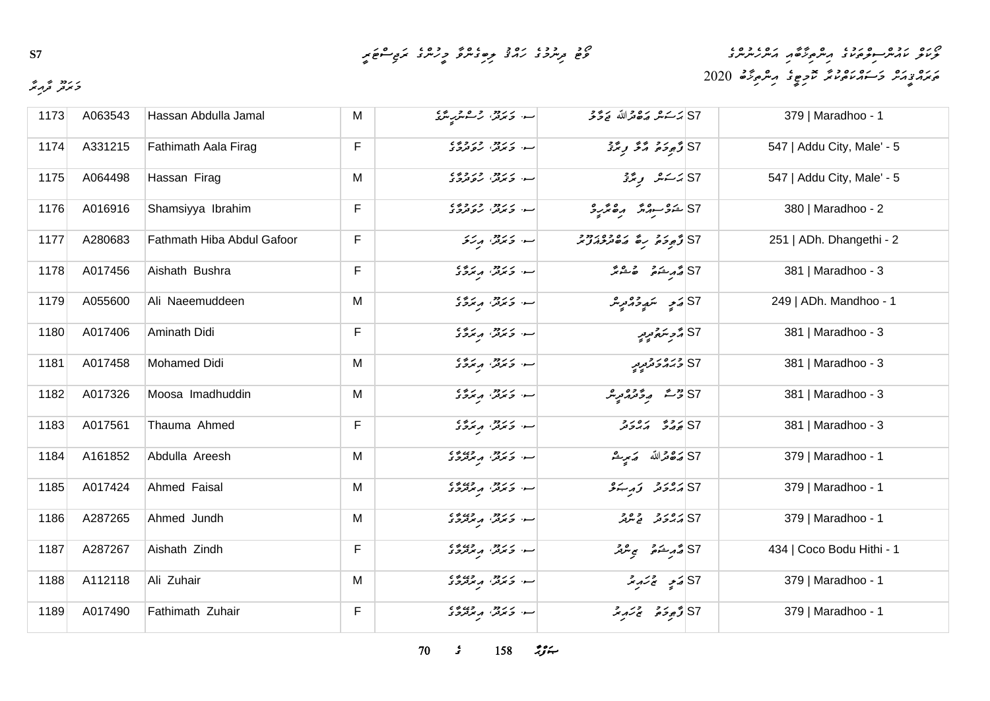*sCw7q7s5w7m< o<n9nOoAw7o< sCq;mAwBoEw7q<m; wBm;vB* م من المرة المرة المرة المرجع المراجع المراجع المراجع المراجع المراجع المراجع المراجع المراجع المراجع المراجع<br>مرين المراجع المراجع المرجع المراجع المراجع المراجع المراجع المراجع المراجع المراجع المراجع المراجع المراجع ال

| 1173 | A063543 | Hassan Abdulla Jamal       | M           | ے ویروز وے ویکی                               | S7 بَرَسَة مَدْ قَدْرَاللّه   يَوَدَّقْر     | 379   Maradhoo - 1         |
|------|---------|----------------------------|-------------|-----------------------------------------------|----------------------------------------------|----------------------------|
| 1174 | A331215 | Fathimath Aala Firag       | F           | ر در دو در ده د<br>سه کارتر روتروی            | S7 ژ <sub>ېم</sub> وکو مړڅ وېژن <sub>ځ</sub> | 547   Addu City, Male' - 5 |
| 1175 | A064498 | Hassan Firag               | M           | ر ر د ده د و د و ه و و<br>سه او بوتر، گروتوری | S7 ئەسەمىش ب <sub>و</sub> يۇت <sub>ى</sub>   | 547   Addu City, Male' - 5 |
| 1176 | A016916 | Shamsiyya Ibrahim          | F           | ر در دور ده در ده د<br>سه کارترن روترو د      | S7 شۇسى <i>رە ئۇ مەھترى</i> د                | 380   Maradhoo - 2         |
| 1177 | A280683 | Fathmath Hiba Abdul Gafoor | F           | سە ئەتكەنى بەركى                              | S7 ژُ <sub>ج</sub> وده ره ره دورود           | 251   ADh. Dhangethi - 2   |
| 1178 | A017456 | Aishath Bushra             | F           | ے زردہ پروی                                   | S7 مُ <sub>م</sub> شَمَّ صْشْعَمُ            | 381   Maradhoo - 3         |
| 1179 | A055600 | Ali Naeemuddeen            | M           | سه ورود روه                                   | S7 <i>ړَ پِه سَمِي دُمُ</i> تو ِسُر          | 249   ADh. Mandhoo - 1     |
| 1180 | A017406 | Aminath Didi               | $\mathsf F$ | سه وبردو روه                                  | S7 مُّ <i>حِ سَمَوْ فرِيرِ</i>               | 381   Maradhoo - 3         |
| 1181 | A017458 | <b>Mohamed Didi</b>        | M           | سه وبردو ربرده                                | S7 <i>3225 ويوب</i> ر                        | 381   Maradhoo - 3         |
| 1182 | A017326 | Moosa Imadhuddin           | M           | سه ورود روه                                   | S7  تۆگ مەۋقى <i>م</i> دىرىتىر               | 381   Maradhoo - 3         |
| 1183 | A017561 | Thauma Ahmed               | F           | ے زروج پرندی                                  | S7 يورو برەرو<br>S7 يورۇ برىرونر             | 381   Maradhoo - 3         |
| 1184 | A161852 | Abdulla Areesh             | M           | ر درود.<br>۱۰۰۰ و برتر، پر برترو د            | S7 كەھەراللە كەمرىشە                         | 379   Maradhoo - 1         |
| 1185 | A017424 | Ahmed Faisal               | M           | ر د دود.<br>سه و برتر، د برتروی               | S7 <i>2522 ق.م.خو</i>                        | 379   Maradhoo - 1         |
| 1186 | A287265 | Ahmed Jundh                | M           | ر د دود.<br>سه و برتر، د برتروی               | S7 كەبرو مەھمەتەر 27                         | 379   Maradhoo - 1         |
| 1187 | A287267 | Aishath Zindh              | F           | ر د دود.<br>سه و برتر، د برتروی               | S7 مُدْمِسْتَمْ مِ مِحْرْمُرْ                | 434   Coco Bodu Hithi - 1  |
| 1188 | A112118 | Ali Zuhair                 | M           | ر درود.<br>۱۰۰۰ و برتر، پر برترو د            | S7   <i>مَعٍ جْهُدِيمْ</i>                   | 379   Maradhoo - 1         |
| 1189 | A017490 | Fathimath Zuhair           | F           | ر د رود د ود.<br>سه تر برتر از برترو د        | S7 زَّەپرىقى ئەركىدىنى                       | 379   Maradhoo - 1         |

 $70$  *s*  $158$   $234$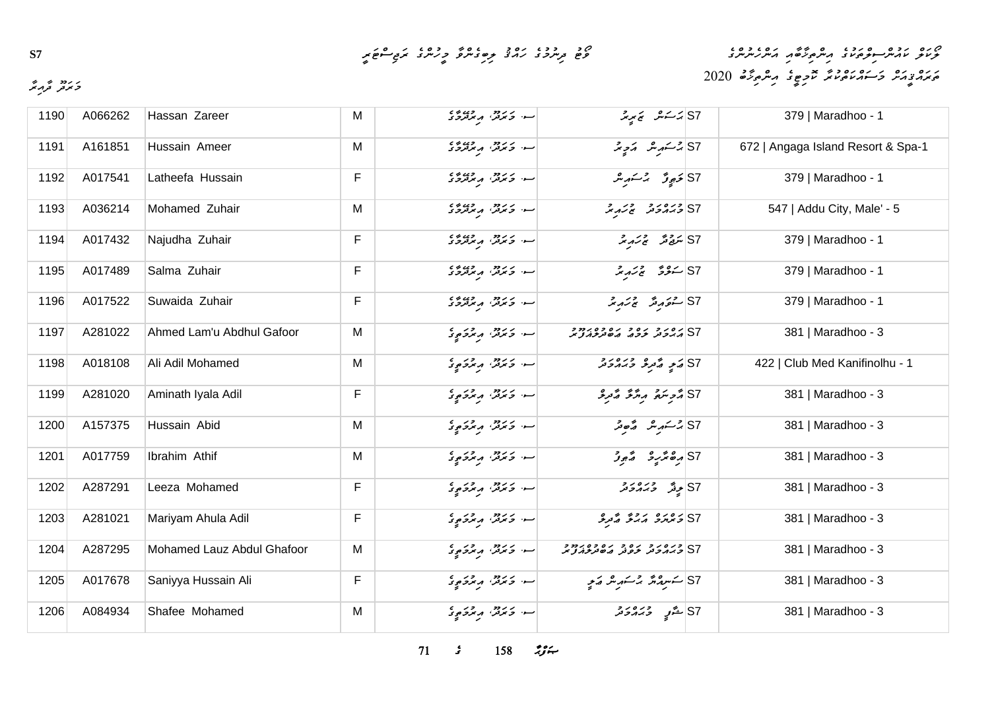*sCw7q7s5w7m< o<n9nOoAw7o< sCq;mAwBoEw7q<m; wBm;vB* م من المرة المرة المرة المرجع المراجع المراجع المراجع المراجع المراجع المراجع المراجع المراجع المراجع المراجع<br>مرين المراجع المراجع المرجع المراجع المراجع المراجع المراجع المراجع المراجع المراجع المراجع المراجع المراجع ال

| 1190 | A066262 | Hassan Zareer              | M | ر د دود.<br>سه د برود به برورو د   | S7   پرسٹریس کے س <sub>ی</sub> ریٹر                   | 379   Maradhoo - 1                 |
|------|---------|----------------------------|---|------------------------------------|-------------------------------------------------------|------------------------------------|
| 1191 | A161851 | Hussain Ameer              | M | ر د دود.<br>سه و برتر، د برتروی    |                                                       | 672   Angaga Island Resort & Spa-1 |
| 1192 | A017541 | Latheefa Hussain           | F | ر در دو.<br>سه وبرتر، پرتروی       | S7 كَمْھِرَّرٌ بِرْسَمْرِيْرٌ.                        | 379   Maradhoo - 1                 |
| 1193 | A036214 | Mohamed Zuhair             | M | ر درود.<br>۱۰۰۰ و برتر، پر برترو د | S7 درورو در در                                        | 547   Addu City, Male' - 5         |
| 1194 | A017432 | Najudha Zuhair             | F | ر درود.<br>سه و بوتر، د بوتوری     | S7 سَھ <sup>و</sup> تَر پر تَر بِر                    | 379   Maradhoo - 1                 |
| 1195 | A017489 | Salma Zuhair               | F | ر د دود.<br>سه کامرتر، پرمرتزوی    | S7 سَوْوَ يِحْرَمِهِ حَرْ                             | 379   Maradhoo - 1                 |
| 1196 | A017522 | Suwaida Zuhair             | F | ر درود.<br>۱۰۰۰ و برتر، پر برترو د | S7 سىھ بىر ئىم ئىر بىر                                | 379   Maradhoo - 1                 |
| 1197 | A281022 | Ahmed Lam'u Abdhul Gafoor  | M | در دور در در د                     |                                                       | 381   Maradhoo - 3                 |
| 1198 | A018108 | Ali Adil Mohamed           | M | - ديرود متردمي                     | S7 <i>مَرْمٍ مُ</i> تَّرِعٌ كَ <sup>مِرْ</sup> دَوْرٌ | 422   Club Med Kanifinolhu - 1     |
| 1199 | A281020 | Aminath Iyala Adil         | F | ے زرود مقررتموی                    | S7 مُرْحِ سَمَعُ ۖ مِنْزَقَرَ مُّرْمَرِدْ             | 381   Maradhoo - 3                 |
| 1200 | A157375 | Hussain Abid               | M | ے دروہ مرکز دیا                    | S7 يُرْ سَمب <sup>و</sup> مُتَّصِمَّرُ                | 381   Maradhoo - 3                 |
| 1201 | A017759 | Ibrahim Athif              | M | سه کریږده پر ترکوي                 | S7 مەھمىر ئىم ئىمبوز                                  | 381   Maradhoo - 3                 |
| 1202 | A287291 | Leeza Mohamed              | F | ے دروہ مرکز دیا                    | S7 مِنْزٌ   دُبُہُ دُبُرُ دُبُر                       | 381   Maradhoo - 3                 |
| 1203 | A281021 | Mariyam Ahula Adil         | F | ے درود مرکز دیا                    | S7 كەنگەر 2 مەركۇ گەرگە                               | 381   Maradhoo - 3                 |
| 1204 | A287295 | Mohamed Lauz Abdul Ghafoor | M | سه وبردو برترونوی                  | S7 כממים המים המים החבר.<br>S7 כמהכת בפת הסתיבה ציי   | 381   Maradhoo - 3                 |
| 1205 | A017678 | Saniyya Hussain Ali        | F | ے دیروہ مرکزہ دی                   | S7 س <i>تمبرہ پڑ بڑ پر مڈ</i> یو                      | 381   Maradhoo - 3                 |
| 1206 | A084934 | Shafee Mohamed             | M | ے دیکھی مقررتموی                   | S7 ش <i>ۇر دېم</i> ردىر                               | 381   Maradhoo - 3                 |

 $71$  *s*  $158$  *n***<sub>y</sub>** *n*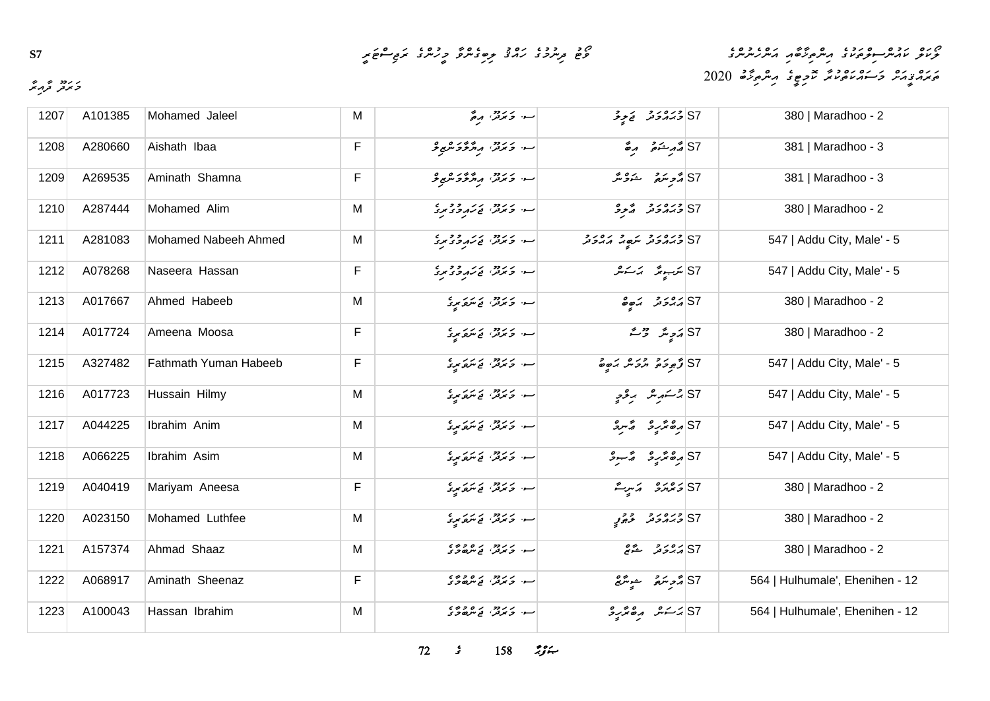*sCw7q7s5w7m< o<n9nOoAw7o< sCq;mAwBoEw7q<m; wBm;vB* م من المرة المرة المرة المرجع المراجع المراجع المراجع المراجع المراجع المراجع المراجع المراجع المراجع المراجع<br>مرين المراجع المراجع المرجع المراجع المراجع المراجع المراجع المراجع المراجع المراجع المراجع المراجع المراجع ال

| 1207 | A101385 | Mohamed Jaleel        | M           | سە كەندىق مۇ                                                             | S7 <i>\$22.25 في وق</i>                              | 380   Maradhoo - 2              |
|------|---------|-----------------------|-------------|--------------------------------------------------------------------------|------------------------------------------------------|---------------------------------|
| 1208 | A280660 | Aishath Ibaa          | $\mathsf F$ | ے کے ترکن پر برگرد شہر ک                                                 | S7 مُدِينَة دِيمَ                                    | 381   Maradhoo - 3              |
| 1209 | A269535 | Aminath Shamna        | F           | ے کا کروڑ اور گرکر مربع کی                                               | S7 <i>مُّجِسَعُ</i> شَوْسُ                           | 381   Maradhoo - 3              |
| 1210 | A287444 | Mohamed Alim          | M           | سوا كالردو المركز والمحالي                                               | S7 ديرورو گروو                                       | 380   Maradhoo - 2              |
| 1211 | A281083 | Mohamed Nabeeh Ahmed  | M           | سوا كالردو المركز والمحمد والمحمد                                        | S7 כג' הפיל מסיד ה' הכנק                             | 547   Addu City, Male' - 5      |
| 1212 | A078268 | Naseera Hassan        | F           | سه کاندود کارگروی مرد                                                    | S7 بترسویٹ - برےبٹر-                                 | 547   Addu City, Male' - 5      |
| 1213 | A017667 | Ahmed Habeeb          | M           | ے کا مردود کے مگرم مرد                                                   | $602 - 3322$ S7                                      | 380   Maradhoo - 2              |
| 1214 | A017724 | Ameena Moosa          | $\mathsf F$ | ر در دو.<br>سه کامرفراء کامکرهاموری                                      | S7 ړَ <sub>جِ</sub> ټُر څ                            | 380   Maradhoo - 2              |
| 1215 | A327482 | Fathmath Yuman Habeeb | $\mathsf F$ |                                                                          | S7 ژُب <i>و دَو وَرُ مُرُوه</i> ُ                    | 547   Addu City, Male' - 5      |
| 1216 | A017723 | Hussain Hilmy         | M           | ے کا مردود کے مکرکم مرد                                                  | S7 بر شهر مر پر تو <sub>ج</sub>                      | 547   Addu City, Male' - 5      |
| 1217 | A044225 | Ibrahim Anim          | M           | رے اور دوسرے کے سرچ میں تھا۔<br>سے اس کا سرچ میں تعریف کرنے کے میں تعریف | S7 مەھ <i>مگىي</i> ھ <sup>7</sup> مگىرى              | 547   Addu City, Male' - 5      |
| 1218 | A066225 | Ibrahim Asim          | M           | رے اور دوسرے کے سرچ میں تھا۔<br>سے اس کا سرچ میں تعریف کرنے کے میں تعریف | $S^2 \rightarrow \mathbb{R}^2$ $\sim$ $\mathbb{S}^2$ | 547   Addu City, Male' - 5      |
| 1219 | A040419 | Mariyam Aneesa        | $\mathsf F$ | سه کرمردد کے سرچ مربی                                                    | S7 <i>وَجُهْدُوْ • مَ</i> سِرْ مُسَمَّ               | 380   Maradhoo - 2              |
| 1220 | A023150 | Mohamed Luthfee       | M           | رے اور دوسرے کے سرچ میں تھا۔<br>سے اس کا سرچ میں تعریف کرنے کے میں تعریف | S7 <i>\$222 \$25</i>                                 | 380   Maradhoo - 2              |
| 1221 | A157374 | Ahmad Shaaz           | M           | ر د دود.<br>سه کامرتر، انج شرح تر د                                      | S7 كەبر <i>و تىر</i> ئىقق                            | 380   Maradhoo - 2              |
| 1222 | A068917 | Aminath Sheenaz       | F           | ر ر دود د ر د ده د<br>سه کامرتر، نم سرحاوی                               | S7  مُرْحِسَةُ شِيشَةُ                               | 564   Hulhumale', Ehenihen - 12 |
| 1223 | A100043 | Hassan Ibrahim        | M           | ر در دو در ۵۶۶۵<br>سه د برتر، نے سرچ وی                                  | S7 ئەسەمبە <sub>ر مەھ</sub> مۇرى <sub>ج</sub>        | 564   Hulhumale', Ehenihen - 12 |

 $72$  *s*  $158$   $234$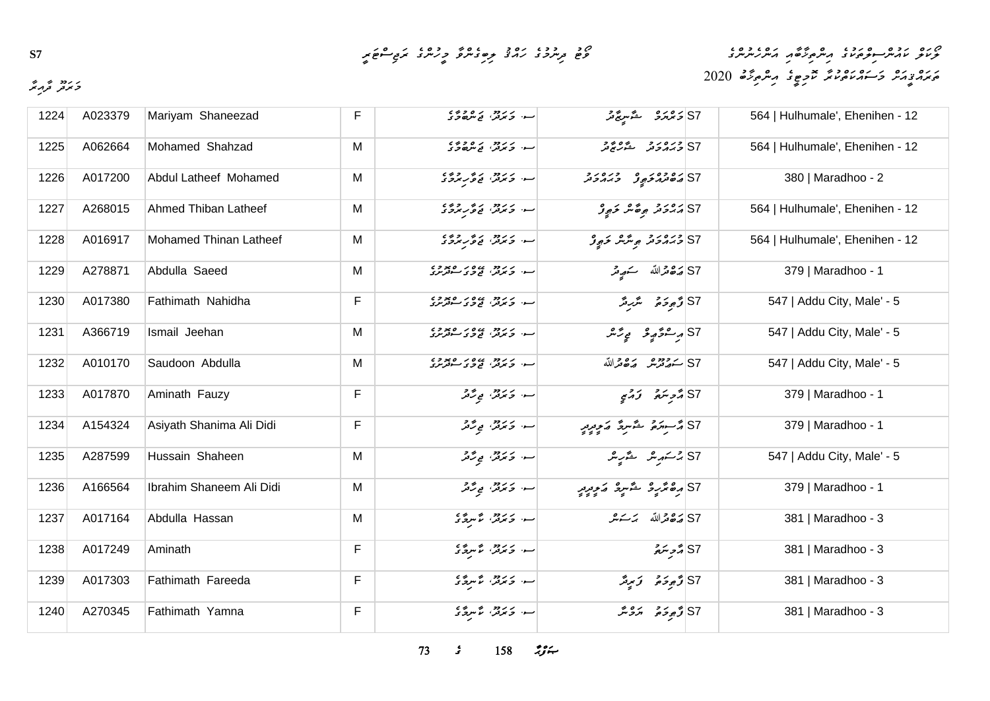*sCw7q7s5w7m< o<n9nOoAw7o< sCq;mAwBoEw7q<m; wBm;vB* م من المرة المرة المرة المرجع المرجع في المركبة 2020<br>مجم*د المريض المربوط المربع المرجع في المراجع المركبة* 

| 1224 | A023379 | Mariyam Shaneezad             | F           | ر در دو ده ده ده د                                                 | S7 كەنگەر ئىشلار ئىگەرگەر                                                                           | 564   Hulhumale', Ehenihen - 12 |
|------|---------|-------------------------------|-------------|--------------------------------------------------------------------|-----------------------------------------------------------------------------------------------------|---------------------------------|
| 1225 | A062664 | Mohamed Shahzad               | M           | ر درود ده ده ده                                                    | S7 دېره د د پره پور                                                                                 | 564   Hulhumale', Ehenihen - 12 |
| 1226 | A017200 | Abdul Latheef Mohamed         | M           | سه کرده ره ده د                                                    | S7 בסינת ביפי כמתכת                                                                                 | 380   Maradhoo - 2              |
| 1227 | A268015 | <b>Ahmed Thiban Latheef</b>   | M           | سه کردو ری دی۔                                                     | S7 كەبرو بوڭىگە خ <sub>ەب</sub> ول                                                                  | 564   Hulhumale', Ehenihen - 12 |
| 1228 | A016917 | <b>Mohamed Thinan Latheef</b> | M           | سه کردو رود ده                                                     | S7 دُبَرُ دور <sub>جو</sub> سَّة دَ <sub>جو</sub> رْ                                                | 564   Hulhumale', Ehenihen - 12 |
| 1229 | A278871 | Abdulla Saeed                 | M           | ر درود ۵۵۵ و دوره<br>سه کابوتر، قامری سه توس                       | S7 كەھەراللە س <i>ەمبەتر</i>                                                                        | 379   Maradhoo - 1              |
| 1230 | A017380 | Fathimath Nahidha             | F           | ر در دور ۵۵ در ۵۵ و د د د<br>سه و ترتر او د د سترس                 | S7 زَّجِ دَمَ مَّ سَرَبةَ مَّ                                                                       | 547   Addu City, Male' - 5      |
| 1231 | A366719 | Ismail Jeehan                 | M           | ر بر دور در ۲۵ در ۲۵ و د و د<br>سوء کو مخرفر او فع کر بی سوفر مربی | S7 <sub>م</sub> رگۇ <sub>م</sub> بۇ ي <sub>ې</sub> رگىر                                             | 547   Addu City, Male' - 5      |
| 1232 | A010170 | Saudoon Abdulla               | M           | ر درود ۵۵۵ و دوره<br>سه کابوتر، قامری سه توس                       | S7 كەردوم ئەھەراللە                                                                                 | 547   Addu City, Male' - 5      |
| 1233 | A017870 | Aminath Fauzy                 | F           | ے کے ترقر، جے گرفر                                                 | S7 مُتِرِسَعُ وَمَنِي                                                                               | 379   Maradhoo - 1              |
| 1234 | A154324 | Asiyath Shanima Ali Didi      | $\mathsf F$ | سە كەنزلىق يەرگە                                                   | S7 ئەسىرتىم شەھرىق كەھ <i>دى</i> رىر                                                                | 379   Maradhoo - 1              |
| 1235 | A287599 | Hussain Shaheen               | M           | سە كەنزلىق يەرگە                                                   | S7 يُرْسَمْ بِلَا مِسْ مِيْرِ مِيْرِ مِيْرِ مِيْرِ مِيْرِ مِيْرِ مِيْرِ مِيْرِ مِيْرِ مِيْرِ مِيْرِ | 547   Addu City, Male' - 5      |
| 1236 | A166564 | Ibrahim Shaneem Ali Didi      | M           | سە كەنزلىق يەرگىر                                                  | S7 پ <i>رهنگرد</i> و ڪرمرو پر پروربر                                                                | 379   Maradhoo - 1              |
| 1237 | A017164 | Abdulla Hassan                | M           | ے دیروز، راسروی                                                    | S7 كَەشْراللە ئەسكەش                                                                                | 381   Maradhoo - 3              |
| 1238 | A017249 | Aminath                       | F           | ے دیروں شہروی                                                      | S7 انگر ببر تعد                                                                                     | 381   Maradhoo - 3              |
| 1239 | A017303 | Fathimath Fareeda             | $\mathsf F$ | سە ئەيرى ئاسرى                                                     | S7 زَّجِ دَمَ تَرَ رِتَّرَ                                                                          | 381   Maradhoo - 3              |
| 1240 | A270345 | Fathimath Yamna               | F           | ے کا بروج الاسروج                                                  | S7 <i>وَجِوحَمْ مَ</i> حَسَّ                                                                        | 381   Maradhoo - 3              |

*73 s* 158  $23$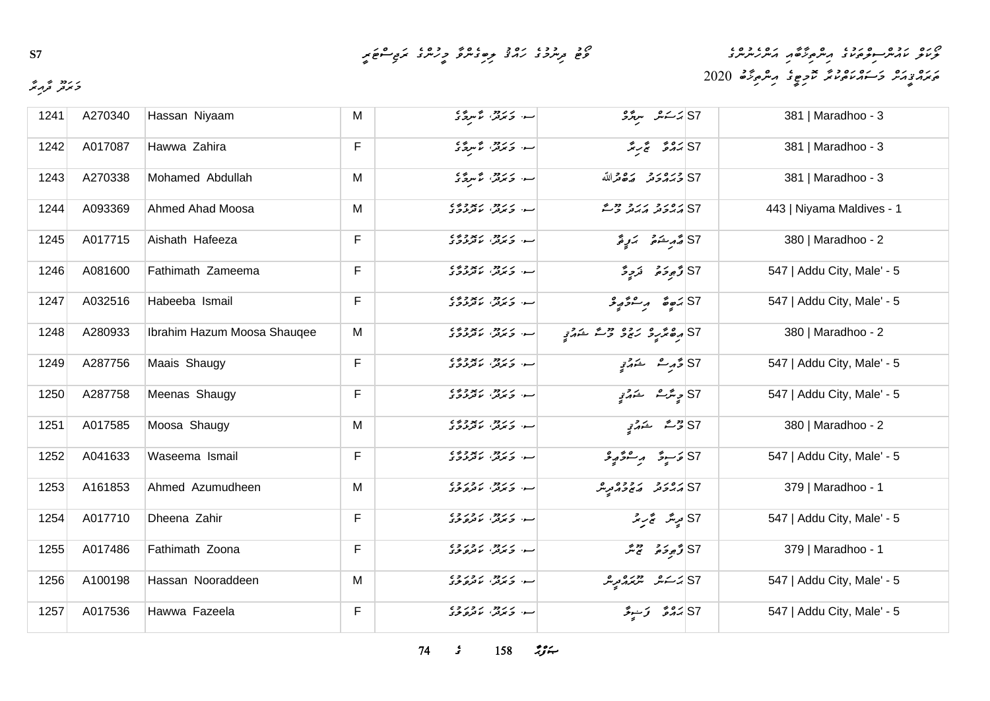*sCw7q7s5w7m< o<n9nOoAw7o< sCq;mAwBoEw7q<m; wBm;vB* م من المرة المرة المرة المرجع المرجع في المركبة 2020<br>مجم*د المريض المربوط المربع المرجع في المراجع المركبة* 

| 1241 | A270340 | Hassan Niyaam               | M | ے دیں شہر دو                                          | S7 ئەسەئىگە سى <i>دگ</i> ۇ                        | 381   Maradhoo - 3         |
|------|---------|-----------------------------|---|-------------------------------------------------------|---------------------------------------------------|----------------------------|
| 1242 | A017087 | Hawwa Zahira                | F | ے دیروں کا سرچ کا                                     | S7 ئەبرقە ئ <sub>ە</sub> بەتە                     | 381   Maradhoo - 3         |
| 1243 | A270338 | Mohamed Abdullah            | M | ے ویری شرور                                           | S7 32025 مَرْ 20 مِرْاللّه                        | 381   Maradhoo - 3         |
| 1244 | A093369 | <b>Ahmed Ahad Moosa</b>     | M | ر ر دود. د بروه بر د<br>سه ا بر برور اما تر نر برای   | S7 كەبرو تەرەپ ھەتتە                              | 443   Niyama Maldives - 1  |
| 1245 | A017715 | Aishath Hafeeza             | F | ر ر دود.<br>سه الاربردون الافراد و ی                  | S7 مەم شىم ئىر ئىر                                | 380   Maradhoo - 2         |
| 1246 | A081600 | Fathimath Zameema           | F | ر ر دود. در بروه بار<br>سه الاربردن الافراد و ا       | S7 <i>وُّجِ حَمْ</i> فَرَ <i>جِ</i> حَ            | 547   Addu City, Male' - 5 |
| 1247 | A032516 | Habeeba Ismail              | F | ر ر دود. د پر و د ه ه<br>سه ۱ گرمرنس که ترکرو ی       | S7 بَرَصِرَةَ مِنْ مِرْدُوْرِ مِنْ                | 547   Addu City, Male' - 5 |
| 1248 | A280933 | Ibrahim Hazum Moosa Shauqee | M | ر ر د ده در د د ه ه ه<br>سود از برتر از ترترو د       | S7 رەڭرىق رىپى ۋە ئەڭ شەرى <sub>چ</sub>           | 380   Maradhoo - 2         |
| 1249 | A287756 | Maais Shaugy                | F | ر ر دود. د پر و د ه ه<br>سه - بی برتري - ما ترنل بر و | S7 قَەرىش سىتەرتىيە                               | 547   Addu City, Male' - 5 |
| 1250 | A287758 | Meenas Shaugy               | F | ر در دور در دوه در دارد.<br>سه کارگرفتر، ماکثربوری    | S7 <sub>حي</sub> سَّرْتْ مُسَمَّد <sub>ِّةٍ</sub> | 547   Addu City, Male' - 5 |
| 1251 | A017585 | Moosa Shaugy                | M | ر در دور در برون و در د<br>سه کامرتن ماترندو د        | S7 تر شم تشمر تني<br>سنڌ پاڻ                      | 380   Maradhoo - 2         |
| 1252 | A041633 | Waseema Ismail              | F | ر در دور در دوه در دارد.<br>سه کارگرفتر، ماکثربوری    | S7 كۈسۈم ئەرسىم <i>ۇر</i> بىر                     | 547   Addu City, Male' - 5 |
| 1253 | A161853 | Ahmed Azumudheen            | M | ر ر دود.<br>سه ان تربول امکمل هری مور                 | S7 <i>הככת היכה יק</i> ית                         | 379   Maradhoo - 1         |
| 1254 | A017710 | Dheena Zahir                | F | ر درود رور ده<br>سه کاندن ماترونوی                    | S7 مریٹر گ <sup>ے</sup> ہے۔                       | 547   Addu City, Male' - 5 |
| 1255 | A017486 | Fathimath Zoona             | F | ر ر دو . ر و ر و ،<br>سه . ت برتر . ما ترو و ی        | S7 زَّەپەر قىم تىم                                | 379   Maradhoo - 1         |
| 1256 | A100198 | Hassan Nooraddeen           | M | ر ر دود.<br>سه از برتر، اما تروموی                    | S7 ئەسەھ ھۆ <i>مەم</i> بەھر                       | 547   Addu City, Male' - 5 |
| 1257 | A017536 | Hawwa Fazeela               | F | ر ر دو . ر و ر و ،<br>سه . ت برتر . ما ترو و ی        | S7 كەيمۇ   تىنىدۇ                                 | 547   Addu City, Male' - 5 |

*74 sC 158 nNw?mS*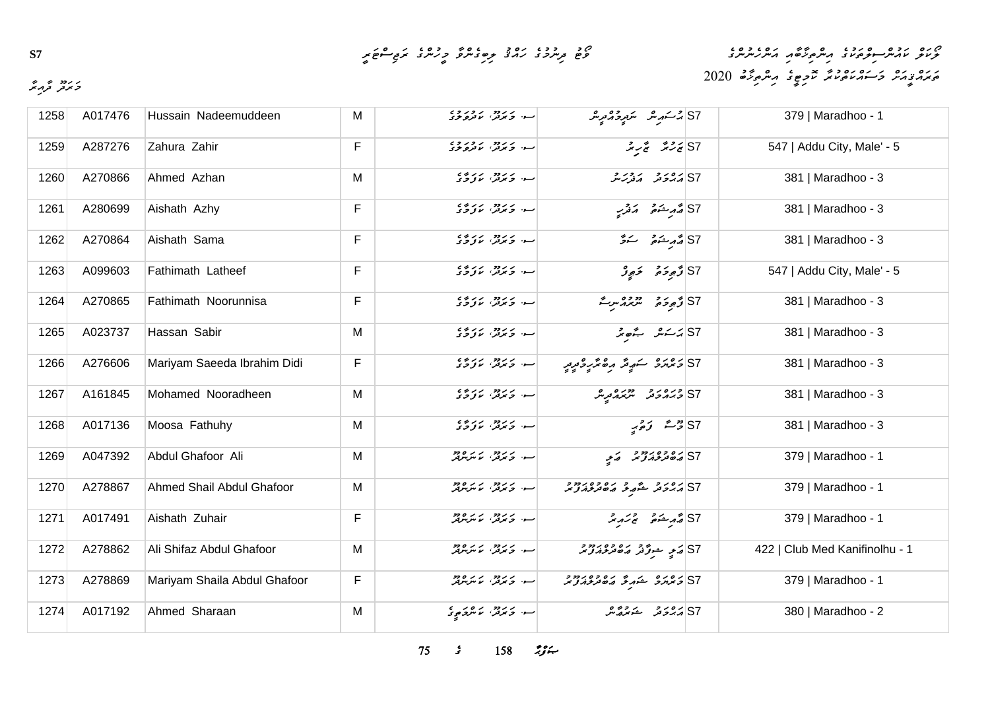*sCw7q7s5w7m< o<n9nOoAw7o< sCq;mAwBoEw7q<m; wBm;vB* م من المرة المرة المرة المرجع المرجع في المركبة 2020<br>مجم*د المريض المربوط المربع المرجع في المراجع المركبة* 

|  | $\begin{array}{ccccc} \circ & \circ & \circ \circ \end{array}$ |  |
|--|----------------------------------------------------------------|--|
|  | و برتر تربر بر                                                 |  |

| 1258 | A017476 | Hussain Nadeemuddeen         | M | ر در دو رود و در د                          | S7 پُرڪربر گريز <i>پرو</i> گريزيگر                      | 379   Maradhoo - 1             |
|------|---------|------------------------------|---|---------------------------------------------|---------------------------------------------------------|--------------------------------|
| 1259 | A287276 | Zahura Zahir                 | F | ر در دو رود و در ده<br>سه کابوتر، ماتوه و د | S7 ىن 3 مى مى مى مى                                     | 547   Addu City, Male' - 5     |
| 1260 | A270866 | Ahmed Azhan                  | M | سه وروه کووی                                | S7 كەبرو كەنگەر مىر                                     | 381   Maradhoo - 3             |
| 1261 | A280699 | Aishath Azhy                 | F | سە كەيمەتلىكى ئەلۇلات                       | S7 مەم شىم مەن <i>تى</i> پ                              | 381   Maradhoo - 3             |
| 1262 | A270864 | Aishath Sama                 | F | سه وروه کوده                                | $5 - 22$ $\frac{2}{3}$ $\frac{2}{3}$ S7                 | 381   Maradhoo - 3             |
| 1263 | A099603 | Fathimath Latheef            | F | سه وروه کوده                                | S7 <i>وُّجِ دَمَّةَ</i> حَج <i>ِّدٍ وُ</i>              | 547   Addu City, Male' - 5     |
| 1264 | A270865 | Fathimath Noorunnisa         | F | سه وروه کووی                                | S7 ۇ <sub>ج</sub> وڭ مەدەبىرىگە                         | 381   Maradhoo - 3             |
| 1265 | A023737 | Hassan Sabir                 | M | سه دروه ناده با                             | S7 ئەسەنلەر ئى <i>شى ئى</i> ر                           | 381   Maradhoo - 3             |
| 1266 | A276606 | Mariyam Saeeda Ibrahim Didi  | F | سە ئەندىق ئەترىرى                           | S7 <i>و بروو سورتگر می پر دو م</i> رمر                  | 381   Maradhoo - 3             |
| 1267 | A161845 | Mohamed Nooradheen           | M | ر درود.<br>سه وبرتر، نالوفری                | S7 در دور در مرد بره در محمد بر محمد استرات             | 381   Maradhoo - 3             |
| 1268 | A017136 | Moosa Fathuhy                | M | ر درود. روزه و                              | S7 چې ئەھمىيە                                           | 381   Maradhoo - 3             |
| 1269 | A047392 | Abdul Ghafoor Ali            | M | سه کرده کشوره ده                            | S7 كەھەردە بەر كەب                                      | 379   Maradhoo - 1             |
| 1270 | A278867 | Ahmed Shail Abdul Ghafoor    | M | ے۔ ویری کاکڑیوں                             | S7 رور و شهر و رووه دوو و                               | 379   Maradhoo - 1             |
| 1271 | A017491 | Aishath Zuhair               | F | سه کربرده کامکرینوی                         | S7 مەم يىڭ مۇ ئىم بىر ئىر                               | 379   Maradhoo - 1             |
| 1272 | A278862 | Ali Shifaz Abdul Ghafoor     | M | سه کريږده. کامکرسرفر                        | S7 كمو خودگر كەمەدەم<br>S7 كەنو خودگر كەھلا <i>مەدە</i> | 422   Club Med Kanifinolhu - 1 |
| 1273 | A278869 | Mariyam Shaila Abdul Ghafoor | F | سه الانزود الاسر دود                        | S7 زەرە خىمەتر رە دەبردد د                              | 379   Maradhoo - 1             |
| 1274 | A017192 | Ahmed Sharaan                | M | ر درود رود در د                             | S7 كەنزوقر ش <i>ەيھەتل</i>                              | 380   Maradhoo - 2             |

 $75$  *s*  $158$   $294$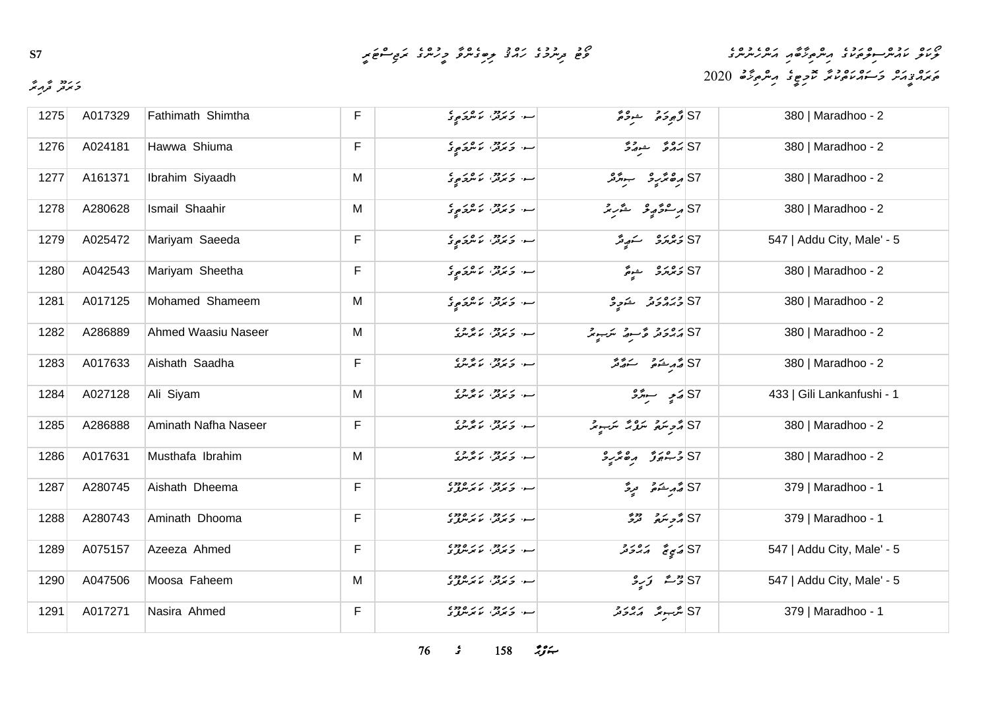*sCw7q7s5w7m< o<n9nOoAw7o< sCq;mAwBoEw7q<m; wBm;vB 2020*<br>*په ټومن د سوم پوره پورې سرح مرسره ناح* 

| 1275 | A017329 | Fathimath Shimtha          | F | سه کریږدو کامرونوی                  | S7 ز <sub>نجو</sub> ځ ئ <sub>م شو</sub> څو څ   | 380   Maradhoo - 2         |
|------|---------|----------------------------|---|-------------------------------------|------------------------------------------------|----------------------------|
| 1276 | A024181 | Hawwa Shiuma               | F | ر درود کار د                        | $52 - 225$ S7                                  | 380   Maradhoo - 2         |
| 1277 | A161371 | Ibrahim Siyaadh            | М | ے دیں تمام دی                       | S7 مەھ <i>مگىي</i> ئىستىمىسى بىر               | 380   Maradhoo - 2         |
| 1278 | A280628 | Ismail Shaahir             | M | ے دیں تمام دی                       | S7 مەشگەر ئىقى بىر ئىقلار بىر<br>ئ             | 380   Maradhoo - 2         |
| 1279 | A025472 | Mariyam Saeeda             | F | سه کریږدو کامرونوی                  | S7 <i>وَبُرْ مَرَّدُ</i> سَمَ <i>دٍ مَّ</i> رُ | 547   Addu City, Male' - 5 |
| 1280 | A042543 | Mariyam Sheetha            | F | ر در دو.<br>سه کامرفر، کامرچایی     | S7 <i>وَجْهَدَ وَ</i> سُوِمَّ                  | 380   Maradhoo - 2         |
| 1281 | A017125 | Mohamed Shameem            | M | ب رودو رور                          | S7 <i>وُبَهُمُوَمَّل حُوَدُّ</i>               | 380   Maradhoo - 2         |
| 1282 | A286889 | <b>Ahmed Waasiu Naseer</b> | M | ر در دو.<br>سه او برتر، اما برس     | S7 كەندى تەر قەسىر ئىسى ئىكىسى ئىك             | 380   Maradhoo - 2         |
| 1283 | A017633 | Aishath Saadha             | F | ر در دو.<br>سه گرمزش کامرس          | S7 مُدمِسْدَه سَمَدُتَر                        | 380   Maradhoo - 2         |
| 1284 | A027128 | Ali Siyam                  | М | ر در دو.<br>سه گرمزش کامرس          | S7 ڪيپ سو <i>گر</i> و                          | 433   Gili Lankanfushi - 1 |
| 1285 | A286888 | Aminath Nafha Naseer       | F | سه وبردو روده                       | S7 مَّ <i>جِ سَمَّةَ سَرْبِ سَرَبِيرِ مِ</i>   | 380   Maradhoo - 2         |
| 1286 | A017631 | Musthafa Ibrahim           | M | ر در دو.<br>سه او برتر، اما برس     | S7 ۇجۇرۇ مەھرىرى                               | 380   Maradhoo - 2         |
| 1287 | A280745 | Aishath Dheema             | F | ر درود روده وده<br>ر کردن میکرد     | S7 مُەمشەم مېرمۇ                               | 379   Maradhoo - 1         |
| 1288 | A280743 | Aminath Dhooma             | F | ر در دو.<br>سه کامرتون ماموسونی ی   | S7 مُجِسَعَة قَرْحٌ                            | 379   Maradhoo - 1         |
| 1289 | A075157 | Azeeza Ahmed               | F | ر در در در دوره<br>سه کرترن مترس    | S7 كەيم قىم يەم 2 <i>5 كە</i>                  | 547   Addu City, Male' - 5 |
| 1290 | A047506 | Moosa Faheem               | M | ر در دور در دوره<br>سو، کوترن ماترس | S7 S7 توپیڅ                                    | 547   Addu City, Male' - 5 |
| 1291 | A017271 | Nasira Ahmed               | F | ر درود رره دوه<br>ر کردن نامرس      | S7 سَّرْجِعَةَ مَدْحَقَّ                       | 379   Maradhoo - 1         |

 $76$  *s*  $158$  *z*  $294$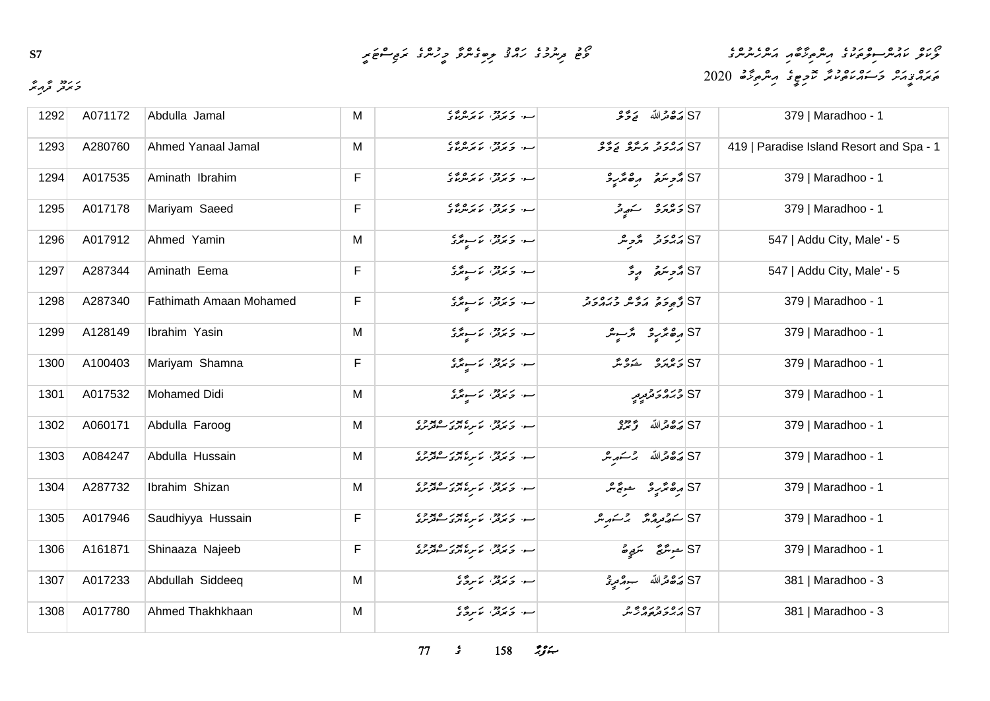*sCw7q7s5w7m< o<n9nOoAw7o< sCq;mAwBoEw7q<m; wBm;vB* م من المرة المرة المرة المرجع المرجع في المركبة 2020<br>مجم*د المريض المربوط المربع المرجع في المراجع المركبة* 

|  | $\begin{array}{ccccc} \circ & \circ & \circ \circ \end{array}$ |
|--|----------------------------------------------------------------|
|  | و مرتز تربر مر                                                 |
|  |                                                                |

| 1292 | A071172 | Abdulla Jamal                  | M           | سه کرده رره ده                                                    | S7 يَرْهْتُراللَّهُ      يَوَرُّعْرُ   | 379   Maradhoo - 1                       |
|------|---------|--------------------------------|-------------|-------------------------------------------------------------------|----------------------------------------|------------------------------------------|
| 1293 | A280760 | <b>Ahmed Yanaal Jamal</b>      | M           | سە كەندە ئەترەپ                                                   | S7 גְפְנֵי הִיתְיֹב <sub>בְּ</sub> כֹב | 419   Paradise Island Resort and Spa - 1 |
| 1294 | A017535 | Aminath Ibrahim                | F           | ر در دو.<br>سه کامرتور، مامرس داد                                 | S7 مُجِسَعُ مِصْرُرِدْ                 | 379   Maradhoo - 1                       |
| 1295 | A017178 | Mariyam Saeed                  | F           | ر درود دره ده ده                                                  | S7 كەندىرى سى <i>مبەت</i> ر            | 379   Maradhoo - 1                       |
| 1296 | A017912 | Ahmed Yamin                    | M           | سە ئەيرىق، ئاسىرىمى                                               | S7 <i>ړ دی پی پر پی</i> په کل          | 547   Addu City, Male' - 5               |
| 1297 | A287344 | Aminath Eema                   | $\mathsf F$ | سە ئەيرىق، ئاسىرىمى                                               | S7 مُجِسَعُ مِعٌ                       | 547   Addu City, Male' - 5               |
| 1298 | A287340 | <b>Fathimath Amaan Mohamed</b> | F           | ب كەندىق، ئاسومگەنى                                               | ST زُب <i>وده م</i> وس وره دو          | 379   Maradhoo - 1                       |
| 1299 | A128149 | Ibrahim Yasin                  | M           | سه وبرود کاسیونژی                                                 | S7 رەئمەر ئەسىر                        | 379   Maradhoo - 1                       |
| 1300 | A100403 | Mariyam Shamna                 | $\mathsf F$ | سە كەيمەتقى ئەسىمىگە                                              | S7 كەندىرى ھەكەنگر                     | 379   Maradhoo - 1                       |
| 1301 | A017532 | <b>Mohamed Didi</b>            | M           | سە ئەيرىق، ئاسىيمى                                                | S7 <i>ڈیز و</i> 3 تر تر تر بر          | 379   Maradhoo - 1                       |
| 1302 | A060171 | Abdulla Faroog                 | M           | ה היריק היריק בין היריק.<br>היי הידיק מיקטו <i>וג</i> ביינוקות בי | S7 كەھەراللە ئ <i>ۇنىزى</i>            | 379   Maradhoo - 1                       |
| 1303 | A084247 | Abdulla Hussain                | M           | ر در دود.<br>سه و برتر، نامزداوری سهترمزی                         | S7 مَەھقراللە ج <i>ىكىمەنل</i> ە       | 379   Maradhoo - 1                       |
| 1304 | A287732 | Ibrahim Shizan                 | M           | ر در دود.<br>سه او برتر، الاس اور استرس                           | S7 م <i>ەھترى</i> ر ئىستىمىر           | 379   Maradhoo - 1                       |
| 1305 | A017946 | Saudhiyya Hussain              | F           | ر در دود.<br>سه او برتر، الاس اور در ۲۵ در د                      | S7 سەمەمەدىگە ب <sub>ە</sub> شكىرىش    | 379   Maradhoo - 1                       |
| 1306 | A161871 | Shinaaza Najeeb                | F           | ر در دود.<br>سه و برتر، نامزداوی سهترمزی                          | S7 شومتَّدَّة سَمَّوٍرَة               | 379   Maradhoo - 1                       |
| 1307 | A017233 | Abdullah Siddeeq               | M           | ے کابردہ کامرونی                                                  | S7  پرځوگرالله جوړو پرتو               | 381   Maradhoo - 3                       |
| 1308 | A017780 | Ahmed Thakhkhaan               | M           | ے زیروہ کامرونی                                                   | S7 كەبرورە بۇ يە                       | 381   Maradhoo - 3                       |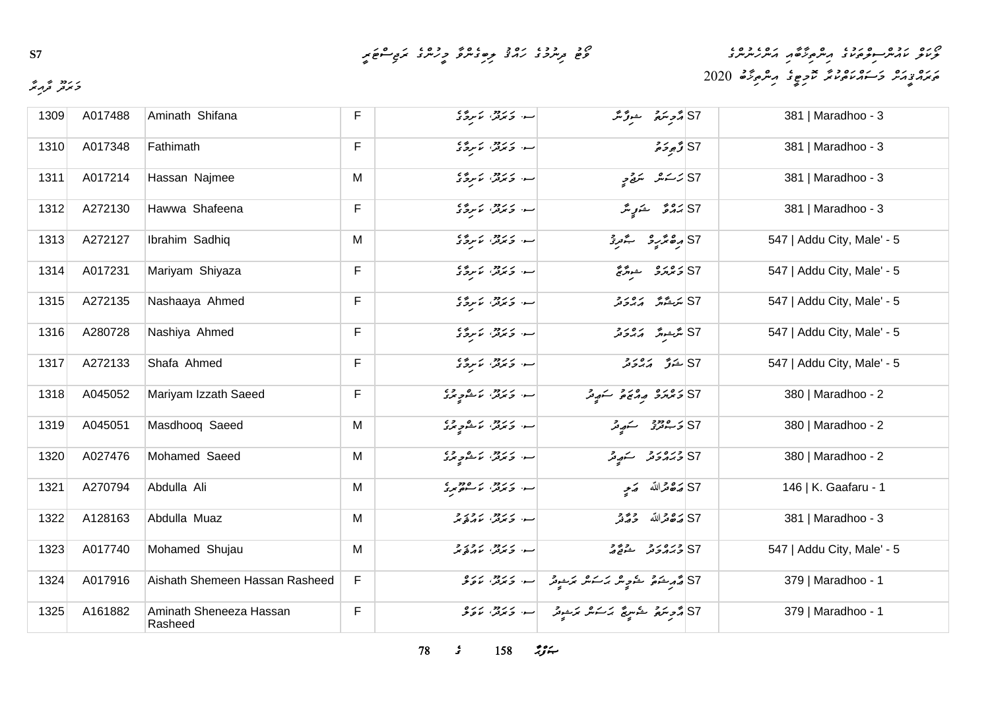*sCw7q7s5w7m< o<n9nOoAw7o< sCq;mAwBoEw7q<m; wBm;vB* **2020**<br>مجمد توم<sup>س</sup> وسوم *موسم الأوج*ء مسر مرسم المستقطر 2020

| 1309 | A017488 | Aminath Shifana                    | F | ے دیکھی مگرومی                   | S7 مَّ حِ سَعَ مَّ سَعَر مَّ سَعَر مِ                                                                      | 381   Maradhoo - 3         |
|------|---------|------------------------------------|---|----------------------------------|------------------------------------------------------------------------------------------------------------|----------------------------|
| 1310 | A017348 | Fathimath                          | F | ے کابردہ کامروگا                 | S7 گوچوڅو                                                                                                  | 381   Maradhoo - 3         |
| 1311 | A017214 | Hassan Najmee                      | M | سە ئەيرى ئابرۇي                  | S7   ئەسىھ سىقى ج <sub>ە</sub>                                                                             | 381   Maradhoo - 3         |
| 1312 | A272130 | Hawwa Shafeena                     | F | سه ورده کاروی                    | S7 <i>بَدُهُ وَ</i> شَوِيْرَ                                                                               | 381   Maradhoo - 3         |
| 1313 | A272127 | Ibrahim Sadhiq                     | M | ے کابردہ کامروگا                 | S7 م <i>ەھترى</i> ر ئىستورتى                                                                               | 547   Addu City, Male' - 5 |
| 1314 | A017231 | Mariyam Shiyaza                    | F | سه ورده کاروی                    | S7 <i>وَجُهْرَوْ</i> شِهْرَيْمَ                                                                            | 547   Addu City, Male' - 5 |
| 1315 | A272135 | Nashaaya Ahmed                     | F | سە ئەيرىق ئابرۇي                 | S7 سَرْجَيْرَ 1957 مَ                                                                                      | 547   Addu City, Male' - 5 |
| 1316 | A280728 | Nashiya Ahmed                      | F | سە ئەيرى ئابرۇي                  | S7 سَّرْجِيسَ مَدَّرْدَتْر                                                                                 | 547   Addu City, Male' - 5 |
| 1317 | A272133 | Shafa Ahmed                        | F | سه کردوم کارگاه کا               |                                                                                                            | 547   Addu City, Male' - 5 |
| 1318 | A045052 | Mariyam Izzath Saeed               | F | ے ویرس کا مشویری                 | S7 <i>وَجُهْرُوْ مِهُ مَعْ مِهُ مِ</i> مَ                                                                  | 380   Maradhoo - 2         |
| 1319 | A045051 | Masdhoog Saeed                     | M | ے ویرس کا مشویری                 | S7 كۈسلەتتى ئىستەر قىر                                                                                     | 380   Maradhoo - 2         |
| 1320 | A027476 | Mohamed Saeed                      | M | ے ویرس کا شویری                  | S7 <i>ۇنەۋەقى سەمبەتر</i>                                                                                  | 380   Maradhoo - 2         |
| 1321 | A270794 | Abdulla Ali                        | M |                                  | S7 مَەھمَّدَاللە مَەمِ                                                                                     | 146   K. Gaafaru - 1       |
| 1322 | A128163 | Abdulla Muaz                       | M | سە كەندىق ئەردىر د               | S7 كەھەراللە ئەمەنر                                                                                        | 381   Maradhoo - 3         |
| 1323 | A017740 | Mohamed Shujau                     | M | ر ر دود.<br>سه او برتر، الاړه پر | S7 <i>ۋېرو تېر</i> شونځ پر                                                                                 | 547   Addu City, Male' - 5 |
| 1324 | A017916 | Aishath Shemeen Hassan Rasheed     | F |                                  | S7 مُرْمِسْمَ شَوْمٍ مُرْسَمْ مُرْسِمْ ۚ ﴾ مَسَرَ اللهِ السَّرْمُ مَنْ اللهُ عَنْ اللهُ عَنْ اللهُ ع       | 379   Maradhoo - 1         |
| 1325 | A161882 | Aminath Sheneeza Hassan<br>Rasheed | F |                                  | S7 مُ <i>جِسَمَ مِنْ حَمْسِيٌّ بَرَسَمْ مُرْسِمِيْ</i> – فَرَيْنَ مَا مَرْكَزَ مَا مَرَكَّبَ الْمَرْكَبَ ا | 379   Maradhoo - 1         |

 $78$  *s*  $\qquad$  158 *i***<sub>S</sub>** $\qquad$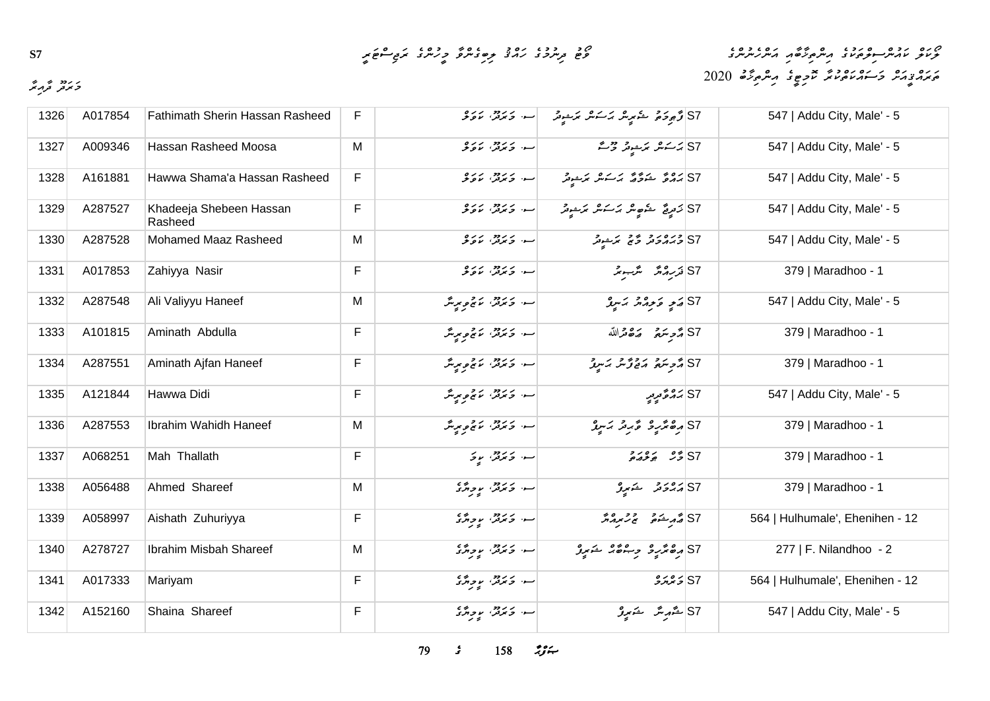*sCw7q7s5w7m< o<n9nOoAw7o< sCq;mAwBoEw7q<m; wBm;vB* م من المرة المرة المرة المرجع المرجع في المركبة 2020<br>مجم*د المريض المربوط المربع المرجع في المراجع المركبة* 

| 1326 | A017854 | Fathimath Sherin Hassan Rasheed    | F           |                             | S7 ۇي <sub>ج</sub> ۇم ئۇمرىكە ئەسەك ئەنھىدى - ئەرەپ ئاتەتى | 547   Addu City, Male' - 5      |
|------|---------|------------------------------------|-------------|-----------------------------|------------------------------------------------------------|---------------------------------|
| 1327 | A009346 | Hassan Rasheed Moosa               | M           | سەسىرى ئەرە                 | S7 كەسكەش ترىش <sub>و</sub> تر م <sup>وس</sup> گە          | 547   Addu City, Male' - 5      |
| 1328 | A161881 | Hawwa Shama'a Hassan Rasheed       | $\mathsf F$ | سەسىرى ئەرە                 | S7 <i>يَهُمُّ</i> شَرَّمَّ يَرَجَمْ يَرْشِرْ               | 547   Addu City, Male' - 5      |
| 1329 | A287527 | Khadeeja Shebeen Hassan<br>Rasheed | $\mathsf F$ | سەس ئەرەپىيە ئەتەتتى ئا     | S7 كَتْمِيعٌ ۖ حُقْصٍ مُنْ كَسَوْمٌ مَنْ حَمِيلٍ ۖ وَمَنْ  | 547   Addu City, Male' - 5      |
| 1330 | A287528 | Mohamed Maaz Rasheed               | M           | سە كەيمەترى ئەتەمى          | S7 <i>\$2,020 \$3 بَرَ</i> حي <i>وتر</i>                   | 547   Addu City, Male' - 5      |
| 1331 | A017853 | Zahiyya Nasir                      | $\mathsf F$ | ے کے ترقش کالوثر            | S7 فَرَسِهْهُمْ - مُرْسِعْهُ-                              | 379   Maradhoo - 1              |
| 1332 | A287548 | Ali Valiyyu Haneef                 | M           | ے کا بردو کالج و برنگ       | S7 كمي قرورگر كمبرو                                        | 547   Addu City, Male' - 5      |
| 1333 | A101815 | Aminath Abdulla                    | $\mathsf F$ | ے کا بردود کا ہم تو مرینگ   | S7 أَمَّ <i>جِسَعَة مَنْ هَدَ</i> اللَّهُ                  | 379   Maradhoo - 1              |
| 1334 | A287551 | Aminath Ajfan Haneef               | $\mathsf F$ | سەسىر ئەرەدە ئەسىر ئويىتىگە | S7 مُجرِسَعَ مَتَوَرُّسَ مَسِرُ                            | 379   Maradhoo - 1              |
| 1335 | A121844 | Hawwa Didi                         | F           | ے کا بردود کا ہم حا میں مگر | S7 كەمگ <sup>و</sup> بېيە                                  | 547   Addu City, Male' - 5      |
| 1336 | A287553 | Ibrahim Wahidh Haneef              | M           | ے کا بردو کالج و برنگ       | S7 مەھەردى ئەبەر ئاس <sub>ى</sub> ر                        | 379   Maradhoo - 1              |
| 1337 | A068251 | Mah Thallath                       | $\mathsf F$ | سە كەنگەن بوك               | $5.95$ $25$ ST                                             | 379   Maradhoo - 1              |
| 1338 | A056488 | Ahmed Shareef                      | M           | ب- و بردو ، بروروی          | S7 <i>مُرْدُوَ</i> مُدَ مِرُوْ                             | 379   Maradhoo - 1              |
| 1339 | A058997 | Aishath Zuhuriyya                  | F           | سە ئەندىق بوجەدى            | S7 مُرمِّسَمَّ مِّ مُرمِّدَةً                              | 564   Hulhumale', Ehenihen - 12 |
| 1340 | A278727 | Ibrahim Misbah Shareef             | M           | سه کامروژه برواژی           | S7 رەئزىر دېمۇر شىرو                                       | 277   F. Nilandhoo - 2          |
| 1341 | A017333 | Mariyam                            | F           | ے زیروہ روہوی               | $5.25$ S7                                                  | 564   Hulhumale', Ehenihen - 12 |
| 1342 | A152160 | Shaina Shareef                     | F           | ے کر دو دی                  | S7 شەيەش شەيرۇ                                             | 547   Addu City, Male' - 5      |

*79 s* 158  $23$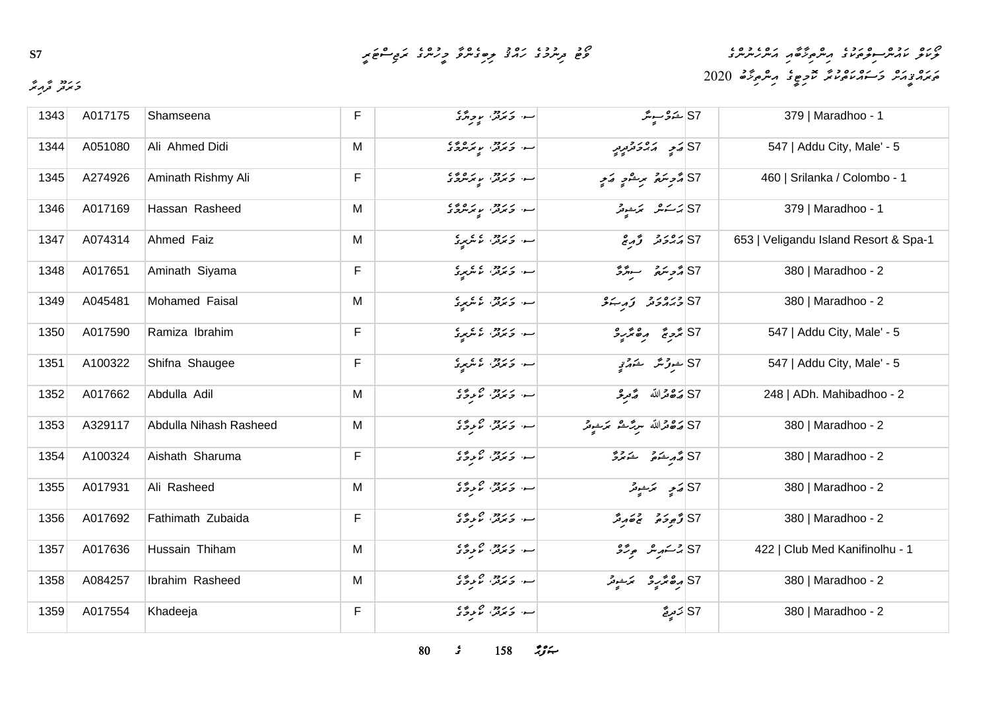*sCw7q7s5w7m< o<n9nOoAw7o< sCq;mAwBoEw7q<m; wBm;vB* م من المرة المرة المرة المرجع المرجع في المركبة 2020<br>مجم*د المريض المربوط المربع المرجع في المراجع المركبة* 

| 1343 | A017175 | Shamseena              | F            | ה ג'וצי תקיתו        | S7 ڪۇس <sub>ى</sub> نگر                             | 379   Maradhoo - 1                    |
|------|---------|------------------------|--------------|----------------------|-----------------------------------------------------|---------------------------------------|
| 1344 | A051080 | Ali Ahmed Didi         | M            | - وبردد بالاسرون     | S7 <i>۾َ جِه "دگروگو</i> يرِ                        | 547   Addu City, Male' - 5            |
| 1345 | A274926 | Aminath Rishmy Ali     | F            | ے درود پر مدد د      | S7 أُمُّ <i>وِ سَهْ - م</i> رِ - مُشَرِّحِ - رَسِمِ | 460   Srilanka / Colombo - 1          |
| 1346 | A017169 | Hassan Rasheed         | M            | سه ورده بوتره وه     | S7 كەسكەنلەر كەش <sub>ت</sub> ون <i>ى</i> ر         | 379   Maradhoo - 1                    |
| 1347 | A074314 | Ahmed Faiz             | M            | سە كەنتىقى ئاسىرىي ك | S7 كەندى قىدىم ئى                                   | 653   Veligandu Island Resort & Spa-1 |
| 1348 | A017651 | Aminath Siyama         | $\mathsf F$  | ے کامروز کا شہری     | S7 مُّحِبَّدَةٌ مُسَرَّدَّ                          | 380   Maradhoo - 2                    |
| 1349 | A045481 | Mohamed Faisal         | M            | ے کریں عبرت          | S7 <i>وُيَدُووَنَّوَ</i> وَرِسِيَوْ                 | 380   Maradhoo - 2                    |
| 1350 | A017590 | Ramiza Ibrahim         | F            | ے کریں عالمبری       | S7 تُرْحِ بِّ مِنْ مِرْحِ مِنْ                      | 547   Addu City, Male' - 5            |
| 1351 | A100322 | Shifna Shaugee         | $\mathsf F$  | ے کے ترقش انگلیزیور  | S7 شوژنگر ڪوپرت <sub>ي</sub>                        | 547   Addu City, Male' - 5            |
| 1352 | A017662 | Abdulla Adil           | M            | سە كەندىق ئابولۇي    | S7 مَەھتراللە مەمرىتى                               | 248   ADh. Mahibadhoo - 2             |
| 1353 | A329117 | Abdulla Nihash Rasheed | M            | ب ريزده لارود        | S7 كەھەراللە سەئەشە <i>م</i> ەسى <i>رەت</i> ر       | 380   Maradhoo - 2                    |
| 1354 | A100324 | Aishath Sharuma        | $\mathsf{F}$ | سە ئەيرىق ئابوۋى     | S7 مُ مِــُمَعْ صَــَعْمَـرَّةُ                     | 380   Maradhoo - 2                    |
| 1355 | A017931 | Ali Rasheed            | M            | سە كەندىق ئالوگرى    | S7 <i>ھَ۔ ج</i> سمبو <i>ٹر</i>                      | 380   Maradhoo - 2                    |
| 1356 | A017692 | Fathimath Zubaida      | F            | سە ئەترىق ئۇيدۇ ئ    | S7 زُّەپرە ئەھەر ش                                  | 380   Maradhoo - 2                    |
| 1357 | A017636 | Hussain Thiham         | M            | سە ئەترىق ئابوۋى     | S7 برُسَهرِ مَرَ مِرَّدْو                           | 422   Club Med Kanifinolhu - 1        |
| 1358 | A084257 | Ibrahim Rasheed        | M            | ب ريزده لارود        | S7 مەھەرىرى سىمئىيەتر                               | 380   Maradhoo - 2                    |
| 1359 | A017554 | Khadeeja               | F            | سە كەندىق ئالموڭرى   | S7 كَسٍعٌ                                           | 380   Maradhoo - 2                    |

*80 sC 158 nNw?mS*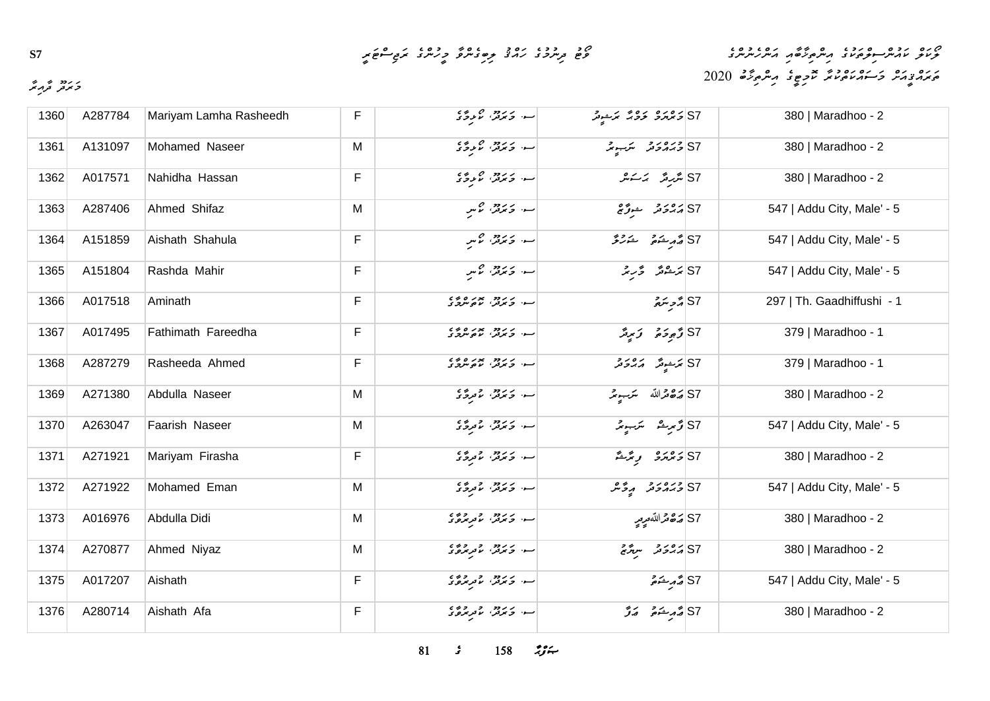*sCw7q7s5w7m< o<n9nOoAw7o< sCq;mAwBoEw7q<m; wBm;vB* م من المرة المرة المرة المرجع المرجع في المركبة 2020<br>مجم*د المريض المربوط المربع المرجع في المراجع المركبة* 

|  | $\begin{array}{ccccc} \circ & \circ & \circ \circ \end{array}$ |
|--|----------------------------------------------------------------|
|  | وتمرتر ترمرته                                                  |

| 1360 | A287784 | Mariyam Lamha Rasheedh | F           | ے رود مرود دی                               | S7 كەبرىرى كەن كەنبەتر                 | 380   Maradhoo - 2         |
|------|---------|------------------------|-------------|---------------------------------------------|----------------------------------------|----------------------------|
| 1361 | A131097 | Mohamed Naseer         | M           | سه کردو ته دی                               | S7 <i>ڈیزہ دی سک</i> بوبٹر             | 380   Maradhoo - 2         |
| 1362 | A017571 | Nahidha Hassan         | $\mathsf F$ | سە كەندىق ئابوڭ                             | S7 ب <i>ُرْبِيرٌ بَرَسَ</i> سُ         | 380   Maradhoo - 2         |
| 1363 | A287406 | Ahmed Shifaz           | M           | ے کے ترقش کا س                              | S7 <i>مەدى ئىبۇ يىلى</i>               | 547   Addu City, Male' - 5 |
| 1364 | A151859 | Aishath Shahula        | F           | سە كەندىق ئاس                               | S7 مُ مِــدَمْ صَدَرْتُرُ              | 547   Addu City, Male' - 5 |
| 1365 | A151804 | Rashda Mahir           | $\mathsf F$ | سە كەنگەنگە ئەس                             | S7 بَرْڪْنَر گُرِيْرُ                  | 547   Addu City, Male' - 5 |
| 1366 | A017518 | Aminath                | F           | ر در دو.<br>سه گرمزنر، ماه مرکز د           | S7 مُ مِ سَمَعُ                        | 297   Th. Gaadhiffushi - 1 |
| 1367 | A017495 | Fathimath Fareedha     | $\mathsf F$ | ر ر دود. پور ه پور<br>سه کامرلن ماموسرچای   | S7 زَّجِ <i>حَ</i> هُمْ لَا مِرِ مَّزْ | 379   Maradhoo - 1         |
| 1368 | A287279 | Rasheeda Ahmed         | F           | ر درود بدر ۵۵۵<br>۱۰۰۰ وبرتر، ۱۶ و مروری    |                                        | 379   Maradhoo - 1         |
| 1369 | A271380 | Abdulla Naseer         | M           | سه وبرده و دره                              |                                        | 380   Maradhoo - 2         |
| 1370 | A263047 | Faarish Naseer         | M           | ے زرود وردہ                                 | S7 ۇىرىش - ئىرىيەتر                    | 547   Addu City, Male' - 5 |
| 1371 | A271921 | Mariyam Firasha        | F           | سه کریږده و ده و                            | S7 <i>جەنگەردە بويۇ</i> شە             | 380   Maradhoo - 2         |
| 1372 | A271922 | Mohamed Eman           | M           | سه کریږي ورځ                                | S7 <i>\$222 م</i> ردَّ هر              | 547   Addu City, Male' - 5 |
| 1373 | A016976 | Abdulla Didi           | M           | - روده ووروه                                | S7 كەڭداللەمبەير                       | 380   Maradhoo - 2         |
| 1374 | A270877 | Ahmed Niyaz            | M           | ر د دود و د و د و د<br>سه کامرتن کاترمرو د  | S7 كەبرى ئىر سىرتىمى <mark>S</mark> 7  | 380   Maradhoo - 2         |
| 1375 | A017207 | Aishath                | $\mathsf F$ | ر درود. و دوه و                             | S7 مەم شىم                             | 547   Addu City, Male' - 5 |
| 1376 | A280714 | Aishath Afa            | F           | ر درود.<br>د و برتر، نام <sub>ر</sub> برو د | S7 مەم شىم مەر                         | 380   Maradhoo - 2         |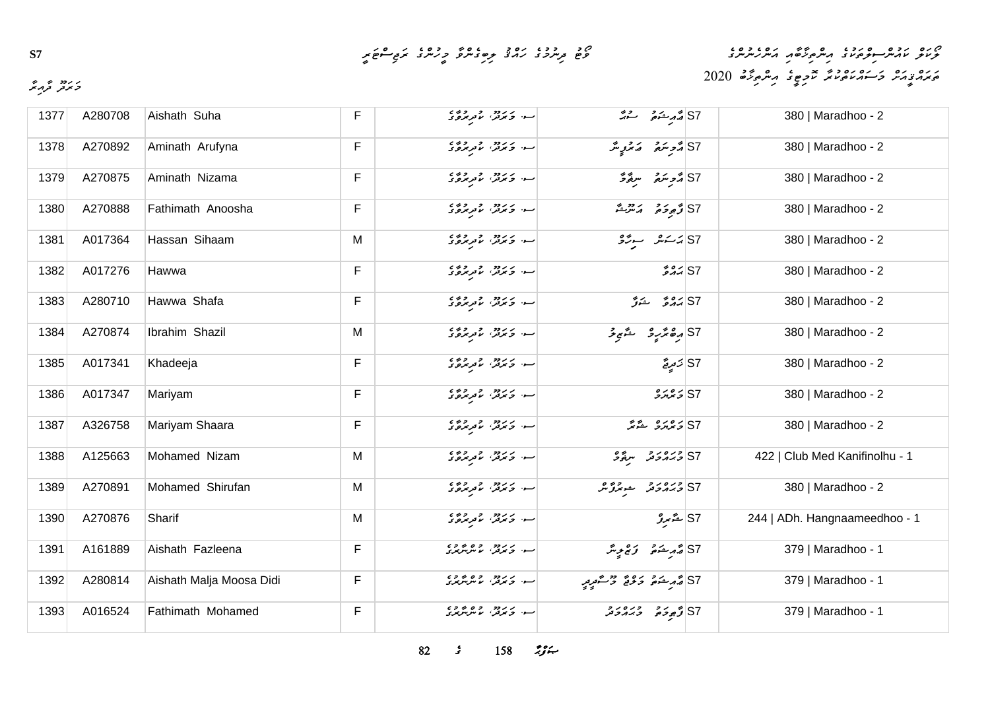*sCw7q7s5w7m< o<n9nOoAw7o< sCq;mAwBoEw7q<m; wBm;vB* م من المرة المرة المرة المرجع المرجع في المركبة 2020<br>مجم*د المريض المربوط المربع المرجع في المراجع المركبة* 

|  | $\begin{array}{ccccc} \circ & \circ & \circ \circ \end{array}$ |
|--|----------------------------------------------------------------|
|  | فريزفر فرمزيمه                                                 |
|  |                                                                |

| 1377 | A280708 | Aishath Suha             | F | ر در دو ووه د در در د                                               | S7 گەرىشمۇ سى <i>ن</i> گ          | 380   Maradhoo - 2             |
|------|---------|--------------------------|---|---------------------------------------------------------------------|-----------------------------------|--------------------------------|
| 1378 | A270892 | Aminath Arufyna          | F | ــــ و بردو و و و و د                                               | S7 مُرْحِ سَمَّةً مَ مَرْدِ سَّرَ | 380   Maradhoo - 2             |
| 1379 | A270875 | Aminath Nizama           | F | ر د دود و د ده و.<br>سه کامرتن گاترمروی                             | S7 مُّحِسَمَةٌ سِمَّةٌ مَّ        | 380   Maradhoo - 2             |
| 1380 | A270888 | Fathimath Anoosha        | F | ر درود و دره ده<br>سه وبوتر، ماتوبروی                               | S7 زُجِرْدَ مَرْشَرْتُهُ          | 380   Maradhoo - 2             |
| 1381 | A017364 | Hassan Sihaam            | M | ر درود و وده و<br>سه وبوتر، ماتوبروی                                | S7   پرسته مس <i>ر</i> متر        | 380   Maradhoo - 2             |
| 1382 | A017276 | Hawwa                    | F | ر در دو.<br>سه وبرتر، نافربروی                                      | $592$ S7                          | 380   Maradhoo - 2             |
| 1383 | A280710 | Hawwa Shafa              | F | ر د دود و د ده و.<br>سه کامرتن گاترمروی                             | S7 بَرْدُوَّ شَرَّ                | 380   Maradhoo - 2             |
| 1384 | A270874 | Ibrahim Shazil           | M | ر درود و دره ده<br>سه وبوتر، ماتوبروی                               | S7 مەھمگىر ئىس ئىس ئىس ئى         | 380   Maradhoo - 2             |
| 1385 | A017341 | Khadeeja                 | F | ر درود و وده و<br>سه وبوتر، ماتوبروی                                | S7 كَرْمِيعٌ                      | 380   Maradhoo - 2             |
| 1386 | A017347 | Mariyam                  | F | ر د دود و د ده و.<br>سه کامرتن گاترمروی                             | S7 ئەبۇر <i>ۇ</i>                 | 380   Maradhoo - 2             |
| 1387 | A326758 | Mariyam Shaara           | F | ر ر دو.<br>سه کامرتن کاتربروی                                       | S7 كەنگەر ئىچە ئىس                | 380   Maradhoo - 2             |
| 1388 | A125663 | Mohamed Nizam            | M | ر د دود و د ده و.<br>سه کامرتن گاترمروی                             | S7 دېم دې موگو                    | 422   Club Med Kanifinolhu - 1 |
| 1389 | A270891 | Mohamed Shirufan         | M | ر درود و وده و<br>سه وبوتر، ماتوبروی                                | S7 <i>ڈیزووی جوہرو تھ</i>         | 380   Maradhoo - 2             |
| 1390 | A270876 | Sharif                   | M | ر د دود و د ده و.<br>سه کامرتن گاترمروی                             | S7 ڪھبرو                          | 244   ADh. Hangnaameedhoo - 1  |
| 1391 | A161889 | Aishath Fazleena         | F | سە كەندىق ئاشرىكرى                                                  | S7 مەم ھەم ئۇنج مەيگە             | 379   Maradhoo - 1             |
| 1392 | A280814 | Aishath Malja Moosa Didi | F | ر در دو ده و و و و و و و و و و ح<br>سوء المحركتري المحمد مسرح مركزي | S7 مُهرِسُومِ وَفَرْقَ وَسَفَرِسِ | 379   Maradhoo - 1             |
| 1393 | A016524 | Fathimath Mohamed        | F | ر درود و ۵۶ وه<br>سو، کوترن باش ترتری                               | S7 ژُب <i>ودَه دې</i> مردنو       | 379   Maradhoo - 1             |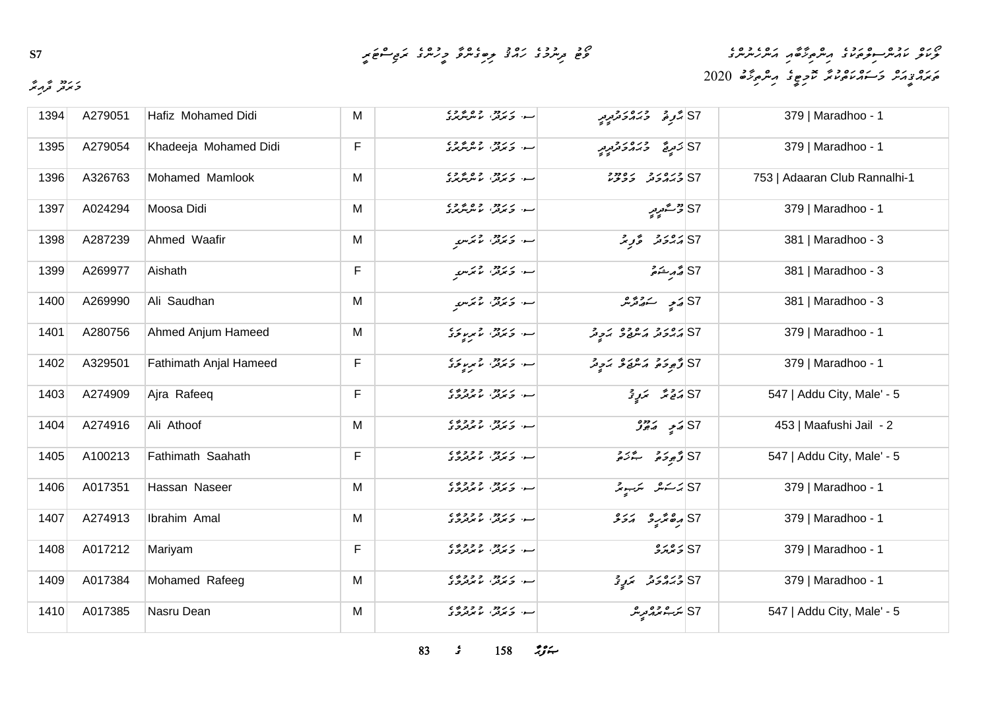*sCw7q7s5w7m< o<n9nOoAw7o< sCq;mAwBoEw7q<m; wBm;vB* م من المرة المرة المرة المرجع المرجع في المركبة 2020<br>مجم*د المريض المربوط المربع المرجع في المراجع المركبة* 

|  | $\begin{array}{ccccc} \circ & \circ & \circ \circ \end{array}$ |
|--|----------------------------------------------------------------|
|  | فرنمرفر الرمريمر                                               |
|  |                                                                |

| 1394 | A279051 | Hafiz Mohamed Didi     | M           | ے کروڑ وہ دی                                       | S7 تَرُونُو حَ تَرَ مُرْتَوْمِ مِنْ         | 379   Maradhoo - 1            |
|------|---------|------------------------|-------------|----------------------------------------------------|---------------------------------------------|-------------------------------|
| 1395 | A279054 | Khadeeja Mohamed Didi  | F           | ر در دو.<br>سه و برتر، لاسرس پرو                   | S7 كَتْمِيعٌ      وْكَرْمْدْ وْتْرْمِرِمْرِ | 379   Maradhoo - 1            |
| 1396 | A326763 | Mohamed Mamlook        | M           | سە كەندىق ئاشرىكرى                                 | S7 <i>בגם בי בפיב</i> י                     | 753   Adaaran Club Rannalhi-1 |
| 1397 | A024294 | Moosa Didi             | M           | ر در دور و ۵ و ۵ و ۷<br>سه کامرفر، ما مگرس مربو    | S7 تۇستەربىر                                | 379   Maradhoo - 1            |
| 1398 | A287239 | Ahmed Waafir           | M           | سە ئەترىقى ئاترىس                                  | S7 <i>مُدْدَوْرٌ وُّوِيْرُ</i>              | 381   Maradhoo - 3            |
| 1399 | A269977 | Aishath                | $\mathsf F$ | ے کا بردوی الا ترسمی                               | S7 مۇم شىمۇ                                 | 381   Maradhoo - 3            |
| 1400 | A269990 | Ali Saudhan            | M           | سە ئەترىقى ئاترىس                                  | S7 <i>ھَ جِي سَھُوَتَرْسُ</i> ر             | 381   Maradhoo - 3            |
| 1401 | A280756 | Ahmed Anjum Hameed     | M           | ے کابردہ مائر ہوتا گی                              | S7 גُرُونَ גَسْهُ وَ رَوِنَ                 | 379   Maradhoo - 1            |
| 1402 | A329501 | Fathimath Anjal Hameed | F           | ے کابردہ مائر ہوتا گی                              | S7 ۇ <sub>جو</sub> رۇ مەشھۇ مەدر            | 379   Maradhoo - 1            |
| 1403 | A274909 | Ajra Rafeeq            | $\mathsf F$ | ر درود. و و و ده د<br>سه گرمونو، ما موتوری         | S7 كەنى گە ئىگە ئىچە ئىچ                    | 547   Addu City, Male' - 5    |
| 1404 | A274916 | Ali Athoof             | M           | ر در دود و و و ده د.<br>سه از ترتور اند مرتور و د  | S7 کړ <i>نې پروه</i>                        | 453   Maafushi Jail - 2       |
| 1405 | A100213 | Fathimath Saahath      | F           | ر ر دود.<br>سه کامرتن اما مرتوری                   | S7 زَّەپرىق سَىندىق                         | 547   Addu City, Male' - 5    |
| 1406 | A017351 | Hassan Naseer          | M           | ر ر دود. و و و ه ه ه<br>سه - ن مرتور ا مرتوح ی     | S7   يَرْسَدُ مَدَ مَدِيْرِ                 | 379   Maradhoo - 1            |
| 1407 | A274913 | Ibrahim Amal           | M           | ر ر دود. و و و ه ه ه<br>سه ا بی ترون اما مرفون ی   | S7 مەھم <i>گى</i> ر ئەركىمىتى كە            | 379   Maradhoo - 1            |
| 1408 | A017212 | Mariyam                | F           | ر درود. و و و ه ه ه<br>سو، ن مرتور، ما مرتوری      | S7 ئەبۇرۇ                                   | 379   Maradhoo - 1            |
| 1409 | A017384 | Mohamed Rafeeg         | M           | ر ر دود. و و و ه ه ه<br>سودا از کرفران اما مرفون ی | S7 <i>جەمەھەر بىرى</i> تى                   | 379   Maradhoo - 1            |
| 1410 | A017385 | Nasru Dean             | M           | ر در دو دود ده د<br>سه کریمرتن مایوتوری            | S7 ىئر بە برو بېرى <i>گە</i>                | 547   Addu City, Male' - 5    |

**83** *s* **158** *n***<sub>y</sub> <b>***n*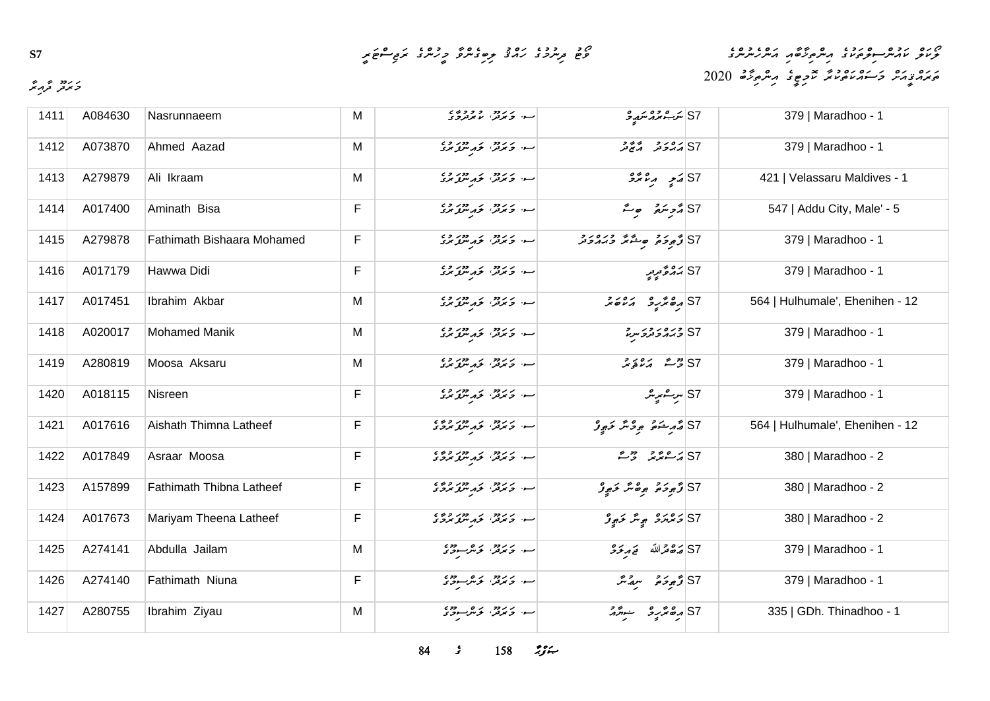*sCw7q7s5w7m< o<n9nOoAw7o< sCq;mAwBoEw7q<m; wBm;vB* م من المرة المرة المرة المرجع المرجع في المركبة 2020<br>مجم*د المريض المربوط المربع المرجع في المراجع المركبة* 

| 1411 | A084630 | Nasrunnaeem                     | M           | ر در دو دوده د<br>ر کرده میگردی    | S7 ىئر بە ئەمەسىمە 2                   | 379   Maradhoo - 1              |
|------|---------|---------------------------------|-------------|------------------------------------|----------------------------------------|---------------------------------|
| 1412 | A073870 | Ahmed Aazad                     | M           | سە كەندە كەرلىردە                  | S7 كەبرى قىر ئەنج قىر                  | 379   Maradhoo - 1              |
| 1413 | A279879 | Ali Ikraam                      | М           | سه کابردو که مردود و ،             | S7 <i>ھ</i> ُ جو م <i>ب</i> لا پرو     | 421   Velassaru Maldives - 1    |
| 1414 | A017400 | Aminath Bisa                    | $\mathsf F$ | سه کاندود که شروع                  | S7 مُجِسَعَ صِمُّ                      | 547   Addu City, Male' - 5      |
| 1415 | A279878 | Fathimath Bishaara Mohamed      | F           | ے کا بردو کا برابروی               | S7 ژُجِ دَمْ صِشْعُر ديرورد            | 379   Maradhoo - 1              |
| 1416 | A017179 | Hawwa Didi                      | $\mathsf F$ | سە كەندە كەرلىردە                  | S7 كەمگە توپىر                         | 379   Maradhoo - 1              |
| 1417 | A017451 | Ibrahim Akbar                   | М           | سه کاندود که شروع                  | S7 مەھمەر 2 مەمەر                      | 564   Hulhumale', Ehenihen - 12 |
| 1418 | A020017 | <b>Mohamed Manik</b>            | M           | سە كەللاھە كەردە دەر دە            | S7 <i>בג'ה בינב</i> ית <i>י</i>        | 379   Maradhoo - 1              |
| 1419 | A280819 | Moosa Aksaru                    | M           | سە كەندە كەرلىردە                  | S7الزمشر مرکز پر                       | 379   Maradhoo - 1              |
| 1420 | A018115 | Nisreen                         | F           | سە كەندە كەرلىردە                  | S7 سرڪيپير                             | 379   Maradhoo - 1              |
| 1421 | A017616 | Aishath Thimna Latheef          | $\mathsf F$ | سه کالان دور ده ده                 | S7 مُەسْتَمْ مِوْسٌر مَبِرِرْ          | 564   Hulhumale', Ehenihen - 12 |
| 1422 | A017849 | Asraar Moosa                    | F           | سه کالان دور ده ده                 | S7 كەشەئەتر تۇشە                       | 380   Maradhoo - 2              |
| 1423 | A157899 | <b>Fathimath Thibna Latheef</b> | $\mathsf F$ | سه کابرده کرد. ده ده د             | S7 ز <i>ُّڄِ دَءُ</i> جِهُ شَرَ دَجِرْ | 380   Maradhoo - 2              |
| 1424 | A017673 | Mariyam Theena Latheef          | F           | سه کالان ده به دور ولای            | S7 كَمُرْمَرْدَ   بِهِ مَّرْ وَبِهِ رْ | 380   Maradhoo - 2              |
| 1425 | A274141 | Abdulla Jailam                  | M           | ر در دو دو.<br>سه کامرتن کونگرسبوی | S7 مَەْمِرَاللَّهُ مَى مِرْحَرْ        | 379   Maradhoo - 1              |
| 1426 | A274140 | Fathimath Niuna                 | F           | ر در دو دره ده<br>سه کامرتن کوشوری | S7 زَّەپرەَ ئ <sup>و</sup> ر ئىستىر    | 379   Maradhoo - 1              |
| 1427 | A280755 | Ibrahim Ziyau                   | M           | ر در دو دره ده<br>سه کامرتن کوشوری | S7 مەھمەر 2 سىزىر<br>S7                | 335   GDh. Thinadhoo - 1        |

**84** *s* **158** *n***<sub>s</sub>**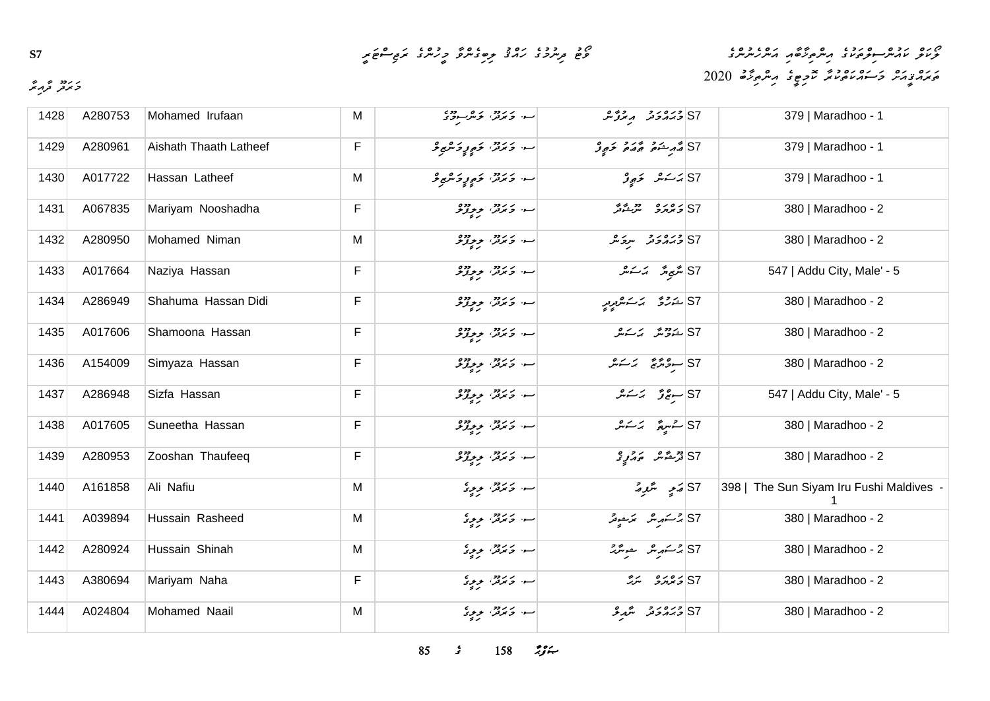*sCw7q7s5w7m< o<n9nOoAw7o< sCq;mAwBoEw7q<m; wBm;vB* م من المرة المرة المرة المرجع المرجع في المركبة 2020<br>مجم*د المريض المربوط المربع المرجع في المراجع المركبة* 

| وتمرتر ترمير |  |  | $\begin{array}{ccccc} \circ & \circ & \circ \circ \end{array}$ |  |
|--------------|--|--|----------------------------------------------------------------|--|
|--------------|--|--|----------------------------------------------------------------|--|

| 1428 | A280753 | Mohamed Irufaan               | M | ے ویری کرکڑ دی                  | S7 <i>ڈیرو</i> ویر پریوگر          | 379   Maradhoo - 1                       |
|------|---------|-------------------------------|---|---------------------------------|------------------------------------|------------------------------------------|
| 1429 | A280961 | <b>Aishath Thaath Latheef</b> | F | - ~ جَهُنْنُ جَمْوٍ وِجَسْمِ وَ | S7 مُبْرِسْمَ مُجْرَمٍ حَقِيقٌ     | 379   Maradhoo - 1                       |
| 1430 | A017722 | Hassan Latheef                | M | ے کا کردہ کروپرکریں گی          | S7   پرسكىش قۇچ <sub>ۇ</sub> تى    | 379   Maradhoo - 1                       |
| 1431 | A067835 | Mariyam Nooshadha             | F | ۔۔ دَبَرَتْرُ مِعِيْرُوْ وَ     | S7 كەممەر ھەر يېتىدىگە             | 380   Maradhoo - 2                       |
| 1432 | A280950 | Mohamed Niman                 | M | ب ديرو، ووژو                    | S7ا <i>دبره دو</i> سرکانگر         | 380   Maradhoo - 2                       |
| 1433 | A017664 | Naziya Hassan                 | F | ے دیروم ووژو                    | S7 سَمِيمَہ بَرَ سَمَسَ            | 547   Addu City, Male' - 5               |
| 1434 | A286949 | Shahuma Hassan Didi           | F | ۔۔ دَبَرَتْرُ وَوِرْزُوْ        | S7  غەرق    ئەسەھرىر               | 380   Maradhoo - 2                       |
| 1435 | A017606 | Shamoona Hassan               | F | ے کابروی ووژو                   | S7 شۇ <i>ۋىگە بۇسكىل</i>           | 380   Maradhoo - 2                       |
| 1436 | A154009 | Simyaza Hassan                | F | ۔۔ دَبَرَتْرُ مِعِيْرُوْ وَ     | S7 سوچرمج بر سنده                  | 380   Maradhoo - 2                       |
| 1437 | A286948 | Sizfa Hassan                  | F | ب ديرو، ووژو                    | S7 سېږمبر ټر ټر شر                 | 547   Addu City, Male' - 5               |
| 1438 | A017605 | Suneetha Hassan               | F | ے دیکھ وواژو                    | S7 شېږمځ ټر <i>س</i> کش            | 380   Maradhoo - 2                       |
| 1439 | A280953 | Zooshan Thaufeeq              | F | ے دیکھ وواژو                    | S7 ٽرشمىش ئ <i>وم ت</i> وپۇ        | 380   Maradhoo - 2                       |
| 1440 | A161858 | Ali Nafiu                     | M | سه وترده وود                    | S7 <i>ھَ جِ</i> سَمَّدِھُ          | 398   The Sun Siyam Iru Fushi Maldives - |
| 1441 | A039894 | Hussain Rasheed               | M | ے وَتَرَسُ وَوِدُ               |                                    | 380   Maradhoo - 2                       |
| 1442 | A280924 | Hussain Shinah                | M | ب دَبَرُتْزُ وودُ               | S7 بر سَمبر مَر مَ مَسِنَّدَتْ     | 380   Maradhoo - 2                       |
| 1443 | A380694 | Mariyam Naha                  | F | سە ئەتكەنى مومۇنى               | S7 <i>وَ بُرْمُرْ بِهِ بِرُدُّ</i> | 380   Maradhoo - 2                       |
| 1444 | A024804 | Mohamed Naail                 | M | سە كەنگە مولوگى                 | S7 <i>\$نەۋەقى سىّدۇ</i>           | 380   Maradhoo - 2                       |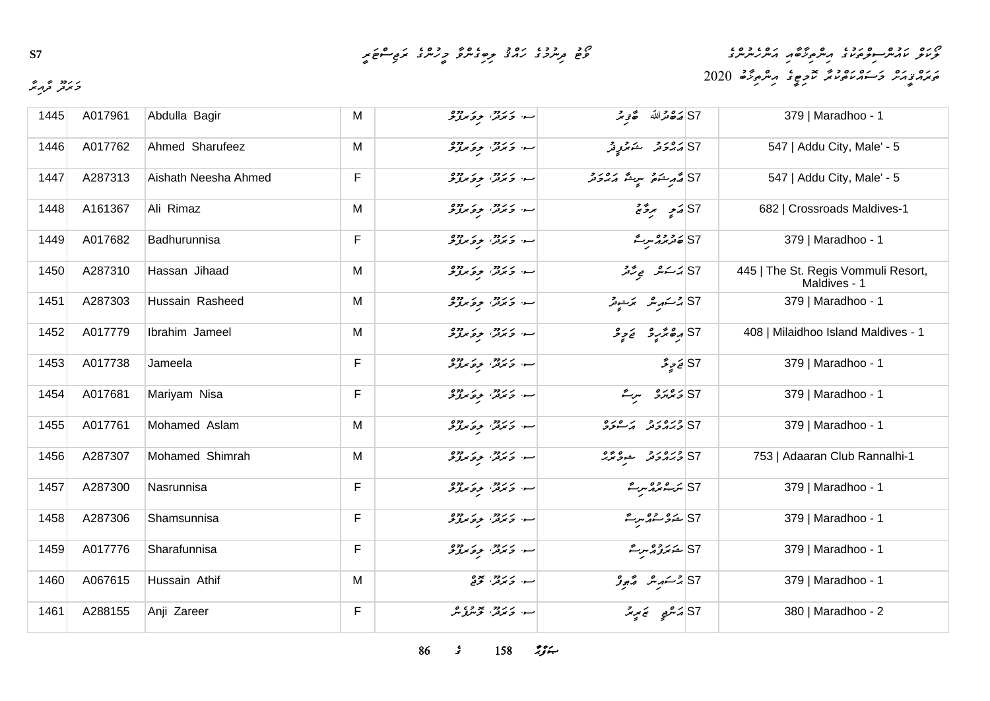*sCw7q7s5w7m< o<n9nOoAw7o< sCq;mAwBoEw7q<m; wBm;vB* م من المرة المرة المرة المرجع المرجع في المركبة 2020<br>مجم*د المريض المربوط المربع المرجع في المراجع المركبة* 

| 1445 | A017961 | Abdulla Bagir        | M | ے کا بردو ہے کا بروی                       | S7 كَەھقراللە ھۇيم                          | 379   Maradhoo - 1                                  |
|------|---------|----------------------|---|--------------------------------------------|---------------------------------------------|-----------------------------------------------------|
| 1446 | A017762 | Ahmed Sharufeez      | M | سە ئەيرى بوە بروپو                         | S7 <i>مەركەر خىمۇن</i> ر                    | 547   Addu City, Male' - 5                          |
| 1447 | A287313 | Aishath Neesha Ahmed | F | سە ئەيرى بوغ بولۇنى                        | S7 مُستَوْم سِتٌ مَدْدَنْر                  | 547   Addu City, Male' - 5                          |
| 1448 | A161367 | Ali Rimaz            | M | ے کا بردہ جو بروی                          | S7 <i>ھَ۔</i> بر <i>و</i> َّتَح             | 682   Crossroads Maldives-1                         |
| 1449 | A017682 | Badhurunnisa         | F | سه کردو دوی                                | S7 ئ <i>ۆتەرىم بىر</i> ىگە                  | 379   Maradhoo - 1                                  |
| 1450 | A287310 | Hassan Jihaad        | M | ے کا بردہ جو بروی                          | S7   پرسترس ب <sub>ے</sub> ش <sup>و</sup> ر | 445   The St. Regis Vommuli Resort,<br>Maldives - 1 |
| 1451 | A287303 | Hussain Rasheed      | M | - وبردو موتوبوده                           | S7 پرڪيريش ڪرڪيونگر                         | 379   Maradhoo - 1                                  |
| 1452 | A017779 | Ibrahim Jameel       | M | ے کا بردہ جو بروی                          | S7 <sub>م</sub> ەنگەر قىم قىچىلىكىنى ئىل    | 408   Milaidhoo Island Maldives - 1                 |
| 1453 | A017738 | Jameela              | F | سه کريږده جوړېږدو                          | S7 انچ بوتی                                 | 379   Maradhoo - 1                                  |
| 1454 | A017681 | Mariyam Nisa         | F | - وبردو دوه دوه                            | S7 كەممەر ئەسرىسىگە                         | 379   Maradhoo - 1                                  |
| 1455 | A017761 | Mohamed Aslam        | M | ے کا بردہ جو بروی                          | S7 ديره د د مسرور د                         | 379   Maradhoo - 1                                  |
| 1456 | A287307 | Mohamed Shimrah      | M | - وبردو موځ دوه                            | S7 درورو جوړند                              | 753   Adaaran Club Rannalhi-1                       |
| 1457 | A287300 | Nasrunnisa           | F | ے کا بردہ جو بروی                          | S7 ئىز بە بەر بەر شە                        | 379   Maradhoo - 1                                  |
| 1458 | A287306 | Shamsunnisa          | F | ر دردو دوه در دوه<br>سه د برتر موځ بروگر   | S7 شۇر مەھرىس ئىس                           | 379   Maradhoo - 1                                  |
| 1459 | A017776 | Sharafunnisa         | F | ے کا بردہ جو بروی                          | S7 خەنزۇر سرىگە                             | 379   Maradhoo - 1                                  |
| 1460 | A067615 | Hussain Athif        | M | سە كەندىق ئۆتى                             | S7 برڪريش گھيوري                            | 379   Maradhoo - 1                                  |
| 1461 | A288155 | Anji Zareer          | F | ر بر دوستور ده.<br>سه او برتر، او مرکز مگر |                                             | 380   Maradhoo - 2                                  |

**86** *s* **158** *n***<sub>s</sub>**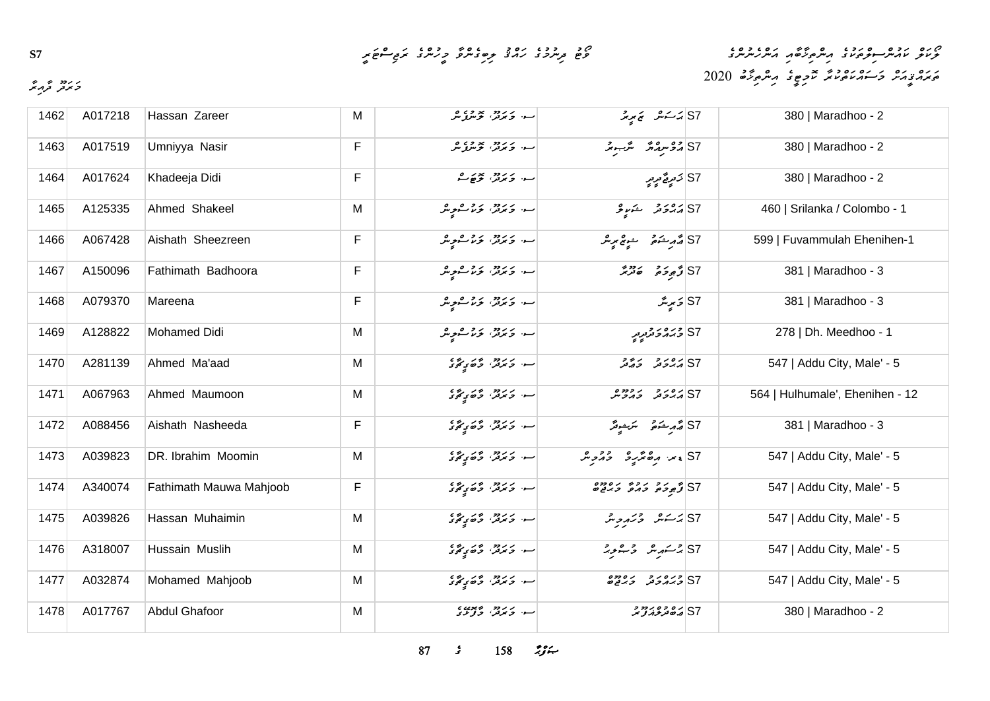*sCw7q7s5w7m< o<n9nOoAw7o< sCq;mAwBoEw7q<m; wBm;vB* م من المرة المرة المرة المرجع المرجع في المركبة 2020<br>مجم*د المريض المربوط المربع المرجع في المراجع المركبة* 

| 1462 | A017218 | Hassan Zareer           | M           | ر بردو بوده و.<br>ب- وبرتر، توسرون      | S7   يَرْسَسْ بِجَمْرِيْر                        | 380   Maradhoo - 2              |
|------|---------|-------------------------|-------------|-----------------------------------------|--------------------------------------------------|---------------------------------|
| 1463 | A017519 | Umniyya Nasir           | F           | ر بر دور بروه و.<br>سه او برتر، توسرو ش | S7 مۇمب <i>رى مەتبەتى</i>                        | 380   Maradhoo - 2              |
| 1464 | A017624 | Khadeeja Didi           | F           | سه کرېږده بوړ ه                         | S7 کرمرچ مرمر                                    | 380   Maradhoo - 2              |
| 1465 | A125335 | Ahmed Shakeel           | M           | ے کابردہ کروے ہوتھ                      | S7 <i>مُدْدَنْدِ</i> حَ <i>بِ وْ</i>             | 460   Srilanka / Colombo - 1    |
| 1466 | A067428 | Aishath Sheezreen       | F           | ے کابردہ کروے ہوت                       | S7 م <i>ۇم شۇغ بىر بىر</i>                       | 599   Fuvammulah Ehenihen-1     |
| 1467 | A150096 | Fathimath Badhoora      | F           | ے کابردہ کام شویگر                      | S7 زُب <i>و خود ھۆرىگ</i>                        | 381   Maradhoo - 3              |
| 1468 | A079370 | Mareena                 | F           | ر. ئەيرى ئەم ھەمبەر                     | S7 ئەمەيىگە                                      | 381   Maradhoo - 3              |
| 1469 | A128822 | <b>Mohamed Didi</b>     | M           | ے کابردہ کروے ہوت                       | S7 <i>وُټرو و</i> تربرپر                         | 278   Dh. Meedhoo - 1           |
| 1470 | A281139 | Ahmed Ma'aad            | M           | - روده می کرد                           | S7 كەبرى بىر ئەرگە ئى                            | 547   Addu City, Male' - 5      |
| 1471 | A067963 | Ahmed Maumoon           | M           | سه وبردد وصحيحة                         | S7 كەبرو كەردىيە                                 | 564   Hulhumale', Ehenihen - 12 |
| 1472 | A088456 | Aishath Nasheeda        | $\mathsf F$ | سه و برده و کارگان                      | S7 م <i>ۇم ھۇم سىرسى</i> رىگە                    | 381   Maradhoo - 3              |
| 1473 | A039823 | DR. Ibrahim Moomin      | M           | - دىرە ئەن ئە                           | S7 ۽ پر م <i>ي ھگردو حم</i> قومتر                | 547   Addu City, Male' - 5      |
| 1474 | A340074 | Fathimath Mauwa Mahjoob | $\mathsf F$ | سه و برده و کارگان                      | S7 ژُجِر پر و بر دوره<br>S7 ژُجِر جو بر حرکت حرب | 547   Addu City, Male' - 5      |
| 1475 | A039826 | Hassan Muhaimin         | M           | سه و برده و کارگان                      | S7 ئەسەمىر ت <i>ەرەبەر</i>                       | 547   Addu City, Male' - 5      |
| 1476 | A318007 | Hussain Muslih          | M           | سه وبردد وصحيحة                         | S7   يُرْسَمْ مِنْ الْمَرْسُورِيْرْ – \$         | 547   Addu City, Male' - 5      |
| 1477 | A032874 | Mohamed Mahjoob         | M           | - روده می کرد                           | S7 دره دره ده ده<br>S7 دربردبر دروه              | 547   Addu City, Male' - 5      |
| 1478 | A017767 | <b>Abdul Ghafoor</b>    | M           | ر ر دو.<br>سه گرمزن گرگری               | S7 پرەپروپروپر                                   | 380   Maradhoo - 2              |

*87 sC 158 nNw?mS*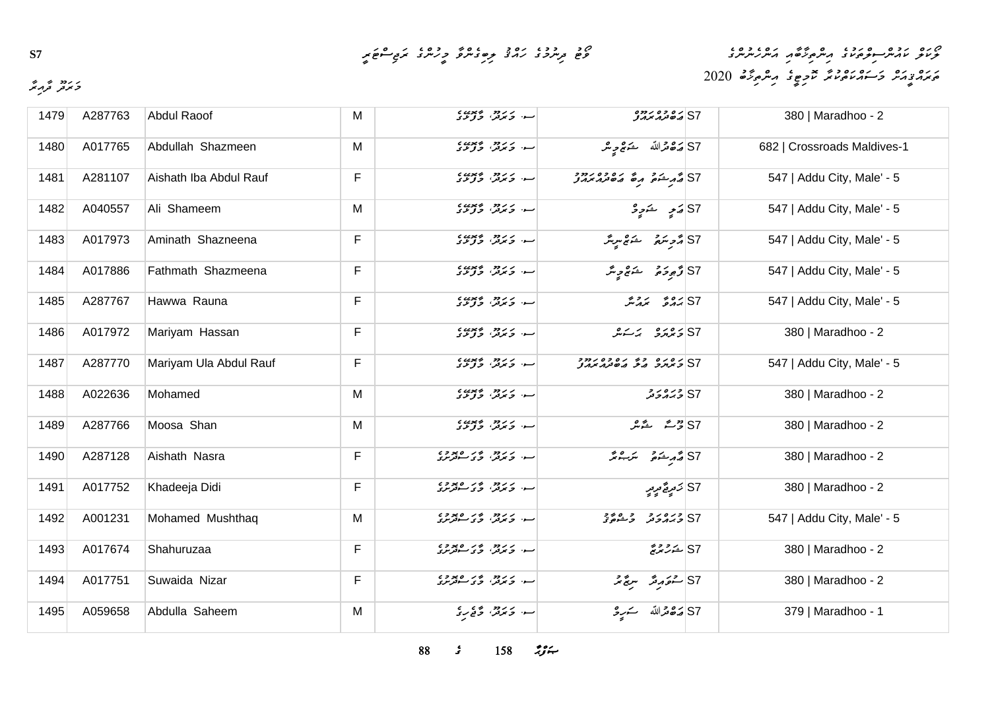*sCw7q7s5w7m< o<n9nOoAw7o< sCq;mAwBoEw7q<m; wBm;vB* م من المرة المرة المرة المرجع المرجع في المركبة 2020<br>مجم*د المريض المربوط المربع المرجع في المراجع المركبة* 

| 1479 | A287763 | <b>Abdul Raoof</b>     | M | ر ر دو.<br>سه و برتر، و ژبر د                             | S7 בטריפיק                                   | 380   Maradhoo - 2          |
|------|---------|------------------------|---|-----------------------------------------------------------|----------------------------------------------|-----------------------------|
| 1480 | A017765 | Abdullah Shazmeen      | M | ر ر دو محدی و<br>سه و برتر، و ژبر د                       | S7 كەھەتراللە شەمج <i>ج</i> ېشر              | 682   Crossroads Maldives-1 |
| 1481 | A281107 | Aishath Iba Abdul Rauf | F | ر در دو.<br>سه و برتر، و ژنړ                              |                                              | 547   Addu City, Male' - 5  |
| 1482 | A040557 | Ali Shameem            | M |                                                           | S7  ر <sub>َمْ</sub> مِنْ مَد <i>َّدٍ دُ</i> | 547   Addu City, Male' - 5  |
| 1483 | A017973 | Aminath Shazneena      | F | ر رود ورد ده.<br>سه و برتر، و ژنړ                         | S7 مُّ <i>جِسَمْ مُسَنَّى سِرْ مُ</i> رَ     | 547   Addu City, Male' - 5  |
| 1484 | A017886 | Fathmath Shazmeena     | F | ر رود ورد ده.<br>سه و برتر، و ژنړ                         | S7 <i>وَّهودَهُ</i> شَوَّج مِرَّ             | 547   Addu City, Male' - 5  |
| 1485 | A287767 | Hawwa Rauna            | F | ر ر دو.<br>سه و برتر، و ژنړ                               | S7 ئەمۇس ئىم <i>مە</i> نىڭر                  | 547   Addu City, Male' - 5  |
| 1486 | A017972 | Mariyam Hassan         | F | ر ر دو.<br>سه و برتر، و ژبر د                             | S7 كەبىر بەر يەر يەر يەر بىر                 | 380   Maradhoo - 2          |
| 1487 | A287770 | Mariyam Ula Abdul Rauf | F |                                                           | S7 ځمرمرح ده ده ده دود                       | 547   Addu City, Male' - 5  |
| 1488 | A022636 | Mohamed                | M | ر ر دود.<br>سه و برتر، و تو نړۍ                           | S7 ۇئەۋۋىتر                                  | 380   Maradhoo - 2          |
| 1489 | A287766 | Moosa Shan             | M | ر ر دو.<br>سه و برتر، و ژنړ                               | S7 تُرُسُّرُ مُشَرَّرٌ                       | 380   Maradhoo - 2          |
| 1490 | A287128 | Aishath Nasra          | F | ر درود. ۲۶ میلوده<br>سه و برتر، و د سهترس                 | S7 مۇم يىشقى ئىتىر ئىستىر                    | 380   Maradhoo - 2          |
| 1491 | A017752 | Khadeeja Didi          | F | ر درود. ۲۶ میلوده<br>سه و برتر، و د سهترس                 | S7 كَتْمِيقٍّ مِرْمَرٍ                       | 380   Maradhoo - 2          |
| 1492 | A001231 | Mohamed Mushthaq       | M | سه کانده ور معدوه                                         | S7 دېرمرد د مود                              | 547   Addu City, Male' - 5  |
| 1493 | A017674 | Shahuruzaa             | F | ر در دو در ه د ده ده<br>سه کامرتر، گار سهترس              | S7 يند حريج                                  | 380   Maradhoo - 2          |
| 1494 | A017751 | Suwaida Nizar          | F | ر بر دود. به بر دوره دوره<br>سه بر کوکل بر کار سه تعریبور | S7  ستوكرونگر سرچ مگر                        | 380   Maradhoo - 2          |
| 1495 | A059658 | Abdulla Saheem         | M | سە كەيمەتكى كۆلىمى ئە                                     | S7  رَجْعَةْ اللّه سَنَ سِرْتَرْ             | 379   Maradhoo - 1          |

**88** *s* **158** *n***<sub>y</sub> <b>***n*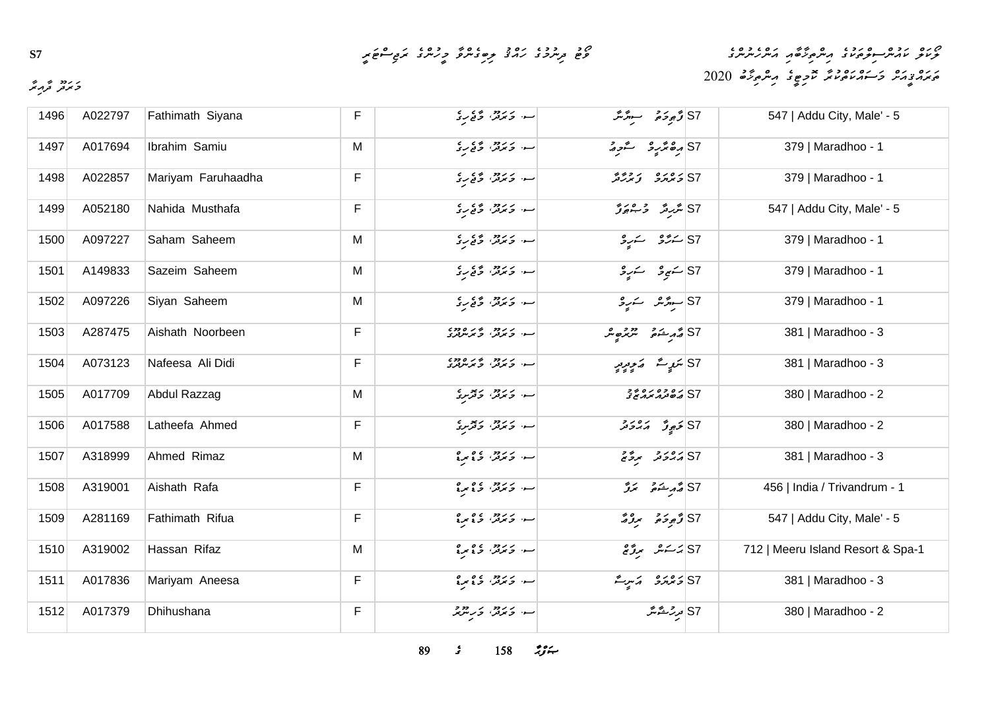*sCw7q7s5w7m< o<n9nOoAw7o< sCq;mAwBoEw7q<m; wBm;vB* م من المرة المرة المرة المرجع المرجع في المركبة 2020<br>مجم*د المريض المربوط المربع المرجع في المراجع المركبة* 

|  | $\begin{array}{ccccc} \circ & \circ & \circ \circ \end{array}$ |
|--|----------------------------------------------------------------|
|  | وتمرتر ترمرته                                                  |

| 1496 | A022797 | Fathimath Siyana   | $\mathsf F$  | سە ئەتەتقى ئەتەرى                                  | S7 ۇ <sub>ج</sub> وڭ مېشرىتىر        | 547   Addu City, Male' - 5        |
|------|---------|--------------------|--------------|----------------------------------------------------|--------------------------------------|-----------------------------------|
| 1497 | A017694 | Ibrahim Samiu      | M            | سەس ئەرىقى ئەتى ئەت                                | S7 مەھمگىر ئەھمىتى ئىشىر ئىنىشقا ئىش | 379   Maradhoo - 1                |
| 1498 | A022857 | Mariyam Faruhaadha | $\mathsf{F}$ | سە كەيمەتكى كەنى بىرى                              | S7 كەبىر بەر ئەيرلىقر                | 379   Maradhoo - 1                |
| 1499 | A052180 | Nahida Musthafa    | F            | سە كەيمەتى گەنى بى                                 | S7 بَرْرِيْرٌ وَجَمْعِوْرٌ           | 547   Addu City, Male' - 5        |
| 1500 | A097227 | Saham Saheem       | M            | سە كەيمەتكى كۆلىرى                                 | S7 سُتَرَبَّحَ سَتَرِبَّحَ           | 379   Maradhoo - 1                |
| 1501 | A149833 | Sazeim Saheem      | M            | سە كەيمەتكى كۆلىمى ئە                              | S7 ڪي <sub>ج</sub> و ڪرو             | 379   Maradhoo - 1                |
| 1502 | A097226 | Siyan Saheem       | M            | سه کرده. ده ده                                     | S7 سوپڑ سے پرو                       | 379   Maradhoo - 1                |
| 1503 | A287475 | Aishath Noorbeen   | $\mathsf F$  | ر ر دود. به ر ۵ ووه.<br>سه الاربردن الانجام میلادی | S7 مەم ئىق ئىتم ھەر                  | 381   Maradhoo - 3                |
| 1504 | A073123 | Nafeesa Ali Didi   | $\mathsf{F}$ | ر ر دود. به ر ۵ ووه.<br>سه الاربردن الانجام میلادی | S7 سَمِرٍ شَمَّ صَوِمِرِ مِر         | 381   Maradhoo - 3                |
| 1505 | A017709 | Abdul Razzag       | M            | سه و برده ریز ه                                    | S7 مەھ <i>مەھ بەھ بى</i>             | 380   Maradhoo - 2                |
| 1506 | A017588 | Latheefa Ahmed     | $\mathsf F$  | ر درده ریز ه                                       | S7 كَرْجِورٌ     مُدْدَنْرٌ     مَ   | 380   Maradhoo - 2                |
| 1507 | A318999 | Ahmed Rimaz        | M            | سه وبردو ٥٥٥                                       | S7 <i>مُدْدَوْرٌ بِروُّجْ</i>        | 381   Maradhoo - 3                |
| 1508 | A319001 | Aishath Rafa       | $\mathsf F$  | 6.0000000000000                                    | S7 مەم شەم ئىمىر                     | 456   India / Trivandrum - 1      |
| 1509 | A281169 | Fathimath Rifua    | F            | سه وبردو ٥٥ مره                                    | S7 <i>وُجوح</i> فو مروكة             | 547   Addu City, Male' - 5        |
| 1510 | A319002 | Hassan Rifaz       | M            | سه وبردو ، و، د                                    | S7 ئەسەمىر س <i>وۋى</i> ج            | 712   Meeru Island Resort & Spa-1 |
| 1511 | A017836 | Mariyam Aneesa     | $\mathsf F$  | 6, 0, 6, 7, 7, 7, 8                                | S7 <i>و بروج م</i> مرس محمد المراجع  | 381   Maradhoo - 3                |
| 1512 | A017379 | Dhihushana         | F            | سہ ویرنڈ، وَرِسْرَیْر                              | S7 مرِرْشَدَّرَّ                     | 380   Maradhoo - 2                |

**89** *s* **158** *n***<sub>y</sub>**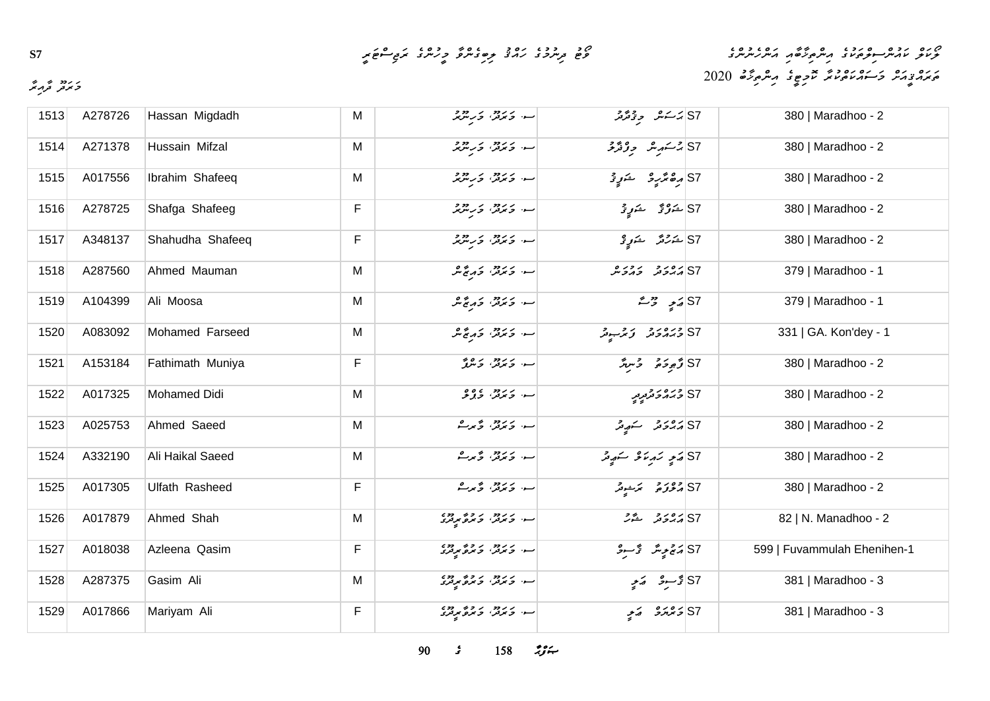*sCw7q7s5w7m< o<n9nOoAw7o< sCq;mAwBoEw7q<m; wBm;vB* م من المرة المرة المرة المرجع المرجع في المركبة 2020<br>مجم*د المريض المربوط المربع المرجع في المراجع المركبة* 

|  | $\begin{array}{ccccc} \circ & \circ & \circ \circ \end{array}$ |  |
|--|----------------------------------------------------------------|--|
|  | و برتر تربر بر                                                 |  |
|  |                                                                |  |

| 1513 | A278726 | Hassan Migdadh        | M           | سە ئەترىق ئەرلىرى                             | S7 كەسەھر ب <sub>و</sub> تۇن <i>ۇن</i> تر | 380   Maradhoo - 2          |
|------|---------|-----------------------|-------------|-----------------------------------------------|-------------------------------------------|-----------------------------|
| 1514 | A271378 | Hussain Mifzal        | M           | ب كەنگە كەرلىرى                               | S7 يُرْسَمْ مِنْ مِنْ وَقَدَّقْتُ         | 380   Maradhoo - 2          |
| 1515 | A017556 | Ibrahim Shafeeq       | M           | سه وتری ورترند                                | S7 م <i>ەھترى</i> ھەرپى                   | 380   Maradhoo - 2          |
| 1516 | A278725 | Shafga Shafeeg        | $\mathsf F$ | سا ويروه ورهور                                | S7 شَرُرُدَّ شَر <i>وِدْ</i>              | 380   Maradhoo - 2          |
| 1517 | A348137 | Shahudha Shafeeq      | $\mathsf F$ | ה גודה בתואר                                  | S7 ڪر <i>يگر ڪوي</i> ڙ                    | 380   Maradhoo - 2          |
| 1518 | A287560 | Ahmed Mauman          | M           | ے کا بردوں کا برگاہی                          | S7 <i>הגבית בגבית</i>                     | 379   Maradhoo - 1          |
| 1519 | A104399 | Ali Moosa             | M           | سە ئەيرلار ئەرەپچىل                           | S7 ړ <sub>نو</sub> ژت                     | 379   Maradhoo - 1          |
| 1520 | A083092 | Mohamed Farseed       | M           | سە ئەيزلار، ئەرىج ش                           | S7 <i>دېمم</i> ونه ترېمه مو               | 331   GA. Kon'dey - 1       |
| 1521 | A153184 | Fathimath Muniya      | F           | سە كەندىق كەندىگە                             | S7 زَّەپ ئە ئەس <i>ىد</i> ٌ               | 380   Maradhoo - 2          |
| 1522 | A017325 | <b>Mohamed Didi</b>   | M           | سە كەندىق كەلگ                                | S7 <i>وُټرو و</i> تربربر                  | 380   Maradhoo - 2          |
| 1523 | A025753 | Ahmed Saeed           | M           | سە كەيمەتقى گەيدىش                            | S7 <i>مەندى ئىم بى</i> ر                  | 380   Maradhoo - 2          |
| 1524 | A332190 | Ali Haikal Saeed      | M           | سە كەيرى گەرگ                                 | S7 كەبىر <i>سەبەتى سەپەتى</i>             | 380   Maradhoo - 2          |
| 1525 | A017305 | <b>Ulfath Rasheed</b> | $\mathsf F$ | سە ئەترىق، ئەيرى                              | S7 <i>مۇۋە ئەينى</i> م                    | 380   Maradhoo - 2          |
| 1526 | A017879 | Ahmed Shah            | M           | ر ر دو د د و د و .<br>سه کرس کرس د برخ مرس    | $22.2522$ S7                              | 82   N. Manadhoo - 2        |
| 1527 | A018038 | Azleena Qasim         | F           | ر در دو در وه دوه<br>سه کریمرتر، کریمرتویوی   | S7 كەنچ مويىگە - تۇسىر مى                 | 599   Fuvammulah Ehenihen-1 |
| 1528 | A287375 | Gasim Ali             | M           | ر در دو در وه دوه<br>سه کریمرتو، کامرهاموتوری | S7 تخ سو <i>ٹھ م</i> َبرِ                 | 381   Maradhoo - 3          |
| 1529 | A017866 | Mariyam Ali           | F           | ر در دو در وه دوه<br>سه کامرتر، کامرخ مرتری   | S7 <i>5 پر پرو م</i> َ پر                 | 381   Maradhoo - 3          |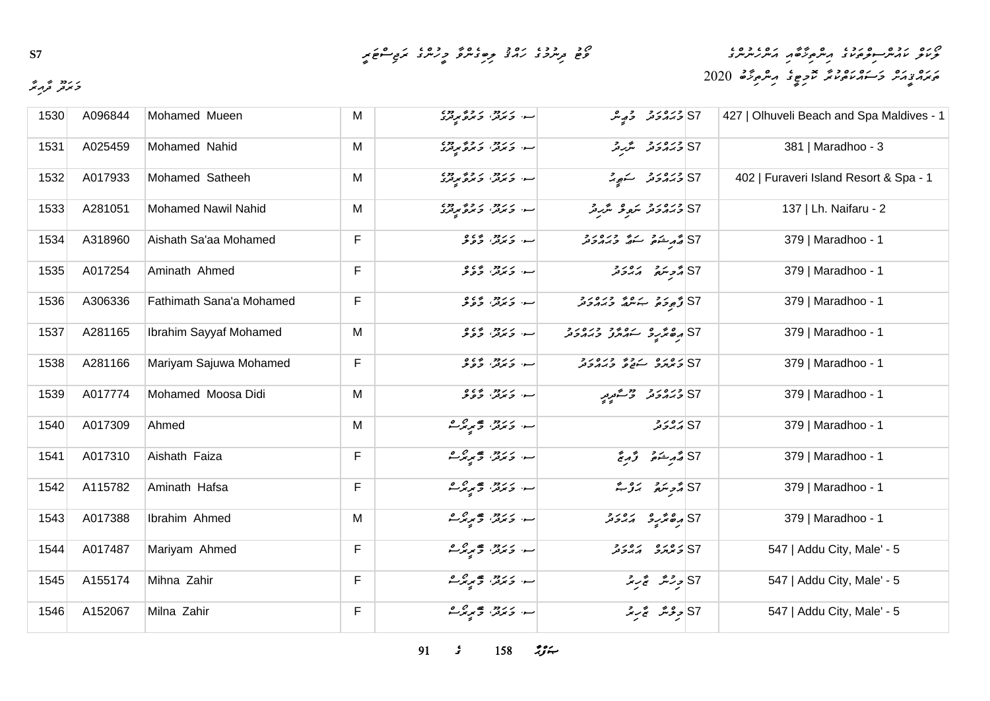*sCw7q7s5w7m< o<n9nOoAw7o< sCq;mAwBoEw7q<m; wBm;vB* م من المرة المرة المرة المرجع المرجع في المركبة 2020<br>مجم*د المريض المربوط المربع المرجع في المراجع المركبة* 

|  | シーショコンシ        |
|--|----------------|
|  | و مرتز تربر مر |
|  |                |

| 1530 | A096844 | Mohamed Mueen              | M            | ر در دو در و د ده.<br>سه کامرتر، کامرگرمرتری   | S7 <i>دېمم</i> ونه وړی <sub>ن</sub>        | 427   Olhuveli Beach and Spa Maldives - 1 |
|------|---------|----------------------------|--------------|------------------------------------------------|--------------------------------------------|-------------------------------------------|
| 1531 | A025459 | Mohamed Nahid              | M            | ر ر دو در و د و د و د<br>سه کرس کرس کرس        | S7 <i>ڈیزو ڈو</i> س <i>ڑب</i> ور           | 381   Maradhoo - 3                        |
| 1532 | A017933 | Mohamed Satheeh            | M            | ر ر دو در و د و د و د<br>سه کرس کرس کرس        | S7 <i>ۇنەۋەتى سەپەتى</i>                   | 402   Furaveri Island Resort & Spa - 1    |
| 1533 | A281051 | <b>Mohamed Nawil Nahid</b> | M            | ر در دو در وه دوه<br>سه کامرتن کامرهاموتری     | S7 دبره د د شهر گردگر                      | 137   Lh. Naifaru - 2                     |
| 1534 | A318960 | Aishath Sa'aa Mohamed      | F            | سەسىر ئەرەم ئەرەم ئ                            | S7 مُمْ شَرَمٌ وَمُمْ وَمُدَوَّمْ          | 379   Maradhoo - 1                        |
| 1535 | A017254 | Aminath Ahmed              | $\mathsf F$  | سە كەيمەتىكى كەن كەن                           | S7 مُرْحِ سَمَعُ مَدَّدَ مَدْ              | 379   Maradhoo - 1                        |
| 1536 | A306336 | Fathimath Sana'a Mohamed   | $\mathsf{F}$ | ے کروڑ کوئ                                     | S7 ژُجِرَة بِهُ مِنْ دِرِهِ دِيرِ دِيرِ    | 379   Maradhoo - 1                        |
| 1537 | A281165 | Ibrahim Sayyaf Mohamed     | M            | سەسىرى ئەرەبىي                                 | S7 رەڭرىرى مەمەد دىرەرد                    | 379   Maradhoo - 1                        |
| 1538 | A281166 | Mariyam Sajuwa Mohamed     | $\mathsf F$  | ب كەندىق ئەم ق                                 | S7 زەرە بەدە درەرد                         | 379   Maradhoo - 1                        |
| 1539 | A017774 | Mohamed Moosa Didi         | M            | سە كەيمەتلىكى ئىچە ئالىرى ئىستان ئىلگەن ئىشلار | S7 دُبرورو " گروپر                         | 379   Maradhoo - 1                        |
| 1540 | A017309 | Ahmed                      | M            | ب رود ھيءُ و                                   | S7 كەبرى قىر                               | 379   Maradhoo - 1                        |
| 1541 | A017310 | Aishath Faiza              | F            | سه وبرده په ۵ ۵ م                              | S7 مُرِسْدَمُ وَ <i>ُرِي</i> َّ            | 379   Maradhoo - 1                        |
| 1542 | A115782 | Aminath Hafsa              | $\mathsf{F}$ | ے دیروہ میں م                                  | S7 مُوسَع بَرُوْجُ                         | 379   Maradhoo - 1                        |
| 1543 | A017388 | Ibrahim Ahmed              | M            | ے دیروہ مصر میں                                | S7 مەھ <i>مگرى</i> مەمەدىر                 | 379   Maradhoo - 1                        |
| 1544 | A017487 | Mariyam Ahmed              | F            | سه وبرده محرمه می                              | S7 <i>ביתיכ הכפיק</i>                      | 547   Addu City, Male' - 5                |
| 1545 | A155174 | Mihna Zahir                | $\mathsf F$  | ے دیروز، کھریرے                                | S7 <sub>حو</sub> رثىگە گ <sub>ە</sub> رىگە | 547   Addu City, Male' - 5                |
| 1546 | A152067 | Milna Zahir                | F            | سه و برده په ۵ ۵ م                             | S7 <sub>حو</sub> ثریٹر گ <sub>ے س</sub> ر  | 547   Addu City, Male' - 5                |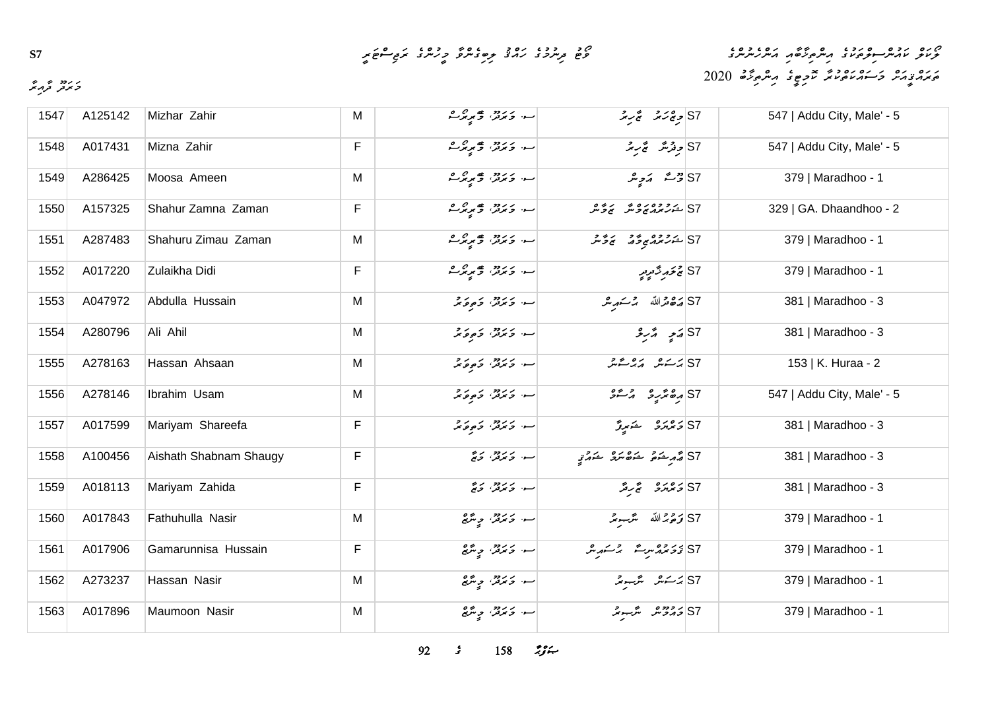*sCw7q7s5w7m< o<n9nOoAw7o< sCq;mAwBoEw7q<m; wBm;vB* م من المرة المرة المرة المرجع المرجع في المركبة 2020<br>مجم*د المريض المربوط المربع المرجع في المراجع المركبة* 

| 1547 | A125142 | Mizhar Zahir           | M | سه درود گرمرمرگ    | S7  <i>ج چ ئەنگە</i> گھ بىرىمە                           | 547   Addu City, Male' - 5 |
|------|---------|------------------------|---|--------------------|----------------------------------------------------------|----------------------------|
| 1548 | A017431 | Mizna Zahir            | F | ے دیروز، محر پرے   | S7 <i>جِنْدَتْھُ جُنِيرُ</i>                             | 547   Addu City, Male' - 5 |
| 1549 | A286425 | Moosa Ameen            | M | ے دیروز، کھریرے    |                                                          | 379   Maradhoo - 1         |
| 1550 | A157325 | Shahur Zamna Zaman     | F | ے دیرو، موبرے      | S7 شەرىم <i>دە بىر يىۋىل</i>                             | 329   GA. Dhaandhoo - 2    |
| 1551 | A287483 | Shahuru Zimau Zaman    | M | ے دیروز، کھریرے    | S7 شرىرمى ئەمەسىم ئىس                                    | 379   Maradhoo - 1         |
| 1552 | A017220 | Zulaikha Didi          | F | ے دروہ مصر میں     | S7 جُ تَحمِر شَّعرِ مرِ                                  | 379   Maradhoo - 1         |
| 1553 | A047972 | Abdulla Hussain        | M | سه وبردد وکرور     | S7 مَەھقراللە ج <i>ىستىم م</i> ىر                        | 381   Maradhoo - 3         |
| 1554 | A280796 | Ali Ahil               | M | سە ئەترىقى ئەمرەتر | S7 <i>جُمْعِيہ مُرَّجَّر مُ</i>                          | 381   Maradhoo - 3         |
| 1555 | A278163 | Hassan Ahsaan          | M | سه زيروه زمرد      | S7 ئەسكىش كەن ئەشكىتى                                    | 153   K. Huraa - 2         |
| 1556 | A278146 | Ibrahim Usam           | M | سا د ترتر، د پروتر | S7 مەھ <i>مگرى</i> مەشىر                                 | 547   Addu City, Male' - 5 |
| 1557 | A017599 | Mariyam Shareefa       | F | سە ئەيرىق ئەمرىمى  | S7 كەنگەر ئىم ئىم ئىراق بىر                              | 381   Maradhoo - 3         |
| 1558 | A100456 | Aishath Shabnam Shaugy | F | سه کامروژ کامج     | S7 مَّ مِـ شَمَّ مِّ مَعَ مِّ مَسَرِّرٌ مِّ سَمَّ مِّ مِ | 381   Maradhoo - 3         |
| 1559 | A018113 | Mariyam Zahida         | F | سە كەندىق كەنج     | S7 <i>وَ بُرْ بِرُوْ بِيُّ رِ</i> بُرُ                   | 381   Maradhoo - 3         |
| 1560 | A017843 | Fathuhulla Nasir       | M | سە كەنگەنى بەيگەنج | S7 كَرْحْرْ بْلُلّه مْدَّبْ بْرْ                         | 379   Maradhoo - 1         |
| 1561 | A017906 | Gamarunnisa Hussain    | F | سە ئەترىق بەشقى    | S7 تۈك <i>ر قەمبرىگە</i> برگىزمېرىش                      | 379   Maradhoo - 1         |
| 1562 | A273237 | Hassan Nasir           | M | ے دیکھی ویڈھ       | S7 كەسكەش مىگە يىلمەتتىر                                 | 379   Maradhoo - 1         |
| 1563 | A017896 | Maumoon Nasir          | M | سە كەنگەرچە كەنگە  | S7 <i>كەمەھىر</i> مەسىر                                  | 379   Maradhoo - 1         |

*92 sC 158 nNw?mS*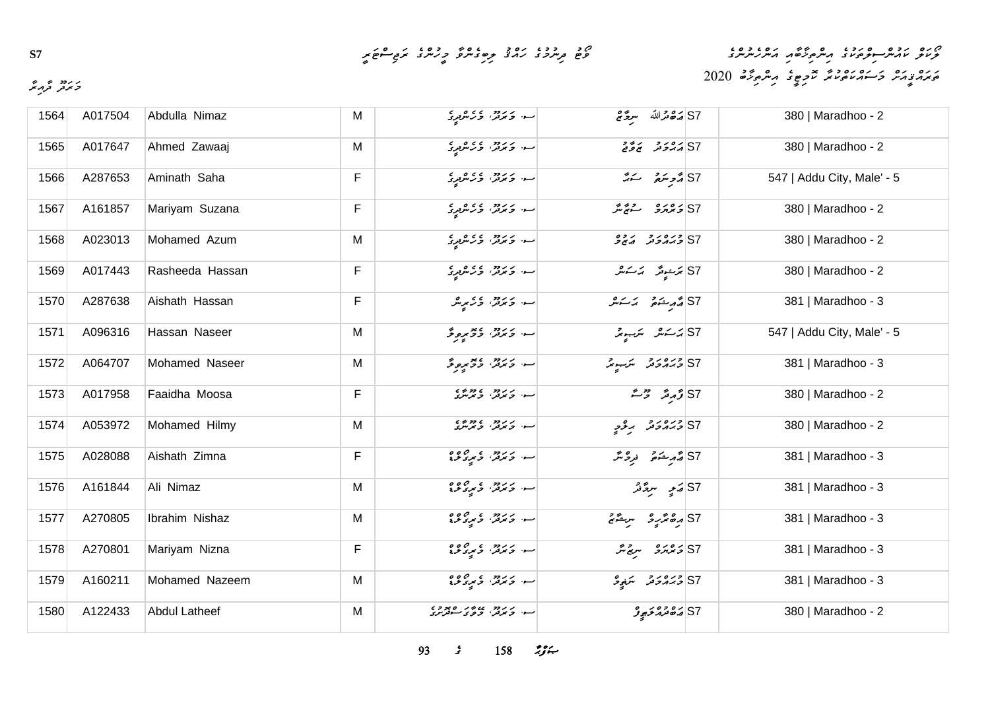*sCw7q7s5w7m< o<n9nOoAw7o< sCq;mAwBoEw7q<m; wBm;vB* م من المرة المرة المرة المرجع المرجع في المركبة 2020<br>مجم*د المريض المربوط المربع المرجع في المراجع المركبة* 

|  | シーショコンシ        |
|--|----------------|
|  | و برتر تربر بر |

| 1564 | A017504 | Abdulla Nimaz        | M | ر درود ۱۵۶۵ و د                                     | S7 مَەقتراللە س <i>ىۋىم</i>      | 380   Maradhoo - 2         |
|------|---------|----------------------|---|-----------------------------------------------------|----------------------------------|----------------------------|
| 1565 | A017647 | Ahmed Zawaaj         | M | ے کردو عام وہ ع                                     | S7 كەبروتىر بىر <i>قى</i>        | 380   Maradhoo - 2         |
| 1566 | A287653 | Aminath Saha         | F | ے کردو عام وہ ع                                     | S7 مُرْحِبَهُ جَبَّدُ            | 547   Addu City, Male' - 5 |
| 1567 | A161857 | Mariyam Suzana       | F | ــــ ويروه على ور                                   | S7 كەندىر ھەم ئىستى ئىگە         | 380   Maradhoo - 2         |
| 1568 | A023013 | Mohamed Azum         | M |                                                     | S7 <i>جەممى ھەم ج</i>            | 380   Maradhoo - 2         |
| 1569 | A017443 | Rasheeda Hassan      | F | ے کردو عام وہ ع                                     | S7 يَرَجُونَّزُ - يَرْ سَرْ مَرْ | 380   Maradhoo - 2         |
| 1570 | A287638 | Aishath Hassan       | F | ے کا بردہ کا بربر                                   | S7 مەم يىققى ئەسكەنلەر           | 381   Maradhoo - 3         |
| 1571 | A096316 | Hassan Naseer        | M | ب كەردە ، ئەمرەتى                                   | S7   يَرْسَمْدُ - مَرْسِومُرْ    | 547   Addu City, Male' - 5 |
| 1572 | A064707 | Mohamed Naseer       | M | ب ريږدو ملي کو                                      | S7 <i>وُيُرُودُوْ</i> سَرَجِيْرُ | 381   Maradhoo - 3         |
| 1573 | A017958 | Faaidha Moosa        | F | ر درود. ۱۳۶۵ و.<br>سه و برتر، و برس                 | S7 ۇرى <i>گە</i> تۇش             | 380   Maradhoo - 2         |
| 1574 | A053972 | Mohamed Hilmy        | M | ק קודם הפידי ה<br>היי פידוקי פידועים                | S7 <i>وبروبرو ب</i> وتو          | 380   Maradhoo - 2         |
| 1575 | A028088 | Aishath Zimna        | F | ر درود و ۵۵۵<br>سه وبرتر، وبردمو                    | S7 مُەمِ ھۇس فرقىد               | 381   Maradhoo - 3         |
| 1576 | A161844 | Ali Nimaz            | M | سه کردو کا ۱۵۵۵                                     | S7 ک <sup>ے</sup> موقت مرقت      | 381   Maradhoo - 3         |
| 1577 | A270805 | Ibrahim Nishaz       | M | سه کردو کا ۱۵۵۵                                     | S7 م <i>ەھگرى</i> ھرىشى          | 381   Maradhoo - 3         |
| 1578 | A270801 | Mariyam Nizna        | F | سه کردو کا ۱۵۵۵                                     | S7 <i>و بروز</i> و سرچ مگر       | 381   Maradhoo - 3         |
| 1579 | A160211 | Mohamed Nazeem       | M | سه کردو کا ۱۵۵۵                                     | S7 <i>وبروبرو سَنِوِ</i> وْ      | 381   Maradhoo - 3         |
| 1580 | A122433 | <b>Abdul Latheef</b> | M | ر بر دو در در ۲۶ و د د د<br>سه او برتر او و د ستترس | S7 <i>مُـەفرمْ ج</i> وِرْ        | 380   Maradhoo - 2         |

*93 s* 158 *fg*  $\rightarrow$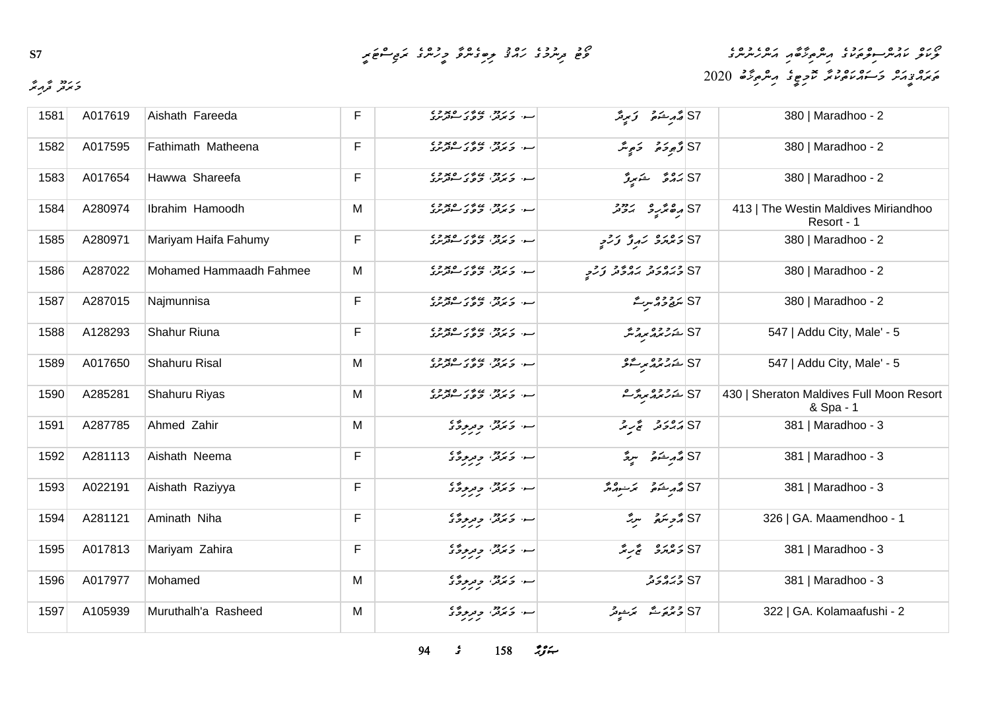*sCw7q7s5w7m< o<n9nOoAw7o< sCq;mAwBoEw7q<m; wBm;vB* م من المرة المرة المرة المرجع المرجع في المركبة 2020<br>مجم*د المريض المربوط المربع المرجع في المراجع المركبة* 

| 1581 | A017619 | Aishath Fareeda         | F | ر در دو در دو د دود و<br>سه وبوتر، ووی سهترس               | S7 م <i>ۇم شەق ق</i> ومچىگە                          | 380   Maradhoo - 2                                    |
|------|---------|-------------------------|---|------------------------------------------------------------|------------------------------------------------------|-------------------------------------------------------|
| 1582 | A017595 | Fathimath Matheena      | F | ر در دور ۱۶۵۵ وروز ده.<br>سه کابوتور، گرفوی سه توربوی      | S7 زَّجِرْۃَ وَمِيٹَر                                | 380   Maradhoo - 2                                    |
| 1583 | A017654 | Hawwa Shareefa          | F | ر بر دور در در ۲۶ و د د و د<br>سه از ترکن از برو که سه ترس | S7 <i>بَدُهُمَّ</i> شَمِيرً                          | 380   Maradhoo - 2                                    |
| 1584 | A280974 | Ibrahim Hamoodh         | M | ر در دور ۱۶۵۵ وروز ده.<br>سه کابوتور، گرفوی سه توربوی      | S7 مەھمىر بۇ سىمبىر ئىل                              | 413   The Westin Maldives Miriandhoo<br>Resort - 1    |
| 1585 | A280971 | Mariyam Haifa Fahumy    | F | ر بر دو.<br>سه د برتر، ووی سترس                            | S7 <i>وَ بُرْمَرْ وَ رَ<sub>مُ تِ</sub>وَ وَرْدِ</i> | 380   Maradhoo - 2                                    |
| 1586 | A287022 | Mohamed Hammaadh Fahmee | M | ر در دور ۱۶۵۵ وروز و در ۲<br>سه و نوتور، و و د ستورن       | S7 כנסנים נספים נכ                                   | 380   Maradhoo - 2                                    |
| 1587 | A287015 | Najmunnisa              | F | ر بر دو.<br>سه د برتر، ووی سترس                            | S7 ىن <sub>ى</sub> قى تەرگىرىگە                      | 380   Maradhoo - 2                                    |
| 1588 | A128293 | Shahur Riuna            | F | ر در دو دره در ه برون<br>سه و برتر، و و ی سوترس            | S7 شەرىجەم يىرتە ئىگە                                | 547   Addu City, Male' - 5                            |
| 1589 | A017650 | Shahuru Risal           | M | ر در دور ۱۶۵۵ وروز ده.<br>سه کابوتور، گرفوی سه توربوی      | S7 شەر <i>جەم بەست</i> ىر                            | 547   Addu City, Male' - 5                            |
| 1590 | A285281 | Shahuru Riyas           | М | ر بر دور در در ۲۶ و د د و د<br>سه از ترکن از برو که سه ترس | S7 يۇر <i>مەتە بىر تە</i> شە                         | 430   Sheraton Maldives Full Moon Resort<br>& Spa - 1 |
| 1591 | A287785 | Ahmed Zahir             | M | ب کریږده ومروځ                                             | S7 <i>مەنەۋىتى بى ئى</i> رىتى                        | 381   Maradhoo - 3                                    |
| 1592 | A281113 | Aishath Neema           | F | ب کردو وترود کا                                            | S7 مُدشَعْ سِعٌ                                      | 381   Maradhoo - 3                                    |
| 1593 | A022191 | Aishath Raziyya         | F | ب. زبردو، وترووی                                           | S7 مُ مِشَمَّ مَنِ مِمَّة مُ                         | 381   Maradhoo - 3                                    |
| 1594 | A281121 | Aminath Niha            | F | ب. زبردو، وترووی                                           | S7 مُّحِسَمُ مِنْ مِنْ                               | 326   GA. Maamendhoo - 1                              |
| 1595 | A017813 | Mariyam Zahira          | F | ب ریږد. ویروژی                                             | S7 كەبىر بىر ئىچ كەنگە                               | 381   Maradhoo - 3                                    |
| 1596 | A017977 | Mohamed                 | M | ب كردو وترود كا                                            | S7ا <i>ۋېروگو</i> تر                                 | 381   Maradhoo - 3                                    |
| 1597 | A105939 | Muruthalh'a Rasheed     | M | ب. زبردو، وترودگی                                          | S7 ۇنمۇمىگە ئىم ئوقر                                 | 322   GA. Kolamaafushi - 2                            |

*94 sC 158 nNw?mS*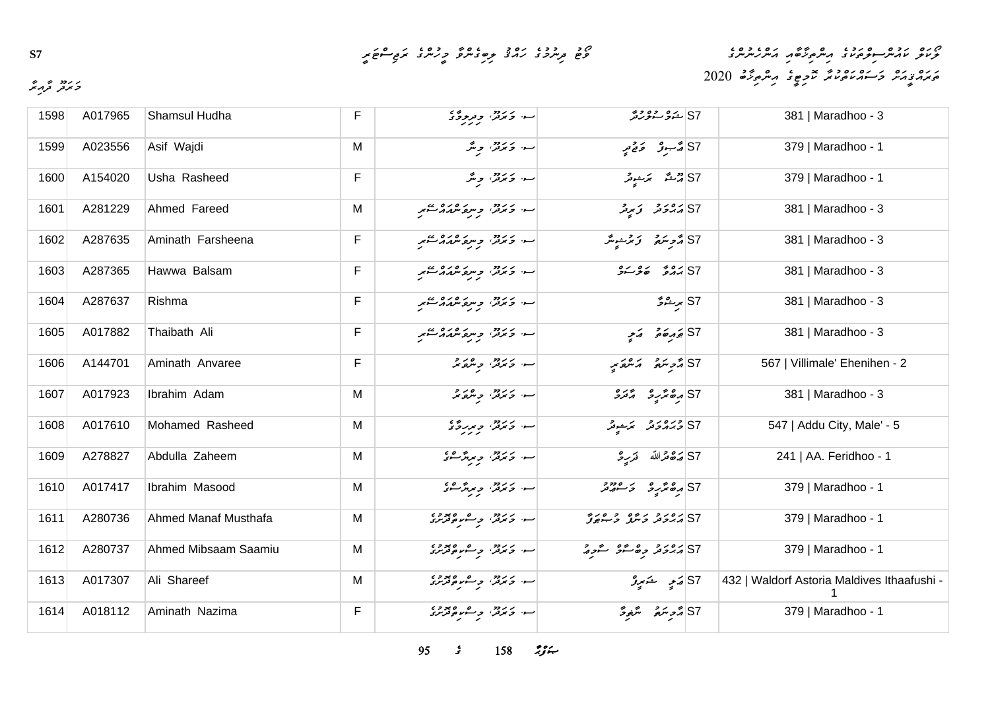*sCw7q7s5w7m< o<n9nOoAw7o< sCq;mAwBoEw7q<m; wBm;vB* م من المرة المرة المرة المرجع المرجع في المركبة 2020<br>مجم*د المريض المربوط المربع المرجع في المراجع المركبة* 

|  | $\begin{array}{ccccc} \circ & \circ & \circ \circ \end{array}$ |  |
|--|----------------------------------------------------------------|--|
|  | وبمرتز ترمرمز                                                  |  |

| 1598 | A017965 | Shamsul Hudha        | $\mathsf F$ | ب. کریزده و تروگر        | S7 خەۋىتەۋر تى                             | 381   Maradhoo - 3                          |
|------|---------|----------------------|-------------|--------------------------|--------------------------------------------|---------------------------------------------|
| 1599 | A023556 | Asif Wajdi           | M           | سە كەندىق جانگ           | S7 ۾ُ سور وَقي م                           | 379   Maradhoo - 1                          |
| 1600 | A154020 | Usha Rasheed         | F           | سە كەندىق جانگ           | S7 پُرْتُمُ کَرَسُوِتَرُ                   | 379   Maradhoo - 1                          |
| 1601 | A281229 | Ahmed Fareed         | M           | سه وبردد وسر مره ده به   | S7 <i>ړُدو تر وَبې</i> تر                  | 381   Maradhoo - 3                          |
| 1602 | A287635 | Aminath Farsheena    | F           | سه وبرده وسره ده به      | S7 مٌ <i>وِ مَرَمْ فَسَرْ مَرْسُومَرَّ</i> | 381   Maradhoo - 3                          |
| 1603 | A287365 | Hawwa Balsam         | F           | תיי בינטי כיתפיתומים     | $3 - 36$ $3 - 57$ ST                       | 381   Maradhoo - 3                          |
| 1604 | A287637 | Rishma               | F           | سوا ويوترا وسره مدر عامد | S7 برشۇ گە                                 | 381   Maradhoo - 3                          |
| 1605 | A017882 | Thaibath Ali         | F           | سه كردود كرسره ده ده .   |                                            | 381   Maradhoo - 3                          |
| 1606 | A144701 | Aminath Anvaree      | F           | سه وبرود وسروبر          | S7 مُرْحِسَمُ مَسْمَعَ سِمِ                | 567   Villimale' Ehenihen - 2               |
| 1607 | A017923 | Ibrahim Adam         | M           | سه وبردو و هرو و         | S7 مەھەرىپ ئەرە                            | 381   Maradhoo - 3                          |
| 1608 | A017610 | Mohamed Rasheed      | M           | سہ ویری ویرزوی           | S7 <i>وُبُرُودُو تَرَ</i> حُومُرُ          | 547   Addu City, Male' - 5                  |
| 1609 | A278827 | Abdulla Zaheem       | M           | سه کرېږدو وېروگروي       | S7 كەھەراللە ق <i>رى</i> رۇ                | 241   AA. Feridhoo - 1                      |
| 1610 | A017417 | Ibrahim Masood       | M           | ے کروڑ ویراگردی          | S7 مەھمگرىق كەسھەتر                        | 379   Maradhoo - 1                          |
| 1611 | A280736 | Ahmed Manaf Musthafa | M           | سه کامرده و شهره وده     | S7 גיבנג ביינג בהופל                       | 379   Maradhoo - 1                          |
| 1612 | A280737 | Ahmed Mibsaam Saamiu | M           | ے کروڑ وے موضوع          | S7 ړُرو ده څو گرو                          | 379   Maradhoo - 1                          |
| 1613 | A017307 | Ali Shareef          | M           | سه کرېږده و شره ووه ده   | S7 <i>۾َ جِه ڪپرو</i>                      | 432   Waldorf Astoria Maldives Ithaafushi - |
| 1614 | A018112 | Aminath Nazima       | F           | ب کرده و شروعه و دره     | S7 <i>مُتَّحِسَمُ</i> سُمُوحٌ              | 379   Maradhoo - 1                          |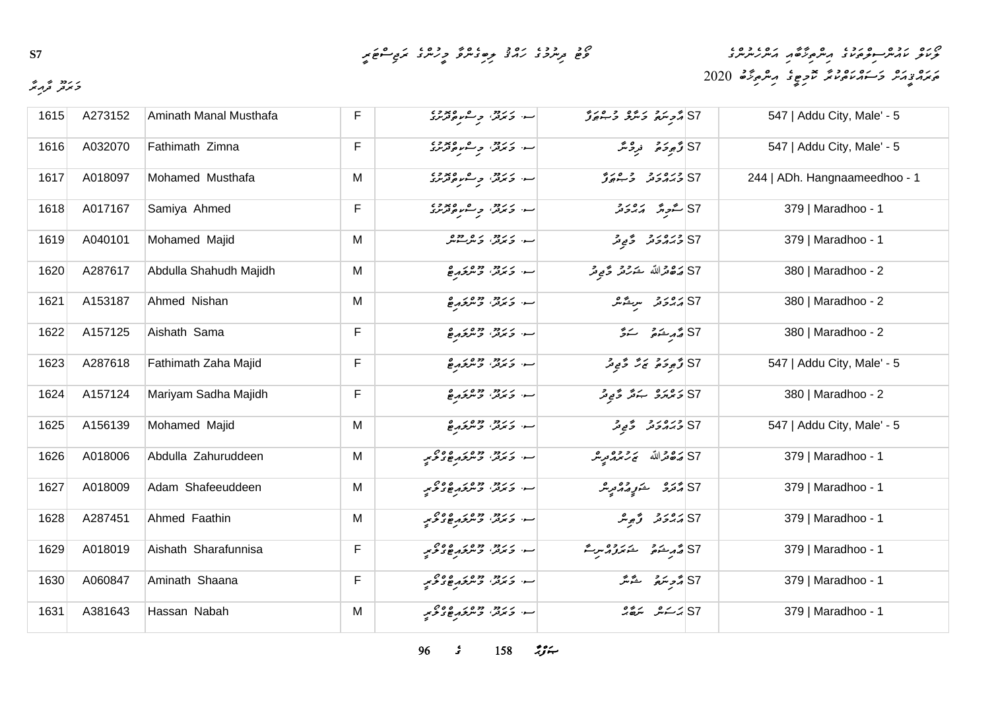*sCw7q7s5w7m< o<n9nOoAw7o< sCq;mAwBoEw7q<m; wBm;vB* م من المرة المرة المرة المرجع المرجع في المركبة 2020<br>مجم*د المريض المربوط المربع المرجع في المراجع المركبة* 

| 1615 | A273152 | Aminath Manal Musthafa | F | ے دیکھی ویشروفوردی                               | S7 أ <i>مْ جِ سَرْةَ حَ جَ</i> وَ صِبْحَ فِي سَنَ مِنْ | 547   Addu City, Male' - 5    |
|------|---------|------------------------|---|--------------------------------------------------|--------------------------------------------------------|-------------------------------|
| 1616 | A032070 | Fathimath Zimna        | F | ے کروڑ وے مقدمی                                  | S7 ۇ <sub>ج</sub> وڭ <sub>م</sub> ۇ مۇرگىگر            | 547   Addu City, Male' - 5    |
| 1617 | A018097 | Mohamed Musthafa       | M | سه کریږي و شره ویوده                             | S7 در در د و درو                                       | 244   ADh. Hangnaameedhoo - 1 |
| 1618 | A017167 | Samiya Ahmed           | F | ب کردو و شروه ده                                 | S7 گەجەم ئەبرەتر                                       | 379   Maradhoo - 1            |
| 1619 | A040101 | Mohamed Majid          | M | ے کا بروہ کا بھر دورہ                            | S7 <i>دېزونه د ۋې</i> تر                               | 379   Maradhoo - 1            |
| 1620 | A287617 | Abdulla Shahudh Majidh | M | - وبردو دوه دره                                  | S7 رەجراللە خەرىر گەيەتر                               | 380   Maradhoo - 2            |
| 1621 | A153187 | Ahmed Nishan           | M | ر درود دور و ده در ه                             | S7 كەبروتر س <sub>ى</sub> شگىر                         | 380   Maradhoo - 2            |
| 1622 | A157125 | Aishath Sama           | F | ر درود دور و<br>سه و برتر، و سربورغ              | S7 مەم شەمۇر سىدۇر                                     | 380   Maradhoo - 2            |
| 1623 | A287618 | Fathimath Zaha Majid   | F | سه و بردو دور و                                  | S7 ۇُج <sup>و</sup> دَ ئ <sup>و</sup> ئۇ ئەر           | 547   Addu City, Male' - 5    |
| 1624 | A157124 | Mariyam Sadha Majidh   | F | ر درود دور و ده در ه                             | S7 كەنگەر ئەنگە گەنى تەر                               | 380   Maradhoo - 2            |
| 1625 | A156139 | Mohamed Majid          | M | ر درود دور و<br>سه وبرتر، وسرورج                 | S7 <i>جەيمۇقى گەق</i> ر                                | 547   Addu City, Male' - 5    |
| 1626 | A018006 | Abdulla Zahuruddeen    | M | سه کرده ده در ۵۵۵                                | S7 مَەھْتَراللە   ي <sup>ەر ب</sup> رمەيرىتر           | 379   Maradhoo - 1            |
| 1627 | A018009 | Adam Shafeeuddeen      | M | ر درود دوه در ۵۵۵<br>سوا و برتر، و سرگرم های گرم | S7 <i>مُحَرَّدُ ـ جُوَ مُ</i> مُعْرِ مُرَّ مُرَّ مِنْ  | 379   Maradhoo - 1            |
| 1628 | A287451 | Ahmed Faathin          | M | سه کرده ده وره ۵۵۵                               | S7 <i>مەندى قىمبىر</i>                                 | 379   Maradhoo - 1            |
| 1629 | A018019 | Aishath Sharafunnisa   | F | سه وبردو دوروه وه                                | S7 مەم ئىيم ئىيم ئىز ئەر ئىس ئىس                       | 379   Maradhoo - 1            |
| 1630 | A060847 | Aminath Shaana         | F | - رردو دوه روه وه                                | S7 مُ <i>جِي مَعْ جَمْ</i> مَثَر مُحَمَّد              | 379   Maradhoo - 1            |
| 1631 | A381643 | Hassan Nabah           | M | ر درود وده در ۵۵۵<br>را د ترتر، و شرفه ۱۵۵ و بر  | S7 ئەسەھەر ئىدە 2                                      | 379   Maradhoo - 1            |

**96** *s* **158** *n***<sub>s</sub>**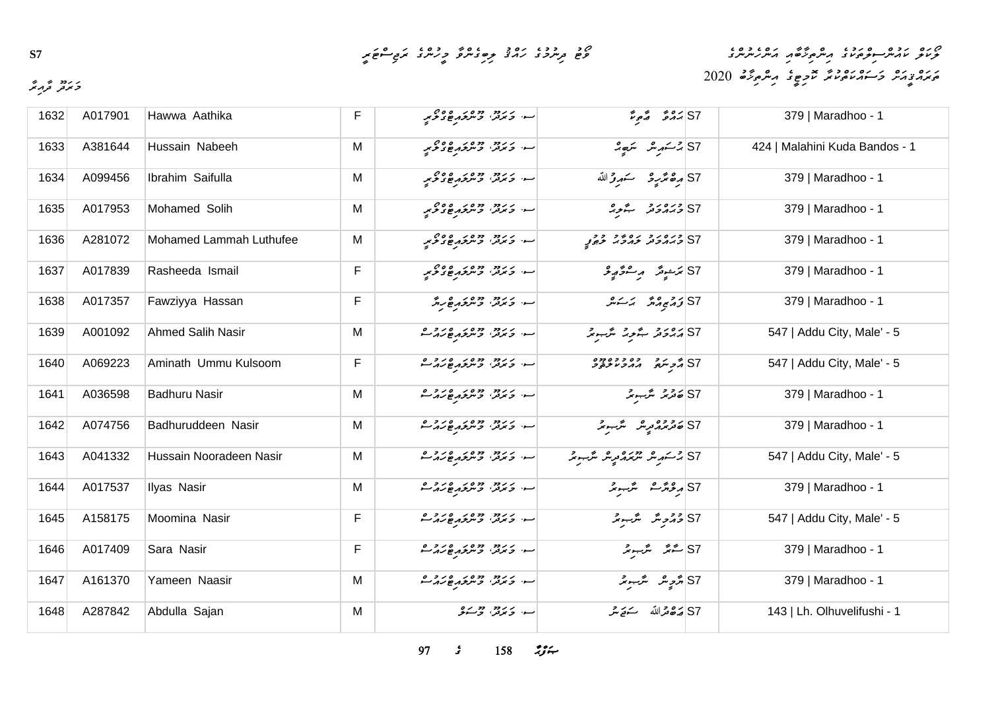*sCw7q7s5w7m< o<n9nOoAw7o< sCq;mAwBoEw7q<m; wBm;vB* م من المرة المرة المرة المرجع المرجع في المركبة 2020<br>مجم*د المريض المربوط المربع المرجع في المراجع المركبة* 

| A017901 | Hawwa Aathika            | F | ــــ د دوه وورد ووه د   | S7 ئەبرق ق <sub>ى</sub> م ق                      | 379   Maradhoo - 1             |
|---------|--------------------------|---|-------------------------|--------------------------------------------------|--------------------------------|
| A381644 | Hussain Nabeeh           | M | ر درود دور ۵۵۵          | S7 پر کمبر شرح میں میں ک                         | 424   Malahini Kuda Bandos - 1 |
| A099456 | Ibrahim Saifulla         | M | سه کالان دوروه وه وهم   | S7 م <i>وڭگرې</i> 5 كمر <i>و</i> گالله           | 379   Maradhoo - 1             |
| A017953 | Mohamed Solih            | M | سه کرده ده در ۵۵۵       | S7 <i>ڈیزوڈنز</i> بگری                           | 379   Maradhoo - 1             |
| A281072 | Mohamed Lammah Luthufee  | M | سه کالان دورو وه وه کال | S7 <i>בגמבת בחבר ב</i> ר                         | 379   Maradhoo - 1             |
| A017839 | Rasheeda Ismail          | F | سه کرده ده وره ۵۵۵      | S7 ىَرَس <sub>ْبِ</sub> مَّر بِرِ سْرَدَّبِرِ وْ | 379   Maradhoo - 1             |
| A017357 | Fawziyya Hassan          | F | ب كورو وورو كور محمد بر | S7 ۇرىم بەشقە بەسكەنلەر                          | 379   Maradhoo - 1             |
| A001092 | <b>Ahmed Salih Nasir</b> | M | سه وبردو دوم وروم       | S7 <i>גُرْدُدَ تَدْ جِرْ</i> مُرْجِعْ            | 547   Addu City, Male' - 5     |
| A069223 | Aminath Ummu Kulsoom     | F | ر درود دوه ده در ده     | ST مُرْمِسْهِ مُمْدَمَّدَةٍ وَمِنْ               | 547   Addu City, Male' - 5     |
| A036598 | <b>Badhuru Nasir</b>     | M | سه وبردو دوم وروه       | S7 ەقرىمە مەسىمە                                 | 379   Maradhoo - 1             |
| A074756 | Badhuruddeen Nasir       | M |                         | S7 <i>ھۆپرو بوبىر گرېبوبر</i>                    | 379   Maradhoo - 1             |
| A041332 | Hussain Nooradeen Nasir  | м | - ریز ده ده در ۲۵۶۰     | S7 پُرکرمر میں مزیر مرید مگر ہے۔<br>ا            | 547   Addu City, Male' - 5     |
| A017537 | Ilyas Nasir              | M | سه وبردو دوم وروه       | S7 مەنزىر مىشىر ئىلىنىدىنى ئىسىز                 | 379   Maradhoo - 1             |
| A158175 | Moomina Nasir            | F |                         | S7 دُوۡرَوِ مَرۡ مُرۡسِمِرُ                      | 547   Addu City, Male' - 5     |
| A017409 | Sara Nasir               | F | سه وبردو دوم وروه       | S7 گەنگە مەمگرىيەتكە                             | 379   Maradhoo - 1             |
| A161370 | Yameen Naasir            | M | ת נגמר מסוג סובס        |                                                  | 379   Maradhoo - 1             |
| A287842 | Abdulla Sajan            | M | سە كەيدىق تۇسۇمى        | S7 مَەھمَراللە سَىمَ مَر                         | 143   Lh. Olhuvelifushi - 1    |
|         |                          |   |                         |                                                  |                                |

*97 sC 158 nNw?mS*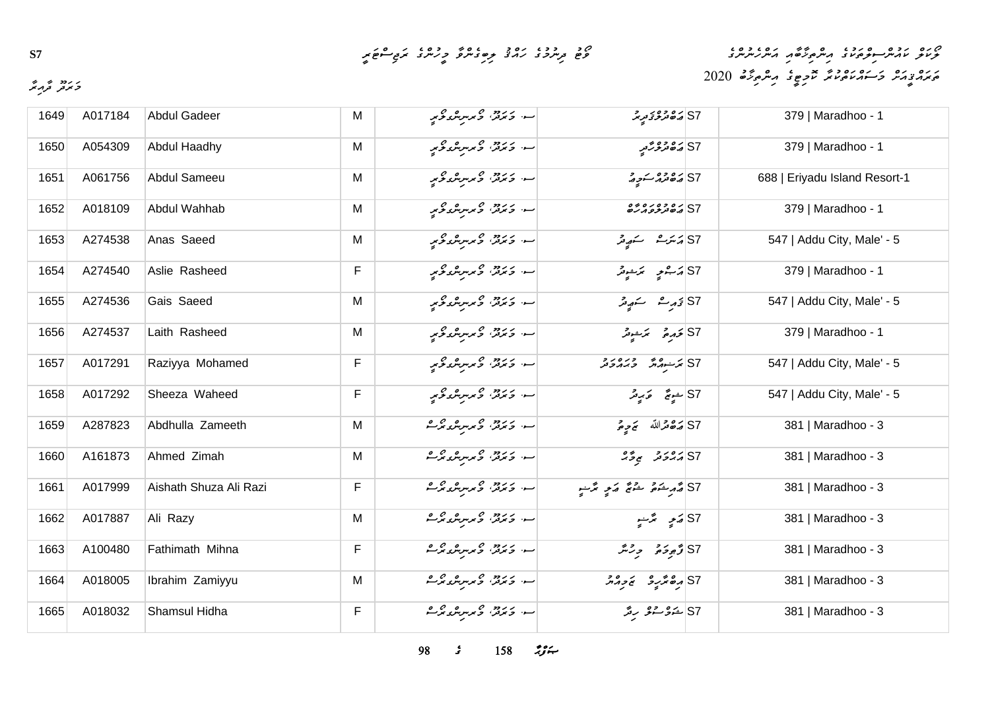*sCw7q7s5w7m< o<n9nOoAw7o< sCq;mAwBoEw7q<m; wBm;vB* م من المرة المرة المرة المرجع المرجع في المركبة 2020<br>مجم*د المريض المربوط المربع المرجع في المراجع المركبة* 

|  | $\begin{array}{ccccc} \circ & \circ & \circ \circ \end{array}$ |
|--|----------------------------------------------------------------|
|  | ح بمرفر افرا <i>م پ</i> ر                                      |

| 1649 | A017184 | <b>Abdul Gadeer</b>    | M           | ے کا کروڑ کا مرسر سر کو کر کر | S7 كەھ ترىۋ توپر                         | 379   Maradhoo - 1            |
|------|---------|------------------------|-------------|-------------------------------|------------------------------------------|-------------------------------|
| 1650 | A054309 | <b>Abdul Haadhy</b>    | M           | ے کا کروڑ کا مرس مگر کر کر    | S7 كەھىر بۇرتىر                          | 379   Maradhoo - 1            |
| 1651 | A061756 | Abdul Sameeu           | M           | ے کا کروڑ کا مرس مگر کرمی     | S7 كەھ <i>قىرە شىمبە</i> ر               | 688   Eriyadu Island Resort-1 |
| 1652 | A018109 | Abdul Wahhab           | M           | ب. ئەنگە ئەربىرىكىگە          | S7 كەھەرم بەرە بەھ                       | 379   Maradhoo - 1            |
| 1653 | A274538 | Anas Saeed             | M           | ے کروڑ کا مرس مربو کو مر      | S7  پرسزمت مسکوپیٹر                      | 547   Addu City, Male' - 5    |
| 1654 | A274540 | Aslie Rasheed          | $\mathsf F$ | ب. ئەنگە ئەربىرىكىگە          | S7 كەس <sup>ى</sup> مىچە سىمكىسىدىمە     | 379   Maradhoo - 1            |
| 1655 | A274536 | Gais Saeed             | M           | ے کا کروڑ کا مرسر مگر کرمی    | S7 تۇم <sup>ىر سە</sup> مپىتر            | 547   Addu City, Male' - 5    |
| 1656 | A274537 | Laith Rasheed          | M           | ے کا کروڑ کا مرس مگر کرمی     | S7 كَرْمِرْهُ كَرَسُونْدُ                | 379   Maradhoo - 1            |
| 1657 | A017291 | Raziyya Mohamed        | $\mathsf F$ | ب. ئەنگە ئەربىرىكىگە          | S7 ىزىنېدىگە ئەتەر ئەر                   | 547   Addu City, Male' - 5    |
| 1658 | A017292 | Sheeza Waheed          | F           | ے کا کروڑ کا مرسر مگر کرمی    | S7 شويج       قرير قمر                   | 547   Addu City, Male' - 5    |
| 1659 | A287823 | Abdhulla Zameeth       | M           | ے کروڑ کا مرس میں میں         | S7 مَەھىراللە ئ <sub>ىم جو</sub> مۇ      | 381   Maradhoo - 3            |
| 1660 | A161873 | Ahmed Zimah            | M           | ے کا کروڑ کا مرس مگر مرے      | S7 <i>2222 بودً ب</i>                    | 381   Maradhoo - 3            |
| 1661 | A017999 | Aishath Shuza Ali Razi | F           | ے کریں کا مرس میں مرت         | S7 مُرمِشَمُ شَيِّ مَعِ مُرْبِ           | 381   Maradhoo - 3            |
| 1662 | A017887 | Ali Razy               | M           | ے کروڑ کا مرس مگر مرگ         | S7ھوچ مگرسو                              | 381   Maradhoo - 3            |
| 1663 | A100480 | Fathimath Mihna        | F           | ے کروڑ کے مرس مگر مرت         | S7 زَّەپ <i>ەدَە</i> ب <sub>ە</sub> رتىر | 381   Maradhoo - 3            |
| 1664 | A018005 | Ibrahim Zamiyyu        | M           | ے کریں کا مرس میں مرت         | S7 مەھەرىرى ئەرمەر                       | 381   Maradhoo - 3            |
| 1665 | A018032 | Shamsul Hidha          | F           | ے کریں کرسر مرکز کرے          | S7 ڪر <i>ي گري ر</i> نگر                 | 381   Maradhoo - 3            |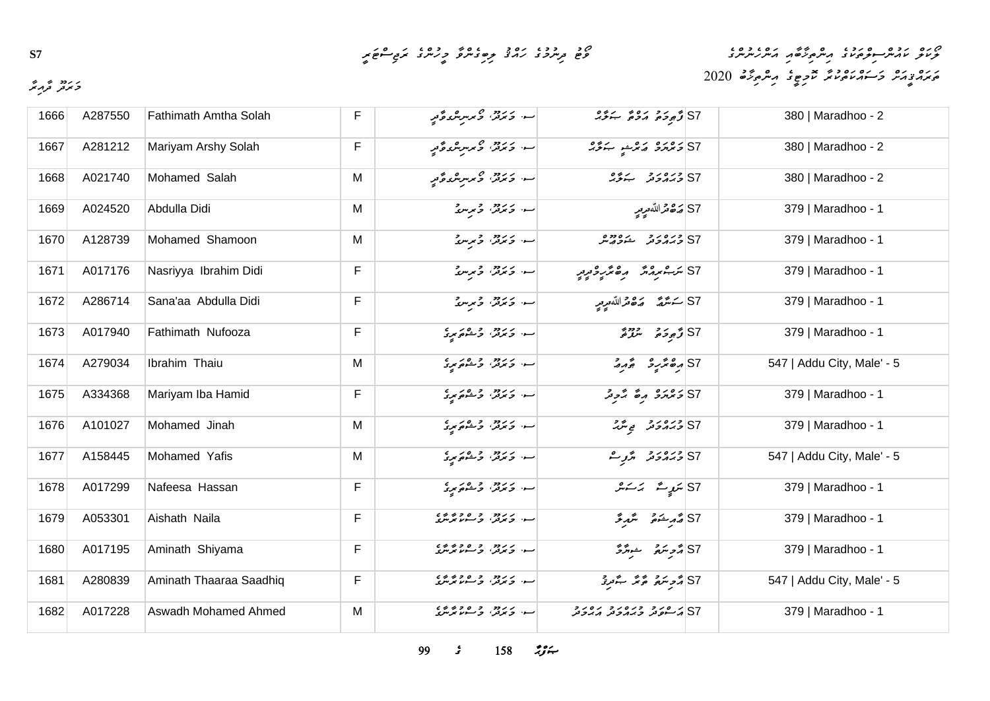*sCw7q7s5w7m< o<n9nOoAw7o< sCq;mAwBoEw7q<m; wBm;vB 2020*<br>*په پوهر وسوډيرونو لومو د موجو د مرمونه* 2020

| 1666 | A287550 | Fathimath Amtha Solah   | F           | ے کا کروڑ کا مرس مگر گرمر                    | S7 زُودَه رَدَّةَ ٤٤٠                        | 380   Maradhoo - 2         |
|------|---------|-------------------------|-------------|----------------------------------------------|----------------------------------------------|----------------------------|
| 1667 | A281212 | Mariyam Arshy Solah     | $\mathsf F$ | ے کا کروڑ کا مرس مگر گرمی                    | S7 <i>و برمرو ممرکب جو ب</i> کر <i>گ</i> ر   | 380   Maradhoo - 2         |
| 1668 | A021740 | Mohamed Salah           | M           | ے کا کروڑ کا مرس سر کا کر کر میں             | S7 دېږونه جوړه                               | 380   Maradhoo - 2         |
| 1669 | A024520 | Abdulla Didi            | M           | ה בינטי ביניינד                              | S7  كەھىمىراللەمپرىير                        | 379   Maradhoo - 1         |
| 1670 | A128739 | Mohamed Shamoon         | M           | سه کريږي کريده                               | S7 دره د د موه شوهاس                         | 379   Maradhoo - 1         |
| 1671 | A017176 | Nasriyya Ibrahim Didi   | F           | سه وبردو وبرس                                | S7 ىكرىبگىرىدىگە ب <i>وھەتگەر ۋ</i> ىرىر     | 379   Maradhoo - 1         |
| 1672 | A286714 | Sana'aa Abdulla Didi    | F           | سه ويري ويرس                                 | S7 كەشقە كەھەراللەمرىر                       | 379   Maradhoo - 1         |
| 1673 | A017940 | Fathimath Nufooza       | F           | ر در دو د و د د د د<br>سه کامرلل کاشوهامزی   | S7 زَّەپ <i>ەدَە</i> سُدَەْ                  | 379   Maradhoo - 1         |
| 1674 | A279034 | Ibrahim Thaiu           | M           | سه کرېږي و شوېږي                             | S7 مەھمىر ئىقدىم                             | 547   Addu City, Male' - 5 |
| 1675 | A334368 | Mariyam Iba Hamid       | $\mathsf F$ | ر در دو د و د د د د<br>سه کامرلل کاشوهامزی   | S7 دَبَرْ مَرَدٌ مِنْ تَرْدِيْر              | 379   Maradhoo - 1         |
| 1676 | A101027 | Mohamed Jinah           | M           | ر در دو د و د د د د .<br>سه کامرتن کاشوکام د | S7 دېرو د مړينه                              | 379   Maradhoo - 1         |
| 1677 | A158445 | Mohamed Yafis           | M           | ر در دو د و د د د د .<br>سه کامرتن کاشوکام د | S7 <i>\$ 2282 مگو</i> ت                      | 547   Addu City, Male' - 5 |
| 1678 | A017299 | Nafeesa Hassan          | F           | ر در دود و ده در د.<br>سه کامرتر، گرشتمونوی  | S7 سَمِي سَـُ سَـرَ سَـرَ سَر                | 379   Maradhoo - 1         |
| 1679 | A053301 | Aishath Naila           | $\mathsf F$ | سه کرده و دوه وه                             | S7 مەم شىم ئىس ئىر                           | 379   Maradhoo - 1         |
| 1680 | A017195 | Aminath Shiyama         | F           | ر درود و دود ده<br>سه کرکرد کرکسه کرکرد      | S7 مُّحِسَمُ مُشَرَّدٌ                       | 379   Maradhoo - 1         |
| 1681 | A280839 | Aminath Thaaraa Saadhiq | F           | سه کرده و ۱۶۵۵ و.<br>سه کردگر، کاسلامرس      | S7 أَمُّ <i>جِسَعَةُ</i> ۚ قَدْ مُحَمَّدِينَ | 547   Addu City, Male' - 5 |
| 1682 | A017228 | Aswadh Mohamed Ahmed    | M           | سە كەندىق كەسىرىمىتىدى                       | S7 كەسوس دىرەرد رەرد                         | 379   Maradhoo - 1         |

*n8o<n@ r@m8m>*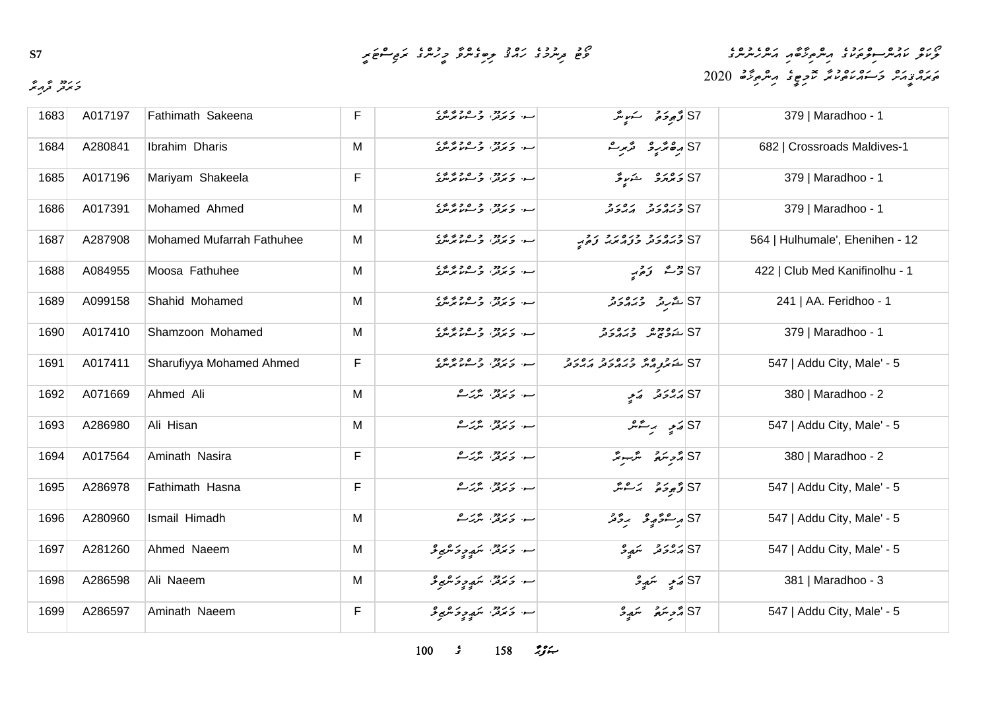*sCw7q7s5w7m< o<n9nOoAw7o< sCq;mAwBoEw7q<m; wBm;vB* م من المرة المرة المرة المرجع المرجع في المركبة 2020<br>مجم*د المريض المربوط المربع المرجع في المراجع المركبة* 

|  | $\begin{array}{ccccc} \circ & \circ & \circ \circ \end{array}$ |
|--|----------------------------------------------------------------|
|  | فرنمرفر الرمير                                                 |
|  |                                                                |

| 1683 | A017197 | Fathimath Sakeena                | F           | سه درود وسرتر شده                     | S7 ۇ <sub>جو</sub> رَة ئەربىر                                  | 379   Maradhoo - 1              |
|------|---------|----------------------------------|-------------|---------------------------------------|----------------------------------------------------------------|---------------------------------|
| 1684 | A280841 | Ibrahim Dharis                   | M           | سه کرده و ۶۵۰۰۰                       | S7 مەھم <i>گرى</i> قىمرىشە                                     | 682   Crossroads Maldives-1     |
| 1685 | A017196 | Mariyam Shakeela                 | F           | سه کرده و ۱۶۵۵ و                      | S7 كەنگەر ئىگە ئىقرىدىگە                                       | 379   Maradhoo - 1              |
| 1686 | A017391 | Mohamed Ahmed                    | M           | سە كەيرى كەسىر ئەرە                   | S7 <i>בגם גם גם גב</i>                                         | 379   Maradhoo - 1              |
| 1687 | A287908 | <b>Mohamed Mufarrah Fathuhee</b> | M           | سه کرده و مورد ده                     | S7 כממכני כמממי נפט                                            | 564   Hulhumale', Ehenihen - 12 |
| 1688 | A084955 | Moosa Fathuhee                   | M           | ر درود و ووه وه<br>سه ویرتر، و سردیرس | S7 چرىشە ئەچمىيە                                               | 422   Club Med Kanifinolhu - 1  |
| 1689 | A099158 | Shahid Mohamed                   | M           | ر درود و ووه وه<br>سه ویرتر، و سردیرس | S7 شرىر ئەبرە دىر                                              | 241   AA. Feridhoo - 1          |
| 1690 | A017410 | Shamzoon Mohamed                 | M           | سە كەندە كەسىر ئەرە                   | S7 ڪوڻ وره دو                                                  | 379   Maradhoo - 1              |
| 1691 | A017411 | Sharufiyya Mohamed Ahmed         | $\mathsf F$ | سه کرده و ۶۵۰۰۰                       | S7 شر در مرد در در در در د                                     | 547   Addu City, Male' - 5      |
| 1692 | A071669 | Ahmed Ali                        | M           | سە كەبردە مەرك                        | S7 <i>2222 مَ</i> حِ                                           | 380   Maradhoo - 2              |
| 1693 | A286980 | Ali Hisan                        | M           | سە ئەيرىق، ئەرىك                      | S7 <sub>ھ</sub> ُج برگھ                                        | 547   Addu City, Male' - 5      |
| 1694 | A017564 | Aminath Nasira                   | F           | سە ئەيرى ئەرمى                        | S7 مُرْحِبَتَهُمْ مُتَنْجِبَتُمْ                               | 380   Maradhoo - 2              |
| 1695 | A286978 | Fathimath Hasna                  | F           | سە كەيرى مەرك                         | S7 ۇ <sub>جو</sub> رَى ئەس <sup>ى</sup> ر                      | 547   Addu City, Male' - 5      |
| 1696 | A280960 | Ismail Himadh                    | M           | سە ئەيرى ئەرمى                        | S7 <sub>م</sub> ېشۇم <sub>ى</sub> ۋ ب <sub>ى</sub> ۋى <i>ز</i> | 547   Addu City, Male' - 5      |
| 1697 | A281260 | Ahmed Naeem                      | M           | ے کرکڑ، شہروکرموکر                    | $S_z = 25.25$ S7                                               | 547   Addu City, Male' - 5      |
| 1698 | A286598 | Ali Naeem                        | M           | ب دىگە سەدە ئىر                       | S7 <i>۾َ جِه سَمِي</i> وُ                                      | 381   Maradhoo - 3              |
| 1699 | A286597 | Aminath Naeem                    | F           |                                       | S7 <i>مُجِرِّسَة مَهِ</i> دُّ                                  | 547   Addu City, Male' - 5      |

*100 s* **158** *<i>n*<sub>1</sub>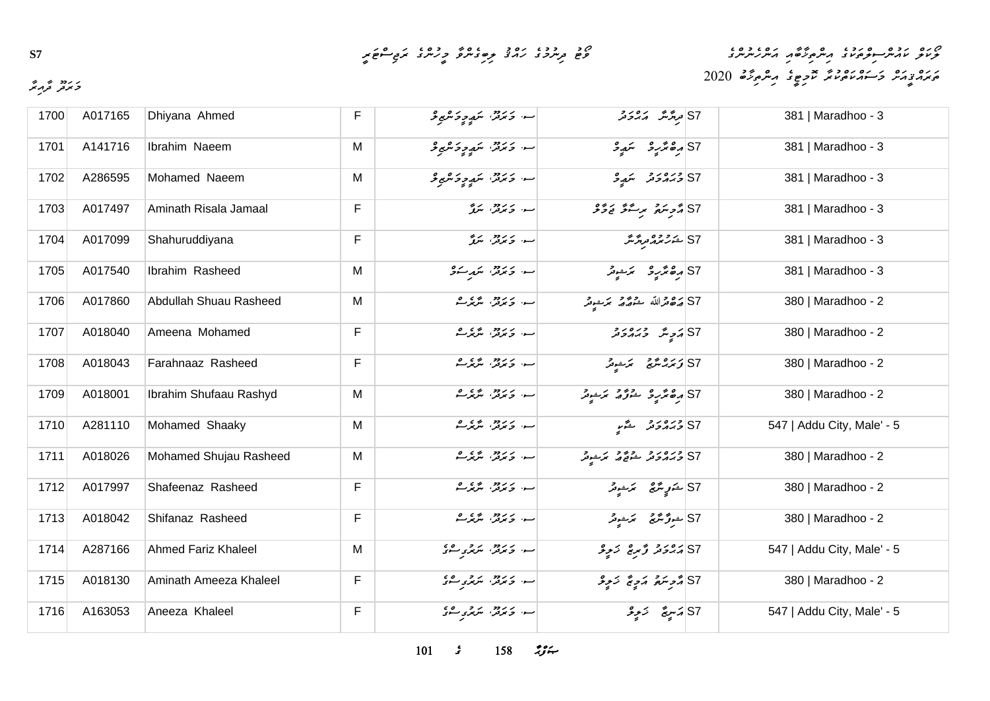*sCw7q7s5w7m< o<n9nOoAw7o< sCq;mAwBoEw7q<m; wBm;vB* م من المرة المرة المرة المرجع المراجع المراجع المراجع المراجع المراجع المراجع المراجع المراجع المراجع المراجع<br>مرين المراجع المراجع المرجع المراجع المراجع المراجع المراجع المراجع المراجع المراجع المراجع المراجع المراجع ال

| 1700 | A017165 | Dhiyana Ahmed              | F           | ے کا تکری اس کے مربع کی ا    | S7 م <sub>ی</sub> رمَّدَّ ک <sup>م</sup> رکومَر                                                                       | 381   Maradhoo - 3         |
|------|---------|----------------------------|-------------|------------------------------|-----------------------------------------------------------------------------------------------------------------------|----------------------------|
| 1701 | A141716 | Ibrahim Naeem              | M           | ے د برقر، سَھوچ کرھی گ       | S7  مەھمىرى ئىمرى<br>                                                                                                 | 381   Maradhoo - 3         |
| 1702 | A286595 | Mohamed Naeem              | M           | ے کا کروڑ، سکھ پر کا سرچا کر | S7 <i>جەنگە ئاقىدۇ</i>                                                                                                | 381   Maradhoo - 3         |
| 1703 | A017497 | Aminath Risala Jamaal      | F           | سا ئەندىق ئىرگە              | S7 مُتَّرِسَمُ بِرِسْتَرَّ مَوَّرَّ                                                                                   | 381   Maradhoo - 3         |
| 1704 | A017099 | Shahuruddiyana             | F           | سە كەندىق ئىرگە              | S7 شەر <i>جەم بەر ئە</i> گە                                                                                           | 381   Maradhoo - 3         |
| 1705 | A017540 | Ibrahim Rasheed            | M           | ے دیکھی شہر کے د             | S7 م <i>ەھەرگە تىلىنى</i> قىلىنىشى ئىككەنتىكى ئىگەنتىكى ئىككەنتىكى ئىككەنتىكى ئىككەنتى ئىككەنتى ئىگكەنتىكە ئىككەنتى ئ | 381   Maradhoo - 3         |
| 1706 | A017860 | Abdullah Shuau Rasheed     | M           | سەر ئەيرىش، ئىگەنگەك         | S7 رَصْحْرَاللَّهُ شَ <i>دْوَرْهُ</i> مَرْشِي <sup>و</sup> َرْ                                                        | 380   Maradhoo - 2         |
| 1707 | A018040 | Ameena Mohamed             | F           | ب پر برده مرکز ک             | S7 كەچ ئىر قەيرە <i>دە</i> ر ق                                                                                        | 380   Maradhoo - 2         |
| 1708 | A018043 | Farahnaaz Rasheed          | F           | ے دیروہ شرکت                 | S7 <i>ۇنترىگى ئىمشوق</i> ر                                                                                            | 380   Maradhoo - 2         |
| 1709 | A018001 | Ibrahim Shufaau Rashyd     | M           | ب په دېرون شرکرگ             | S7 مەھەر بەر ئەزەر ئىر ئىرىدىر                                                                                        | 380   Maradhoo - 2         |
| 1710 | A281110 | Mohamed Shaaky             | M           | ب په دېروه، مترتکه شو        | S7 دېرورو شمېر                                                                                                        | 547   Addu City, Male' - 5 |
| 1711 | A018026 | Mohamed Shujau Rasheed     | M           | ب پر برده مرکز ک             | S7 <i>وبروبرو موقع پر موسو</i> تر                                                                                     | 380   Maradhoo - 2         |
| 1712 | A017997 | Shafeenaz Rasheed          | $\mathsf F$ | ب پر پروژ، مگرنگ             | S7 ڪوپر مگرچ ڪرھيونگر                                                                                                 | 380   Maradhoo - 2         |
| 1713 | A018042 | Shifanaz Rasheed           | F           | سە ئەيرى ئەيرىش              | S7 سورٌ مَّرْمٌ گرَسُومُرُ                                                                                            | 380   Maradhoo - 2         |
| 1714 | A287166 | <b>Ahmed Fariz Khaleel</b> | M           | سە كەندىق ئىرىگرىي سىرى      | S7   دروير ويحيى ترموي                                                                                                | 547   Addu City, Male' - 5 |
| 1715 | A018130 | Aminath Ameeza Khaleel     | F           | ے کا بردو امریزی کے          | S7 <i>مُّوسَعُ مَوِجٌ</i> رَمِوْ \$                                                                                   | 380   Maradhoo - 2         |
| 1716 | A163053 | Aneeza Khaleel             | F           | سە كەبرى ئىرىگرى سىركى       | S7 كەسپىتى    ئەمچىۋ                                                                                                  | 547   Addu City, Male' - 5 |

*101 sC 158 nNw?mS*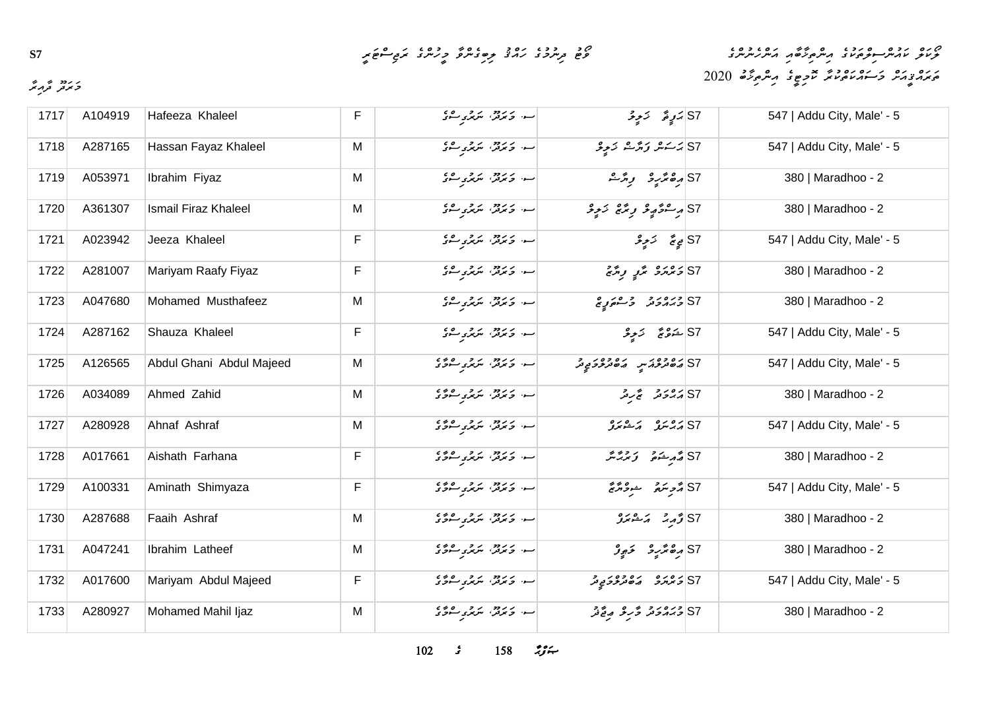*sCw7q7s5w7m< o<n9nOoAw7o< sCq;mAwBoEw7q<m; wBm;vB* م من المرة المرة المرة المرجع المراجع المراجع المراجع المراجع المراجع المراجع المراجع المراجع المراجع المراجع<br>مرين المراجع المراجع المرجع المراجع المراجع المراجع المراجع المراجع المراجع المراجع المراجع المراجع المراجع ال

| 1717 | A104919 | Hafeeza Khaleel             | F           | ے ویرس شریری کے د         | S7 كەرپۇ - ئەم <sub>ج</sub> ۇ -            | 547   Addu City, Male' - 5 |
|------|---------|-----------------------------|-------------|---------------------------|--------------------------------------------|----------------------------|
| 1718 | A287165 | Hassan Fayaz Khaleel        | M           | سە كەبرە ئىرىمى سى        | S7 ټر کنگر توگر کرمونو                     | 547   Addu City, Male' - 5 |
| 1719 | A053971 | Ibrahim Fiyaz               | M           | ے ویرس شریری کے           | S7 مەھمگىيى بورگىشە                        | 380   Maradhoo - 2         |
| 1720 | A361307 | <b>Ismail Firaz Khaleel</b> | M           | سا درود امرو ده ده د      | S7 مِـــْمَوَّمِهِ فَرَ بِرَّجْ  دَرِ فَرْ | 380   Maradhoo - 2         |
| 1721 | A023942 | Jeeza Khaleel               | $\mathsf F$ | سە كەيمەتلىرى سىرىمى سىرى | S7 <sub>مې</sub> چ     ئەم <sub>چ</sub> ى  | 547   Addu City, Male' - 5 |
| 1722 | A281007 | Mariyam Raafy Fiyaz         | F           | ے درود شروعی              | S7 كەنگەر ئەرگە بەرگەنى                    | 380   Maradhoo - 2         |
| 1723 | A047680 | Mohamed Musthafeez          | M           | سە كەبرە ئىرىمى سى        | S7 دېم ده د وگ دور ه                       | 380   Maradhoo - 2         |
| 1724 | A287162 | Shauza Khaleel              | $\mathsf F$ | سە كەيمەتلىرى سىرتى سىرى  | S7 شۇمج ئ <i>ۆ</i> ي                       | 547   Addu City, Male' - 5 |
| 1725 | A126565 | Abdul Ghani Abdul Majeed    | M           | ے کا بروڈ انگریزی سولائی  | S7 בסתלה הסתלכקית בסתלכקית                 | 547   Addu City, Male' - 5 |
| 1726 | A034089 | Ahmed Zahid                 | M           | سە كەيماتى ئىرچى سىملى    | S7 كەندى قىلى قىلىمىتى ئىس                 | 380   Maradhoo - 2         |
| 1727 | A280928 | Ahnaf Ashraf                | M           | سە كەيمەتلىرى مەم ئەسىمى  | S7 كەبرىتر كەسىرتى ئىس                     | 547   Addu City, Male' - 5 |
| 1728 | A017661 | Aishath Farhana             | F           | سە كەيماتى سەترىيەسىزى    | S7 <i>مەم شەھ   زىر ئى</i> ر               | 380   Maradhoo - 2         |
| 1729 | A100331 | Aminath Shimyaza            | $\mathsf F$ | سە كەيماتى سەترىيەسىزى    | S7 مُحْرِسَمُ مُسْوَمَّةً                  | 547   Addu City, Male' - 5 |
| 1730 | A287688 | Faaih Ashraf                | M           | سه کریږي سرچي سرچ         | S7 ۇرب <sup>ر</sup> مەشمىر                 | 380   Maradhoo - 2         |
| 1731 | A047241 | Ibrahim Latheef             | M           | سە كەندىق ئەرەپ دەرە      | S7 مەھەر ئىچە ئىچە ئى                      | 380   Maradhoo - 2         |
| 1732 | A017600 | Mariyam Abdul Majeed        | $\mathsf F$ | ے کابردہ انگریزی سولائی   | S7 <i>ב</i> יתות הסינית פיק                | 547   Addu City, Male' - 5 |
| 1733 | A280927 | Mohamed Mahil Ijaz          | M           | سه کامرود امریزی سولای    | S7 دُبرەرد دُرِدْ مِنْمَرْ                 | 380   Maradhoo - 2         |

*102 s* **158** *<i>n*<sub>1</sub>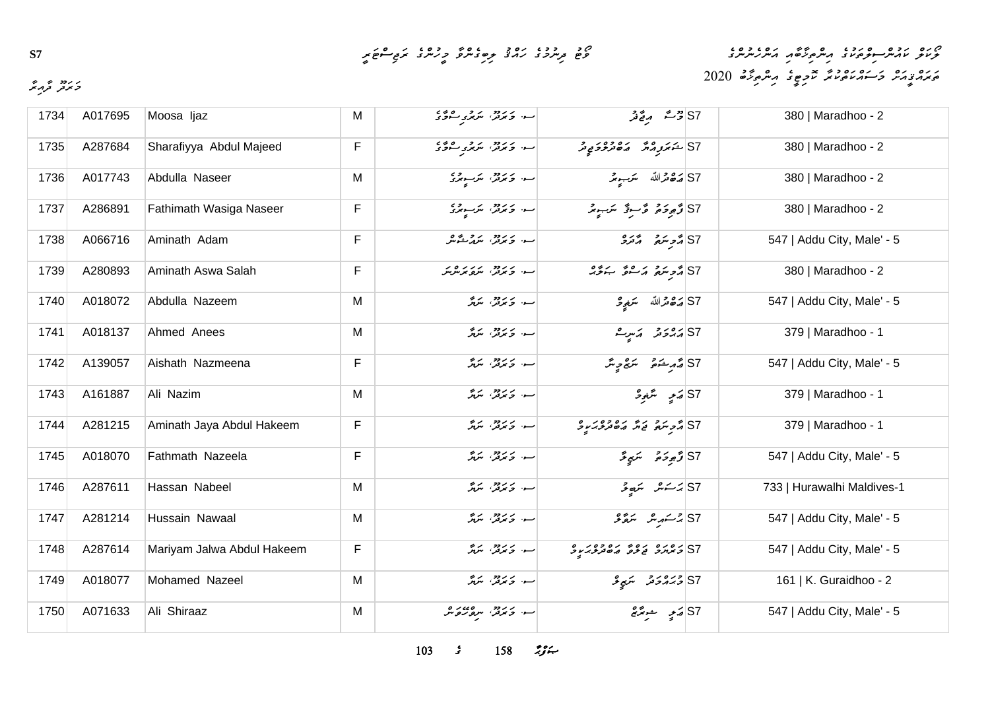*sCw7q7s5w7m< o<n9nOoAw7o< sCq;mAwBoEw7q<m; wBm;vB* م من المرة المرة المرة المرجع المراجع المراجع المراجع المراجع المراجع المراجع المراجع المراجع المراجع المراجع<br>مرين المراجع المراجع المرجع المراجع المراجع المراجع المراجع المراجع المراجع المراجع المراجع المراجع المراجع ال

| 1734 | A017695 | Moosa Ijaz                 | M            | سە كەنگەن ئىرىگرى سىرگەن            | S7 رقشقہ مقافر                                                 | 380   Maradhoo - 2         |
|------|---------|----------------------------|--------------|-------------------------------------|----------------------------------------------------------------|----------------------------|
| 1735 | A287684 | Sharafiyya Abdul Majeed    | F            | ے کریں شہری سوری                    | S7 څخه تر په مورو د ده د د                                     | 380   Maradhoo - 2         |
| 1736 | A017743 | Abdulla Naseer             | M            | ے ویریں شریدی                       | S7 كَەھْتْراللە مَدَىبْدِيْرْ                                  | 380   Maradhoo - 2         |
| 1737 | A286891 | Fathimath Wasiga Naseer    | $\mathsf F$  | سه کربردو ده<br>سه کامرفر، مگرسومری | S7 زُّەپ ئەم گەسىردَّ سَرَسومْر                                | 380   Maradhoo - 2         |
| 1738 | A066716 | Aminath Adam               | F            | ب كريرود من شركته                   | S7 مُجرِسَع مُعَرَف                                            | 547   Addu City, Male' - 5 |
| 1739 | A280893 | Aminath Aswa Salah         | $\mathsf F$  | سە كەندىق سەكەنگەنگە                | S7 مُجَمِّسَمُ مَسْتَمَرٌ سِنَوْرٌ                             | 380   Maradhoo - 2         |
| 1740 | A018072 | Abdulla Nazeem             | M            | سە كەندىق شركر                      | S7 كەھەراللە سىھ <sub>و</sub> گە                               | 547   Addu City, Male' - 5 |
| 1741 | A018137 | Ahmed Anees                | M            | سە كەنگەنگە ئىگە                    | S7 كەبر <i>و تىلى كەبىرىش</i>                                  | 379   Maradhoo - 1         |
| 1742 | A139057 | Aishath Nazmeena           | $\mathsf F$  | سە كەندىق سەگە                      | S7 مُەمِسْدَە ئىستىم <i>چى</i> گر                              | 547   Addu City, Male' - 5 |
| 1743 | A161887 | Ali Nazim                  | M            | سە، كەنتىرى ئىرىگە                  | S7 <i>۾َ ۾ سُ</i> مُو گ                                        | 379   Maradhoo - 1         |
| 1744 | A281215 | Aminath Jaya Abdul Hakeem  | $\mathsf F$  | --- ئە ئەرتقى، سىگر                 | S7 جُ جِسَمَ مِنْ حَمْدُ حَقَّدَ جَمَدِ جَمَدِ جَمَدِ جَمَدِ ج | 379   Maradhoo - 1         |
| 1745 | A018070 | Fathmath Nazeela           | $\mathsf{F}$ | سە كەندىق شركر                      | S7 زَّەپەرَە ئىستى ئە                                          | 547   Addu City, Male' - 5 |
| 1746 | A287611 | Hassan Nabeel              | M            | سە كەنگەنگە ئىگە                    | S7 ئەسەھەر س <sub>ىھو</sub> تى                                 | 733   Hurawalhi Maldives-1 |
| 1747 | A281214 | Hussain Nawaal             | M            | سە كەندىق شركر                      | S7 يُرْسَمْ بِهِ سَمَّرَ يَوْمَحَ                              | 547   Addu City, Male' - 5 |
| 1748 | A287614 | Mariyam Jalwa Abdul Hakeem | $\mathsf F$  | --- ئە ئەرتقى، سىگر                 | ST נפנס נפר גספננים                                            | 547   Addu City, Male' - 5 |
| 1749 | A018077 | Mohamed Nazeel             | M            | سە كەتتى ئىگر                       | S7 <i>\$22,23 سَي وَ</i>                                       | 161   K. Guraidhoo - 2     |
| 1750 | A071633 | Ali Shiraaz                | M            | ر در دو.<br>سه کامرفر، سرچ کرو س    | S7 <i>ھ</i> ُ جو سُومُدُ ج                                     | 547   Addu City, Male' - 5 |

*n8o<n@ r@m8m>*

*103 s 158 <i>n*<sub>x</sub>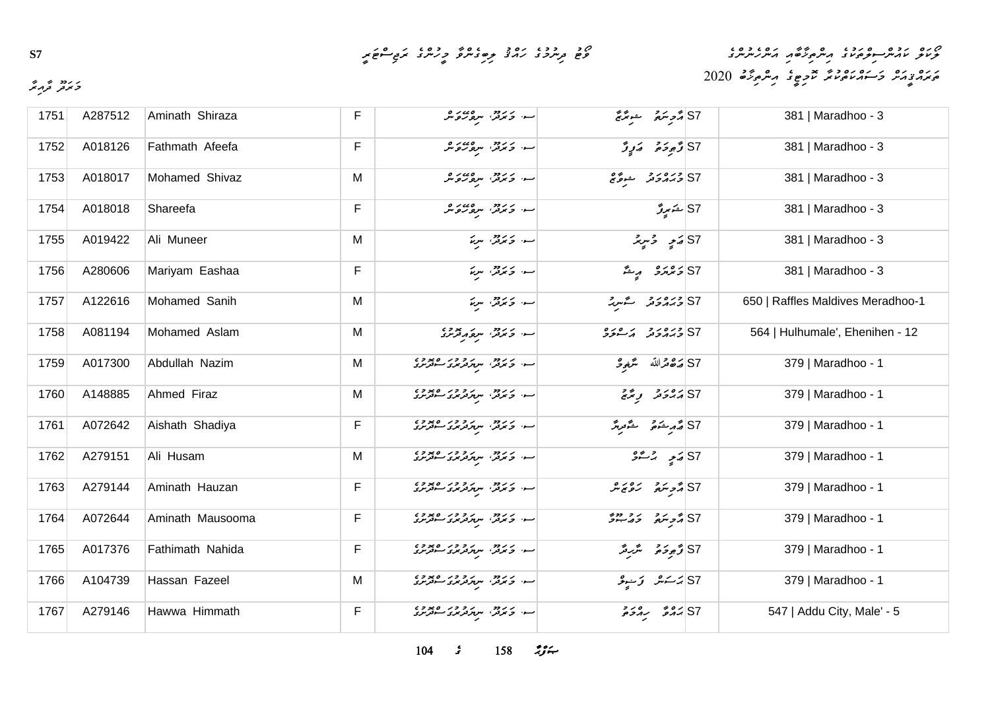*sCw7q7s5w7m< o<n9nOoAw7o< sCq;mAwBoEw7q<m; wBm;vB 2020*<br>*په پوهر وسوډيرونو لومو د موجو د مرمونه* 2020

381 | Maradhoo - 3

S7 مُر<sub>ح</sub> مَرْمَ مُسْوِيْرِيْج

| ر ردد به برگر<br>د برگر ترم <i>ب</i> ر |         |                         |                     |
|----------------------------------------|---------|-------------------------|---------------------|
| 1751                                   | A287512 | Aminath Shiraza         | سەسىرى ئىرە ئەرەپىر |
| 1752                                   |         | A018126 Fathmath Afeefa | ے کریں سرورت کر     |

| 1752 | A018126 | Fathmath Afeefa  | $\mathsf{F}$ | -- و ردود مده ۲۷۵۵                                           | S7 وَ <i>ُجِ حَقَّ ضَوِوَّ</i>  | 381   Maradhoo - 3                |
|------|---------|------------------|--------------|--------------------------------------------------------------|---------------------------------|-----------------------------------|
| 1753 | A018017 | Mohamed Shivaz   | M            | ر در دو.<br>سه و برتر، سروروس                                | $S7$ $S2.25$ $S7$               | 381   Maradhoo - 3                |
| 1754 | A018018 | Shareefa         | F            | ر در دو.<br>سه کامرلر، سرچ <i>سرچ</i> س                      | S7 ڪسمبرگر                      | 381   Maradhoo - 3                |
| 1755 | A019422 | Ali Muneer       | M            | سە ئەترىق سرىد                                               | S7 کی پی ٹی ٹی میٹر<br>ا        | 381   Maradhoo - 3                |
| 1756 | A280606 | Mariyam Eashaa   | F            | ساء و کارود سرما                                             | S7 كەمجەدى بەيئە                | 381   Maradhoo - 3                |
| 1757 | A122616 | Mohamed Sanih    | M            | سه د کرده سره                                                | S7 دېم ديمه شور شور ک           | 650   Raffles Maldives Meradhoo-1 |
| 1758 | A081194 | Mohamed Aslam    | M            | ے کے برود سرع ہروی                                           | $5.22225$ $5.2225$ ST           | 564   Hulhumale', Ehenihen - 12   |
| 1759 | A017300 | Abdullah Nazim   | M            | ر در دود.<br>سه و برتر، سرگرمری سهترس                        | S7 مَەقراللە مَ <i>تَّبەد</i> ْ | 379   Maradhoo - 1                |
| 1760 | A148885 | Ahmed Firaz      | M            | ر در دود.<br>سه د ترتر <sup>ه س</sup> رتربری سهتر <i>بری</i> | S7 كەبردىقر بويۇنج              | 379   Maradhoo - 1                |
| 1761 | A072642 | Aishath Shadiya  | F            | ر در دود.<br>سه و برتر، سربرتربری سهترس                      | S7 مُدمِ حَدَمٌ مُحْمَّدِيرٌ    | 379   Maradhoo - 1                |
| 1762 | A279151 | Ali Husam        | M            | ر در دود.<br>سه و برتر، سهرتربری سهترس                       | S7 <i>جَ جِي جُ</i> مُحَرَّ     | 379   Maradhoo - 1                |
| 1763 | A279144 | Aminath Hauzan   | F            | ر در دو.<br>سه د ترتو <sup>ه س</sup> رتربری سهتر در          | S7 مُجِسَعَةِ حَوْيَ مُد        | 379   Maradhoo - 1                |
| 1764 | A072644 | Aminath Mausooma | F            | ر در دود.<br>سه و برتر، سربرتربری سهترس                      | S7 مُجِسَمَة حَدَيْبَةَ حَ      | 379   Maradhoo - 1                |
| 1765 | A017376 | Fathimath Nahida | F            | ر در دو در ۶۶ در ۶۶ و ۶<br>در او بوتر، سربوتوبوی سوتوبوی     | S7 زَّەپەرَە ئەسترىتىگە         | 379   Maradhoo - 1                |
| 1766 | A104739 | Hassan Fazeel    | M            | ر در دود.<br>سه و بوتر، سرتربری سه ترس                       | S7  ټرستربس کوښی <sup>و</sup>   | 379   Maradhoo - 1                |
| 1767 | A279146 | Hawwa Himmath    | $\mathsf F$  | ر در دود.<br>سه د کارگر، سرگرمری سهترس                       | S7 بَهُ مِنْ مِهْرَمْ وَ        | 547   Addu City, Male' - 5        |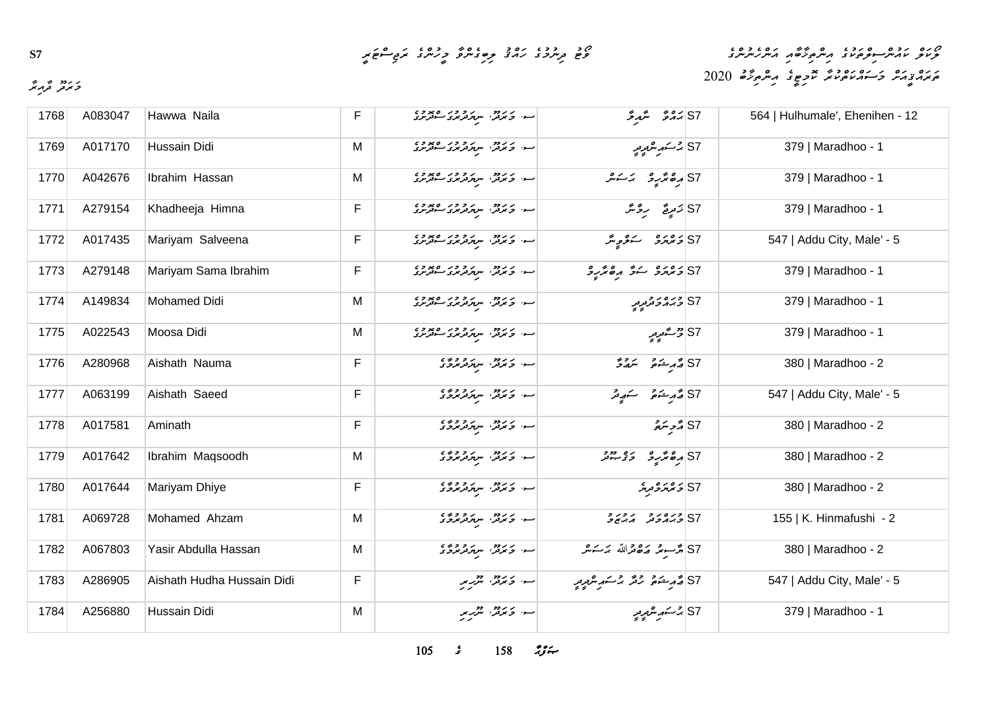*sCw7q7s5w7m< o<n9nOoAw7o< sCq;mAwBoEw7q<m; wBm;vB* م من المرة المرة المرة المرجع المراجع المراجع المراجع المراجع المراجع المراجع المراجع المراجع المراجع المراجع<br>مرين المراجع المراجع المرجع المراجع المراجع المراجع المراجع المراجع المراجع المراجع المراجع المراجع المراجع ال

| 1768 | A083047 | Hawwa Naila                | F           | ر در دود.<br>سه و برتر، سرگرمری سه ترس              | S7 ئەم ئىس ئىس ئىس                      | 564   Hulhumale', Ehenihen - 12 |
|------|---------|----------------------------|-------------|-----------------------------------------------------|-----------------------------------------|---------------------------------|
| 1769 | A017170 | Hussain Didi               | M           | ر در دود.<br>سه و برتر، سرگرمری سه ترس              | S7 پُر شر بر مربور پر                   | 379   Maradhoo - 1              |
| 1770 | A042676 | Ibrahim Hassan             | M           | ر بر دود.<br>سه به <del>برند</del> ه سرگرمری سه ترس | S7 مەھ <i>مگىي</i> ئىكەنگىر             | 379   Maradhoo - 1              |
| 1771 | A279154 | Khadheeja Himna            | $\mathsf F$ | ر در دود.<br>سه و برتر، سرگرمری سه ترس              | S7 كَتَمِيعٌ - بِارْ مَثَّرَ -          | 379   Maradhoo - 1              |
| 1772 | A017435 | Mariyam Salveena           | F           | ر در دود.<br>سه د کارگران سرگرمری سه ترس            | S7 ئ <i>ويرۇ شۇم<sub>ۇ</sub>بىر</i>     | 547   Addu City, Male' - 5      |
| 1773 | A279148 | Mariyam Sama Ibrahim       | $\mathsf F$ | ر در دود.<br>سه و برتر، سرتربری سهترس               | S7 دىمەدە سۇ مەھەرد                     | 379   Maradhoo - 1              |
| 1774 | A149834 | <b>Mohamed Didi</b>        | M           | ر در دود.<br>سه و برتر، سرگرمری سه ترس              | S7 <i>ڈیز و</i> د ترتی <sub>ر</sub> تیر | 379   Maradhoo - 1              |
| 1775 | A022543 | Moosa Didi                 | M           | ر در دو.<br>سه کامرتر، سرمرترمری سه ترس             | S7 تر گەرىر                             | 379   Maradhoo - 1              |
| 1776 | A280968 | Aishath Nauma              | F           | ے کردو سرگرمرون                                     | $52 - 22$ $\sim$ 57                     | 380   Maradhoo - 2              |
| 1777 | A063199 | Aishath Saeed              | F           | ے کریزہ سرگر مرد دی                                 | S7 مُ مِيسَمَعُ سَمَ <i>مِينَر</i> ُ    | 547   Addu City, Male' - 5      |
| 1778 | A017581 | Aminath                    | F           | ے کریزہ سرگر مرد دی                                 | S7 گھ جو پئرچ                           | 380   Maradhoo - 2              |
| 1779 | A017642 | Ibrahim Maqsoodh           | M           | ے کردو سرگرمرون                                     | S7 مەھمگىر بىر كۆسىدى <sub>س</sub>      | 380   Maradhoo - 2              |
| 1780 | A017644 | Mariyam Dhiye              | $\mathsf F$ | ے کردو سرگرمرون                                     | S7 كەممەر <i>2 م</i> ېرىگە              | 380   Maradhoo - 2              |
| 1781 | A069728 | Mohamed Ahzam              | M           | ے کروڈ سرگرفرفروٹ                                   | $5522$ $2225$ $87$                      | 155   K. Hinmafushi - 2         |
| 1782 | A067803 | Yasir Abdulla Hassan       | M           | ے کروڑ سرگرمرور                                     | S7 مُرْسِعَةً بِرَصْرَاللّهِ بَرَسَمْكُ | 380   Maradhoo - 2              |
| 1783 | A286905 | Aishath Hudha Hussain Didi | F           | ے دیکھی مرتبہ                                       | S7 مەم شەھ رىق بر سەم شەرىر             | 547   Addu City, Male' - 5      |
| 1784 | A256880 | Hussain Didi               | M           | سە كەنزلۇر، ئۆزىر                                   | S7 تر کمبر نگروپر                       | 379   Maradhoo - 1              |

*105 sC 158 nNw?mS*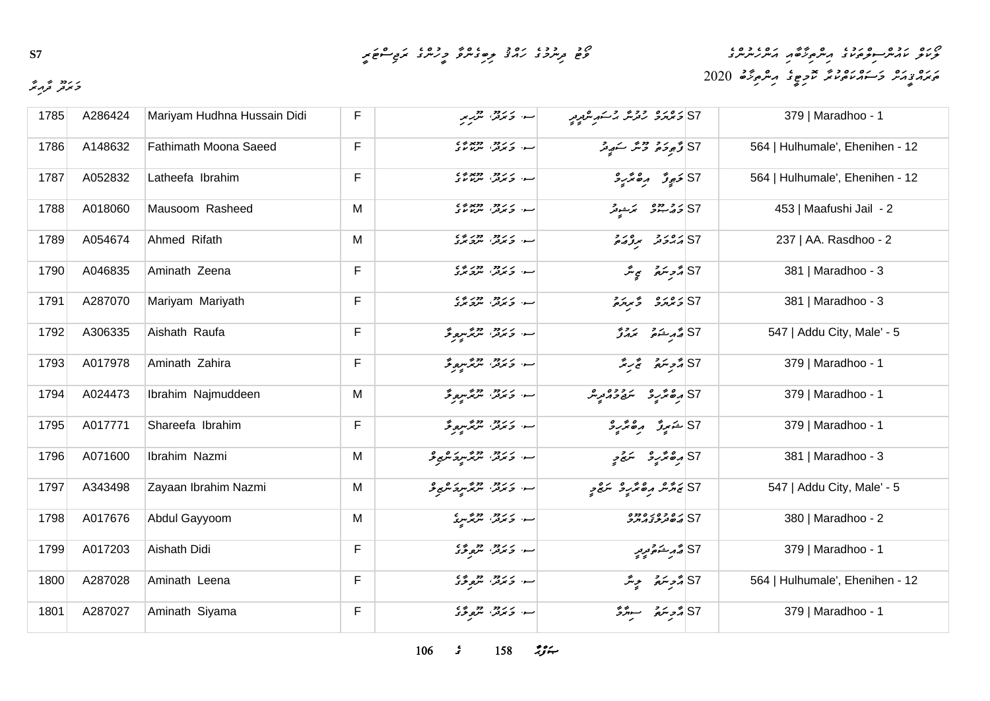*sCw7q7s5w7m< o<n9nOoAw7o< sCq;mAwBoEw7q<m; wBm;vB* م من المرة المرة المرة المرجع المراجع المراجع المراجع المراجع المراجع المراجع المراجع المراجع المراجع المراجع<br>مرين المراجع المراجع المرجع المراجع المراجع المراجع المراجع المراجع المراجع المراجع المراجع المراجع المراجع ال

| A286424<br>Mariyam Hudhna Hussain Didi<br>F<br>  سە ئەتكەنى ئىزرىبە<br>S7  3 <i>محمد حرقر محركت مع مع بع</i> ر معرب محمد الرحمن من المحمد معرض محمد الرحمن من المحمد المحمد المحمد<br>1785<br>ג גורה חזיבים<br>S7 ۇ <sub>جو</sub> خ <sub>ە</sub> دەممەت سەمەتر<br>F<br>1786<br>A148632<br><b>Fathimath Moona Saeed</b><br>S7 خَھِرَّ مُگْرُدُ 2<br>ر در دو دوره ده د<br>Latheefa Ibrahim<br>F<br>1787<br>A052832<br>S7 <i>كەن يىنى</i> كەن كەر يىلى كەن ئىن ئىن ئىن ئىن ئىن كىلەت كەن ئىن ئىن كىلەت كەن ئىن كىلەت كىلەت كىلەت كىلەت كىل<br>A018060<br>Mausoom Rasheed<br>1788<br>M<br>ر ر دو.<br>سه و برتر، شرو برو<br>S7 <i>ה</i> כפית <sub>مو</sub> ومبر<br>1789<br>A054674<br>Ahmed Rifath<br>М<br>ر ر دو.<br>سه و برتر، سرو برو<br>S7 مُتَّحِسَّعَةُ بِمِسَّر<br>Aminath Zeena<br>F<br>1790<br>A046835<br>ر در دور دور ده د<br>S7 كومرو گرمركر<br>F<br>A287070<br>Mariyam Mariyath<br>1791<br>S7 مەم ئىقتى ئىمدى<br>ے ویرس شریکس و<br>1792<br>A306335<br>Aishath Raufa<br>F<br>S7 مُجِسَعَةً تَجْرِبَّنَّهُ<br>$\mathsf F$<br>ے ویرس شریکس و<br>A017978<br>Aminath Zahira<br>1793<br>  سەر جىرى ئىش ئىرىم ئى<br>S7 مەھگرى <sub>د</sub> ۇ س <sub>ە</sub> مەم مېرىش<br>A024473<br>1794<br>Ibrahim Najmuddeen<br>M<br>S7 شىمبۇ م <i>ەھترى</i> ۋ<br>ے ویرس شرعر موجود<br>Shareefa Ibrahim<br>1795<br>A017771<br>F<br>   ساء الأكريزي المريح مريد بركابي في<br>S7 م <i>ەھترى</i> ئىسى ئى<br>A071600<br>Ibrahim Nazmi<br>1796<br>M<br>  - ئەندىق ئىرتگە بىر ئەھمى ئى<br>S7 يَ تَرَسْرُ مِرْهُ بَرِّرِ \$ سَيْءِ جِ<br>1797<br>Zayaan Ibrahim Nazmi<br>A343498<br>M<br>ے دیکھی شہر ہو<br>S7 كەھەر 2009 دە<br>A017676<br>1798<br>Abdul Gayyoom<br>M<br>ے زرود وو دی<br>A017203<br>Aishath Didi<br>F<br>1799<br>S7 ۾ مرڪو <i>مو</i> مير مير<br>S7 مُوسَع مِسَّر<br>$\mathsf F$<br>ر درود. دو ده<br>1800<br>A287028<br>Aminath Leena<br>S7 أُمُّ حِسِبُهُ مِسْتَمَرَّدُّ<br>ے زیروہ دو دی<br>F<br>1801<br>A287027<br>Aminath Siyama |  |  |  |                                 |
|-------------------------------------------------------------------------------------------------------------------------------------------------------------------------------------------------------------------------------------------------------------------------------------------------------------------------------------------------------------------------------------------------------------------------------------------------------------------------------------------------------------------------------------------------------------------------------------------------------------------------------------------------------------------------------------------------------------------------------------------------------------------------------------------------------------------------------------------------------------------------------------------------------------------------------------------------------------------------------------------------------------------------------------------------------------------------------------------------------------------------------------------------------------------------------------------------------------------------------------------------------------------------------------------------------------------------------------------------------------------------------------------------------------------------------------------------------------------------------------------------------------------------------------------------------------------------------------------------------------------------------------------------------------------------------------------------------------------------------------------------------------------------------------------------------------------------------------------------------------------------------------------------------------------------------|--|--|--|---------------------------------|
|                                                                                                                                                                                                                                                                                                                                                                                                                                                                                                                                                                                                                                                                                                                                                                                                                                                                                                                                                                                                                                                                                                                                                                                                                                                                                                                                                                                                                                                                                                                                                                                                                                                                                                                                                                                                                                                                                                                               |  |  |  | 379   Maradhoo - 1              |
|                                                                                                                                                                                                                                                                                                                                                                                                                                                                                                                                                                                                                                                                                                                                                                                                                                                                                                                                                                                                                                                                                                                                                                                                                                                                                                                                                                                                                                                                                                                                                                                                                                                                                                                                                                                                                                                                                                                               |  |  |  | 564   Hulhumale', Ehenihen - 12 |
|                                                                                                                                                                                                                                                                                                                                                                                                                                                                                                                                                                                                                                                                                                                                                                                                                                                                                                                                                                                                                                                                                                                                                                                                                                                                                                                                                                                                                                                                                                                                                                                                                                                                                                                                                                                                                                                                                                                               |  |  |  | 564   Hulhumale', Ehenihen - 12 |
|                                                                                                                                                                                                                                                                                                                                                                                                                                                                                                                                                                                                                                                                                                                                                                                                                                                                                                                                                                                                                                                                                                                                                                                                                                                                                                                                                                                                                                                                                                                                                                                                                                                                                                                                                                                                                                                                                                                               |  |  |  | 453   Maafushi Jail - 2         |
|                                                                                                                                                                                                                                                                                                                                                                                                                                                                                                                                                                                                                                                                                                                                                                                                                                                                                                                                                                                                                                                                                                                                                                                                                                                                                                                                                                                                                                                                                                                                                                                                                                                                                                                                                                                                                                                                                                                               |  |  |  | 237   AA. Rasdhoo - 2           |
|                                                                                                                                                                                                                                                                                                                                                                                                                                                                                                                                                                                                                                                                                                                                                                                                                                                                                                                                                                                                                                                                                                                                                                                                                                                                                                                                                                                                                                                                                                                                                                                                                                                                                                                                                                                                                                                                                                                               |  |  |  | 381   Maradhoo - 3              |
|                                                                                                                                                                                                                                                                                                                                                                                                                                                                                                                                                                                                                                                                                                                                                                                                                                                                                                                                                                                                                                                                                                                                                                                                                                                                                                                                                                                                                                                                                                                                                                                                                                                                                                                                                                                                                                                                                                                               |  |  |  | 381   Maradhoo - 3              |
|                                                                                                                                                                                                                                                                                                                                                                                                                                                                                                                                                                                                                                                                                                                                                                                                                                                                                                                                                                                                                                                                                                                                                                                                                                                                                                                                                                                                                                                                                                                                                                                                                                                                                                                                                                                                                                                                                                                               |  |  |  | 547   Addu City, Male' - 5      |
|                                                                                                                                                                                                                                                                                                                                                                                                                                                                                                                                                                                                                                                                                                                                                                                                                                                                                                                                                                                                                                                                                                                                                                                                                                                                                                                                                                                                                                                                                                                                                                                                                                                                                                                                                                                                                                                                                                                               |  |  |  | 379   Maradhoo - 1              |
|                                                                                                                                                                                                                                                                                                                                                                                                                                                                                                                                                                                                                                                                                                                                                                                                                                                                                                                                                                                                                                                                                                                                                                                                                                                                                                                                                                                                                                                                                                                                                                                                                                                                                                                                                                                                                                                                                                                               |  |  |  | 379   Maradhoo - 1              |
|                                                                                                                                                                                                                                                                                                                                                                                                                                                                                                                                                                                                                                                                                                                                                                                                                                                                                                                                                                                                                                                                                                                                                                                                                                                                                                                                                                                                                                                                                                                                                                                                                                                                                                                                                                                                                                                                                                                               |  |  |  | 379   Maradhoo - 1              |
|                                                                                                                                                                                                                                                                                                                                                                                                                                                                                                                                                                                                                                                                                                                                                                                                                                                                                                                                                                                                                                                                                                                                                                                                                                                                                                                                                                                                                                                                                                                                                                                                                                                                                                                                                                                                                                                                                                                               |  |  |  | 381   Maradhoo - 3              |
|                                                                                                                                                                                                                                                                                                                                                                                                                                                                                                                                                                                                                                                                                                                                                                                                                                                                                                                                                                                                                                                                                                                                                                                                                                                                                                                                                                                                                                                                                                                                                                                                                                                                                                                                                                                                                                                                                                                               |  |  |  | 547   Addu City, Male' - 5      |
|                                                                                                                                                                                                                                                                                                                                                                                                                                                                                                                                                                                                                                                                                                                                                                                                                                                                                                                                                                                                                                                                                                                                                                                                                                                                                                                                                                                                                                                                                                                                                                                                                                                                                                                                                                                                                                                                                                                               |  |  |  | 380   Maradhoo - 2              |
|                                                                                                                                                                                                                                                                                                                                                                                                                                                                                                                                                                                                                                                                                                                                                                                                                                                                                                                                                                                                                                                                                                                                                                                                                                                                                                                                                                                                                                                                                                                                                                                                                                                                                                                                                                                                                                                                                                                               |  |  |  | 379   Maradhoo - 1              |
|                                                                                                                                                                                                                                                                                                                                                                                                                                                                                                                                                                                                                                                                                                                                                                                                                                                                                                                                                                                                                                                                                                                                                                                                                                                                                                                                                                                                                                                                                                                                                                                                                                                                                                                                                                                                                                                                                                                               |  |  |  | 564   Hulhumale', Ehenihen - 12 |
|                                                                                                                                                                                                                                                                                                                                                                                                                                                                                                                                                                                                                                                                                                                                                                                                                                                                                                                                                                                                                                                                                                                                                                                                                                                                                                                                                                                                                                                                                                                                                                                                                                                                                                                                                                                                                                                                                                                               |  |  |  | 379   Maradhoo - 1              |

*106 sC 158 nNw?mS*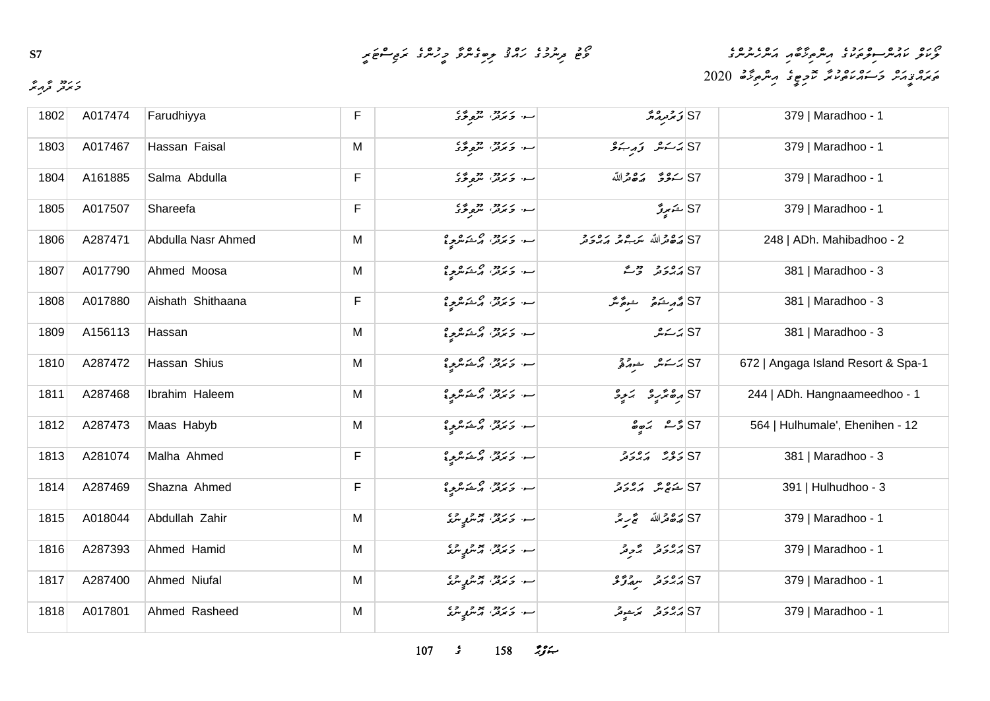*sCw7q7s5w7m< o<n9nOoAw7o< sCq;mAwBoEw7q<m; wBm;vB* م من المرة المرة المرة المرجع المراجع المراجع المراجع المراجع المراجع المراجع المراجع المراجع المراجع المراجع<br>مرين المراجع المراجع المرجع المراجع المراجع المراجع المراجع المراجع المراجع المراجع المراجع المراجع المراجع ال

|  | シーショコンシ        |
|--|----------------|
|  | و برتر تربر بر |
|  |                |

| 1802 | A017474 | Farudhiyya         | $\mathsf{F}$ | ے دیکھر، میروگری      | S7 ئوتىرىدىگە                                     | 379   Maradhoo - 1                 |
|------|---------|--------------------|--------------|-----------------------|---------------------------------------------------|------------------------------------|
| 1803 | A017467 | Hassan Faisal      | M            | ے زروہ دورہ           | S7 ئەسەش ق <i>ەمبى</i> كى                         | 379   Maradhoo - 1                 |
| 1804 | A161885 | Salma Abdulla      | F            | ب ريزده المعرومي      | S7 كومى كەھەتراللە                                | 379   Maradhoo - 1                 |
| 1805 | A017507 | Shareefa           | $\mathsf F$  | ب ريزوم چونده         | S7 ڪريڙ                                           | 379   Maradhoo - 1                 |
| 1806 | A287471 | Abdulla Nasr Ahmed | M            | ے کا بروہ می کے مرد ع | S7 رَصْوَرْاللَّهُ سَرَجْعَةِ رَمِّدْوَمَّر       | 248   ADh. Mahibadhoo - 2          |
| 1807 | A017790 | Ahmed Moosa        | M            | ے کروہ محمد کو        | S7 كەبرى تەرىپىسى ئەسىگە                          | 381   Maradhoo - 3                 |
| 1808 | A017880 | Aishath Shithaana  | $\mathsf{F}$ | ے کروہ محمد کو        | S7 <i>مُ<sub>م</sub>ْ شَهُمْ</i> شِع <i>ْ مُّ</i> | 381   Maradhoo - 3                 |
| 1809 | A156113 | Hassan             | M            | سە كەيرىن كەشكەھرى    | S7 ئەستەنلە                                       | 381   Maradhoo - 3                 |
| 1810 | A287472 | Hassan Shius       | M            | ب درود محمد موقع      | S7 بَرَسَة مَشْرٍ مُشْرِقْتِي                     | 672   Angaga Island Resort & Spa-1 |
| 1811 | A287468 | Ibrahim Haleem     | M            | ب درود محمد مورو      | S7 مەھەم يەھ مەمرى                                | 244   ADh. Hangnaameedhoo - 1      |
| 1812 | A287473 | Maas Habyb         | M            | ے کروڑ میکروری        | $\frac{2}{3}$ $\frac{2}{3}$ S7                    | 564   Hulhumale', Ehenihen - 12    |
| 1813 | A281074 | Malha Ahmed        | F            | سه کريزده محمد شرعرو  | S7ارَ وَيَرْ مَدَوْمَر                            | 381   Maradhoo - 3                 |
| 1814 | A287469 | Shazna Ahmed       | $\mathsf F$  | سه کريزده مي شوندوني  | S7 شەھ شەر ئەردىر                                 | 391   Hulhudhoo - 3                |
| 1815 | A018044 | Abdullah Zahir     | M            | ے دیں پر مرد دی       | S7 مَەھىراللە ئ <sub>ى</sub> بەش                  | 379   Maradhoo - 1                 |
| 1816 | A287393 | Ahmed Hamid        | M            | ے دیں بدورہ           | S7 <i>جُهُدُو بُوَ بِ</i>                         | 379   Maradhoo - 1                 |
| 1817 | A287400 | Ahmed Niufal       | M            | ے اردو بروازہ         | S7 ג׳כ پر مس <i>ور شور</i>                        | 379   Maradhoo - 1                 |
| 1818 | A017801 | Ahmed Rasheed      | M            | ے دیں پروری           | S7 كەبرى كىم ئىسى ئىسىمبىتى كىل                   | 379   Maradhoo - 1                 |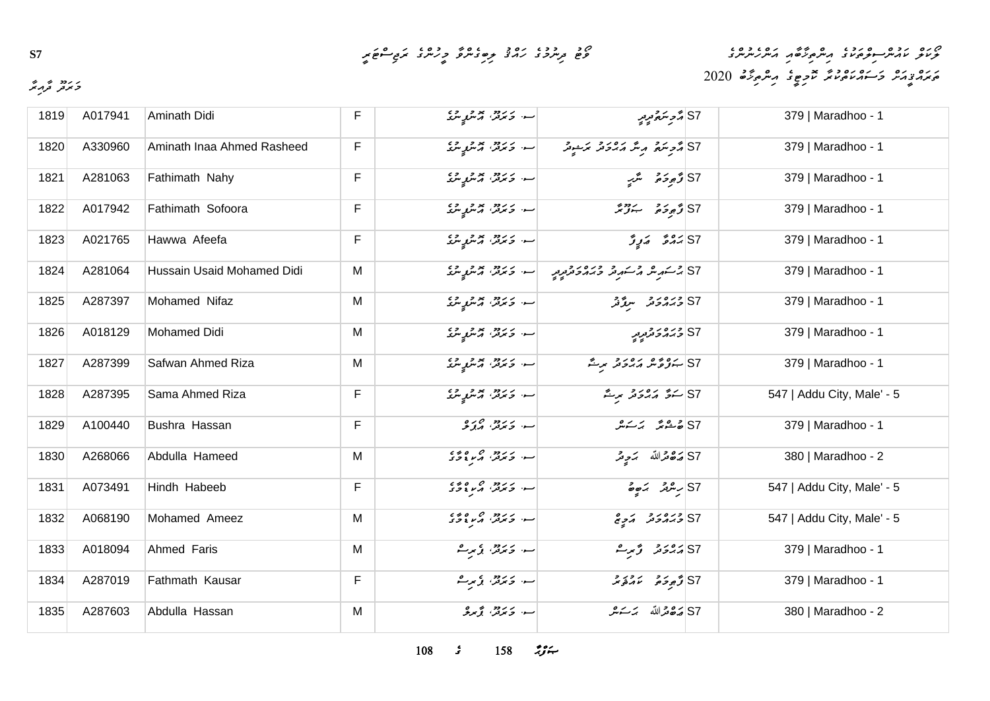*sCw7q7s5w7m< o<n9nOoAw7o< sCq;mAwBoEw7q<m; wBm;vB* م من المرة المرة المرة المرجع المراجع المراجع المراجع المراجع المراجع المراجع المراجع المراجع المراجع المراجع<br>مرين المراجع المراجع المرجع المراجع المراجع المراجع المراجع المراجع المراجع المراجع المراجع المراجع المراجع ال

| 1819 | A017941 | Aminath Didi               | F | سه دیرود بر مرد مرد    | S7 مُ <i>جِ سَهُ و</i> رِمِرِ                                                                              | 379   Maradhoo - 1         |
|------|---------|----------------------------|---|------------------------|------------------------------------------------------------------------------------------------------------|----------------------------|
| 1820 | A330960 | Aminath Inaa Ahmed Rasheed | F |                        | S7 <i>مُّجِسَعُ مِسُّ مُکْ</i> حَدٌ مَنْ مِسْعِدٌ مِسْجَدٍ مَعْ مِسْتَدِينَ مِسْتَدَبِّنَ مِسْتَدَبِّنَ مِ | 379   Maradhoo - 1         |
| 1821 | A281063 | Fathimath Nahy             | F | سه درود بدوروه         | S7 <i>وُّجِوحَ هُ</i> سُرَبِهِ                                                                             | 379   Maradhoo - 1         |
| 1822 | A017942 | Fathimath Sofoora          | F | سه درود بورو وی        | S7 ۇ <sub>ج</sub> وڭ سىزىمە                                                                                | 379   Maradhoo - 1         |
| 1823 | A021765 | Hawwa Afeefa               | F | سه د برده پر پر دی     | S7 <i>يَدُهُ قَوِرٌ</i>                                                                                    | 379   Maradhoo - 1         |
| 1824 | A281064 | Hussain Usaid Mohamed Didi | M |                        |                                                                                                            | 379   Maradhoo - 1         |
| 1825 | A287397 | Mohamed Nifaz              | M | سه د بردو پر چرو دی    | S7 <i>دېم دې موگ</i> ور                                                                                    | 379   Maradhoo - 1         |
| 1826 | A018129 | <b>Mohamed Didi</b>        | M | سه درود بدوروه         | S7 <i>وُټرو و</i> تربربر                                                                                   | 379   Maradhoo - 1         |
| 1827 | A287399 | Safwan Ahmed Riza          | M | سه از دور مورد و د و د | S7 بەزۇش مەدەر دىكرىنگە                                                                                    | 379   Maradhoo - 1         |
| 1828 | A287395 | Sama Ahmed Riza            | F | سه درود بورو وی        | S7 سَرَوْ بَرْرُوتْر بِرِتْدُ                                                                              | 547   Addu City, Male' - 5 |
| 1829 | A100440 | Bushra Hassan              | F | ب - ئەترىق، مەيزى      | S7 صْھْمَدْ بَرْسَ <i>مْدْ</i>                                                                             | 379   Maradhoo - 1         |
| 1830 | A268066 | Abdulla Hameed             | M | ـــ درود می وی         | S7 كەھەراللە ئەمرىقر                                                                                       | 380   Maradhoo - 2         |
| 1831 | A073491 | Hindh Habeeb               | F |                        | S7 بەشقە ئەھ <i>ە</i>                                                                                      | 547   Addu City, Male' - 5 |
| 1832 | A068190 | Mohamed Ameez              | M |                        | S7 <i>جەمگە جۇ مۇچ</i>                                                                                     | 547   Addu City, Male' - 5 |
| 1833 | A018094 | Ahmed Faris                | M | ے دیکھی ویرے           | S7 كەندى قىلى قىلىپ قىلىپ قىلىپ ئىل                                                                        | 379   Maradhoo - 1         |
| 1834 | A287019 | Fathmath Kausar            | F |                        | S7 <i>وُّهِ دَهُ مَهُ مُ</i> هُ مَ                                                                         | 379   Maradhoo - 1         |
| 1835 | A287603 | Abdulla Hassan             | M | سە كەنتىرى ئۇيرۇ       | S7 كَمْ قْدْاللّه بْرَسْدْشْ                                                                               | 380   Maradhoo - 2         |

*108 sC 158 nNw?mS*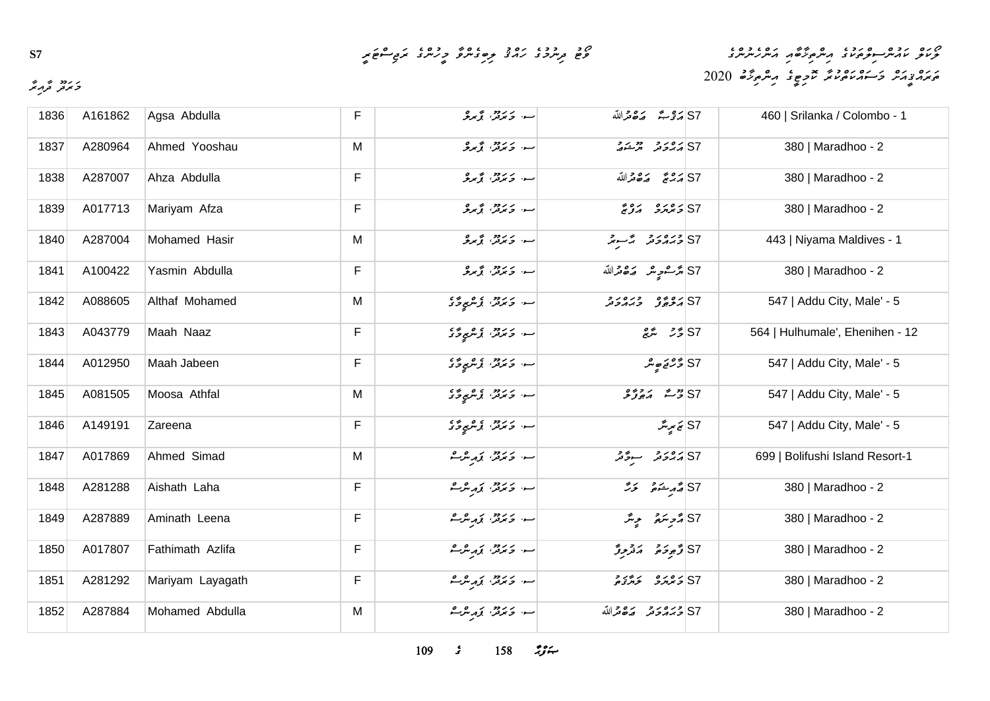*sCw7q7s5w7m< o<n9nOoAw7o< sCq;mAwBoEw7q<m; wBm;vB* م من المسجد المسجد المسجد المسجد المسجد العام 2020<br>مجم*د المسجد المسجد المستجد المسجد المسجد المسجد المسجد المسجد المسجد المسجد المسجد المسجد المسجد المسجد المسجد* 

| 1836 | A161862 | Agsa Abdulla     | $\mathsf F$  | سە ئەندىق ئۇيرۇ           |                                  | 460   Srilanka / Colombo - 1    |
|------|---------|------------------|--------------|---------------------------|----------------------------------|---------------------------------|
| 1837 | A280964 | Ahmed Yooshau    | M            | -- ئە ئۆتۈر ئۇيرىۋ        | S7 كەبروتر ترىشكە                | 380   Maradhoo - 2              |
| 1838 | A287007 | Ahza Abdulla     | $\mathsf{F}$ | سە ئەترىش تۇيرى           | S7 مَرْحَمٌ مَرْهُ مِّرَاللّه    | 380   Maradhoo - 2              |
| 1839 | A017713 | Mariyam Afza     | $\mathsf F$  | سە ئەندىق ئۇيرۇ           | S7 <i>جې پرو په</i>              | 380   Maradhoo - 2              |
| 1840 | A287004 | Mohamed Hasir    | M            | سە ئەترىش تۇيرى           | S7 <i>وېنه دې پ</i> ر بر         | 443   Niyama Maldives - 1       |
| 1841 | A100422 | Yasmin Abdulla   | $\mathsf F$  | ___ وَيَرَسُ أَرْمَرُوْ   | S7 مُرْكْوِيْرْ كَمْكَمْ لِللَّه | 380   Maradhoo - 2              |
| 1842 | A088605 | Althaf Mohamed   | M            | سەر ئەرەدە بى ئەرەبىي ئەر | S7 كەندەر دىرەرد                 | 547   Addu City, Male' - 5      |
| 1843 | A043779 | Maah Naaz        | $\mathsf{F}$ | ب روده وه وه              | S7 رَبَّيْ شَيْئ                 | 564   Hulhumale', Ehenihen - 12 |
| 1844 | A012950 | Maah Jabeen      | $\mathsf{F}$ | سه کرېږدو وگړي څو ک       | S7 ۇر <sub>ىم ھو</sub> بۇ        | 547   Addu City, Male' - 5      |
| 1845 | A081505 | Moosa Athfal     | M            | ے دروہ وعرفری             | S7 ژئے پروژو                     | 547   Addu City, Male' - 5      |
| 1846 | A149191 | Zareena          | $\mathsf F$  | ب روده وهوده              | S7 ئج مېرىتىر                    | 547   Addu City, Male' - 5      |
| 1847 | A017869 | Ahmed Simad      | M            |                           | S7 كەبرى قىر سو <i>ئى</i> ر      | 699   Bolifushi Island Resort-1 |
| 1848 | A281288 | Aishath Laha     | $\mathsf F$  | ے دیکھی تورشی             | S7 مەم ئىقىمى كەڭ                | 380   Maradhoo - 2              |
| 1849 | A287889 | Aminath Leena    | F            | ے دیکھی تمہ مگر کے        | S7 مُرْحِسَمُ مِيسً              | 380   Maradhoo - 2              |
| 1850 | A017807 | Fathimath Azlifa | $\mathsf{F}$ | ے دیکھی تورش              | S7 زَّەپرىق مەنى <i>رىدۇ</i>     | 380   Maradhoo - 2              |
| 1851 | A281292 | Mariyam Layagath | $\mathsf F$  | سە ئەندىق ئەمەمىرى        | S7 كەبەرە كەبۇرە                 | 380   Maradhoo - 2              |
| 1852 | A287884 | Mohamed Abdulla  | M            | ے دیور ورش                | S7 32025 مَرْ 20 مِرْ اللّه      | 380   Maradhoo - 2              |

*109 s 158 <i>n*<sub>2</sub> *n*<sub>2</sub> *n*<sub>2</sub> *n*<sub>2</sub> *n*<sub>2</sub> *n*<sub>2</sub> *n*<sub>2</sub> *n*<sub>2</sub> *n*<sub>2</sub> *n*<sub>2</sub> *n*<sub>2</sub> *n*<sub>2</sub> *n*<sub>2</sub> *n*<sub>2</sub> *n*<sub>2</sub> *n*<sub>2</sub> *n*<sub>2</sub> *n*<sub>2</sub> *n*<sub>2</sub> *n*<sub>2</sub> *n*<sub>2</sub> *n*<sub>2</sub> *n*<sub>2</sub> *n*<sub>2</sub> *n*<sub>2</sub> *n*<sub>2</sub> *n*<sub>2</sub> *n*<sub>2</sub> *n*<sub>2</sub> *n*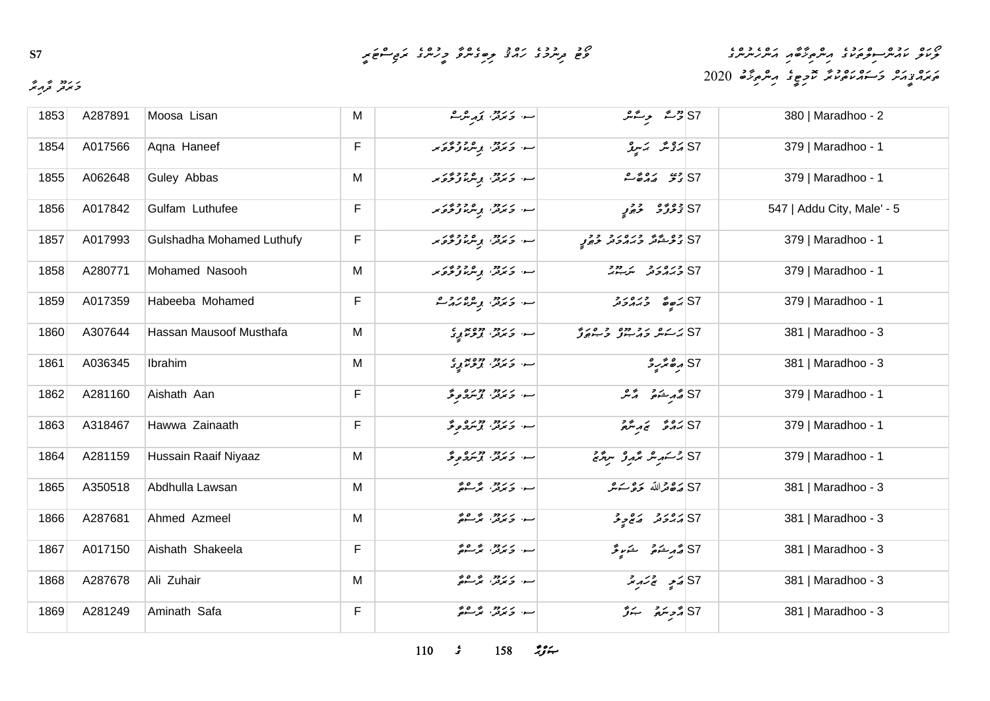*sCw7q7s5w7m< o<n9nOoAw7o< sCq;mAwBoEw7q<m; wBm;vB* م من المرة المرة المرة المرجع المرجع في المركبة 2020<br>مجم*د المريض المربوط المربع المرجع في المراجع المركبة* 

| 1853 | A287891 | Moosa Lisan               | M | سە ئەيرىتى، ئەمەنگرىشە                      | S7 تۇنئە م <sub>و</sub> شەر           | 380   Maradhoo - 2         |
|------|---------|---------------------------|---|---------------------------------------------|---------------------------------------|----------------------------|
| 1854 | A017566 | Aqna Haneef               | F | ب كەندە بەردە <i>كەن</i>                    | S7 كەنۋىتر ئەس <i>ب</i> ۇ             | 379   Maradhoo - 1         |
| 1855 | A062648 | Guley Abbas               | M | ب كەرەم بولىرىما ئەتكەس                     | $2582 + 555$                          | 379   Maradhoo - 1         |
| 1856 | A017842 | Gulfam Luthufee           | F | سە ئەترىق بەس ۋەير                          | S7 توگ <sup>و</sup> ووړ               | 547   Addu City, Male' - 5 |
| 1857 | A017993 | Gulshadha Mohamed Luthufy | F | ے کابردہ پر مردوبہ                          | S7 ژوئیم دره در دور                   | 379   Maradhoo - 1         |
| 1858 | A280771 | Mohamed Nasooh            | M | ب كەندە بەردە <i>كەن</i>                    | S7 دره د د مردد د                     | 379   Maradhoo - 1         |
| 1859 | A017359 | Habeeba Mohamed           | F | ے دیکھ بورورو ہے                            | S7 كەھ قەممى دىر                      | 379   Maradhoo - 1         |
| 1860 | A307644 | Hassan Mausoof Musthafa   | M | ر در دو دوه دو د<br>  سه د برتر، بولو د برد | S7 ټر کې په دوه و ورونو               | 381   Maradhoo - 3         |
| 1861 | A036345 | Ibrahim                   | M | ر بر دو دوه د د .<br>پ د بر تر . ژوند ژ د   | S7 مەھىمەر بۇ                         | 381   Maradhoo - 3         |
| 1862 | A281160 | Aishath Aan               | F | ر در دو دوره و.<br>سه کامرن بوشرکانو گ      | S7 <i>مەم شىم مەم</i> ر               | 379   Maradhoo - 1         |
| 1863 | A318467 | Hawwa Zainaath            | F | ر در دو دوره و د                            | $5.25$ $2.25$ $2.57$                  | 379   Maradhoo - 1         |
| 1864 | A281159 | Hussain Raaif Niyaaz      | M | ب كەردە دەرە بۇ                             | S7 يُرْسَمَ بِهِ مُحْمَدِ فِي سِيرَجَ | 379   Maradhoo - 1         |
| 1865 | A350518 | Abdhulla Lawsan           | M | سە كەبردە بۇسىۋە                            | S7 كَەشقىراللە ئۇھەسكىلگە             | 381   Maradhoo - 3         |
| 1866 | A287681 | Ahmed Azmeel              | M | سە كەبردە بۇسەھ                             | S7 <i>הככת ה3 و 3</i>                 | 381   Maradhoo - 3         |
| 1867 | A017150 | Aishath Shakeela          | F | سه کرېږده. پر ده پو                         | S7 مَ <sub>م</sub> مِشَمَّ مِشَرِعٌ   | 381   Maradhoo - 3         |
| 1868 | A287678 | Ali Zuhair                | M | سە ئەيرى ئەرەپچ                             | S7 <i>ھَ۔ جِي مُدبر</i>               | 381   Maradhoo - 3         |
| 1869 | A281249 | Aminath Safa              | F | سە ئەيرىق، ئۇستۇم                           | S7 مُحِسَمَة جَزَّ                    | 381   Maradhoo - 3         |

 $110$  *s*  $158$  *i*<sub>s</sub>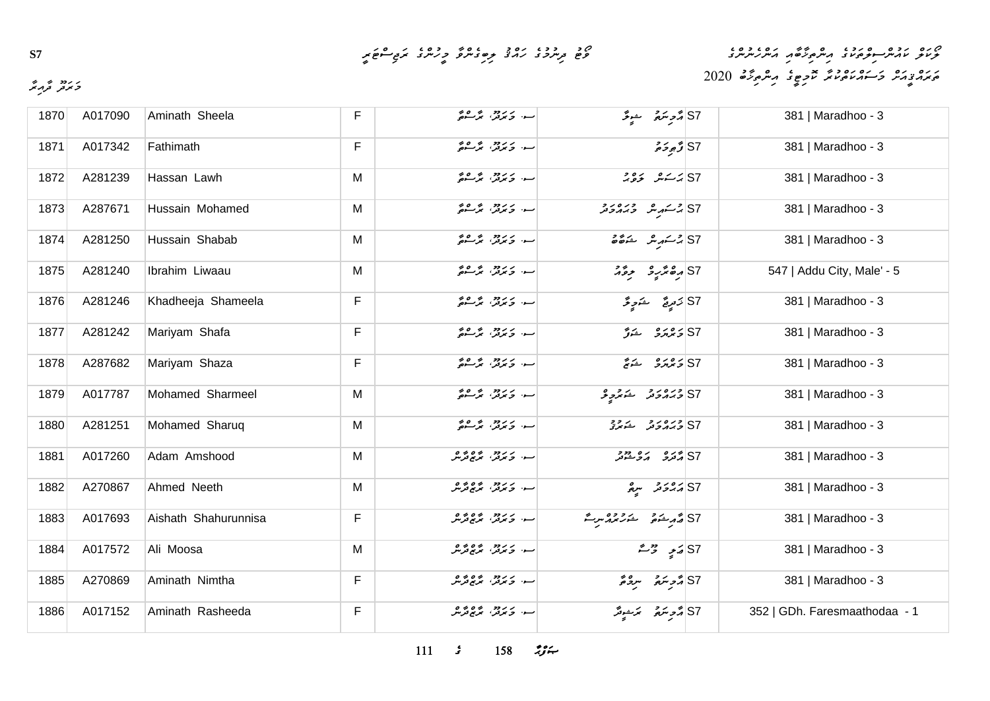*sCw7q7s5w7m< o<n9nOoAw7o< sCq;mAwBoEw7q<m; wBm;vB* م من المرة المرة المرة المرجع المرجع في المركبة 2020<br>مجم*د المريض المربوط المربع المرجع في المراجع المركبة* 

| $\theta = \theta$ , and if |
|----------------------------|
| و برتر تربر بر             |
|                            |

| 1870 | A017090 | Aminath Sheela       | F | سە ئەيرىش ئۆرەم                          | S7 مُرْحِسَمَ شِوَتَر                                                             | 381   Maradhoo - 3            |
|------|---------|----------------------|---|------------------------------------------|-----------------------------------------------------------------------------------|-------------------------------|
| 1871 | A017342 | Fathimath            | F | ر به رود شوره و                          | S7 ۇج <sub>و</sub> خۇ                                                             | 381   Maradhoo - 3            |
| 1872 | A281239 | Hassan Lawh          | M | ر درود پژوه                              | S7 پرسەش ئۇۋر                                                                     | 381   Maradhoo - 3            |
| 1873 | A287671 | Hussain Mohamed      | M | سە ئەيرىق، ئۇستۇم                        | S7 يُرْسَمَ مِنْ مَرْمَدْ مِرْ                                                    | 381   Maradhoo - 3            |
| 1874 | A281250 | Hussain Shabab       | M | سە ئەيرى ئەرەپچ                          | S7 بر <i>کمبر مل</i> ی مش <i>خص ک</i>                                             | 381   Maradhoo - 3            |
| 1875 | A281240 | Ibrahim Liwaau       | M | سە ئەيرىش ئۆرەم                          | S7  رەتمەر ئەمەدىم                                                                | 547   Addu City, Male' - 5    |
| 1876 | A281246 | Khadheeja Shameela   | F | سە ئەيرى ئۇرغۇ                           | S7 كَتْمِيعٌ مُسْتَجِرٌّةً وَالْمُسْتَمَدِّقَّةِ مُسْتَجِرٌّةً وَالْمُسْتَجَبِّدُ | 381   Maradhoo - 3            |
| 1877 | A281242 | Mariyam Shafa        | F | سە كەيرىق، ئۆستەھ                        | S7 دېمبرو ختر                                                                     | 381   Maradhoo - 3            |
| 1878 | A287682 | Mariyam Shaza        | F | سە ئەيرىق، ئۇستۇم                        | $57$ $57$ $57$                                                                    | 381   Maradhoo - 3            |
| 1879 | A017787 | Mohamed Sharmeel     | M | سە ئەيرى ئەرەپچ                          | S7 <i>وُبُهُ دو دِ</i> شَمَعِ وِ وَ                                               | 381   Maradhoo - 3            |
| 1880 | A281251 | Mohamed Sharuq       | M | سە كەيرىق، ئۇستۇم                        | S7 <i>ۋېرو تېرى ئىم ئۇ</i> تر                                                     | 381   Maradhoo - 3            |
| 1881 | A017260 | Adam Amshood         | M | ر بەردە بەھ بەھ<br>سەس ئەرىرى ئىس ئىرلىش | S7 گەندە بەرەيدەر                                                                 | 381   Maradhoo - 3            |
| 1882 | A270867 | Ahmed Neeth          | M | سە ئەرەم ئۇھ ئور                         | S7 كەبروتىر س <sub>ى</sub> تى                                                     | 381   Maradhoo - 3            |
| 1883 | A017693 | Aishath Shahurunnisa | F | سه کريږدو په ۱۳۵۵ کل                     | S7 مُ مِسْرَمْ مِسْرَ مِرْمُ سِرْتُمْ                                             | 381   Maradhoo - 3            |
| 1884 | A017572 | Ali Moosa            | M | ر بر دو ده ده ده.<br>سه او برتر، برج ترس | S7 کی تح <sup>می</sup> ش                                                          | 381   Maradhoo - 3            |
| 1885 | A270869 | Aminath Nimtha       | F | ر بر دو ده ده ده.<br>سه او برتر، برج ترس | S7 مُّحِسَّعُ سِعْرَ                                                              | 381   Maradhoo - 3            |
| 1886 | A017152 | Aminath Rasheeda     | F | ر بر دو ده ده ده.<br>سه او برتر، برج ترس | S7 مُتَّحِسَمُ مَسْبِقَّ                                                          | 352   GDh. Faresmaathodaa - 1 |

 $111$  *s*  $158$  *if*<sub>s</sub>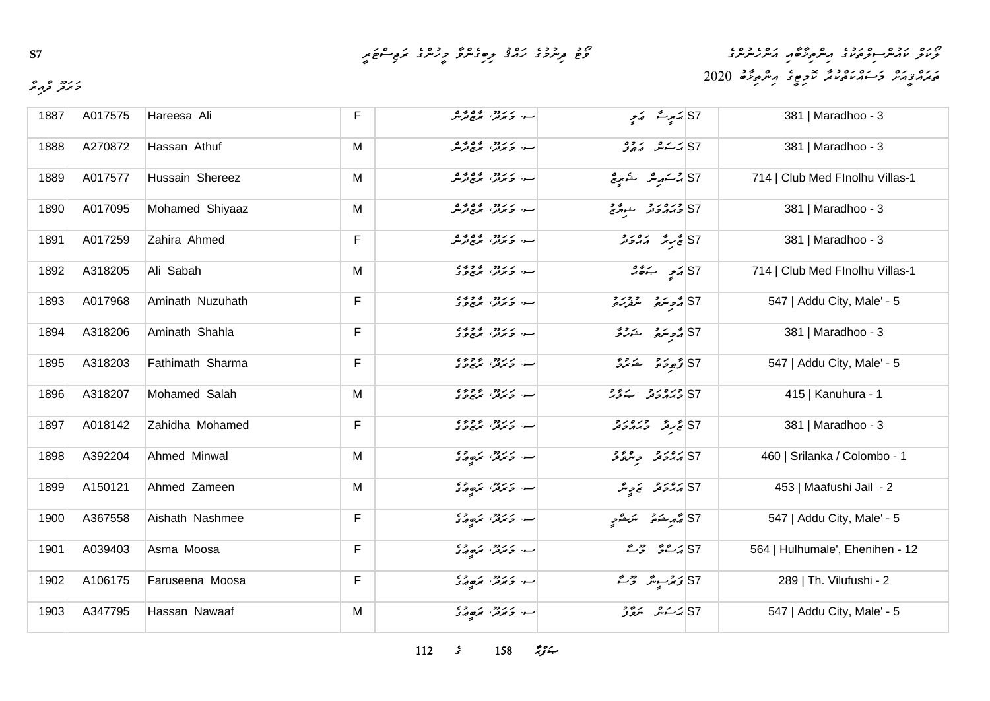*sCw7q7s5w7m< o<n9nOoAw7o< sCq;mAwBoEw7q<m; wBm;vB* م من المرة المرة المرة المرجع المرجع في المركبة 2020<br>مجم*د المريض المربوط المربع المرجع في المراجع المركبة* 

|  | $\theta = \theta - 32 \times 10^7$ |  |
|--|------------------------------------|--|
|  | وتمرتر ترمير                       |  |

| 1887 | A017575 | Hareesa Ali      | F           | ے ویروز مربح فرمز                              | S7 برپرسته <sub>ف</sub> رمو                 | 381   Maradhoo - 3              |
|------|---------|------------------|-------------|------------------------------------------------|---------------------------------------------|---------------------------------|
| 1888 | A270872 | Hassan Athuf     | M           | ب روده وه وه                                   | S7 ئەسەھەر بەر <i>ە</i>                     | 381   Maradhoo - 3              |
| 1889 | A017577 | Hussain Shereez  | M           | ر درود ۵۶۵۶<br>سه و برتر، بر <sub>گا</sub> ترس | S7 بر شمېر شومېږيځ<br>په مشمېر شومې         | 714   Club Med Flnolhu Villas-1 |
| 1890 | A017095 | Mohamed Shiyaaz  | M           | ے۔ زیروہ مجمع ترمگ                             | $5.323$ $5.233$ $57$                        | 381   Maradhoo - 3              |
| 1891 | A017259 | Zahira Ahmed     | F           | ر درود بره وه.<br>سه و برتر، برج ترس           | S7 يُحرِ بِمُهُ مَهْدَوْمُ                  | 381   Maradhoo - 3              |
| 1892 | A318205 | Ali Sabah        | M           | ر ر دو.<br>سه کر برقر، مربع تو ی               | $222 + 57$                                  | 714   Club Med Flnolhu Villas-1 |
| 1893 | A017968 | Aminath Nuzuhath | $\mathsf F$ | ر بر دود.<br>سه و برتر، برنام و د              | S7 مُرْحِ سَمْدِ رَوْرٍ وَ السِّلْمُ رَحْمٍ | 547   Addu City, Male' - 5      |
| 1894 | A318206 | Aminath Shahla   | F           | ر ر دو.<br>سه کر برقر، برگانوی                 | S7 مُّحِسَمُ شَرْكَزٌ                       | 381   Maradhoo - 3              |
| 1895 | A318203 | Fathimath Sharma | $\mathsf F$ | ر ر دو.<br>سه کر برقر، مربع تو ی               | S7 تَ <i>وْجِوْدَة</i> شَعْرَتَّ            | 547   Addu City, Male' - 5      |
| 1896 | A318207 | Mohamed Salah    | M           | ر درود. دروده                                  | S7 <i>جەممى ھەمبۇر</i>                      | 415   Kanuhura - 1              |
| 1897 | A018142 | Zahidha Mohamed  | F           | ر ر دو.<br>سه و برتر، برج و ی                  | S7 تج برقر ح تره و د د                      | 381   Maradhoo - 3              |
| 1898 | A392204 | Ahmed Minwal     | M           | ے دیکھی مرحوری                                 | S7 <i>ג' وبرو و بروگر</i>                   | 460   Srilanka / Colombo - 1    |
| 1899 | A150121 | Ahmed Zameen     | M           | ے دیکھی مرحوری                                 | S7 <i>ג 25 پرو</i> نگر                      | 453   Maafushi Jail - 2         |
| 1900 | A367558 | Aishath Nashmee  | F           | سه وبردو بره وه                                | S7 م <i>گهرڪو مگرڪو</i> رِ                  | 547   Addu City, Male' - 5      |
| 1901 | A039403 | Asma Moosa       | F           | سه وبردو بره وي                                | $23$ $52/57$                                | 564   Hulhumale', Ehenihen - 12 |
| 1902 | A106175 | Faruseena Moosa  | F           | سه وبردو بره وي                                | S7 كۈنترىيەتتە ئەخشە                        | 289   Th. Vilufushi - 2         |
| 1903 | A347795 | Hassan Nawaaf    | M           | ے دیکھی مرحوری                                 | S7   پرسترېنه مر <i>وف</i> ر                | 547   Addu City, Male' - 5      |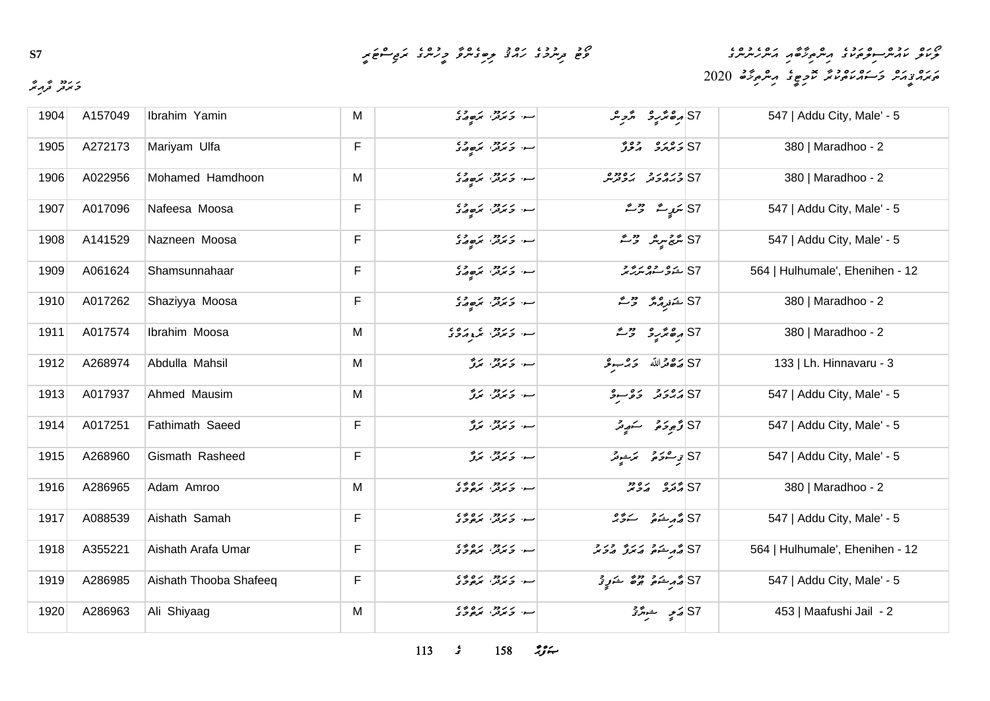*sCw7q7s5w7m< o<n9nOoAw7o< sCq;mAwBoEw7q<m; wBm;vB* م من المرة المرة المرة المرجع المرجع في المركبة 2020<br>مجم*د المريض المربوط المربع المرجع في المراجع المركبة* 

| 1904 | A157049 | Ibrahim Yamin          | M           | سه و برده برج و ،               | S7 مەھ <i>مگې</i> ر مگرمىلگە                         | 547   Addu City, Male' - 5      |
|------|---------|------------------------|-------------|---------------------------------|------------------------------------------------------|---------------------------------|
| 1905 | A272173 | Mariyam Ulfa           | F           | سه وبردو بره وی                 | S7 <i>جېرمري ده و</i>                                | 380   Maradhoo - 2              |
| 1906 | A022956 | Mohamed Hamdhoon       | M           | سه وبردو برجه ده                | S7 <i>בגם בפי הפייפ</i>                              | 380   Maradhoo - 2              |
| 1907 | A017096 | Nafeesa Moosa          | F           | ה ג'ורי ביטוב                   | S7 سَمِي شَہ حِيْ شَہ                                | 547   Addu City, Male' - 5      |
| 1908 | A141529 | Nazneen Moosa          | F           | سه وبردد بره ده                 | S7 سُمِ سِرسُ حَرْمَةً                               | 547   Addu City, Male' - 5      |
| 1909 | A061624 | Shamsunnahaar          | F           | ה ג'ור ביטוב                    | S7 خۇچ شەھرىر بور                                    | 564   Hulhumale', Ehenihen - 12 |
| 1910 | A017262 | Shaziyya Moosa         | F           | سه وبردو برجه ده                | S7 شَم <i>ْدِهُ جُمْ</i> حُبُّ ا                     | 380   Maradhoo - 2              |
| 1911 | A017574 | Ibrahim Moosa          | M           | سه کريږدو شوه ده ده د           | S7 مەھمەر 2° تە                                      | 380   Maradhoo - 2              |
| 1912 | A268974 | Abdulla Mahsil         | M           | سە كەندىق ئۆگە                  | S7 مَەھْتَراللە ئەيرىبوگە                            | 133   Lh. Hinnavaru - 3         |
| 1913 | A017937 | Ahmed Mausim           | M           | سە كەندىق ئىرۇ                  | S7 كەبروتر كەھرىبى                                   | 547   Addu City, Male' - 5      |
| 1914 | A017251 | Fathimath Saeed        | $\mathsf F$ | سە كەتكەنى تۈگە                 | S7 ۇ <sub>جو</sub> رَمْ سَمپِىرْ                     | 547   Addu City, Male' - 5      |
| 1915 | A268960 | Gismath Rasheed        | F           | سە كەندىق بۇل                   | S7 ت <sub>و</sub> سٹو <del>ک</del> و تمر میں پیشر پر | 547   Addu City, Male' - 5      |
| 1916 | A286965 | Adam Amroo             | M           | ر درود.<br>سه و برتر، برووی     | $5.36$ $5.4$ ST                                      | 380   Maradhoo - 2              |
| 1917 | A088539 | Aishath Samah          | F           | ر ر دو.<br>سه و برتر، بروتری    | S7 مۇم ئىم ئىم ئىسىمبىر ئىس                          | 547   Addu City, Male' - 5      |
| 1918 | A355221 | Aishath Arafa Umar     | F           | ر ر دو.<br>سه و برتر، بروتری    | S7 مُمْ شَوْءِ مَمَرٌ مُحَمَّدٌ                      | 564   Hulhumale', Ehenihen - 12 |
| 1919 | A286985 | Aishath Thooba Shafeeq | F           | ر ر دو.<br>سو، تر بوتو، بوج و ی | S7 <sub>م</sub> ُرڪو وه خورِ تر                      | 547   Addu City, Male' - 5      |
| 1920 | A286963 | Ali Shiyaag            | M           | ر درود ده ده<br>سه وبرتر، بروژی | S7 <i>ھَ جِ</i> سُمِيرُ تَنْ                         | 453   Maafushi Jail - 2         |

 $113$  *s*  $158$  *n***<sub>y</sub>**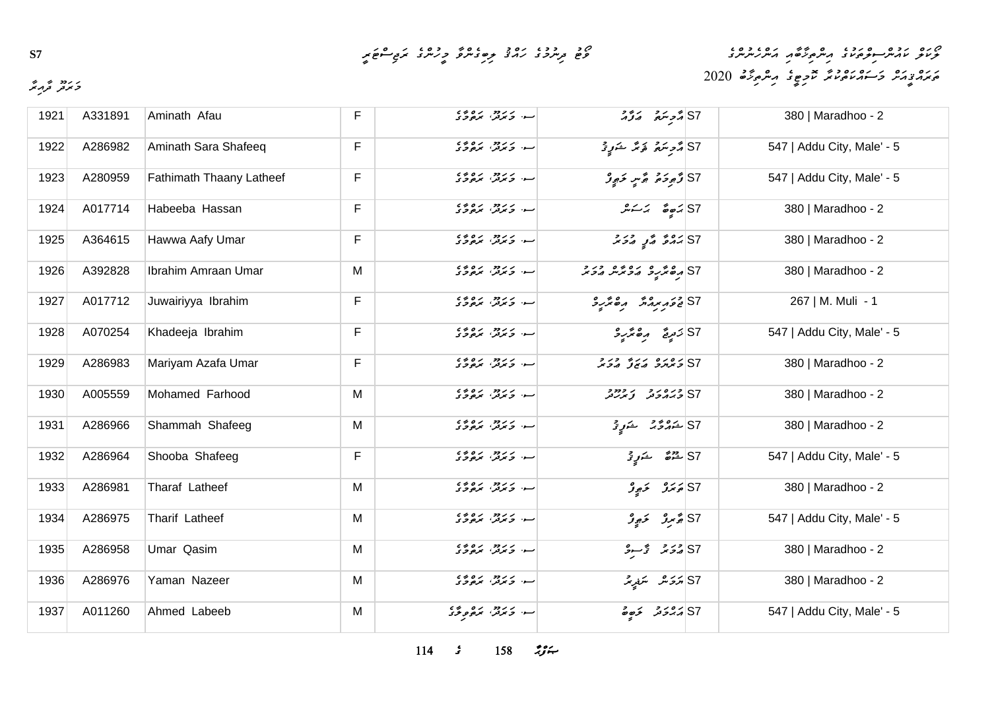*sCw7q7s5w7m< o<n9nOoAw7o< sCq;mAwBoEw7q<m; wBm;vB* م من المرة المرة المرة المرجع المرجع في المركبة 2020<br>مجم*د المريض المربوط المربع المرجع في المراجع المركبة* 

| 1921 | A331891 | Aminath Afau             | F | ر ر دو.<br>سه و برتر، بروژی                     | S7 مُجِسَعَة مَرْمُّ                                                                                | 380   Maradhoo - 2         |
|------|---------|--------------------------|---|-------------------------------------------------|-----------------------------------------------------------------------------------------------------|----------------------------|
| 1922 | A286982 | Aminath Sara Shafeeq     | F | ر ر دو.<br>سو، تر بوتو، بوج و ی                 | S7 مٌ <i>وِ سَهْءُ</i> هُ مَّرَ حَسَنٍ تَحْ                                                         | 547   Addu City, Male' - 5 |
| 1923 | A280959 | Fathimath Thaany Latheef | F | ر ر دو.<br>سو، تر مرتو، مردم و ی                | S7 ژُ <i>؋ِدَهُ ۾ُ</i> سِ زَ <sub>؋ِ</sub> رُ                                                       | 547   Addu City, Male' - 5 |
| 1924 | A017714 | Habeeba Hassan           | F | ر ر دو.<br>سو، تر مرتو، مردم و ی                | S7 يَهِ صَدَ يَرْ يَهْرُ                                                                            | 380   Maradhoo - 2         |
| 1925 | A364615 | Hawwa Aafy Umar          | F | ر درود ره ده<br>سه وبرتر، برووی                 | S7 <i>جەمۇ ھۇ ھ</i> ۆك                                                                              | 380   Maradhoo - 2         |
| 1926 | A392828 | Ibrahim Amraan Umar      | M | ر درود. ده ده                                   | S7 مەھەرىپ مەدەبىر مەدىر                                                                            | 380   Maradhoo - 2         |
| 1927 | A017712 | Juwairiyya Ibrahim       | F | ر ر دو.<br>سو، تر بوتو، بوج و ی                 | S7 <i>فوكم بروتر م</i> وكر بر                                                                       | 267   M. Muli - 1          |
| 1928 | A070254 | Khadeeja Ibrahim         | F | ر درود.<br>سه وبوتر، برووی                      | S7 كَتْرِيعٌ مِنْ مُرْكِزِيْتِ                                                                      | 547   Addu City, Male' - 5 |
| 1929 | A286983 | Mariyam Azafa Umar       | F | ر در دو.<br>سه و برتر، بروژی                    | S7 כיתה כי כי כי כ                                                                                  | 380   Maradhoo - 2         |
| 1930 | A005559 | Mohamed Farhood          | M | ر رود ره در د<br>سو، <del>و ب</del> رتر، بروو د | S7 כל הכני צ' הכני                                                                                  | 380   Maradhoo - 2         |
| 1931 | A286966 | Shammah Shafeeg          | M | ر درود ده ده<br>سه ویرتر، بروژ                  | S7 شەر <i>ۇ ئى</i> ئىمرىتى                                                                          | 380   Maradhoo - 2         |
| 1932 | A286964 | Shooba Shafeeg           | F | ر ر دود.<br>سه و برتر، برووی                    | S7 ڪُٽڙ ڪو <i>پ</i> ڙ                                                                               | 547   Addu City, Male' - 5 |
| 1933 | A286981 | Tharaf Latheef           | M | ر درود.<br>در کارگران مرحول                     | S7 يَرَ يَرْوُ مَنْ تَحْرُونَ مَنْ يَرْتَقَلْ بِيَا مِنْ مِنْ يَشْرِيقَ بِيَا بِيَا بِيَا بِيَا بِي | 380   Maradhoo - 2         |
| 1934 | A286975 | Tharif Latheef           | M | ر رود ره در د<br>سو، <del>و ب</del> رتر، بروو د |                                                                                                     | 547   Addu City, Male' - 5 |
| 1935 | A286958 | Umar Qasim               | M | ر رود ره در د<br>سو، <del>و ب</del> رتر، بروو د | S7 كەنزىتر گ <sup>ې</sup> رىدۇ.                                                                     | 380   Maradhoo - 2         |
| 1936 | A286976 | Yaman Nazeer             | M | ر ر دو.<br>سه و برتر، بروژی                     | S7   <i>مَرْحَ</i> مَّى سَمْدِيْرَ                                                                  | 380   Maradhoo - 2         |
| 1937 | A011260 | Ahmed Labeeb             | M | ے دروہ رہ دی                                    | $5.225$ $87$                                                                                        | 547   Addu City, Male' - 5 |

*n8o<n@ r@m8m>*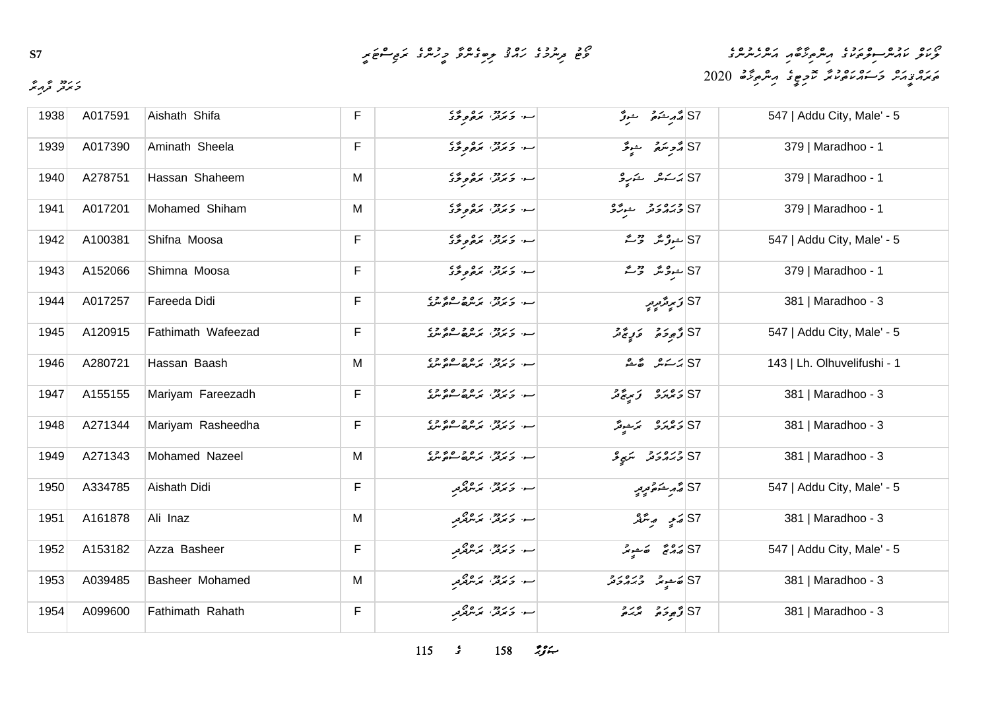*sCw7q7s5w7m< o<n9nOoAw7o< sCq;mAwBoEw7q<m; wBm;vB* م من المرة المرة المرة المرجع المرجع في المركبة 2020<br>مجم*د المريض المربوط المربع المرجع في المراجع المركبة* 

|  | $\begin{array}{ccccc} \circ & \circ & \circ \circ \end{array}$ |
|--|----------------------------------------------------------------|
|  | و مرتز تربر مر                                                 |
|  |                                                                |

| 1938 | A017591 | Aishath Shifa      | F           | ے ویرس برو وی                                                 | S7 مُرمِشَمُو شِعْرٌ                                                                                                                                                                                                                                                                                                | 547   Addu City, Male' - 5  |
|------|---------|--------------------|-------------|---------------------------------------------------------------|---------------------------------------------------------------------------------------------------------------------------------------------------------------------------------------------------------------------------------------------------------------------------------------------------------------------|-----------------------------|
| 1939 | A017390 | Aminath Sheela     | F           | ر دردو ده وه<br>پ ویرس بروونوی                                | S7 مُرْحِ سَمْ مَ شِرْحٌر                                                                                                                                                                                                                                                                                           | 379   Maradhoo - 1          |
| 1940 | A278751 | Hassan Shaheem     | M           | ے کا بردو برہ دی                                              | S7   پرسکس ڪر <sub>ي</sub> و                                                                                                                                                                                                                                                                                        | 379   Maradhoo - 1          |
| 1941 | A017201 | Mohamed Shiham     | M           | سه و بردو ده وی                                               | $5.25 - 2.25$ ST                                                                                                                                                                                                                                                                                                    | 379   Maradhoo - 1          |
| 1942 | A100381 | Shifna Moosa       | $\mathsf F$ | سه وبردو ده وه                                                | S7 شور مگر گرگتا                                                                                                                                                                                                                                                                                                    | 547   Addu City, Male' - 5  |
| 1943 | A152066 | Shimna Moosa       | $\mathsf F$ | ے رود رہ دی                                                   | S7 شوق شر قرمتگ                                                                                                                                                                                                                                                                                                     | 379   Maradhoo - 1          |
| 1944 | A017257 | Fareeda Didi       | $\mathsf F$ | ر در دون ده و ه ده و د و د<br>سو، او تولار، ايمر سرده سوم سرو | S7 تر پوتر پر پر                                                                                                                                                                                                                                                                                                    | 381   Maradhoo - 3          |
| 1945 | A120915 | Fathimath Wafeezad | F           | ر بر دور بر دوره ده د د د<br>سه د تر ترتر، تر سره سهوسرو      | S7 <i>وَّجِ حَوَّجٍ وَرِي</i> حَ مَرَ                                                                                                                                                                                                                                                                               | 547   Addu City, Male' - 5  |
| 1946 | A280721 | Hassan Baash       | M           | ر در دور ده و ده و د و د<br>سه د تر ترتر، تر سره سوم سرو      | S7   پرستر گھنٹہ                                                                                                                                                                                                                                                                                                    | 143   Lh. Olhuvelifushi - 1 |
| 1947 | A155155 | Mariyam Fareezadh  | F           | ر در دور ده و ده و د و د<br>سه و برتر، برس هاشموس             | S7 <i>وَبُرْ بِرَوْ وَبِرِي</i> ْتَر                                                                                                                                                                                                                                                                                | 381   Maradhoo - 3          |
| 1948 | A271344 | Mariyam Rasheedha  | $\mathsf F$ | ر در دور ده و ده و د و د<br>سه د تر ترتر، تر سره سوم سرو      | S7 ك <i>رىمى كى مۇسۇن</i> گە                                                                                                                                                                                                                                                                                        | 381   Maradhoo - 3          |
| 1949 | A271343 | Mohamed Nazeel     | M           | سه بربردد. بردرو و دره                                        | S7 <i>\$22.25. سَي ڈ</i>                                                                                                                                                                                                                                                                                            | 381   Maradhoo - 3          |
| 1950 | A334785 | Aishath Didi       | $\mathsf F$ | ے ویروز پرمرور                                                | S7 مُدْمِر ڪَمُوَمِرِمِرِ                                                                                                                                                                                                                                                                                           | 547   Addu City, Male' - 5  |
| 1951 | A161878 | Ali Inaz           | M           | ے کردوں کرماؤیں                                               | S7 <i>ھَ جِه مِسَمَّعْدِ</i>                                                                                                                                                                                                                                                                                        | 381   Maradhoo - 3          |
| 1952 | A153182 | Azza Basheer       | F           | ے کریں کرس                                                    | $\frac{2}{3}$ $\frac{2}{3}$ $\frac{2}{3}$ $\frac{2}{3}$ $\frac{2}{3}$ $\frac{2}{3}$ $\frac{2}{3}$ $\frac{2}{3}$ $\frac{2}{3}$ $\frac{2}{3}$ $\frac{2}{3}$ $\frac{2}{3}$ $\frac{2}{3}$ $\frac{2}{3}$ $\frac{2}{3}$ $\frac{2}{3}$ $\frac{2}{3}$ $\frac{2}{3}$ $\frac{2}{3}$ $\frac{2}{3}$ $\frac{2}{3}$ $\frac{2}{3}$ | 547   Addu City, Male' - 5  |
| 1953 | A039485 | Basheer Mohamed    | M           | ے کا کروڑ کر مرکزمر                                           | S7 ڪَشِيرُ ويرمونر                                                                                                                                                                                                                                                                                                  | 381   Maradhoo - 3          |
| 1954 | A099600 | Fathimath Rahath   | F           |                                                               | S7 <i>وُجِوحَة بَدْبَ</i> عْو                                                                                                                                                                                                                                                                                       | 381   Maradhoo - 3          |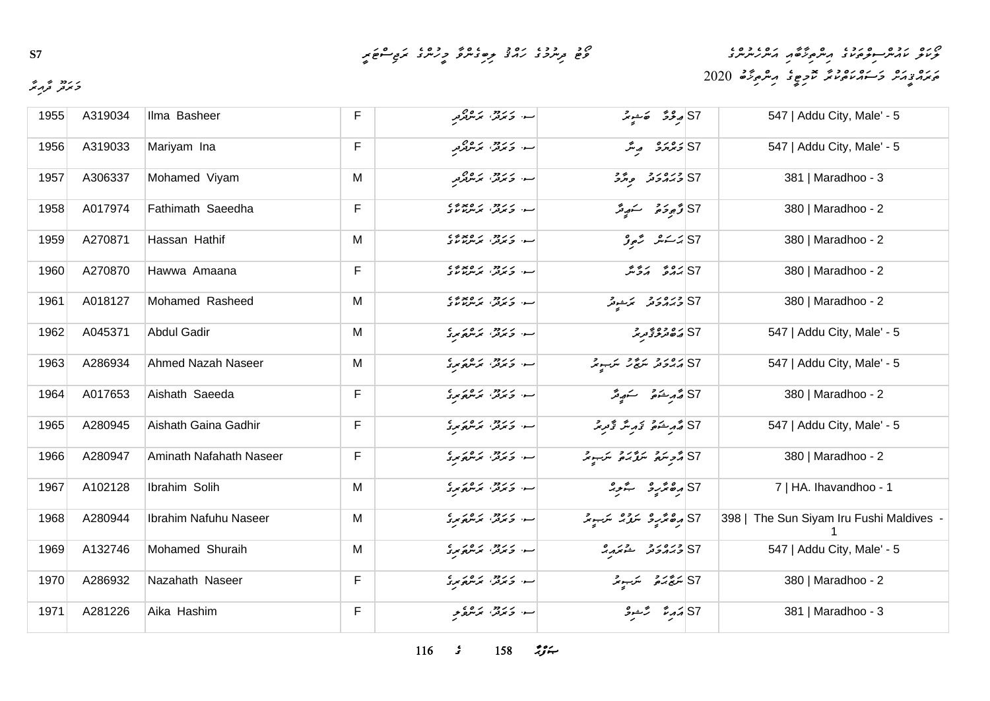*sCw7q7s5w7m< o<n9nOoAw7o< sCq;mAwBoEw7q<m; wBm;vB* م من المرة المرة المرة المرجع المرجع في المركبة 2020<br>مجم*د المريض المربوط المربع المرجع في المراجع المركبة* 

| 1955 | A319034 | Ilma Basheer              | $\mathsf F$ |                                     | S7 م <i>ې</i> څرنگ ځې شومتر               | 547   Addu City, Male' - 5               |
|------|---------|---------------------------|-------------|-------------------------------------|-------------------------------------------|------------------------------------------|
| 1956 | A319033 | Mariyam Ina               | F           | سەر ئەرەم ئەس ئەرەب                 | S7 <i>ۇنىز بىر قى</i> رىش                 | 547   Addu City, Male' - 5               |
| 1957 | A306337 | Mohamed Viyam             | M           | ے کر دور کر دی گر                   | S7 ديرورو په د                            | 381   Maradhoo - 3                       |
| 1958 | A017974 | Fathimath Saeedha         | F           | سه کريږده کره پوه کا                | S7 ۇ <sub>جو</sub> رَمْ سَم <i>و</i> مَّر | 380   Maradhoo - 2                       |
| 1959 | A270871 | Hassan Hathif             | M           |                                     | S7 پرسەش ئەم <sub>و</sub> ر               | 380   Maradhoo - 2                       |
| 1960 | A270870 | Hawwa Amaana              | F           | ر درود ده ده ده.<br>سه و دور، ندس د | S7 ئەيمۇ بەيمىگە                          | 380   Maradhoo - 2                       |
| 1961 | A018127 | Mohamed Rasheed           | M           | سه کريږي ره بده ده                  | S7 <i>ۇنەم كى م</i> ىر مىر                | 380   Maradhoo - 2                       |
| 1962 | A045371 | <b>Abdul Gadir</b>        | M           | ے کا بردو برنامی مرد                |                                           | 547   Addu City, Male' - 5               |
| 1963 | A286934 | <b>Ahmed Nazah Naseer</b> | M           | ر درود برور د                       | S7 كەندى تەرىپى ئىز ئىرىپ ئە              | 547   Addu City, Male' - 5               |
| 1964 | A017653 | Aishath Saeeda            | F           | ر درود برور د                       | S7 مۇم شەھ كەمپىگر                        | 380   Maradhoo - 2                       |
| 1965 | A280945 | Aishath Gaina Gadhir      | F           | - درود برماره                       | S7 مەم شەھ تىم شىر تۇمبىر                 | 547   Addu City, Male' - 5               |
| 1966 | A280947 | Aminath Nafahath Naseer   | F           | - درود برماره                       | S7 مُرْحِسَمُ سَرَّيْرَةً سَبِيرًا        | 380   Maradhoo - 2                       |
| 1967 | A102128 | Ibrahim Solih             | M           | - درود برور د                       | S7 ب <i>ر&amp;ټرپر\$ ہے پو</i> یژ         | 7   HA. Ihavandhoo - 1                   |
| 1968 | A280944 | Ibrahim Nafuhu Naseer     | M           | سه درود برمار در د                  | S7 مەھەر يەھ ئىردە ئىزىبولىر              | 398   The Sun Siyam Iru Fushi Maldives - |
| 1969 | A132746 | Mohamed Shuraih           | M           | - درود برور د                       | S7 <i>وبرودو شمهرو</i>                    | 547   Addu City, Male' - 5               |
| 1970 | A286932 | Nazahath Naseer           | F           | سه د برده بر شهر برد                | S7 <i>مریج برهی</i> مترسومر               | 380   Maradhoo - 2                       |
| 1971 | A281226 | Aika Hashim               | F           | ے دیروہ ترمرونو                     | S7 <i>أمَهر ما شُ</i> خوفر                | 381   Maradhoo - 3                       |

*116 sC 158 nNw?mS*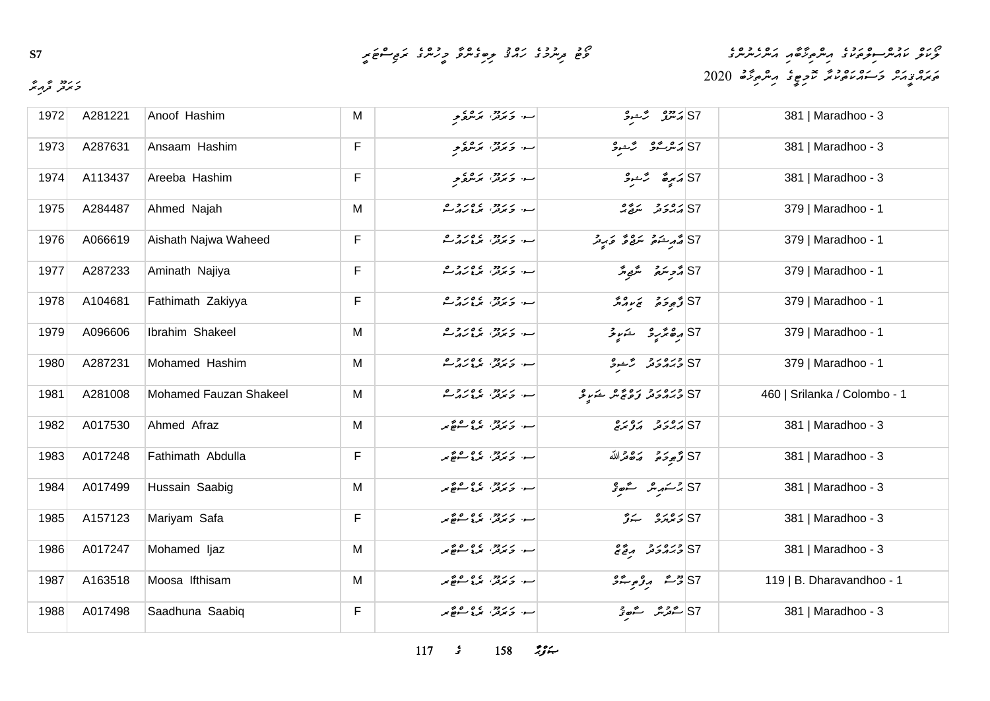*sCw7q7s5w7m< o<n9nOoAw7o< sCq;mAwBoEw7q<m; wBm;vB* م من المرة المرة المرة المرجع المرجع في المركبة 2020<br>مجم*د المريض المربوط المربع المرجع في المراجع المركبة* 

|  | $\alpha \rightarrow -$ |
|--|------------------------|
|  | فرنمرفر الرمريمر       |
|  |                        |

| 1972 | A281221 | Anoof Hashim                  | M | ے کا برقراء برنگرم      | S7 كەنتىر <sub>ى</sub> گەھىدى                                                                                               | 381   Maradhoo - 3           |
|------|---------|-------------------------------|---|-------------------------|-----------------------------------------------------------------------------------------------------------------------------|------------------------------|
| 1973 | A287631 | Ansaam Hashim                 | F | ے زیروی ترمونو          | S7 كەنگرىسى ئىشى ئ                                                                                                          | 381   Maradhoo - 3           |
| 1974 | A113437 | Areeba Hashim                 | F | ے دروہ روہ              | S7 <i>مَبِيعٌ يَ</i> ْسُو <i>دُ</i>                                                                                         | 381   Maradhoo - 3           |
| 1975 | A284487 | Ahmed Najah                   | M | سه و بردو ، بره رو ه    | S7 كەبرو ئەرەبىرى يولغان ئى                                                                                                 | 379   Maradhoo - 1           |
| 1976 | A066619 | Aishath Najwa Waheed          | F | سه کرېږدو. ه د د ه      | S7 مەم شەھ سىھ <i>قى قى</i> رىتر                                                                                            | 379   Maradhoo - 1           |
| 1977 | A287233 | Aminath Najiya                | F | سه کرېږدو. ه د د ه      | S7 مُتَّحِسَّعَ مُتَّبِعِ مُّتَّ                                                                                            | 379   Maradhoo - 1           |
| 1978 | A104681 | Fathimath Zakiyya             | F | سە كەيروم برورومى       | S7 زُجِرْدَ مِنْ مِرْدَدَّ                                                                                                  | 379   Maradhoo - 1           |
| 1979 | A096606 | Ibrahim Shakeel               | M | سە كەيرى ئەرەر ق        | S7 مەھەر بۇ سىمبىر ئى                                                                                                       | 379   Maradhoo - 1           |
| 1980 | A287231 | Mohamed Hashim                | M | سه وبردو ، دورو ه       | S7 <i>جەممى بىر مى</i> شەۋ                                                                                                  | 379   Maradhoo - 1           |
| 1981 | A281008 | <b>Mohamed Fauzan Shakeel</b> | M | سه وبردو ، دورو ه       | S7 درەرد رەپچىر خىرى                                                                                                        | 460   Srilanka / Colombo - 1 |
| 1982 | A017530 | Ahmed Afraz                   | M | سە كەيروم مى قاھقىم     | S7 كەبروتر كەبىر يونىدىنى                                                                                                   | 381   Maradhoo - 3           |
| 1983 | A017248 | Fathimath Abdulla             | F | سە كەردە بىرە مەھ       | S7 <i>وَّجِوحَة مَـُـهُ</i> قَرَاللَّه                                                                                      | 381   Maradhoo - 3           |
| 1984 | A017499 | Hussain Saabig                | M | سە كەيروم مەھ سوھىمە    | S7 يُرْسَمب <sup>9</sup> سُتَص <sup>ق</sup> ح                                                                               | 381   Maradhoo - 3           |
| 1985 | A157123 | Mariyam Safa                  | F | سه کرده ۵۵ وه کر        | S7 ئ <i>ۆپرە بىنۇ</i>                                                                                                       | 381   Maradhoo - 3           |
| 1986 | A017247 | Mohamed ljaz                  | M | سە كەيرىق برو مەھبر     | $s^2$ $s^2$ $s^2$ $s^2$ $s^2$                                                                                               | 381   Maradhoo - 3           |
| 1987 | A163518 | Moosa Ifthisam                | M | سە كەبرەدەر يەھ سەھ بىر | S7 تۇش موق <i>ومبى</i> گە                                                                                                   | 119   B. Dharavandhoo - 1    |
| 1988 | A017498 | Saadhuna Saabiq               | F | سە كەردە يەھ ھۇس        | S7 گىنى ئىش قىلىنى ئىش ئىش قىتى ئىش قىتار ئىش قىتار ئىش قىتار ئىستان ئىش قىتار كىتار كىتار ئىش قىتار ئىش قىتا<br>مەنبەت ئىش | 381   Maradhoo - 3           |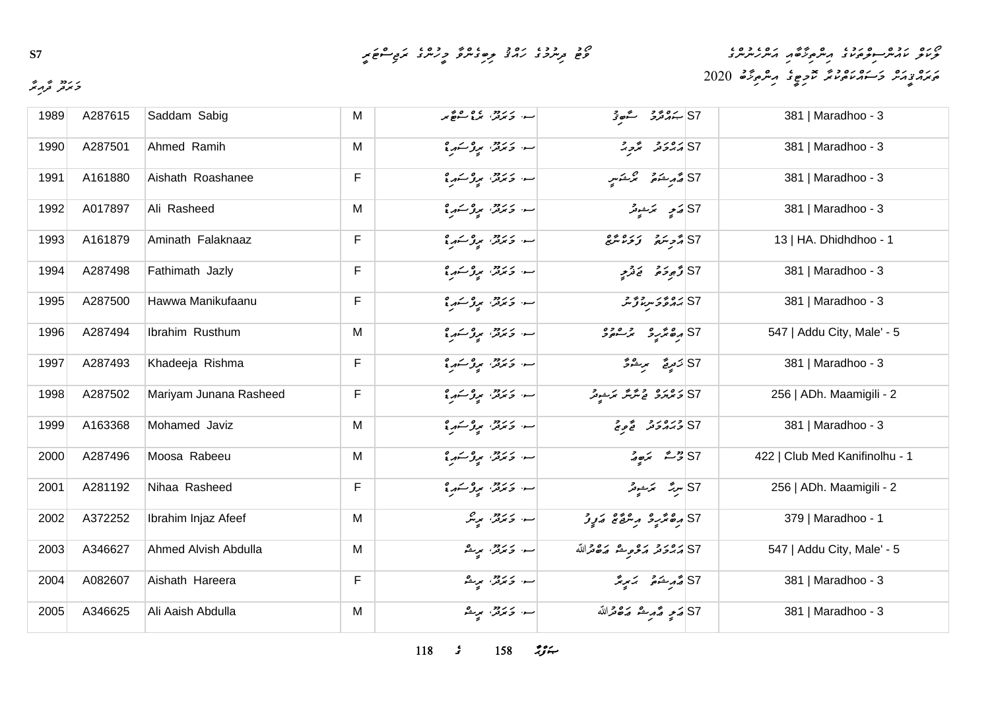*sCw7q7s5w7m< o<n9nOoAw7o< sCq;mAwBoEw7q<m; wBm;vB* م من المرة المرة المرة المرجع المرجع في المركبة 2020<br>مجم*د المريض المربوط المربع المرجع في المراجع المركبة* 

| 1989 | A287615 | Saddam Sabig           | M           | سه زېږدو په ۵ ۵ مخې پر | S7 بەر <i>ەۋۋە شەھ</i> ۇ                                                                                                                                                                                              | 381   Maradhoo - 3             |
|------|---------|------------------------|-------------|------------------------|-----------------------------------------------------------------------------------------------------------------------------------------------------------------------------------------------------------------------|--------------------------------|
| 1990 | A287501 | Ahmed Ramih            | M           | ے ویرس پروے ک          | S7 <i>مَدْدَوَدْ مُدَّوِيْ</i>                                                                                                                                                                                        | 381   Maradhoo - 3             |
| 1991 | A161880 | Aishath Roashanee      | F           | ے ویرس پروے ک          | S7 <i>مُذْمِرْ شَوَمْ كُرْ</i> مُتَوْسِ                                                                                                                                                                               | 381   Maradhoo - 3             |
| 1992 | A017897 | Ali Rasheed            | M           | ے ویرس پروے ک          | S7 كەمچە كەشى <i>يەت</i> ر                                                                                                                                                                                            | 381   Maradhoo - 3             |
| 1993 | A161879 | Aminath Falaknaaz      | F           | ب ريزدو برو شهره       | S7 مُجِسَعُ وَحَرَّمْتَنَّعَ                                                                                                                                                                                          | 13   HA. Dhidhdhoo - 1         |
| 1994 | A287498 | Fathimath Jazly        | F           | ے ویرس پروے ک          | S7 <i>وُّجِ دَمْ</i> گَفْرُمٍ                                                                                                                                                                                         | 381   Maradhoo - 3             |
| 1995 | A287500 | Hawwa Manikufaanu      | F           | ے ویرس پروے ک          | S7 ئەۋۋۇس <i>ۋۇ</i> تىر                                                                                                                                                                                               | 381   Maradhoo - 3             |
| 1996 | A287494 | Ibrahim Rusthum        | M           | ے ویرس پروے ک          | S7 مەھەر بەر مەدە                                                                                                                                                                                                     | 547   Addu City, Male' - 5     |
| 1997 | A287493 | Khadeeja Rishma        | F           | ے ویروز پروے دی        | S7 كَتْمِيعٌ مِيشْرَّ                                                                                                                                                                                                 | 381   Maradhoo - 3             |
| 1998 | A287502 | Mariyam Junana Rasheed | $\mathsf F$ | ے ویروز پروے ک         | S7 كەنگەرە - مەمگە كەنگەر ئىلگەر ئىس                                                                                                                                                                                  | 256   ADh. Maamigili - 2       |
| 1999 | A163368 | Mohamed Javiz          | M           | ے ویرس پروے ک          | S7 دېمبر د قوم                                                                                                                                                                                                        | 381   Maradhoo - 3             |
| 2000 | A287496 | Moosa Rabeeu           | M           | سه کريږدو سرو شمهره    | S7 محمد محمد محمد الحرم التي تعديد التي تعديد التي تعديد التي تعديد التي تعديد التي تعديد التي تعديد<br>معدات التي تعديد التي تعديد التي تعديد التي تعديد التي تعديد التي تعديد التي تعديد التي تعديد التي تعديد التي | 422   Club Med Kanifinolhu - 1 |
| 2001 | A281192 | Nihaa Rasheed          | F           | ے دردہ پروے ہ          | S7 سربر تحریف مقر                                                                                                                                                                                                     | 256   ADh. Maamigili - 2       |
| 2002 | A372252 | Ibrahim Injaz Afeef    | M           | سە كەنتىرى ئېرىگە      | S7 مەھەر بەر مەملەق ئەر ئەر ئە                                                                                                                                                                                        | 379   Maradhoo - 1             |
| 2003 | A346627 | Ahmed Alvish Abdulla   | M           | سە كەنگەنگە موسطى      | S7 <i>مُدْدَمْه مَوْهِ</i> شُهْ مَهْمَرْاللَّه                                                                                                                                                                        | 547   Addu City, Male' - 5     |
| 2004 | A082607 | Aishath Hareera        | F           | سە كەندىق بېرىشە       | S7 مەم ئىقتىم ئىم ئىرىتىگە                                                                                                                                                                                            | 381   Maradhoo - 3             |
| 2005 | A346625 | Ali Aaish Abdulla      | M           | ب، وَيَرَوْزُ بِرِتْ   | S7 <i>مَرْمٍ مُدْمِثْہ مَ</i> صْعَراللّه                                                                                                                                                                              | 381   Maradhoo - 3             |

 $118$  *s*  $158$  *n***<sub>y</sub>** $\le$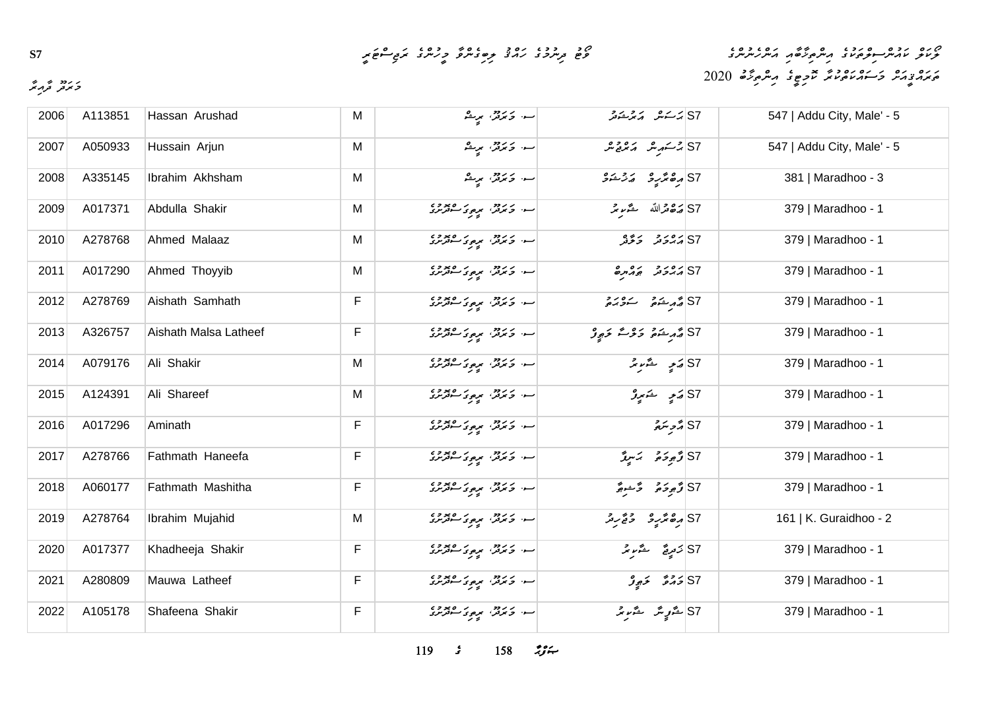*sCw7q7s5w7m< o<n9nOoAw7o< sCq;mAwBoEw7q<m; wBm;vB* م من المرة المرة المرة المرجع المرجع في المركبة 2020<br>مجم*د المريض المربوط المربع المرجع في المراجع المركبة* 

| 2006 | A113851 | Hassan Arushad        | M            | سە، كۆتۈڭ، تېرىش                                    | S7 ئەسەمىر كەيمەيھىر                                                                                 | 547   Addu City, Male' - 5 |
|------|---------|-----------------------|--------------|-----------------------------------------------------|------------------------------------------------------------------------------------------------------|----------------------------|
| 2007 | A050933 | Hussain Arjun         | M            | ے کا ترکن مرگ                                       | S7 يُرْسَمَ مِيْتَ مَرَ بِيْتِ مِيْتِ مِيْتِ مِيْتِ مِيْتِ مِيْتِ مِيْتِ مِيْتِ مِيْتِ مِيْتِ مِيْتِ | 547   Addu City, Male' - 5 |
| 2008 | A335145 | Ibrahim Akhsham       | M            | ے کر پڑھی ہرے                                       | S7 مەھ <i>مگرى ھ</i> ارىشكى                                                                          | 381   Maradhoo - 3         |
| 2009 | A017371 | Abdulla Shakir        | M            | ے کا کروڑ کردہ ہے کہ دیا                            | S7 مَەھتراللە مەمەمە                                                                                 | 379   Maradhoo - 1         |
| 2010 | A278768 | Ahmed Malaaz          | M            | سه کرېږده.<br>سه کرېږده مرد کاستورن                 | S7 كەبر <i>ە بەر كە</i> قر                                                                           | 379   Maradhoo - 1         |
| 2011 | A017290 | Ahmed Thoyyib         | M            |                                                     | ST ג'פיב גם כ                                                                                        | 379   Maradhoo - 1         |
| 2012 | A278769 | Aishath Samhath       | $\mathsf{F}$ | ے دکھی مرد وے دون                                   | S7 مەم ئىقتى سى <i>كى مەم</i>                                                                        | 379   Maradhoo - 1         |
| 2013 | A326757 | Aishath Malsa Latheef | $\mathsf F$  | ے دکھی مرد وے دون                                   | S7 مٌبرَ شَمَعٌ وَكَرْتٌ وَجِورٌ                                                                     | 379   Maradhoo - 1         |
| 2014 | A079176 | Ali Shakir            | M            | ے و ترین مرد و تحدوہ                                | S7 ڪچھ ڪيو پر                                                                                        | 379   Maradhoo - 1         |
| 2015 | A124391 | Ali Shareef           | M            |                                                     | S7 <i>۾َ ڇِ</i> شَمِيوْ                                                                              | 379   Maradhoo - 1         |
| 2016 | A017296 | Aminath               | $\mathsf F$  |                                                     | S7 گەجە ئىيۇ                                                                                         | 379   Maradhoo - 1         |
| 2017 | A278766 | Fathmath Haneefa      | F            | ر در دور مرد در ۲۶۵ و د د                           | S7 ۇ <sub>جو</sub> رَمْ ب <sub>ەس</sub> مەر                                                          | 379   Maradhoo - 1         |
| 2018 | A060177 | Fathmath Mashitha     | $\mathsf F$  | ر در دور برمړی سوتر دی.<br>سه کوترنگ مرمړی سوتر دی. | S7 <i>وَّجِ دَمَّةَ</i> حَسْبَةً                                                                     | 379   Maradhoo - 1         |
| 2019 | A278764 | Ibrahim Mujahid       | M            | ے دکھی مرد و عدد ہ                                  | S7 مەھ <i>مگىي</i> ئۇيغۇر قە                                                                         | 161   K. Guraidhoo - 2     |
| 2020 | A017377 | Khadheeja Shakir      | $\mathsf F$  | سه کرېږده.<br>سه کرېږده مرد کاستورن                 | S7 كَتْمِيعٌ مُسْتَمَمٍ مُرْ                                                                         | 379   Maradhoo - 1         |
| 2021 | A280809 | Mauwa Latheef         | $\mathsf F$  | ب کردو پروکرده ده                                   | S7 كەنر <i>ۇ</i> كەم <sub>ب</sub> ۇ                                                                  | 379   Maradhoo - 1         |
| 2022 | A105178 | Shafeena Shakir       | $\mathsf{F}$ |                                                     | S7 شَرِسَ شَرِيرَ                                                                                    | 379   Maradhoo - 1         |

*119 sC 158 nNw?mS*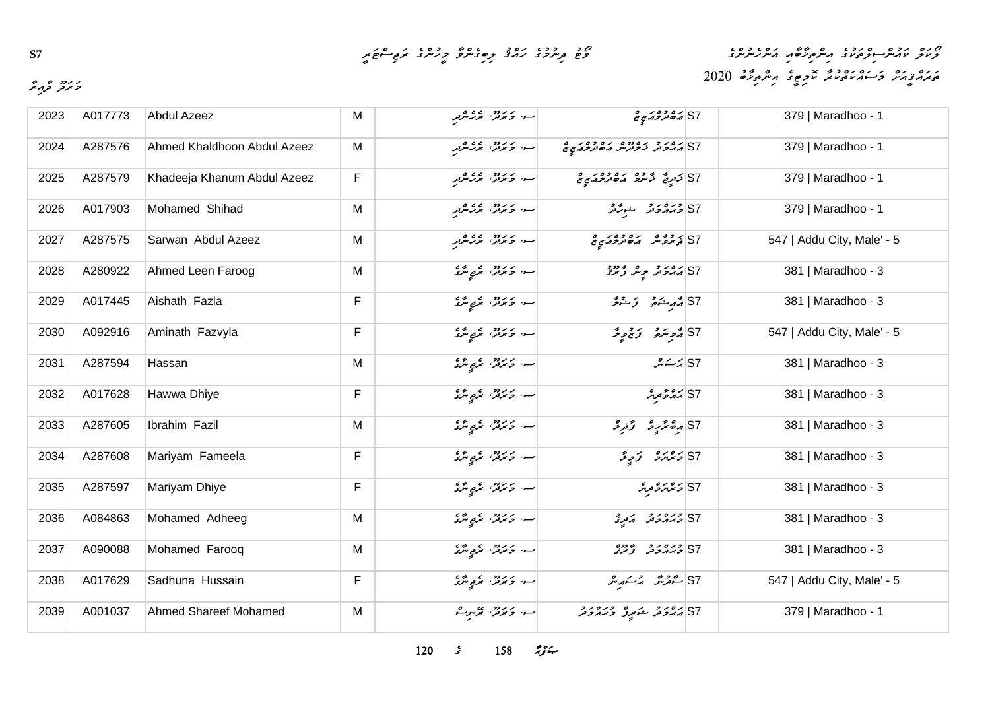*sCw7q7s5w7m< o<n9nOoAw7o< sCq;mAwBoEw7q<m; wBm;vB* م من المرة المرة المرة المرجع المرجع في المركبة 2020<br>مجم*د المريض المربوط المربع المرجع في المراجع المركبة* 

| 2023 | A017773 | <b>Abdul Azeez</b>           | M | سەسە ئەترىپى ئۆز ئىرىبر   | S7 كەھەترى <i>ۋە ئى</i> ج                                          | 379   Maradhoo - 1         |
|------|---------|------------------------------|---|---------------------------|--------------------------------------------------------------------|----------------------------|
| 2024 | A287576 | Ahmed Khaldhoon Abdul Azeez  | M |                           | S7 גם ג כ ג פ ככם גם כם גם<br>S7 ג ג ב تر ن تر تر شر ה ש تر تر ה ي | 379   Maradhoo - 1         |
| 2025 | A287579 | Khadeeja Khanum Abdul Azeez  | F | ے۔ تربردوں بررکرفیں       | S7 زَمْرِيَّ گَرُّگُو مُگُومُ مِيَّ ج                              | 379   Maradhoo - 1         |
| 2026 | A017903 | Mohamed Shihad               | М | ے ویروز وویرمربر          | S7 <i>ۇرۇۋۇ خەرگۇ</i>                                              | 379   Maradhoo - 1         |
| 2027 | A287575 | Sarwan Abdul Azeez           | M | ے ویری پرکریٹریں          | S7 څومرڅ شه مره وه د ه<br>S7 څومرڅ شه مره مرح مرمونو ځ             | 547   Addu City, Male' - 5 |
| 2028 | A280922 | Ahmed Leen Faroog            | M | سەس ئەرەم ئەسى ئىرى       | S7 كەبروتر ب <sub>و</sub> ير ۋىزد                                  | 381   Maradhoo - 3         |
| 2029 | A017445 | Aishath Fazla                | F | سەس ئەرەدە بەي ئىگە       | S7 مەم ئىسىم كى ئىسىم                                              | 381   Maradhoo - 3         |
| 2030 | A092916 | Aminath Fazvyla              | F | ے کا کروڑ کا عربی میں تری | S7 مُرْحِسَمُ وَيَجْ وِخُهُ الله                                   | 547   Addu City, Male' - 5 |
| 2031 | A287594 | Hassan                       | M | سە كەنزلىق ئوي ئىرى       | S7 ئەستەنلە                                                        | 381   Maradhoo - 3         |
| 2032 | A017628 | Hawwa Dhiye                  | F | سە ئەترىق، ئۇي ئىگە       | S7 ئەۋگە ئورگە                                                     | 381   Maradhoo - 3         |
| 2033 | A287605 | Ibrahim Fazil                | M | سە ئەترىق ئۇي ئىگە        | S7 ب <i>ر&amp;ټرْرِ \$ذرِ\$</i>                                    | 381   Maradhoo - 3         |
| 2034 | A287608 | Mariyam Fameela              | F | سە ئەترىق ئۇي ئىگە        | S7 كەنگە <i>نگە ۋې</i> تگ                                          | 381   Maradhoo - 3         |
| 2035 | A287597 | Mariyam Dhiye                | F | سە ئەترىق ئۇي ئىگە        | S7 كەمھەرگە بىرەگە                                                 | 381   Maradhoo - 3         |
| 2036 | A084863 | Mohamed Adheeg               | M | سە ئەترىق ئۇي ئىگە        | S7  <i>32,325 كم</i> وي <sup>3</sup>                               | 381   Maradhoo - 3         |
| 2037 | A090088 | Mohamed Farooq               | M | ے کا کروڑ کے برگے مگر     | S7 <i>ۋېزود ۋېروه</i>                                              | 381   Maradhoo - 3         |
| 2038 | A017629 | Sadhuna Hussain              | F | سەس ئەرەدە بەي ئىگە       | S7 گەنزىگر بر <i>شەر</i> ىگر                                       | 547   Addu City, Male' - 5 |
| 2039 | A001037 | <b>Ahmed Shareef Mohamed</b> | M | سه درود عرس م             | S7 <i>גېرونه خېرو وېمم</i> ونه                                     | 379   Maradhoo - 1         |

 $120$  *s*  $158$  *n***<sub>3</sub>** *n*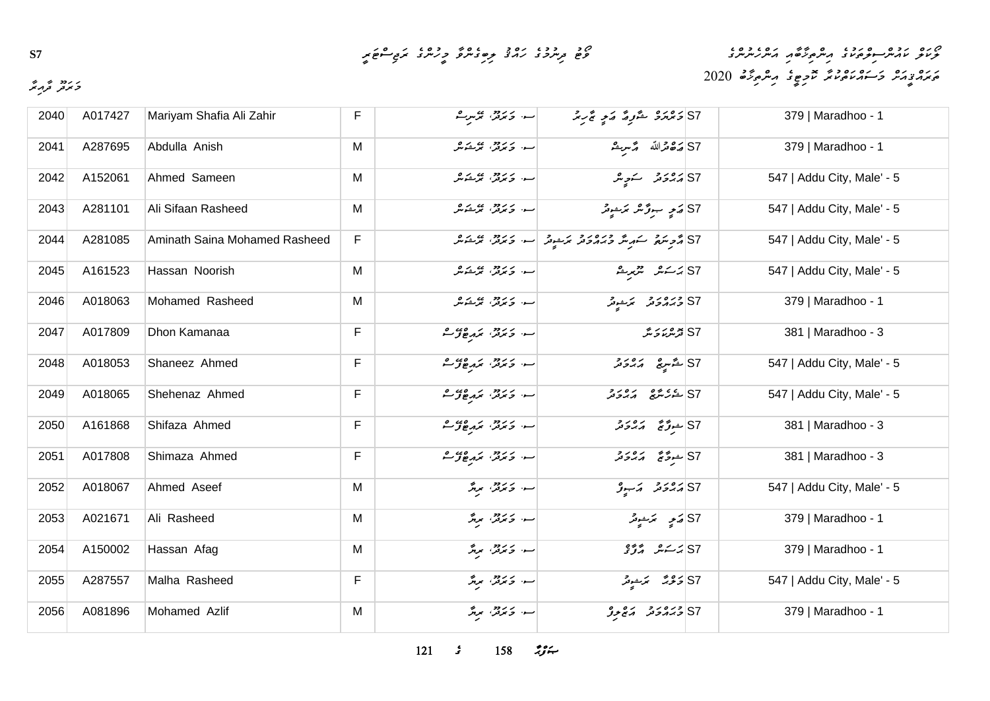*sCw7q7s5w7m< o<n9nOoAw7o< sCq;mAwBoEw7q<m; wBm;vB* م من المرة المرة المرة المرجع المرجع في المركبة 2020<br>مجم*د المريض المربوط المربع المرجع في المراجع المركبة* 

| ر ردد به برگر<br>د بر بر ترم <i>ه</i> بر |         |                               |   |                        |                                                                      | $2020$ <i>xx, xx, year and a content</i> |
|------------------------------------------|---------|-------------------------------|---|------------------------|----------------------------------------------------------------------|------------------------------------------|
| 2040                                     | A017427 | Mariyam Shafia Ali Zahir      | F | سەس ئەرەق ئەئەرىكە     | S7  كەنگەر ئىگەر قەم قىم يىلى ئىرىد                                  | 379   Maradhoo - 1                       |
| 2041                                     | A287695 | Abdulla Anish                 | M | سە كەيرى ئەسكەنگر      | S7 كەھەراللە گ <i>ەسرى</i> شە                                        | 379   Maradhoo - 1                       |
| 2042                                     | A152061 | Ahmed Sameen                  | M | سە كەبرەدە ئەسكەنگر    | S7 ړ <i>وبرو</i> خوبگر                                               | 547   Addu City, Male' - 5               |
| 2043                                     | A281101 | Ali Sifaan Rasheed            | M | سە، كەيمەتلىر، ئەرشىش  | S7 كەمچ سو <i>ۋىنگە مۇ</i> ھوم                                       | 547   Addu City, Male' - 5               |
| 2044                                     | A281085 | Aminath Saina Mohamed Rasheed | F |                        | S7 مُوسَمَّة شهرسُ وبرور و مَرْشِرِ مِنْ الله و برود مَنْ مُرْشَرَسُ | 547   Addu City, Male' - 5               |
| 2045                                     | A161523 | Hassan Noorish                | M | سه الرادود المؤسكر مثل | S7 كەسكەنلەر ئىتىمبەسىگە                                             | 547   Addu City, Male' - 5               |
| 2046                                     | A018063 | Mohamed Rasheed               | M | سە كەيرى ئەشكەش        | S7 <i>وُبُرُودُو تَرَجُونُ</i> رُ                                    | 379   Maradhoo - 1                       |
| 2047                                     | A017809 | Dhon Kamanaa                  | F | - وردو مرموث و         | S7 تېرىش ئەتە                                                        | 381   Maradhoo - 3                       |
| 2048                                     | A018053 | Shaneez Ahmed                 | F | - وبردو بمهاج والم     |                                                                      | 547   Addu City, Male' - 5               |
| 2049                                     | A018065 | Shehenaz Ahmed                | F | ے کروو کر میں م        | S7 گەندىگى كەبروكىر                                                  | 547   Addu City, Male' - 5               |
| 2050                                     | A161868 | Shifaza Ahmed                 | F | ے کروڑ تر دی ہ         | S7 شو <i>رٌ چَ" مَدُوَ</i> مَرُ                                      | 381   Maradhoo - 3                       |
| 2051                                     | A017808 | Shimaza Ahmed                 | F | ے کروڑ مکر میں م       | S7 شو <i>دگانگ مذکر د</i>                                            | 381   Maradhoo - 3                       |
| 2052                                     | A018067 | Ahmed Aseef                   | M | سا ئەتكەنگە بىرلار     | S7 كەبر <i>ە بەي كەسب</i> ور                                         | 547   Addu City, Male' - 5               |
| 2053                                     | A021671 | Ali Rasheed                   | M | سا ئەتكەنگە) بىرىگە    | S7 <i>ھَ۔ جِي حَدِيثِ</i> وتَر                                       | 379   Maradhoo - 1                       |
| 2054                                     | A150002 | Hassan Afag                   | м | ے کروڑ برو             | S7 ئەسەھەر مۇق <sub>ى</sub> ق                                        | 379   Maradhoo - 1                       |
| 2055                                     | A287557 | Malha Rasheed                 | F | ب كوردو. بور           | S7 ك <sup>و</sup> محه تكريم مركز بير من                              | 547   Addu City, Male' - 5               |
| 2056                                     | A081896 | Mohamed Azlif                 | M | ے کے برقرا برائر       | S7 ديرورو ده ديمور                                                   | 379   Maradhoo - 1                       |

 $121$  *s*  $158$  *i*<sub>s</sub>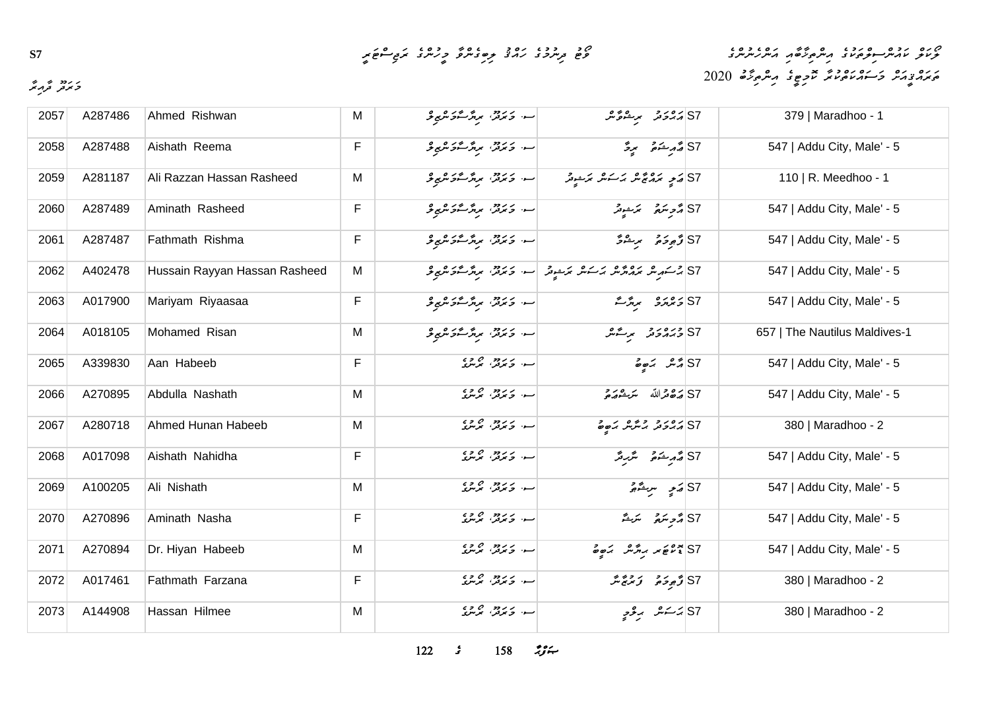*sCw7q7s5w7m< o<n9nOoAw7o< sCq;mAwBoEw7q<m; wBm;vB* م من المرة المرة المرة المرجع المرجع في المركبة 2020<br>مجم*د المريض المربوط المربع المرجع في المراجع المركبة* 

| A287486 | Ahmed Rishwan                 | M | سە كەندىق بېرىگە كەنگەنچ       |                        | 379   Maradhoo - 1                                                                                                                                                                                                                                                                                                                                                                                                                                                                                                                                                                                                                 |
|---------|-------------------------------|---|--------------------------------|------------------------|------------------------------------------------------------------------------------------------------------------------------------------------------------------------------------------------------------------------------------------------------------------------------------------------------------------------------------------------------------------------------------------------------------------------------------------------------------------------------------------------------------------------------------------------------------------------------------------------------------------------------------|
| A287488 | Aishath Reema                 | F | - ئەندىر، ئېرىگە ئەنگە ئور     |                        | 547   Addu City, Male' - 5                                                                                                                                                                                                                                                                                                                                                                                                                                                                                                                                                                                                         |
| A281187 | Ali Razzan Hassan Rasheed     | M |                                |                        | 110   R. Meedhoo - 1                                                                                                                                                                                                                                                                                                                                                                                                                                                                                                                                                                                                               |
| A287489 | Aminath Rasheed               | F | - دىروم برېزىشترىرى            |                        | 547   Addu City, Male' - 5                                                                                                                                                                                                                                                                                                                                                                                                                                                                                                                                                                                                         |
| A287487 | Fathmath Rishma               | F | ے کا کروڑ اور گرگر کرکھیے گی   |                        | 547   Addu City, Male' - 5                                                                                                                                                                                                                                                                                                                                                                                                                                                                                                                                                                                                         |
| A402478 | Hussain Rayyan Hassan Rasheed | M |                                |                        | 547   Addu City, Male' - 5                                                                                                                                                                                                                                                                                                                                                                                                                                                                                                                                                                                                         |
| A017900 | Mariyam Riyaasaa              | F | سە ئەرەدە بېرگە ئەركىرىم ئى    |                        | 547   Addu City, Male' - 5                                                                                                                                                                                                                                                                                                                                                                                                                                                                                                                                                                                                         |
| A018105 | Mohamed Risan                 | M | سە كەنگەنى ئېرىگە ئەرگىرىمى ئى |                        | 657   The Nautilus Maldives-1                                                                                                                                                                                                                                                                                                                                                                                                                                                                                                                                                                                                      |
| A339830 | Aan Habeeb                    | F | سە ئەندىق ئويدى                |                        | 547   Addu City, Male' - 5                                                                                                                                                                                                                                                                                                                                                                                                                                                                                                                                                                                                         |
| A270895 | Abdulla Nashath               | M | سه کردو همره                   |                        | 547   Addu City, Male' - 5                                                                                                                                                                                                                                                                                                                                                                                                                                                                                                                                                                                                         |
| A280718 | Ahmed Hunan Habeeb            | M | سە ئەترىق ئوسرى                |                        | 380   Maradhoo - 2                                                                                                                                                                                                                                                                                                                                                                                                                                                                                                                                                                                                                 |
| A017098 | Aishath Nahidha               | F | ے کروڑ مرس                     |                        | 547   Addu City, Male' - 5                                                                                                                                                                                                                                                                                                                                                                                                                                                                                                                                                                                                         |
| A100205 | Ali Nishath                   | M | سه کریږده ه ده                 |                        | 547   Addu City, Male' - 5                                                                                                                                                                                                                                                                                                                                                                                                                                                                                                                                                                                                         |
| A270896 | Aminath Nasha                 | F | سە كەندىق ئەرەپى               |                        | 547   Addu City, Male' - 5                                                                                                                                                                                                                                                                                                                                                                                                                                                                                                                                                                                                         |
| A270894 | Dr. Hiyan Habeeb              | M | ے کروڑ مرس                     |                        | 547   Addu City, Male' - 5                                                                                                                                                                                                                                                                                                                                                                                                                                                                                                                                                                                                         |
| A017461 | Fathmath Farzana              | F | سە كەندىق ئوسرى                |                        | 380   Maradhoo - 2                                                                                                                                                                                                                                                                                                                                                                                                                                                                                                                                                                                                                 |
| A144908 | Hassan Hilmee                 | M | ے کروڑ میں<br>سوالو کرفرا کرس  |                        | 380   Maradhoo - 2                                                                                                                                                                                                                                                                                                                                                                                                                                                                                                                                                                                                                 |
|         |                               |   |                                | سە ئەتكەر ئەرەر ئەرەپى | S7  كەبرىق ئوسقۇنىلە<br>S7 مُدشَمُ بِرِدً<br>S7 كەيچە ئەركەنچە ئەككەنگىر ئىزىش <sub>و</sub> نىز<br>S7 مُ <i>جِسَمَۃُ</i> سَمَسُومُرُ<br>S7 زَّەپرە ئەستىر ئە<br>S7 ئەسكىرىش ئوروشىش ئەسكىش ئىچە ئەس ئەرەپ ئورۇشكى ئىل ئى<br>S7 <i>و بر</i> ور و بروگ<br>S7 <i>ڈیزوویز برگ</i> ش<br>S7 أُمَّ شَرِّ مَنْ مَنْ مِنْ مِنْ حَ<br>S7 مَەھْرَاللَّهُ سَرَشْ <i>مُ م</i> ُو<br>S7 كەبرو بىر ئەسىر بەر 2%<br>S7 مەم ئىقىمۇ سى <i>رىدىگ</i><br>S7 كەمچە سرىش <sup>ى</sup> مۇ<br>S7 مُتَّحِسَّعَ سَنَسَّةَ<br>$50^{\circ}$ $\sim$ $20^{\circ}$ $\sim$ $87^{\circ}$<br>S7 ۇ <sub>ج</sub> وخۇ   ئەترىخ ئىر<br>S7   پر سر سر پر تو <sub>جي</sub> |

*n8o<n@ r@m8m>*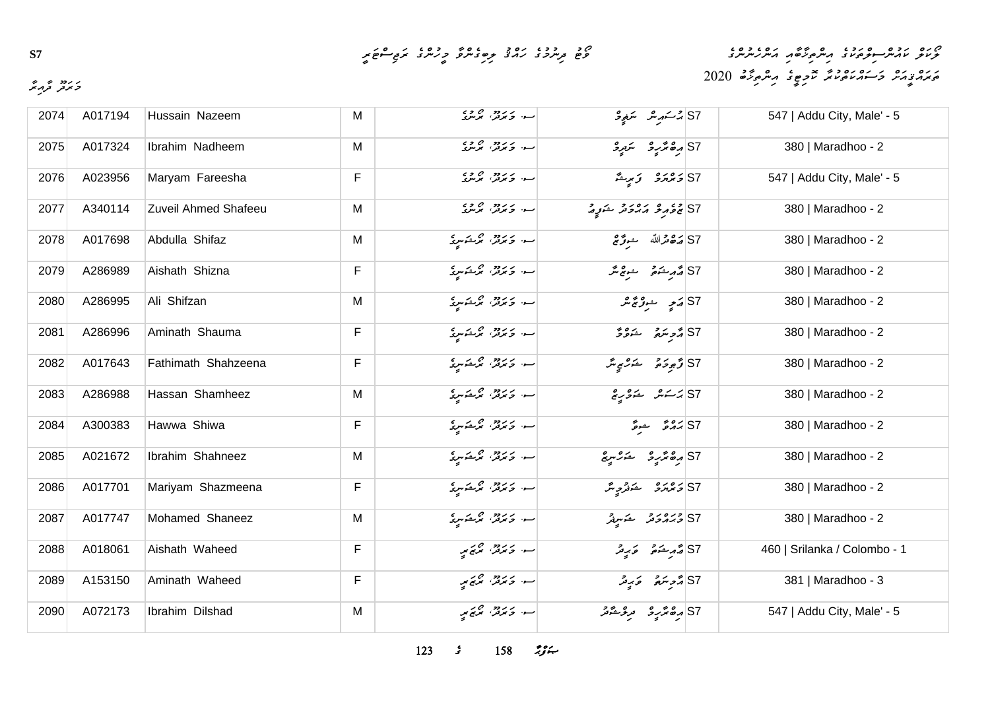*sCw7q7s5w7m< o<n9nOoAw7o< sCq;mAwBoEw7q<m; wBm;vB* م من المرة المرة المرة المرجع المرجع في المركبة 2020<br>مجم*د المريض المربوط المربع المرجع في المراجع المركبة* 

| 2074 | A017194 | Hussain Nazeem              | M | سە كەندىق ئويدى           | S7 يُرْ سَمْ مِيْرِ مِنْ مَرْدِ حَرْ   | 547   Addu City, Male' - 5   |
|------|---------|-----------------------------|---|---------------------------|----------------------------------------|------------------------------|
| 2075 | A017324 | Ibrahim Nadheem             | M | سە ئەندىق ئوسى            | S7 مەھەمگەيى ھىمب <sub>و</sub> د       | 380   Maradhoo - 2           |
| 2076 | A023956 | Maryam Fareesha             | F | سە ئە ئوقۇشى ئوسرى        | S7 <i>وَ بُرْمَرْدُ وَ بِرِ</i> حَّةَ  | 547   Addu City, Male' - 5   |
| 2077 | A340114 | <b>Zuveil Ahmed Shafeeu</b> | M | سە ئەتكەنى ئۆرى           | S7 ج <i>ق مر ج مر جو مشوره</i> ٔ       | 380   Maradhoo - 2           |
| 2078 | A017698 | Abdulla Shifaz              | M | سەر ئەيزلىقى ئۇسكىتلىرىگە | S7 كەھەراللە ھو <i>ۋىم</i>             | 380   Maradhoo - 2           |
| 2079 | A286989 | Aishath Shizna              | F | سە ئەترىقى، ئۇيغۇرىي      | S7 م <i>ەم ھەققى</i> ھەم ئىس ئىس       | 380   Maradhoo - 2           |
| 2080 | A286995 | Ali Shifzan                 | М | ساد كركروز الكر مشكل من   | S7 <i>ھَ۔</i> مُورْحَمْ مَرْ           | 380   Maradhoo - 2           |
| 2081 | A286996 | Aminath Shauma              | F | - دىروە ئۇخۇمبۇ           | S7 أُمُّ حِسْرَةٍ مُشْهَرَةٍ           | 380   Maradhoo - 2           |
| 2082 | A017643 | Fathimath Shahzeena         | F | سەر ئەركىزى ئۆگەنلىرىگە   | S7 <i>ۋې<sub>و</sub>خۇ شكرې</i> پىر    | 380   Maradhoo - 2           |
| 2083 | A286988 | Hassan Shamheez             | М | سە ئەترىقى، ئۇيغۇسىدى     | S7 كەسكەش ئىگەنزىقى                    | 380   Maradhoo - 2           |
| 2084 | A300383 | Hawwa Shiwa                 | F | سار دىروز، كرىشورى        | S7 <i>بَدْهُ ج</i> وَّ                 | 380   Maradhoo - 2           |
| 2085 | A021672 | Ibrahim Shahneez            | M | سەر ئۇنىڭ ئۆسكەسىگە       | S7 مەھەر بۇ ھەر سىر ئىرى               | 380   Maradhoo - 2           |
| 2086 | A017701 | Mariyam Shazmeena           | F |                           | S7 كەنگەر ئىقىدى ئىگەنلىكىنى ئىگە ئىگە | 380   Maradhoo - 2           |
| 2087 | A017747 | Mohamed Shaneez             | M | سە ئەترىقى، ئۇيغۇرىي      | S7 <i>دېمم</i> ر تر خسينگر             | 380   Maradhoo - 2           |
| 2088 | A018061 | Aishath Waheed              | F | سە ئەترىق ترىخ بىر        | S7 مُەم شەقر ئۇ ئوقر                   | 460   Srilanka / Colombo - 1 |
| 2089 | A153150 | Aminath Waheed              | F | سەس ئەيرىق ئىسى ئېر       | S7 مُرْحِ مَدَة مَ مِرْمَّد            | 381   Maradhoo - 3           |
| 2090 | A072173 | Ibrahim Dilshad             | M | سە ئەئەتتى ئويىمىيە       | S7 پ <i>رهنگرپ</i> و مرکز شور          | 547   Addu City, Male' - 5   |

*123 s 158 n***<sub>s</sub>**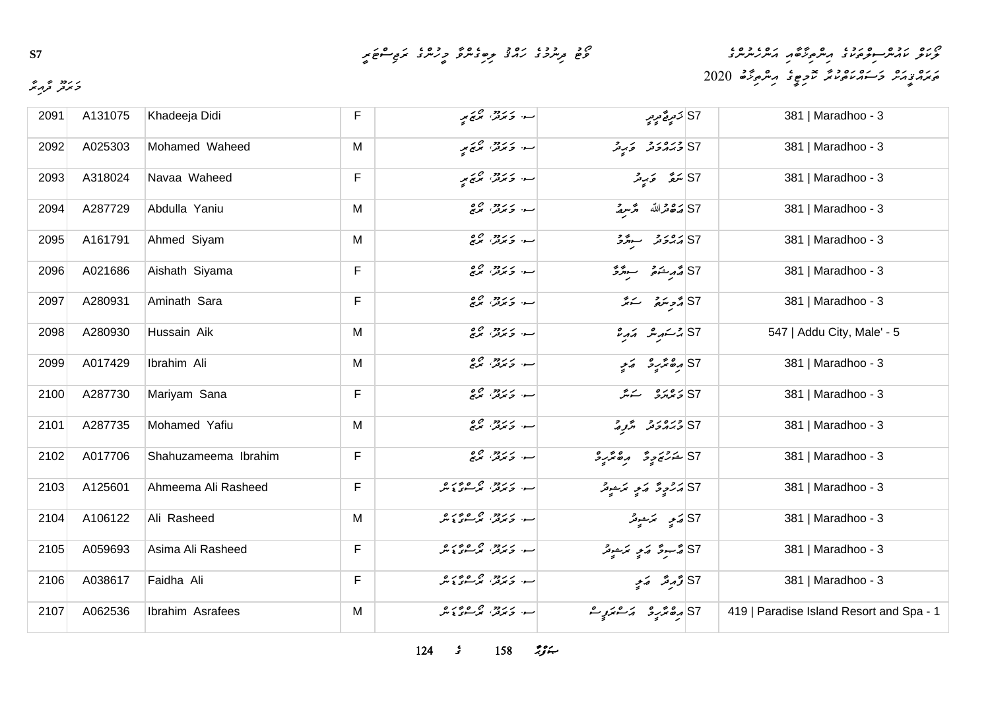*sCw7q7s5w7m< o<n9nOoAw7o< sCq;mAwBoEw7q<m; wBm;vB* م من المرة المرة المرة المرجع المرجع في المركبة 2020<br>مجم*د المريض المربوط المربع المرجع في المراجع المركبة* 

|  | $\begin{array}{ccccc} \circ & \circ & \circ \circ \end{array}$ |
|--|----------------------------------------------------------------|
|  | فرمرتر ترمرمر                                                  |
|  |                                                                |

| 2091 | A131075 | Khadeeja Didi        | $\mathsf F$  | ے کے ترقش تریخ میں    | S7 کر <i>م<sub>و</sub>قے م</i> ومو            | 381   Maradhoo - 3                       |
|------|---------|----------------------|--------------|-----------------------|-----------------------------------------------|------------------------------------------|
| 2092 | A025303 | Mohamed Waheed       | M            | سە ئەندىق ئويىم ئېر   | S7 <i>وُبَهُ وَوَ وَبِ</i> سَ                 | 381   Maradhoo - 3                       |
| 2093 | A318024 | Navaa Waheed         | F            | سە كەنتىرى ئىنجامىيە  | S7 يَمَعٌ – حَ بِرِ مَرْ                      | 381   Maradhoo - 3                       |
| 2094 | A287729 | Abdulla Yaniu        | M            | سە كەندىقى ئىرى       | $2\pi r$ مَصْحَراللَّهُ مَرَّسْهُمْ           | 381   Maradhoo - 3                       |
| 2095 | A161791 | Ahmed Siyam          | M            | سە كەندىق توپى        | S7 كەبروتر س <i>ەرگ</i> ۇ                     | 381   Maradhoo - 3                       |
| 2096 | A021686 | Aishath Siyama       | $\mathsf{F}$ | سە كەنگەنى ئىرى       | S7 مُ مِـــَمَعْ مِـــوَرَّةً                 | 381   Maradhoo - 3                       |
| 2097 | A280931 | Aminath Sara         | F            | سە كەنزلىق ئوي        | S7 مُ <i>جِينَهْ جَيْر</i>                    | 381   Maradhoo - 3                       |
| 2098 | A280930 | Hussain Aik          | M            | سە كەندىق توپى        | S7 پر کے مرکز مرکز م                          | 547   Addu City, Male' - 5               |
| 2099 | A017429 | Ibrahim Ali          | M            | سە كەنگەنى مى         | S7 مەھمىي ھەمبە                               | 381   Maradhoo - 3                       |
| 2100 | A287730 | Mariyam Sana         | F            | سە كەنگەنى ئوي        | S7 ئەمەرۋە سەنىگە                             | 381   Maradhoo - 3                       |
| 2101 | A287735 | Mohamed Yafiu        | M            | سە كەندىق توي         | S7 دېرونو گروړ                                | 381   Maradhoo - 3                       |
| 2102 | A017706 | Shahuzameema Ibrahim | $\mathsf F$  | سە كەنمەتقى ئىرى      | S7 شريح <sub>جو</sub> وً م <i>وه م</i> ُربِ و | 381   Maradhoo - 3                       |
| 2103 | A125601 | Ahmeema Ali Rasheed  | F            | سە كەيرى ئەرەبەر ئە   | S7 كەڭر <i>وپۇ كەي مۇ</i> ھرىگر               | 381   Maradhoo - 3                       |
| 2104 | A106122 | Ali Rasheed          | M            | سە كەيرەدە بۇ ھەم ئەھ | S7 <i>ھَ۔ ج</i> سمبر                          | 381   Maradhoo - 3                       |
| 2105 | A059693 | Asima Ali Rasheed    | F            | سه کرېږده هم شوی ش    | S7 مُرْسِودٌ   مَرْمٍ   مَرَسْوِمْر           | 381   Maradhoo - 3                       |
| 2106 | A038617 | Faidha Ali           | $\mathsf F$  | سە كەيرەدە مەھەر ھ    | S7 ۇرى <i>گە مەر</i>                          | 381   Maradhoo - 3                       |
| 2107 | A062536 | Ibrahim Asrafees     | M            | سە كەيرەم ئەرەپەر ئە  | S7 مەھمەر قەرىمىتى ئىسكىنى ئىسكە              | 419   Paradise Island Resort and Spa - 1 |

*124 s* **158** *<i>n*<sub>1</sub>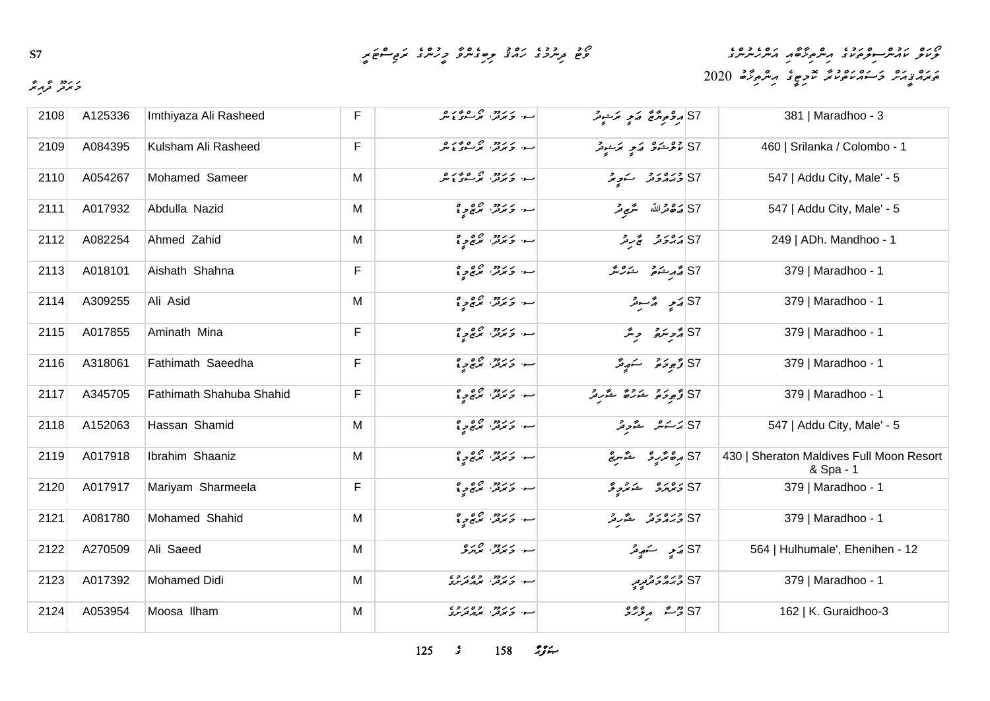*sCw7q7s5w7m< o<n9nOoAw7o< sCq;mAwBoEw7q<m; wBm;vB* م من المرة المرة المرة المرجع المرجع في المركبة 2020<br>مجم*د المريض المربوط المربع المرجع في المراجع المركبة* 

|  | シーションシー           |
|--|-------------------|
|  | فريمرفر اقرار بمر |

| 2108 | A125336 | Imthiyaza Ali Rasheed    | F           | سه کرده ه ۱۶۵۵ ک                        | S7 مرڈمونڈنج ک <i>ے پر م</i> کشونڈ     | 381   Maradhoo - 3                                    |
|------|---------|--------------------------|-------------|-----------------------------------------|----------------------------------------|-------------------------------------------------------|
| 2109 | A084395 | Kulsham Ali Rasheed      | F           | سە كەيروم مى مەمدە                      | S7 تۇخكۇ كەي كەنپەتر                   | 460   Srilanka / Colombo - 1                          |
| 2110 | A054267 | Mohamed Sameer           | M           | سە كەيرى ئەرەپەر ئ                      | S7 <i>دېمم</i> وتر خوبر                | 547   Addu City, Male' - 5                            |
| 2111 | A017932 | Abdulla Nazid            | M           | سه کريږده جړه وه                        | S7 كەھەراللە شىرەتر                    | 547   Addu City, Male' - 5                            |
| 2112 | A082254 | Ahmed Zahid              | M           | سە كەيمەترىم بىرى ئ                     | S7 كەبرى قىلى قىلىدى ئىس               | 249   ADh. Mandhoo - 1                                |
| 2113 | A018101 | Aishath Shahna           | F           | سه کريږده ه ه ه ه                       | S7 مُدْمِسْدَة شَدَرْسَّر              | 379   Maradhoo - 1                                    |
| 2114 | A309255 | Ali Asid                 | M           | سه کريږده جړه و                         | S7 <i>ھَ۔ ج</i> مُسوفِرُ               | 379   Maradhoo - 1                                    |
| 2115 | A017855 | Aminath Mina             | F           | سە ئەترىق ترىج ئ                        | S7 مُجِسَعُهُ جِسَّر                   | 379   Maradhoo - 1                                    |
| 2116 | A318061 | Fathimath Saeedha        | F           | سە كەيمەترىم بىرى ئ                     | S7 ۇ <sub>ج</sub> وڭ ئەر شەر           | 379   Maradhoo - 1                                    |
| 2117 | A345705 | Fathimath Shahuba Shahid | $\mathsf F$ | سه کريږده جړه وه                        | S7 زُجِرَة شَرْحُ شَرِيرُ              | 379   Maradhoo - 1                                    |
| 2118 | A152063 | Hassan Shamid            | M           | سه کريږي هغه ده و                       | S7 كەستەش مەش <i>ە</i> ر قىر           | 547   Addu City, Male' - 5                            |
| 2119 | A017918 | Ibrahim Shaaniz          | M           | سه کريږي هغه ده و                       | S7 ب <i>رھ مُرْرِدْ</i> شَسِعْ         | 430   Sheraton Maldives Full Moon Resort<br>& Spa - 1 |
| 2120 | A017917 | Mariyam Sharmeela        | F           | سه کريږده جړه و                         | S7 <i>وَبُرْمَرْدَ</i> شَمْرَہِ تَرُ   | 379   Maradhoo - 1                                    |
| 2121 | A081780 | Mohamed Shahid           | M           | سه کريږده ه ه ه ه                       | S7 <i>وُبَهُ وَبَدْ</i> مِنْ مُقَرِيرُ | 379   Maradhoo - 1                                    |
| 2122 | A270509 | Ali Saeed                | M           | ג ג'וד 250.<br>ג' ב'זנטי זקו <i>ת</i> ב | S7 <i>ھَ جِ</i> سَم <i>ُوتِ</i> رُ     | 564   Hulhumale', Ehenihen - 12                       |
| 2123 | A017392 | <b>Mohamed Didi</b>      | M           | ر در دور وه دوه<br>سه کوترنگی مورفوروی  | S7 د بر د بر و بر بر بر                | 379   Maradhoo - 1                                    |
| 2124 | A053954 | Moosa Ilham              | M           | ر درود وه دور<br>ر کردن بروتربرد        | S7  23 م <i>ب</i> ورثرو                | 162   K. Guraidhoo-3                                  |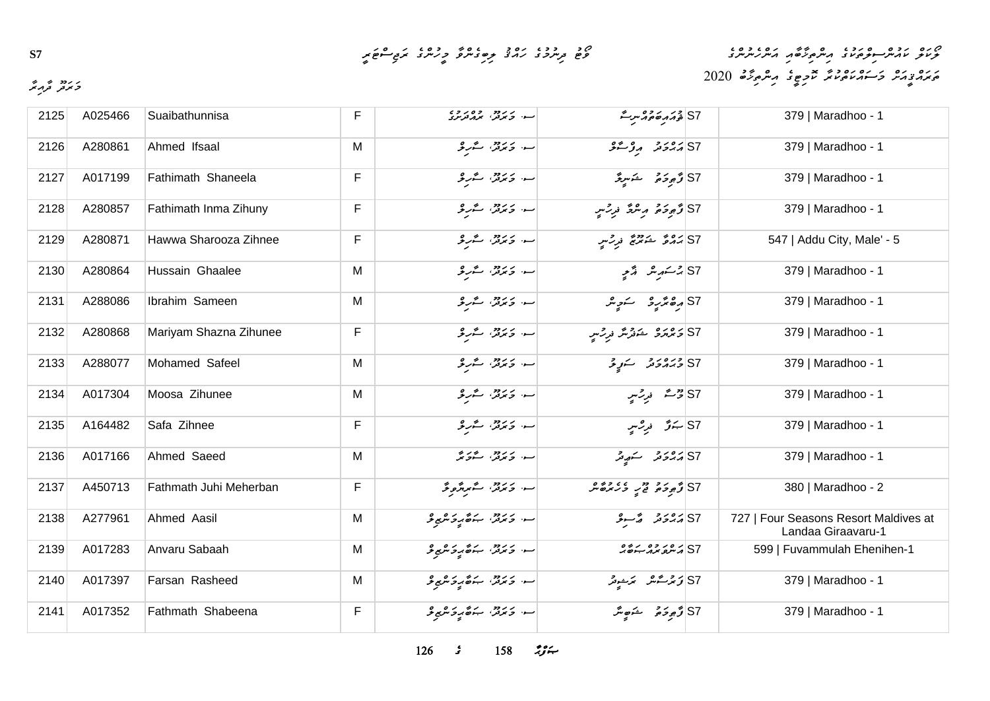*sCw7q7s5w7m< o<n9nOoAw7o< sCq;mAwBoEw7q<m; wBm;vB* م من المرة المرة المرة المرجع المرجع في المركبة 2020<br>مجم*د المريض المربوط المربع المرجع في المراجع المركبة* 

| 2125 | A025466 | Suaibathunnisa         | F           | رے دور وہ روہ<br>سوالو کرتن مورکزیں | S7 ۋۇرۇھۇر سرگ                             | 379   Maradhoo - 1                                          |
|------|---------|------------------------|-------------|-------------------------------------|--------------------------------------------|-------------------------------------------------------------|
| 2126 | A280861 | Ahmed Ifsaal           | M           | ے ویروژ، گرو                        | S7 <i>222 مۇ</i> شۇ                        | 379   Maradhoo - 1                                          |
| 2127 | A017199 | Fathimath Shaneela     | F           | ے کا پروژ، گے رقح                   | S7 زَّەپرْدَەْ سْسَرىدَّ                   | 379   Maradhoo - 1                                          |
| 2128 | A280857 | Fathimath Inma Zihuny  | F           | سە ئەيرىش شەرقى                     | S7 <i>وَّجوحَمْ مِ</i> سْمَّدَّ فَرِحْسِ   | 379   Maradhoo - 1                                          |
| 2129 | A280871 | Hawwa Sharooza Zihnee  | F           | سە ئەيرىش شەرقى                     | S7 بَرُوْحٌ شَمَرْجٌ فَرِرْسِ              | 547   Addu City, Male' - 5                                  |
| 2130 | A280864 | Hussain Ghaalee        | M           | ے دیروی گرو                         | S7 پر کمبریٹر گ <i>ے پ</i> ر               | 379   Maradhoo - 1                                          |
| 2131 | A288086 | Ibrahim Sameen         | M           | ب په دېرون کرگو                     | S7 مەھەر بەر سىمبار ئىس                    | 379   Maradhoo - 1                                          |
| 2132 | A280868 | Mariyam Shazna Zihunee | F           | ے کے برقش کے رقحہ                   | S7 كەنگەنگە شەقرىگر فېرى <sup>ق</sup> ىبر  | 379   Maradhoo - 1                                          |
| 2133 | A288077 | Mohamed Safeel         | M           | ے دیروز، گرو                        | S7 <i>\$22.2 ئۇ</i> ئەر                    | 379   Maradhoo - 1                                          |
| 2134 | A017304 | Moosa Zihunee          | M           | سە ئەيرىش شەرقى                     | S7 ترمشہ <sub>فری</sub> ر س <sub>ب</sub> ر | 379   Maradhoo - 1                                          |
| 2135 | A164482 | Safa Zihnee            | F           | سە ئەيرىش شەرقى                     | S7 ښو نږ <sup>9</sup> سٍ                   | 379   Maradhoo - 1                                          |
| 2136 | A017166 | Ahmed Saeed            | M           | سە كەيرى سەر بۇ                     | S7 كەبرى ئىر سىمبەتر                       | 379   Maradhoo - 1                                          |
| 2137 | A450713 | Fathmath Juhi Meherban | $\mathsf F$ | ے ویرس گیروگوٹی                     | S7 زُب <i>ودو</i> مي در <i>بره ش</i>       | 380   Maradhoo - 2                                          |
| 2138 | A277961 | Ahmed Aasil            | M           | ب كەردە بەھرۈشبو                    | S7 كەبروتر كەسىۋ                           | 727   Four Seasons Resort Maldives at<br>Landaa Giraavaru-1 |
| 2139 | A017283 | Anvaru Sabaah          | M           | ب دىرو بىقبردىرى                    | 2822225                                    | 599   Fuvammulah Ehenihen-1                                 |
| 2140 | A017397 | Farsan Rasheed         | M           | سە كەنگە سۇھەركىرى بو               | S7 ۇ ئرىشىش - ئر <sub>ىشو</sub> نز         | 379   Maradhoo - 1                                          |
| 2141 | A017352 | Fathmath Shabeena      | F           | سە كەنگە سەھەر كەھمى ئ              | S7 زَّەپرْدَەْ شَەھِسَّ                    | 379   Maradhoo - 1                                          |

*126 sC 158 nNw?mS*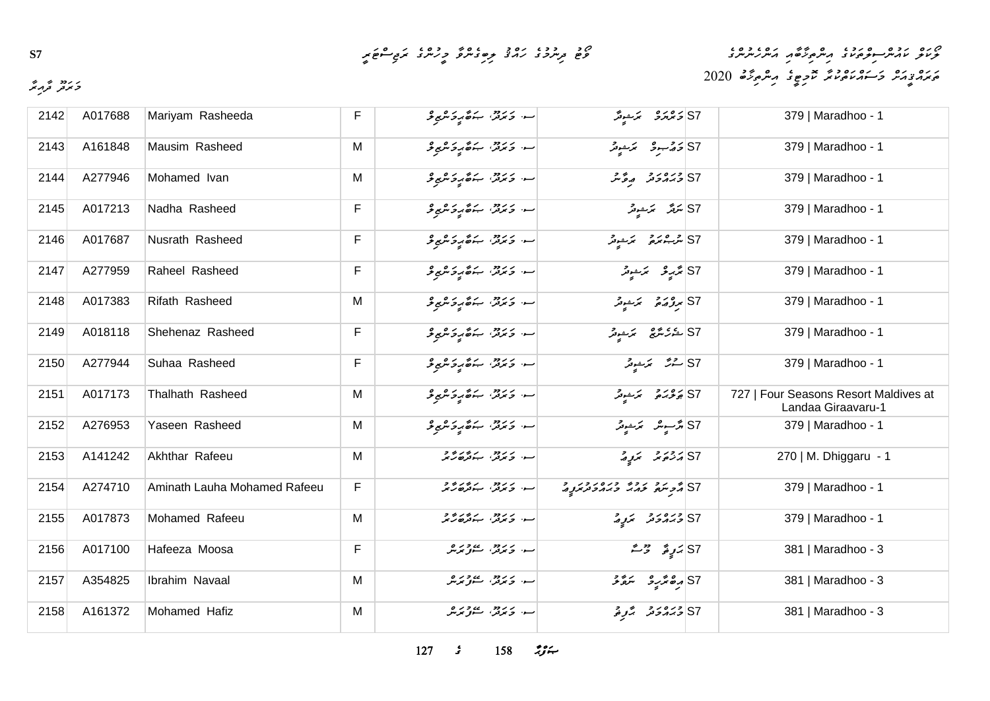*sCw7q7s5w7m< o<n9nOoAw7o< sCq;mAwBoEw7q<m; wBm;vB* م من المرة المرة المرة المرجع المرجع في المركبة 2020<br>مجم*د المريض المربوط المربع المرجع في المراجع المركبة* 

|  | シーショコンシ           |
|--|-------------------|
|  | فريمرفر اقرار بمر |

| 2142 | A017688 | Mariyam Rasheeda             | F | ب كورود بكوركر مركز                                                                                     | S7 ك <i>و چركز كى م</i> توفر                       | 379   Maradhoo - 1                                          |
|------|---------|------------------------------|---|---------------------------------------------------------------------------------------------------------|----------------------------------------------------|-------------------------------------------------------------|
| 2143 | A161848 | Mausim Rasheed               | M | سە كەنگەن سۇھەركىرىگى ئى                                                                                | S7 <i>كەڭ بىرقى</i> ئىمكىشى <i>م</i> ۇ             | 379   Maradhoo - 1                                          |
| 2144 | A277946 | Mohamed Ivan                 | M | سە كەنگەن سۇھەركىلى ئ                                                                                   | S7ا دېره دي په موسر                                | 379   Maradhoo - 1                                          |
| 2145 | A017213 | Nadha Rasheed                | F | سە كەنگە ئەھەر كىرىم                                                                                    | S7 سَرَمَّر - سَرَسُومَرُ                          | 379   Maradhoo - 1                                          |
| 2146 | A017687 | Nusrath Rasheed              | F | سە كەنگە سەھەر كىرىم                                                                                    | S7 بىر يەندى ئىم ئىر يىشى <i>دى</i> ر              | 379   Maradhoo - 1                                          |
| 2147 | A277959 | Raheel Rasheed               | F | سە كەنگەن سۇھەركىرىگى ئى                                                                                | S7 بَرْبِ يُو بَرَشِيْتَر                          | 379   Maradhoo - 1                                          |
| 2148 | A017383 | Rifath Rasheed               | M | سە كەللار بىر ئەس ئىرى ئىل                                                                              | S7 <i>برؤمَةً بَرَحْ</i> دِمْ                      | 379   Maradhoo - 1                                          |
| 2149 | A018118 | Shehenaz Rasheed             | F | سە كەللاھ سۇڭلىرى ھى ئى                                                                                 | S7 ش <i>ۇرنىڭ</i> كە <u>رس</u> وتر                 | 379   Maradhoo - 1                                          |
| 2150 | A277944 | Suhaa Rasheed                | F | سە كەنگەن سۇھەركىرىگى ئى                                                                                | S7 كىنىش ئىزىغىيەتتى                               | 379   Maradhoo - 1                                          |
| 2151 | A017173 | Thalhath Rasheed             | M | سە كەنگەن سەھەر كىلىمى ئى                                                                               | S7 ي <i>وفرند ترسون</i> گر                         | 727   Four Seasons Resort Maldives at<br>Landaa Giraavaru-1 |
| 2152 | A276953 | Yaseen Rasheed               | M | سە كەنگەن سۇھەركىلى ئ                                                                                   | S7 <sub>م</sub> ُرْسِمِسْ مَرْشِ <sub>م</sub> ِثْر | 379   Maradhoo - 1                                          |
| 2153 | A141242 | Akhthar Rafeeu               | M | ر در در در در در در در در در در در این کشور در این استاده شده کرد.<br>سوالو کوچه کار سیاه کرده کرد کرد. | S7 كەنزىم كىرى <i>مى</i> ئىرە                      | $270$   M. Dhiggaru - 1                                     |
| 2154 | A274710 | Aminath Lauha Mohamed Rafeeu | F |                                                                                                         | S7 مُرْجِسُمْ مُرْدِيْ ورور ور                     | 379   Maradhoo - 1                                          |
| 2155 | A017873 | Mohamed Rafeeu               | M |                                                                                                         | S7 <i>3222 بروم</i>                                | 379   Maradhoo - 1                                          |
| 2156 | A017100 | Hafeeza Moosa                | F | سە كەيرى سۆترى                                                                                          | S7 يَر <sub>وِمُ</sub> حَيْثُ                      | 381   Maradhoo - 3                                          |
| 2157 | A354825 | Ibrahim Navaal               | M | سه کريږدو عصوص کرده                                                                                     | S7 مەھ <i>مگىي</i> ھەمگە ئىنگە                     | 381   Maradhoo - 3                                          |
| 2158 | A161372 | Mohamed Hafiz                | M | سە ئەيرى سۆزىرە                                                                                         | S7 <i>\$222 گونۇ</i>                               | 381   Maradhoo - 3                                          |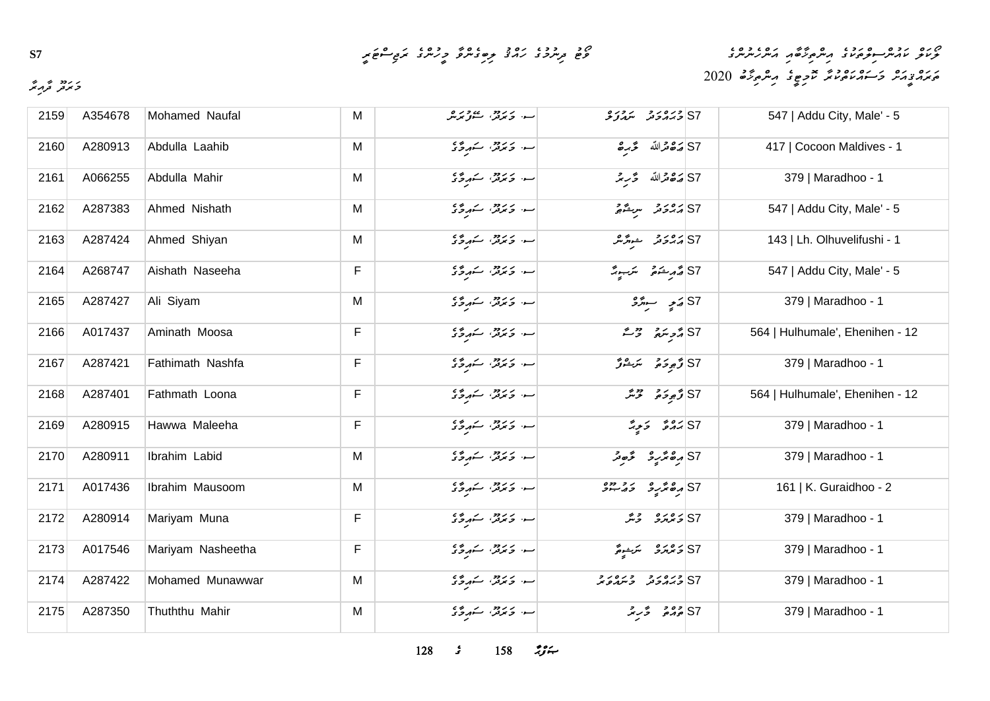*sCw7q7s5w7m< o<n9nOoAw7o< sCq;mAwBoEw7q<m; wBm;vB* م من المرة المرة المرة المرجع المرجع في المركبة 2020<br>مجم*د المريض المربوط المربع المرجع في المراجع المركبة* 

| 2159 | A354678 | Mohamed Naufal    | M | سە كەيرى سۆترە | S7 <i>ב برورو سم</i> رورو              | 547   Addu City, Male' - 5      |
|------|---------|-------------------|---|----------------|----------------------------------------|---------------------------------|
| 2160 | A280913 | Abdulla Laahib    | м | ے ویرس کروی    | S7 مَەقراللە م <i>ۇر</i> ھ             | 417   Cocoon Maldives - 1       |
| 2161 | A066255 | Abdulla Mahir     | м | ب ورده شهروی   | S7 كەھەراللە   ئەرىمە                  | 379   Maradhoo - 1              |
| 2162 | A287383 | Ahmed Nishath     | M | ساز دروه کرده  | S7 كەبرو تەرەپتىمى بول                 | 547   Addu City, Male' - 5      |
| 2163 | A287424 | Ahmed Shiyan      | M | ب كاروز سكردى  | S7 <i>م.دونر</i> ج <sub>وت</sub> ر شر  | 143   Lh. Olhuvelifushi - 1     |
| 2164 | A268747 | Aishath Naseeha   | F | ے ویرس کہ وی   | S7 م <i>گهرڪو مگرسونگ</i>              | 547   Addu City, Male' - 5      |
| 2165 | A287427 | Ali Siyam         | M | ے ویرس کروی    | S7 <i>ھَ۔ جِسر پ</i> ھ                 | 379   Maradhoo - 1              |
| 2166 | A017437 | Aminath Moosa     | F | ب درود، سکرده  | S7 پڑے پیمبر سے مخت                    | 564   Hulhumale', Ehenihen - 12 |
| 2167 | A287421 | Fathimath Nashfa  | F | ے ویرس کروی    | S7 ۇ <sub>ج</sub> وڭ سىشۇ              | 379   Maradhoo - 1              |
| 2168 | A287401 | Fathmath Loona    | F | سە ئەيزىق سەرئ | S7 <i>وُجِ دَ ۾</i> هِ مُح             | 564   Hulhumale', Ehenihen - 12 |
| 2169 | A280915 | Hawwa Maleeha     | F | ر دردو شهروی   | S7 <i>يَہُمُّہُ وَجِہَّ</i>            | 379   Maradhoo - 1              |
| 2170 | A280911 | Ibrahim Labid     | M | سە ئەيزىق سەرئ | S7 م <i>ەھترى</i> ئ <i>ۆم</i> تر       | 379   Maradhoo - 1              |
| 2171 | A017436 | Ibrahim Mausoom   | M | ب كەنگەن سەرى  | S7 مەھمەر 2 مەسىر                      | 161   K. Guraidhoo - 2          |
| 2172 | A280914 | Mariyam Muna      | F | ے ویرس کروی    | S7 دېمگرو ديگر                         | 379   Maradhoo - 1              |
| 2173 | A017546 | Mariyam Nasheetha | F | ے ویرس کہ وی   | S7 <i>و پر<sub>م</sub>رو سرش</i> یر گر | 379   Maradhoo - 1              |
| 2174 | A287422 | Mohamed Munawwar  | M | ے ویرس کروی    | S7 כנסגב בגסגב                         | 379   Maradhoo - 1              |
| 2175 | A287350 | Thuththu Mahir    | M | سه وبردو سهروی | S7 مورمو ځريمه                         | 379   Maradhoo - 1              |

 $128$  *s*  $158$  *n***<sub>3</sub>** *n*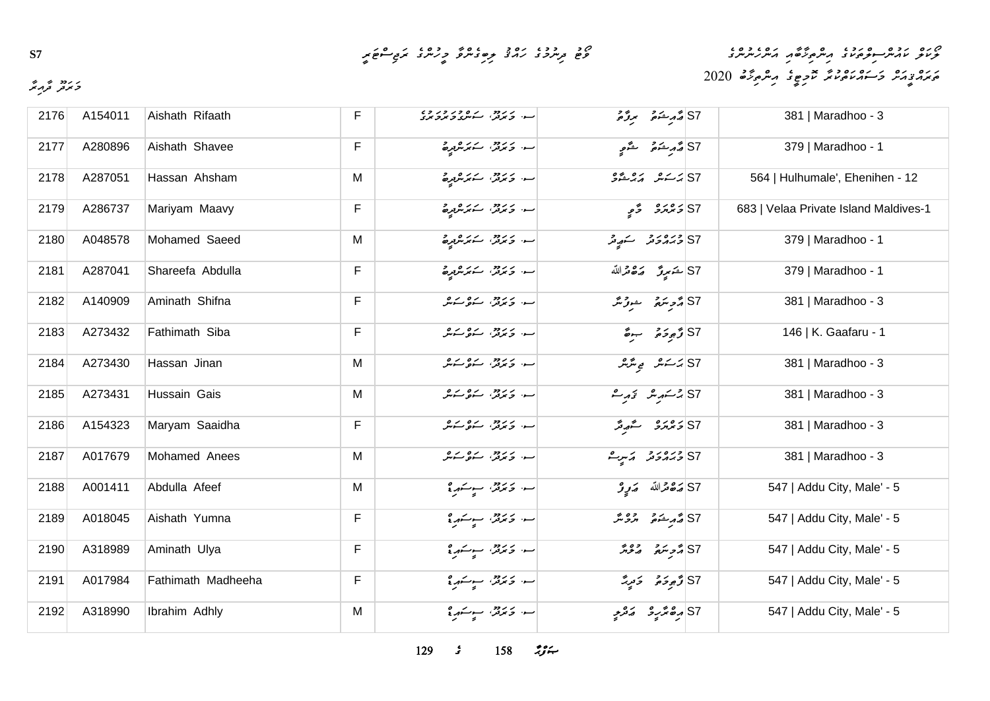*sCw7q7s5w7m< o<n9nOoAw7o< sCq;mAwBoEw7q<m; wBm;vB* م من المرة المرة المرة المرجع المرجع في المركبة 2020<br>مجم*د المريض المربوط المربع المرجع في المراجع المركبة* 

| 2176 | A154011 | Aishath Rifaath    | F           | ر درود.<br>سه و برتر، سکس و برو برد | S7 مەم ئىسكەم ئىبر <i>ۇم</i>            | 381   Maradhoo - 3                    |
|------|---------|--------------------|-------------|-------------------------------------|-----------------------------------------|---------------------------------------|
| 2177 | A280896 | Aishath Shavee     | F           | ے کردو کے مرکز کردہ                 | S7 مُرمِشَمُو مُحَمَّوِ                 | 379   Maradhoo - 1                    |
| 2178 | A287051 | Hassan Ahsham      | M           | ب، كەبرود كەرگەرچ                   | S7 ئەسكىش كەنگەنى                       | 564   Hulhumale', Ehenihen - 12       |
| 2179 | A286737 | Mariyam Maavy      | F           | سه و برود سربر مورد                 | S7 <i>وَ بُرْمَرْدْ دُّهِ</i>           | 683   Velaa Private Island Maldives-1 |
| 2180 | A048578 | Mohamed Saeed      | M           | ب، كەبرود كەرگەرچ                   | S7  <i>وبروبرو سکھ</i> یٹر              | 379   Maradhoo - 1                    |
| 2181 | A287041 | Shareefa Abdulla   | F           | ے کروو کے صوبروگ                    | S7 ڪمبر <i>وگر ڪو</i> هورالله           | 379   Maradhoo - 1                    |
| 2182 | A140909 | Aminath Shifna     | $\mathsf F$ | سە كەندىق سۇھ سۇس                   | S7 مُرْحِ سَمْعَ مُسْوَرْ مُتَر         | 381   Maradhoo - 3                    |
| 2183 | A273432 | Fathimath Siba     | F           | سە كەنزلار سۇھ سەھر                 | S7 وَّجِوحَة سِقَّ                      | 146   K. Gaafaru - 1                  |
| 2184 | A273430 | Hassan Jinan       | м           | سە كەنزىق سۇھ سۇس                   | S7   يَرْسَدُ مِيرَيْدُ                 | 381   Maradhoo - 3                    |
| 2185 | A273431 | Hussain Gais       | M           | سە كەندىق سۇھەسكەش                  | S7 پرسنمبر عمر عم                       | 381   Maradhoo - 3                    |
| 2186 | A154323 | Maryam Saaidha     | F           | سە كەندىق سۇھەسكەش                  | S7 ئ <i>ۈچرى شەم</i> تر                 | 381   Maradhoo - 3                    |
| 2187 | A017679 | Mohamed Anees      | M           | سە كەندىق سۇھ سۇس                   | S7 <i>ڈیزودونہ پر س</i>                 | 381   Maradhoo - 3                    |
| 2188 | A001411 | Abdulla Afeef      | M           | سه ويرود سوسكوره                    | S7 مَەھىراللە م <i>ەربى</i>             | 547   Addu City, Male' - 5            |
| 2189 | A018045 | Aishath Yumna      | F           | ے ویری کے م                         | S7 <i>مُآمِ</i> شَمَعُ مِرْحَسَّرَ      | 547   Addu City, Male' - 5            |
| 2190 | A318989 | Aminath Ulya       | F           | ب درود سوخها                        | S7 أَمُّ حِسَمَةٌ مَحْمَّدٌ             | 547   Addu City, Male' - 5            |
| 2191 | A017984 | Fathimath Madheeha | F           | ے ویری کے دیکھا                     | S7 ز <i>نجوخ</i> تر - <sub>ک</sub> ېږيز | 547   Addu City, Male' - 5            |
| 2192 | A318990 | Ibrahim Adhly      | M           | ب كريزده سوسكوره                    | S7 <sub>م</sub> ەنئەر ئەممىي چ          | 547   Addu City, Male' - 5            |

*129 s 158 <i>n***<sub>3</sub>** *n*</sup>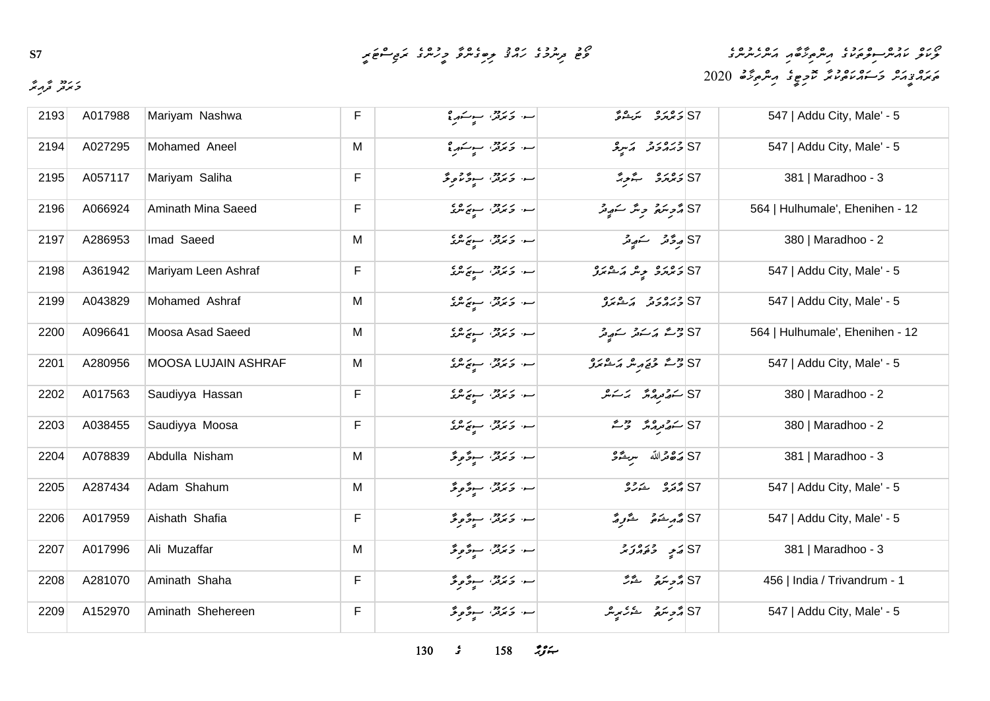*sCw7q7s5w7m< o<n9nOoAw7o< sCq;mAwBoEw7q<m; wBm;vB* م من المرة المرة المرة المرجع المرجع في المركبة 2020<br>مجم*د المريض المربوط المربع المرجع في المراجع المركبة* 

| 2193 | A017988 | Mariyam Nashwa      | F            | سه ويرين سوسكوره                  | S7ا <i>ۇنجەدۋ سەشۇق</i>                       | 547   Addu City, Male' - 5      |
|------|---------|---------------------|--------------|-----------------------------------|-----------------------------------------------|---------------------------------|
| 2194 | A027295 | Mohamed Aneel       | м            | ے ویری سوشہرہ                     | S7 <i>\$222 كەبىر ئى</i> ر                    | 547   Addu City, Male' - 5      |
| 2195 | A057117 | Mariyam Saliha      | F            | ب كەردە سوڭرىموگە                 | S7ان <i>خ</i> مر <i>دی بڈویڈ</i>              | 381   Maradhoo - 3              |
| 2196 | A066924 | Aminath Mina Saeed  | F            | ے کردوں سونے مری                  | S7 مٌرج سَمَۃٌ  حِ سَّر سَنَہِ مِنْر          | 564   Hulhumale', Ehenihen - 12 |
| 2197 | A286953 | Imad Saeed          | M            | ے کروڑہ سونے مری                  | S7 مەڭ ئىر سىمب <i>وتر</i>                    | 380   Maradhoo - 2              |
| 2198 | A361942 | Mariyam Leen Ashraf | $\mathsf F$  | ے کردوں سونے مری                  | S7 <i>وَعُهُدَوْ بِهِ مَ</i> ـْمُ <i>مَدُ</i> | 547   Addu City, Male' - 5      |
| 2199 | A043829 | Mohamed Ashraf      | M            | ے کردو ہے۔<br>سہ ویمریز، سویے مری | S7 دېره ده پر مشعرو                           | 547   Addu City, Male' - 5      |
| 2200 | A096641 | Moosa Asad Saeed    | M            | ے کردوں سونے مری                  | S7 رَّسَۃُ بَرَسَة سَمَدٍ مَّرَ               | 564   Hulhumale', Ehenihen - 12 |
| 2201 | A280956 | MOOSA LUJAIN ASHRAF | M            | سه د کاروه سوی ملند               | S7 ترقیح قری مرگز مرکز ترکیبر تر              | 547   Addu City, Male' - 5      |
| 2202 | A017563 | Saudiyya Hassan     | $\mathsf{F}$ | ے کردوں سونے مری                  | S7 سىھەمبەر مەسكەنلىر                         | 380   Maradhoo - 2              |
| 2203 | A038455 | Saudiyya Moosa      | F            | ے کروڑہ سونے مری                  | S7 سەھەمبەھ ق <sup>ىم</sup> گ                 | 380   Maradhoo - 2              |
| 2204 | A078839 | Abdulla Nisham      | M            | ے ویرش سوگاہ گی                   | S7 كەھەراللە سرىشىمى                          | 381   Maradhoo - 3              |
| 2205 | A287434 | Adam Shahum         | M            | ب روده، سوڈوڈ                     | S7 أَمُرْمَرْ شَرْحَرْ \$                     | 547   Addu City, Male' - 5      |
| 2206 | A017959 | Aishath Shafia      | F            | ے دیروں سوڈوٹر                    | S7 مەم ئىش <i>ەر ئە</i>                       | 547   Addu City, Male' - 5      |
| 2207 | A017996 | Ali Muzaffar        | M            | ب رَيْرُوْ، سِوتَو تَرَ           | S7 <sub>م</sub> َعٍ وَ <i>وَوَوَعَ</i> رَ     | 381   Maradhoo - 3              |
| 2208 | A281070 | Aminath Shaha       | F            | ے دیروں سوڈوٹر                    | S7 مُرْحِسَمُ مِسْتَمَّ                       | 456   India / Trivandrum - 1    |
| 2209 | A152970 | Aminath Shehereen   | $\mathsf F$  | ے دیروں سوڈوٹر                    | S7 أَمُّ حِسَمَةٌ مَشْرَ مَرِيْثَر            | 547   Addu City, Male' - 5      |

*n8o<n@ r@m8m>*

*130 s 158 <i>n*<sub>s</sub>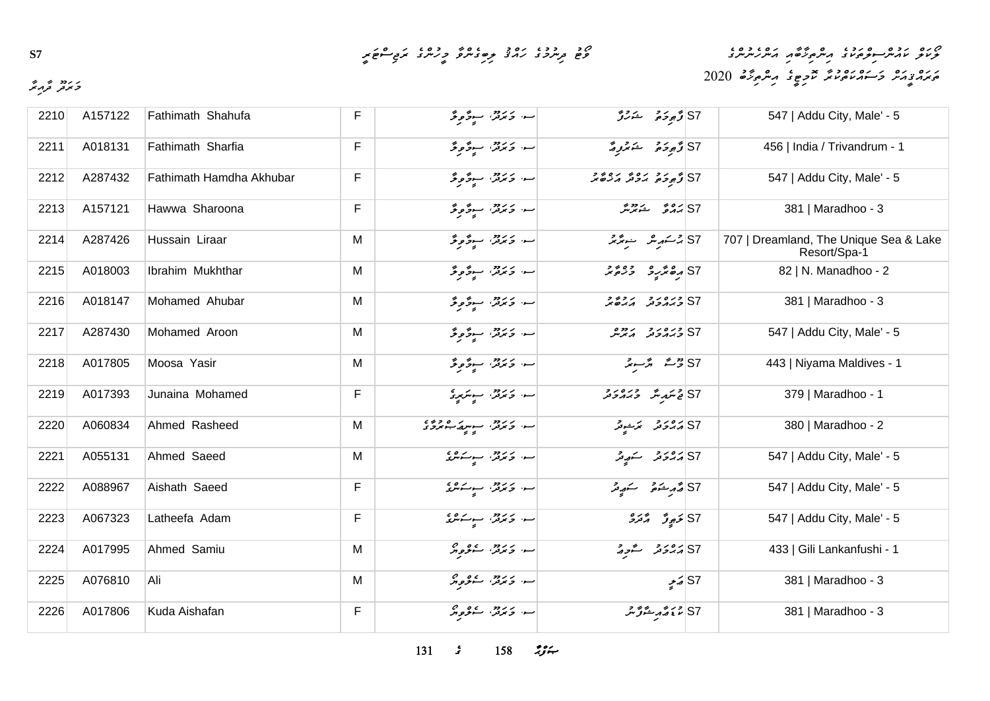*sCw7q7s5w7m< o<n9nOoAw7o< sCq;mAwBoEw7q<m; wBm;vB* م من المرة المرة المرة المرجع المرجع في المركبة 2020<br>مجم*د المريض المربوط المربع المرجع في المراجع المركبة* 

| 2210 | A157122 | Fathimath Shahufa        | $\mathsf{F}$ | ے دیروں سوڈوٹر         | S7 زَّەپرىق شە <i>رد</i> ۇ            | 547   Addu City, Male' - 5                             |
|------|---------|--------------------------|--------------|------------------------|---------------------------------------|--------------------------------------------------------|
| 2211 | A018131 | Fathimath Sharfia        | F            | سە ئەندىق سوڭرەڭ       | S7 <i>وَّەودَە</i> شىر <i>وە</i>      | 456   India / Trivandrum - 1                           |
| 2212 | A287432 | Fathimath Hamdha Akhubar | F            | ے ویرس جوگوٹی          | S7 ژُجِرد و ره و ره و د               | 547   Addu City, Male' - 5                             |
| 2213 | A157121 | Hawwa Sharoona           | F            | ے دروہ ہوتی ت          | S7 بَرُومٌ شَعِيسٌ                    | 381   Maradhoo - 3                                     |
| 2214 | A287426 | Hussain Liraar           | M            | ے دیروں سوڈوٹر         | S7 ئەسىر مىش سىزىتىر                  | 707   Dreamland, The Unique Sea & Lake<br>Resort/Spa-1 |
| 2215 | A018003 | Ibrahim Mukhthar         | M            | ے دیروں سوڈوٹر         | S7 مەھەرىپە ئەرەپەر                   | 82   N. Manadhoo - 2                                   |
| 2216 | A018147 | Mohamed Ahubar           | М            | ے دیوں ہوتی گ          | 5.22, 2.22, 5.5                       | 381   Maradhoo - 3                                     |
| 2217 | A287430 | Mohamed Aroon            | M            | ے دیروں سوڈوٹر         | S7 <i>בبروبر میوه</i>                 | 547   Addu City, Male' - 5                             |
| 2218 | A017805 | Moosa Yasir              | M            | ب رَبِرُهِن سِوتُوتَرُ | S7 پھر مگر پید                        | 443   Niyama Maldives - 1                              |
| 2219 | A017393 | Junaina Mohamed          | F            | ے کردو کے مرکزی        | S7 فے سَمبر سَمَّ کے <i>محمد ح</i> قر | 379   Maradhoo - 1                                     |
| 2220 | A060834 | Ahmed Rasheed            | M            | سه وتروه سپه شورو ده   | S7 <i>مەندۇنى مەنبى</i> ر             | 380   Maradhoo - 2                                     |
| 2221 | A055131 | Ahmed Saeed              | M            | سه وبردو سوسه ده و     | S7 كەبرى قىر سىمب <i>و</i> تر         | 547   Addu City, Male' - 5                             |
| 2222 | A088967 | Aishath Saeed            | $\mathsf F$  | سه ورده سوسکس          | S7 مُ مِيسَمَعُ سَمَ <i>مِينَر</i> ُ  | 547   Addu City, Male' - 5                             |
| 2223 | A067323 | Latheefa Adam            | F            | سه ورده سوسکس          | S7 كَرَج <i>ودٌ مُ</i> مَرَّدُ        | 547   Addu City, Male' - 5                             |
| 2224 | A017995 | Ahmed Samiu              | M            | ے دیور عوض             | S7 كەبروتر گ <i>ەچ</i>                | 433   Gili Lankanfushi - 1                             |
| 2225 | A076810 | Ali                      | M            | ے دیور عوض             | S7 ڪچو                                | 381   Maradhoo - 3                                     |
| 2226 | A017806 | Kuda Aishafan            | F            | ے دیروں ےوہ ج          | S7 ئۇن <sub>م</sub> شۇر شىر           | 381   Maradhoo - 3                                     |

*131 sC 158 nNw?mS*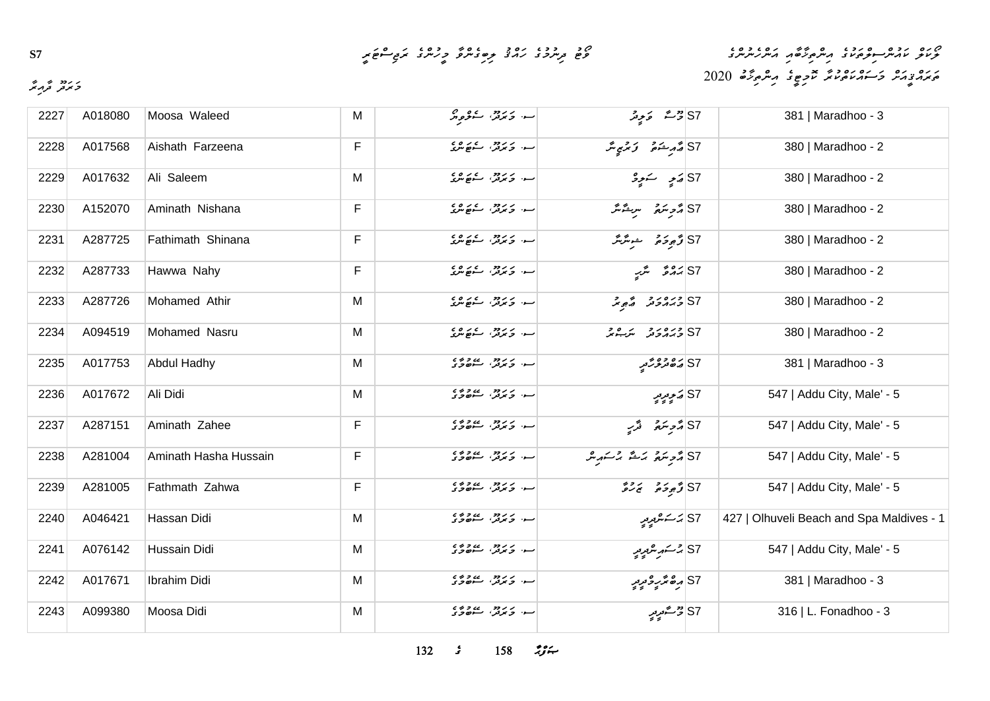*sCw7q7s5w7m< o<n9nOoAw7o< sCq;mAwBoEw7q<m; wBm;vB* م من المرة المرة المرة المرجع المرجع في المركبة 2020<br>مجم*د المريض المربوط المربع المرجع في المراجع المركبة* 

|  | シーションシー           |  |
|--|-------------------|--|
|  | فريمرفر اقرار بمر |  |

| 2227 | A018080 | Moosa Waleed          | M            | سە ئەمزىش سەئم ئەھ                     | S7 رُمْتُہ وَمِوِتْر                           | 381   Maradhoo - 3                        |
|------|---------|-----------------------|--------------|----------------------------------------|------------------------------------------------|-------------------------------------------|
| 2228 | A017568 | Aishath Farzeena      | F            | سه کريږدو کره ده د                     |                                                | 380   Maradhoo - 2                        |
| 2229 | A017632 | Ali Saleem            | M            | سه و برده سن و و د                     | S7 <i>ڇَوِ سَوِڌُ</i>                          | 380   Maradhoo - 2                        |
| 2230 | A152070 | Aminath Nishana       | F            | سه وبردو سكومون                        | S7 مُّ <i>جِسَعُو</i> سِيشَمَّر                | 380   Maradhoo - 2                        |
| 2231 | A287725 | Fathimath Shinana     | $\mathsf{F}$ | ر درود دره ده                          | S7 زَّەپرىز ھېشىر                              | 380   Maradhoo - 2                        |
| 2232 | A287733 | Hawwa Nahy            | $\mathsf F$  | سه و برده شوه وه                       | S7 <i>يَدْهُ مَّيْ مَيْ</i>                    | 380   Maradhoo - 2                        |
| 2233 | A287726 | Mohamed Athir         | M            | سه کريږده سکو های                      | S7 <i>جەنەدىتى مەمب<sup>ى</sup></i> ر          | 380   Maradhoo - 2                        |
| 2234 | A094519 | Mohamed Nasru         | M            | سه کريږده سکو های                      | S7 <i>ۋېرودو پې</i> رو                         | 380   Maradhoo - 2                        |
| 2235 | A017753 | <b>Abdul Hadhy</b>    | M            | سه درود. ۲۶۵۷                          | S7 كەھ تر تۇرتىر                               | 381   Maradhoo - 3                        |
| 2236 | A017672 | Ali Didi              | M            | ر درود.<br>سه و برتر، ست <i>ون د</i> ی | S7 ک <sup>ے</sup> مومومیہ                      | 547   Addu City, Male' - 5                |
| 2237 | A287151 | Aminath Zahee         | $\mathsf F$  | ر درود.<br>سه و برتر، ست <i>ح</i> وی   | S7 مُرْحِبَهُ فَرَبِّ                          | 547   Addu City, Male' - 5                |
| 2238 | A281004 | Aminath Hasha Hussain | F            | ر بر دو.<br>سه و برتر، ست <i>ح</i> وی  | S7 مٌ <i>وِ سَهْءُ بَرْ - يَرْ سَهْرِ سُرْ</i> | 547   Addu City, Male' - 5                |
| 2239 | A281005 | Fathmath Zahwa        | F            | ر درود.<br>سه و برتر، ست <i>ون د</i> ی | S7 تَ <i>مُجِ حَمَّةَ</i> بِحَمَّةً            | 547   Addu City, Male' - 5                |
| 2240 | A046421 | Hassan Didi           | M            | ر د دوه عدده و د د<br>سه و بوتر، مشخص  | S7  >ے س <sup>و</sup> جرمی <sub>ر</sub>        | 427   Olhuveli Beach and Spa Maldives - 1 |
| 2241 | A076142 | Hussain Didi          | M            | ر درود.<br>سه و برتر، ست <i>ون د</i> ی | S7 تر کمبر نگروپر                              | 547   Addu City, Male' - 5                |
| 2242 | A017671 | Ibrahim Didi          | M            | ر درود.<br>سه و برتر، شو <i>ه و د</i>  | S7 <sub>مر</sub> چ ئر پ <sub>ر</sub> و بر بر   | 381   Maradhoo - 3                        |
| 2243 | A099380 | Moosa Didi            | M            | ر درود.<br>سه و برتر، سن و دی          | S7 3°سگەرىر                                    | 316   L. Fonadhoo - 3                     |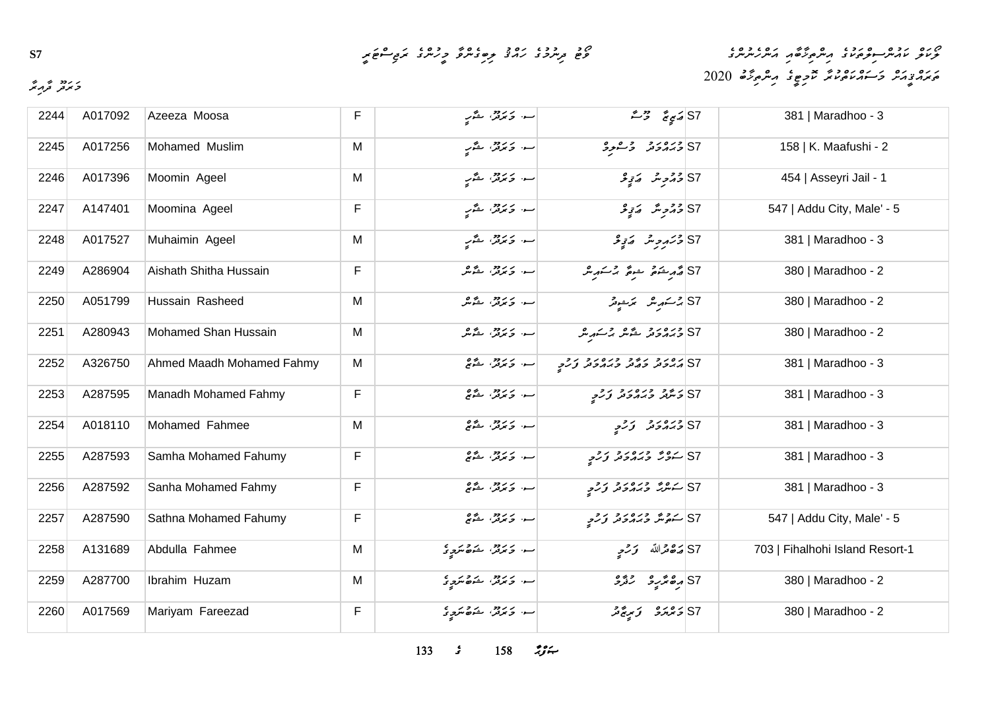*sCw7q7s5w7m< o<n9nOoAw7o< sCq;mAwBoEw7q<m; wBm;vB* م من المرة المرة المرة المرجع المرجع في المركبة 2020<br>مجم*د المريض المربوط المربع المرجع في المراجع المركبة* 

| 2244 | A017092 | Azeeza Moosa              | F | سە كەندىق ئىگەر      | S7 ۾َيِءَ تَرَ شَ                        | 381   Maradhoo - 3              |
|------|---------|---------------------------|---|----------------------|------------------------------------------|---------------------------------|
| 2245 | A017256 | Mohamed Muslim            | M | سە كەندىق ئىگەر      | S7 دېمبروتر وگرولو                       | 158   K. Maafushi - 2           |
| 2246 | A017396 | Moomin Ageel              | M | سە كەندىق ئىگەر      | S7 <i>جۇج مۇي</i> ۇ                      | 454   Asseyri Jail - 1          |
| 2247 | A147401 | Moomina Ageel             | F | سە كەنتىرى ئىگەر     | S7 ج <i>ۇج مۇ مۇ</i> يۇ                  | 547   Addu City, Male' - 5      |
| 2248 | A017527 | Muhaimin Ageel            | M | سە كەندىق ئىگەر      | S7  <i>وتموج مؤ</i> قح                   | 381   Maradhoo - 3              |
| 2249 | A286904 | Aishath Shitha Hussain    | F | ب - ئە ئۇنىڭ ئىشكى   | S7 مەمرىشمى ھەم برگىمبرى <i>ش</i>        | 380   Maradhoo - 2              |
| 2250 | A051799 | Hussain Rasheed           | M | ے کے ترکش شگاہی      | S7 پُرڪمرينگر ڪرڪونگر                    | 380   Maradhoo - 2              |
| 2251 | A280943 | Mohamed Shan Hussain      | M | سە ئە ئوتۇ، ئەشر     | S7 <i>وبروبرو بش</i> ر بر <i>سک</i> ر بر | 380   Maradhoo - 2              |
| 2252 | A326750 | Ahmed Maadh Mohamed Fahmy | M | سەر كەنكەنگە ئىگەنچ  | S7 كەرجە رەبو دىرەرد كەرج                | 381   Maradhoo - 3              |
| 2253 | A287595 | Manadh Mohamed Fahmy      | F | ب كەنزۇش شەھقى       | S7 كەشرىگە دېرەردە كەربىي                | 381   Maradhoo - 3              |
| 2254 | A018110 | Mohamed Fahmee            | M | سە، ئۇ ئۆزەر شۇيج    | S7ا <i>\$22.5 قررُوِ</i>                 | 381   Maradhoo - 3              |
| 2255 | A287593 | Samha Mohamed Fahumy      | F | سە كەنزلۇر، شۇي      | S7 شۇرى دىرەرد زر <sub>ۇ</sub>           | 381   Maradhoo - 3              |
| 2256 | A287592 | Sanha Mohamed Fahmy       | F | سە، كۆكۈنى، شەھ      | S7 س <i>ن وره د و رو</i>                 | 381   Maradhoo - 3              |
| 2257 | A287590 | Sathna Mohamed Fahumy     | F | سە كەنكەنگە ئىگەنج   |                                          | 547   Addu City, Male' - 5      |
| 2258 | A131689 | Abdulla Fahmee            | M | سه کريږدو شکره شرح ک | S7 مَەھتراللە ئ <i>ۇرقى</i>              | 703   Fihalhohi Island Resort-1 |
| 2259 | A287700 | Ibrahim Huzam             | M | سه کريږدو شکره شرح ک | S7 مەھەر بۇ ئىقرى                        | 380   Maradhoo - 2              |
| 2260 | A017569 | Mariyam Fareezad          | F | ے کردو گھرکری        | S7 <i>وَ بُرْمَرْ وَ بِرِيمَّة.</i>      | 380   Maradhoo - 2              |

**133** *s* **158** *n***<sub>y</sub> <b>***n*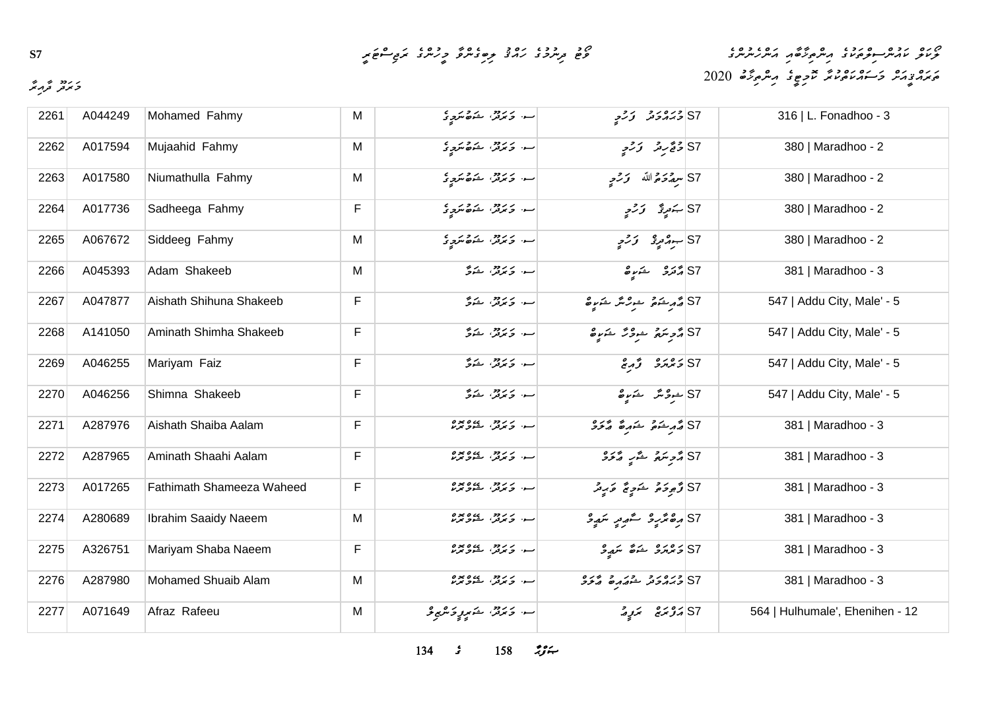*sCw7q7s5w7m< o<n9nOoAw7o< sCq;mAwBoEw7q<m; wBm;vB* م من المرة المرة المرة المرجع المرجع في المركبة 2020<br>مجم*د المريض المربوط المربع المرجع في المراجع المركبة* 

| 2261 | A044249 | Mohamed Fahmy                    | M           | ے ویرس ےکھیرو کا                                                                                               | S7  <i>\$22,332 ق5</i> ر                                                                             | 316   L. Fonadhoo - 3           |
|------|---------|----------------------------------|-------------|----------------------------------------------------------------------------------------------------------------|------------------------------------------------------------------------------------------------------|---------------------------------|
| 2262 | A017594 | Mujaahid Fahmy                   | M           | ے کروڑ گے مگرچ کی                                                                                              | S7 دُمَّ يرتر ك <sup>و</sup> رْ <sub>مٍ</sub>                                                        | 380   Maradhoo - 2              |
| 2263 | A017580 | Niumathulla Fahmy                | M           | ے کا بروہ گے کھیلا ہے کہ اس کا اس کا اس اس کا اس اس کا اس کا اس کا اس کا اس کا اس کا اس کا اس کا اس کا اس کا ا | S7 سر <i>م 35 م</i> الله تر <sup>ح</sup> ح <sub>ي</sub>                                              | 380   Maradhoo - 2              |
| 2264 | A017736 | Sadheega Fahmy                   | $\mathsf F$ | سه کريږدو شکره شرح ک                                                                                           | S7 جنوپو <i>ڈ ۆرج</i> و                                                                              | 380   Maradhoo - 2              |
| 2265 | A067672 | Siddeeg Fahmy                    | M           | سه کريږدو شکره مکرچ کی                                                                                         | S7 جوړمربر <sub>گ</sub> تر <sup>ح</sup> رمي                                                          | 380   Maradhoo - 2              |
| 2266 | A045393 | Adam Shakeeb                     | M           | ىب كەنتى شەڭ                                                                                                   | $S7$ $\approx$ $S7$                                                                                  | 381   Maradhoo - 3              |
| 2267 | A047877 | Aishath Shihuna Shakeeb          | F           | سە، كۆكۈنى ئىككى                                                                                               | S7 مُرتَّ مِنْ مُوَرْشٌ حَدَبِ صُ                                                                    | 547   Addu City, Male' - 5      |
| 2268 | A141050 | Aminath Shimha Shakeeb           | F           | ساء كوكونكل كونكوكل                                                                                            | S7 مُرْحِ سَمْ عَلَيْ حَدَّمَ عَلَيْهِ صَلَّى اللَّهِ عَلَيْهِ صَلَّى مِنْ عَلَيْهِ صَلَّى مِنْ صَلَ | 547   Addu City, Male' - 5      |
| 2269 | A046255 | Mariyam Faiz                     | F           | سە كەندىق شەگ                                                                                                  | S7 كەممەد ئۇم تە                                                                                     | 547   Addu City, Male' - 5      |
| 2270 | A046256 | Shimna Shakeeb                   | F           | ىب كەنزۇق شۇڭ                                                                                                  | S7 جو <i>د</i> گر ج <i>ڏي</i> رھ                                                                     | 547   Addu City, Male' - 5      |
| 2271 | A287976 | Aishath Shaiba Aalam             | F           | ر بر دو.<br>سه و برتر، مشور برنا                                                                               | S7 مُمبِّدَة شَمَّة مُحَرَّد                                                                         | 381   Maradhoo - 3              |
| 2272 | A287965 | Aminath Shaahi Aalam             | F           | ر بر دو.<br>سه و برتر، شوو برنا                                                                                | S7 مُ <i>جِ سَمَعْ</i> مِشْرِ م <i>ِ مُحَ</i> حَر                                                    | 381   Maradhoo - 3              |
| 2273 | A017265 | <b>Fathimath Shameeza Waheed</b> | F           | ر بر دو.<br>سه و برتر، شو <i>و بر</i> ن                                                                        | S7 زُّجِرَة مُ شَرَرٍ مَّ كَرَبِيْرَ                                                                 | 381   Maradhoo - 3              |
| 2274 | A280689 | <b>Ibrahim Saaidy Naeem</b>      | м           | ر بر دو.<br>سه و برتر، شو <i>و بر</i> ن                                                                        | S7 مەھەردى سەمەمە سىمەت                                                                              | 381   Maradhoo - 3              |
| 2275 | A326751 | Mariyam Shaba Naeem              | F           | ر رود.<br>سه و برتر، شو <i>و بر</i> ن                                                                          | S7 كَا يُرْمَرُوْ شَرَّةٌ سَمْهِ وْ                                                                  | 381   Maradhoo - 3              |
| 2276 | A287980 | <b>Mohamed Shuaib Alam</b>       | M           | ر رود.<br>سه وبوتر، شو <i>وبون</i> ا                                                                           | S7 وبرورو بشهره وبره                                                                                 | 381   Maradhoo - 3              |
| 2277 | A071649 | Afraz Rafeeu                     | M           | ب، كَيْرُشْ، ڪَيْرِ وَكُرْمَ وَ                                                                                | S7 <i>مۇتى</i> تى تر <i>وم</i>                                                                       | 564   Hulhumale', Ehenihen - 12 |

*134 s 158 <i>n*<sub>2</sub> *n*<sub>2</sub> *n*<sub>2</sub> *n*<sub>2</sub> *n*<sub>2</sub> *n*<sub>2</sub> *n*<sub>2</sub> *n*<sub>2</sub> *n*<sub>2</sub> *n*<sub>2</sub> *n*<sub>2</sub> *n*<sub>2</sub> *n*<sub>2</sub> *n*<sub>2</sub> *n*<sub>2</sub> *n*<sub>2</sub> *n*<sub>2</sub> *n*<sub>2</sub> *n*<sub>2</sub> *n*<sub>2</sub> *n*<sub>2</sub> *n*<sub>2</sub> *n*<sub>2</sub> *n*<sub>2</sub> *n*<sub>2</sub> *n*<sub>2</sub> *n*<sub>2</sub> *n*<sub>2</sub> *n*<sub>2</sub>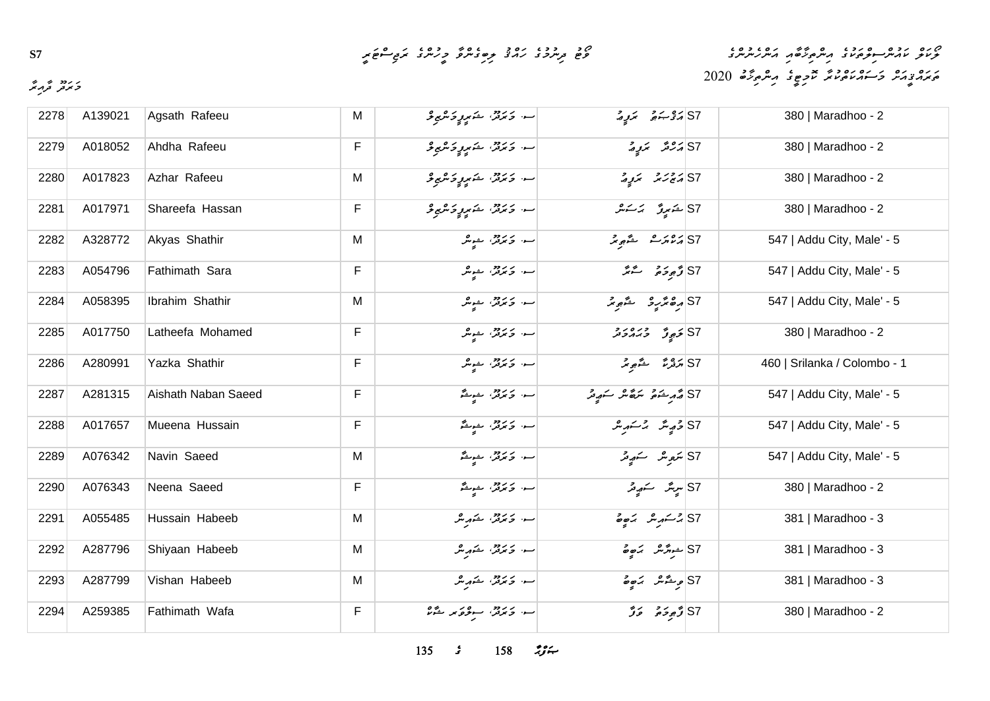*sCw7q7s5w7m< o<n9nOoAw7o< sCq;mAwBoEw7q<m; wBm;vB* م من المرة المرة المرة المرجع المرجع في المركبة 2020<br>مجم*د المريض المربوط المربع المرجع في المراجع المركبة* 

| 2278 | A139021 | Agsath Rafeeu       | M           | ب، كَيْرُشْ، ڪَيْرِ وَكُرْيُو وَ | S7 كەنۇب كىمبر كىرىگىچە ئىككىتى ئىگە ئىككەن ئىگەن ئىگەن ئىگەن ئىگەن ئىگەن ئىگەن ئىگەن ئىگەن ئىگەن قى | 380   Maradhoo - 2           |
|------|---------|---------------------|-------------|----------------------------------|------------------------------------------------------------------------------------------------------|------------------------------|
| 2279 | A018052 | Ahdha Rafeeu        | F           | ب، ئەترىق، ئەترىرى ئارىم ئ       | S7 كەر <i>مۇيە</i> كە                                                                                | 380   Maradhoo - 2           |
| 2280 | A017823 | Azhar Rafeeu        | M           | سە كەنگە ئەيرىكە ئىلى            | S7 <i>مَجْرَجَرْ بَرَوِهُ</i>                                                                        | 380   Maradhoo - 2           |
| 2281 | A017971 | Shareefa Hassan     | F           | ے کا کردہ گے کر کرکھیے گی        | S7 ڪمبرو <i>گ برڪيل</i>                                                                              | 380   Maradhoo - 2           |
| 2282 | A328772 | Akyas Shathir       | M           | ے کے ترین شوش                    | S7 كەندىر مەھمەتىر                                                                                   | 547   Addu City, Male' - 5   |
| 2283 | A054796 | Fathimath Sara      | $\mathsf F$ | سە كەنگەنى ھوس                   | S7 ۇ <sub>جو</sub> رَمْ شَمَّرْ                                                                      | 547   Addu City, Male' - 5   |
| 2284 | A058395 | Ibrahim Shathir     | M           | ے. ترترتر، عبدال                 | S7 مەھەر بۇ ھەم ئىچ                                                                                  | 547   Addu City, Male' - 5   |
| 2285 | A017750 | Latheefa Mohamed    | F           | سە، كۆكۈنى، ئېيونكر              | S7 كۇب <sub>ۇ</sub> گ ئ <i>ەندە</i> تر                                                               | 380   Maradhoo - 2           |
| 2286 | A280991 | Yazka Shathir       | F           | سه کاتونگر) خوش                  | S7 مَنْرُمَّ شَّهِ يَرْ                                                                              | 460   Srilanka / Colombo - 1 |
| 2287 | A281315 | Aishath Naban Saeed | F           | __. ترترتر، عبيثة                | S7 مُستَعْفَرُ سَهَّشْ سَمْدٍ مُنْ                                                                   | 547   Addu City, Male' - 5   |
| 2288 | A017657 | Mueena Hussain      | F           | أساء كركردوني الشوائكة           | S7 دُرِیٹر برگسریٹر                                                                                  | 547   Addu City, Male' - 5   |
| 2289 | A076342 | Navin Saeed         | M           | سە كەتكۇر شوشگە                  | S7 سَمِعِ شَرِ سَمَ <i>مِي مَ</i> رْ                                                                 | 547   Addu City, Male' - 5   |
| 2290 | A076343 | Neena Saeed         | F           | سە كۆتكى، شوشگە                  | S7 سرپنگر ڪوپيٽر                                                                                     | 380   Maradhoo - 2           |
| 2291 | A055485 | Hussain Habeeb      | M           | ے کریں گورنگر                    | S7 بر سَمبر شَر مَصر مُ                                                                              | 381   Maradhoo - 3           |
| 2292 | A287796 | Shiyaan Habeeb      | M           | ے کا تری شہر ش                   | $S7$ مشرم کروهٔ                                                                                      | 381   Maradhoo - 3           |
| 2293 | A287799 | Vishan Habeeb       | M           | ے کریں گھر ش                     | S7 <sub>مو</sub> شمىر ب <sub>موم</sub> ى                                                             | 381   Maradhoo - 3           |
| 2294 | A259385 | Fathimath Wafa      | F           | سە كەنگەنى سوكەن ئىگەن           | S7 <i>وُّجِودَهُ</i> وَرُّ                                                                           | 380   Maradhoo - 2           |

*135 s 158 <i>n*<sub>x</sub>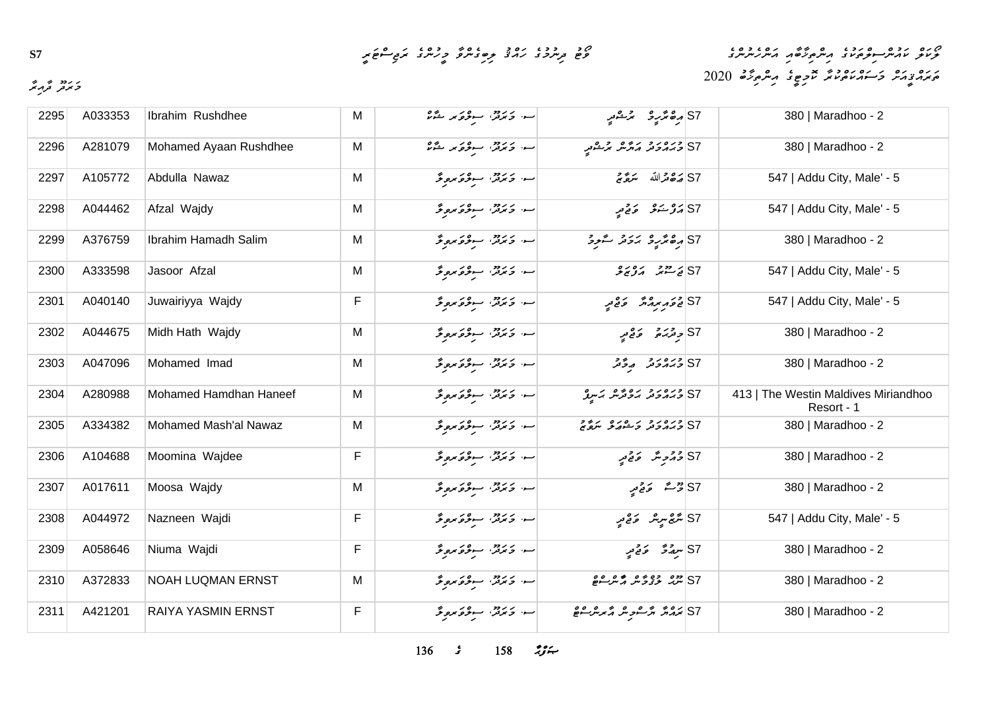*sCw7q7s5w7m< o<n9nOoAw7o< sCq;mAwBoEw7q<m; wBm;vB* م من المسجد المسجد المسجد المسجد المسجد العام 2020<br>مجم*د المسجد المسجد المستجد المسجد المسجد المسجد المسجد المسجد المسجد المسجد المسجد المسجد المسجد المسجد المسجد* 

| 2295 | A033353 | Ibrahim Rushdhee          | M            | سەس كەنگەنىڭ سوھەكىر ئىگەنل | S7 <i>برھ مُرْبِ</i> وَ مُرْشَورِ                                           | 380   Maradhoo - 2                                 |
|------|---------|---------------------------|--------------|-----------------------------|-----------------------------------------------------------------------------|----------------------------------------------------|
| 2296 | A281079 | Mohamed Ayaan Rushdhee    | M            | سە ئەترىق سىۋە بىر ئىشرا    | S7 <i>وبروبرو بروه و</i> ه و.<br>S7 <i>وبروبرو م</i> رکس برشوب <sub>ر</sub> | 380   Maradhoo - 2                                 |
| 2297 | A105772 | Abdulla Nawaz             | M            | سە ئەترىق سىۋەتموق          | S7 كەھەراللە سرگەمىچ                                                        | 547   Addu City, Male' - 5                         |
| 2298 | A044462 | Afzal Wajdy               | M            | سە ئەترىق سىۋەتموق          | S7 كەنۇ شەھ كەتەپ <sub>ىر</sub>                                             | 547   Addu City, Male' - 5                         |
| 2299 | A376759 | Ibrahim Hamadh Salim      | M            | سە ئەترىق سىۋەتمىرو ئ       | S7 مەھەر بەر ئەرە ئەر ئىلىن ئىلىن ئىل                                       | 380   Maradhoo - 2                                 |
| 2300 | A333598 | Jasoor Afzal              | M            | سە كەنگەن سوڭەندە ئ         | S7 ئ <sub>ې</sub> مشتمر پرونږ                                               | 547   Addu City, Male' - 5                         |
| 2301 | A040140 | Juwairiyya Wajdy          | F            | سە كەنگەنى سىۋە ئىروگ       | S7   <i>ق ق م بوره مرگ ق</i> ق ق مر                                         | 547   Addu City, Male' - 5                         |
| 2302 | A044675 | Midh Hath Wajdy           | M            | سە ئەترىق سىۋەتموق          | S7  <i>وِمْهُدَهْ وَفْ</i> مِرِ                                             | 380   Maradhoo - 2                                 |
| 2303 | A047096 | Mohamed Imad              | M            | سە كەنگەن سوڭەندە ئ         | S7 <i>ڈیزو ڈو م</i> وٹر                                                     | 380   Maradhoo - 2                                 |
| 2304 | A280988 | Mohamed Hamdhan Haneef    | M            | سە ئەترىق سوئۇتوپروڭ        | S7 دره در در دوره رسرو                                                      | 413   The Westin Maldives Miriandhoo<br>Resort - 1 |
| 2305 | A334382 | Mohamed Mash'al Nawaz     | M            | سە ئەندىق سوئۇندىرىگ        | S7 <i>בגם גב ב ביתב</i> ישפא                                                | 380   Maradhoo - 2                                 |
| 2306 | A104688 | Moomina Wajdee            | $\mathsf{F}$ | سە ئەترىق سىۋە ترەڭ         | S7 دُمُ دِسُمَ وَم <sub>َ</sub> م <sub>َ</sub>                              | 380   Maradhoo - 2                                 |
| 2307 | A017611 | Moosa Wajdy               | M            | سە كەنتىقى سىۋە ئىرو گ      | S7 جُرْجُہ حَقَّ مِر                                                        | 380   Maradhoo - 2                                 |
| 2308 | A044972 | Nazneen Wajdi             | F            | سە ئەترىق سوئۇتورىدۇ.       | S7 سَرَچ س <sub>ر</sub> يئر کو ق <sub>و</sub> مبر                           | 547   Addu City, Male' - 5                         |
| 2309 | A058646 | Niuma Wajdi               | $\mathsf{F}$ | سە كەنگەن سوڭەندە ئ         | S7 سر <i>وژنگر ق</i> وتو پر                                                 | 380   Maradhoo - 2                                 |
| 2310 | A372833 | <b>NOAH LUQMAN ERNST</b>  | M            | سە ئەترىش سوقۇتىرو ئى       | S7 مرد وه ده و مرکز ده                                                      | 380   Maradhoo - 2                                 |
| 2311 | A421201 | <b>RAIYA YASMIN ERNST</b> | $\mathsf{F}$ | ب دىرو، سوەمدوگ             | S7 <i>יכור הפיפ</i> ית הימית בפ                                             | 380   Maradhoo - 2                                 |

*n8o<n@ r@m8m>*

**136** *f f f f f f f f f f f f f f f f f f f f f f f f f f f f f f f f f f f f*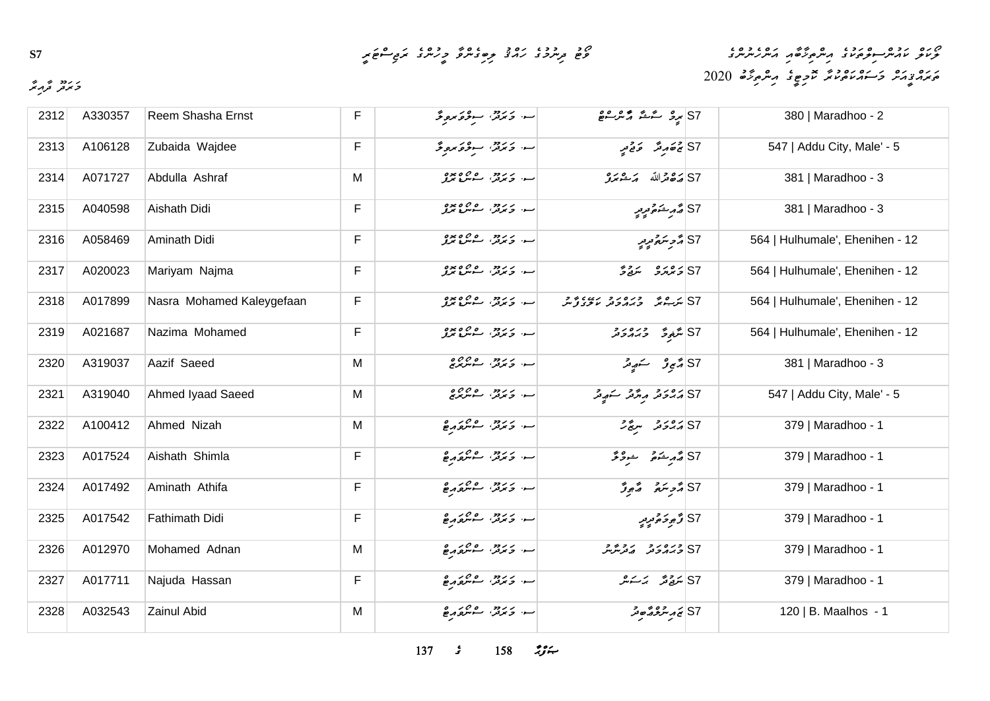*sCw7q7s5w7m< o<n9nOoAw7o< sCq;mAwBoEw7q<m; wBm;vB* م من المرة المرة المرة المرجع المرجع في المركبة 2020<br>مجم*د المريض المربوط المربع المرجع في المراجع المركبة* 

| 2312 | A330357 | Reem Shasha Ernst         | F           | سە كەنگە سوڭۇرۇڭ                 | S7 برڈ گے۔ مجم <i>د ش</i> ھ                           | 380   Maradhoo - 2              |
|------|---------|---------------------------|-------------|----------------------------------|-------------------------------------------------------|---------------------------------|
| 2313 | A106128 | Zubaida Wajdee            | F           | - دَبَرُهُ، سِرْدَبَرْ بِرَهِ دَ | S7 ى <i>تھەرىگە قى</i> قىر                            | 547   Addu City, Male' - 5      |
| 2314 | A071727 | Abdulla Ashraf            | M           | سه درده روچوره                   | S7 مَەھمَّراللَّهُ مَسْعَمَّعَ                        | 381   Maradhoo - 3              |
| 2315 | A040598 | Aishath Didi              | F           | سه درده روچوره                   | S7 ۾ مرڪو <i>م</i> رمر                                | 381   Maradhoo - 3              |
| 2316 | A058469 | Aminath Didi              | $\mathsf F$ | سه کرېږده شوه پوه .              | S7 مُحْ سَمْ وَمِدِمِرِ                               | 564   Hulhumale', Ehenihen - 12 |
| 2317 | A020023 | Mariyam Najma             | F           | ے کر دور ے میں مدہ<br>ب          | S7 كەمەم ئەرەپچە ئە                                   | 564   Hulhumale', Ehenihen - 12 |
| 2318 | A017899 | Nasra Mohamed Kaleygefaan | F           | ے پر دو وہ وہ دو                 | S7 ترجيحه - دره د د به د د د د                        | 564   Hulhumale', Ehenihen - 12 |
| 2319 | A021687 | Nazima Mohamed            | $\mathsf F$ | سه درده روچوره                   | S7 سَمْعِ <i>5 - 2019 ور</i>                          | 564   Hulhumale', Ehenihen - 12 |
| 2320 | A319037 | Aazif Saeed               | M           | ب كريرود كوروره و                | S7 ۾ مجو <i>هي ڪوپير</i>                              | 381   Maradhoo - 3              |
| 2321 | A319040 | Ahmed Iyaad Saeed         | M           | سه و بردو ده ۵۵۵                 | S7 <i>גُرُدُوَنْدِ مِ</i> مُرَ <i>ثَّرِ سَمِي</i> نَر | 547   Addu City, Male' - 5      |
| 2322 | A100412 | Ahmed Nizah               | M           | ب كريدوس مديره                   | S7 كەندى قىر سى <i>ن</i> ى ئى                         | 379   Maradhoo - 1              |
| 2323 | A017524 | Aishath Shimla            | F           | سوا ويربر والمردم                | S7 مُەمِسْمَى سوۋۇ                                    | 379   Maradhoo - 1              |
| 2324 | A017492 | Aminath Athifa            | F           | سه وبردو وروده                   | S7 مُجِسَعَۃ مُگوِرٌ                                  | 379   Maradhoo - 1              |
| 2325 | A017542 | <b>Fathimath Didi</b>     | F           | سوا ويربر والمردم                | S7 <i>وُ"و دَ"وِيدِ</i>                               | 379   Maradhoo - 1              |
| 2326 | A012970 | Mohamed Adnan             | M           | سوا ويربر والمردم                | S7 <i>ۋېرو دو پروپر</i> گر                            | 379   Maradhoo - 1              |
| 2327 | A017711 | Najuda Hassan             | F           | سه وبردو ومره                    | S7 <i>سَهَ قَدَّ بَرَسَ</i> سَر                       | 379   Maradhoo - 1              |
| 2328 | A032543 | <b>Zainul Abid</b>        | M           | سه وبردو والمره                  | S7 ئ <sub>ە</sub> مەش <i>ۇش ھ</i>                     | 120   B. Maalhos - 1            |

*137 s 158 <i>n*<sub>2</sub> *n*<sub>2</sub> *n*<sub>2</sub> *n*<sub>2</sub> *n*<sub>2</sub> *n*<sub>2</sub> *n*<sub>2</sub> *n*<sub>2</sub> *n*<sub>2</sub> *n*<sub>2</sub> *n*<sub>2</sub> *n*<sub>2</sub> *n*<sub>2</sub> *n*<sub>2</sub> *n*<sub>2</sub> *n*<sub>2</sub> *n*<sub>2</sub> *n*<sub>2</sub> *n*<sub>2</sub> *n*<sub>2</sub> *n*<sub>2</sub> *n*<sub>2</sub> *n*<sub>2</sub> *n*<sub>2</sub> *n*<sub>2</sub> *n*<sub>2</sub> *n*<sub>2</sub> *n*<sub>2</sub> *n*<sub>2</sub> *n*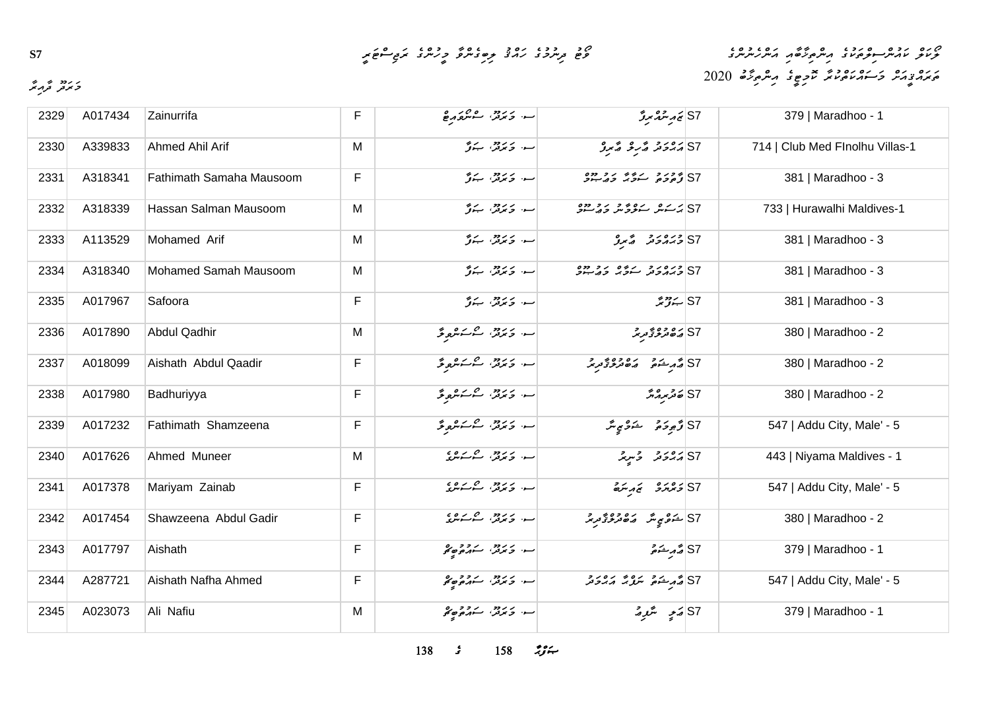*sCw7q7s5w7m< o<n9nOoAw7o< sCq;mAwBoEw7q<m; wBm;vB* م من المرة المرة المرة المرجع المرجع في المركبة 2020<br>مجم*د المريض المربوط المربع المرجع في المراجع المركبة* 

| 2329 | A017434 | Zainurrifa               | F           | سوا وبردو ومرده           | S7 ئىم بىر مىگە ئىروگە              | 379   Maradhoo - 1              |
|------|---------|--------------------------|-------------|---------------------------|-------------------------------------|---------------------------------|
| 2330 | A339833 | Ahmed Ahil Arif          | M           | سە كەنگەنگە سۇقى          | S7 <i>גُرُدُونَہ جُ</i> رِوْ جُعِرْ | 714   Club Med Flnolhu Villas-1 |
| 2331 | A318341 | Fathimath Samaha Mausoom | $\mathsf F$ | ىب كەندىق بىكۇ            | S7 كۆھۈم ھەسكۈن كەر دە 29           | 381   Maradhoo - 3              |
| 2332 | A318339 | Hassan Salman Mausoom    | M           | - ئە ئۇنىڭ بىكۇ           | S7 پرېش سوچ په ده دوه               | 733   Hurawalhi Maldives-1      |
| 2333 | A113529 | Mohamed Arif             | M           | ىب كەنتۇتى بىدۇ           | S7 <i>22222 مگیرو</i>               | 381   Maradhoo - 3              |
| 2334 | A318340 | Mohamed Samah Mausoom    | M           | سە كەندىق سۇڭ             | 022 - 2022 - 2022 - 2023 - 20       | 381   Maradhoo - 3              |
| 2335 | A017967 | Safoora                  | F           | ىب كەنتۇتى بىدۇ           | S7 بەرىپىر                          | 381   Maradhoo - 3              |
| 2336 | A017890 | <b>Abdul Qadhir</b>      | M           | ب ئەيزىق سىرسىر ئىرغ      | S7 كەھ قرىز ت <sup>ۇ</sup> تېرىر    | 380   Maradhoo - 2              |
| 2337 | A018099 | Aishath Abdul Qaadir     | $\mathsf F$ | ب ئەيزىق سىر سىر ئىرو ئى  | S7 مەم شەم ھەمرىر تورىر             | 380   Maradhoo - 2              |
| 2338 | A017980 | Badhuriyya               | $\mathsf F$ | ب كەندىق سىر سىر سىر ئوق  | S7 ڪوتر پر ۾ ٿر                     | 380   Maradhoo - 2              |
| 2339 | A017232 | Fathimath Shamzeena      | F           | ب كەندىق سىر سىر سىر ئوق  | S7 <i>ۋې<sub>ۋ</sub>ۇمۇ</i> شۇھ پىر | 547   Addu City, Male' - 5      |
| 2340 | A017626 | Ahmed Muneer             | M           | سه کریږدو هم شره په       | S7 كەبرى ئى ئەس كەنبە ئىس           | 443   Niyama Maldives - 1       |
| 2341 | A017378 | Mariyam Zainab           | $\mathsf F$ | ب كريرود المركز المرد و ع | S7 <i>خەملىرى تىم بىر تە</i>        | 547   Addu City, Male' - 5      |
| 2342 | A017454 | Shawzeena Abdul Gadir    | F           | ب كريرود كركره من         | S7 شۇم ئىر مەھەر ئۇ ئىرىز           | 380   Maradhoo - 2              |
| 2343 | A017797 | Aishath                  | $\mathsf F$ | سه وبردو رووره            | S7 مەم شىم                          | 379   Maradhoo - 1              |
| 2344 | A287721 | Aishath Nafha Ahmed      | $\mathsf F$ | ١ - و دور دوره ده         | S7 مەم شەھ سرور مەد دىر             | 547   Addu City, Male' - 5      |
| 2345 | A023073 | Ali Nafiu                | M           | سه ويرتر، سه دوم          | S7 <i>ھَ جِس سُمَّدِهُ</i>          | 379   Maradhoo - 1              |

## *n8o<n@ r@m8m>*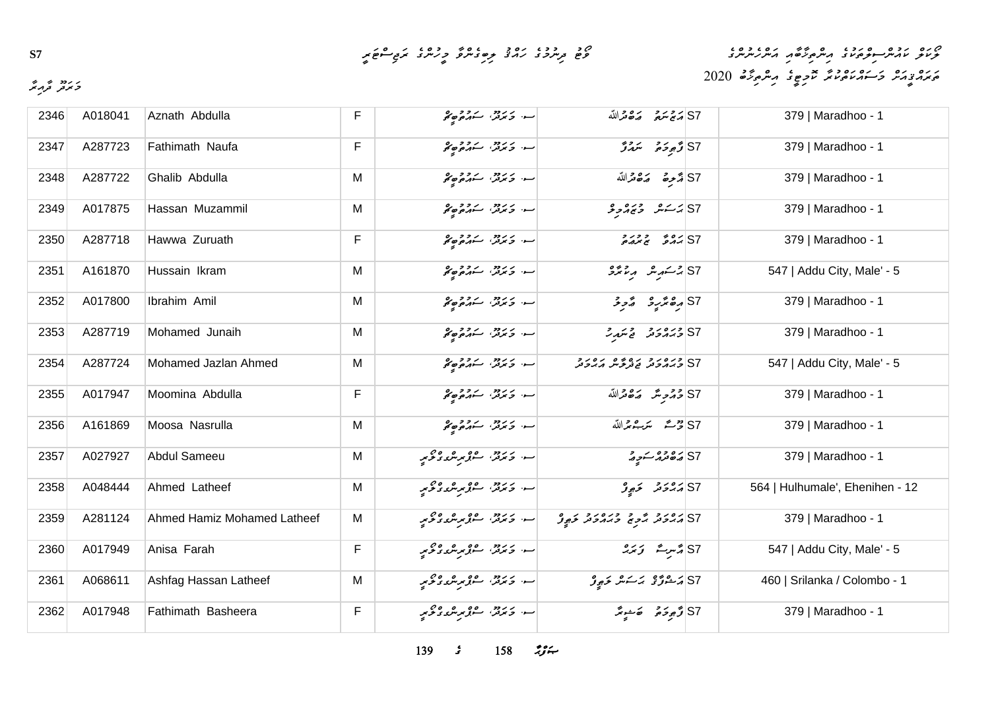*sCw7q7s5w7m< o<n9nOoAw7o< sCq;mAwBoEw7q<m; wBm;vB* م من المرة المرة المرة المرجع المراجع المراجع المراجع المراجع المراجع المراجع المراجع المراجع المراجع المراجع<br>مرين المراجع المراجع المرجع المراجع المراجع المراجع المراجع المراجع المراجع المراجع المراجع المراجع المراجع ال

| 2346 | A018041 | Aznath Abdulla              | F | سه ويرير، سه دو ده                                                              | S7 كەنج ئىرى كەن كەنگەراللە                        | 379   Maradhoo - 1              |
|------|---------|-----------------------------|---|---------------------------------------------------------------------------------|----------------------------------------------------|---------------------------------|
| 2347 | A287723 | Fathimath Naufa             | F | سه كريرود رود ده                                                                | S7 <i>وَّهِ دَوْ</i> مَرْدُوْ                      | 379   Maradhoo - 1              |
| 2348 | A287722 | Ghalib Abdulla              | M | سه وبردو رووه                                                                   | S7 أَمَّ مِنْ مَنْ مِنْ اللَّهُ                    | 379   Maradhoo - 1              |
| 2349 | A017875 | Hassan Muzammil             | M | $\frac{1}{2}$                                                                   | S7 ئەسەھرىم <i>دىن ۋە ج</i> ۇ                      | 379   Maradhoo - 1              |
| 2350 | A287718 | Hawwa Zuruath               | F | سه وبردو رووه                                                                   | $525$ $202$ $592$ $57$                             | 379   Maradhoo - 1              |
| 2351 | A161870 | Hussain Ikram               | M | سه وبردو رووه                                                                   | S7 يُرْسَمَ بِهِ مِنْ مَرَبَّةً مِنْ مَرْجَعَةً    | 547   Addu City, Male' - 5      |
| 2352 | A017800 | Ibrahim Amil                | M | سه وبردو رووه و                                                                 | S7 م <i>ەنگەدى م</i> گونۇ                          | 379   Maradhoo - 1              |
| 2353 | A287719 | Mohamed Junaih              | M | $\frac{1}{2}$                                                                   | S7 دُيرورو قسمبر                                   | 379   Maradhoo - 1              |
| 2354 | A287724 | Mohamed Jazlan Ahmed        | M | سو كردو رود كر                                                                  | S7 دره رو بره ده بره رو<br>S7 دبر در تونوش پربرونر | 547   Addu City, Male' - 5      |
| 2355 | A017947 | Moomina Abdulla             | F | $\begin{pmatrix} 0 & 2 & 2 & 1 \\ 0 & 0 & 0 & 0 \\ 0 & 0 & 0 & 0 \end{pmatrix}$ | S7 <i>55 ج م حرم م 25 م</i> حمد الله               | 379   Maradhoo - 1              |
| 2356 | A161869 | Moosa Nasrulla              | M | سه ويرير، سهره وه و                                                             | S7 تِرْتَهُ سَرَبَّةَ بِرَاللَّه                   | 379   Maradhoo - 1              |
| 2357 | A027927 | Abdul Sameeu                | M | سە ئەيرى سۇرىرىش ئەھىر                                                          | S7 مەھەمگە سىم <i>و</i> م                          | 379   Maradhoo - 1              |
| 2358 | A048444 | Ahmed Latheef               | M | ب كەنتى ھەر ھەر كوير                                                            | S7 <i>مَدْدَوْرْ</i> وَمِوْرْ                      | 564   Hulhumale', Ehenihen - 12 |
| 2359 | A281124 | Ahmed Hamiz Mohamed Latheef | M | سە ئەندىق سۇرىرىشى ئەقرىر                                                       | S7 גפקל הוק להתכת בתל                              | 379   Maradhoo - 1              |
| 2360 | A017949 | Anisa Farah                 | F | ب كەندىق سۇم بىر سىر كەنگە بىر                                                  | S7 پژمېرگ ئ <i>ۆتۈ</i> ر                           | 547   Addu City, Male' - 5      |
| 2361 | A068611 | Ashfag Hassan Latheef       | M | سە ئەترىق سۇپرىشى ئوگمېر                                                        | S7 كەشتۇتى كەسكىلىر ق <i>ەپ</i> ۇ                  | 460   Srilanka / Colombo - 1    |
| 2362 | A017948 | Fathimath Basheera          | F | سە كەنگەنى سۇرگىرىشى ئەمرىر                                                     | S7 ز <sub>گ</sub> وِدَهُ صَ <sub>ّو</sub> مًا      | 379   Maradhoo - 1              |

*n8o<n@ r@m8m>*

*139 s 158 <i>n*<sub>2</sub> *n*<sub>2</sub> *n*<sub>2</sub> *n*<sub>2</sub> *n*<sub>2</sub> *n*<sub>2</sub> *n*<sub>2</sub> *n*<sub>2</sub> *n*<sub>2</sub> *n*<sub>2</sub> *n*<sub>2</sub> *n*<sub>2</sub> *n*<sub>2</sub> *n*<sub>2</sub> *n*<sub>2</sub> *n*<sub>2</sub> *n*<sub>2</sub> *n*<sub>2</sub> *n*<sub>2</sub> *n*<sub>2</sub> *n*<sub>2</sub> *n*<sub>2</sub> *n*<sub>2</sub> *n*<sub>2</sub> *n*<sub>2</sub> *n*<sub>2</sub> *n*<sub>2</sub> *n*<sub>2</sub> *n*<sub>2</sub> *n*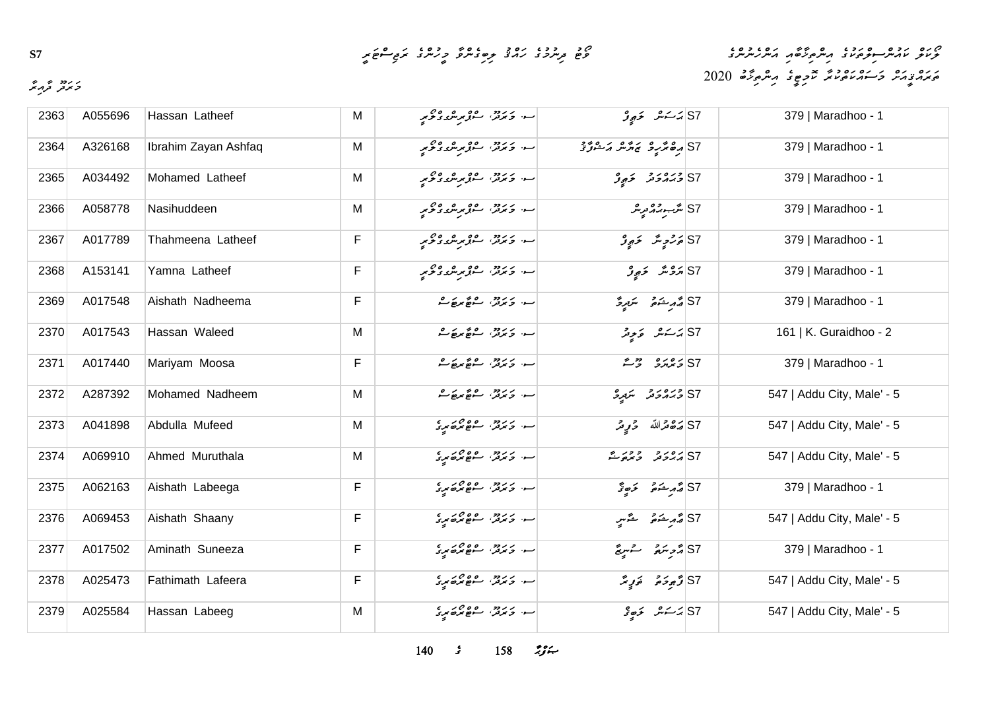*sCw7q7s5w7m< o<n9nOoAw7o< sCq;mAwBoEw7q<m; wBm;vB* م من المرة المرة المرة المرجع المراجع المراجع المراجع المراجع المراجع المراجع المراجع المراجع المراجع المراجع<br>مرين المراجع المراجع المرجع المراجع المراجع المراجع المراجع المراجع المراجع المراجع المراجع المراجع المراجع ال

| 2363 | A055696 | Hassan Latheef       | M | سە ئەترىق سۇرىرىش دىمىر     | S7   پرسكىش كۆ <i>ي<sub>م</sub>ى</i> ئۇ         | 379   Maradhoo - 1         |
|------|---------|----------------------|---|-----------------------------|-------------------------------------------------|----------------------------|
| 2364 | A326168 | Ibrahim Zayan Ashfaq | M | ب كەندە ئۇربۇر ھەم ئ        | S7 مەھەر بەر ئەھەر كەشىرىتى ئە                  | 379   Maradhoo - 1         |
| 2365 | A034492 | Mohamed Latheef      | M | سە ئەترىق سۇرىرىش ئەترىپ    | S7 <i>\$222 حَمِيوڤ</i>                         | 379   Maradhoo - 1         |
| 2366 | A058778 | Nasihuddeen          | M | سە كەنگەنى سۇرگىرىشى ئەمرىر | S7 مگر بەير ق <sub>ە</sub> ر مگر                | 379   Maradhoo - 1         |
| 2367 | A017789 | Thahmeena Latheef    | F | سە كەندىق سۇرىرىشى ئەكرىپ   | S7 <sub>م</sub> ُرْحٍ مَّر <sub>حَمِو</sub> ِرْ | 379   Maradhoo - 1         |
| 2368 | A153141 | Yamna Latheef        | F | سە كەنگەنى سۇرىرىشى ئوگىر   | S7 <i>مَرْدْ مَّہْ وَجِوْدْ</i>                 | 379   Maradhoo - 1         |
| 2369 | A017548 | Aishath Nadheema     | F | سە ئەيزىق سوغ برغ ش         | S7 <i>مُذَہدِ شَمَرُ</i> سَرَمِرِدً             | 379   Maradhoo - 1         |
| 2370 | A017543 | Hassan Waleed        | M | سە كەيرتى، سۇھ يرغ س        | S7   پرسترس کی مویٹر                            | 161   K. Guraidhoo - 2     |
| 2371 | A017440 | Mariyam Moosa        | F | سى ئەيرتر، سۇغ يرغ س        | S7 دېمبرد دمش                                   | 379   Maradhoo - 1         |
| 2372 | A287392 | Mohamed Nadheem      | M | سە كەيرتى، سۇھ يرغ س        | S7ا 3225 مگريز تر                               | 547   Addu City, Male' - 5 |
| 2373 | A041898 | Abdulla Mufeed       | M | سه و بردو ده ۲۵۵۵           | S7 كەھەراللە ق <i>وي</i> ىر                     | 547   Addu City, Male' - 5 |
| 2374 | A069910 | Ahmed Muruthala      | M | سه كريرو وه ورم د           | S7 كەبرو دىركى ئىلگى ئىلگا                      | 547   Addu City, Male' - 5 |
| 2375 | A062163 | Aishath Labeega      | F | سه کريز ده ده در د          | S7 مُگْرِسْتَمْ کَوْھِ تَرْ                     | 379   Maradhoo - 1         |
| 2376 | A069453 | Aishath Shaany       | F | سه و بردو ده ۲۵۵۵           | S7 مُرمِشَعُو شَمْسِ                            | 547   Addu City, Male' - 5 |
| 2377 | A017502 | Aminath Suneeza      | F | سه و بردو ده ۲۵۵۵           | S7 مُّحِسَمُ مُسِيَّ                            | 379   Maradhoo - 1         |
| 2378 | A025473 | Fathimath Lafeera    | F | سه و بردو ده ۲۵۵۵           | S7 <i>وَّهِ دَوْ</i> مَ <sub>ّ</sub> وبِتَر     | 547   Addu City, Male' - 5 |
| 2379 | A025584 | Hassan Labeeg        | Μ | سه و بردو ده ۲۵۵۵           | S7   پرسکس مح <i>وفی</i>                        | 547   Addu City, Male' - 5 |

*140 s* **158** *<i>n*<sub>1</sub>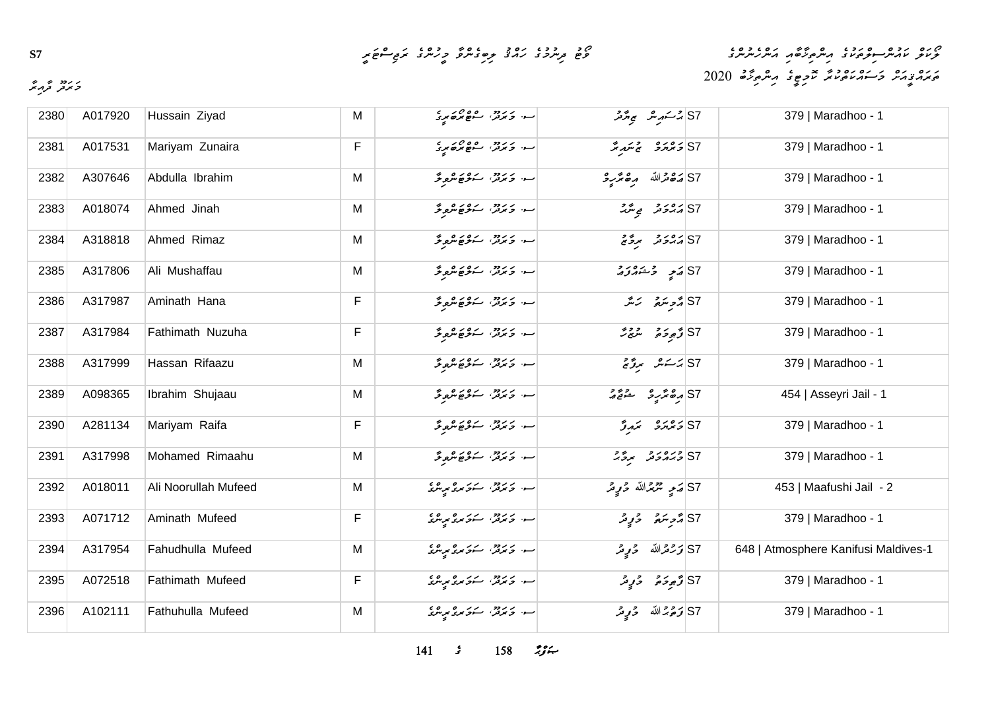*sCw7q7s5w7m< o<n9nOoAw7o< sCq;mAwBoEw7q<m; wBm;vB* م من المرة المرة المرة المرجع المراجع المراجع المراجع المراجع المراجع المراجع المراجع المراجع المراجع المراجع<br>مرين المراجع المراجع المرجع المراجع المراجع المراجع المراجع المراجع المراجع المراجع المراجع المراجع المراجع ال

|  | $\begin{array}{ccccc} \circ & \circ & \circ \circ \end{array}$ |
|--|----------------------------------------------------------------|
|  | وتمرتر ترمرته                                                  |

| 2380 | A017920 | Hussain Ziyad        | M | ے کریں ے دورہ             | S7 بڑے پہ میں پر پڑھر                       | 379   Maradhoo - 1                   |
|------|---------|----------------------|---|---------------------------|---------------------------------------------|--------------------------------------|
| 2381 | A017531 | Mariyam Zunaira      | F | ب رود ده ده ده            | S7 <i>وَمُحَمَّدَةَ</i> مِجْسَمَةٍ          | 379   Maradhoo - 1                   |
| 2382 | A307646 | Abdulla Ibrahim      | M | ب كەرەم سۇم ھەم ئى        | S7 مَـُرْمَعْرَاللّهُ مِنْ مَحْرَرِدْ       | 379   Maradhoo - 1                   |
| 2383 | A018074 | Ahmed Jinah          | M | سە كەللەر روم ھەرگە       | S7 <i>مَدْدَوْمْ     بِي مَّدْ</i>          | 379   Maradhoo - 1                   |
| 2384 | A318818 | Ahmed Rimaz          | M | سە كەندىق سىرك ئىرىدۇ.    |                                             | 379   Maradhoo - 1                   |
| 2385 | A317806 | Ali Mushaffau        | M | سە كەندى سىرك ھرك         | S7 <i>مَجِ حَشْهُوْمُ</i>                   | 379   Maradhoo - 1                   |
| 2386 | A317987 | Aminath Hana         | F | سە ئەيرى سىۋە شەرق        | S7 مُ <i>جِسَعْہ جَسُّ</i>                  | 379   Maradhoo - 1                   |
| 2387 | A317984 | Fathimath Nuzuha     | F | ب كەردە سەم ھەم ھەم       | S7 تَ <i>وجو جو مرتى تَر</i>                | 379   Maradhoo - 1                   |
| 2388 | A317999 | Hassan Rifaazu       | M | ب كەندىق سۇم ھەم ئىلىم ئى | S7 ئەسەمىر س <sub>ى</sub> ردىنى             | 379   Maradhoo - 1                   |
| 2389 | A098365 | Ibrahim Shujaau      | M | ب كەندىق سۇم ھەم ئىلىم ئى | S7 م <i>ەھترى</i> ھەمم                      | 454   Asseyri Jail - 1               |
| 2390 | A281134 | Mariyam Raifa        | F | سە ئەيرىن سىرھ شھر ئى     | S7 <i>وَجُهْدَةَ</i> بَرَ <sub>م</sub> ُ وَ | 379   Maradhoo - 1                   |
| 2391 | A317998 | Mohamed Rimaahu      | M | سە ئەيزىق سىۋەشھۇ         | S7 <i>25222 بردًّ 2.</i>                    | 379   Maradhoo - 1                   |
| 2392 | A018011 | Ali Noorullah Mufeed | M | سە كەنگەن سەكەندى بېرىش   | S7 كەمچە ئىزىمەللە خ <sub>و</sub> پىر       | 453   Maafushi Jail - 2              |
| 2393 | A071712 | Aminath Mufeed       | F | ے کروڑ کے در ور دیا       | S7 <i>مُّ حِ سَمَّةٌ</i> حَ <i>وِ</i> مِّد  | 379   Maradhoo - 1                   |
| 2394 | A317954 | Fahudhulla Mufeed    | M | سە كەنگەن سەكەندى بېرىش   | S7 كَرْرْتْدْاللّه       كَ. مِي مَدْ       | 648   Atmosphere Kanifusi Maldives-1 |
| 2395 | A072518 | Fathimath Mufeed     | F | سە كەنگەن سەكەندى بېرىش   | S7 <i>وَّجِ حَوْ</i> حَ <i>وِيثَر</i> َ     | 379   Maradhoo - 1                   |
| 2396 | A102111 | Fathuhulla Mufeed    | M | سە كەنگەن سەكەندى بېرىش   |                                             | 379   Maradhoo - 1                   |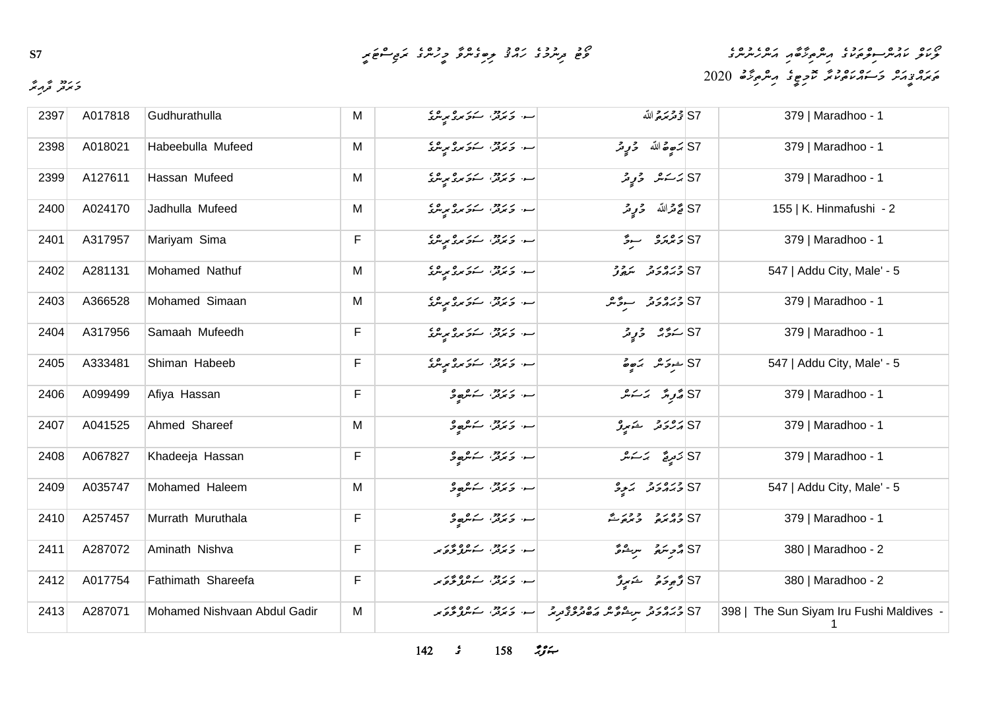*sCw7q7s5w7m< o<n9nOoAw7o< sCq;mAwBoEw7q<m; wBm;vB* م من المرة المرة المرة المرجع المراجع المراجع المراجع المراجع المراجع المراجع المراجع المراجع المراجع المراجع<br>مرين المراجع المراجع المرجع المراجع المراجع المراجع المراجع المراجع المراجع المراجع المراجع المراجع المراجع ال

| 2397 | A017818 | Gudhurathulla                | M | سە ئەيرى سەئەيرى بېرىدى   | S7 تَوْمَرْ يَرْمَرْ اللّه                                                                                     | 379   Maradhoo - 1                       |
|------|---------|------------------------------|---|---------------------------|----------------------------------------------------------------------------------------------------------------|------------------------------------------|
| 2398 | A018021 | Habeebulla Mufeed            | M | ے کروڑ کے در مرد مرد      |                                                                                                                | 379   Maradhoo - 1                       |
| 2399 | A127611 | Hassan Mufeed                | M | سە كەندىق سۇكىرى بېرىش    | S7  > سەش ق <i>ارِي</i> تر                                                                                     | 379   Maradhoo - 1                       |
| 2400 | A024170 | Jadhulla Mufeed              | M | سە كەندىق سەكەندى بېرىش   |                                                                                                                | 155   K. Hinmafushi - 2                  |
| 2401 | A317957 | Mariyam Sima                 | F | سە كەندىق سەكەندى بېرىدى  | S7 كەبىر ئەسىرىسى بىر                                                                                          | 379   Maradhoo - 1                       |
| 2402 | A281131 | Mohamed Nathuf               | M | سە كەندىق سەكەندى بېرىش   | S7 <i>22822 سروو</i>                                                                                           | 547   Addu City, Male' - 5               |
| 2403 | A366528 | Mohamed Simaan               | M | ے ویرس کے بروی برس        | S7 <i>ۇنەۋەتى سوڭىل</i>                                                                                        | 379   Maradhoo - 1                       |
| 2404 | A317956 | Samaah Mufeedh               | F | سە كەنگەنى سىرىمى ئېرىش   | S7  سَتَرَ <sup>و</sup> رْ دُوِيْرْ                                                                            | 379   Maradhoo - 1                       |
| 2405 | A333481 | Shiman Habeeb                | F | سە كەندىق سەكەندى بېرىش   | $S7$ جوڭ بر س                                                                                                  | 547   Addu City, Male' - 5               |
| 2406 | A099499 | Afiya Hassan                 | F | ے دیور کے موضح            | S7 <i>مُبْرِیْن بَرَسَ</i> سُ                                                                                  | 379   Maradhoo - 1                       |
| 2407 | A041525 | Ahmed Shareef                | M | ے دیور کے موضح            | S7 كەردى ئىق بىر ئىقتى بىر ئىقتان ئىشلار ئىن ئىقتان ئىلگان ئىلگان ئىلگان ئىلگان ئىلگان ئىلگان ئىلگان ئىلگان ئى | 379   Maradhoo - 1                       |
| 2408 | A067827 | Khadeeja Hassan              | F | ے ویرس کے مرض             | S7 كَمْرِيعٌ   يُرْسَمْرُ                                                                                      | 379   Maradhoo - 1                       |
| 2409 | A035747 | Mohamed Haleem               | M | ے دیور کے موضح            | S7 <i>وبروبرو برو</i> و                                                                                        | 547   Addu City, Male' - 5               |
| 2410 | A257457 | Murrath Muruthala            | F | ے دیروہ کے موضح           | S7 <i>جەمىرە</i> جىمۇشە                                                                                        | 379   Maradhoo - 1                       |
| 2411 | A287072 | Aminath Nishva               | F | سە كەنزۇنى سەھرى كۆكۈنلەر | S7 مُرْحِبَتِهُ مِنْ مِنْ مِنْ الْمَ                                                                           | 380   Maradhoo - 2                       |
| 2412 | A017754 | Fathimath Shareefa           | F | سە كەندىق سەھرىكى ئىر     | S7 ۇ <sub>ج</sub> وڭ ھىمبۇ                                                                                     | 380   Maradhoo - 2                       |
| 2413 | A287071 | Mohamed Nishvaan Abdul Gadir | M |                           | S7 درورد سیشوگر مەدەپرى   ب دىرە بەرەپرى<br>  37 دىمەدەن سىشوگر مەنبۇ توپرا   ب دىمەن سىروپۇرىر                | 398   The Sun Siyam Iru Fushi Maldives - |

*142 s* **158** *<i>n*<sub>1</sub>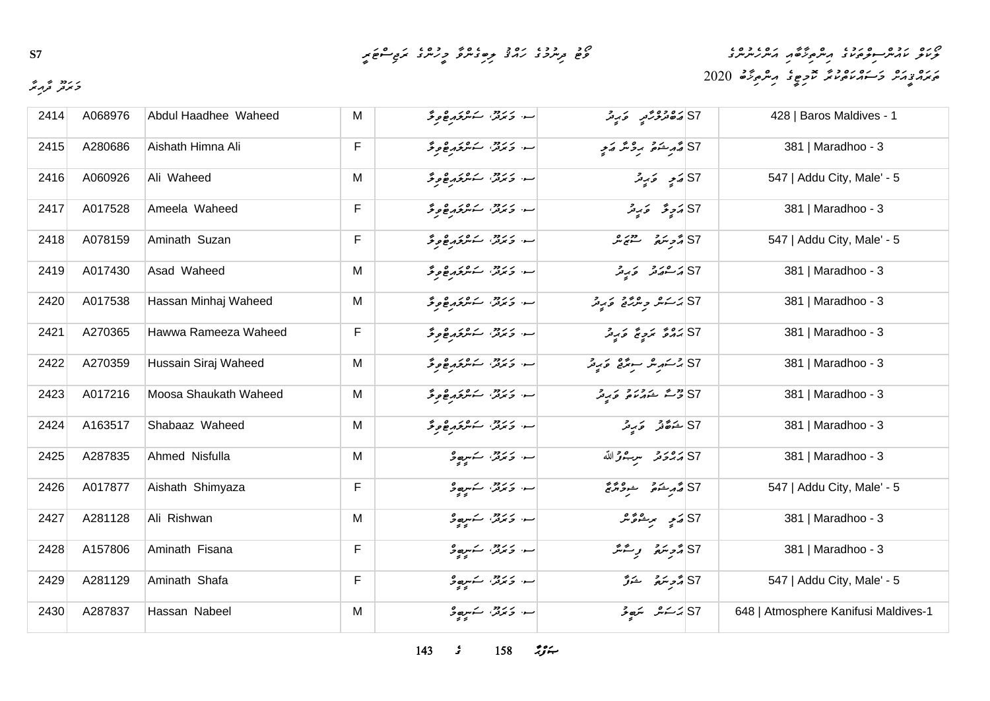*sCw7q7s5w7m< o<n9nOoAw7o< sCq;mAwBoEw7q<m; wBm;vB* م من المرة المرة المرة المرجع المراجع المراجع المراجع المراجع المراجع المراجع المراجع المراجع المراجع المراجع<br>مرين المراجع المراجع المرجع المراجع المراجع المراجع المراجع المراجع المراجع المراجع المراجع المراجع المراجع ال

|  | シーショコンシ        |
|--|----------------|
|  | و برتر تربر بر |

| 2414 | A068976 | Abdul Haadhee Waheed  | M | ب دىرو سەھرىم ھوڭ         | S7 كەھەر <i>ى ئۇيەتى</i> ھ                    | 428   Baros Maldives - 1             |
|------|---------|-----------------------|---|---------------------------|-----------------------------------------------|--------------------------------------|
| 2415 | A280686 | Aishath Himna Ali     | F | ب دىكەن سەمگە ئەھ بۇ      | S7 مُەر ھەتمە بىرى مەمبە                      | 381   Maradhoo - 3                   |
| 2416 | A060926 | Ali Waheed            | M | سە كەندىق سەمرىكرىم ھوڭ   | S7 <i>ھَ جِه وَب</i> ِعْر                     | 547   Addu City, Male' - 5           |
| 2417 | A017528 | Ameela Waheed         | F | سە كەللەر سەئىر كەلگە ھەم | S7 ك <sup>ې</sup> رىر قەرىتر                  | 381   Maradhoo - 3                   |
| 2418 | A078159 | Aminath Suzan         | F | سى ئەردە سەئىر ئەھوڭ      | S7 مُجِسَعِ مُسْتَمِسُ                        | 547   Addu City, Male' - 5           |
| 2419 | A017430 | Asad Waheed           | M | ب دىكەن سەھرىم ھوڭ        | S7 كەشھەتىر <i>قەبەتى</i>                     | 381   Maradhoo - 3                   |
| 2420 | A017538 | Hassan Minhaj Waheed  | M | سە كەنگەن سەھرىم ھوڭ      | S7 بَرَسَ <i>مْرٌ وِ مُرْدَّةٍ</i> وَبِرِيْرٌ | 381   Maradhoo - 3                   |
| 2421 | A270365 | Hawwa Rameeza Waheed  | F | سە كەنگەن سەمرىكرە ھوڭ    | S7 <i>جَهُوَّ بَرَوِجَّ وَبِ</i> يَرَ         | 381   Maradhoo - 3                   |
| 2422 | A270359 | Hussain Siraj Waheed  | M | سە كەنگەن سەمرىكرە ھوڭ    | S7 يُرْسَهِ بْلْرَ مِيْتَ فَيَ يَدِيْرُ       | 381   Maradhoo - 3                   |
| 2423 | A017216 | Moosa Shaukath Waheed | M | ب دىرو، سەمگەرەھ بەر      | S7 ترقئة خورتمامو كوبريز                      | 381   Maradhoo - 3                   |
| 2424 | A163517 | Shabaaz Waheed        | M | سە كەندىق سەمكەندە ھوڭ    | S7 شَقَّقْر عَرِيْرٌ                          | 381   Maradhoo - 3                   |
| 2425 | A287835 | Ahmed Nisfulla        | M | ے ویری کیروو              | S7 كەبرى قىر سرىبگوتى للە                     | 381   Maradhoo - 3                   |
| 2426 | A017877 | Aishath Shimyaza      | F | ے ویرش کے سرچو            | S7 مُرمِشَمُ سُورَتَرَجُ                      | 547   Addu City, Male' - 5           |
| 2427 | A281128 | Ali Rishwan           | M | ے ویرش کے سرچو            | S7  رَمِ مِرْشُوَمْر                          | 381   Maradhoo - 3                   |
| 2428 | A157806 | Aminath Fisana        | F | ب رودون کمپرچ             | S7 مُرْحِسَمُ وِسَمَسَّ                       | 381   Maradhoo - 3                   |
| 2429 | A281129 | Aminath Shafa         | F | ب رودون کمپرچ             | S7 مُرْحِ سَمَعٌ مُسَوَّرٌ                    | 547   Addu City, Male' - 5           |
| 2430 | A287837 | Hassan Nabeel         | M | ے ویرس کے سرچ             | S7 كەسكەش س <i>كھ</i> وتى                     | 648   Atmosphere Kanifusi Maldives-1 |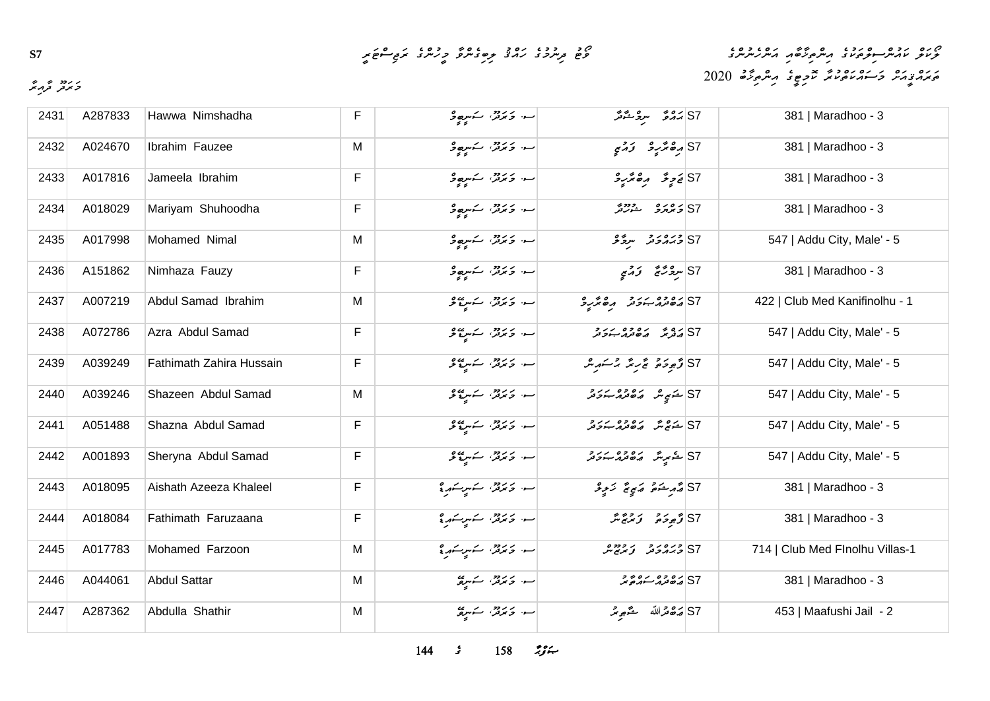*sCw7q7s5w7m< o<n9nOoAw7o< sCq;mAwBoEw7q<m; wBm;vB* م من المسجد المسجد المسجد المسجد المسجد العام 2020<br>مجم*د المسجد المسجد المستجد المسجد المسجد المسجد المسجد المسجد المسجد المسجد المسجد المسجد المسجد المسجد المسجد* 

| 2431 | A287833 | Hawwa Nimshadha          | $\mathsf F$  | در دروز، سکس دره د          | S7 <i>بَهُمُّ سِ</i> وْشَمَّدَ                                                                                             | 381   Maradhoo - 3              |
|------|---------|--------------------------|--------------|-----------------------------|----------------------------------------------------------------------------------------------------------------------------|---------------------------------|
| 2432 | A024670 | Ibrahim Fauzee           | M            | - ويومن سكيري               | S7 مەھمەر <i>3 ۋەتى</i> ي                                                                                                  | 381   Maradhoo - 3              |
| 2433 | A017816 | Jameela Ibrahim          | $\mathsf{F}$ | ب رودون سکس ده              | S7 <i>فوج</i> و مقبر د                                                                                                     | 381   Maradhoo - 3              |
| 2434 | A018029 | Mariyam Shuhoodha        | $\mathsf{F}$ | ے دیں کہ جات                | S7 ئ <i>ۈپرە ھەمى</i> تىر                                                                                                  | 381   Maradhoo - 3              |
| 2435 | A017998 | Mohamed Nimal            | M            | - دىروم سەسھۇ               | S7 <i>جەنگە جۇ سرچى</i> ئو                                                                                                 | 547   Addu City, Male' - 5      |
| 2436 | A151862 | Nimhaza Fauzy            | $\mathsf{F}$ | ساد تریری کے سرچاؤ          | S7 سر <i>وڭ ئەتمى</i>                                                                                                      | 381   Maradhoo - 3              |
| 2437 | A007219 | Abdul Samad Ibrahim      | M            | سەر ئەرەدە سەسىيە ئى        |                                                                                                                            | 422   Club Med Kanifinolhu - 1  |
| 2438 | A072786 | Azra Abdul Samad         | $\mathsf{F}$ | ے ویرس کے بیٹا و            | S7 ەنرىگە ئەھەرگە ئەر د                                                                                                    | 547   Addu City, Male' - 5      |
| 2439 | A039249 | Fathimath Zahira Hussain | F            | ے دیروہ سکر نامج کی         | S7 <i>وَّجِودَة جُرِبَّرَ بِرُسَوِيدَ</i>                                                                                  | 547   Addu City, Male' - 5      |
| 2440 | A039246 | Shazeen Abdul Samad      | M            | __ ريزين سكين ع             | S7 ش <sub>ك</sub> ې شرىق مەرىر دېگرىن كىلگەن كىلگەن كىلگەن كىلگەن كىلگەن كىلگەن كىلگەن كىلگەن كىلگەن كىلگەن كىلگەن كىشىش ك | 547   Addu City, Male' - 5      |
| 2441 | A051488 | Shazna Abdul Samad       | $\mathsf F$  | __ دىروژ، سەستانتى          | S7 شەھ شەھ بەر دەردە                                                                                                       | 547   Addu City, Male' - 5      |
| 2442 | A001893 | Sheryna Abdul Samad      | F            | ے ویرو کے یونچ              | S7 شىمەش مەھەرمەدە                                                                                                         | 547   Addu City, Male' - 5      |
| 2443 | A018095 | Aishath Azeeza Khaleel   | $\mathsf F$  | ے کا ترور کے سرکار کا       | S7 مُەستۇم مَى َ تَولُو                                                                                                    | 381   Maradhoo - 3              |
| 2444 | A018084 | Fathimath Faruzaana      | F            | ے ویروز، کے سرکار کا        | S7 زَّەپرىقى ئەتمەتتىر                                                                                                     | 381   Maradhoo - 3              |
| 2445 | A017783 | Mohamed Farzoon          | M            | ساء المردود المسكور عليه في | S7 <i>בינפיב ביניפ</i> פ                                                                                                   | 714   Club Med Flnolhu Villas-1 |
| 2446 | A044061 | <b>Abdul Sattar</b>      | M            | سەر ئەيزىقى سەسىرىقى        | S7 كەھەم سىمبە ج                                                                                                           | 381   Maradhoo - 3              |
| 2447 | A287362 | Abdulla Shathir          | M            | ے کے برقش کے سی بھی         | S7 مَەھىراللە ش <i>ەپى</i> ر                                                                                               | 453   Maafushi Jail - 2         |

*n*<sub>44</sub> *s* 158 *n*<sub>3</sub> *n*<sub>2</sub>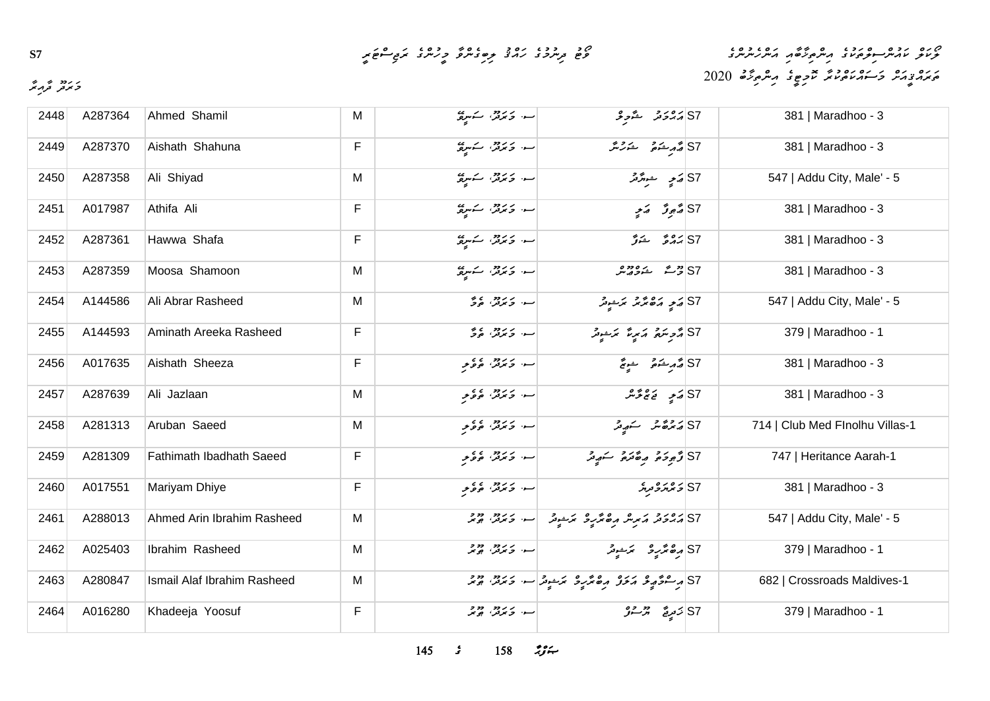*sCw7q7s5w7m< o<n9nOoAw7o< sCq;mAwBoEw7q<m; wBm;vB* م من المرة المرة المرة المرجع المرجع في المركبة 2020<br>مجم*د المريض المربوط المربع المرجع في المراجع المركبة* 

|  | $\begin{array}{ccccc} \circ & \circ & \circ \circ \end{array}$ |  |
|--|----------------------------------------------------------------|--|
|  | فريمرفر اقرار بمر                                              |  |

| 2448 | A287364 | Ahmed Shamil                    | M           | ے دیروز، سکسرچ          | S7 كەبرى ئىم ئىقى ئىقتى ئىقتى ئىقتى ئىقتى ئىقتى ئىقتى ئىقتى ئىقتى ئىقتى ئىقتى ئىقتى ئىقتى ئىقتى ئىقت | 381   Maradhoo - 3              |
|------|---------|---------------------------------|-------------|-------------------------|------------------------------------------------------------------------------------------------------|---------------------------------|
| 2449 | A287370 | Aishath Shahuna                 | $\mathsf F$ |                         | S7 <i>مۇم شەڭ ھەڭ ئىگە</i>                                                                           | 381   Maradhoo - 3              |
| 2450 | A287358 | Ali Shiyad                      | M           | ے کروڑ، کے پیچ          | S7 كەمچە ھەيمەتتر                                                                                    | 547   Addu City, Male' - 5      |
| 2451 | A017987 | Athifa Ali                      | F           | ے کروڑ، کے پیچ          | S7 مُب <i>وِرٌ مَ</i> بِ                                                                             | 381   Maradhoo - 3              |
| 2452 | A287361 | Hawwa Shafa                     | F           | ے کروڑ، کے پی           | S7 يَہُرُمَّ شَرَّ                                                                                   | 381   Maradhoo - 3              |
| 2453 | A287359 | Moosa Shamoon                   | M           | ے کر پڑھ کے پیچ         | S7 ترميز شورچينز                                                                                     | 381   Maradhoo - 3              |
| 2454 | A144586 | Ali Abrar Rasheed               | M           | سه کامرود ، دی          | S7 <i>مَرْمِ مَـُهُ مَّنْ مَرْ</i> سُومَّر                                                           | 547   Addu City, Male' - 5      |
| 2455 | A144593 | Aminath Areeka Rasheed          | $\mathsf F$ | سه کريمري وگ            | S7 مُرْحِ سَمَّةَ ۖ مَبِرِينَ ۖ سَرْشِيشَ                                                            | 379   Maradhoo - 1              |
| 2456 | A017635 | Aishath Sheeza                  | $\mathsf F$ | سە ئەترىق ئوقرىق        | S7 مُدمِشَعْرِ شَعِيَّ                                                                               | 381   Maradhoo - 3              |
| 2457 | A287639 | Ali Jazlaan                     | M           | ے کے ترقرا کا کالج کا ت | S7 <i>ڇَجِ ڇَڇُوُنُرُ</i>                                                                            | 381   Maradhoo - 3              |
| 2458 | A281313 | Aruban Saeed                    | M           | ے کے ترقر، حوظوم        | S7 <i>مەندھىتى سەمەن</i> تر                                                                          | 714   Club Med Flnolhu Villas-1 |
| 2459 | A281309 | <b>Fathimath Ibadhath Saeed</b> | F           | ے کا بھوتو ہے۔          | S7 زُّجِرْدَةَ مِعْتَدَةٍ سَهِيدٌ                                                                    | 747   Heritance Aarah-1         |
| 2460 | A017551 | Mariyam Dhiye                   | $\mathsf F$ | سەسە ئەترىقى ئۆتۈر      | S7 كەممەر <i>2 م</i> ېرىگە                                                                           | 381   Maradhoo - 3              |
| 2461 | A288013 | Ahmed Arin Ibrahim Rasheed      | M           |                         |                                                                                                      | 547   Addu City, Male' - 5      |
| 2462 | A025403 | Ibrahim Rasheed                 | M           | ے کروڑ وہ               | S7 مەھەر بەر ئىزىنى <sub>د</sub> ىر                                                                  | 379   Maradhoo - 1              |
| 2463 | A280847 | Ismail Alaf Ibrahim Rasheed     | M           |                         | S7 مِ شَوَّمٍ قِي مَرْكَزَ مِنْ عَرْشِيْرَ – دَبَرْد مِيْ دَبَرَ مِيْ                                | 682   Crossroads Maldives-1     |
| 2464 | A016280 | Khadeeja Yoosuf                 | F           | سه د ترور دو د          | S7 كَرْمِرِيحُ مَرْ <sup>مِرو</sup> رُ                                                               | 379   Maradhoo - 1              |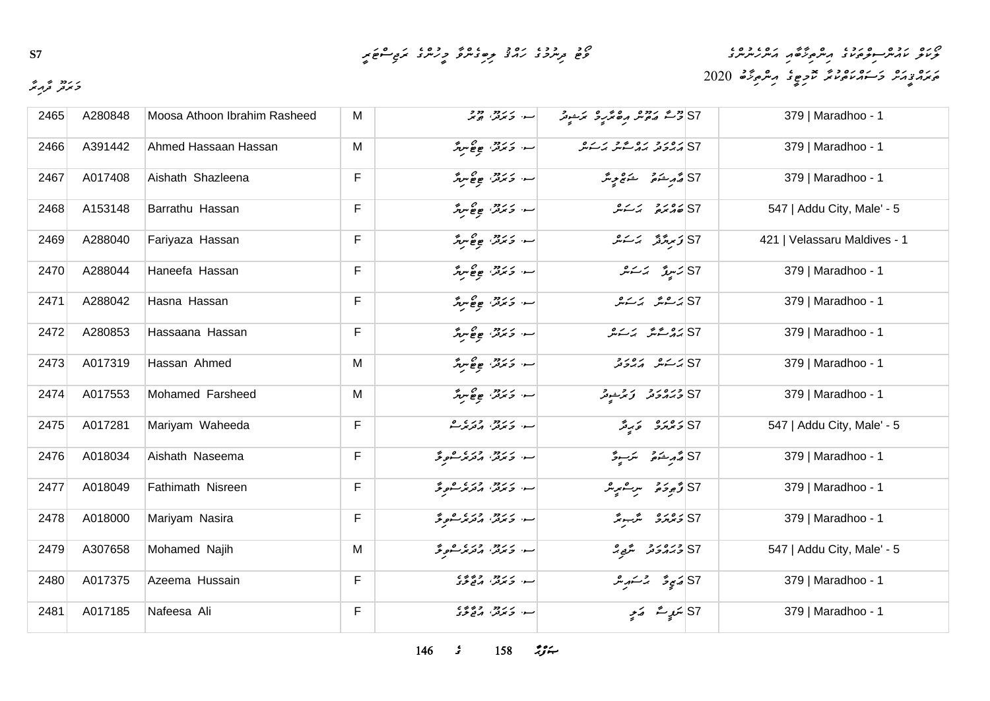*sCw7q7s5w7m< o<n9nOoAw7o< sCq;mAwBoEw7q<m; wBm;vB* م من المرة المرة المرة المرجع المرجع في المركبة 2020<br>مجم*د المريض المربوط المربع المرجع في المراجع المركبة* 

| 2465 | A280848 | Moosa Athoon Ibrahim Rasheed | M           |                                                                                                                                                                                                                                                                                                                  |                                          | 379   Maradhoo - 1           |
|------|---------|------------------------------|-------------|------------------------------------------------------------------------------------------------------------------------------------------------------------------------------------------------------------------------------------------------------------------------------------------------------------------|------------------------------------------|------------------------------|
| 2466 | A391442 | Ahmed Hassaan Hassan         | M           | سا زېرتر، ج@سرتر                                                                                                                                                                                                                                                                                                 | S7 روبر و بره محمد برسکس                 | 379   Maradhoo - 1           |
| 2467 | A017408 | Aishath Shazleena            | $\mathsf F$ | $\stackrel{\circ}{\mathscr{H}}\hspace{-0.4em}\begin{bmatrix} \mathscr{L} \\ \mathscr{L} \end{bmatrix} \stackrel{\circ}{\mathscr{H}}\hspace{-0.4em}\begin{bmatrix} \mathscr{L} \\ \mathscr{L} \end{bmatrix} \stackrel{\circ}{\mathscr{H}}\hspace{-0.4em}\begin{bmatrix} \mathscr{L} \\ \mathscr{L} \end{bmatrix}$ | S7 مُەرشەق شەھ <i>چىگر</i>               | 379   Maradhoo - 1           |
| 2468 | A153148 | Barrathu Hassan              | F           | - دىرىق ھۆسىگە                                                                                                                                                                                                                                                                                                   | S7 <i>ھەبىرە بەسە</i> ش                  | 547   Addu City, Male' - 5   |
| 2469 | A288040 | Fariyaza Hassan              | $\mathsf F$ | - دَبَرْتُنْ جِعْسِرٌ                                                                                                                                                                                                                                                                                            | S7 كۆمچەتمەتش كەسكەنلىر                  | 421   Velassaru Maldives - 1 |
| 2470 | A288044 | Haneefa Hassan               | F           | $\overset{\circ}{\mathcal{H}}_{\mathcal{M}}\overset{\circ}{\mathcal{H}}_{\mathcal{B}}\overset{\circ}{=}\overset{\circ}{\mathcal{H}}_{\mathcal{B}}\overset{\circ}{\mathcal{H}}_{\mathcal{B}}\overset{\circ}{\longrightarrow}$                                                                                     | S7 كەيدىگە كەسكەنلەر                     | 379   Maradhoo - 1           |
| 2471 | A288042 | Hasna Hassan                 | F           | - دَبَرْتُنْ جِعَ سِرَّ                                                                                                                                                                                                                                                                                          | S7 پُرکسٹر برکسٹر                        | 379   Maradhoo - 1           |
| 2472 | A280853 | Hassaana Hassan              | F           | - دَبَرْتُنْ جِعَ سِرَّ                                                                                                                                                                                                                                                                                          | S7 ئەبر شىش بەسىسى                       | 379   Maradhoo - 1           |
| 2473 | A017319 | Hassan Ahmed                 | M           | ٢٠٠٠ - جرير، صحيح سرمرٌ                                                                                                                                                                                                                                                                                          | S7 ئەسەھرىم ئەرەبىر                      | 379   Maradhoo - 1           |
| 2474 | A017553 | Mohamed Farsheed             | M           | - دَبَرْتُنْ جِعْسِرٌ                                                                                                                                                                                                                                                                                            | S7 <i>\$نەمى قىرىمى</i> دىر              | 379   Maradhoo - 1           |
| 2475 | A017281 | Mariyam Waheeda              | F           | سە كەيرى مەركى ھ                                                                                                                                                                                                                                                                                                 | S7 <i>وَ بُرْمَرْدْ وَ بِ</i> قَرْ       | 547   Addu City, Male' - 5   |
| 2476 | A018034 | Aishath Naseema              | $\mathsf F$ | ے کابردہ دریا قانونگر                                                                                                                                                                                                                                                                                            | S7 م <i>ۇم شەھ سىرسو</i> گە              | 379   Maradhoo - 1           |
| 2477 | A018049 | Fathimath Nisreen            | F           | ے کابردہ دریا ہے گی                                                                                                                                                                                                                                                                                              | S7 <i>وُّهِ دَمْ</i> مِنْ مِنْ مِنْ مِنْ | 379   Maradhoo - 1           |
| 2478 | A018000 | Mariyam Nasira               | F           | سە كەندىق مەترىرىشى گە                                                                                                                                                                                                                                                                                           | S7 <i>ۇندىرۇ مەتبەت</i> ر                | 379   Maradhoo - 1           |
| 2479 | A307658 | Mohamed Najih                | M           | سە ئەترىق مەترىرىشى ئە                                                                                                                                                                                                                                                                                           | S7 <i>\$222 مگه ب</i> گه                 | 547   Addu City, Male' - 5   |
| 2480 | A017375 | Azeema Hussain               | F           | ر ر دو.<br>سه کارتر اراده دی                                                                                                                                                                                                                                                                                     | S7 كەيپوگە كەسكىرىش                      | 379   Maradhoo - 1           |
| 2481 | A017185 | Nafeesa Ali                  | F           | ر ر دو.<br>سه او برتر <sup>،</sup> ارتع نوی                                                                                                                                                                                                                                                                      | S7 سَمِي شَ <sup>م</sup> سَمِي           | 379   Maradhoo - 1           |

*146 sC 158 nNw?mS*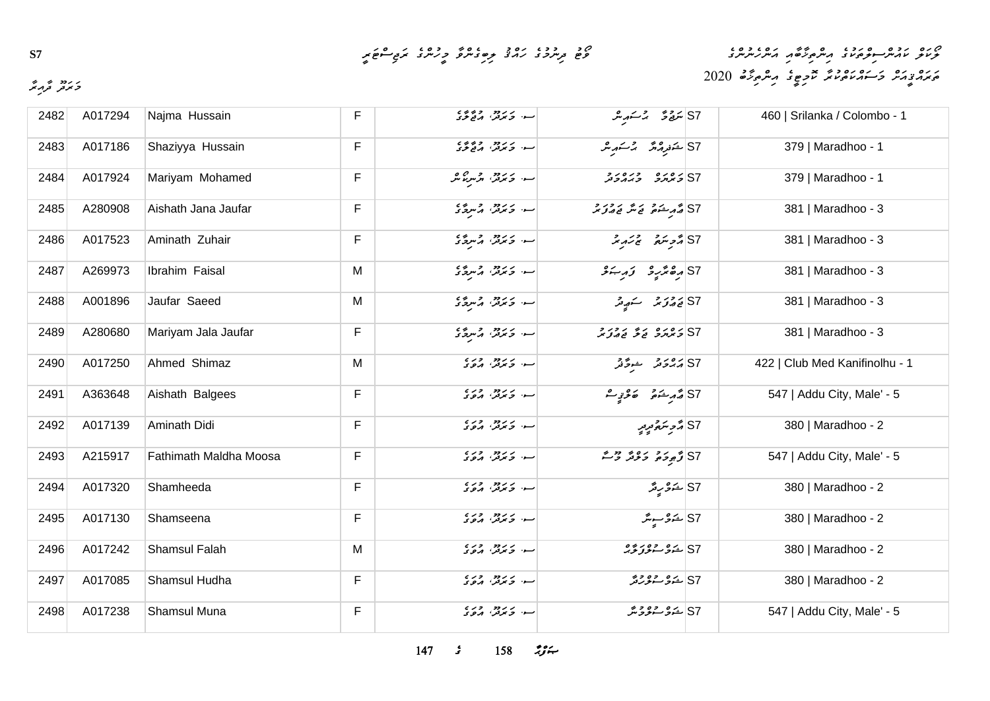*sCw7q7s5w7m< o<n9nOoAw7o< sCq;mAwBoEw7q<m; wBm;vB* م من المرة المرة المرة المرجع المرجع في المركبة 2020<br>مجم*د المريض المربوط المربع المرجع في المراجع المركبة* 

|  | シーショコンシ           |
|--|-------------------|
|  | فريمرفر اقرار بمر |

| 2482 | A017294 | Najma Hussain          | $\mathsf F$  | ر در دور و دره د                        | S7 ىترقى قى يەسكەر بىر                                                                               | 460   Srilanka / Colombo - 1   |
|------|---------|------------------------|--------------|-----------------------------------------|------------------------------------------------------------------------------------------------------|--------------------------------|
| 2483 | A017186 | Shaziyya Hussain       | $\mathsf F$  | ر درود دوه د                            | S7 ڪنوپر هگ جي ڪمبر سگر                                                                              | 379   Maradhoo - 1             |
| 2484 | A017924 | Mariyam Mohamed        | $\mathsf F$  | ے دیکھی مرسد میں                        | S7 <i>ביצור כנסי</i> ב                                                                               | 379   Maradhoo - 1             |
| 2485 | A280908 | Aishath Jana Jaufar    | $\mathsf F$  | سە ئەندىق ئەسرىگە ئە                    | S7 مُتَّمَّ شَوَّةً كَمَّ سَمَّ كَمَّةً كَمَّرَ                                                      | 381   Maradhoo - 3             |
| 2486 | A017523 | Aminath Zuhair         | $\mathsf F$  | در درود و مرده                          | S7 مُتَّحِسَمُ مَحْسَدِ مُنْ                                                                         | 381   Maradhoo - 3             |
| 2487 | A269973 | Ibrahim Faisal         | M            | ے دیکھی ارسردی                          | S7 مەھەرىپ ئەمبەق                                                                                    | 381   Maradhoo - 3             |
| 2488 | A001896 | Jaufar Saeed           | M            | ے دیوی استری                            | S7ائ <i>ے مرق بھی سکھ</i> یٹر                                                                        | 381   Maradhoo - 3             |
| 2489 | A280680 | Mariyam Jala Jaufar    | F            | ے دیوی استری                            | S7 <i>خەبرە بۇ يەدى</i> ر                                                                            | 381   Maradhoo - 3             |
| 2490 | A017250 | Ahmed Shimaz           | M            | $\frac{1}{2}$                           | S7 <i>مَدْدَوتر</i> سِوَّتْر                                                                         | 422   Club Med Kanifinolhu - 1 |
| 2491 | A363648 | Aishath Balgees        | F            | ر درود.<br>ر د ترتر، مرود               | S7 مۇم شىم قىم ئۆتى ئىشىمىتى ئىستىمبار ئىستىدا ئىستىكى ئىستىكى ئىستى ئىستىكى ئىستىكى ئىستى ئىستىكى ئ | 547   Addu City, Male' - 5     |
| 2492 | A017139 | Aminath Didi           | $\mathsf F$  | ر بر بردود.<br>ر. بر برگزار ایروی       | S7 مُ تَحْرِ سَمَةٌ مِرِ مَدِ                                                                        | 380   Maradhoo - 2             |
| 2493 | A215917 | Fathimath Maldha Moosa | $\mathsf{F}$ | ر بر دود.<br>سه و برتر، مروی            | S7 <i>وُّجِ وَءُ وَ وُمَّرٌ وَ</i> سُمَّ                                                             | 547   Addu City, Male' - 5     |
| 2494 | A017320 | Shamheeda              | $\mathsf{F}$ | سه کریږي. وره                           | S7 شۇرى <i>گ</i>                                                                                     | 380   Maradhoo - 2             |
| 2495 | A017130 | Shamseena              | F            | سه کریږي. وره                           | S7 شۇسىرىتىر                                                                                         | 380   Maradhoo - 2             |
| 2496 | A017242 | Shamsul Falah          | M            | ر بر بردود.<br>ر. بر برگزار ایروی       | S7 خۇچ شۇنۇ ئۇيى                                                                                     | 380   Maradhoo - 2             |
| 2497 | A017085 | Shamsul Hudha          | $\mathsf F$  | ر به رود ور ،<br>ر به تر برگزار ایرو بر | S7 خۇر مۇرۇ                                                                                          | 380   Maradhoo - 2             |
| 2498 | A017238 | Shamsul Muna           | F            | ر بر بردود ور با<br>سه کامرفرا اروی     | S7 شۇرقىرىگىز                                                                                        | 547   Addu City, Male' - 5     |

*147 s* **158** *<i>n*<sub>1</sub>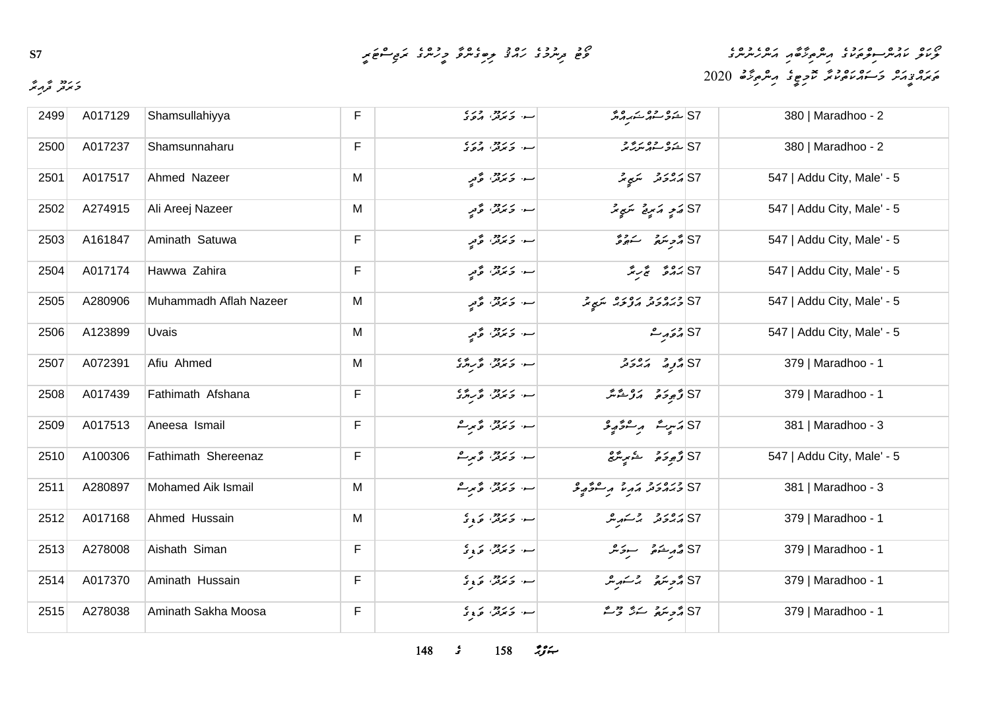*sCw7q7s5w7m< o<n9nOoAw7o< sCq;mAwBoEw7q<m; wBm;vB* م من المرة المرة المرة المرجع المرجع في المركبة 2020<br>مجم*د المريض المربوط المربع المرجع في المراجع المركبة* 

| A017129 | Shamsullahiyya            | F | سه کريږي. دره                  | S7 خۇرخەرىنى <i>ر بىر</i> گە                     | 380   Maradhoo - 2         |
|---------|---------------------------|---|--------------------------------|--------------------------------------------------|----------------------------|
| A017237 | Shamsunnaharu             | F | ر درود ور د<br>سه و ترتو، مروی | S7 شۇر <i>مەشرىرى</i> ر                          | 380   Maradhoo - 2         |
| A017517 | Ahmed Nazeer              | M | سە كەندىق گەير                 | S7 <i>مەندۇ</i> تر سىي تر                        | 547   Addu City, Male' - 5 |
| A274915 | Ali Areej Nazeer          | M | سە كەنزلىق گەير                | S7 <i>۾َجِ ۾َجِي سَپِي</i> ءُ                    | 547   Addu City, Male' - 5 |
| A161847 | Aminath Satuwa            | F | سە كەنزلىق گەير                | S7 مُوسِعة معوض                                  | 547   Addu City, Male' - 5 |
| A017174 | Hawwa Zahira              | F | سە كەنزلىق گەير                | S7 ئەبۇق ئى <i>ب</i> ۇ                           | 547   Addu City, Male' - 5 |
| A280906 | Muhammadh Aflah Nazeer    | M | سە كەنزلىق گەير                | S7 <i>בגמכת הציב</i> ל "ת <sub>א</sub> ל"        | 547   Addu City, Male' - 5 |
| A123899 | Uvais                     | M | سە كەنزلىق گەير                | S7 مۇمەيھ                                        | 547   Addu City, Male' - 5 |
| A072391 | Afiu Ahmed                | M | سه ورود و ده                   | S7 <i>مَّ وِمَا مَدْحَ</i> مِنْ                  | 379   Maradhoo - 1         |
| A017439 | Fathimath Afshana         | F | ر درده و ده                    | S7 <i>ۋې<sub>و</sub>خۇ مۇ</i> شقىر               | 379   Maradhoo - 1         |
| A017513 | Aneesa Ismail             | F | سە ئەترىش ئەيرىش               | S7 كەيرىشە ب <sub>ە</sub> ر شۇر <sub>بو</sub> تۇ | 381   Maradhoo - 3         |
| A100306 | Fathimath Shereenaz       | F | ے کے بروژہ گھرے                | S7 ۇ <sub>م</sub> ودۇ شىرىئى                     | 547   Addu City, Male' - 5 |
| A280897 | <b>Mohamed Aik Ismail</b> | M | ے کے بروژہ کا مرت              | S7 כג' ג' ג' ג' ה' ה' הייביקי ב                  | 381   Maradhoo - 3         |
| A017168 | Ahmed Hussain             | M | سە كەيمەتى كەلالى              | S7 كەبرى قىلى ئەسىر بىر                          | 379   Maradhoo - 1         |
| A278008 | Aishath Siman             | F | سە كەيمەتى كەلاي               | S7 مۇم ھۇم سو <i>ڭ بىر</i>                       | 379   Maradhoo - 1         |
| A017370 | Aminath Hussain           | F | سە كەيمەتى كەلاي               | S7 مُ <i>جِيئرة بِرْ سَنْدِيثْر</i>              | 379   Maradhoo - 1         |
| A278038 | Aminath Sakha Moosa       | F | سە كەنتىقى كەلمى ك             | S7 أَمُّ حِسَمَةً مِسَدٌّ حَسَّمَّةً             | 379   Maradhoo - 1         |
|         |                           |   |                                |                                                  |                            |

*148 sC 158 nNw?mS*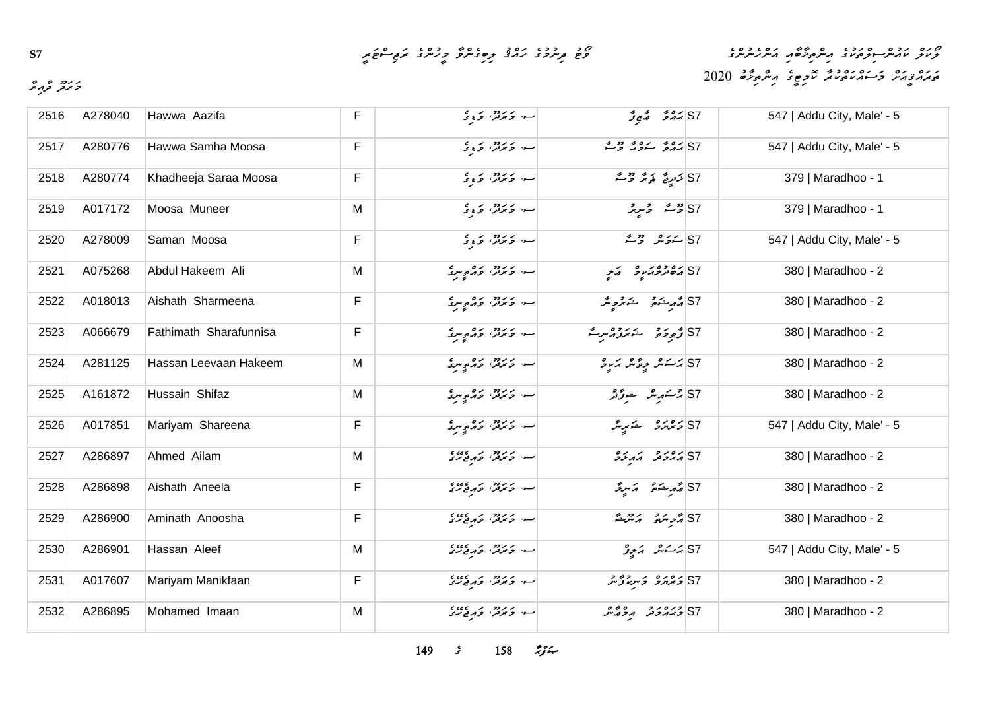*sCw7q7s5w7m< o<n9nOoAw7o< sCq;mAwBoEw7q<m; wBm;vB* م من المرة المرة المرة المرجع المرجع في المركبة 2020<br>مجم*د المريض المربوط المربع المرجع في المراجع المركبة* 

| 2516 | A278040 | Hawwa Aazifa           | F | سە كەندىق كەي كى              | S7 <i>بَدُوْءٌ مُ</i> ي <i>وَ</i>        | 547   Addu City, Male' - 5 |
|------|---------|------------------------|---|-------------------------------|------------------------------------------|----------------------------|
| 2517 | A280776 | Hawwa Samha Moosa      | F | سە كەتتى كەن                  | $23.22 - 22.5$ S7                        | 547   Addu City, Male' - 5 |
| 2518 | A280774 | Khadheeja Saraa Moosa  | F | سە كەيمەتى كەلاي              | S7 دَسٍ تَه تَوَسَّرَ حَمَدَ الْمَرْسَمُ | 379   Maradhoo - 1         |
| 2519 | A017172 | Moosa Muneer           | M | سە كەتتى كەن                  | S7 ترقئے قاسیڈ                           | 379   Maradhoo - 1         |
| 2520 | A278009 | Saman Moosa            | F | سە كەنتىقى كەلمى              | S7 سەئەشەھەت ئە                          | 547   Addu City, Male' - 5 |
| 2521 | A075268 | Abdul Hakeem Ali       | M | سوا و بردو و و مهر موس        | S7  مەھىرى <i>دىنى</i> مەير              | 380   Maradhoo - 2         |
| 2522 | A018013 | Aishath Sharmeena      | F | ٢٠٠ - درود ده وسره            | S7 مُەرشەھ شەمۇرچىگر                     | 380   Maradhoo - 2         |
| 2523 | A066679 | Fathimath Sharafunnisa | F | ے دروہ رہ ہوس                 | S7 تُرجوح مُ شُومَرُومُ سِرَ مُحْمَدِ    | 380   Maradhoo - 2         |
| 2524 | A281125 | Hassan Leevaan Hakeem  | M | - دردو ده مره                 | S7 ئەسەنلە ب <i>وڭ ئار ۋ</i>             | 380   Maradhoo - 2         |
| 2525 | A161872 | Hussain Shifaz         | M | سوا و بردو و و مهر موس        | S7 پرستمبر شورٌ فر                       | 380   Maradhoo - 2         |
| 2526 | A017851 | Mariyam Shareena       | F | سوا و بردو و و مهر موس        | S7 كەنگەر ئىم ئىستىر ئىگە ئىرىك ئى       | 547   Addu City, Male' - 5 |
| 2527 | A286897 | Ahmed Ailam            | M | ر دردود.<br>سه وبوتر، وبرق ری | $55.75$ $52.5$ $S7$                      | 380   Maradhoo - 2         |
| 2528 | A286898 | Aishath Aneela         | F | ر دردود.<br>سه وبوتر، وبرق رو | S7 مەم شەق مەس <sub>ى</sub> رىگە         | 380   Maradhoo - 2         |
| 2529 | A286900 | Aminath Anoosha        | F | سه کردود که دون               | S7 مُّحِسَمُ مَسْرَحَةً                  | 380   Maradhoo - 2         |
| 2530 | A286901 | Hassan Aleef           | M | سه کردود که دون               | S7 ئەسەنلەر م <i>ەيب</i> ۇ               | 547   Addu City, Male' - 5 |
| 2531 | A017607 | Mariyam Manikfaan      | F | سه ورده و دون                 | S7 كەنگەرگە كەس <i>لەۋ</i> تىر           | 380   Maradhoo - 2         |
| 2532 | A286895 | Mohamed Imaan          | M | در دود که ده ده               | S7 32022 مرحمة مر                        | 380   Maradhoo - 2         |

*n*<sub>49</sub> *s* 158 *i*<sub>3</sub> *i*<sub>3</sub>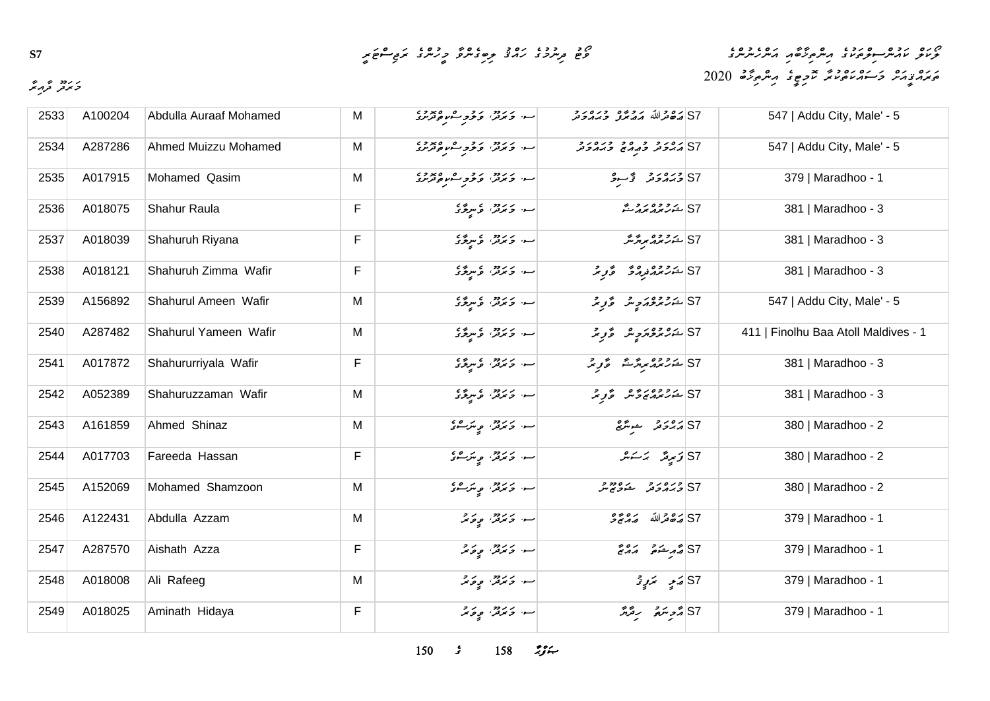*sCw7q7s5w7m< o<n9nOoAw7o< sCq;mAwBoEw7q<m; wBm;vB* م من المرة المرة المرة المرجع المرجع في المركبة 2020<br>مجم*د المريض المربوط المربع المرجع في المراجع المركبة* 

| 2533 | A100204 | Abdulla Auraaf Mohamed      | M           | سه زندود از در در ۱۶۶۵ وروپا | S7 كەھ قىراللە ئەرقىقىز ج <i>ەن مەدى</i> | 547   Addu City, Male' - 5           |
|------|---------|-----------------------------|-------------|------------------------------|------------------------------------------|--------------------------------------|
| 2534 | A287286 | <b>Ahmed Muizzu Mohamed</b> | M           | در دود در در در باروده       | S7 גיבת כהבי כמידים                      | 547   Addu City, Male' - 5           |
| 2535 | A017915 | Mohamed Qasim               | M           | سه ويرود وور شره بوده        | S7 <i>\$ جەم</i> ۇمۇ گەسىۋ               | 379   Maradhoo - 1                   |
| 2536 | A018075 | Shahur Raula                | F           | ے کروڑ کا ہوگا               | S7 شەرجىھە ئەرمىيە مىش                   | 381   Maradhoo - 3                   |
| 2537 | A018039 | Shahuruh Riyana             | F           | سەر ئەيزىقى ئۇ سرىۋى         | S7 شەرىمەر <i>مەرىگە</i> رگە             | 381   Maradhoo - 3                   |
| 2538 | A018121 | Shahuruh Zimma Wafir        | $\mathsf F$ | ے کروڑ کے سرگری              | S7 ش <i>ەر بىرمەنزمەڭ قۇي</i> تم         | 381   Maradhoo - 3                   |
| 2539 | A156892 | Shahurul Ameen Wafir        | M           | ے زیروہ عبدوی                | S7 ڪر <i>نر وي په وُوِير</i>             | 547   Addu City, Male' - 5           |
| 2540 | A287482 | Shahurul Yameen Wafir       | M           | سەر ئەيزىقى ئۇ سرىۋى         | S7 شىر <i>مەۋەرى ھەبەر</i>               | 411   Finolhu Baa Atoll Maldives - 1 |
| 2541 | A017872 | Shahururriyala Wafir        | F           | سەر ئەرلار ئەس ئۇر           | S7 شەرىمەر ئەرقىيە قۇرىمە                | 381   Maradhoo - 3                   |
| 2542 | A052389 | Shahuruzzaman Wafir         | M           | سەر ئەيزىقى ئۇ سرىۋى         | S7 شەمەم <i>بەر ئەرە بىر ئى</i> ر        | 381   Maradhoo - 3                   |
| 2543 | A161859 | Ahmed Shinaz                | M           | ے کروڑ، ویکرے                | S7 كەبرى ئىر شوشى <i>نى</i>              | 380   Maradhoo - 2                   |
| 2544 | A017703 | Fareeda Hassan              | F           | ے دروہ ویکن دی               | S7 تۇم <sub>ي</sub> ىر كەشكىر            | 380   Maradhoo - 2                   |
| 2545 | A152069 | Mohamed Shamzoon            | M           | ے کردوں و سرے                | S7 دېره د ده ده د د                      | 380   Maradhoo - 2                   |
| 2546 | A122431 | Abdulla Azzam               | M           | سە ئەترىق بەرد               | S7 مَەمْرَاللە مَ <i>مْ</i> مَوْد        | 379   Maradhoo - 1                   |
| 2547 | A287570 | Aishath Azza                | F           | ے دَبَرَتْرُ، وِءَبْرُ       | S7 مەم شىم مەم ج                         | 379   Maradhoo - 1                   |
| 2548 | A018008 | Ali Rafeeg                  | M           | ے دَ بَرَتْرُ، وِ وَ بَرْ    | S7 <i>۾َ ڇِ - پَرُوِ ڏُ</i>              | 379   Maradhoo - 1                   |
| 2549 | A018025 | Aminath Hidaya              | F           | سە ئەترىق يەئەتر             | S7 مُتَّحِسَمُ رِمَّةً مَنْ              | 379   Maradhoo - 1                   |

*n8o<n@ r@m8m>*

*150 s 158 <i>n*<sub>3</sub> *i*<sub>3</sub> *i*<sub>3</sub> *i*<sub>3</sub> *i*<sub>3</sub> *i*<sub>3</sub> *i*<sub>3</sub> *i*<sub>3</sub> *i*<sub>3</sub> *i*<sub>3</sub> *i*<sub>3</sub> *i*<sub>3</sub> *i*<sub>3</sub> *i*<sub>3</sub> *i*<sub>3</sub> *i*<sub>3</sub> *i*<sub>3</sub> *i*<sub>3</sub> *i*<sub>3</sub> *i*<sub>3</sub> *i*<sub>3</sub> *i*<sub>3</sub> *i*<sub>3</sub> *i*<sub>3</sub> *i*<sub>3</sub> *i*<sub>3</sub> *i*<sub>3</sub> *i*<sub>3</sub> *i*<sub>3</sub> *i*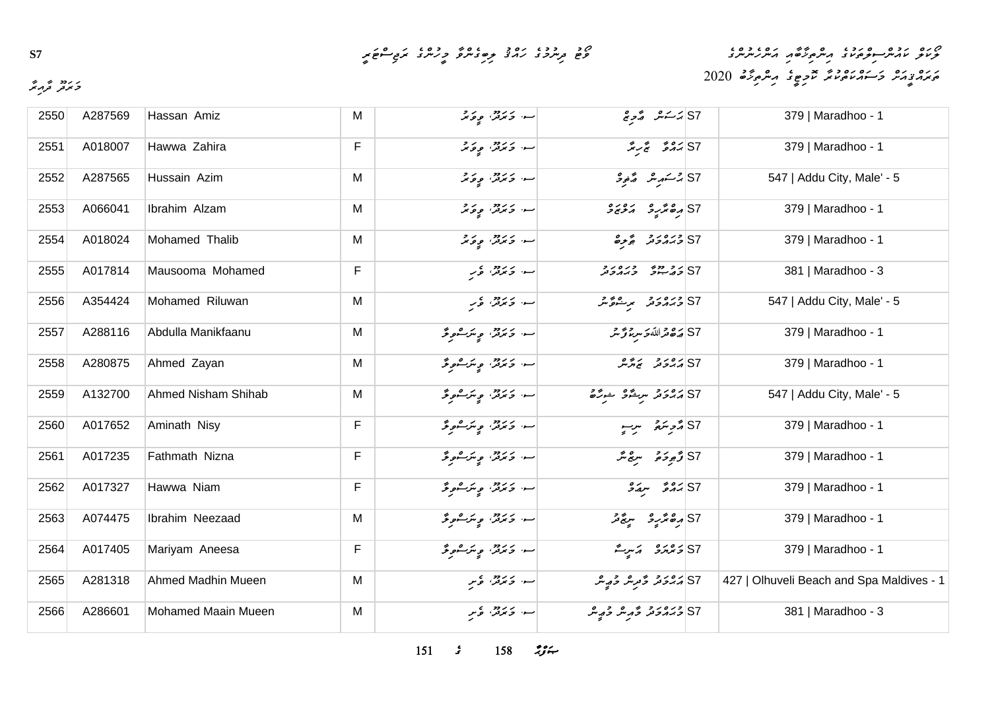*sCw7q7s5w7m< o<n9nOoAw7o< sCq;mAwBoEw7q<m; wBm;vB* م من المرة المرة المرة المرجع المرجع في المركبة 2020<br>مجم*د المريض المربوط المربع المرجع في المراجع المركبة* 

| 2550 | A287569 | Hassan Amiz                | M           | ے دُنزلز، وِوَنز       | S7   پرسکس م <i>ح</i> موج                 | 379   Maradhoo - 1                        |
|------|---------|----------------------------|-------------|------------------------|-------------------------------------------|-------------------------------------------|
| 2551 | A018007 | Hawwa Zahira               | F           | سە ئەترىق يەئەتمە      | S7 ئەممۇس ئ <i>ارى</i> گە                 | 379   Maradhoo - 1                        |
| 2552 | A287565 | Hussain Azim               | M           | سە ئەترىق ئەتەتر       | S7 برُسَمبر شَر مُحْرِ حَرْ               | 547   Addu City, Male' - 5                |
| 2553 | A066041 | Ibrahim Alzam              | M           | ے دیکھر، وویر          | S7 مەھەر بەر مەدى S7                      | 379   Maradhoo - 1                        |
| 2554 | A018024 | Mohamed Thalib             | M           | سە ئەترىق يەئەتر       | S7 دبروبر پ <sub>ر پ</sub> وه             | 379   Maradhoo - 1                        |
| 2555 | A017814 | Mausooma Mohamed           | F           | سە كەيمەتقى كەب        | S7 دُرو ووي دره در د                      | 381   Maradhoo - 3                        |
| 2556 | A354424 | Mohamed Riluwan            | M           | سە كەنتىرى كەب         | S7 <i>ڈیزوونر</i> برخوٹر                  | 547   Addu City, Male' - 5                |
| 2557 | A288116 | Abdulla Manikfaanu         | M           | سە كەيمەتى ئەسكەنگەنگە | S7 كەھ قىراللە <del>ك</del> سرىر قرىتر    | 379   Maradhoo - 1                        |
| 2558 | A280875 | Ahmed Zayan                | M           | سا دردو ، په ترگور کل  | S7 كەبروتىر ئەرگىر                        | 379   Maradhoo - 1                        |
| 2559 | A132700 | Ahmed Nisham Shihab        | M           | سە ئەيرىن ئۆسكىدىگە    | S7 كەندۇقر سرىشۇ ئىبرگە                   | 547   Addu City, Male' - 5                |
| 2560 | A017652 | Aminath Nisy               | F           | سە كەيمەتى ئەسكەنلىر   | S7 مُرْحِبَهُ مِنْ مِنْ                   | 379   Maradhoo - 1                        |
| 2561 | A017235 | Fathmath Nizna             | F           | سە كەندىق بەيترىشىمەتى | S7 <i>وُّهِ دَوْمُ</i> سِيْ مُرَ          | 379   Maradhoo - 1                        |
| 2562 | A017327 | Hawwa Niam                 | $\mathsf F$ | ے دیروہ ویکرے وگ       | $54 - 525$ S7                             | 379   Maradhoo - 1                        |
| 2563 | A074475 | Ibrahim Neezaad            | M           | ے کروڑ وٍ سَرَکو گو گ  | S7 م <i>ەھترى</i> دۇ س <sub>ى</sub> پجىتر | 379   Maradhoo - 1                        |
| 2564 | A017405 | Mariyam Aneesa             | F           | سە كەندىق بەيترىشىمەتى | S7 كەبھەر 12 كەس <sup>ىس</sup>            | 379   Maradhoo - 1                        |
| 2565 | A281318 | Ahmed Madhin Mueen         | M           | ے تحصیل قرم            | S7 كەندى تە ئۇيىلا تەمەنلە                | 427   Olhuveli Beach and Spa Maldives - 1 |
| 2566 | A286601 | <b>Mohamed Maain Mueen</b> | M           | سە كەندىق كەير         | S7 <i>ويرورو ويرنگر وي<sub>و</sub>نگر</i> | 381   Maradhoo - 3                        |

*151 sC 158 nNw?mS*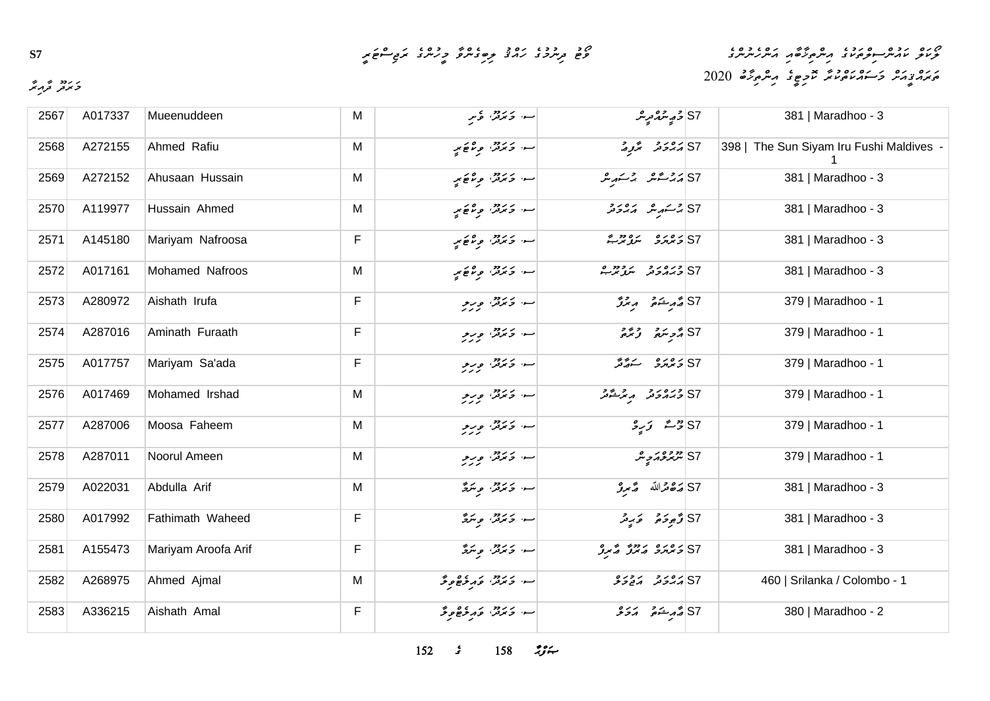*sCw7q7s5w7m< o<n9nOoAw7o< sCq;mAwBoEw7q<m; wBm;vB* م من المرة المرة المرة المرجع المرجع في المركبة 2020<br>مجم*د المريض المربوط المربع المرجع في المراجع المركبة* 

| 2567 | A017337 | Mueenuddeen         | M           | ے کے ترقش کا مر                   | S7 دۇر شەھرىس                             | 381   Maradhoo - 3                       |  |
|------|---------|---------------------|-------------|-----------------------------------|-------------------------------------------|------------------------------------------|--|
| 2568 | A272155 | Ahmed Rafiu         | M           | سە ئەترىق ھەق بېر                 | S7 <i>222 گرو</i> گر                      | 398   The Sun Siyam Iru Fushi Maldives - |  |
| 2569 | A272152 | Ahusaan Hussain     | M           | - دىروز، وياھىمبە                 | S7 كەنزىسىگىر ئەسكىرىكر                   | 381   Maradhoo - 3                       |  |
| 2570 | A119977 | Hussain Ahmed       | M           | - دىروز، وراغېر                   | S7 يُرْسَمَ مِيْشَرَ مَدَوْمَرَ           | 381   Maradhoo - 3                       |  |
| 2571 | A145180 | Mariyam Nafroosa    | $\mathsf F$ | سە ئەنزلىق ھەم ھەمر               | S7 كەبىرە بىرە «يە                        | 381   Maradhoo - 3                       |  |
| 2572 | A017161 | Mohamed Nafroos     | M           | سە ئەندىق ھەم ھەمبە               | S7 درور دروره و                           | 381   Maradhoo - 3                       |  |
| 2573 | A280972 | Aishath Irufa       | F           | سن تربردو<br>  سن تربردون الربربر | S7 مەم ھۇر مەمرىق<br>ج                    | 379   Maradhoo - 1                       |  |
| 2574 | A287016 | Aminath Furaath     | F           | سە ئەترىق ئەرىپە                  | S7 مُجرِسَم <sub>َ</sub> وَمُحَمَّد       | 379   Maradhoo - 1                       |  |
| 2575 | A017757 | Mariyam Sa'ada      | F           | سه کامروز ورو                     | S7 ئ <i>ەيدە</i> سەھقە                    | 379   Maradhoo - 1                       |  |
| 2576 | A017469 | Mohamed Irshad      | M           | سه کابوده ورو                     | S7 <i>ڈیزو</i> ونز پر پڑش <sup>ی</sup> نز | 379   Maradhoo - 1                       |  |
| 2577 | A287006 | Moosa Faheem        | M           | سه وَيَرَهْ وِرِوِ                | S7  چربح ت <i>ور</i> ی                    | 379   Maradhoo - 1                       |  |
| 2578 | A287011 | Noorul Ameen        | M           | سه وَيَرَهْ ورو                   | S7 تېر <i>بر ډېر چ</i>                    | 379   Maradhoo - 1                       |  |
| 2579 | A022031 | Abdulla Arif        | M           | سە ئەترىق ئەسكە                   | S7 مَەھىراللە مەمر <i>ۇ</i>               | 381   Maradhoo - 3                       |  |
| 2580 | A017992 | Fathimath Waheed    | F           | - دىمۇش جەمىگە                    | S7 <i>وُّهِ دَمْ وَبِ</i> مْ              | 381   Maradhoo - 3                       |  |
| 2581 | A155473 | Mariyam Aroofa Arif | F           | سە ئەترىق ئەسىر                   | ST כבתב הזיג הזיג                         | 381   Maradhoo - 3                       |  |
| 2582 | A268975 | Ahmed Ajmal         | M           | - دردو ترروه وگر                  | S7 كەبروتىر كەنغ <i>ج</i> ىۋ              | 460   Srilanka / Colombo - 1             |  |
| 2583 | A336215 | Aishath Amal        | F           | ٢٠٠ وبردو وبروهور                 | S7 مُمْ مِسْمَعْ مَدَكَّر                 | 380   Maradhoo - 2                       |  |

*152 s 158 <i>n*<sub>3</sub> *i*<sub>3</sub> *i*<sub>3</sub> *i*<sub>3</sub> *i*<sub>3</sub> *i*<sub>3</sub> *i*<sub>3</sub> *i*<sub>3</sub> *i*<sub>3</sub> *i*<sub>3</sub> *i*<sub>3</sub> *i*<sub>3</sub> *i*<sub>3</sub> *i*<sub>3</sub> *i*<sub>3</sub> *i*<sub>3</sub> *i*<sub>3</sub> *i*<sub>3</sub> *i*<sub>3</sub> *i*<sub>3</sub> *i*<sub>3</sub> *i*<sub>3</sub> *i*<sub>3</sub> *i*<sub>3</sub> *i*<sub>3</sub> *i*<sub>3</sub> *i*<sub>3</sub> *i*<sub>3</sub> *i*<sub>3</sub> *i*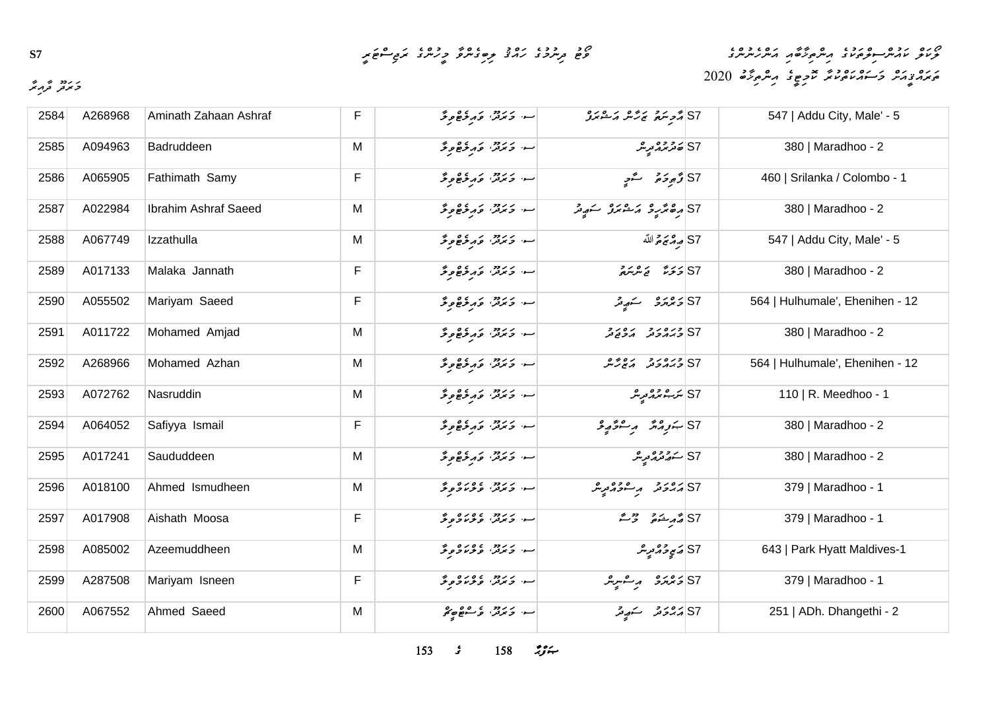*sCw7q7s5w7m< o<n9nOoAw7o< sCq;mAwBoEw7q<m; wBm;vB* م من المرة المرة المرة المرجع المرجع في المركبة 2020<br>مجم*د المريض المربوط المربع المرجع في المراجع المركبة* 

|  | ر ردد به پر |
|--|-------------|
|  |             |

| 2584 | A268968 | Aminath Zahaan Ashraf       | F | سە كەندىق كەرگەھ بۇ                                          | S7 أُمُّ جِسَمَةٍ بِحَمَّدٌ أَمَّتْ مَرْدٍ | 547   Addu City, Male' - 5      |
|------|---------|-----------------------------|---|--------------------------------------------------------------|--------------------------------------------|---------------------------------|
| 2585 | A094963 | Badruddeen                  | M | سە ئەترى <i>ق ئەم</i> رى <i>ۋە بە</i>                        | S7 <i>ڪونروگورنگ</i> ر                     | 380   Maradhoo - 2              |
| 2586 | A065905 | Fathimath Samy              | F | - دردو عدد عمود                                              | S7 <i>وُجوح</i> قو گو                      | 460   Srilanka / Colombo - 1    |
| 2587 | A022984 | <b>Ibrahim Ashraf Saeed</b> | M | $\sim$ وَبَرَسٌ وَرِوْهِ وَمَحْ                              | S7 مەھەر بەر ئەھەر ئەمدىر                  | 380   Maradhoo - 2              |
| 2588 | A067749 | Izzathulla                  | M | ر دردود که دی وگر                                            | S7 م <i>جدد مح</i> قر الله                 | 547   Addu City, Male' - 5      |
| 2589 | A017133 | Malaka Jannath              | F | ب كەنگەن ئۇرگۇھ بەر                                          | S7 ترتریم کے شر <i>سم</i> ی                | 380   Maradhoo - 2              |
| 2590 | A055502 | Mariyam Saeed               | F | ب كەندىق كەرگە ئۇھ                                           | S7 ئ <i>ۇيرىۋە سەپەتر</i>                  | 564   Hulhumale', Ehenihen - 12 |
| 2591 | A011722 | Mohamed Amjad               | M | ر دردود که دی وگر                                            | S7 <i>בינפיד הפיבת</i>                     | 380   Maradhoo - 2              |
| 2592 | A268966 | Mohamed Azhan               | M | ر دردو کرده وگرفت و گر                                       | S7 ديرورو دوم م                            | 564   Hulhumale', Ehenihen - 12 |
| 2593 | A072762 | Nasruddin                   | M | ر درود در ۱۵۵ شور شور میگردد.<br>سوالو ترکمن مورد موضوع میگر | S7 ىئر بە <i>جەھ بېرى</i> گە               | 110   R. Meedhoo - 1            |
| 2594 | A064052 | Safiyya Ismail              | F | سە كەندىق كەرگەھ بۇ                                          | S7 جۇرگە ئەر مەش <i>ۇر</i> بى              | 380   Maradhoo - 2              |
| 2595 | A017241 | Saududdeen                  | M | ب كەندى كەرگە ئۇھ                                            | S7 سەھەمەمبەشر                             | 380   Maradhoo - 2              |
| 2596 | A018100 | Ahmed Ismudheen             | M | ر درود ١٥٥٥ وره و گر                                         | S7 كەبروتى بەسىۋە توپىر                    | 379   Maradhoo - 1              |
| 2597 | A017908 | Aishath Moosa               | F | ر درود ١٥٢٥ وره د ع                                          | S7 مەم شەقرە تۆگ                           | 379   Maradhoo - 1              |
| 2598 | A085002 | Azeemuddheen                | M | ر درود عصره ده د                                             | S7 <i>ړې د م</i> ور شر                     | 643   Park Hyatt Maldives-1     |
| 2599 | A287508 | Mariyam Isneen              | F | ر درود ١٥٢٥ وره و گر                                         | S7 كەبەر بەر مەس <sub>رى</sub> ر           | 379   Maradhoo - 1              |
| 2600 | A067552 | Ahmed Saeed                 | M | سه كرمردو ، ٥٥٥                                              | S7 كەبرى ئىر سىمبرىتر                      | 251   ADh. Dhangethi - 2        |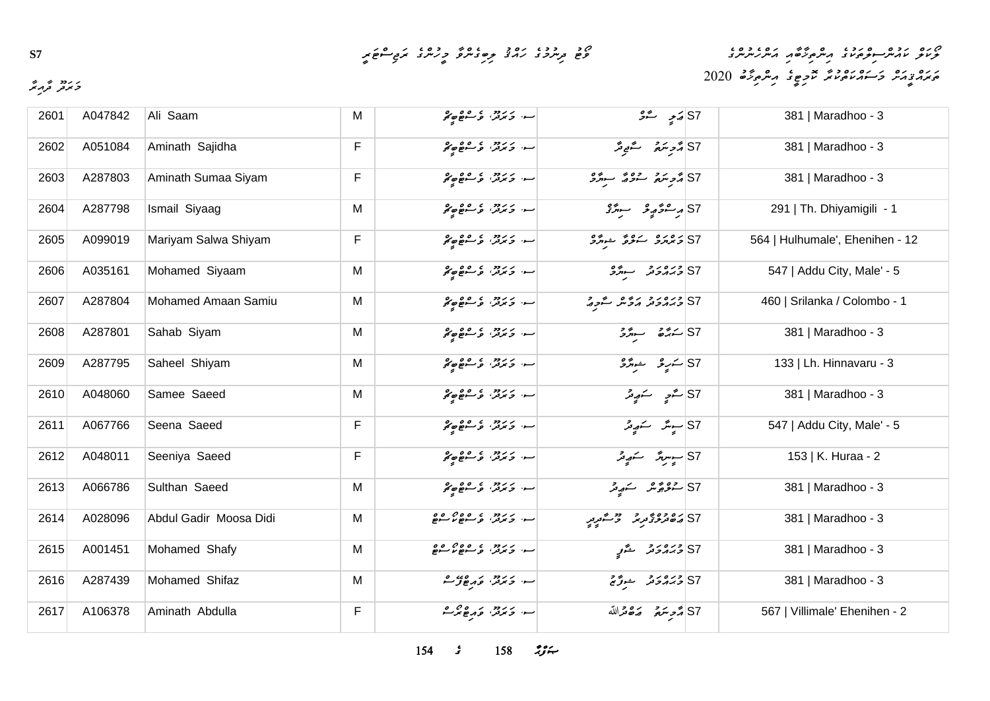*sCw7q7s5w7m< o<n9nOoAw7o< sCq;mAwBoEw7q<m; wBm;vB* م من المرة المرة المرة المرجع المرجع في المركبة 2020<br>مجم*د المريض المربوط المربع المرجع في المراجع المركبة* 

| 2601 | A047842 | Ali Saam               | M           | سه كريرود ، وه ده د | S7 ړ <sub>نم</sub> شره                           | 381   Maradhoo - 3              |
|------|---------|------------------------|-------------|---------------------|--------------------------------------------------|---------------------------------|
| 2602 | A051084 | Aminath Sajidha        | F           | - وبردو ، ٥٥٥       | S7 مُ <i>جِ سَمْع</i> مُصَّبِّحِ مُدَّ           | 381   Maradhoo - 3              |
| 2603 | A287803 | Aminath Sumaa Siyam    | F           |                     | S7 أُمُّ مِ سَمْرَةٌ مُ مَسْرَ مِنْ الْمُسْرِدِّ | 381   Maradhoo - 3              |
| 2604 | A287798 | Ismail Siyaag          | M           | $\frac{1}{2}$       | S7 م <i>ې</i> شتۇمپىۋە سىن <i>تى</i> ۋە          | 291   Th. Dhiyamigili - 1       |
| 2605 | A099019 | Mariyam Salwa Shiyam   | F           | - وبردون وسمع ده و  | S7 كەمەر 2019 ئىس <i>ەر ئا</i> ر                 | 564   Hulhumale', Ehenihen - 12 |
| 2606 | A035161 | Mohamed Siyaam         | M           | سة ويربر وسيصره     | S7 دېم دې سورگر                                  | 547   Addu City, Male' - 5      |
| 2607 | A287804 | Mohamed Amaan Samiu    | M           |                     | S7 درور د بروتر گرده.                            | 460   Srilanka / Colombo - 1    |
| 2608 | A287801 | Sahab Siyam            | M           | سه وبردو ، ٥٥٥      | $\int_{0}^{2\pi} e^{-2\pi i x} dx$               | 381   Maradhoo - 3              |
| 2609 | A287795 | Saheel Shiyam          | M           |                     | S7 سَرِ عَنْ مِيْرُوْ                            | 133   Lh. Hinnavaru - 3         |
| 2610 | A048060 | Samee Saeed            | M           | سه وبرده عده وه و   | S7 گج ڪ <i>وپ</i> ٽر                             | 381   Maradhoo - 3              |
| 2611 | A067766 | Seena Saeed            | $\mathsf F$ | 800000000000000     | S7 سومئر ڪوپيٽر                                  | 547   Addu City, Male' - 5      |
| 2612 | A048011 | Seeniya Saeed          | F           | سه وبرده عده وه و   | S7 سوسرنڈ کوپونڈ                                 | 153   K. Huraa - 2              |
| 2613 | A066786 | Sulthan Saeed          | M           | سه وبرده وسمع ده د  | S7 سىۋېرتىر سى <i>مپى</i> تر                     | 381   Maradhoo - 3              |
| 2614 | A028096 | Abdul Gadir Moosa Didi | M           | سه كريود ، وه وه وه | S7 كەھەرگ <sub>ۇ</sub> تۇرىر تەرەپرىر            | 381   Maradhoo - 3              |
| 2615 | A001451 | Mohamed Shafy          | M           | ے دیروں عاصوں صو    | S7 <i>جەممى ھىر</i> ھىلى                         | 381   Maradhoo - 3              |
| 2616 | A287439 | Mohamed Shifaz         | M           | ے کریں ورکافی       | S7 <i>ۋېرو تو</i> تر شو <i>ژ</i> ې               | 381   Maradhoo - 3              |
| 2617 | A106378 | Aminath Abdulla        | F           | سه كربردو كر وه ه   | S7 مُرْحِ سَمَّةً مَصْحَدَاللَّهُ                | 567   Villimale' Ehenihen - 2   |

*n8o<n@ r@m8m>*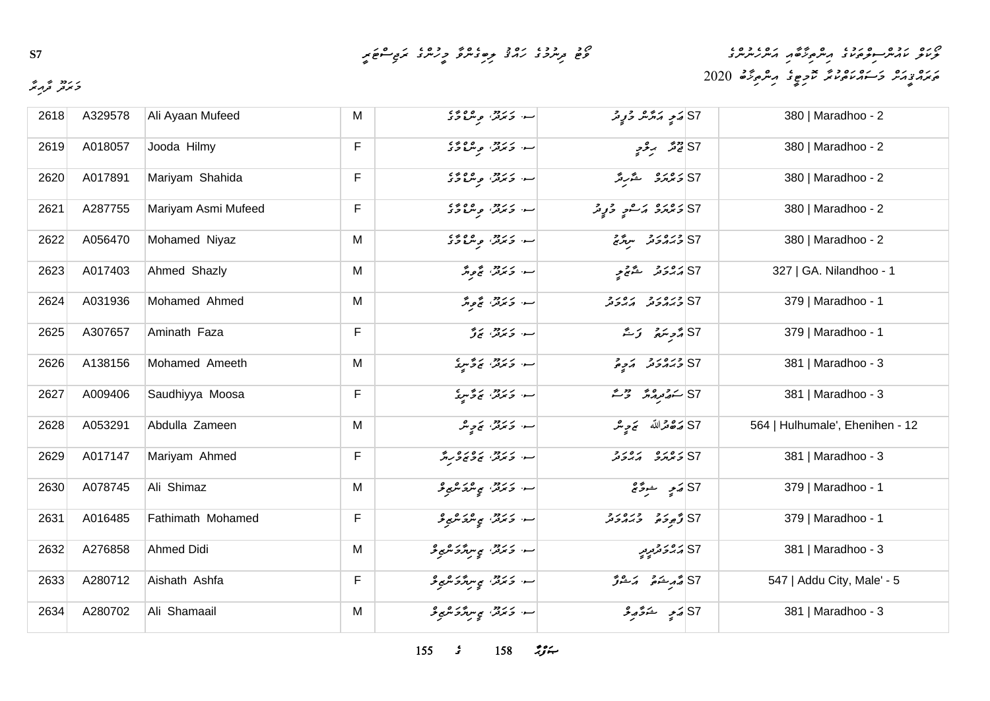*sCw7q7s5w7m< o<n9nOoAw7o< sCq;mAwBoEw7q<m; wBm;vB* م من المرة المرة المرة المرجع المرجع في المركبة 2020<br>مجم*د المريض المربوط المربع المرجع في المراجع المركبة* 

|  | $\begin{array}{ccccc} \circ & \circ & \circ \circ \end{array}$ |
|--|----------------------------------------------------------------|
|  | فرنمرفر الرمريمر                                               |
|  |                                                                |

| 2618 | A329578 | Ali Ayaan Mufeed    | M           | سه درود، و مده دی         | S7 <i>ړنې پر ټر تگر د تړ</i> تر                                                                      | 380   Maradhoo - 2              |
|------|---------|---------------------|-------------|---------------------------|------------------------------------------------------------------------------------------------------|---------------------------------|
| 2619 | A018057 | Jooda Hilmy         | F           | ے رود ویکی ب              | S7 تج محمد ہوتی ہے۔<br>ا                                                                             | 380   Maradhoo - 2              |
| 2620 | A017891 | Mariyam Shahida     | F           | سه وبرده وموده            | S7 <i>وَ بُرْمَرْ وَ</i> ـُمُّرِيْرُ                                                                 | 380   Maradhoo - 2              |
| 2621 | A287755 | Mariyam Asmi Mufeed | F           | ے زردہ ویکی دہ            | S7 كَرْمَرْدْ كْرَسْمِ دْرِيْرْ                                                                      | 380   Maradhoo - 2              |
| 2622 | A056470 | Mohamed Niyaz       | M           | ) درود. و۵۵۰۰             | $\frac{22}{3}$ $\frac{22}{3}$ $\frac{22}{3}$ $\frac{22}{3}$ $\frac{22}{3}$                           | 380   Maradhoo - 2              |
| 2623 | A017403 | Ahmed Shazly        | M           | ے کے ترقش تج عراقمہ       | S7 كەبرى قىرىم ئىس بىر ئىس بىر ئىس بىر ئىس بىر ئىس بىر ئىس بىر ئىس بىر ئىس بىر ئىس بىر ئىس بىر ئىس ب | 327   GA. Nilandhoo - 1         |
| 2624 | A031936 | Mohamed Ahmed       | M           | ے کے ترقر، تج ع آثر       | S7 כלהכת הפלב                                                                                        | 379   Maradhoo - 1              |
| 2625 | A307657 | Aminath Faza        | $\mathsf F$ | سى كەنگەنگە كۆ            | S7 مُرْحِبَهُمْ كَرْثَةُ.                                                                            | 379   Maradhoo - 1              |
| 2626 | A138156 | Mohamed Ameeth      | M           | ے کا کروڑ کا گر سرکا      | S7 <i>جەنگە جۇ مۇج</i> ۇ                                                                             | 381   Maradhoo - 3              |
| 2627 | A009406 | Saudhiyya Moosa     | F           | ے کر کروڑ، کے گر سری      | S7 سەھەمبەھ ق <sup>ىم</sup> گ                                                                        | 381   Maradhoo - 3              |
| 2628 | A053291 | Abdulla Zameen      | M           | ے کے ترقرا کا ترمی        | S7  كەھەراللە كەربىر                                                                                 | 564   Hulhumale', Ehenihen - 12 |
| 2629 | A017147 | Mariyam Ahmed       | F           | سه و دور ده ده ده.        | S7 <i>ביתת כי הפי</i> כת                                                                             | 381   Maradhoo - 3              |
| 2630 | A078745 | Ali Shimaz          | M           | ے کا کردہ ہم شرکا شریع کی | S7 <i>۾َ جِ شوڏي</i>                                                                                 | 379   Maradhoo - 1              |
| 2631 | A016485 | Fathimath Mohamed   | F           |                           | S7 <i>وُجِودَة ويُدودر</i>                                                                           | 379   Maradhoo - 1              |
| 2632 | A276858 | <b>Ahmed Didi</b>   | M           | سە كەنگەن بېسەگە ئىر ئىر  | S7 كەبر <i>قرىرىد</i>                                                                                | 381   Maradhoo - 3              |
| 2633 | A280712 | Aishath Ashfa       | F           | ے کا کردہ ہم سرگر کریم کی | S7 مُرمِسْمَعْ مَسْوَرٌ                                                                              | 547   Addu City, Male' - 5      |
| 2634 | A280702 | Ali Shamaail        | M           | سە كەنگەن بېسەگە ئىر ئىر  | S7 كەم ئىس ئەقەر ئى                                                                                  | 381   Maradhoo - 3              |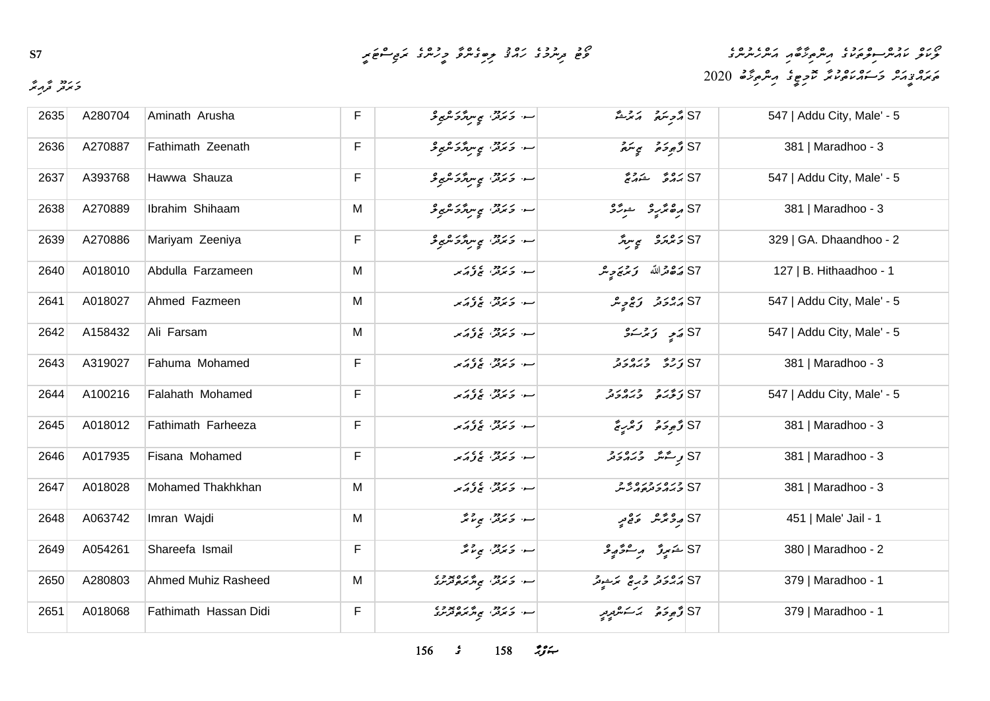*sCw7q7s5w7m< o<n9nOoAw7o< sCq;mAwBoEw7q<m; wBm;vB* م من المرة المرة المرة المرجع المرجع في المركبة 2020<br>مجم*د المريض المربوط المربع المرجع في المراجع المركبة* 

| 2635 | A280704 | Aminath Arusha             | F | سە كەنگەن بېرىگە ئىگەنج                  | S7 مُ <i>جِي مَدْ مَحْرِ م</i> ُ مَسْ        | 547   Addu City, Male' - 5 |
|------|---------|----------------------------|---|------------------------------------------|----------------------------------------------|----------------------------|
| 2636 | A270887 | Fathimath Zeenath          | F | سە كەنگەن بېرىگە كەنگە ئى                | S7 <i>وُّهِ دَمْ</i> پِهِ مَعْ               | 381   Maradhoo - 3         |
| 2637 | A393768 | Hawwa Shauza               | F | سە كەنگەن بېرىگە كەلگەنچ                 | $52.2$ $52.57$ ST                            | 547   Addu City, Male' - 5 |
| 2638 | A270889 | Ibrahim Shihaam            | M | سە كەنگەن ئاسلاك ئىگەنى                  | S7 مەھەر ئەر ئىسىسى ئىس                      | 381   Maradhoo - 3         |
| 2639 | A270886 | Mariyam Zeeniya            | F | ے کا کروڑ کم سرگر کریم کی                | S7 كۆم <i>بەد ئەس</i> ىر                     | 329   GA. Dhaandhoo - 2    |
| 2640 | A018010 | Abdulla Farzameen          | M | سه کرېږده ، د کاربر                      | S7 كەھ قىراللە ئ <i>ۇ تىرىخ ج</i> ېشر        | 127   B. Hithaadhoo - 1    |
| 2641 | A018027 | Ahmed Fazmeen              | M | سە كەندىق ئازەتلىر                       | S7 <i>مەدەنى ۋ</i> ېمونى <i>گ</i>            | 547   Addu City, Male' - 5 |
| 2642 | A158432 | Ali Farsam                 | M | سه کرده عرکز کرد                         | S7   كەمچە ئۇتمەشىرى<br>                     | 547   Addu City, Male' - 5 |
| 2643 | A319027 | Fahuma Mohamed             | F | سه کرده عرکز کرد                         | S7 ۇرق ئەيمەدىر                              | 381   Maradhoo - 3         |
| 2644 | A100216 | Falahath Mohamed           | F | ر درود در در در بر<br>سه از برتر، برق بر | S7 ۇ <i>ۋىرە دېرە دو</i>                     | 547   Addu City, Male' - 5 |
| 2645 | A018012 | Fathimath Farheeza         | F | ر در دو.<br>سه گرمزش می قرار مر          | S7 ۇ <sub>ج</sub> وخۇ     زېرىي <sup>ت</sup> | 381   Maradhoo - 3         |
| 2646 | A017935 | Fisana Mohamed             | F | سە كەيرودە ئەركىمىز                      | S7 وېشتر ق <i>وندو</i> تر                    | 381   Maradhoo - 3         |
| 2647 | A018028 | Mohamed Thakhkhan          | M | سە كەنگەنى ئەركىر                        | S7 <i>ۋېرو د دوه و</i> ر ژبر                 | 381   Maradhoo - 3         |
| 2648 | A063742 | Imran Wajdi                | M | سە كەندىق بېرىدىگە                       | S7 م <i>وڅنگر وف</i> ور                      | 451   Male' Jail - 1       |
| 2649 | A054261 | Shareefa Ismail            | F | سە خەرقۇر، بېرىدگە                       | S7 خىمرتى بەسى <i>مۇي</i> رى                 | 380   Maradhoo - 2         |
| 2650 | A280803 | <b>Ahmed Muhiz Rasheed</b> | M |                                          | S7 كەندۇقر ۋېرىج   مَرْش <sub>و</sub> قر     | 379   Maradhoo - 1         |
| 2651 | A018068 | Fathimath Hassan Didi      | F |                                          | S7 <i>وُّجِ دَمْ تَهَ سُ</i> مُبْرِ مِرِ     | 379   Maradhoo - 1         |

**156** *s* **158** *n***<sub>3</sub>** *n*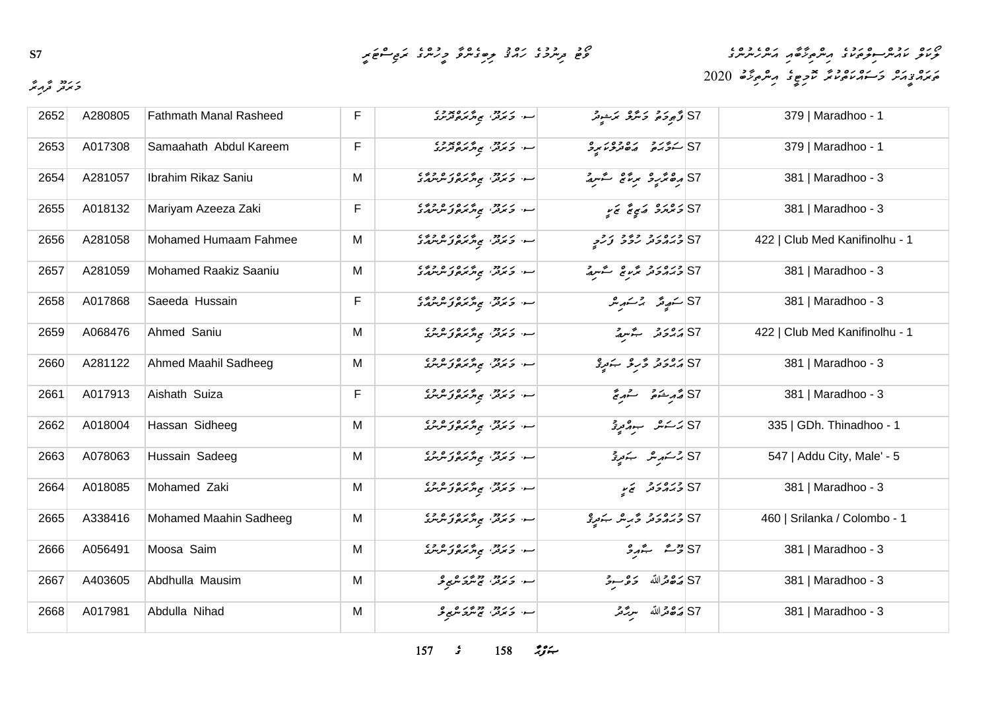*sCw7q7s5w7m< o<n9nOoAw7o< sCq;mAwBoEw7q<m; wBm;vB* م من المرة المرة المرة المرجع المرجع في المركبة 2020<br>مجم*د المريض المربوط المربع المرجع في المراجع المركبة* 

| 2652 | A280805 | <b>Fathmath Manal Rasheed</b> | F | ر در دور به در ۲۶۵ وی.<br>در کارگران به در برد و در در                                                                                                                                                                           | S7 ۇ <sub>ج</sub> وقۇ ق <sup>ى</sup> رگۇ ئر <sub>ىشو</sub> ر | 379   Maradhoo - 1             |
|------|---------|-------------------------------|---|----------------------------------------------------------------------------------------------------------------------------------------------------------------------------------------------------------------------------------|--------------------------------------------------------------|--------------------------------|
| 2653 | A017308 | Samaahath Abdul Kareem        | F | ر در دو.<br>سه گرسونگر، مج در جرجو ترس                                                                                                                                                                                           | S7 كەبىر دەپرە دەر دە                                        | 379   Maradhoo - 1             |
| 2654 | A281057 | Ibrahim Rikaz Saniu           | M | ر درود.<br>سه و برتر، بې بر برجوړ سرسمدی                                                                                                                                                                                         | S7 مەھەرگە ئەرىئاتقى سەسىمە                                  | 381   Maradhoo - 3             |
| 2655 | A018132 | Mariyam Azeeza Zaki           | F | ر در دو.<br>سوال گرفتر، ام بر مرجو تو سرس مر                                                                                                                                                                                     | $\sim$ اره ره کام کام کامل کامل                              | 381   Maradhoo - 3             |
| 2656 | A281058 | <b>Mohamed Humaam Fahmee</b>  | M | ر در دوستان ده د ه و و ده د<br>سوستان در در سر در در سر سر در د                                                                                                                                                                  | S7 ديروبرو دوو زرو <sub>ب</sub>                              | 422   Club Med Kanifinolhu - 1 |
| 2657 | A281059 | <b>Mohamed Raakiz Saaniu</b>  | M | ر درود.<br>سه و برتر، م بر بروز بربردی                                                                                                                                                                                           | S7 <i>وَيُدْوَدُو بِرَّبِي</i> سَمَسِيْر                     | 381   Maradhoo - 3             |
| 2658 | A017868 | Saeeda Hussain                | F | ر درود.<br>سه و نرس نم شهره و سرس                                                                                                                                                                                                | S7  سَمرٍ مِرَّ مَ سَمر مِر                                  | 381   Maradhoo - 3             |
| 2659 | A068476 | Ahmed Saniu                   | M | ر در دون در ۱۵۷۵ ورو د د کار د د د کار د د د کار د د د د کار د د د کار د د د د کار د د د د د د د کار د د د د ک<br>د سوالو کار کار کار کار کار د کار د کار د کار د کار د کار د کار د کار د کار د کار د کار د کار د کار د کار د کا | S7 كەبردىر شەھر                                              | 422   Club Med Kanifinolhu - 1 |
| 2660 | A281122 | Ahmed Maahil Sadheeg          | M | ر در دو در ۱۵۷۵ ورو د د و د کال د د د کال د د د کال د د د کال د د د کال د د د کال د د د کال د د د کال د د د کا<br>د کال د کال د کال د کال د کال د کال د کال د کال د کال د کال د کال د کال د کال د کال د کال د کال د کال د کال د  | S7   كەبرى ئەربى سەمدى                                       | 381   Maradhoo - 3             |
| 2661 | A017913 | Aishath Suiza                 | F | ر در دوند در ۱۵۷۵ ورو د د د کاربرد د کاربرد د د د کاربرد د د د کاربرد د د د کاربرد د د د د کاربرد د د د کاربرد<br>د کاربرد کاربرد د کاربرد د کاربرد د کاربرد د کاربرد د کاربرد د کاربرد د کاربرد د کاربرد د کاربرد د کاربرد د کا | S7 مەم ئىقتىم سىنىم ئىچ                                      | 381   Maradhoo - 3             |
| 2662 | A018004 | Hassan Sidheeg                | M |                                                                                                                                                                                                                                  | S7  پرستمبر سبور پر قری <sub>ق</sub>                         | 335   GDh. Thinadhoo - 1       |
| 2663 | A078063 | Hussain Sadeeg                | M |                                                                                                                                                                                                                                  | S7  2 سەمەيىتى سەمەيدىتى                                     | 547   Addu City, Male' - 5     |
| 2664 | A018085 | Mohamed Zaki                  | M | ر در دون در ۱۵۷۵ ورو د د کار د د د کار د د د کار د د د د کار د د د کار د د د د کار د د د د د د د کار د د د د ک<br>د سوالو کار کار کار کار کار د کار د کار د کار د کار د کار د کار د کار د کار د کار د کار د کار د کار د کار د کا | S7 دېم دې تم                                                 | 381   Maradhoo - 3             |
| 2665 | A338416 | Mohamed Maahin Sadheeg        | M |                                                                                                                                                                                                                                  | S7 <i>وبروبرو</i> وُبهر جوري                                 | 460   Srilanka / Colombo - 1   |
| 2666 | A056491 | Moosa Saim                    | M | ر در دوست دره ده ده.<br>سود کامرلن محافظ موس                                                                                                                                                                                     | S7 چينه شهرو                                                 | 381   Maradhoo - 3             |
| 2667 | A403605 | Abdhulla Mausim               | M | ے کروڑ ودی مریض                                                                                                                                                                                                                  | S7 مَەھْمَراللە ئۇرىبو <i>ت</i>                              | 381   Maradhoo - 3             |
| 2668 | A017981 | Abdulla Nihad                 | M | سه کريږدو د ده د هم کو                                                                                                                                                                                                           | S7 كەھەراللە س <i>ېرىڭ</i> تر                                | 381   Maradhoo - 3             |

*157 sC 158 nNw?mS*